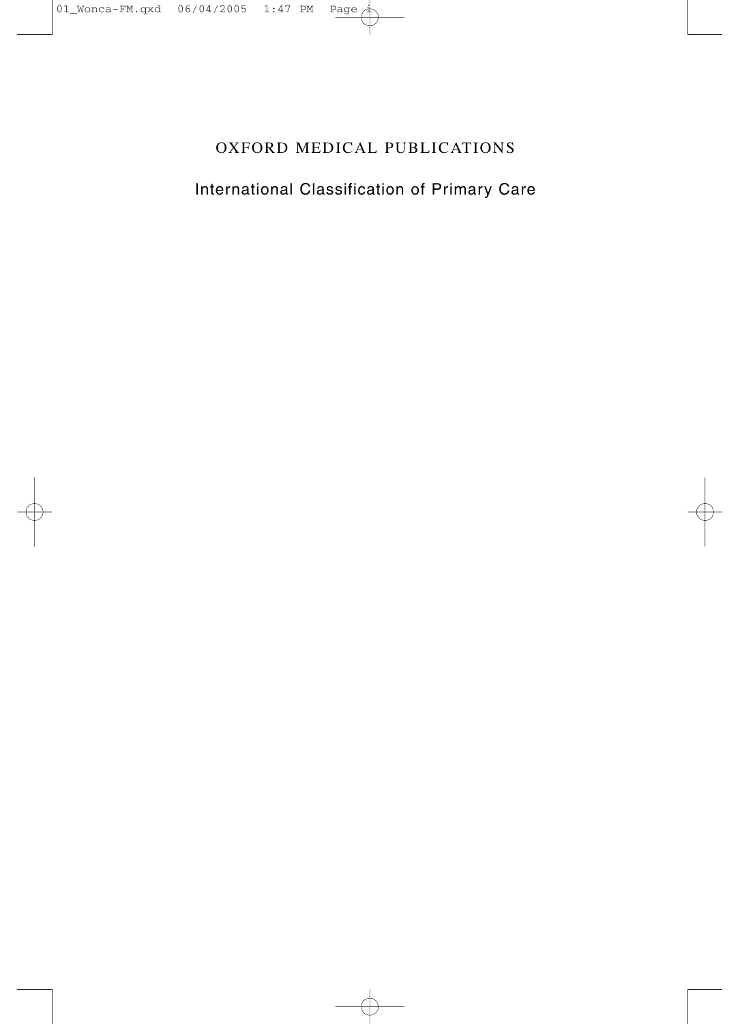### OXFORD MEDICAL PUBLICATIONS

## International Classification of Primary Care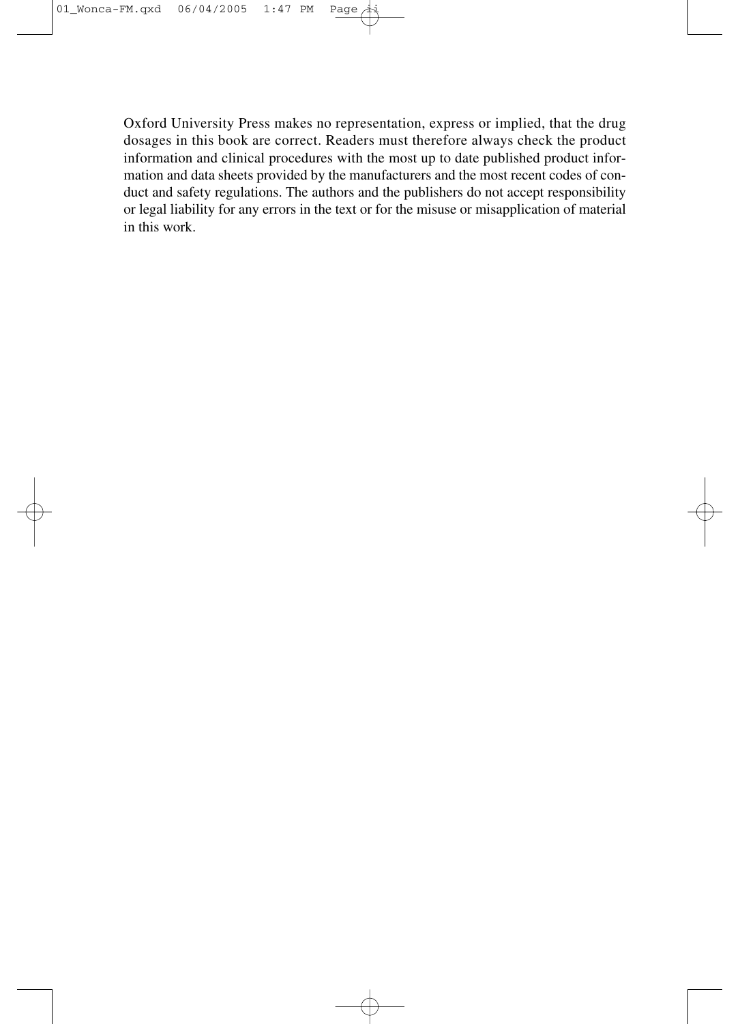Oxford University Press makes no representation, express or implied, that the drug dosages in this book are correct. Readers must therefore always check the product information and clinical procedures with the most up to date published product information and data sheets provided by the manufacturers and the most recent codes of conduct and safety regulations. The authors and the publishers do not accept responsibility or legal liability for any errors in the text or for the misuse or misapplication of material in this work.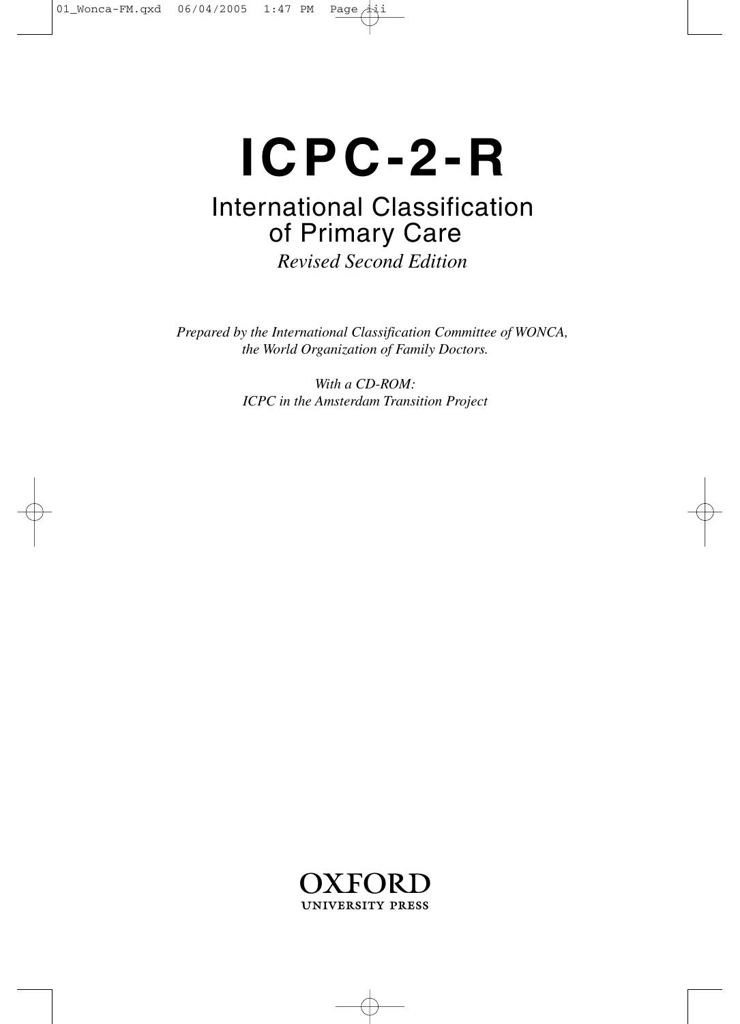# **ICPC-2-R**

## International Classification of Primary Care

*Revised Second Edition*

*Prepared by the International Classification Committee of WONCA, the World Organization of Family Doctors.* 

> *With a CD-ROM: ICPC in the Amsterdam Transition Project*

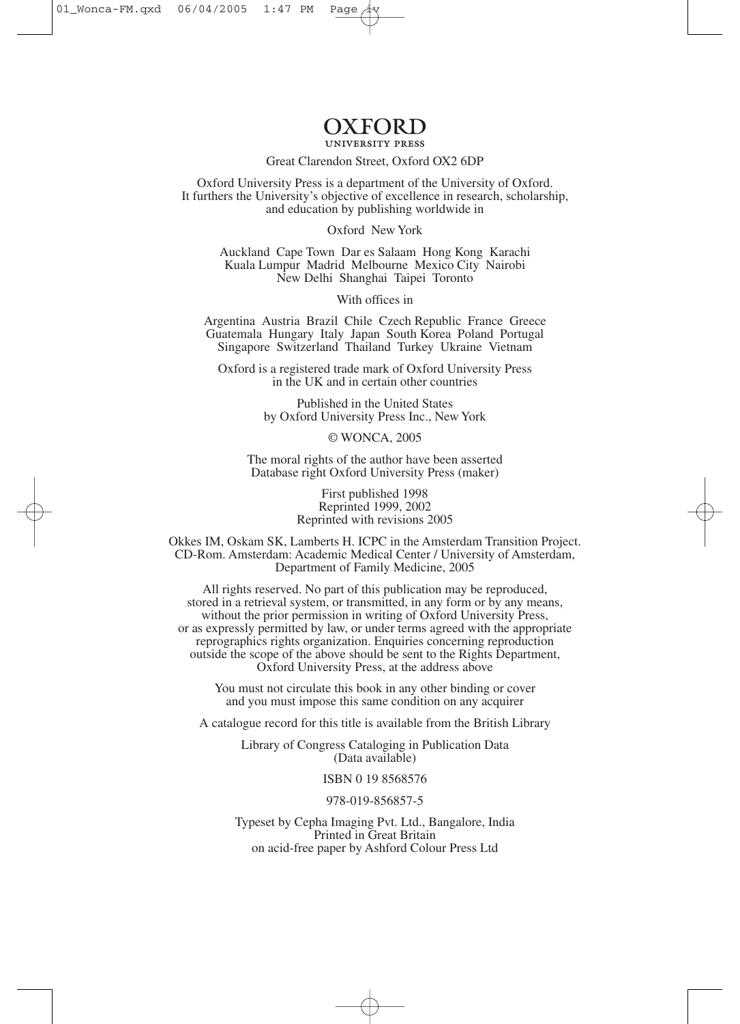

Great Clarendon Street, Oxford OX2 6DP

Oxford University Press is a department of the University of Oxford. It furthers the University's objective of excellence in research, scholarship, and education by publishing worldwide in

Oxford New York

Auckland Cape Town Dar es Salaam Hong Kong Karachi Kuala Lumpur Madrid Melbourne Mexico City Nairobi New Delhi Shanghai Taipei Toronto

With offices in

Argentina Austria Brazil Chile Czech Republic France Greece Guatemala Hungary Italy Japan South Korea Poland Portugal Singapore Switzerland Thailand Turkey Ukraine Vietnam

Oxford is a registered trade mark of Oxford University Press in the UK and in certain other countries

> Published in the United States by Oxford University Press Inc., New York

> > © WONCA, 2005

The moral rights of the author have been asserted Database right Oxford University Press (maker)

> First published 1998 Reprinted 1999, 2002 Reprinted with revisions 2005

Okkes IM, Oskam SK, Lamberts H. ICPC in the Amsterdam Transition Project. CD-Rom. Amsterdam: Academic Medical Center / University of Amsterdam, Department of Family Medicine, 2005

All rights reserved. No part of this publication may be reproduced, stored in a retrieval system, or transmitted, in any form or by any means, without the prior permission in writing of Oxford University Press, or as expressly permitted by law, or under terms agreed with the appropriate reprographics rights organization. Enquiries concerning reproduction outside the scope of the above should be sent to the Rights Department, Oxford University Press, at the address above

You must not circulate this book in any other binding or cover and you must impose this same condition on any acquirer

A catalogue record for this title is available from the British Library

Library of Congress Cataloging in Publication Data (Data available)

ISBN 0 19 8568576

978-019-856857-5

Typeset by Cepha Imaging Pvt. Ltd., Bangalore, India Printed in Great Britain on acid-free paper by Ashford Colour Press Ltd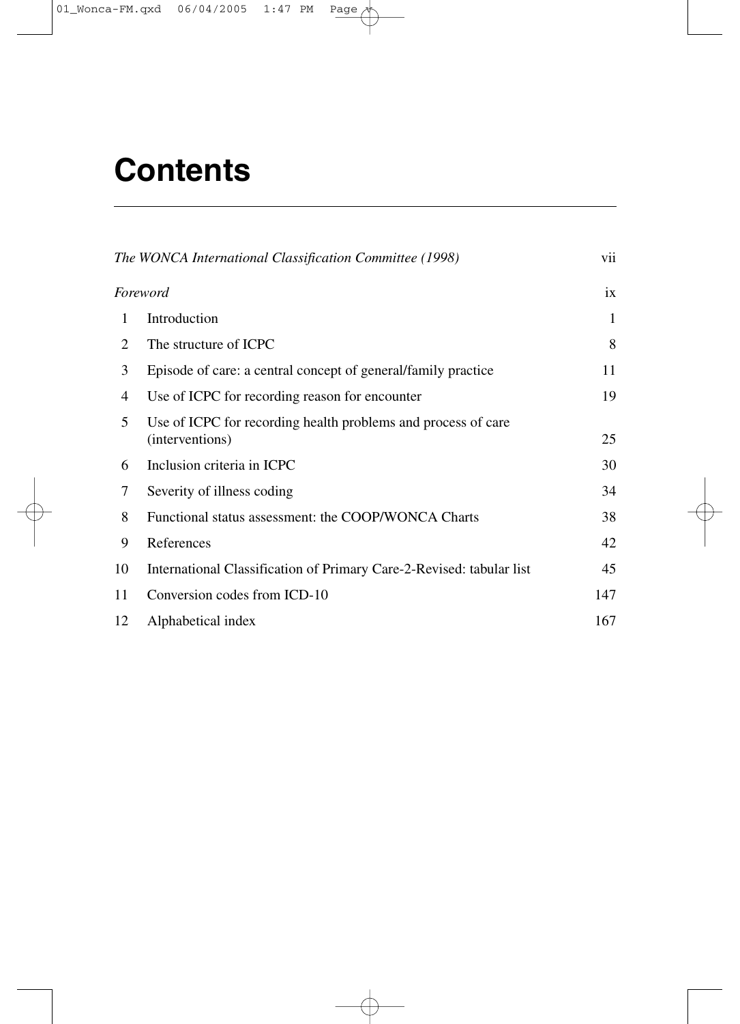## **Contents**

|    | The WONCA International Classification Committee (1998)                          | vii |
|----|----------------------------------------------------------------------------------|-----|
|    | Foreword                                                                         | ix  |
| 1  | Introduction                                                                     | 1   |
| 2  | The structure of ICPC                                                            | 8   |
| 3  | Episode of care: a central concept of general/family practice                    | 11  |
| 4  | Use of ICPC for recording reason for encounter                                   | 19  |
| 5  | Use of ICPC for recording health problems and process of care<br>(interventions) | 25  |
| 6  | Inclusion criteria in ICPC                                                       | 30  |
| 7  | Severity of illness coding                                                       | 34  |
| 8  | Functional status assessment: the COOP/WONCA Charts                              | 38  |
| 9  | References                                                                       | 42  |
| 10 | International Classification of Primary Care-2-Revised: tabular list             | 45  |
| 11 | Conversion codes from ICD-10                                                     | 147 |
| 12 | Alphabetical index                                                               | 167 |

 $\bigoplus$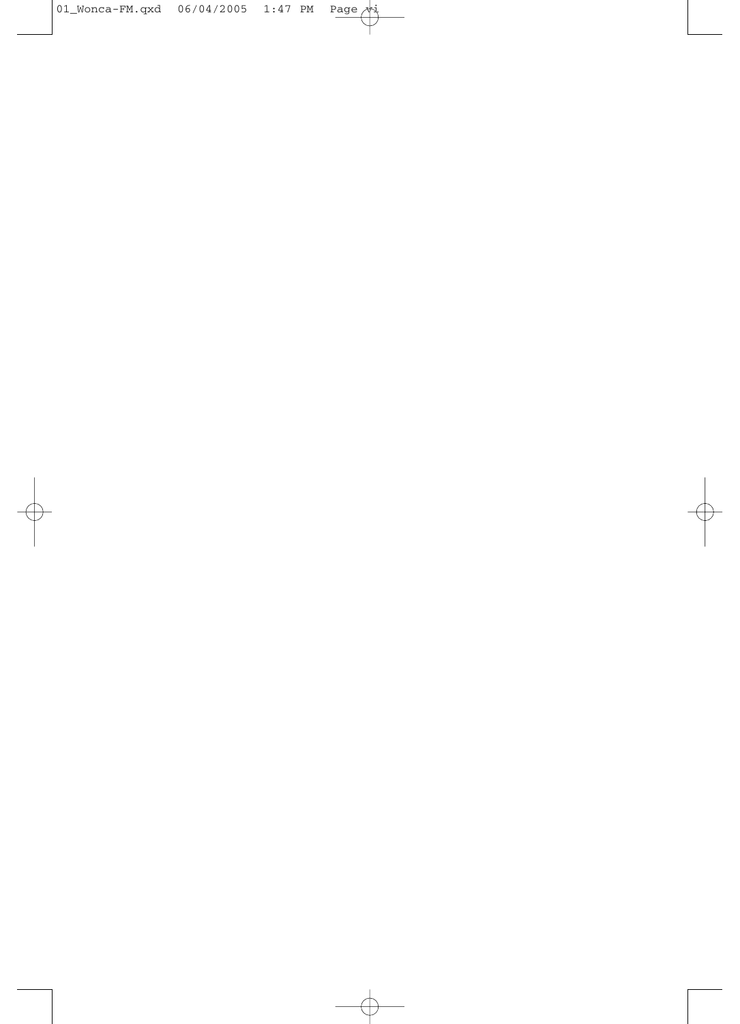$\overline{\bigoplus}$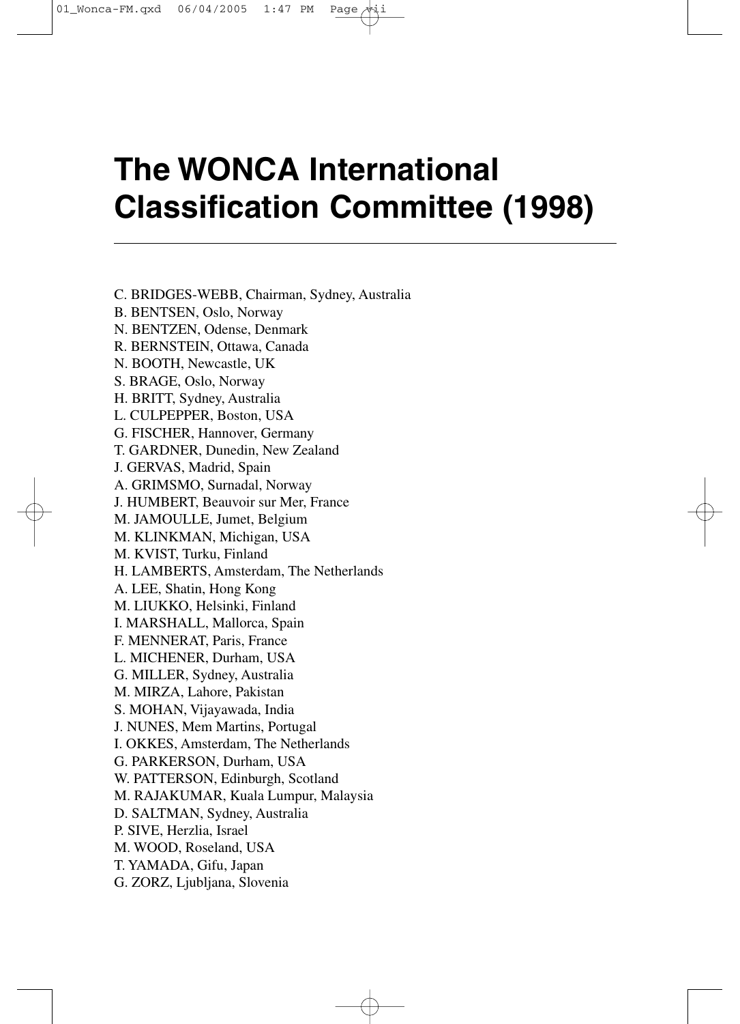## **The WONCA International Classification Committee (1998)**

C. BRIDGES-WEBB, Chairman, Sydney, Australia B. BENTSEN, Oslo, Norway N. BENTZEN, Odense, Denmark R. BERNSTEIN, Ottawa, Canada N. BOOTH, Newcastle, UK S. BRAGE, Oslo, Norway H. BRITT, Sydney, Australia L. CULPEPPER, Boston, USA G. FISCHER, Hannover, Germany T. GARDNER, Dunedin, New Zealand J. GERVAS, Madrid, Spain A. GRIMSMO, Surnadal, Norway J. HUMBERT, Beauvoir sur Mer, France M. JAMOULLE, Jumet, Belgium M. KLINKMAN, Michigan, USA M. KVIST, Turku, Finland H. LAMBERTS, Amsterdam, The Netherlands A. LEE, Shatin, Hong Kong M. LIUKKO, Helsinki, Finland I. MARSHALL, Mallorca, Spain F. MENNERAT, Paris, France L. MICHENER, Durham, USA G. MILLER, Sydney, Australia M. MIRZA, Lahore, Pakistan S. MOHAN, Vijayawada, India J. NUNES, Mem Martins, Portugal I. OKKES, Amsterdam, The Netherlands G. PARKERSON, Durham, USA W. PATTERSON, Edinburgh, Scotland M. RAJAKUMAR, Kuala Lumpur, Malaysia D. SALTMAN, Sydney, Australia P. SIVE, Herzlia, Israel M. WOOD, Roseland, USA T. YAMADA, Gifu, Japan G. ZORZ, Ljubljana, Slovenia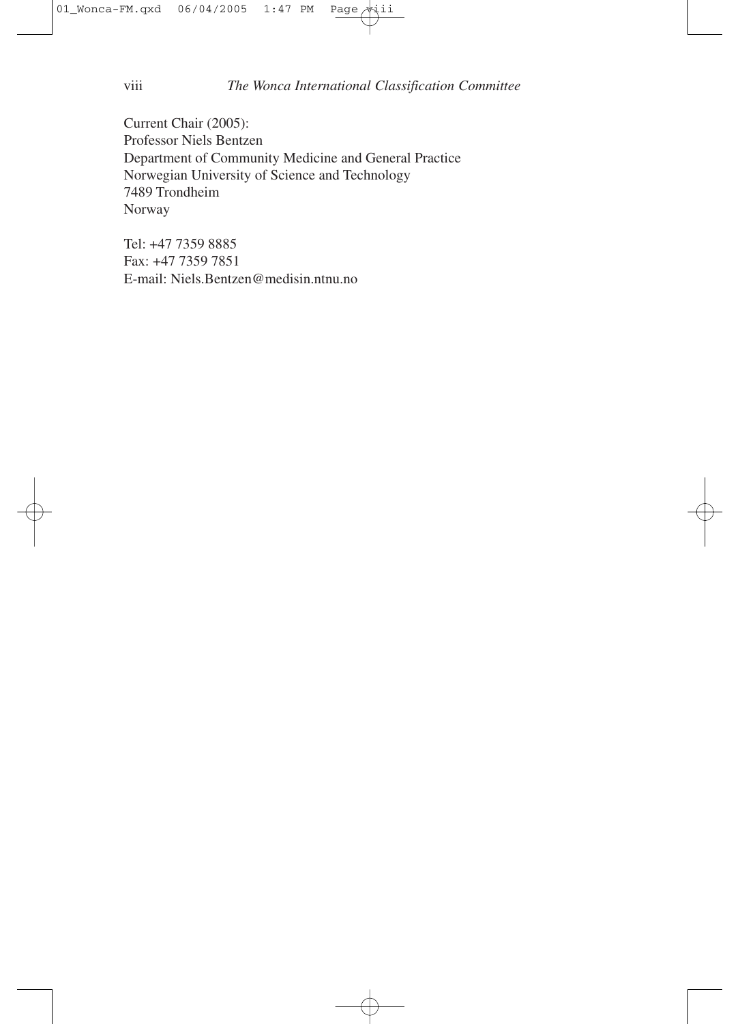#### viii *The Wonca International Classification Committee*

Current Chair (2005): Professor Niels Bentzen Department of Community Medicine and General Practice Norwegian University of Science and Technology 7489 Trondheim Norway

Tel: +47 7359 8885 Fax: +47 7359 7851 E-mail: Niels.Bentzen@medisin.ntnu.no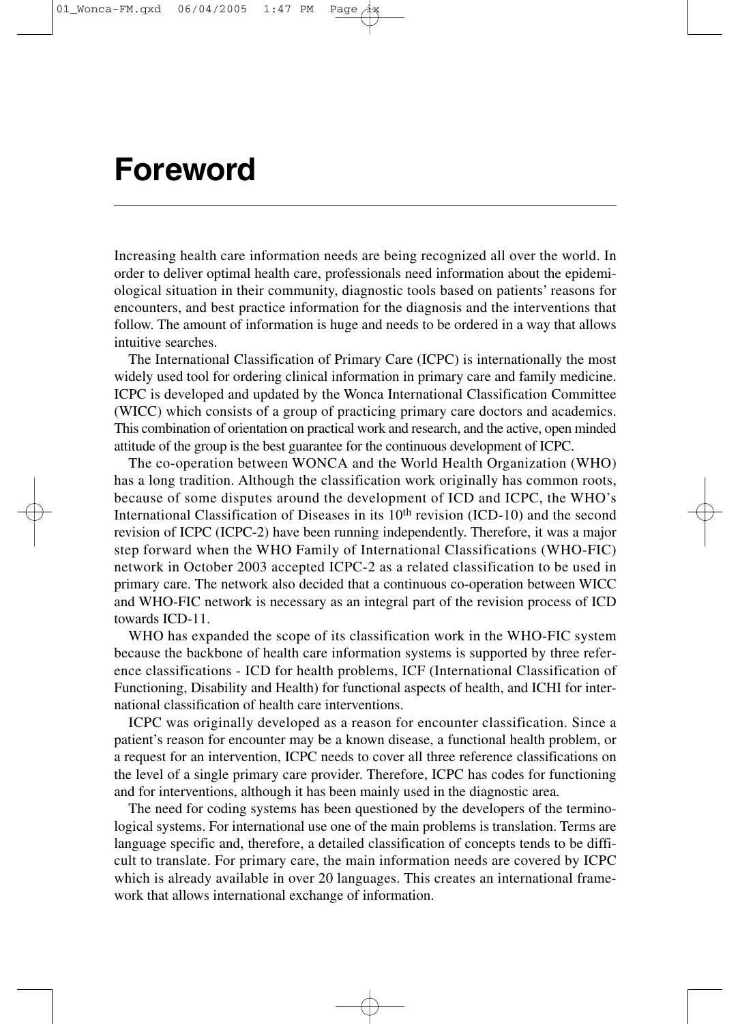## **Foreword**

Increasing health care information needs are being recognized all over the world. In order to deliver optimal health care, professionals need information about the epidemiological situation in their community, diagnostic tools based on patients' reasons for encounters, and best practice information for the diagnosis and the interventions that follow. The amount of information is huge and needs to be ordered in a way that allows intuitive searches.

The International Classification of Primary Care (ICPC) is internationally the most widely used tool for ordering clinical information in primary care and family medicine. ICPC is developed and updated by the Wonca International Classification Committee (WICC) which consists of a group of practicing primary care doctors and academics. This combination of orientation on practical work and research, and the active, open minded attitude of the group is the best guarantee for the continuous development of ICPC.

The co-operation between WONCA and the World Health Organization (WHO) has a long tradition. Although the classification work originally has common roots, because of some disputes around the development of ICD and ICPC, the WHO's International Classification of Diseases in its  $10<sup>th</sup>$  revision (ICD-10) and the second revision of ICPC (ICPC-2) have been running independently. Therefore, it was a major step forward when the WHO Family of International Classifications (WHO-FIC) network in October 2003 accepted ICPC-2 as a related classification to be used in primary care. The network also decided that a continuous co-operation between WICC and WHO-FIC network is necessary as an integral part of the revision process of ICD towards ICD-11.

WHO has expanded the scope of its classification work in the WHO-FIC system because the backbone of health care information systems is supported by three reference classifications - ICD for health problems, ICF (International Classification of Functioning, Disability and Health) for functional aspects of health, and ICHI for international classification of health care interventions.

ICPC was originally developed as a reason for encounter classification. Since a patient's reason for encounter may be a known disease, a functional health problem, or a request for an intervention, ICPC needs to cover all three reference classifications on the level of a single primary care provider. Therefore, ICPC has codes for functioning and for interventions, although it has been mainly used in the diagnostic area.

The need for coding systems has been questioned by the developers of the terminological systems. For international use one of the main problems is translation. Terms are language specific and, therefore, a detailed classification of concepts tends to be difficult to translate. For primary care, the main information needs are covered by ICPC which is already available in over 20 languages. This creates an international framework that allows international exchange of information.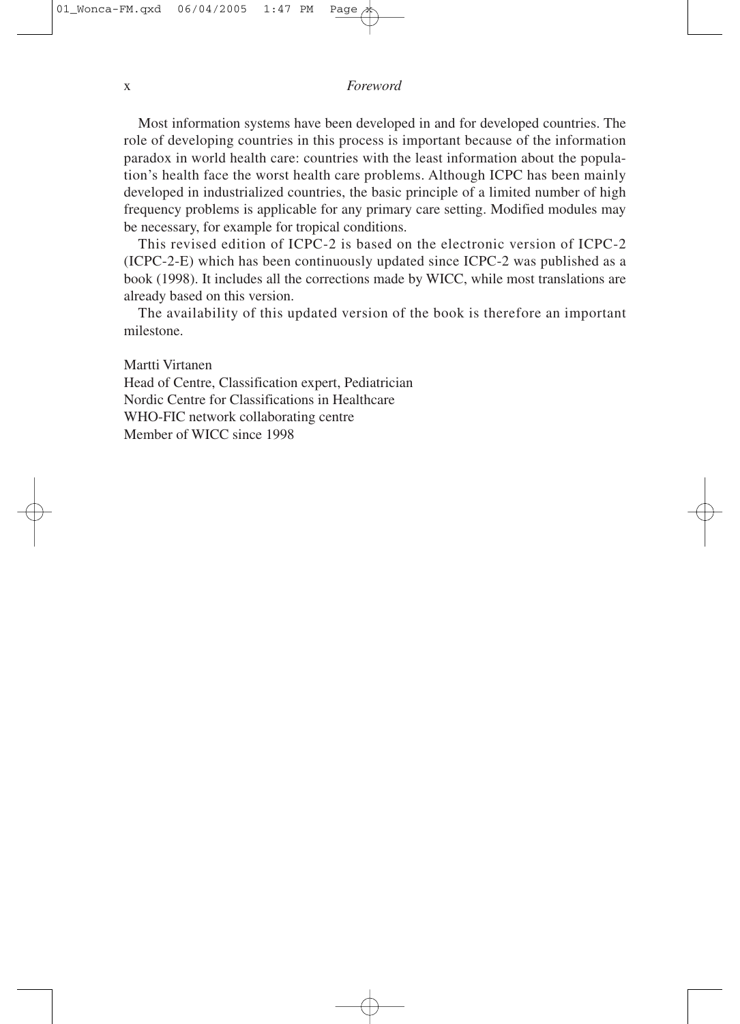#### x *Foreword*

Most information systems have been developed in and for developed countries. The role of developing countries in this process is important because of the information paradox in world health care: countries with the least information about the population's health face the worst health care problems. Although ICPC has been mainly developed in industrialized countries, the basic principle of a limited number of high frequency problems is applicable for any primary care setting. Modified modules may be necessary, for example for tropical conditions.

This revised edition of ICPC-2 is based on the electronic version of ICPC-2 (ICPC-2-E) which has been continuously updated since ICPC-2 was published as a book (1998). It includes all the corrections made by WICC, while most translations are already based on this version.

The availability of this updated version of the book is therefore an important milestone.

Martti Virtanen

Head of Centre, Classification expert, Pediatrician Nordic Centre for Classifications in Healthcare WHO-FIC network collaborating centre Member of WICC since 1998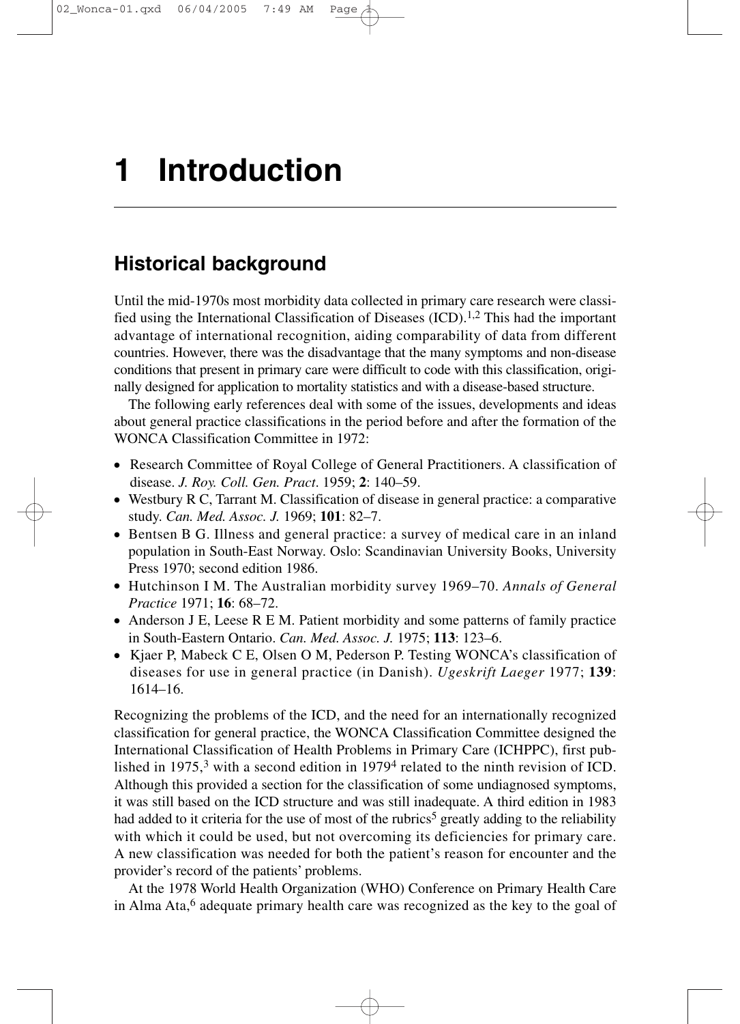## **1 Introduction**

## **Historical background**

Until the mid-1970s most morbidity data collected in primary care research were classified using the International Classification of Diseases  $(ICD)^{1,2}$ . This had the important advantage of international recognition, aiding comparability of data from different countries. However, there was the disadvantage that the many symptoms and non-disease conditions that present in primary care were difficult to code with this classification, originally designed for application to mortality statistics and with a disease-based structure.

The following early references deal with some of the issues, developments and ideas about general practice classifications in the period before and after the formation of the WONCA Classification Committee in 1972:

- Research Committee of Royal College of General Practitioners. A classification of disease. *J. Roy. Coll. Gen. Pract*. 1959; **2**: 140–59.
- Westbury R C, Tarrant M. Classification of disease in general practice: a comparative study. *Can. Med. Assoc. J.* 1969; **101**: 82–7.
- Bentsen B G. Illness and general practice: a survey of medical care in an inland population in South-East Norway. Oslo: Scandinavian University Books, University Press 1970; second edition 1986.
- Hutchinson I M. The Australian morbidity survey 1969–70. *Annals of General Practice* 1971; **16**: 68–72.
- Anderson J E, Leese R E M. Patient morbidity and some patterns of family practice in South-Eastern Ontario. *Can. Med. Assoc. J.* 1975; **113**: 123–6.
- Kjaer P, Mabeck C E, Olsen O M, Pederson P. Testing WONCA's classification of diseases for use in general practice (in Danish). *Ugeskrift Laeger* 1977; **139**: 1614–16.

Recognizing the problems of the ICD, and the need for an internationally recognized classification for general practice, the WONCA Classification Committee designed the International Classification of Health Problems in Primary Care (ICHPPC), first published in 1975, $3$  with a second edition in 1979<sup>4</sup> related to the ninth revision of ICD. Although this provided a section for the classification of some undiagnosed symptoms, it was still based on the ICD structure and was still inadequate. A third edition in 1983 had added to it criteria for the use of most of the rubrics<sup>5</sup> greatly adding to the reliability with which it could be used, but not overcoming its deficiencies for primary care. A new classification was needed for both the patient's reason for encounter and the provider's record of the patients' problems.

At the 1978 World Health Organization (WHO) Conference on Primary Health Care in Alma Ata,<sup>6</sup> adequate primary health care was recognized as the key to the goal of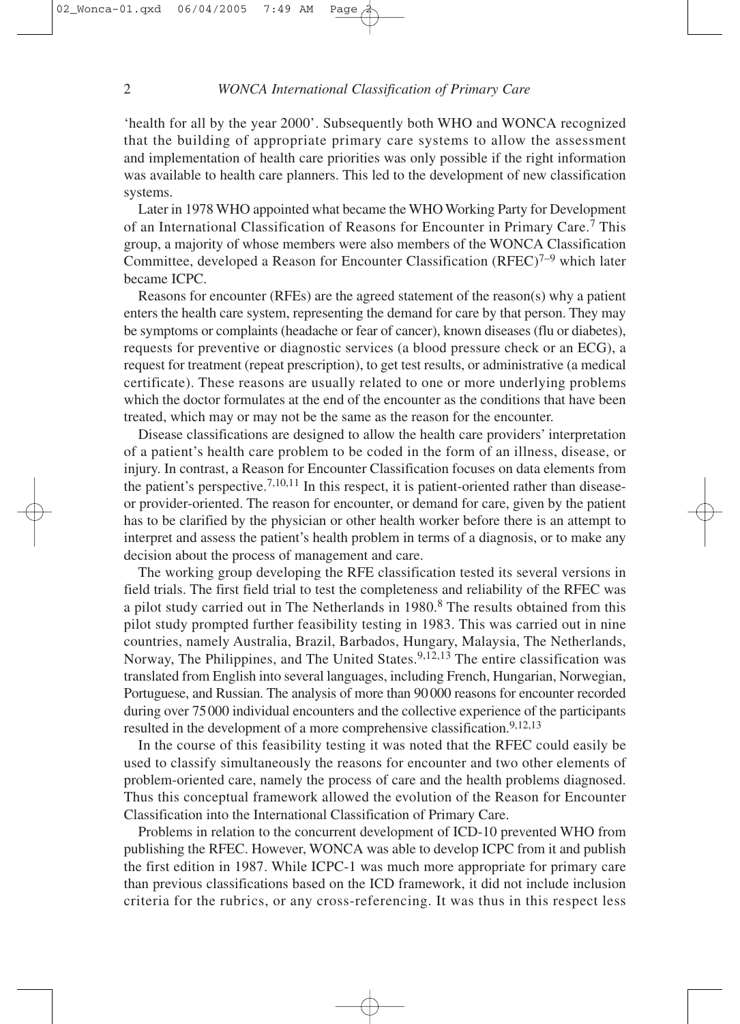'health for all by the year 2000'. Subsequently both WHO and WONCA recognized that the building of appropriate primary care systems to allow the assessment and implementation of health care priorities was only possible if the right information was available to health care planners. This led to the development of new classification systems.

Later in 1978 WHO appointed what became the WHO Working Party for Development of an International Classification of Reasons for Encounter in Primary Care.<sup>7</sup> This group, a majority of whose members were also members of the WONCA Classification Committee, developed a Reason for Encounter Classification  $(RFEC)^{7-9}$  which later became ICPC.

Reasons for encounter (RFEs) are the agreed statement of the reason(s) why a patient enters the health care system, representing the demand for care by that person. They may be symptoms or complaints (headache or fear of cancer), known diseases (flu or diabetes), requests for preventive or diagnostic services (a blood pressure check or an ECG), a request for treatment (repeat prescription), to get test results, or administrative (a medical certificate). These reasons are usually related to one or more underlying problems which the doctor formulates at the end of the encounter as the conditions that have been treated, which may or may not be the same as the reason for the encounter.

Disease classifications are designed to allow the health care providers' interpretation of a patient's health care problem to be coded in the form of an illness, disease, or injury. In contrast, a Reason for Encounter Classification focuses on data elements from the patient's perspective.<sup>7,10,11</sup> In this respect, it is patient-oriented rather than diseaseor provider-oriented. The reason for encounter, or demand for care, given by the patient has to be clarified by the physician or other health worker before there is an attempt to interpret and assess the patient's health problem in terms of a diagnosis, or to make any decision about the process of management and care.

The working group developing the RFE classification tested its several versions in field trials. The first field trial to test the completeness and reliability of the RFEC was a pilot study carried out in The Netherlands in 1980.<sup>8</sup> The results obtained from this pilot study prompted further feasibility testing in 1983. This was carried out in nine countries, namely Australia, Brazil, Barbados, Hungary, Malaysia, The Netherlands, Norway, The Philippines, and The United States.<sup>9,12,13</sup> The entire classification was translated from English into several languages, including French, Hungarian, Norwegian, Portuguese, and Russian. The analysis of more than 90 000 reasons for encounter recorded during over 75000 individual encounters and the collective experience of the participants resulted in the development of a more comprehensive classification.<sup>9,12,13</sup>

In the course of this feasibility testing it was noted that the RFEC could easily be used to classify simultaneously the reasons for encounter and two other elements of problem-oriented care, namely the process of care and the health problems diagnosed. Thus this conceptual framework allowed the evolution of the Reason for Encounter Classification into the International Classification of Primary Care.

Problems in relation to the concurrent development of ICD-10 prevented WHO from publishing the RFEC. However, WONCA was able to develop ICPC from it and publish the first edition in 1987. While ICPC-1 was much more appropriate for primary care than previous classifications based on the ICD framework, it did not include inclusion criteria for the rubrics, or any cross-referencing. It was thus in this respect less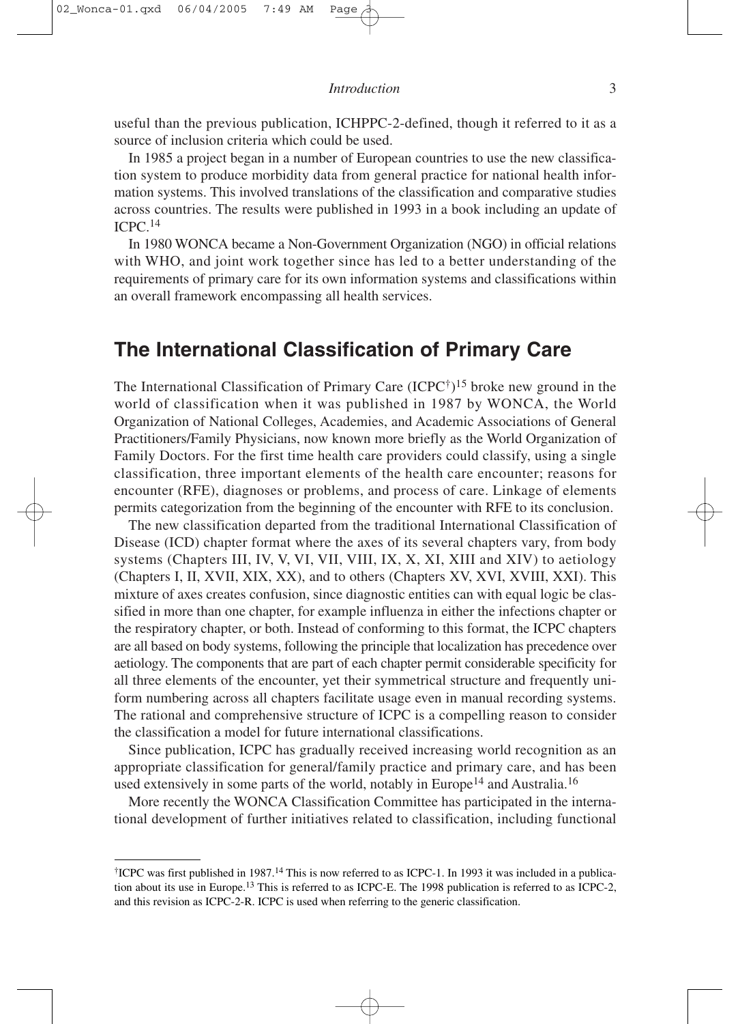useful than the previous publication, ICHPPC-2-defined, though it referred to it as a source of inclusion criteria which could be used.

In 1985 a project began in a number of European countries to use the new classification system to produce morbidity data from general practice for national health information systems. This involved translations of the classification and comparative studies across countries. The results were published in 1993 in a book including an update of ICPC.<sup>14</sup>

In 1980 WONCA became a Non-Government Organization (NGO) in official relations with WHO, and joint work together since has led to a better understanding of the requirements of primary care for its own information systems and classifications within an overall framework encompassing all health services.

## **The International Classification of Primary Care**

The International Classification of Primary Care  $(ICPC<sup>†</sup>)<sup>15</sup>$  broke new ground in the world of classification when it was published in 1987 by WONCA, the World Organization of National Colleges, Academies, and Academic Associations of General Practitioners/Family Physicians, now known more briefly as the World Organization of Family Doctors. For the first time health care providers could classify, using a single classification, three important elements of the health care encounter; reasons for encounter (RFE), diagnoses or problems, and process of care. Linkage of elements permits categorization from the beginning of the encounter with RFE to its conclusion.

The new classification departed from the traditional International Classification of Disease (ICD) chapter format where the axes of its several chapters vary, from body systems (Chapters III, IV, V, VI, VII, VIII, IX, X, XI, XIII and XIV) to aetiology (Chapters I, II, XVII, XIX, XX), and to others (Chapters XV, XVI, XVIII, XXI). This mixture of axes creates confusion, since diagnostic entities can with equal logic be classified in more than one chapter, for example influenza in either the infections chapter or the respiratory chapter, or both. Instead of conforming to this format, the ICPC chapters are all based on body systems, following the principle that localization has precedence over aetiology. The components that are part of each chapter permit considerable specificity for all three elements of the encounter, yet their symmetrical structure and frequently uniform numbering across all chapters facilitate usage even in manual recording systems. The rational and comprehensive structure of ICPC is a compelling reason to consider the classification a model for future international classifications.

Since publication, ICPC has gradually received increasing world recognition as an appropriate classification for general/family practice and primary care, and has been used extensively in some parts of the world, notably in Europe<sup>14</sup> and Australia.<sup>16</sup>

More recently the WONCA Classification Committee has participated in the international development of further initiatives related to classification, including functional

<sup>†</sup>ICPC was first published in 1987.14 This is now referred to as ICPC-1. In 1993 it was included in a publication about its use in Europe.<sup>13</sup> This is referred to as ICPC-E. The 1998 publication is referred to as ICPC-2, and this revision as ICPC-2-R. ICPC is used when referring to the generic classification.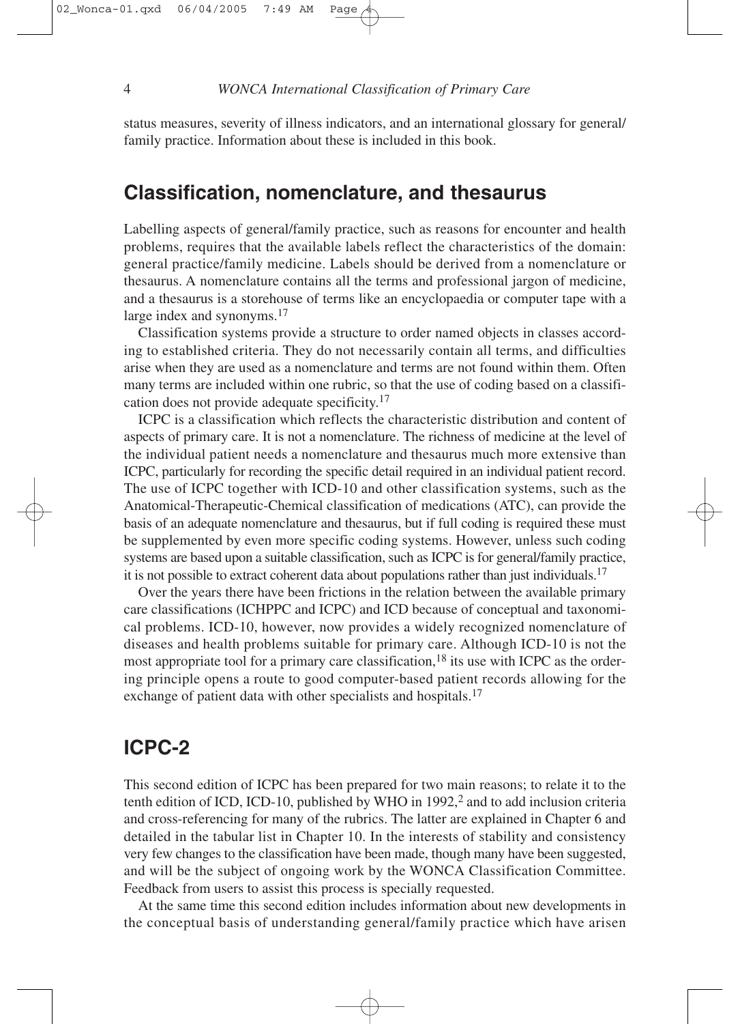status measures, severity of illness indicators, and an international glossary for general/ family practice. Information about these is included in this book.

### **Classification, nomenclature, and thesaurus**

Labelling aspects of general/family practice, such as reasons for encounter and health problems, requires that the available labels reflect the characteristics of the domain: general practice/family medicine. Labels should be derived from a nomenclature or thesaurus. A nomenclature contains all the terms and professional jargon of medicine, and a thesaurus is a storehouse of terms like an encyclopaedia or computer tape with a large index and synonyms.<sup>17</sup>

Classification systems provide a structure to order named objects in classes according to established criteria. They do not necessarily contain all terms, and difficulties arise when they are used as a nomenclature and terms are not found within them. Often many terms are included within one rubric, so that the use of coding based on a classification does not provide adequate specificity.<sup>17</sup>

ICPC is a classification which reflects the characteristic distribution and content of aspects of primary care. It is not a nomenclature. The richness of medicine at the level of the individual patient needs a nomenclature and thesaurus much more extensive than ICPC, particularly for recording the specific detail required in an individual patient record. The use of ICPC together with ICD-10 and other classification systems, such as the Anatomical-Therapeutic-Chemical classification of medications (ATC), can provide the basis of an adequate nomenclature and thesaurus, but if full coding is required these must be supplemented by even more specific coding systems. However, unless such coding systems are based upon a suitable classification, such as ICPC is for general/family practice, it is not possible to extract coherent data about populations rather than just individuals.<sup>17</sup>

Over the years there have been frictions in the relation between the available primary care classifications (ICHPPC and ICPC) and ICD because of conceptual and taxonomical problems. ICD-10, however, now provides a widely recognized nomenclature of diseases and health problems suitable for primary care. Although ICD-10 is not the most appropriate tool for a primary care classification,<sup>18</sup> its use with ICPC as the ordering principle opens a route to good computer-based patient records allowing for the exchange of patient data with other specialists and hospitals.<sup>17</sup>

### **ICPC-2**

This second edition of ICPC has been prepared for two main reasons; to relate it to the tenth edition of ICD, ICD-10, published by WHO in  $1992<sup>2</sup>$  and to add inclusion criteria and cross-referencing for many of the rubrics. The latter are explained in Chapter 6 and detailed in the tabular list in Chapter 10. In the interests of stability and consistency very few changes to the classification have been made, though many have been suggested, and will be the subject of ongoing work by the WONCA Classification Committee. Feedback from users to assist this process is specially requested.

At the same time this second edition includes information about new developments in the conceptual basis of understanding general/family practice which have arisen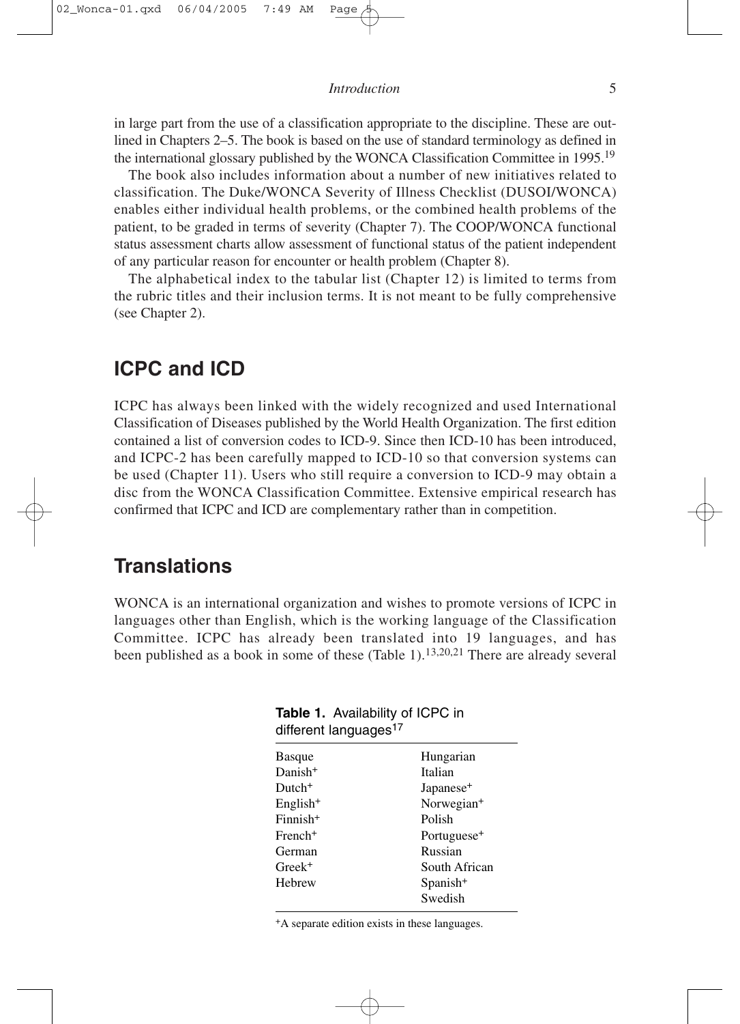#### *Introduction* 5

in large part from the use of a classification appropriate to the discipline. These are outlined in Chapters 2–5. The book is based on the use of standard terminology as defined in the international glossary published by the WONCA Classification Committee in 1995.19

The book also includes information about a number of new initiatives related to classification. The Duke/WONCA Severity of Illness Checklist (DUSOI/WONCA) enables either individual health problems, or the combined health problems of the patient, to be graded in terms of severity (Chapter 7). The COOP/WONCA functional status assessment charts allow assessment of functional status of the patient independent of any particular reason for encounter or health problem (Chapter 8).

The alphabetical index to the tabular list (Chapter 12) is limited to terms from the rubric titles and their inclusion terms. It is not meant to be fully comprehensive (see Chapter 2).

## **ICPC and ICD**

ICPC has always been linked with the widely recognized and used International Classification of Diseases published by the World Health Organization. The first edition contained a list of conversion codes to ICD-9. Since then ICD-10 has been introduced, and ICPC-2 has been carefully mapped to ICD-10 so that conversion systems can be used (Chapter 11). Users who still require a conversion to ICD-9 may obtain a disc from the WONCA Classification Committee. Extensive empirical research has confirmed that ICPC and ICD are complementary rather than in competition.

### **Translations**

WONCA is an international organization and wishes to promote versions of ICPC in languages other than English, which is the working language of the Classification Committee. ICPC has already been translated into 19 languages, and has been published as a book in some of these (Table 1).<sup>13,20,21</sup> There are already several

| different languages " |                         |
|-----------------------|-------------------------|
| Basque                | Hungarian               |
| Danish <sup>+</sup>   | Italian                 |
| $D$ utch <sup>+</sup> | Japanese <sup>+</sup>   |
| $English+$            | Norwegian <sup>+</sup>  |
| Finnish <sup>+</sup>  | Polish                  |
| French <sup>+</sup>   | Portuguese <sup>+</sup> |
| German                | Russian                 |
| Greek <sup>+</sup>    | South African           |
| Hebrew                | Spanish <sup>+</sup>    |
|                       | Swedish                 |

| <b>Table 1.</b> Availability of ICPC in |
|-----------------------------------------|
| different languages <sup>17</sup>       |

+A separate edition exists in these languages.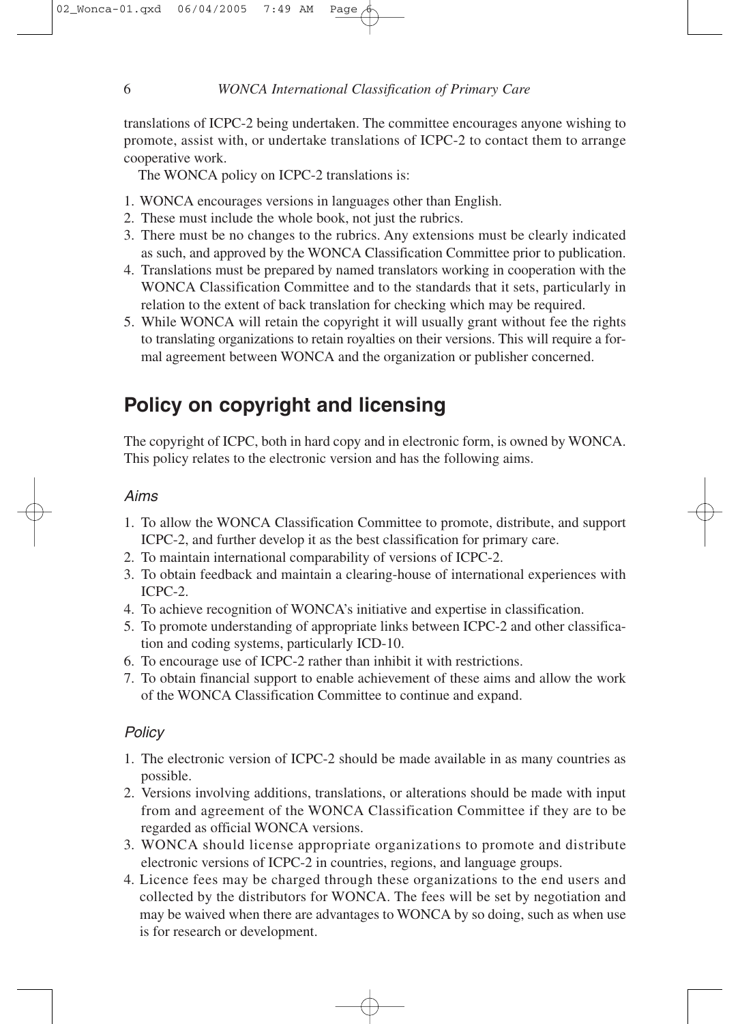translations of ICPC-2 being undertaken. The committee encourages anyone wishing to promote, assist with, or undertake translations of ICPC-2 to contact them to arrange cooperative work.

The WONCA policy on ICPC-2 translations is:

- 1. WONCA encourages versions in languages other than English.
- 2. These must include the whole book, not just the rubrics.
- 3. There must be no changes to the rubrics. Any extensions must be clearly indicated as such, and approved by the WONCA Classification Committee prior to publication.
- 4. Translations must be prepared by named translators working in cooperation with the WONCA Classification Committee and to the standards that it sets, particularly in relation to the extent of back translation for checking which may be required.
- 5. While WONCA will retain the copyright it will usually grant without fee the rights to translating organizations to retain royalties on their versions. This will require a formal agreement between WONCA and the organization or publisher concerned.

## **Policy on copyright and licensing**

The copyright of ICPC, both in hard copy and in electronic form, is owned by WONCA. This policy relates to the electronic version and has the following aims.

#### *Aims*

- 1. To allow the WONCA Classification Committee to promote, distribute, and support ICPC-2, and further develop it as the best classification for primary care.
- 2. To maintain international comparability of versions of ICPC-2.
- 3. To obtain feedback and maintain a clearing-house of international experiences with ICPC-2.
- 4. To achieve recognition of WONCA's initiative and expertise in classification.
- 5. To promote understanding of appropriate links between ICPC-2 and other classification and coding systems, particularly ICD-10.
- 6. To encourage use of ICPC-2 rather than inhibit it with restrictions.
- 7. To obtain financial support to enable achievement of these aims and allow the work of the WONCA Classification Committee to continue and expand.

#### *Policy*

- 1. The electronic version of ICPC-2 should be made available in as many countries as possible.
- 2. Versions involving additions, translations, or alterations should be made with input from and agreement of the WONCA Classification Committee if they are to be regarded as official WONCA versions.
- 3. WONCA should license appropriate organizations to promote and distribute electronic versions of ICPC-2 in countries, regions, and language groups.
- 4. Licence fees may be charged through these organizations to the end users and collected by the distributors for WONCA. The fees will be set by negotiation and may be waived when there are advantages to WONCA by so doing, such as when use is for research or development.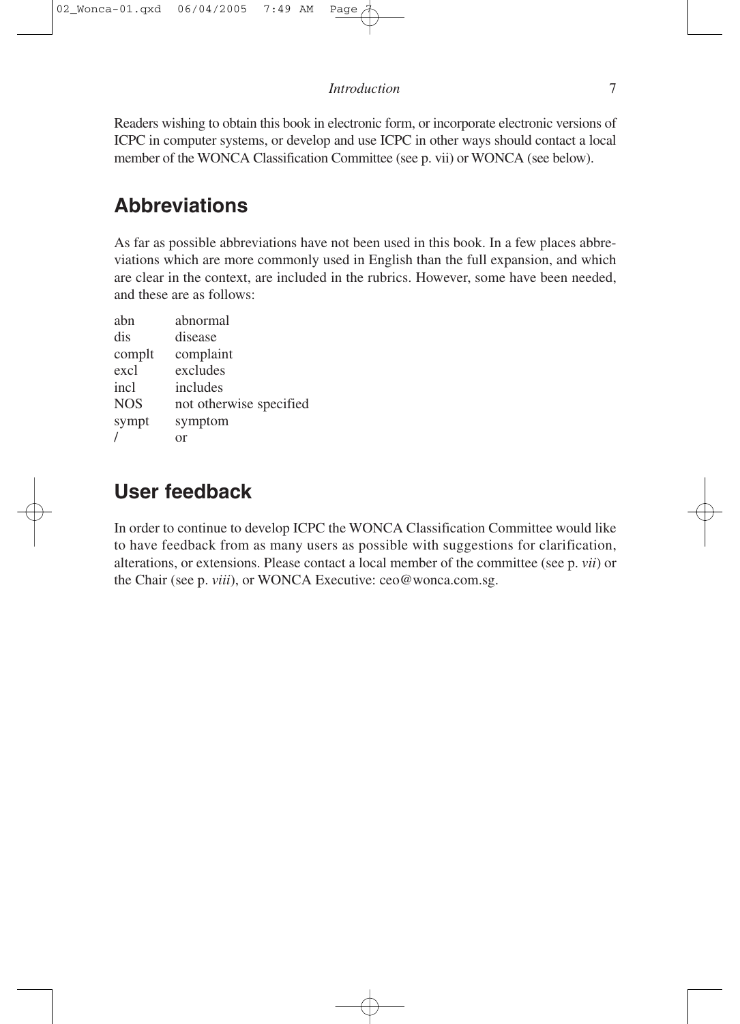#### *Introduction* 7

Readers wishing to obtain this book in electronic form, or incorporate electronic versions of ICPC in computer systems, or develop and use ICPC in other ways should contact a local member of the WONCA Classification Committee (see p. vii) or WONCA (see below).

## **Abbreviations**

As far as possible abbreviations have not been used in this book. In a few places abbreviations which are more commonly used in English than the full expansion, and which are clear in the context, are included in the rubrics. However, some have been needed, and these are as follows:

| abn        | abnormal                |
|------------|-------------------------|
| dis        | disease                 |
| complt     | complaint               |
| excl       | excludes                |
| incl       | includes                |
| <b>NOS</b> | not otherwise specified |
| sympt      | symptom                 |
|            |                         |

## **User feedback**

In order to continue to develop ICPC the WONCA Classification Committee would like to have feedback from as many users as possible with suggestions for clarification, alterations, or extensions. Please contact a local member of the committee (see p. *vii*) or the Chair (see p. *viii*), or WONCA Executive: ceo@wonca.com.sg.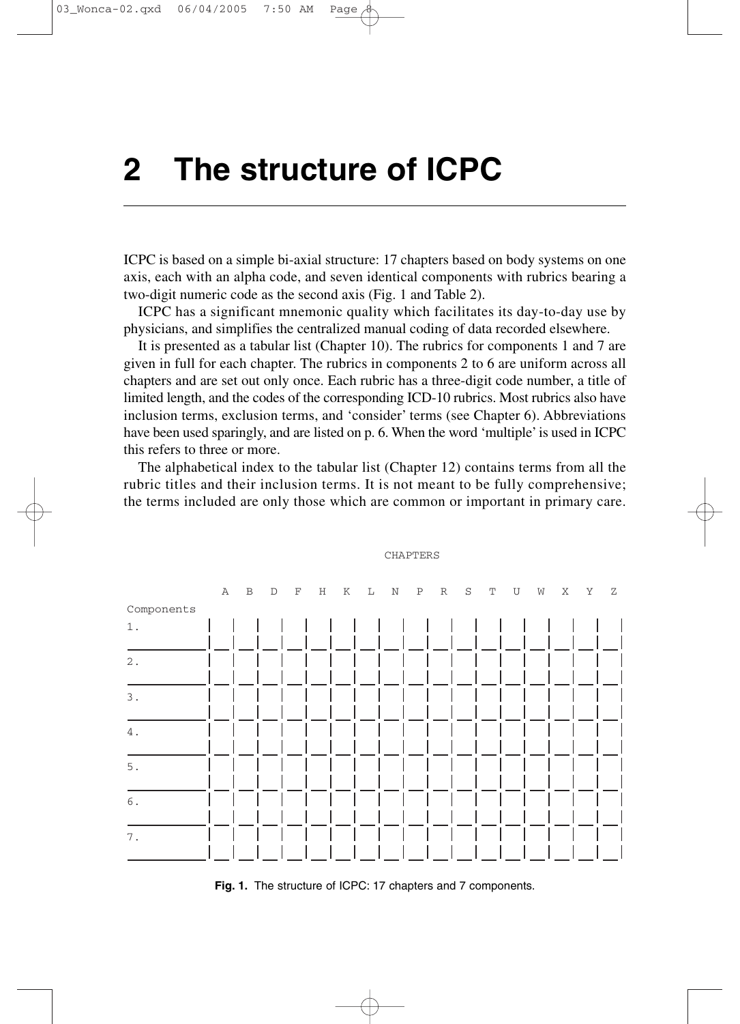#### 03\_Wonca-02.qxd 06/04/2005 7:50 AM Page 8

## **2 The structure of ICPC**

ICPC is based on a simple bi-axial structure: 17 chapters based on body systems on one axis, each with an alpha code, and seven identical components with rubrics bearing a two-digit numeric code as the second axis (Fig. 1 and Table 2).

ICPC has a significant mnemonic quality which facilitates its day-to-day use by physicians, and simplifies the centralized manual coding of data recorded elsewhere.

It is presented as a tabular list (Chapter 10). The rubrics for components 1 and 7 are given in full for each chapter. The rubrics in components 2 to 6 are uniform across all chapters and are set out only once. Each rubric has a three-digit code number, a title of limited length, and the codes of the corresponding ICD-10 rubrics. Most rubrics also have inclusion terms, exclusion terms, and 'consider' terms (see Chapter 6). Abbreviations have been used sparingly, and are listed on p. 6. When the word 'multiple' is used in ICPC this refers to three or more.

The alphabetical index to the tabular list (Chapter 12) contains terms from all the rubric titles and their inclusion terms. It is not meant to be fully comprehensive; the terms included are only those which are common or important in primary care.

|                     | Α | $\,$ B | $\mathbb D$ | $\mathbf F$ | Η | K | $\mathbb{L}$ | $\mathbb N$ | $\, {\bf P}$ | $\mathbb R$ | S | T | U | W | X | Y | Z |
|---------------------|---|--------|-------------|-------------|---|---|--------------|-------------|--------------|-------------|---|---|---|---|---|---|---|
| Components<br>$1$ . |   |        |             |             |   |   |              |             |              |             |   |   |   |   |   |   |   |
|                     |   |        |             |             |   |   |              |             |              |             |   |   |   |   |   |   |   |
| $2$ .               |   |        |             |             |   |   |              |             |              |             |   |   |   |   |   |   |   |
| 3.                  |   |        |             |             |   |   |              |             |              |             |   |   |   |   |   |   |   |
| $4$ .               |   |        |             |             |   |   |              |             |              |             |   |   |   |   |   |   |   |
| 5.                  |   |        |             |             |   |   |              |             |              |             |   |   |   |   |   |   |   |
| 6.                  |   |        |             |             |   |   |              |             |              |             |   |   |   |   |   |   |   |
| 7.                  |   |        |             |             |   |   |              |             |              |             |   |   |   |   |   |   |   |
|                     |   |        |             |             |   |   |              |             |              |             |   |   |   |   |   |   |   |

#### CHAPTERS

**Fig. 1.** The structure of ICPC: 17 chapters and 7 components.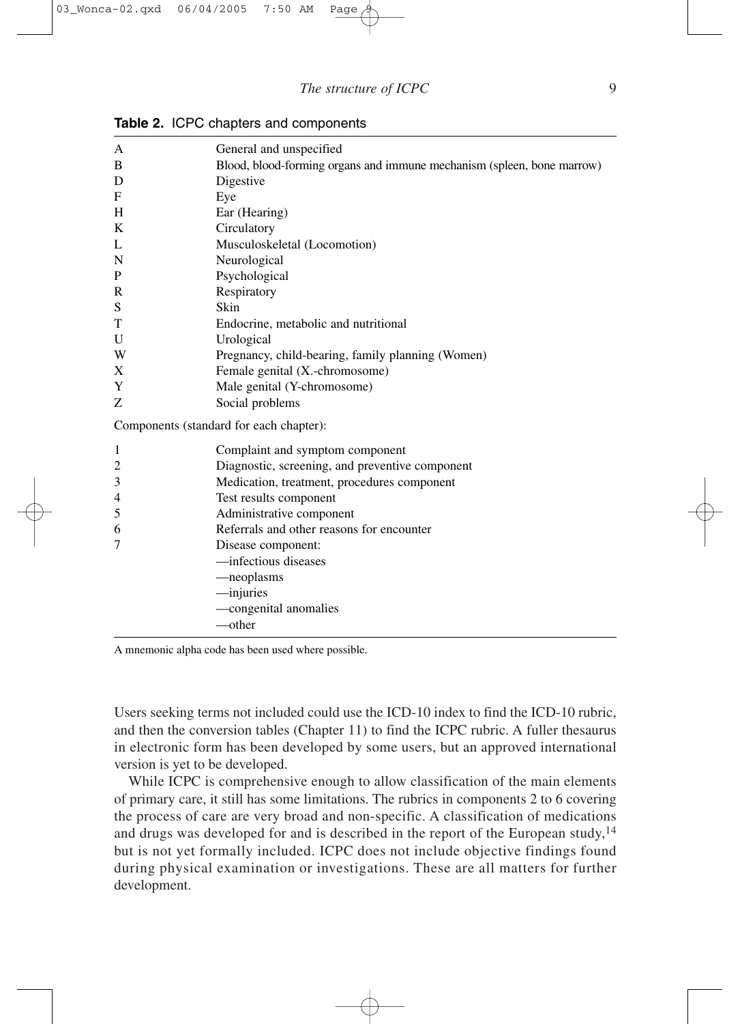#### *The structure of ICPC* 9

| А              | General and unspecified                                                |
|----------------|------------------------------------------------------------------------|
| B              | Blood, blood-forming organs and immune mechanism (spleen, bone marrow) |
| D              | Digestive                                                              |
| F              | Eye                                                                    |
| H              | Ear (Hearing)                                                          |
| K              | Circulatory                                                            |
| L              | Musculoskeletal (Locomotion)                                           |
| N              | Neurological                                                           |
| P              | Psychological                                                          |
| R              | Respiratory                                                            |
| S              | <b>Skin</b>                                                            |
| T              | Endocrine, metabolic and nutritional                                   |
| U              | Urological                                                             |
| W              | Pregnancy, child-bearing, family planning (Women)                      |
| X              | Female genital (X.-chromosome)                                         |
| Y              | Male genital (Y-chromosome)                                            |
| Z              | Social problems                                                        |
|                | Components (standard for each chapter):                                |
| $\mathbf{1}$   | Complaint and symptom component                                        |
| $\overline{c}$ | Diagnostic, screening, and preventive component                        |
| 3              | Medication, treatment, procedures component                            |
| 4              | Test results component                                                 |
| 5              | Administrative component                                               |
| 6              | Referrals and other reasons for encounter                              |
| 7              | Disease component:                                                     |
|                | -infectious diseases                                                   |
|                | -neoplasms                                                             |
|                | <i>injuries</i>                                                        |
|                | -congenital anomalies                                                  |
|                | —other                                                                 |
|                |                                                                        |

#### **Table 2.** ICPC chapters and components

A mnemonic alpha code has been used where possible.

Users seeking terms not included could use the ICD-10 index to find the ICD-10 rubric, and then the conversion tables (Chapter 11) to find the ICPC rubric. A fuller thesaurus in electronic form has been developed by some users, but an approved international version is yet to be developed.

While ICPC is comprehensive enough to allow classification of the main elements of primary care, it still has some limitations. The rubrics in components 2 to 6 covering the process of care are very broad and non-specific. A classification of medications and drugs was developed for and is described in the report of the European study,<sup>14</sup> but is not yet formally included. ICPC does not include objective findings found during physical examination or investigations. These are all matters for further development.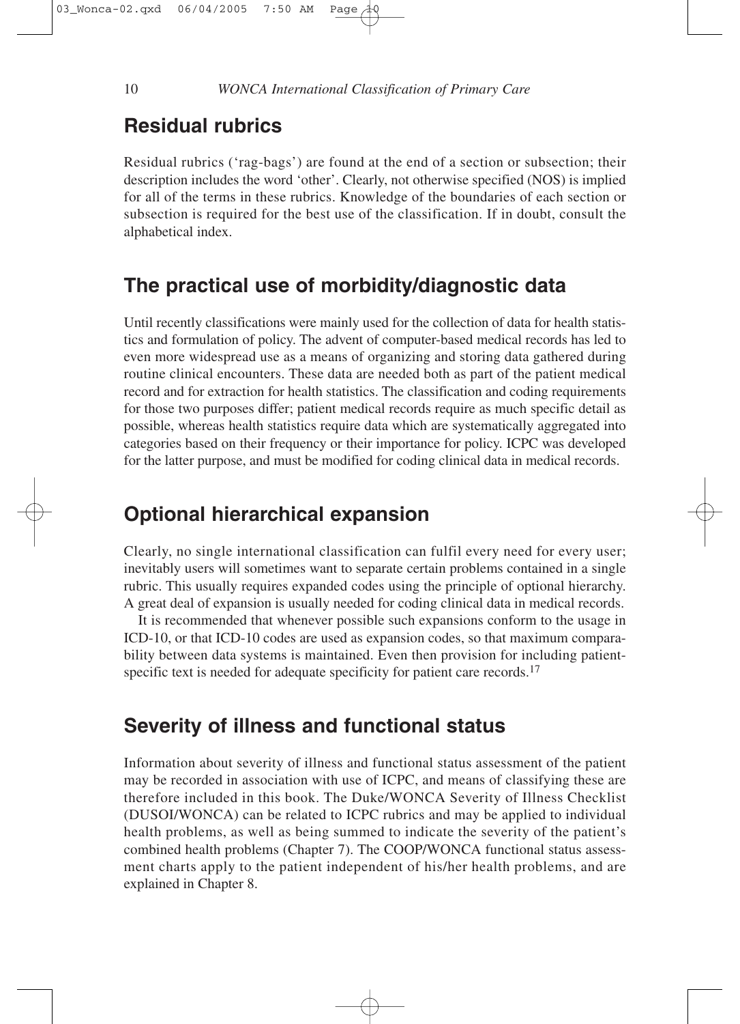## **Residual rubrics**

Residual rubrics ('rag-bags') are found at the end of a section or subsection; their description includes the word 'other'. Clearly, not otherwise specified (NOS) is implied for all of the terms in these rubrics. Knowledge of the boundaries of each section or subsection is required for the best use of the classification. If in doubt, consult the alphabetical index.

## **The practical use of morbidity/diagnostic data**

Until recently classifications were mainly used for the collection of data for health statistics and formulation of policy. The advent of computer-based medical records has led to even more widespread use as a means of organizing and storing data gathered during routine clinical encounters. These data are needed both as part of the patient medical record and for extraction for health statistics. The classification and coding requirements for those two purposes differ; patient medical records require as much specific detail as possible, whereas health statistics require data which are systematically aggregated into categories based on their frequency or their importance for policy. ICPC was developed for the latter purpose, and must be modified for coding clinical data in medical records.

## **Optional hierarchical expansion**

Clearly, no single international classification can fulfil every need for every user; inevitably users will sometimes want to separate certain problems contained in a single rubric. This usually requires expanded codes using the principle of optional hierarchy. A great deal of expansion is usually needed for coding clinical data in medical records.

It is recommended that whenever possible such expansions conform to the usage in ICD-10, or that ICD-10 codes are used as expansion codes, so that maximum comparability between data systems is maintained. Even then provision for including patientspecific text is needed for adequate specificity for patient care records.<sup>17</sup>

## **Severity of illness and functional status**

Information about severity of illness and functional status assessment of the patient may be recorded in association with use of ICPC, and means of classifying these are therefore included in this book. The Duke/WONCA Severity of Illness Checklist (DUSOI/WONCA) can be related to ICPC rubrics and may be applied to individual health problems, as well as being summed to indicate the severity of the patient's combined health problems (Chapter 7). The COOP/WONCA functional status assessment charts apply to the patient independent of his/her health problems, and are explained in Chapter 8.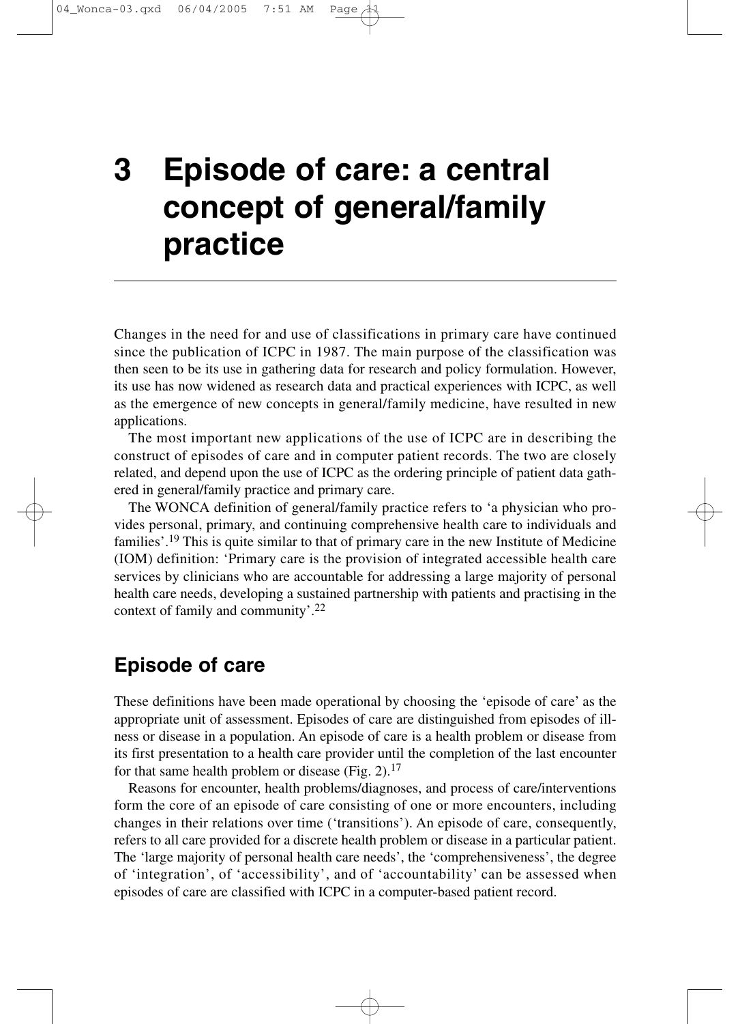## **3 Episode of care: a central concept of general/family practice**

Changes in the need for and use of classifications in primary care have continued since the publication of ICPC in 1987. The main purpose of the classification was then seen to be its use in gathering data for research and policy formulation. However, its use has now widened as research data and practical experiences with ICPC, as well as the emergence of new concepts in general/family medicine, have resulted in new applications.

The most important new applications of the use of ICPC are in describing the construct of episodes of care and in computer patient records. The two are closely related, and depend upon the use of ICPC as the ordering principle of patient data gathered in general/family practice and primary care.

The WONCA definition of general/family practice refers to 'a physician who provides personal, primary, and continuing comprehensive health care to individuals and families'.<sup>19</sup> This is quite similar to that of primary care in the new Institute of Medicine (IOM) definition: 'Primary care is the provision of integrated accessible health care services by clinicians who are accountable for addressing a large majority of personal health care needs, developing a sustained partnership with patients and practising in the context of family and community'.<sup>22</sup>

## **Episode of care**

These definitions have been made operational by choosing the 'episode of care' as the appropriate unit of assessment. Episodes of care are distinguished from episodes of illness or disease in a population. An episode of care is a health problem or disease from its first presentation to a health care provider until the completion of the last encounter for that same health problem or disease (Fig. 2).<sup>17</sup>

Reasons for encounter, health problems/diagnoses, and process of care/interventions form the core of an episode of care consisting of one or more encounters, including changes in their relations over time ('transitions'). An episode of care, consequently, refers to all care provided for a discrete health problem or disease in a particular patient. The 'large majority of personal health care needs', the 'comprehensiveness', the degree of 'integration', of 'accessibility', and of 'accountability' can be assessed when episodes of care are classified with ICPC in a computer-based patient record.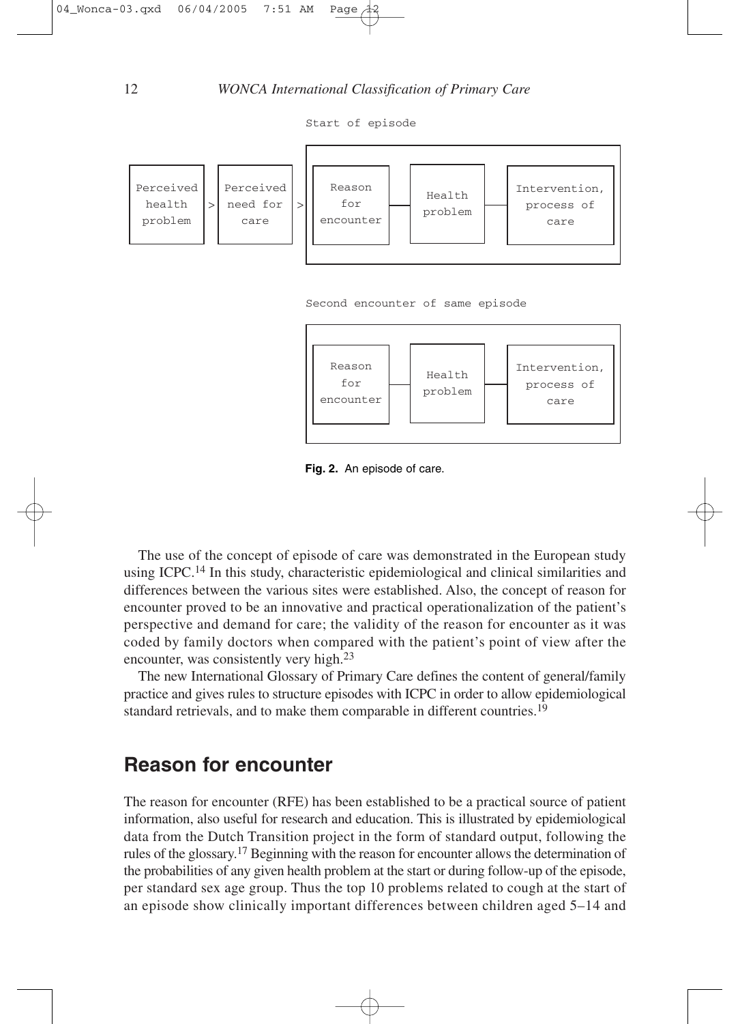

#### Start of episode

Second encounter of same episode



**Fig. 2.** An episode of care.

The use of the concept of episode of care was demonstrated in the European study using ICPC.<sup>14</sup> In this study, characteristic epidemiological and clinical similarities and differences between the various sites were established. Also, the concept of reason for encounter proved to be an innovative and practical operationalization of the patient's perspective and demand for care; the validity of the reason for encounter as it was coded by family doctors when compared with the patient's point of view after the encounter, was consistently very high.<sup>23</sup>

The new International Glossary of Primary Care defines the content of general/family practice and gives rules to structure episodes with ICPC in order to allow epidemiological standard retrievals, and to make them comparable in different countries.<sup>19</sup>

### **Reason for encounter**

The reason for encounter (RFE) has been established to be a practical source of patient information, also useful for research and education. This is illustrated by epidemiological data from the Dutch Transition project in the form of standard output, following the rules of the glossary.17 Beginning with the reason for encounter allows the determination of the probabilities of any given health problem at the start or during follow-up of the episode, per standard sex age group. Thus the top 10 problems related to cough at the start of an episode show clinically important differences between children aged 5–14 and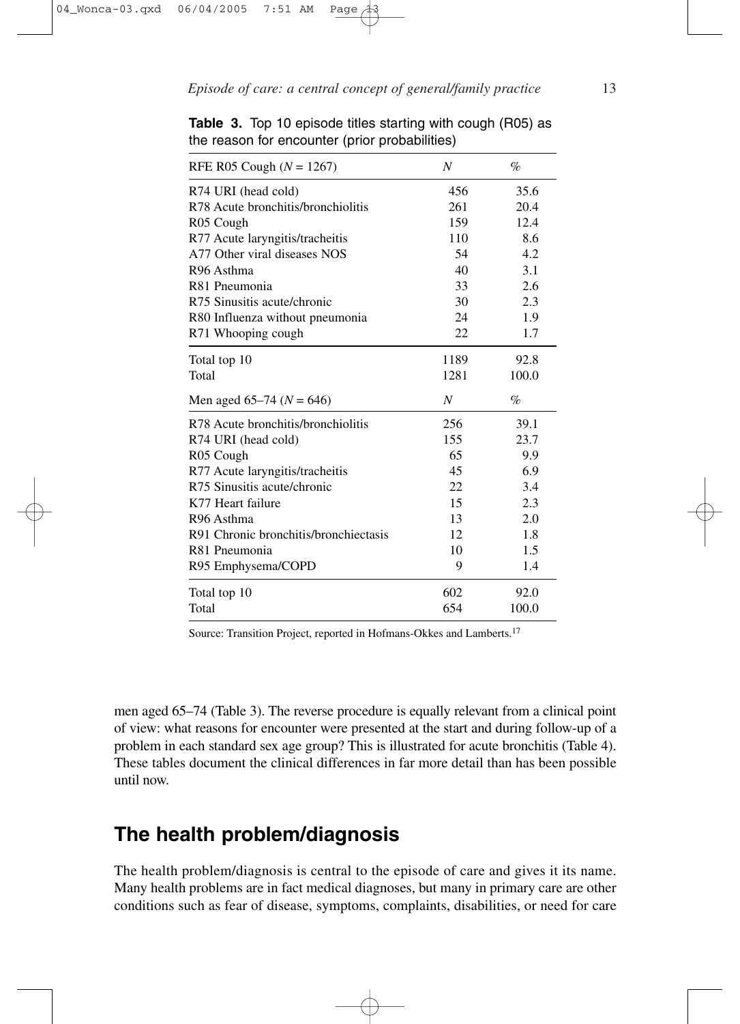#### *Episode of care: a central concept of general/family practice* 13

| RFE R05 Cough $(N = 1267)$            | N    | $\%$  |
|---------------------------------------|------|-------|
| R74 URI (head cold)                   | 456  | 35.6  |
| R78 Acute bronchitis/bronchiolitis    | 261  | 20.4  |
| R <sub>05</sub> Cough                 | 159  | 12.4  |
| R77 Acute laryngitis/tracheitis       | 110  | 8.6   |
| A77 Other viral diseases NOS          | 54   | 4.2   |
| R <sub>96</sub> Asthma                | 40   | 3.1   |
| R81 Pneumonia                         | 33   | 2.6   |
| R75 Sinusitis acute/chronic           | 30   | 2.3   |
| R80 Influenza without pneumonia       | 24   | 1.9   |
| R71 Whooping cough                    | 22   | 1.7   |
| Total top 10                          | 1189 | 92.8  |
| Total                                 | 1281 | 100.0 |
| Men aged $65-74$ ( $N = 646$ )        | N    | $\%$  |
| R78 Acute bronchitis/bronchiolitis    | 256  | 39.1  |
| R74 URI (head cold)                   | 155  | 23.7  |
| R05 Cough                             | 65   | 9.9   |
| R77 Acute laryngitis/tracheitis       | 45   | 6.9   |
| R75 Sinusitis acute/chronic           | 22   | 3.4   |
|                                       |      |       |
| K77 Heart failure                     | 15   | 2.3   |
| R <sub>96</sub> Asthma                | 13   | 2.0   |
| R91 Chronic bronchitis/bronchiectasis | 12   | 1.8   |
| R81 Pneumonia                         | 10   | 1.5   |
| R95 Emphysema/COPD                    | 9    | 1.4   |
| Total top 10                          | 602  | 92.0  |

**Table 3.** Top 10 episode titles starting with cough (R05) as the reason for encounter (prior probabilities)

Source: Transition Project, reported in Hofmans-Okkes and Lamberts.17

men aged 65–74 (Table 3). The reverse procedure is equally relevant from a clinical point of view: what reasons for encounter were presented at the start and during follow-up of a problem in each standard sex age group? This is illustrated for acute bronchitis (Table 4). These tables document the clinical differences in far more detail than has been possible until now.

## **The health problem/diagnosis**

The health problem/diagnosis is central to the episode of care and gives it its name. Many health problems are in fact medical diagnoses, but many in primary care are other conditions such as fear of disease, symptoms, complaints, disabilities, or need for care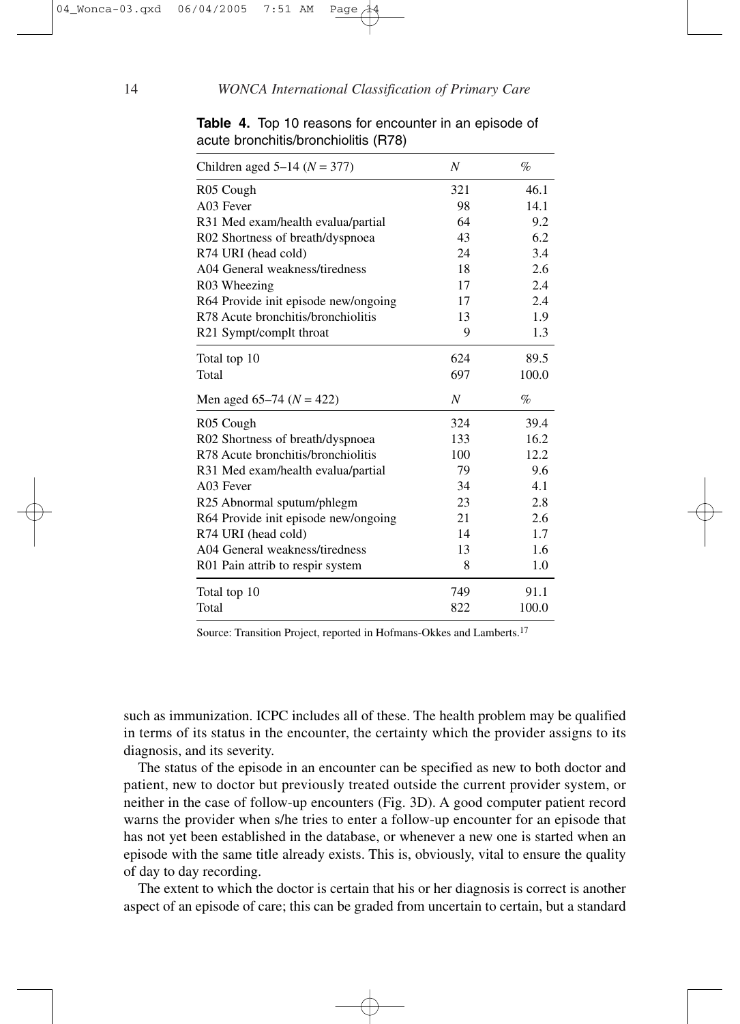| <b>Table 4.</b> Top 10 reasons for encounter in an episode of |
|---------------------------------------------------------------|
| acute bronchitis/bronchiolitis (R78)                          |

| Children aged 5–14 ( $N = 377$ )     | N   | $\%$  |
|--------------------------------------|-----|-------|
| R05 Cough                            | 321 | 46.1  |
| A03 Fever                            | 98  | 14.1  |
| R31 Med exam/health evalua/partial   | 64  | 9.2   |
| R02 Shortness of breath/dyspnoea     | 43  | 6.2   |
| R74 URI (head cold)                  | 24  | 3.4   |
| A04 General weakness/tiredness       | 18  | 2.6   |
| R03 Wheezing                         | 17  | 2.4   |
| R64 Provide init episode new/ongoing | 17  | 2.4   |
| R78 Acute bronchitis/bronchiolitis   | 13  | 1.9   |
| R <sub>21</sub> Sympt/complt throat  | 9   | 1.3   |
| Total top 10                         | 624 | 89.5  |
| Total                                | 697 | 100.0 |
|                                      |     |       |
| Men aged $65-74$ ( $N = 422$ )       | N   | $\%$  |
| R05 Cough                            | 324 | 39.4  |
| R02 Shortness of breath/dyspnoea     | 133 | 16.2  |
| R78 Acute bronchitis/bronchiolitis   | 100 | 12.2  |
| R31 Med exam/health evalua/partial   | 79  | 9.6   |
| A03 Fever                            | 34  | 4.1   |
| R25 Abnormal sputum/phlegm           | 23  | 2.8   |
| R64 Provide init episode new/ongoing | 21  | 2.6   |
| R74 URI (head cold)                  | 14  | 1.7   |
| A04 General weakness/tiredness       | 13  | 1.6   |
| R01 Pain attrib to respir system     | 8   | 1.0   |
| Total top 10                         | 749 | 91.1  |

Source: Transition Project, reported in Hofmans-Okkes and Lamberts.17

such as immunization. ICPC includes all of these. The health problem may be qualified in terms of its status in the encounter, the certainty which the provider assigns to its diagnosis, and its severity.

The status of the episode in an encounter can be specified as new to both doctor and patient, new to doctor but previously treated outside the current provider system, or neither in the case of follow-up encounters (Fig. 3D). A good computer patient record warns the provider when s/he tries to enter a follow-up encounter for an episode that has not yet been established in the database, or whenever a new one is started when an episode with the same title already exists. This is, obviously, vital to ensure the quality of day to day recording.

The extent to which the doctor is certain that his or her diagnosis is correct is another aspect of an episode of care; this can be graded from uncertain to certain, but a standard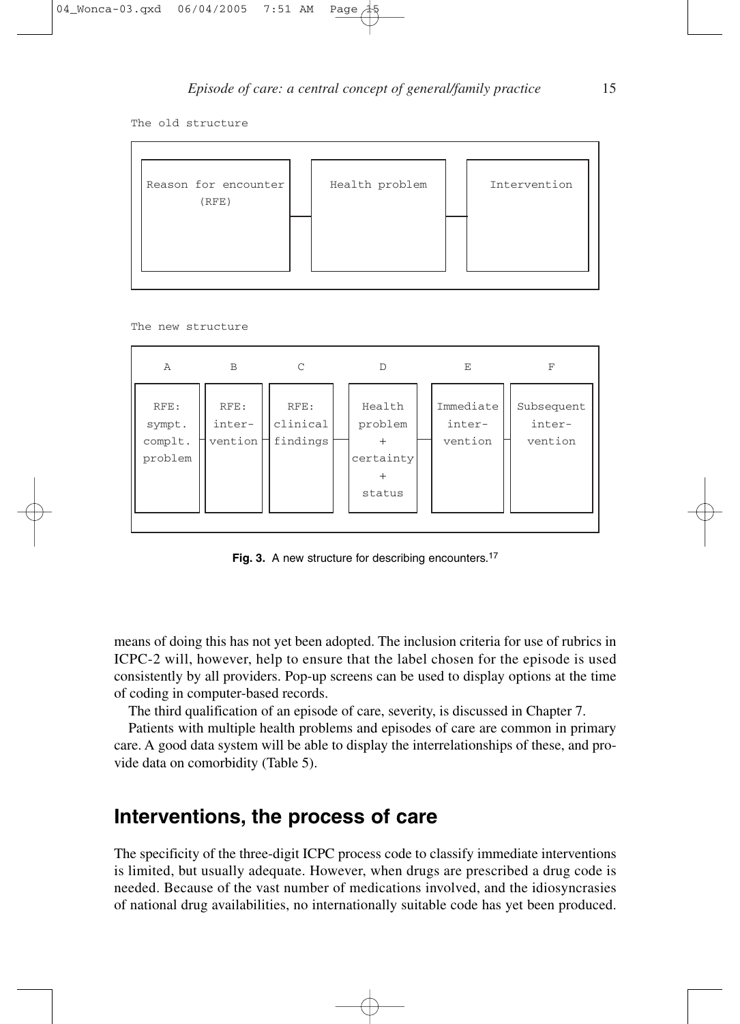#### *Episode of care: a central concept of general/family practice* 15

```
The old structure
```


The new structure



Fig. 3. A new structure for describing encounters.<sup>17</sup>

means of doing this has not yet been adopted. The inclusion criteria for use of rubrics in ICPC-2 will, however, help to ensure that the label chosen for the episode is used consistently by all providers. Pop-up screens can be used to display options at the time of coding in computer-based records.

The third qualification of an episode of care, severity, is discussed in Chapter 7.

Patients with multiple health problems and episodes of care are common in primary care. A good data system will be able to display the interrelationships of these, and provide data on comorbidity (Table 5).

### **Interventions, the process of care**

The specificity of the three-digit ICPC process code to classify immediate interventions is limited, but usually adequate. However, when drugs are prescribed a drug code is needed. Because of the vast number of medications involved, and the idiosyncrasies of national drug availabilities, no internationally suitable code has yet been produced.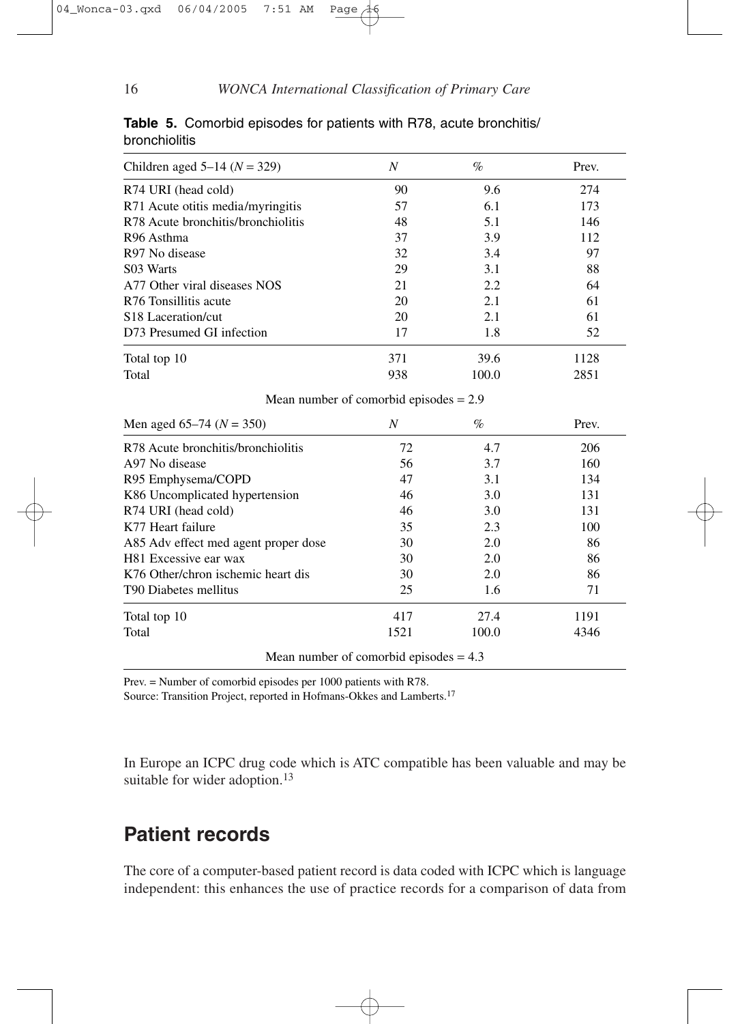| Children aged 5–14 ( $N = 329$ )                              | $\boldsymbol{N}$                         | $\%$  | Prev. |
|---------------------------------------------------------------|------------------------------------------|-------|-------|
| R74 URI (head cold)                                           | 90                                       | 9.6   | 274   |
| R71 Acute otitis media/myringitis                             | 57                                       | 6.1   | 173   |
| R78 Acute bronchitis/bronchiolitis                            | 48                                       | 5.1   | 146   |
| R <sub>96</sub> Asthma                                        | 37                                       | 3.9   | 112   |
| R97 No disease                                                | 32                                       | 3.4   | 97    |
| S <sub>0</sub> 3 Warts                                        | 29                                       | 3.1   | 88    |
| A77 Other viral diseases NOS                                  | 21                                       | 2.2   | 64    |
| R76 Tonsillitis acute                                         | 20                                       | 2.1   | 61    |
| S18 Laceration/cut                                            | 20                                       | 2.1   | 61    |
| D73 Presumed GI infection                                     | 17                                       | 1.8   | 52    |
| Total top 10                                                  | 371                                      | 39.6  | 1128  |
| Total                                                         | 938                                      | 100.0 | 2851  |
|                                                               | Mean number of comorbid episodes $= 2.9$ |       |       |
|                                                               |                                          |       |       |
| Men aged $65-74$ ( $N = 350$ )                                | $\boldsymbol{N}$                         | $\%$  | Prev. |
| R78 Acute bronchitis/bronchiolitis                            | 72                                       | 4.7   | 206   |
| A97 No disease                                                | 56                                       | 3.7   | 160   |
|                                                               | 47                                       | 3.1   | 134   |
| R95 Emphysema/COPD<br>K86 Uncomplicated hypertension          | 46                                       | 3.0   | 131   |
| R74 URI (head cold)                                           | 46                                       | 3.0   | 131   |
| K77 Heart failure                                             | 35                                       | 2.3   | 100   |
|                                                               | 30                                       | 2.0   | 86    |
| A85 Adv effect med agent proper dose<br>H81 Excessive ear wax | 30                                       | 2.0   | 86    |
| K76 Other/chron ischemic heart dis                            | 30                                       | 2.0   | 86    |
| T90 Diabetes mellitus                                         | 25                                       | 1.6   | 71    |
| Total top 10                                                  | 417                                      | 27.4  | 1191  |

#### **Table 5.** Comorbid episodes for patients with R78, acute bronchitis/ bronchiolitis

Prev. = Number of comorbid episodes per 1000 patients with R78.

Source: Transition Project, reported in Hofmans-Okkes and Lamberts.17

In Europe an ICPC drug code which is ATC compatible has been valuable and may be suitable for wider adoption.<sup>13</sup>

## **Patient records**

The core of a computer-based patient record is data coded with ICPC which is language independent: this enhances the use of practice records for a comparison of data from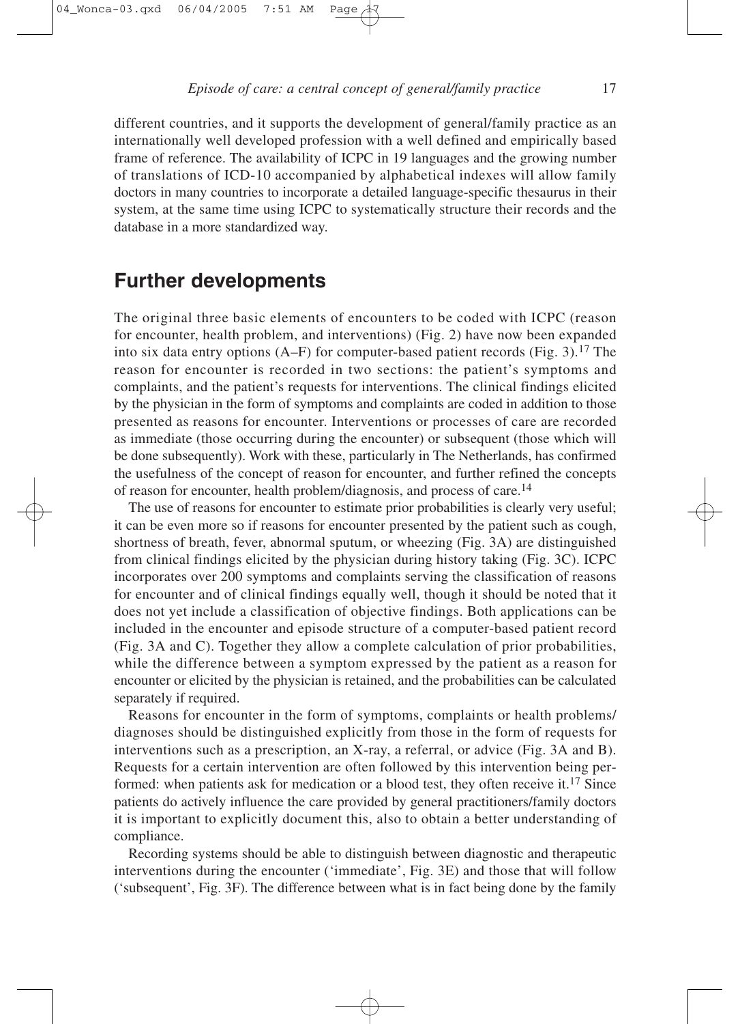*Episode of care: a central concept of general/family practice* 17

different countries, and it supports the development of general/family practice as an internationally well developed profession with a well defined and empirically based frame of reference. The availability of ICPC in 19 languages and the growing number of translations of ICD-10 accompanied by alphabetical indexes will allow family doctors in many countries to incorporate a detailed language-specific thesaurus in their system, at the same time using ICPC to systematically structure their records and the database in a more standardized way.

## **Further developments**

The original three basic elements of encounters to be coded with ICPC (reason for encounter, health problem, and interventions) (Fig. 2) have now been expanded into six data entry options (A–F) for computer-based patient records (Fig. 3).<sup>17</sup> The reason for encounter is recorded in two sections: the patient's symptoms and complaints, and the patient's requests for interventions. The clinical findings elicited by the physician in the form of symptoms and complaints are coded in addition to those presented as reasons for encounter. Interventions or processes of care are recorded as immediate (those occurring during the encounter) or subsequent (those which will be done subsequently). Work with these, particularly in The Netherlands, has confirmed the usefulness of the concept of reason for encounter, and further refined the concepts of reason for encounter, health problem/diagnosis, and process of care.<sup>14</sup>

The use of reasons for encounter to estimate prior probabilities is clearly very useful; it can be even more so if reasons for encounter presented by the patient such as cough, shortness of breath, fever, abnormal sputum, or wheezing (Fig. 3A) are distinguished from clinical findings elicited by the physician during history taking (Fig. 3C). ICPC incorporates over 200 symptoms and complaints serving the classification of reasons for encounter and of clinical findings equally well, though it should be noted that it does not yet include a classification of objective findings. Both applications can be included in the encounter and episode structure of a computer-based patient record (Fig. 3A and C). Together they allow a complete calculation of prior probabilities, while the difference between a symptom expressed by the patient as a reason for encounter or elicited by the physician is retained, and the probabilities can be calculated separately if required.

Reasons for encounter in the form of symptoms, complaints or health problems/ diagnoses should be distinguished explicitly from those in the form of requests for interventions such as a prescription, an X-ray, a referral, or advice (Fig. 3A and B). Requests for a certain intervention are often followed by this intervention being performed: when patients ask for medication or a blood test, they often receive it.<sup>17</sup> Since patients do actively influence the care provided by general practitioners/family doctors it is important to explicitly document this, also to obtain a better understanding of compliance.

Recording systems should be able to distinguish between diagnostic and therapeutic interventions during the encounter ('immediate', Fig. 3E) and those that will follow ('subsequent', Fig. 3F). The difference between what is in fact being done by the family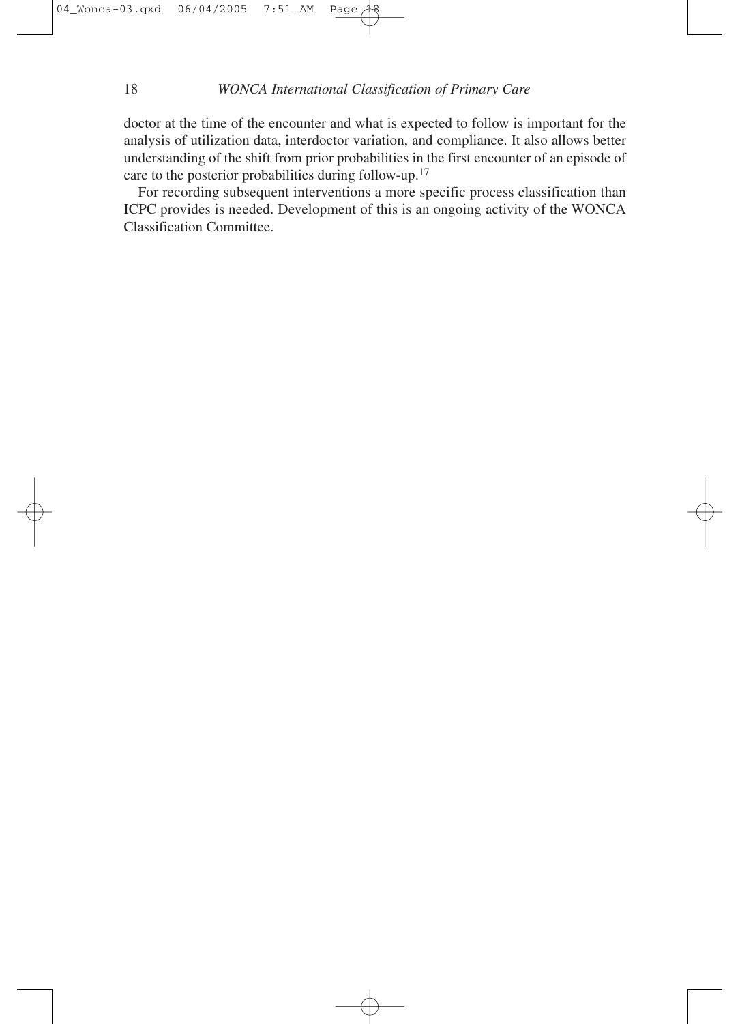doctor at the time of the encounter and what is expected to follow is important for the analysis of utilization data, interdoctor variation, and compliance. It also allows better understanding of the shift from prior probabilities in the first encounter of an episode of care to the posterior probabilities during follow-up.<sup>17</sup>

For recording subsequent interventions a more specific process classification than ICPC provides is needed. Development of this is an ongoing activity of the WONCA Classification Committee.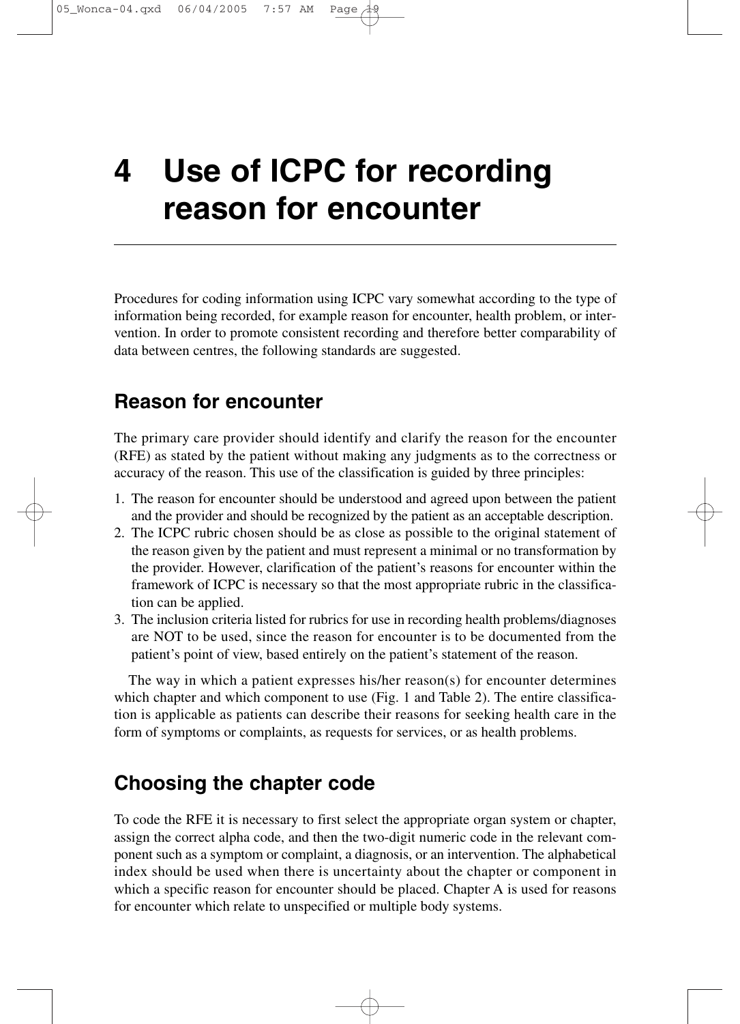## **4 Use of ICPC for recording reason for encounter**

Procedures for coding information using ICPC vary somewhat according to the type of information being recorded, for example reason for encounter, health problem, or intervention. In order to promote consistent recording and therefore better comparability of data between centres, the following standards are suggested.

## **Reason for encounter**

The primary care provider should identify and clarify the reason for the encounter (RFE) as stated by the patient without making any judgments as to the correctness or accuracy of the reason. This use of the classification is guided by three principles:

- 1. The reason for encounter should be understood and agreed upon between the patient and the provider and should be recognized by the patient as an acceptable description.
- 2. The ICPC rubric chosen should be as close as possible to the original statement of the reason given by the patient and must represent a minimal or no transformation by the provider. However, clarification of the patient's reasons for encounter within the framework of ICPC is necessary so that the most appropriate rubric in the classification can be applied.
- 3. The inclusion criteria listed for rubrics for use in recording health problems/diagnoses are NOT to be used, since the reason for encounter is to be documented from the patient's point of view, based entirely on the patient's statement of the reason.

The way in which a patient expresses his/her reason(s) for encounter determines which chapter and which component to use (Fig. 1 and Table 2). The entire classification is applicable as patients can describe their reasons for seeking health care in the form of symptoms or complaints, as requests for services, or as health problems.

## **Choosing the chapter code**

To code the RFE it is necessary to first select the appropriate organ system or chapter, assign the correct alpha code, and then the two-digit numeric code in the relevant component such as a symptom or complaint, a diagnosis, or an intervention. The alphabetical index should be used when there is uncertainty about the chapter or component in which a specific reason for encounter should be placed. Chapter A is used for reasons for encounter which relate to unspecified or multiple body systems.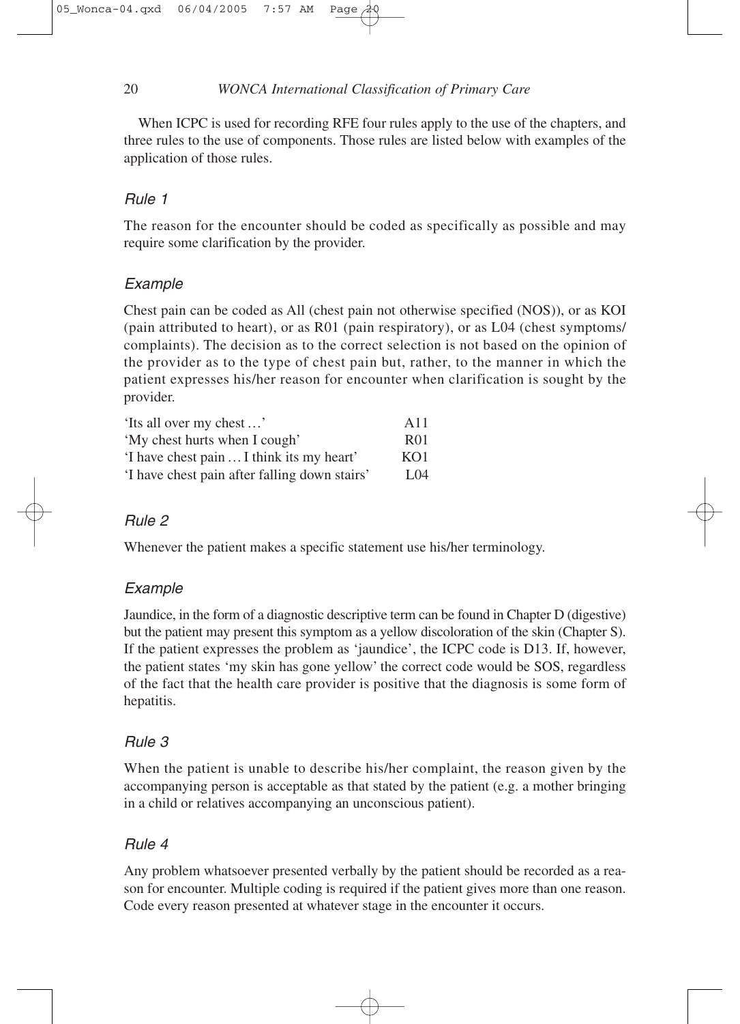When ICPC is used for recording RFE four rules apply to the use of the chapters, and three rules to the use of components. Those rules are listed below with examples of the application of those rules.

#### *Rule 1*

The reason for the encounter should be coded as specifically as possible and may require some clarification by the provider.

#### *Example*

Chest pain can be coded as All (chest pain not otherwise specified (NOS)), or as KOI (pain attributed to heart), or as R01 (pain respiratory), or as L04 (chest symptoms/ complaints). The decision as to the correct selection is not based on the opinion of the provider as to the type of chest pain but, rather, to the manner in which the patient expresses his/her reason for encounter when clarification is sought by the provider.

| 'Its all over my chest'                       | A11             |
|-----------------------------------------------|-----------------|
| 'My chest hurts when I cough'                 | R <sub>01</sub> |
| 'I have chest pain  I think its my heart'     | KO <sub>1</sub> |
| 'I have chest pain after falling down stairs' | L04             |

#### *Rule 2*

Whenever the patient makes a specific statement use his/her terminology.

#### *Example*

Jaundice, in the form of a diagnostic descriptive term can be found in Chapter D (digestive) but the patient may present this symptom as a yellow discoloration of the skin (Chapter S). If the patient expresses the problem as 'jaundice', the ICPC code is D13. If, however, the patient states 'my skin has gone yellow' the correct code would be SOS, regardless of the fact that the health care provider is positive that the diagnosis is some form of hepatitis.

#### *Rule 3*

When the patient is unable to describe his/her complaint, the reason given by the accompanying person is acceptable as that stated by the patient (e.g. a mother bringing in a child or relatives accompanying an unconscious patient).

#### *Rule 4*

Any problem whatsoever presented verbally by the patient should be recorded as a reason for encounter. Multiple coding is required if the patient gives more than one reason. Code every reason presented at whatever stage in the encounter it occurs.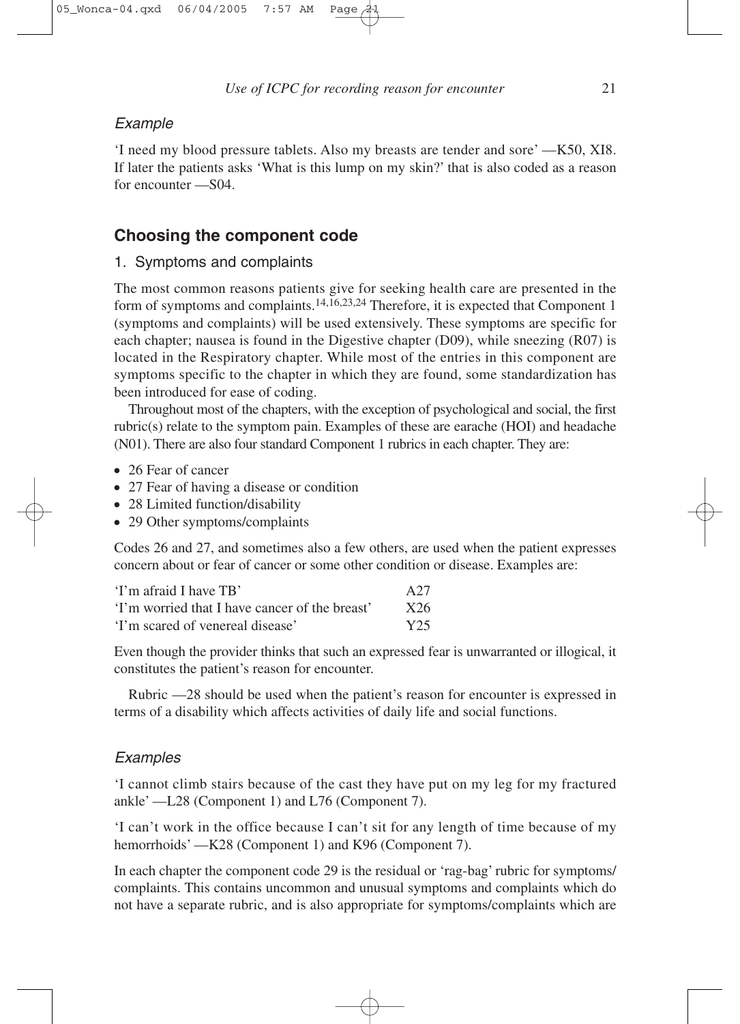*Use of ICPC for recording reason for encounter* 21

#### *Example*

'I need my blood pressure tablets. Also my breasts are tender and sore' —K50, XI8. If later the patients asks 'What is this lump on my skin?' that is also coded as a reason for encounter —S04.

#### **Choosing the component code**

#### 1. Symptoms and complaints

The most common reasons patients give for seeking health care are presented in the form of symptoms and complaints.14,16,23,24 Therefore, it is expected that Component 1 (symptoms and complaints) will be used extensively. These symptoms are specific for each chapter; nausea is found in the Digestive chapter (D09), while sneezing (R07) is located in the Respiratory chapter. While most of the entries in this component are symptoms specific to the chapter in which they are found, some standardization has been introduced for ease of coding.

Throughout most of the chapters, with the exception of psychological and social, the first rubric(s) relate to the symptom pain. Examples of these are earache (HOI) and headache (N01). There are also four standard Component 1 rubrics in each chapter. They are:

- 26 Fear of cancer
- 27 Fear of having a disease or condition
- 28 Limited function/disability
- 29 Other symptoms/complaints

Codes 26 and 27, and sometimes also a few others, are used when the patient expresses concern about or fear of cancer or some other condition or disease. Examples are:

| 'I'm afraid I have TB'                         | A27             |
|------------------------------------------------|-----------------|
| 'I'm worried that I have cancer of the breast' | X <sub>26</sub> |
| 'I'm scared of venereal disease'               | Y25             |

Even though the provider thinks that such an expressed fear is unwarranted or illogical, it constitutes the patient's reason for encounter.

Rubric —28 should be used when the patient's reason for encounter is expressed in terms of a disability which affects activities of daily life and social functions.

#### *Examples*

'I cannot climb stairs because of the cast they have put on my leg for my fractured ankle' —L28 (Component 1) and L76 (Component 7).

'I can't work in the office because I can't sit for any length of time because of my hemorrhoids' —K28 (Component 1) and K96 (Component 7).

In each chapter the component code 29 is the residual or 'rag-bag' rubric for symptoms/ complaints. This contains uncommon and unusual symptoms and complaints which do not have a separate rubric, and is also appropriate for symptoms/complaints which are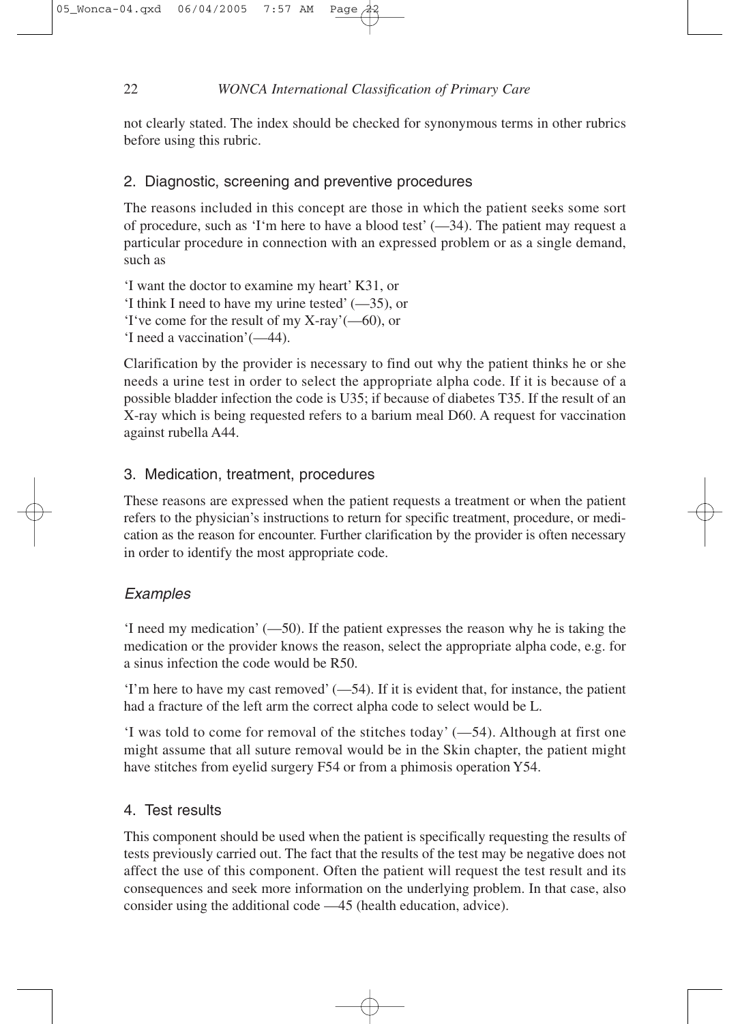not clearly stated. The index should be checked for synonymous terms in other rubrics before using this rubric.

#### 2. Diagnostic, screening and preventive procedures

The reasons included in this concept are those in which the patient seeks some sort of procedure, such as 'I'm here to have a blood test' (—34). The patient may request a particular procedure in connection with an expressed problem or as a single demand, such as

'I want the doctor to examine my heart' K31, or 'I think I need to have my urine tested' (—35), or 'I've come for the result of my X-ray'(—60), or 'I need a vaccination'(—44).

Clarification by the provider is necessary to find out why the patient thinks he or she needs a urine test in order to select the appropriate alpha code. If it is because of a possible bladder infection the code is U35; if because of diabetes T35. If the result of an X-ray which is being requested refers to a barium meal D60. A request for vaccination against rubella A44.

#### 3. Medication, treatment, procedures

These reasons are expressed when the patient requests a treatment or when the patient refers to the physician's instructions to return for specific treatment, procedure, or medication as the reason for encounter. Further clarification by the provider is often necessary in order to identify the most appropriate code.

#### *Examples*

'I need my medication' (—50). If the patient expresses the reason why he is taking the medication or the provider knows the reason, select the appropriate alpha code, e.g. for a sinus infection the code would be R50.

'I'm here to have my cast removed' (—54). If it is evident that, for instance, the patient had a fracture of the left arm the correct alpha code to select would be L.

'I was told to come for removal of the stitches today' (—54). Although at first one might assume that all suture removal would be in the Skin chapter, the patient might have stitches from eyelid surgery F54 or from a phimosis operation Y54.

#### 4. Test results

This component should be used when the patient is specifically requesting the results of tests previously carried out. The fact that the results of the test may be negative does not affect the use of this component. Often the patient will request the test result and its consequences and seek more information on the underlying problem. In that case, also consider using the additional code —45 (health education, advice).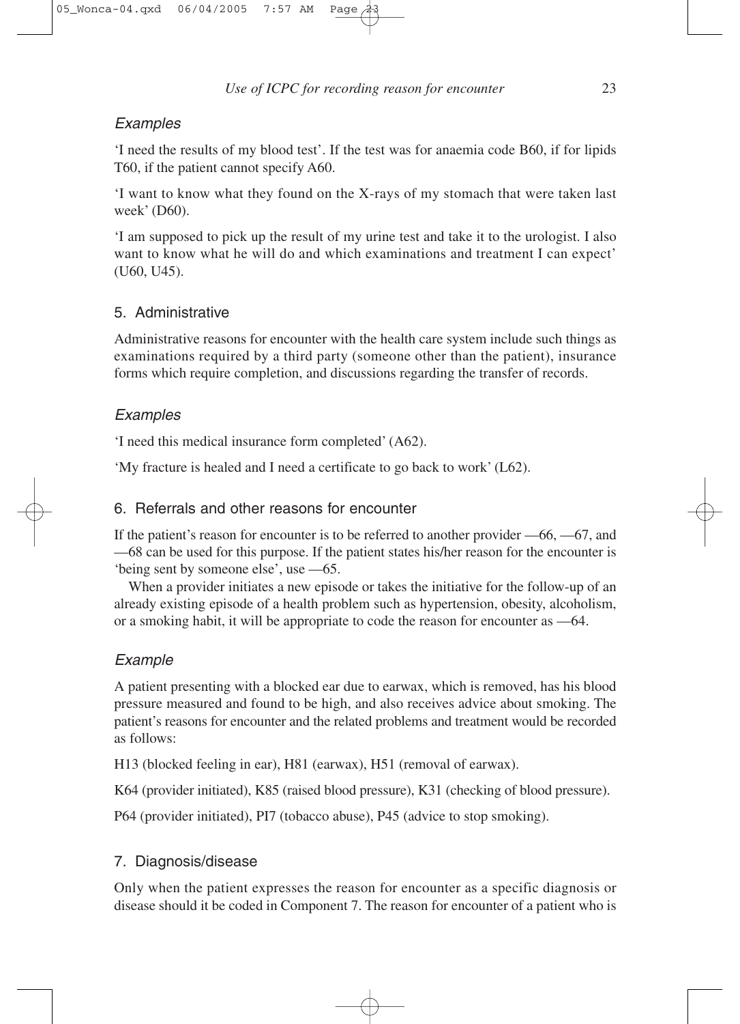*Use of ICPC for recording reason for encounter* 23

#### *Examples*

'I need the results of my blood test'. If the test was for anaemia code B60, if for lipids T60, if the patient cannot specify A60.

'I want to know what they found on the X-rays of my stomach that were taken last week' (D60).

'I am supposed to pick up the result of my urine test and take it to the urologist. I also want to know what he will do and which examinations and treatment I can expect' (U60, U45).

#### 5. Administrative

Administrative reasons for encounter with the health care system include such things as examinations required by a third party (someone other than the patient), insurance forms which require completion, and discussions regarding the transfer of records.

#### *Examples*

'I need this medical insurance form completed' (A62).

'My fracture is healed and I need a certificate to go back to work' (L62).

#### 6. Referrals and other reasons for encounter

If the patient's reason for encounter is to be referred to another provider —66, —67, and —68 can be used for this purpose. If the patient states his/her reason for the encounter is 'being sent by someone else', use —65.

When a provider initiates a new episode or takes the initiative for the follow-up of an already existing episode of a health problem such as hypertension, obesity, alcoholism, or a smoking habit, it will be appropriate to code the reason for encounter as —64.

#### *Example*

A patient presenting with a blocked ear due to earwax, which is removed, has his blood pressure measured and found to be high, and also receives advice about smoking. The patient's reasons for encounter and the related problems and treatment would be recorded as follows:

H13 (blocked feeling in ear), H81 (earwax), H51 (removal of earwax).

K64 (provider initiated), K85 (raised blood pressure), K31 (checking of blood pressure).

P64 (provider initiated), PI7 (tobacco abuse), P45 (advice to stop smoking).

#### 7. Diagnosis/disease

Only when the patient expresses the reason for encounter as a specific diagnosis or disease should it be coded in Component 7. The reason for encounter of a patient who is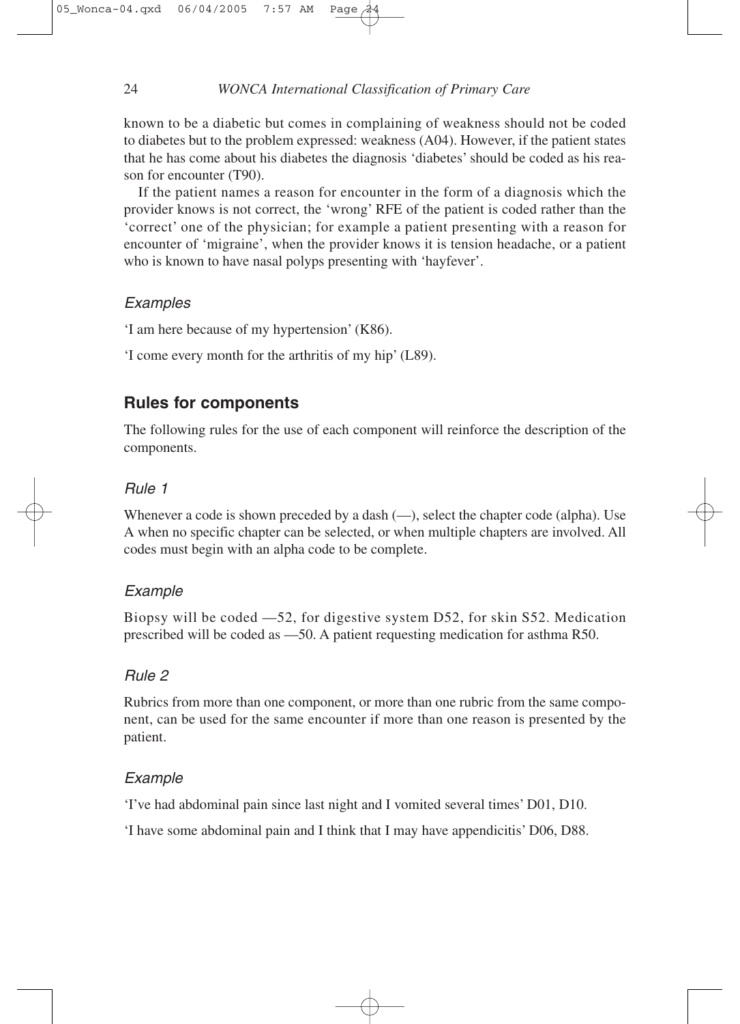known to be a diabetic but comes in complaining of weakness should not be coded to diabetes but to the problem expressed: weakness (A04). However, if the patient states that he has come about his diabetes the diagnosis 'diabetes' should be coded as his reason for encounter (T90).

If the patient names a reason for encounter in the form of a diagnosis which the provider knows is not correct, the 'wrong' RFE of the patient is coded rather than the 'correct' one of the physician; for example a patient presenting with a reason for encounter of 'migraine', when the provider knows it is tension headache, or a patient who is known to have nasal polyps presenting with 'hayfever'.

#### *Examples*

'I am here because of my hypertension' (K86).

'I come every month for the arthritis of my hip' (L89).

#### **Rules for components**

The following rules for the use of each component will reinforce the description of the components.

#### *Rule 1*

Whenever a code is shown preceded by a dash  $(-)$ , select the chapter code (alpha). Use A when no specific chapter can be selected, or when multiple chapters are involved. All codes must begin with an alpha code to be complete.

#### *Example*

Biopsy will be coded —52, for digestive system D52, for skin S52. Medication prescribed will be coded as —50. A patient requesting medication for asthma R50.

#### *Rule 2*

Rubrics from more than one component, or more than one rubric from the same component, can be used for the same encounter if more than one reason is presented by the patient.

#### *Example*

'I've had abdominal pain since last night and I vomited several times' D01, D10.

'I have some abdominal pain and I think that I may have appendicitis' D06, D88.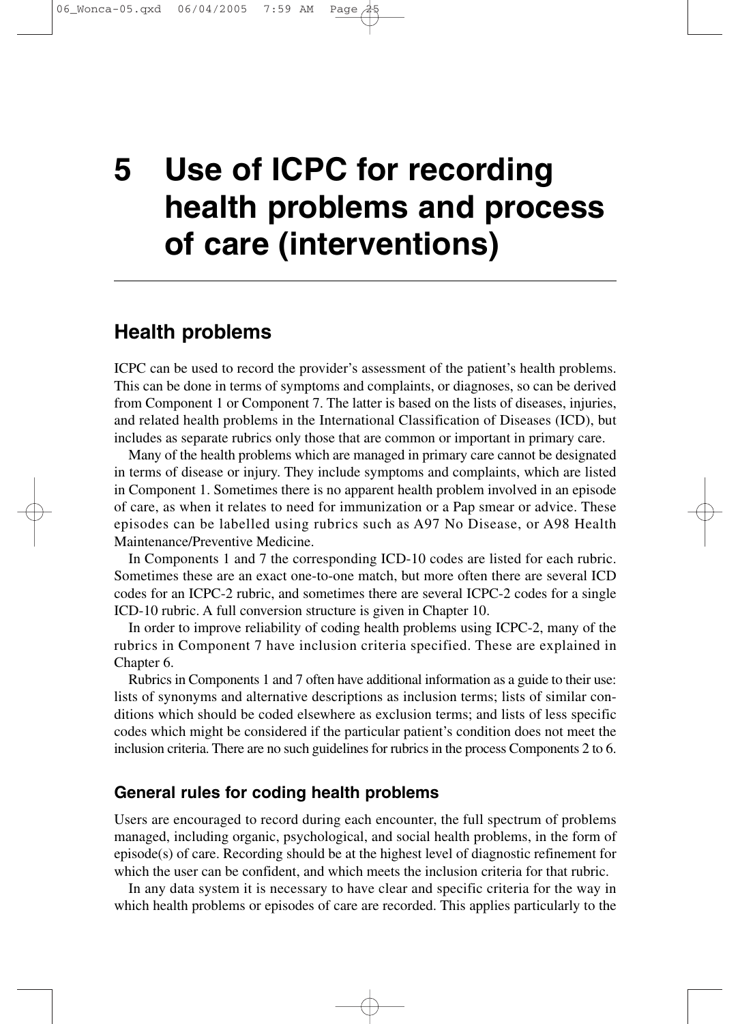## **5 Use of ICPC for recording health problems and process of care (interventions)**

## **Health problems**

ICPC can be used to record the provider's assessment of the patient's health problems. This can be done in terms of symptoms and complaints, or diagnoses, so can be derived from Component 1 or Component 7. The latter is based on the lists of diseases, injuries, and related health problems in the International Classification of Diseases (ICD), but includes as separate rubrics only those that are common or important in primary care.

Many of the health problems which are managed in primary care cannot be designated in terms of disease or injury. They include symptoms and complaints, which are listed in Component 1. Sometimes there is no apparent health problem involved in an episode of care, as when it relates to need for immunization or a Pap smear or advice. These episodes can be labelled using rubrics such as A97 No Disease, or A98 Health Maintenance/Preventive Medicine.

In Components 1 and 7 the corresponding ICD-10 codes are listed for each rubric. Sometimes these are an exact one-to-one match, but more often there are several ICD codes for an ICPC-2 rubric, and sometimes there are several ICPC-2 codes for a single ICD-10 rubric. A full conversion structure is given in Chapter 10.

In order to improve reliability of coding health problems using ICPC-2, many of the rubrics in Component 7 have inclusion criteria specified. These are explained in Chapter 6.

Rubrics in Components 1 and 7 often have additional information as a guide to their use: lists of synonyms and alternative descriptions as inclusion terms; lists of similar conditions which should be coded elsewhere as exclusion terms; and lists of less specific codes which might be considered if the particular patient's condition does not meet the inclusion criteria. There are no such guidelines for rubrics in the process Components 2 to 6.

#### **General rules for coding health problems**

Users are encouraged to record during each encounter, the full spectrum of problems managed, including organic, psychological, and social health problems, in the form of episode(s) of care. Recording should be at the highest level of diagnostic refinement for which the user can be confident, and which meets the inclusion criteria for that rubric.

In any data system it is necessary to have clear and specific criteria for the way in which health problems or episodes of care are recorded. This applies particularly to the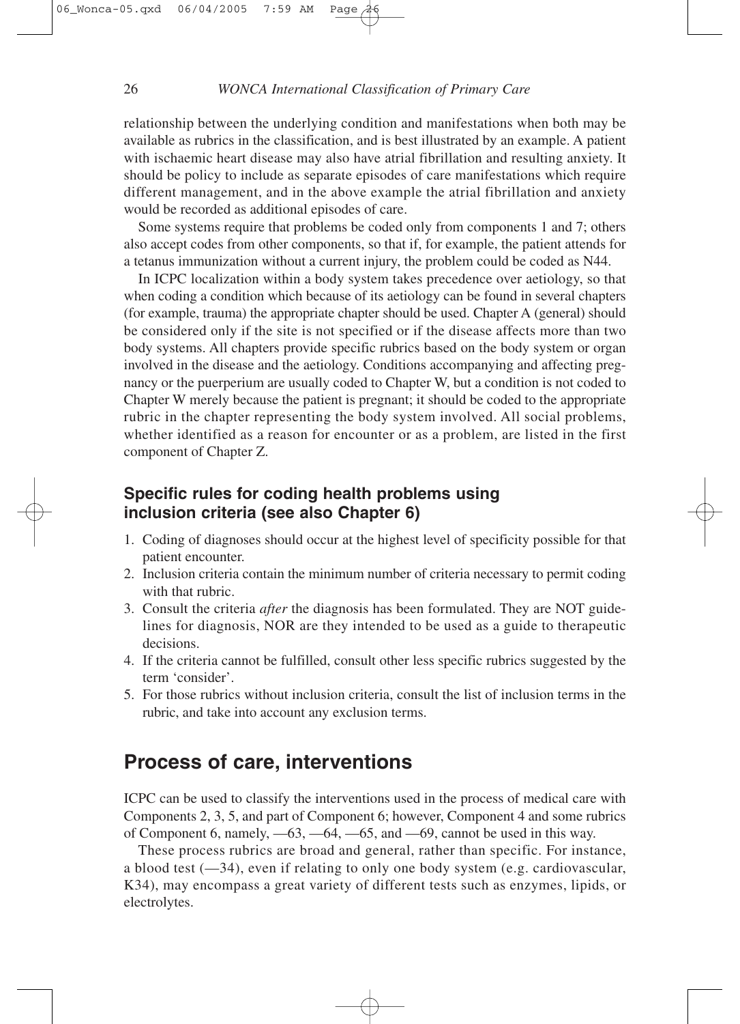relationship between the underlying condition and manifestations when both may be available as rubrics in the classification, and is best illustrated by an example. A patient with ischaemic heart disease may also have atrial fibrillation and resulting anxiety. It should be policy to include as separate episodes of care manifestations which require different management, and in the above example the atrial fibrillation and anxiety would be recorded as additional episodes of care.

Some systems require that problems be coded only from components 1 and 7; others also accept codes from other components, so that if, for example, the patient attends for a tetanus immunization without a current injury, the problem could be coded as N44.

In ICPC localization within a body system takes precedence over aetiology, so that when coding a condition which because of its aetiology can be found in several chapters (for example, trauma) the appropriate chapter should be used. Chapter A (general) should be considered only if the site is not specified or if the disease affects more than two body systems. All chapters provide specific rubrics based on the body system or organ involved in the disease and the aetiology. Conditions accompanying and affecting pregnancy or the puerperium are usually coded to Chapter W, but a condition is not coded to Chapter W merely because the patient is pregnant; it should be coded to the appropriate rubric in the chapter representing the body system involved. All social problems, whether identified as a reason for encounter or as a problem, are listed in the first component of Chapter Z.

### **Specific rules for coding health problems using inclusion criteria (see also Chapter 6)**

- 1. Coding of diagnoses should occur at the highest level of specificity possible for that patient encounter.
- 2. Inclusion criteria contain the minimum number of criteria necessary to permit coding with that rubric.
- 3. Consult the criteria *after* the diagnosis has been formulated. They are NOT guidelines for diagnosis, NOR are they intended to be used as a guide to therapeutic decisions.
- 4. If the criteria cannot be fulfilled, consult other less specific rubrics suggested by the term 'consider'.
- 5. For those rubrics without inclusion criteria, consult the list of inclusion terms in the rubric, and take into account any exclusion terms.

### **Process of care, interventions**

ICPC can be used to classify the interventions used in the process of medical care with Components 2, 3, 5, and part of Component 6; however, Component 4 and some rubrics of Component 6, namely,  $-63$ ,  $-64$ ,  $-65$ , and  $-69$ , cannot be used in this way.

These process rubrics are broad and general, rather than specific. For instance, a blood test (—34), even if relating to only one body system (e.g. cardiovascular, K34), may encompass a great variety of different tests such as enzymes, lipids, or electrolytes.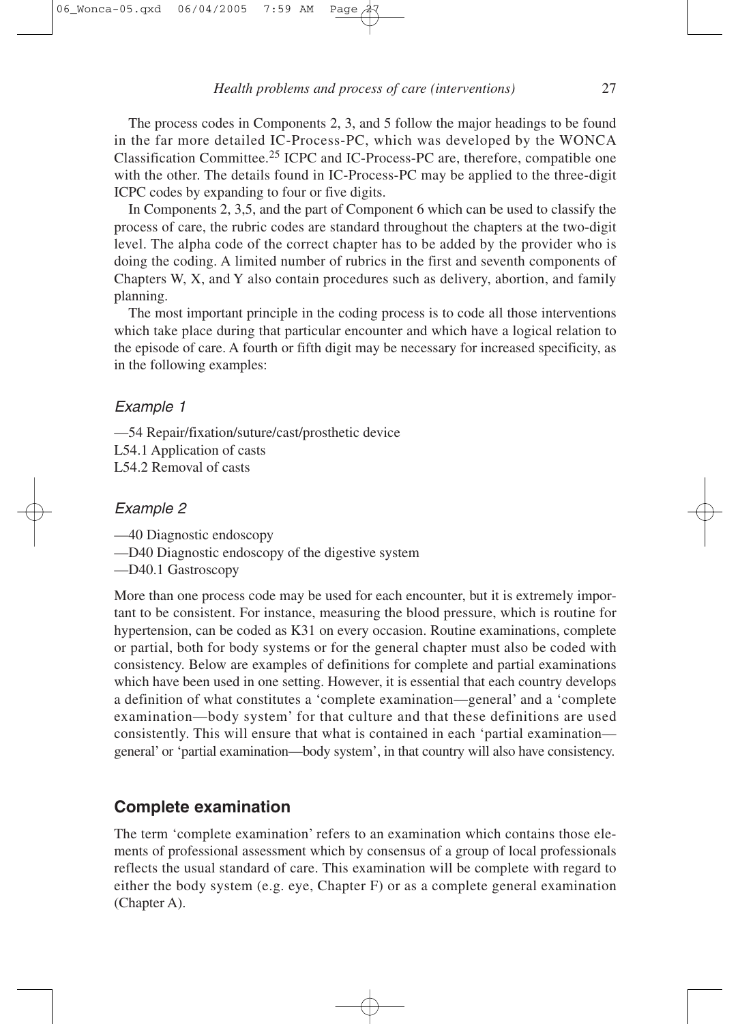#### *Health problems and process of care (interventions)* 27

The process codes in Components 2, 3, and 5 follow the major headings to be found in the far more detailed IC-Process-PC, which was developed by the WONCA Classification Committee.<sup>25</sup> ICPC and IC-Process-PC are, therefore, compatible one with the other. The details found in IC-Process-PC may be applied to the three-digit ICPC codes by expanding to four or five digits.

In Components 2, 3,5, and the part of Component 6 which can be used to classify the process of care, the rubric codes are standard throughout the chapters at the two-digit level. The alpha code of the correct chapter has to be added by the provider who is doing the coding. A limited number of rubrics in the first and seventh components of Chapters W, X, and Y also contain procedures such as delivery, abortion, and family planning.

The most important principle in the coding process is to code all those interventions which take place during that particular encounter and which have a logical relation to the episode of care. A fourth or fifth digit may be necessary for increased specificity, as in the following examples:

#### *Example 1*

—54 Repair/fixation/suture/cast/prosthetic device L54.1 Application of casts L54.2 Removal of casts

#### *Example 2*

—40 Diagnostic endoscopy

—D40 Diagnostic endoscopy of the digestive system

—D40.1 Gastroscopy

More than one process code may be used for each encounter, but it is extremely important to be consistent. For instance, measuring the blood pressure, which is routine for hypertension, can be coded as K31 on every occasion. Routine examinations, complete or partial, both for body systems or for the general chapter must also be coded with consistency. Below are examples of definitions for complete and partial examinations which have been used in one setting. However, it is essential that each country develops a definition of what constitutes a 'complete examination—general' and a 'complete examination—body system' for that culture and that these definitions are used consistently. This will ensure that what is contained in each 'partial examination general' or 'partial examination—body system', in that country will also have consistency.

#### **Complete examination**

The term 'complete examination' refers to an examination which contains those elements of professional assessment which by consensus of a group of local professionals reflects the usual standard of care. This examination will be complete with regard to either the body system (e.g. eye, Chapter F) or as a complete general examination (Chapter A).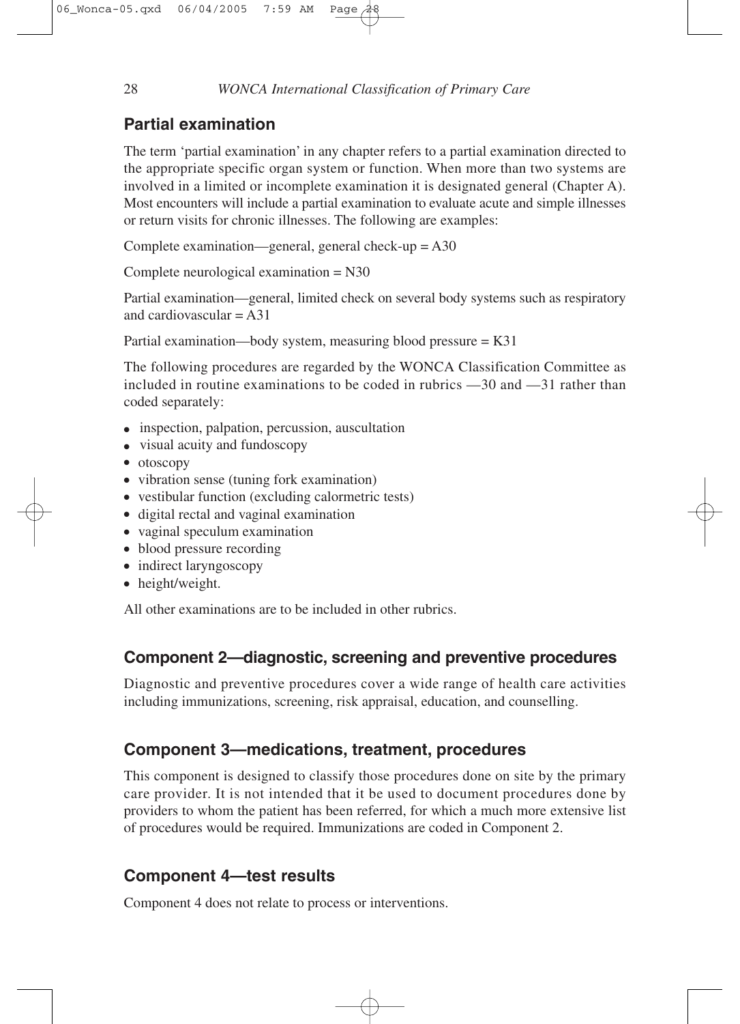### **Partial examination**

The term 'partial examination' in any chapter refers to a partial examination directed to the appropriate specific organ system or function. When more than two systems are involved in a limited or incomplete examination it is designated general (Chapter A). Most encounters will include a partial examination to evaluate acute and simple illnesses or return visits for chronic illnesses. The following are examples:

Complete examination—general, general check-up = A30

Complete neurological examination = N30

Partial examination—general, limited check on several body systems such as respiratory and cardiovascular = A31

Partial examination—body system, measuring blood pressure = K31

The following procedures are regarded by the WONCA Classification Committee as included in routine examinations to be coded in rubrics —30 and —31 rather than coded separately:

- inspection, palpation, percussion, auscultation
- visual acuity and fundoscopy
- otoscopy
- vibration sense (tuning fork examination)
- vestibular function (excluding calormetric tests)
- digital rectal and vaginal examination
- vaginal speculum examination
- blood pressure recording
- indirect laryngoscopy
- height/weight.

All other examinations are to be included in other rubrics.

### **Component 2—diagnostic, screening and preventive procedures**

Diagnostic and preventive procedures cover a wide range of health care activities including immunizations, screening, risk appraisal, education, and counselling.

### **Component 3—medications, treatment, procedures**

This component is designed to classify those procedures done on site by the primary care provider. It is not intended that it be used to document procedures done by providers to whom the patient has been referred, for which a much more extensive list of procedures would be required. Immunizations are coded in Component 2.

### **Component 4—test results**

Component 4 does not relate to process or interventions.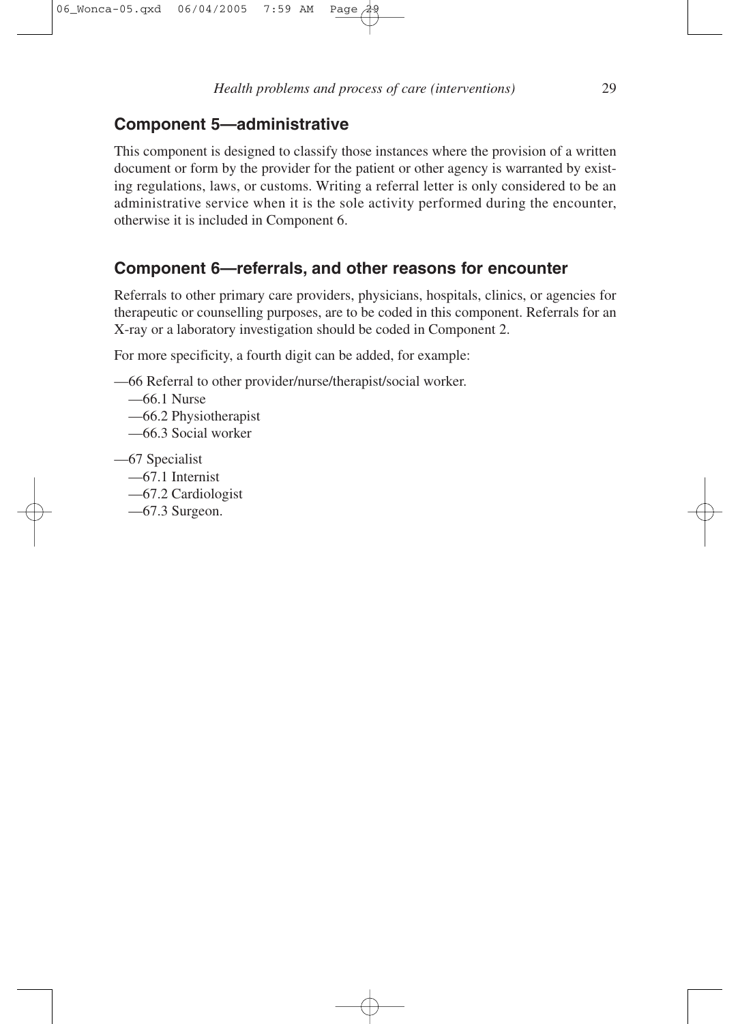*Health problems and process of care (interventions)* 29

#### **Component 5—administrative**

This component is designed to classify those instances where the provision of a written document or form by the provider for the patient or other agency is warranted by existing regulations, laws, or customs. Writing a referral letter is only considered to be an administrative service when it is the sole activity performed during the encounter, otherwise it is included in Component 6.

#### **Component 6—referrals, and other reasons for encounter**

Referrals to other primary care providers, physicians, hospitals, clinics, or agencies for therapeutic or counselling purposes, are to be coded in this component. Referrals for an X-ray or a laboratory investigation should be coded in Component 2.

For more specificity, a fourth digit can be added, for example:

—66 Referral to other provider/nurse/therapist/social worker.

—66.1 Nurse

- —66.2 Physiotherapist
- —66.3 Social worker

—67 Specialist

—67.1 Internist

—67.2 Cardiologist

—67.3 Surgeon.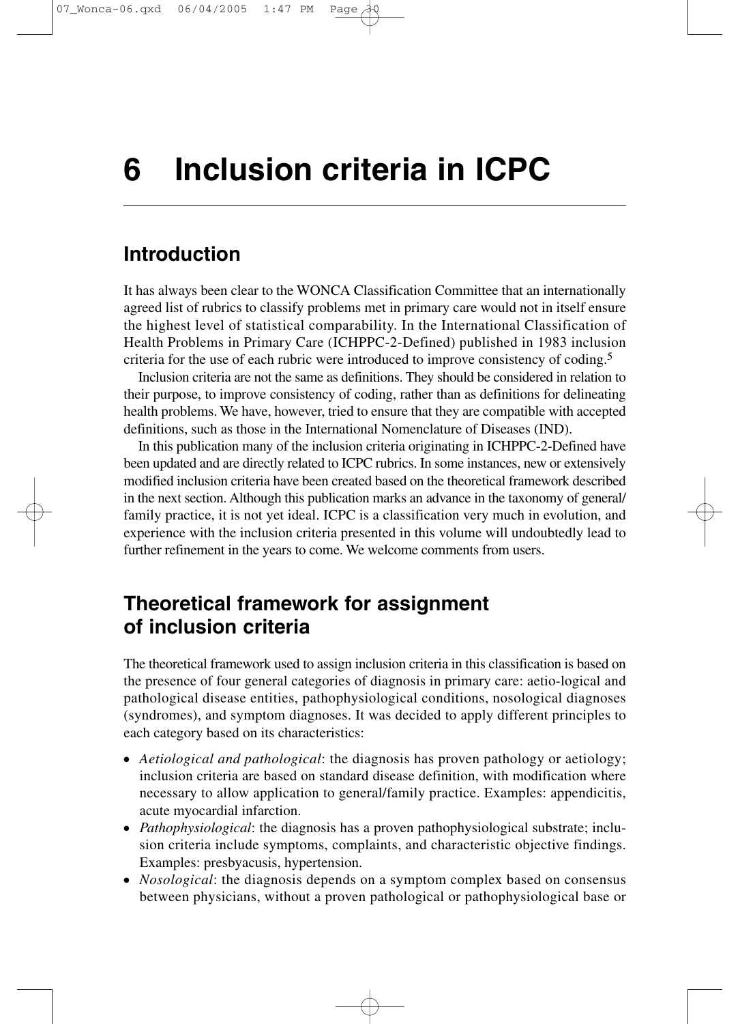# **6 Inclusion criteria in ICPC**

# **Introduction**

It has always been clear to the WONCA Classification Committee that an internationally agreed list of rubrics to classify problems met in primary care would not in itself ensure the highest level of statistical comparability. In the International Classification of Health Problems in Primary Care (ICHPPC-2-Defined) published in 1983 inclusion criteria for the use of each rubric were introduced to improve consistency of coding.<sup>5</sup>

Inclusion criteria are not the same as definitions. They should be considered in relation to their purpose, to improve consistency of coding, rather than as definitions for delineating health problems. We have, however, tried to ensure that they are compatible with accepted definitions, such as those in the International Nomenclature of Diseases (IND).

In this publication many of the inclusion criteria originating in ICHPPC-2-Defined have been updated and are directly related to ICPC rubrics. In some instances, new or extensively modified inclusion criteria have been created based on the theoretical framework described in the next section. Although this publication marks an advance in the taxonomy of general/ family practice, it is not yet ideal. ICPC is a classification very much in evolution, and experience with the inclusion criteria presented in this volume will undoubtedly lead to further refinement in the years to come. We welcome comments from users.

# **Theoretical framework for assignment of inclusion criteria**

The theoretical framework used to assign inclusion criteria in this classification is based on the presence of four general categories of diagnosis in primary care: aetio-logical and pathological disease entities, pathophysiological conditions, nosological diagnoses (syndromes), and symptom diagnoses. It was decided to apply different principles to each category based on its characteristics:

- *Aetiological and pathological*: the diagnosis has proven pathology or aetiology; inclusion criteria are based on standard disease definition, with modification where necessary to allow application to general/family practice. Examples: appendicitis, acute myocardial infarction.
- *Pathophysiological*: the diagnosis has a proven pathophysiological substrate; inclusion criteria include symptoms, complaints, and characteristic objective findings. Examples: presbyacusis, hypertension.
- *Nosological*: the diagnosis depends on a symptom complex based on consensus between physicians, without a proven pathological or pathophysiological base or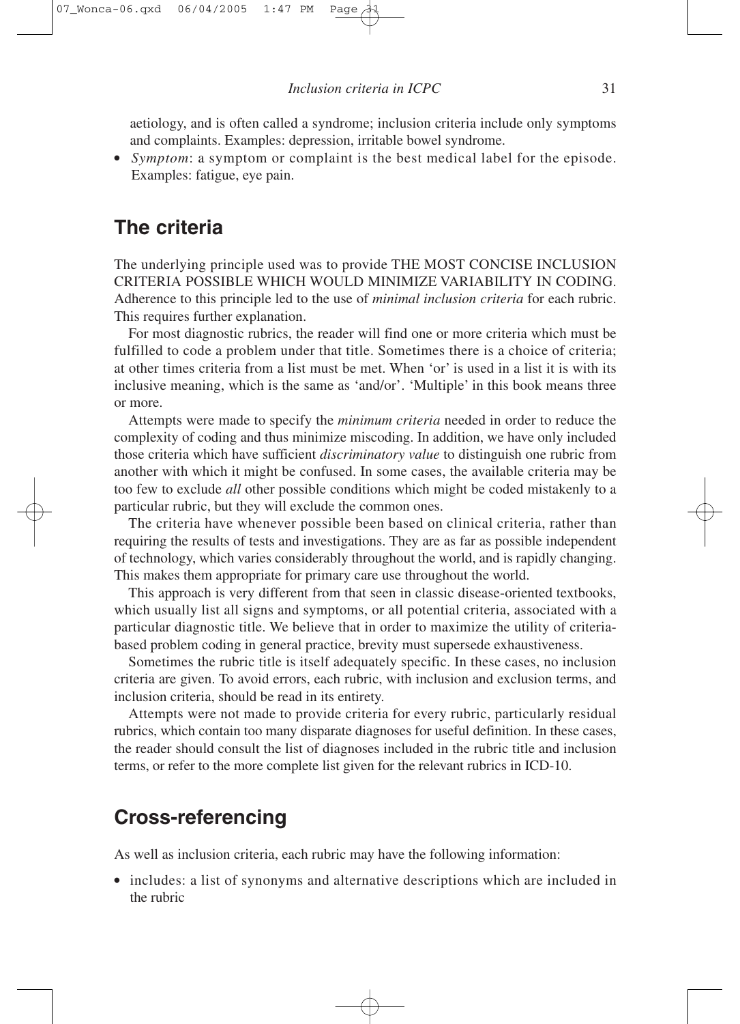aetiology, and is often called a syndrome; inclusion criteria include only symptoms and complaints. Examples: depression, irritable bowel syndrome.

● *Symptom*: a symptom or complaint is the best medical label for the episode. Examples: fatigue, eye pain.

# **The criteria**

The underlying principle used was to provide THE MOST CONCISE INCLUSION CRITERIA POSSIBLE WHICH WOULD MINIMIZE VARIABILITY IN CODING. Adherence to this principle led to the use of *minimal inclusion criteria* for each rubric. This requires further explanation.

For most diagnostic rubrics, the reader will find one or more criteria which must be fulfilled to code a problem under that title. Sometimes there is a choice of criteria; at other times criteria from a list must be met. When 'or' is used in a list it is with its inclusive meaning, which is the same as 'and/or'. 'Multiple' in this book means three or more.

Attempts were made to specify the *minimum criteria* needed in order to reduce the complexity of coding and thus minimize miscoding. In addition, we have only included those criteria which have sufficient *discriminatory value* to distinguish one rubric from another with which it might be confused. In some cases, the available criteria may be too few to exclude *all* other possible conditions which might be coded mistakenly to a particular rubric, but they will exclude the common ones.

The criteria have whenever possible been based on clinical criteria, rather than requiring the results of tests and investigations. They are as far as possible independent of technology, which varies considerably throughout the world, and is rapidly changing. This makes them appropriate for primary care use throughout the world.

This approach is very different from that seen in classic disease-oriented textbooks, which usually list all signs and symptoms, or all potential criteria, associated with a particular diagnostic title. We believe that in order to maximize the utility of criteriabased problem coding in general practice, brevity must supersede exhaustiveness.

Sometimes the rubric title is itself adequately specific. In these cases, no inclusion criteria are given. To avoid errors, each rubric, with inclusion and exclusion terms, and inclusion criteria, should be read in its entirety.

Attempts were not made to provide criteria for every rubric, particularly residual rubrics, which contain too many disparate diagnoses for useful definition. In these cases, the reader should consult the list of diagnoses included in the rubric title and inclusion terms, or refer to the more complete list given for the relevant rubrics in ICD-10.

# **Cross-referencing**

As well as inclusion criteria, each rubric may have the following information:

• includes: a list of synonyms and alternative descriptions which are included in the rubric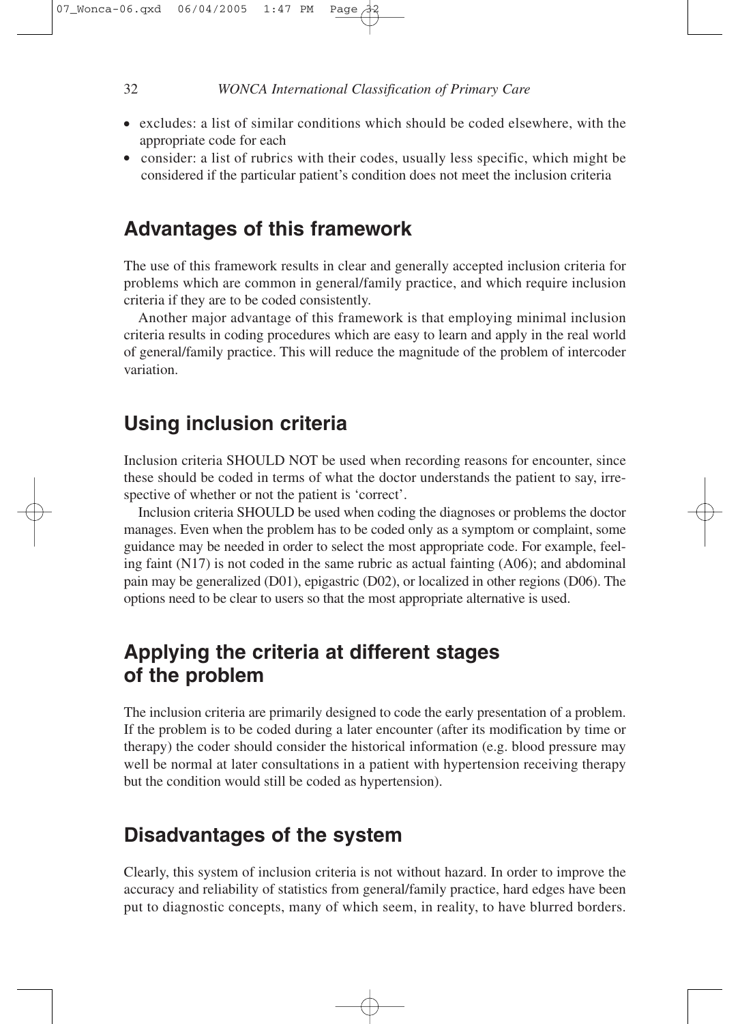- excludes: a list of similar conditions which should be coded elsewhere, with the appropriate code for each
- consider: a list of rubrics with their codes, usually less specific, which might be considered if the particular patient's condition does not meet the inclusion criteria

# **Advantages of this framework**

The use of this framework results in clear and generally accepted inclusion criteria for problems which are common in general/family practice, and which require inclusion criteria if they are to be coded consistently.

Another major advantage of this framework is that employing minimal inclusion criteria results in coding procedures which are easy to learn and apply in the real world of general/family practice. This will reduce the magnitude of the problem of intercoder variation.

# **Using inclusion criteria**

Inclusion criteria SHOULD NOT be used when recording reasons for encounter, since these should be coded in terms of what the doctor understands the patient to say, irrespective of whether or not the patient is 'correct'.

Inclusion criteria SHOULD be used when coding the diagnoses or problems the doctor manages. Even when the problem has to be coded only as a symptom or complaint, some guidance may be needed in order to select the most appropriate code. For example, feeling faint (N17) is not coded in the same rubric as actual fainting (A06); and abdominal pain may be generalized (D01), epigastric (D02), or localized in other regions (D06). The options need to be clear to users so that the most appropriate alternative is used.

# **Applying the criteria at different stages of the problem**

The inclusion criteria are primarily designed to code the early presentation of a problem. If the problem is to be coded during a later encounter (after its modification by time or therapy) the coder should consider the historical information (e.g. blood pressure may well be normal at later consultations in a patient with hypertension receiving therapy but the condition would still be coded as hypertension).

# **Disadvantages of the system**

Clearly, this system of inclusion criteria is not without hazard. In order to improve the accuracy and reliability of statistics from general/family practice, hard edges have been put to diagnostic concepts, many of which seem, in reality, to have blurred borders.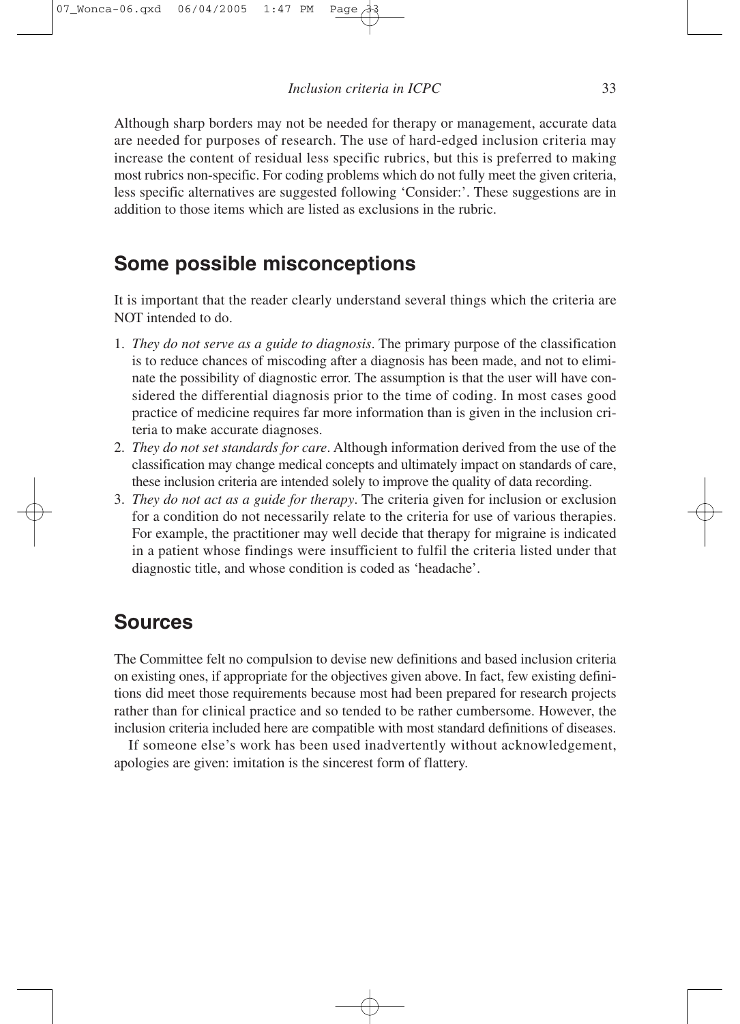#### *Inclusion criteria in ICPC* 33

Although sharp borders may not be needed for therapy or management, accurate data are needed for purposes of research. The use of hard-edged inclusion criteria may increase the content of residual less specific rubrics, but this is preferred to making most rubrics non-specific. For coding problems which do not fully meet the given criteria, less specific alternatives are suggested following 'Consider:'. These suggestions are in addition to those items which are listed as exclusions in the rubric.

# **Some possible misconceptions**

It is important that the reader clearly understand several things which the criteria are NOT intended to do.

- 1. *They do not serve as a guide to diagnosis*. The primary purpose of the classification is to reduce chances of miscoding after a diagnosis has been made, and not to eliminate the possibility of diagnostic error. The assumption is that the user will have considered the differential diagnosis prior to the time of coding. In most cases good practice of medicine requires far more information than is given in the inclusion criteria to make accurate diagnoses.
- 2. *They do not set standards for care*. Although information derived from the use of the classification may change medical concepts and ultimately impact on standards of care, these inclusion criteria are intended solely to improve the quality of data recording.
- 3. *They do not act as a guide for therapy*. The criteria given for inclusion or exclusion for a condition do not necessarily relate to the criteria for use of various therapies. For example, the practitioner may well decide that therapy for migraine is indicated in a patient whose findings were insufficient to fulfil the criteria listed under that diagnostic title, and whose condition is coded as 'headache'.

## **Sources**

The Committee felt no compulsion to devise new definitions and based inclusion criteria on existing ones, if appropriate for the objectives given above. In fact, few existing definitions did meet those requirements because most had been prepared for research projects rather than for clinical practice and so tended to be rather cumbersome. However, the inclusion criteria included here are compatible with most standard definitions of diseases.

If someone else's work has been used inadvertently without acknowledgement, apologies are given: imitation is the sincerest form of flattery.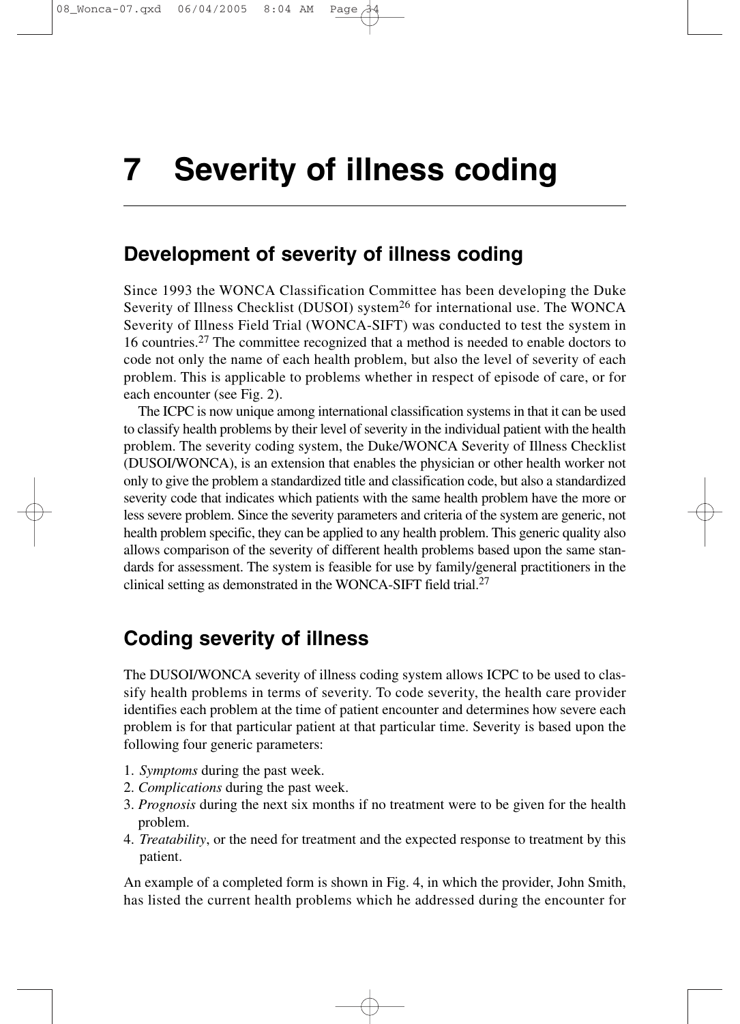# **7 Severity of illness coding**

# **Development of severity of illness coding**

Since 1993 the WONCA Classification Committee has been developing the Duke Severity of Illness Checklist (DUSOI) system<sup>26</sup> for international use. The WONCA Severity of Illness Field Trial (WONCA-SIFT) was conducted to test the system in 16 countries.<sup>27</sup> The committee recognized that a method is needed to enable doctors to code not only the name of each health problem, but also the level of severity of each problem. This is applicable to problems whether in respect of episode of care, or for each encounter (see Fig. 2).

The ICPC is now unique among international classification systems in that it can be used to classify health problems by their level of severity in the individual patient with the health problem. The severity coding system, the Duke/WONCA Severity of Illness Checklist (DUSOI/WONCA), is an extension that enables the physician or other health worker not only to give the problem a standardized title and classification code, but also a standardized severity code that indicates which patients with the same health problem have the more or less severe problem. Since the severity parameters and criteria of the system are generic, not health problem specific, they can be applied to any health problem. This generic quality also allows comparison of the severity of different health problems based upon the same standards for assessment. The system is feasible for use by family/general practitioners in the clinical setting as demonstrated in the WONCA-SIFT field trial.27

# **Coding severity of illness**

The DUSOI/WONCA severity of illness coding system allows ICPC to be used to classify health problems in terms of severity. To code severity, the health care provider identifies each problem at the time of patient encounter and determines how severe each problem is for that particular patient at that particular time. Severity is based upon the following four generic parameters:

- 1. *Symptoms* during the past week.
- 2. *Complications* during the past week.
- 3. *Prognosis* during the next six months if no treatment were to be given for the health problem.
- 4. *Treatability*, or the need for treatment and the expected response to treatment by this patient.

An example of a completed form is shown in Fig. 4, in which the provider, John Smith, has listed the current health problems which he addressed during the encounter for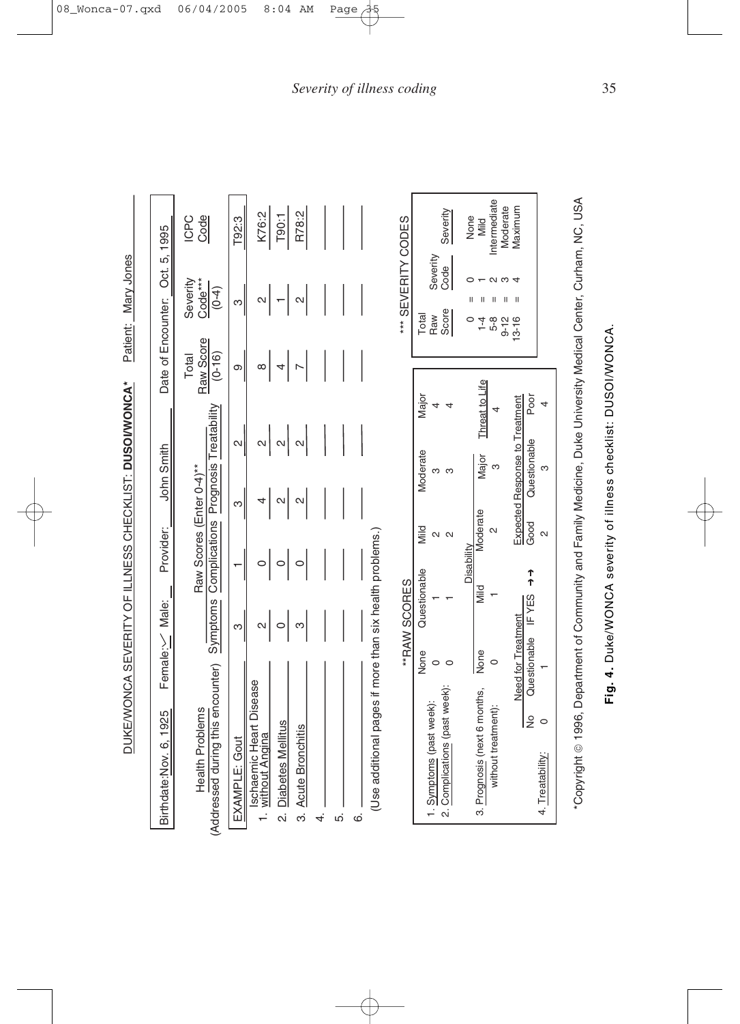| ĺ                                                                                                                                                |  |
|--------------------------------------------------------------------------------------------------------------------------------------------------|--|
| こうしょうしょう トクラミくしこく くくしょ ここしく こしてしこしく くくこくこうしこう<br>$\vdots$<br><b>コロ・コン・コン・コン フロール</b><br> <br> <br> <br> <br> <br>.<br>J<br> <br> <br> <br> <br>Í |  |

| ICPC<br>Code                                                                                            | <b>T92:3</b>                                                                                                                            | K76:2              | $\frac{1}{190}$                                  | R78:2                |                         |     |   |                                                          |                                     |
|---------------------------------------------------------------------------------------------------------|-----------------------------------------------------------------------------------------------------------------------------------------|--------------------|--------------------------------------------------|----------------------|-------------------------|-----|---|----------------------------------------------------------|-------------------------------------|
| Code***<br>Severity<br>$(0-4)$                                                                          | ო                                                                                                                                       | N                  |                                                  | $\sim$               |                         |     |   |                                                          | Total                               |
| Raw Score<br>$(0-16)$<br>Total                                                                          | σ                                                                                                                                       | $\infty$           |                                                  |                      |                         |     |   |                                                          |                                     |
|                                                                                                         | Ν                                                                                                                                       | Z                  | ¢                                                |                      |                         |     |   |                                                          | Major                               |
|                                                                                                         | ო                                                                                                                                       |                    |                                                  | $\mathbf{c}$         |                         |     |   |                                                          | Moderate                            |
|                                                                                                         |                                                                                                                                         |                    |                                                  |                      |                         |     |   |                                                          | Mild                                |
|                                                                                                         | ო                                                                                                                                       |                    |                                                  | ო                    |                         |     |   |                                                          | Questionable                        |
|                                                                                                         |                                                                                                                                         |                    |                                                  |                      |                         |     |   |                                                          | None                                |
|                                                                                                         |                                                                                                                                         |                    |                                                  |                      |                         |     |   |                                                          |                                     |
|                                                                                                         |                                                                                                                                         | $\overline{\cdot}$ |                                                  | .<br>ෆ               | ť                       | ιó. | Ġ |                                                          |                                     |
| Date of Encounter: Oct. 5, 1995<br>John Smith<br>Provider:<br>Female: v Male:<br>Birthdate:Nov. 6, 1925 | Symptoms Complications Prognosis Treatabilit<br>Raw Scores (Enter 0-4)**<br>(Addressed during this encounter)<br><b>Health Problems</b> | EXAMPLE: Gout      | <b>Ischaemic Heart Disease</b><br>without Angına | 2. Diabetes Mellitus | <b>Acute Bronchitis</b> |     |   | (Use additional pages if more than six health problems.) | *** SEVERITY CODES<br>** RAW SCORES |

 $\bigoplus$ 

| *** SEVERITY CODES<br>Raw<br>Score<br><b>Total</b><br>$\frac{9-18}{13-16}$<br>5-8                                                        |
|------------------------------------------------------------------------------------------------------------------------------------------|
| Threat to Life<br>Maior                                                                                                                  |
| Expected Response to Treatment<br>destionable<br>Major<br>Vloderate                                                                      |
| Moderate<br>Good                                                                                                                         |
| Disability<br>Questionable<br>Questionable IFYES +<br>** RAW SCORES                                                                      |
| <b>Need for Treatment</b><br>None                                                                                                        |
| 3. Prognosis (next 6 months, None<br>2. Complications (past week):<br>1. Symptoms (past week):<br>without treatment):<br>4. Treatability |

Fig. 4. Duke/WONCA severity of illness checklist: DUSOI/WONCA.

**Fig. 4.** Duke/WONCA severity of illness checklist: DUSOI/WONCA.

1996, Department of Community and Family Medicine, Duke University Medical Center, Curham, NC, USA

\*Copyright © 1996, Department of Community and Family Medicine, Duke University Medical Center, Curham, NC, USA

\*Copyright

## *Severity of illness coding* 35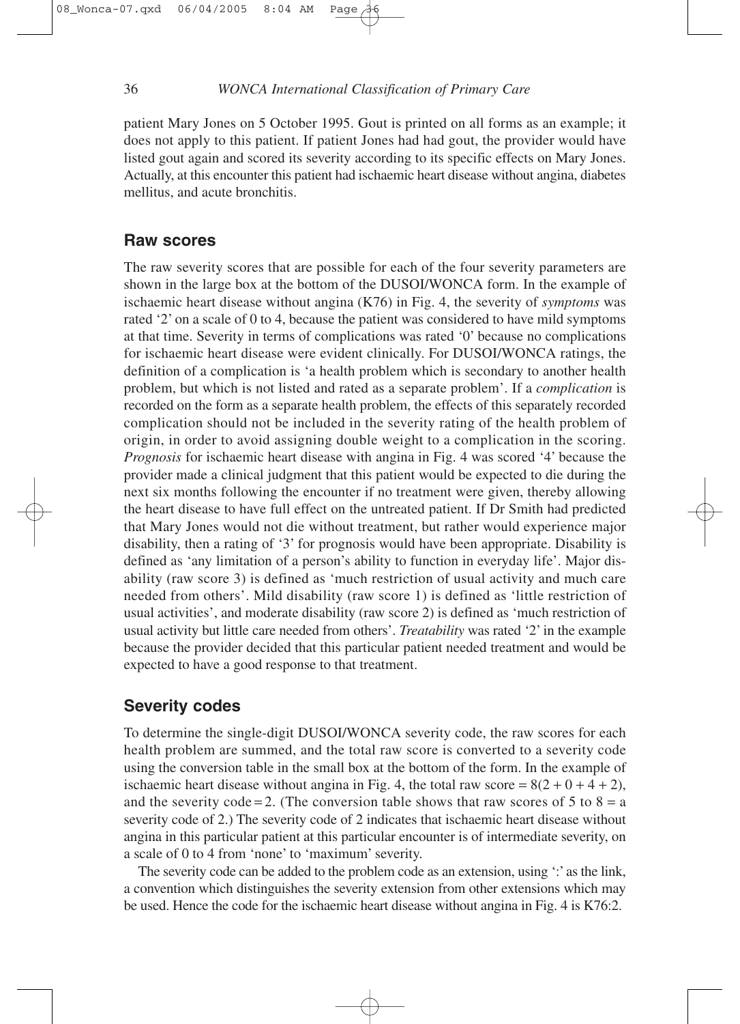patient Mary Jones on 5 October 1995. Gout is printed on all forms as an example; it does not apply to this patient. If patient Jones had had gout, the provider would have listed gout again and scored its severity according to its specific effects on Mary Jones. Actually, at this encounter this patient had ischaemic heart disease without angina, diabetes mellitus, and acute bronchitis.

#### **Raw scores**

The raw severity scores that are possible for each of the four severity parameters are shown in the large box at the bottom of the DUSOI/WONCA form. In the example of ischaemic heart disease without angina (K76) in Fig. 4, the severity of *symptoms* was rated '2' on a scale of 0 to 4, because the patient was considered to have mild symptoms at that time. Severity in terms of complications was rated '0' because no complications for ischaemic heart disease were evident clinically. For DUSOI/WONCA ratings, the definition of a complication is 'a health problem which is secondary to another health problem, but which is not listed and rated as a separate problem'. If a *complication* is recorded on the form as a separate health problem, the effects of this separately recorded complication should not be included in the severity rating of the health problem of origin, in order to avoid assigning double weight to a complication in the scoring. *Prognosis* for ischaemic heart disease with angina in Fig. 4 was scored '4' because the provider made a clinical judgment that this patient would be expected to die during the next six months following the encounter if no treatment were given, thereby allowing the heart disease to have full effect on the untreated patient. If Dr Smith had predicted that Mary Jones would not die without treatment, but rather would experience major disability, then a rating of '3' for prognosis would have been appropriate. Disability is defined as 'any limitation of a person's ability to function in everyday life'. Major disability (raw score 3) is defined as 'much restriction of usual activity and much care needed from others'. Mild disability (raw score 1) is defined as 'little restriction of usual activities', and moderate disability (raw score 2) is defined as 'much restriction of usual activity but little care needed from others'. *Treatability* was rated '2' in the example because the provider decided that this particular patient needed treatment and would be expected to have a good response to that treatment.

#### **Severity codes**

To determine the single-digit DUSOI/WONCA severity code, the raw scores for each health problem are summed, and the total raw score is converted to a severity code using the conversion table in the small box at the bottom of the form. In the example of ischaemic heart disease without angina in Fig. 4, the total raw score =  $8(2 + 0 + 4 + 2)$ , and the severity code = 2. (The conversion table shows that raw scores of 5 to  $8 = a$ ) severity code of 2.) The severity code of 2 indicates that ischaemic heart disease without angina in this particular patient at this particular encounter is of intermediate severity, on a scale of 0 to 4 from 'none' to 'maximum' severity.

The severity code can be added to the problem code as an extension, using ":" as the link, a convention which distinguishes the severity extension from other extensions which may be used. Hence the code for the ischaemic heart disease without angina in Fig. 4 is K76:2.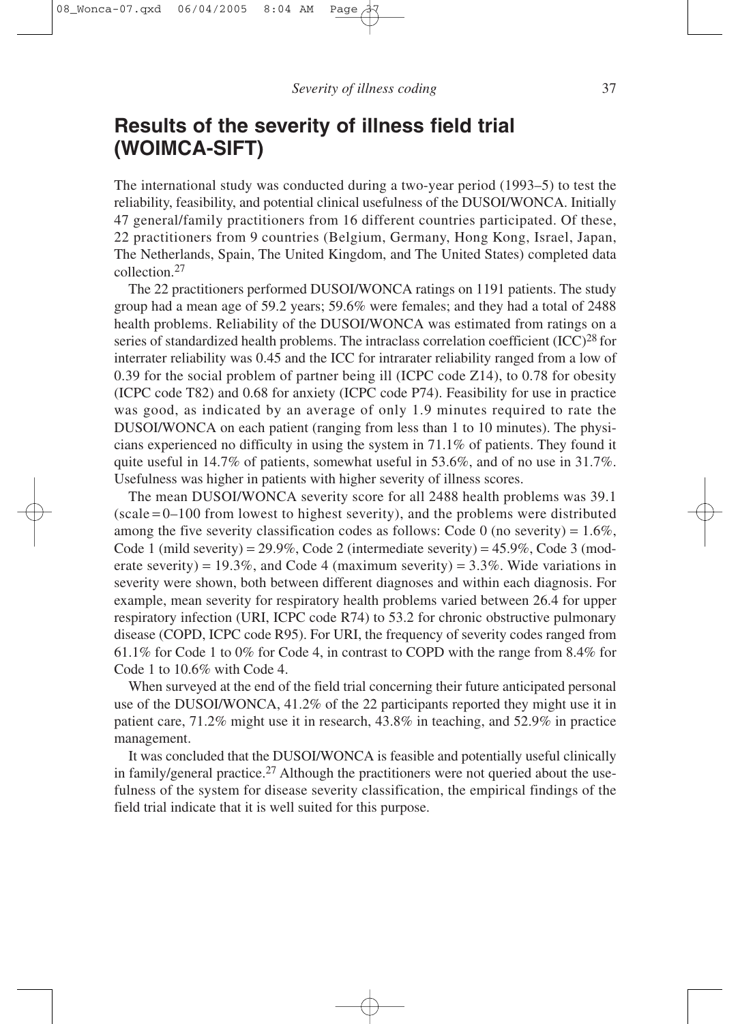*Severity of illness coding* 37

# **Results of the severity of illness field trial (WOIMCA-SIFT)**

The international study was conducted during a two-year period (1993–5) to test the reliability, feasibility, and potential clinical usefulness of the DUSOI/WONCA. Initially 47 general/family practitioners from 16 different countries participated. Of these, 22 practitioners from 9 countries (Belgium, Germany, Hong Kong, Israel, Japan, The Netherlands, Spain, The United Kingdom, and The United States) completed data collection.27

The 22 practitioners performed DUSOI/WONCA ratings on 1191 patients. The study group had a mean age of 59.2 years; 59.6% were females; and they had a total of 2488 health problems. Reliability of the DUSOI/WONCA was estimated from ratings on a series of standardized health problems. The intraclass correlation coefficient  $(ICC)^{28}$  for interrater reliability was 0.45 and the ICC for intrarater reliability ranged from a low of 0.39 for the social problem of partner being ill (ICPC code Z14), to 0.78 for obesity (ICPC code T82) and 0.68 for anxiety (ICPC code P74). Feasibility for use in practice was good, as indicated by an average of only 1.9 minutes required to rate the DUSOI/WONCA on each patient (ranging from less than 1 to 10 minutes). The physicians experienced no difficulty in using the system in 71.1% of patients. They found it quite useful in 14.7% of patients, somewhat useful in 53.6%, and of no use in 31.7%. Usefulness was higher in patients with higher severity of illness scores.

The mean DUSOI/WONCA severity score for all 2488 health problems was 39.1 (scale = 0–100 from lowest to highest severity), and the problems were distributed among the five severity classification codes as follows: Code 0 (no severity) =  $1.6\%$ , Code 1 (mild severity) =  $29.9\%$ , Code 2 (intermediate severity) =  $45.9\%$ , Code 3 (moderate severity) = 19.3%, and Code 4 (maximum severity) = 3.3%. Wide variations in severity were shown, both between different diagnoses and within each diagnosis. For example, mean severity for respiratory health problems varied between 26.4 for upper respiratory infection (URI, ICPC code R74) to 53.2 for chronic obstructive pulmonary disease (COPD, ICPC code R95). For URI, the frequency of severity codes ranged from 61.1% for Code 1 to 0% for Code 4, in contrast to COPD with the range from 8.4% for Code 1 to 10.6% with Code 4.

When surveyed at the end of the field trial concerning their future anticipated personal use of the DUSOI/WONCA, 41.2% of the 22 participants reported they might use it in patient care, 71.2% might use it in research, 43.8% in teaching, and 52.9% in practice management.

It was concluded that the DUSOI/WONCA is feasible and potentially useful clinically in family/general practice.<sup>27</sup> Although the practitioners were not queried about the usefulness of the system for disease severity classification, the empirical findings of the field trial indicate that it is well suited for this purpose.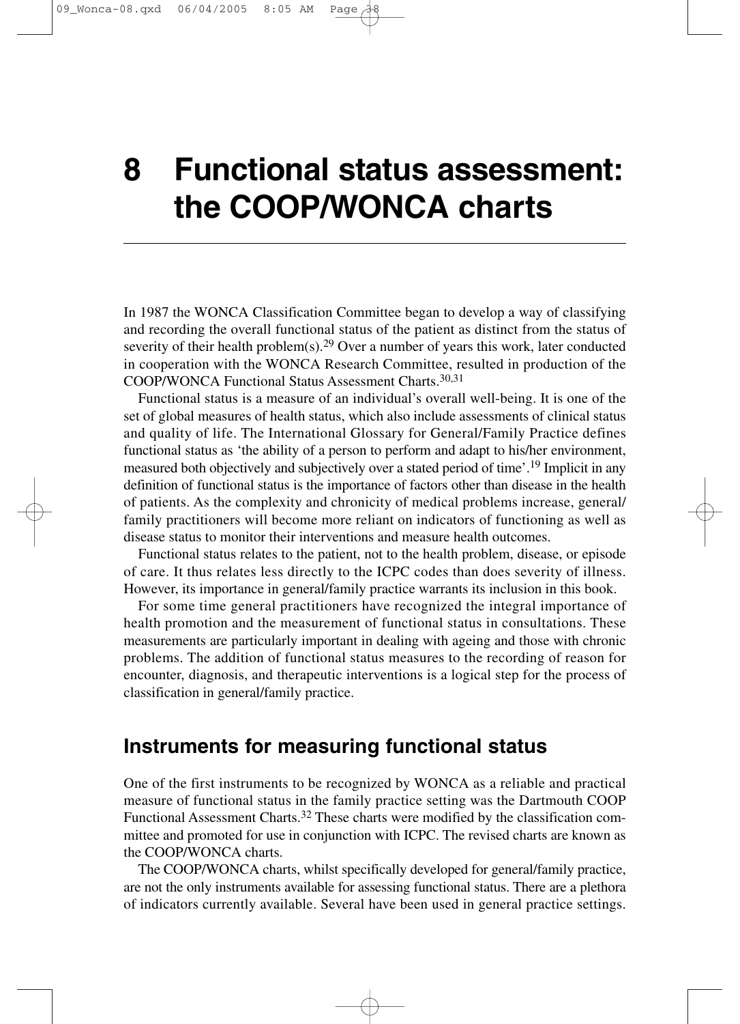# **8 Functional status assessment: the COOP/WONCA charts**

In 1987 the WONCA Classification Committee began to develop a way of classifying and recording the overall functional status of the patient as distinct from the status of severity of their health problem $(s)$ .<sup>29</sup> Over a number of years this work, later conducted in cooperation with the WONCA Research Committee, resulted in production of the COOP/WONCA Functional Status Assessment Charts.30,31

Functional status is a measure of an individual's overall well-being. It is one of the set of global measures of health status, which also include assessments of clinical status and quality of life. The International Glossary for General/Family Practice defines functional status as 'the ability of a person to perform and adapt to his/her environment, measured both objectively and subjectively over a stated period of time'.19 Implicit in any definition of functional status is the importance of factors other than disease in the health of patients. As the complexity and chronicity of medical problems increase, general/ family practitioners will become more reliant on indicators of functioning as well as disease status to monitor their interventions and measure health outcomes.

Functional status relates to the patient, not to the health problem, disease, or episode of care. It thus relates less directly to the ICPC codes than does severity of illness. However, its importance in general/family practice warrants its inclusion in this book.

For some time general practitioners have recognized the integral importance of health promotion and the measurement of functional status in consultations. These measurements are particularly important in dealing with ageing and those with chronic problems. The addition of functional status measures to the recording of reason for encounter, diagnosis, and therapeutic interventions is a logical step for the process of classification in general/family practice.

# **Instruments for measuring functional status**

One of the first instruments to be recognized by WONCA as a reliable and practical measure of functional status in the family practice setting was the Dartmouth COOP Functional Assessment Charts.<sup>32</sup> These charts were modified by the classification committee and promoted for use in conjunction with ICPC. The revised charts are known as the COOP/WONCA charts.

The COOP/WONCA charts, whilst specifically developed for general/family practice, are not the only instruments available for assessing functional status. There are a plethora of indicators currently available. Several have been used in general practice settings.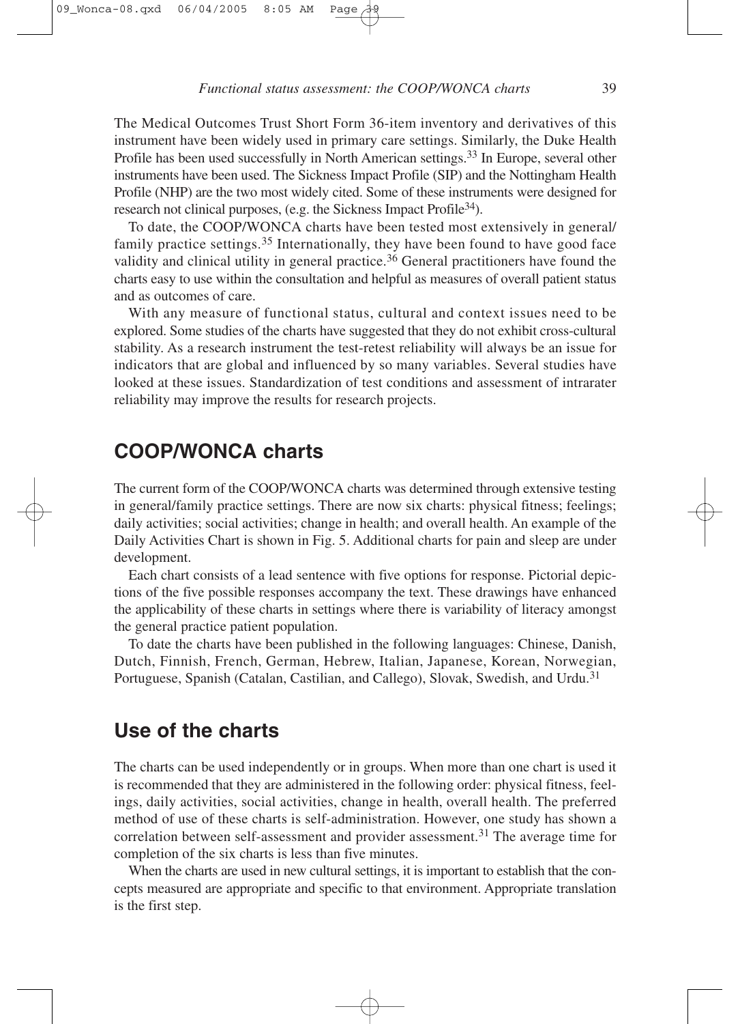#### *Functional status assessment: the COOP/WONCA charts* 39

The Medical Outcomes Trust Short Form 36-item inventory and derivatives of this instrument have been widely used in primary care settings. Similarly, the Duke Health Profile has been used successfully in North American settings.33 In Europe, several other instruments have been used. The Sickness Impact Profile (SIP) and the Nottingham Health Profile (NHP) are the two most widely cited. Some of these instruments were designed for research not clinical purposes, (e.g. the Sickness Impact Profile34).

To date, the COOP/WONCA charts have been tested most extensively in general/ family practice settings.<sup>35</sup> Internationally, they have been found to have good face validity and clinical utility in general practice.<sup>36</sup> General practitioners have found the charts easy to use within the consultation and helpful as measures of overall patient status and as outcomes of care.

With any measure of functional status, cultural and context issues need to be explored. Some studies of the charts have suggested that they do not exhibit cross-cultural stability. As a research instrument the test-retest reliability will always be an issue for indicators that are global and influenced by so many variables. Several studies have looked at these issues. Standardization of test conditions and assessment of intrarater reliability may improve the results for research projects.

# **COOP/WONCA charts**

The current form of the COOP/WONCA charts was determined through extensive testing in general/family practice settings. There are now six charts: physical fitness; feelings; daily activities; social activities; change in health; and overall health. An example of the Daily Activities Chart is shown in Fig. 5. Additional charts for pain and sleep are under development.

Each chart consists of a lead sentence with five options for response. Pictorial depictions of the five possible responses accompany the text. These drawings have enhanced the applicability of these charts in settings where there is variability of literacy amongst the general practice patient population.

To date the charts have been published in the following languages: Chinese, Danish, Dutch, Finnish, French, German, Hebrew, Italian, Japanese, Korean, Norwegian, Portuguese, Spanish (Catalan, Castilian, and Callego), Slovak, Swedish, and Urdu.<sup>31</sup>

# **Use of the charts**

The charts can be used independently or in groups. When more than one chart is used it is recommended that they are administered in the following order: physical fitness, feelings, daily activities, social activities, change in health, overall health. The preferred method of use of these charts is self-administration. However, one study has shown a correlation between self-assessment and provider assessment.<sup>31</sup> The average time for completion of the six charts is less than five minutes.

When the charts are used in new cultural settings, it is important to establish that the concepts measured are appropriate and specific to that environment. Appropriate translation is the first step.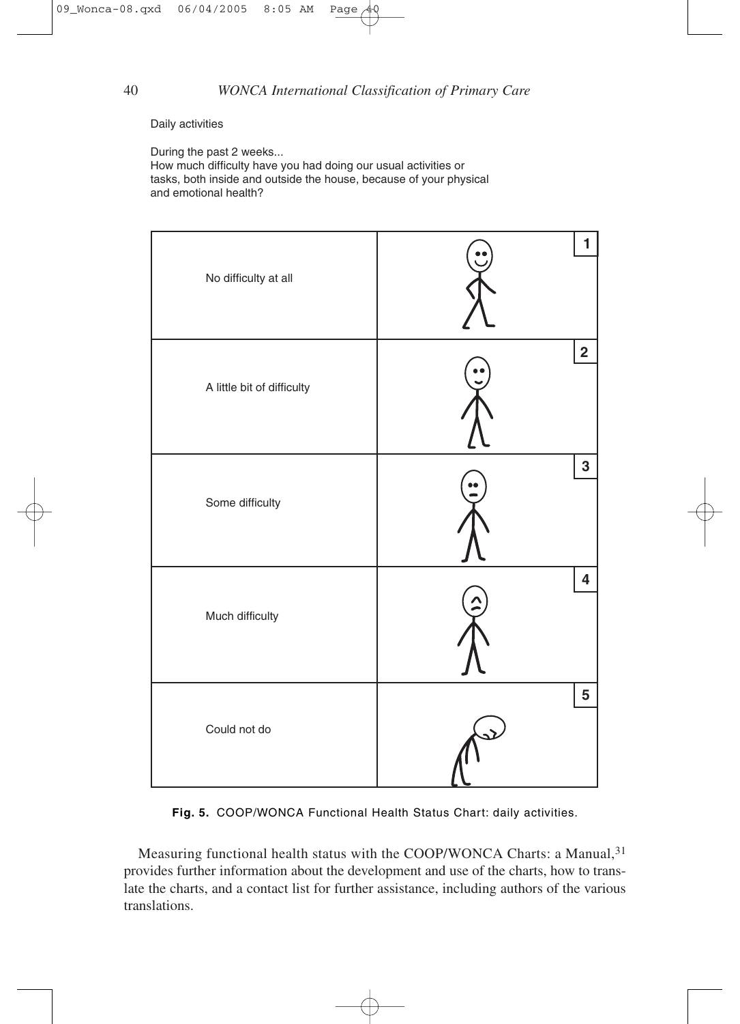#### Daily activities

During the past 2 weeks...

How much difficulty have you had doing our usual activities or tasks, both inside and outside the house, because of your physical and emotional health?



**Fig. 5.** COOP/WONCA Functional Health Status Chart: daily activities.

Measuring functional health status with the COOP/WONCA Charts: a Manual, 31 provides further information about the development and use of the charts, how to translate the charts, and a contact list for further assistance, including authors of the various translations.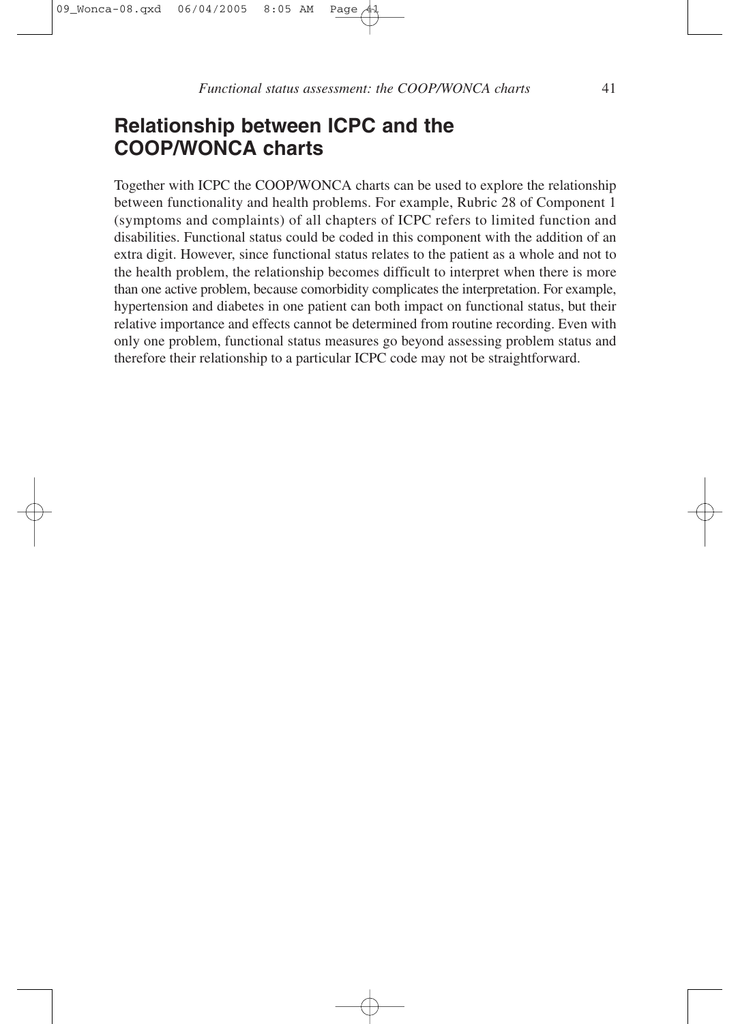# **Relationship between ICPC and the COOP/WONCA charts**

Together with ICPC the COOP/WONCA charts can be used to explore the relationship between functionality and health problems. For example, Rubric 28 of Component 1 (symptoms and complaints) of all chapters of ICPC refers to limited function and disabilities. Functional status could be coded in this component with the addition of an extra digit. However, since functional status relates to the patient as a whole and not to the health problem, the relationship becomes difficult to interpret when there is more than one active problem, because comorbidity complicates the interpretation. For example, hypertension and diabetes in one patient can both impact on functional status, but their relative importance and effects cannot be determined from routine recording. Even with only one problem, functional status measures go beyond assessing problem status and therefore their relationship to a particular ICPC code may not be straightforward.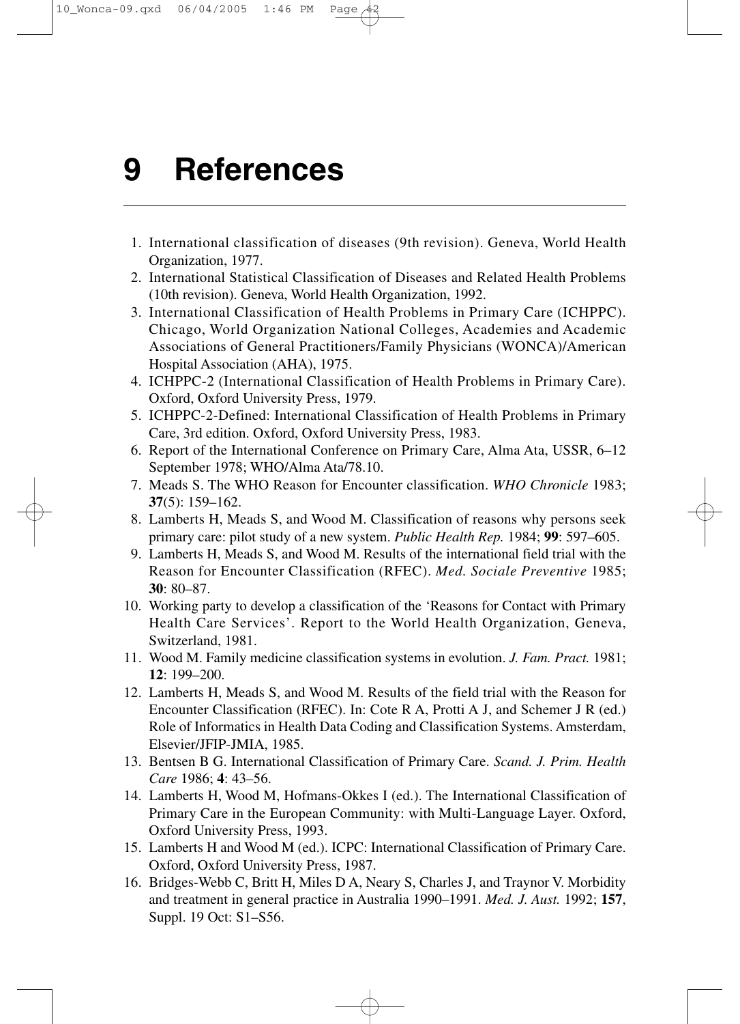#### 10\_Wonca-09.qxd 06/04/2005 1:46 PM

# **9 References**

- 1. International classification of diseases (9th revision). Geneva, World Health Organization, 1977.
- 2. International Statistical Classification of Diseases and Related Health Problems (10th revision). Geneva, World Health Organization, 1992.
- 3. International Classification of Health Problems in Primary Care (ICHPPC). Chicago, World Organization National Colleges, Academies and Academic Associations of General Practitioners/Family Physicians (WONCA)/American Hospital Association (AHA), 1975.
- 4. ICHPPC-2 (International Classification of Health Problems in Primary Care). Oxford, Oxford University Press, 1979.
- 5. ICHPPC-2-Defined: International Classification of Health Problems in Primary Care, 3rd edition. Oxford, Oxford University Press, 1983.
- 6. Report of the International Conference on Primary Care, Alma Ata, USSR, 6–12 September 1978; WHO/Alma Ata/78.10.
- 7. Meads S. The WHO Reason for Encounter classification. *WHO Chronicle* 1983; **37**(5): 159–162.
- 8. Lamberts H, Meads S, and Wood M. Classification of reasons why persons seek primary care: pilot study of a new system. *Public Health Rep.* 1984; **99**: 597–605.
- 9. Lamberts H, Meads S, and Wood M. Results of the international field trial with the Reason for Encounter Classification (RFEC). *Med. Sociale Preventive* 1985; **30**: 80–87.
- 10. Working party to develop a classification of the 'Reasons for Contact with Primary Health Care Services'. Report to the World Health Organization, Geneva, Switzerland, 1981.
- 11. Wood M. Family medicine classification systems in evolution. *J. Fam. Pract.* 1981; **12**: 199–200.
- 12. Lamberts H, Meads S, and Wood M. Results of the field trial with the Reason for Encounter Classification (RFEC). In: Cote R A, Protti A J, and Schemer J R (ed.) Role of Informatics in Health Data Coding and Classification Systems. Amsterdam, Elsevier/JFIP-JMIA, 1985.
- 13. Bentsen B G. International Classification of Primary Care. *Scand. J. Prim. Health Care* 1986; **4**: 43–56.
- 14. Lamberts H, Wood M, Hofmans-Okkes I (ed.). The International Classification of Primary Care in the European Community: with Multi-Language Layer. Oxford, Oxford University Press, 1993.
- 15. Lamberts H and Wood M (ed.). ICPC: International Classification of Primary Care. Oxford, Oxford University Press, 1987.
- 16. Bridges-Webb C, Britt H, Miles D A, Neary S, Charles J, and Traynor V. Morbidity and treatment in general practice in Australia 1990–1991. *Med. J. Aust.* 1992; **157**, Suppl. 19 Oct: S1–S56.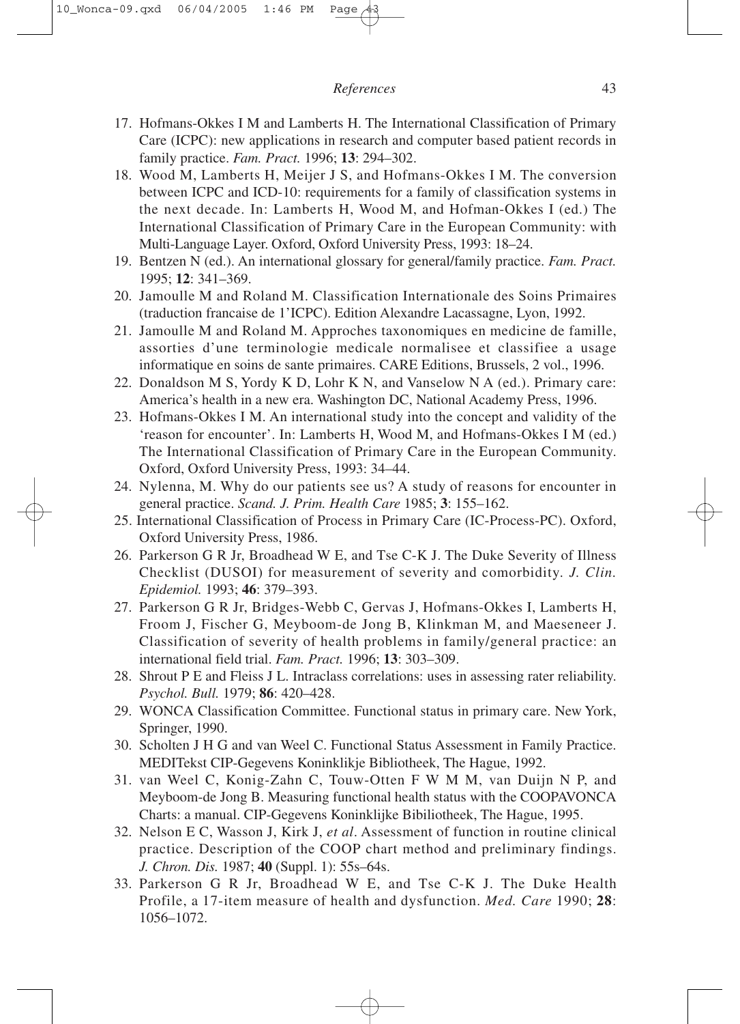#### *References* 43

- 17. Hofmans-Okkes I M and Lamberts H. The International Classification of Primary Care (ICPC): new applications in research and computer based patient records in family practice. *Fam. Pract.* 1996; **13**: 294–302.
- 18. Wood M, Lamberts H, Meijer J S, and Hofmans-Okkes I M. The conversion between ICPC and ICD-10: requirements for a family of classification systems in the next decade. In: Lamberts H, Wood M, and Hofman-Okkes I (ed.) The International Classification of Primary Care in the European Community: with Multi-Language Layer. Oxford, Oxford University Press, 1993: 18–24.
- 19. Bentzen N (ed.). An international glossary for general/family practice. *Fam. Pract.* 1995; **12**: 341–369.
- 20. Jamoulle M and Roland M. Classification Internationale des Soins Primaires (traduction francaise de 1'ICPC). Edition Alexandre Lacassagne, Lyon, 1992.
- 21. Jamoulle M and Roland M. Approches taxonomiques en medicine de famille, assorties d'une terminologie medicale normalisee et classifiee a usage informatique en soins de sante primaires. CARE Editions, Brussels, 2 vol., 1996.
- 22. Donaldson M S, Yordy K D, Lohr K N, and Vanselow N A (ed.). Primary care: America's health in a new era. Washington DC, National Academy Press, 1996.
- 23. Hofmans-Okkes I M. An international study into the concept and validity of the 'reason for encounter'. In: Lamberts H, Wood M, and Hofmans-Okkes I M (ed.) The International Classification of Primary Care in the European Community. Oxford, Oxford University Press, 1993: 34–44.
- 24. Nylenna, M. Why do our patients see us? A study of reasons for encounter in general practice. *Scand. J. Prim. Health Care* 1985; **3**: 155–162.
- 25. International Classification of Process in Primary Care (IC-Process-PC). Oxford, Oxford University Press, 1986.
- 26. Parkerson G R Jr, Broadhead W E, and Tse C-K J. The Duke Severity of Illness Checklist (DUSOI) for measurement of severity and comorbidity*. J. Clin. Epidemiol.* 1993; **46**: 379–393.
- 27. Parkerson G R Jr, Bridges-Webb C, Gervas J, Hofmans-Okkes I, Lamberts H, Froom J, Fischer G, Meyboom-de Jong B, Klinkman M, and Maeseneer J. Classification of severity of health problems in family/general practice: an international field trial. *Fam. Pract.* 1996; **13**: 303–309.
- 28. Shrout P E and Fleiss J L. Intraclass correlations: uses in assessing rater reliability. *Psychol. Bull.* 1979; **86**: 420–428.
- 29. WONCA Classification Committee. Functional status in primary care. New York, Springer, 1990.
- 30. Scholten J H G and van Weel C. Functional Status Assessment in Family Practice. MEDITekst CIP-Gegevens Koninklikje Bibliotheek, The Hague, 1992.
- 31. van Weel C, Konig-Zahn C, Touw-Otten F W M M, van Duijn N P, and Meyboom-de Jong B. Measuring functional health status with the COOPAVONCA Charts: a manual. CIP-Gegevens Koninklijke Bibiliotheek, The Hague, 1995.
- 32. Nelson E C, Wasson J, Kirk J, *et al*. Assessment of function in routine clinical practice. Description of the COOP chart method and preliminary findings. *J. Chron. Dis.* 1987; **40** (Suppl. 1): 55s–64s.
- 33. Parkerson G R Jr, Broadhead W E, and Tse C-K J. The Duke Health Profile, a 17-item measure of health and dysfunction. *Med. Care* 1990; **28**: 1056–1072.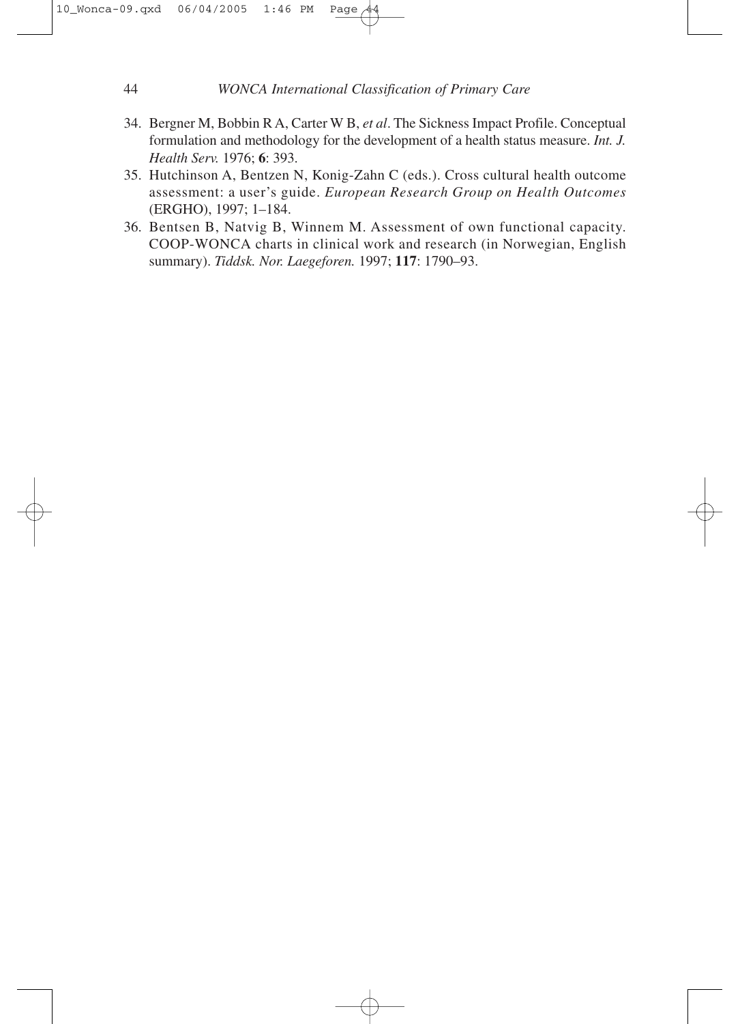- 34. Bergner M, Bobbin R A, Carter W B, *et al*. The Sickness Impact Profile. Conceptual formulation and methodology for the development of a health status measure. *Int. J. Health Serv.* 1976; **6**: 393.
- 35. Hutchinson A, Bentzen N, Konig-Zahn C (eds.). Cross cultural health outcome assessment: a user's guide. *European Research Group on Health Outcomes* (ERGHO), 1997; 1–184.
- 36. Bentsen B, Natvig B, Winnem M. Assessment of own functional capacity. COOP-WONCA charts in clinical work and research (in Norwegian, English summary). *Tiddsk. Nor. Laegeforen.* 1997; **117**: 1790–93.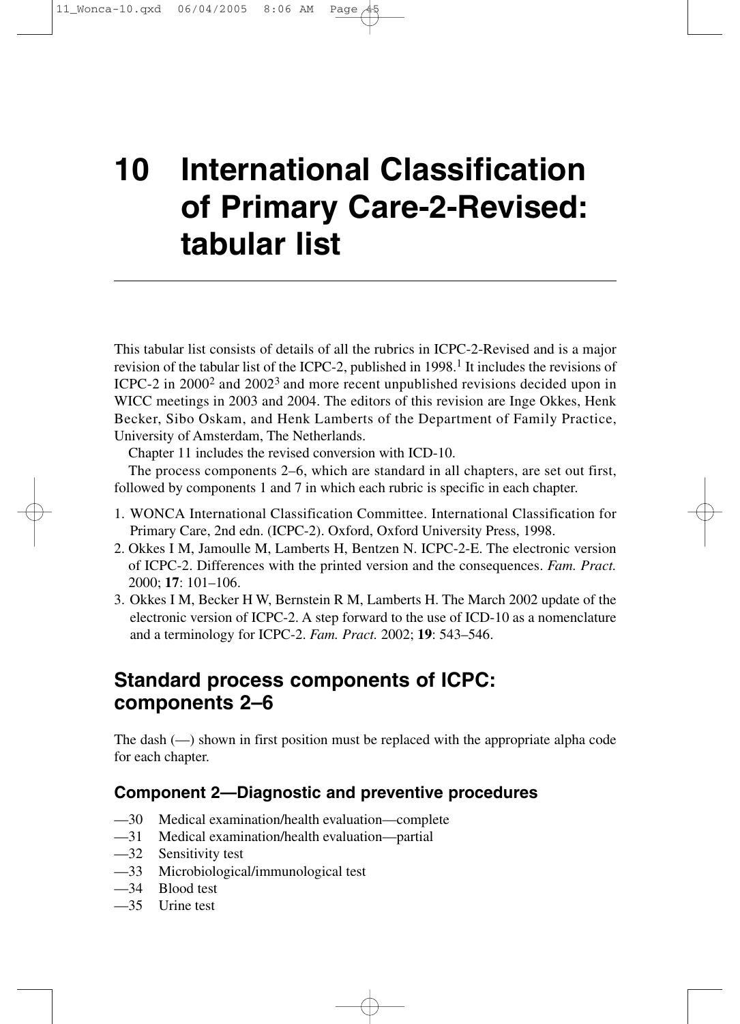# **10 International Classification of Primary Care-2-Revised: tabular list**

This tabular list consists of details of all the rubrics in ICPC-2-Revised and is a major revision of the tabular list of the ICPC-2, published in  $1998<sup>1</sup>$  It includes the revisions of ICPC-2 in 2000<sup>2</sup> and 20023 and more recent unpublished revisions decided upon in WICC meetings in 2003 and 2004. The editors of this revision are Inge Okkes, Henk Becker, Sibo Oskam, and Henk Lamberts of the Department of Family Practice, University of Amsterdam, The Netherlands.

Chapter 11 includes the revised conversion with ICD-10.

The process components 2–6, which are standard in all chapters, are set out first, followed by components 1 and 7 in which each rubric is specific in each chapter.

- 1. WONCA International Classification Committee. International Classification for Primary Care, 2nd edn. (ICPC-2). Oxford, Oxford University Press, 1998.
- 2. Okkes I M, Jamoulle M, Lamberts H, Bentzen N. ICPC-2-E. The electronic version of ICPC-2. Differences with the printed version and the consequences. *Fam. Pract.* 2000; **17**: 101–106.
- 3. Okkes I M, Becker H W, Bernstein R M, Lamberts H. The March 2002 update of the electronic version of ICPC-2. A step forward to the use of ICD-10 as a nomenclature and a terminology for ICPC-2. *Fam. Pract.* 2002; **19**: 543–546.

# **Standard process components of ICPC: components 2–6**

The dash (—) shown in first position must be replaced with the appropriate alpha code for each chapter.

#### **Component 2—Diagnostic and preventive procedures**

- —30 Medical examination/health evaluation—complete
- —31 Medical examination/health evaluation—partial
- —32 Sensitivity test
- —33 Microbiological/immunological test
- —34 Blood test
- —35 Urine test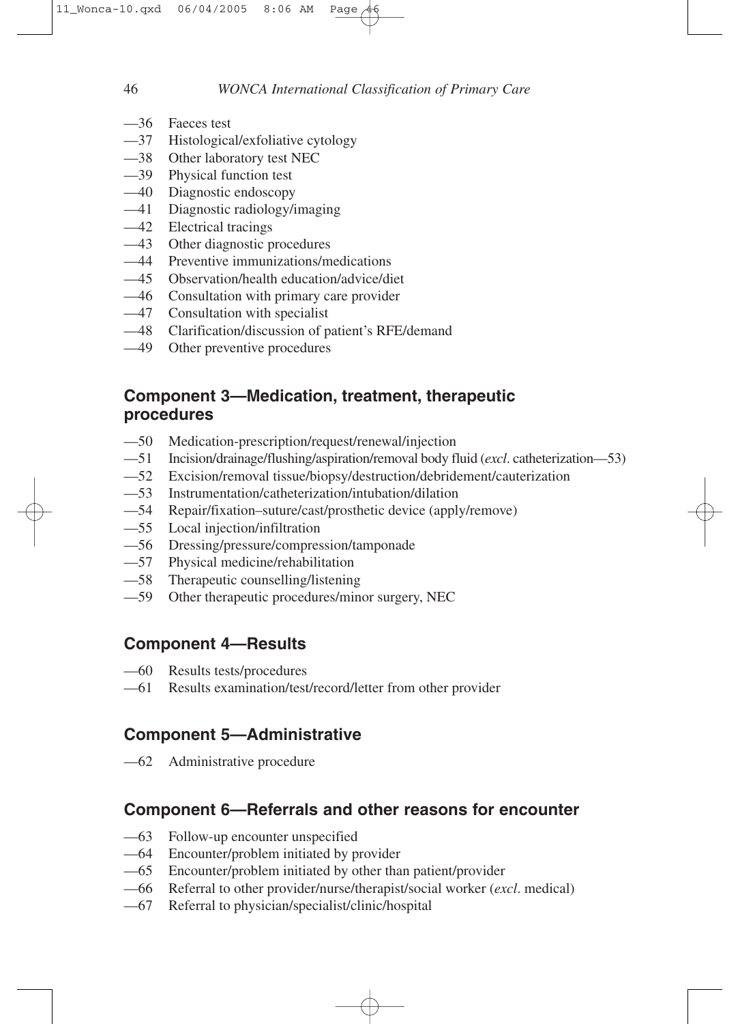- —36 Faeces test
- —37 Histological/exfoliative cytology
- —38 Other laboratory test NEC
- —39 Physical function test
- —40 Diagnostic endoscopy
- —41 Diagnostic radiology/imaging
- —42 Electrical tracings
- —43 Other diagnostic procedures
- —44 Preventive immunizations/medications
- —45 Observation/health education/advice/diet
- —46 Consultation with primary care provider
- —47 Consultation with specialist
- —48 Clarification/discussion of patient's RFE/demand
- —49 Other preventive procedures

## **Component 3—Medication, treatment, therapeutic procedures**

- —50 Medication-prescription/request/renewal/injection
- —51 Incision/drainage/flushing/aspiration/removal body fluid (*excl*. catheterization—53)
- —52 Excision/removal tissue/biopsy/destruction/debridement/cauterization
- —53 Instrumentation/catheterization/intubation/dilation
- —54 Repair/fixation–suture/cast/prosthetic device (apply/remove)
- —55 Local injection/infiltration
- —56 Dressing/pressure/compression/tamponade
- —57 Physical medicine/rehabilitation
- —58 Therapeutic counselling/listening
- —59 Other therapeutic procedures/minor surgery, NEC

#### **Component 4—Results**

- —60 Results tests/procedures
- —61 Results examination/test/record/letter from other provider

### **Component 5—Administrative**

—62 Administrative procedure

#### **Component 6—Referrals and other reasons for encounter**

- —63 Follow-up encounter unspecified
- —64 Encounter/problem initiated by provider
- —65 Encounter/problem initiated by other than patient/provider
- —66 Referral to other provider/nurse/therapist/social worker (*excl*. medical)
- —67 Referral to physician/specialist/clinic/hospital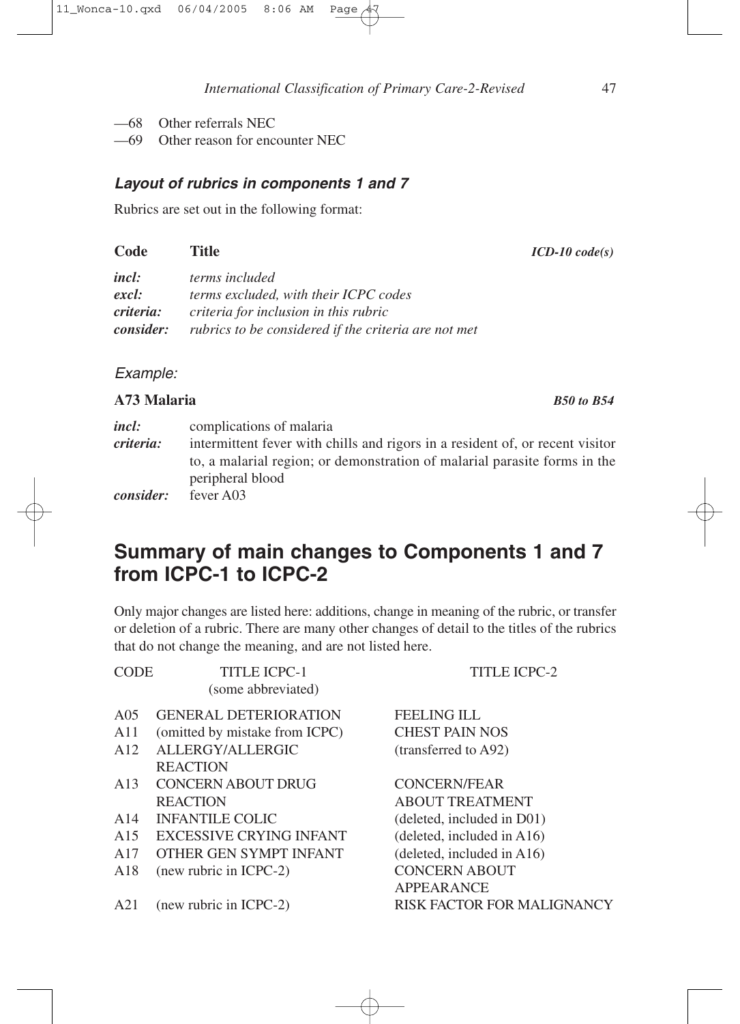*International Classification of Primary Care-2-Revised* 47

—68 Other referrals NEC

—69 Other reason for encounter NEC

#### *Layout of rubrics in components 1 and 7*

Rubrics are set out in the following format:

| Code                                                          | Title                                                                                                                                                    | $ICD-10 code(s)$ |
|---------------------------------------------------------------|----------------------------------------------------------------------------------------------------------------------------------------------------------|------------------|
| <i>incl:</i><br>excl:<br><i>criteria:</i><br><i>consider:</i> | terms included<br>terms excluded, with their ICPC codes<br>criteria for inclusion in this rubric<br>rubrics to be considered if the criteria are not met |                  |

#### *Example:*

| A73 Malaria | <b>B50</b> to B54 |
|-------------|-------------------|
|             |                   |

| <i>incl:</i>     | complications of malaria                                                      |
|------------------|-------------------------------------------------------------------------------|
| <i>criteria:</i> | intermittent fever with chills and rigors in a resident of, or recent visitor |
|                  | to, a malarial region; or demonstration of malarial parasite forms in the     |
|                  | peripheral blood                                                              |
| <i>consider:</i> | fever A03                                                                     |

# **Summary of main changes to Components 1 and 7 from ICPC-1 to ICPC-2**

Only major changes are listed here: additions, change in meaning of the rubric, or transfer or deletion of a rubric. There are many other changes of detail to the titles of the rubrics that do not change the meaning, and are not listed here.

| <b>CODE</b>     | <b>TITLE ICPC-1</b><br>(some abbreviated) | TITLE ICPC-2                      |
|-----------------|-------------------------------------------|-----------------------------------|
| A <sub>05</sub> | <b>GENERAL DETERIORATION</b>              | <b>FEELING ILL</b>                |
| A11             | (omitted by mistake from ICPC)            | <b>CHEST PAIN NOS</b>             |
| A12             | ALLERGY/ALLERGIC                          | (transferred to A92)              |
|                 | <b>REACTION</b>                           |                                   |
| A <sub>13</sub> | <b>CONCERN ABOUT DRUG</b>                 | <b>CONCERN/FEAR</b>               |
|                 | <b>REACTION</b>                           | <b>ABOUT TREATMENT</b>            |
| A14             | <b>INFANTILE COLIC</b>                    | (deleted, included in D01)        |
| A <sub>15</sub> | <b>EXCESSIVE CRYING INFANT</b>            | (deleted, included in A16)        |
| A17             | OTHER GEN SYMPT INFANT                    | (deleted, included in A16)        |
| A18             | (new rubric in ICPC-2)                    | <b>CONCERN ABOUT</b>              |
|                 |                                           | APPEARANCE                        |
| A21             | (new rubric in ICPC-2)                    | <b>RISK FACTOR FOR MALIGNANCY</b> |
|                 |                                           |                                   |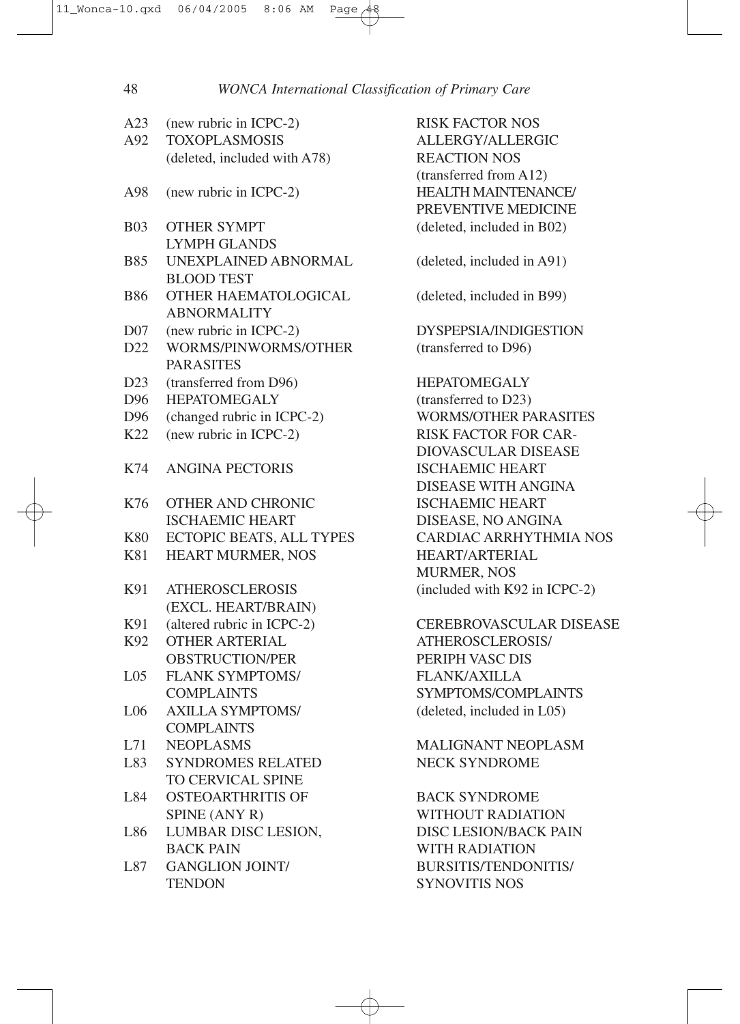| 48                | <b>WONCA International Classification of Primary Care</b> |                                                 |
|-------------------|-----------------------------------------------------------|-------------------------------------------------|
| A23               | (new rubric in ICPC-2)                                    | <b>RISK FACTOR NOS</b>                          |
| A92               | <b>TOXOPLASMOSIS</b>                                      | ALLERGY/ALLERGIC                                |
|                   | (deleted, included with A78)                              | <b>REACTION NOS</b>                             |
|                   |                                                           | (transferred from A12)                          |
| A98               | (new rubric in ICPC-2)                                    | <b>HEALTH MAINTENANCE/</b>                      |
|                   |                                                           | PREVENTIVE MEDICINE                             |
| B <sub>03</sub>   | <b>OTHER SYMPT</b>                                        | (deleted, included in B02)                      |
|                   | <b>LYMPH GLANDS</b>                                       |                                                 |
| <b>B85</b>        | UNEXPLAINED ABNORMAL                                      | (deleted, included in A91)                      |
|                   | <b>BLOOD TEST</b>                                         |                                                 |
| <b>B86</b>        | OTHER HAEMATOLOGICAL                                      | (deleted, included in B99)                      |
|                   | <b>ABNORMALITY</b>                                        |                                                 |
| D <sub>07</sub>   | (new rubric in ICPC-2)                                    | DYSPEPSIA/INDIGESTION                           |
| D22               | WORMS/PINWORMS/OTHER                                      | (transferred to D96)                            |
|                   | <b>PARASITES</b>                                          |                                                 |
| D23               | (transferred from D96)                                    | <b>HEPATOMEGALY</b>                             |
| D96               | <b>HEPATOMEGALY</b>                                       | (transferred to D23)                            |
| D96               | (changed rubric in ICPC-2)                                | <b>WORMS/OTHER PARASITES</b>                    |
| K22               | (new rubric in ICPC-2)                                    | RISK FACTOR FOR CAR-                            |
|                   |                                                           | DIOVASCULAR DISEASE                             |
| K74               | <b>ANGINA PECTORIS</b>                                    | <b>ISCHAEMIC HEART</b>                          |
|                   |                                                           | DISEASE WITH ANGINA                             |
| K76               | OTHER AND CHRONIC                                         | <b>ISCHAEMIC HEART</b>                          |
|                   | <b>ISCHAEMIC HEART</b>                                    | DISEASE, NO ANGINA                              |
| <b>K80</b><br>K81 | ECTOPIC BEATS, ALL TYPES<br>HEART MURMER, NOS             | <b>CARDIAC ARRHYTHMIA NOS</b><br>HEART/ARTERIAL |
|                   |                                                           | <b>MURMER, NOS</b>                              |
| K91               | <b>ATHEROSCLEROSIS</b>                                    | (included with K92 in ICPC-2)                   |
|                   | (EXCL. HEART/BRAIN)                                       |                                                 |
| K91               | (altered rubric in ICPC-2)                                | CEREBROVASCULAR DISEASE                         |
| K92               | <b>OTHER ARTERIAL</b>                                     | ATHEROSCLEROSIS/                                |
|                   | <b>OBSTRUCTION/PER</b>                                    | PERIPH VASC DIS                                 |
| L <sub>05</sub>   | FLANK SYMPTOMS/                                           | <b>FLANK/AXILLA</b>                             |
|                   | <b>COMPLAINTS</b>                                         | SYMPTOMS/COMPLAINTS                             |
| L <sub>06</sub>   | <b>AXILLA SYMPTOMS/</b>                                   | (deleted, included in L05)                      |
|                   | <b>COMPLAINTS</b>                                         |                                                 |
| L71               | <b>NEOPLASMS</b>                                          | <b>MALIGNANT NEOPLASM</b>                       |
| L83               | <b>SYNDROMES RELATED</b>                                  | <b>NECK SYNDROME</b>                            |
|                   | TO CERVICAL SPINE                                         |                                                 |
| L84               | <b>OSTEOARTHRITIS OF</b>                                  | <b>BACK SYNDROME</b>                            |
|                   | SPINE (ANY R)                                             | WITHOUT RADIATION                               |
| L86               | LUMBAR DISC LESION,                                       | <b>DISC LESION/BACK PAIN</b>                    |
|                   | <b>BACK PAIN</b>                                          | <b>WITH RADIATION</b>                           |
| L87               | <b>GANGLION JOINT/</b>                                    | BURSITIS/TENDONITIS/                            |
|                   | <b>TENDON</b>                                             | <b>SYNOVITIS NOS</b>                            |

 $\overline{\bigoplus}$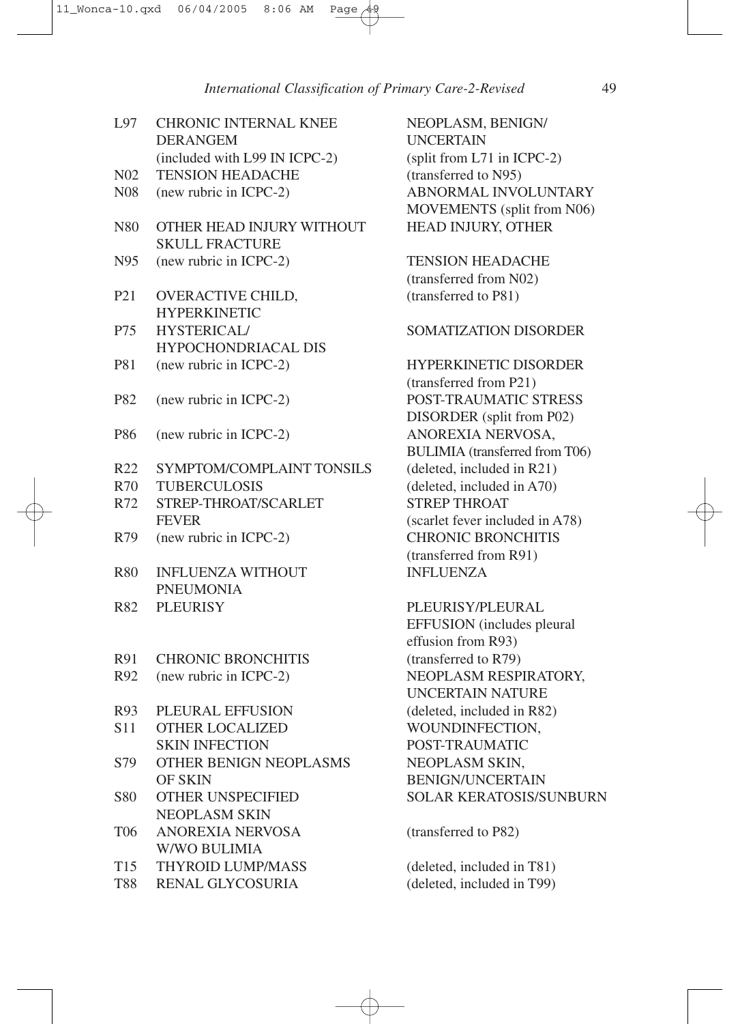*International Classification of Primary Care-2-Revised* 49

| L97          | <b>CHRONIC INTERNAL KNEE</b>  |
|--------------|-------------------------------|
|              | <b>DERANGEM</b>               |
|              | (included with L99 IN ICPC-2) |
| $\mathbf{r}$ | $\overline{m}$ $\overline{n}$ |

- 
- N80 OTHER HEAD INJURY WITHOUT HEAD INJURY, OTHER SKULL FRACTURE
- N95 (new rubric in ICPC-2) TENSION HEADACHE
- P21 OVERACTIVE CHILD, (transferred to P81) HYPERKINETIC
- HYPOCHONDRIACAL DIS
- 
- 
- P86 (new rubric in ICPC-2) ANOREXIA NERVOSA,
- R22 SYMPTOM/COMPLAINT TONSILS (deleted, included in R21)
- 
- R72 STREP-THROAT/SCARLET STREP THROAT
- R79 (new rubric in ICPC-2) CHRONIC BRONCHITIS
- R80 INFLUENZA WITHOUT INFLUENZA PNEUMONIA
- 

#### R91 CHRONIC BRONCHITIS (transferred to R79)

- 
- R93 PLEURAL EFFUSION (deleted, included in R82)
- SKIN INFECTION POST-TRAUMATIC
- S79 OTHER BENIGN NEOPLASMS NEOPLASM SKIN, OF SKIN BENIGN/UNCERTAIN
- NEOPLASM SKIN
- T06 ANOREXIA NERVOSA (transferred to P82) W/WO BULIMIA
- T15 THYROID LUMP/MASS (deleted, included in T81)
- T88 RENAL GLYCOSURIA (deleted, included in T99)

NEOPLASM, BENIGN/ **UNCERTAIN**  $(split from L71 in ICPC-2)$ N02 TENSION HEADACHE (transferred to N95) N08 (new rubric in ICPC-2) ABNORMAL INVOLUNTARY MOVEMENTS (split from N06)

(transferred from N02)

#### P75 HYSTERICAL/ SOMATIZATION DISORDER

P81 (new rubric in ICPC-2) HYPERKINETIC DISORDER (transferred from P21) P82 (new rubric in ICPC-2) POST-TRAUMATIC STRESS DISORDER (split from P02) BULIMIA (transferred from T06) R70 TUBERCULOSIS (deleted, included in A70) FEVER (scarlet fever included in A78) (transferred from R91)

R82 PLEURISY PLEURISY/PLEURAL EFFUSION (includes pleural effusion from R93) R92 (new rubric in ICPC-2) NEOPLASM RESPIRATORY, UNCERTAIN NATURE S11 OTHER LOCALIZED WOUNDINFECTION, S80 OTHER UNSPECIFIED SOLAR KERATOSIS/SUNBURN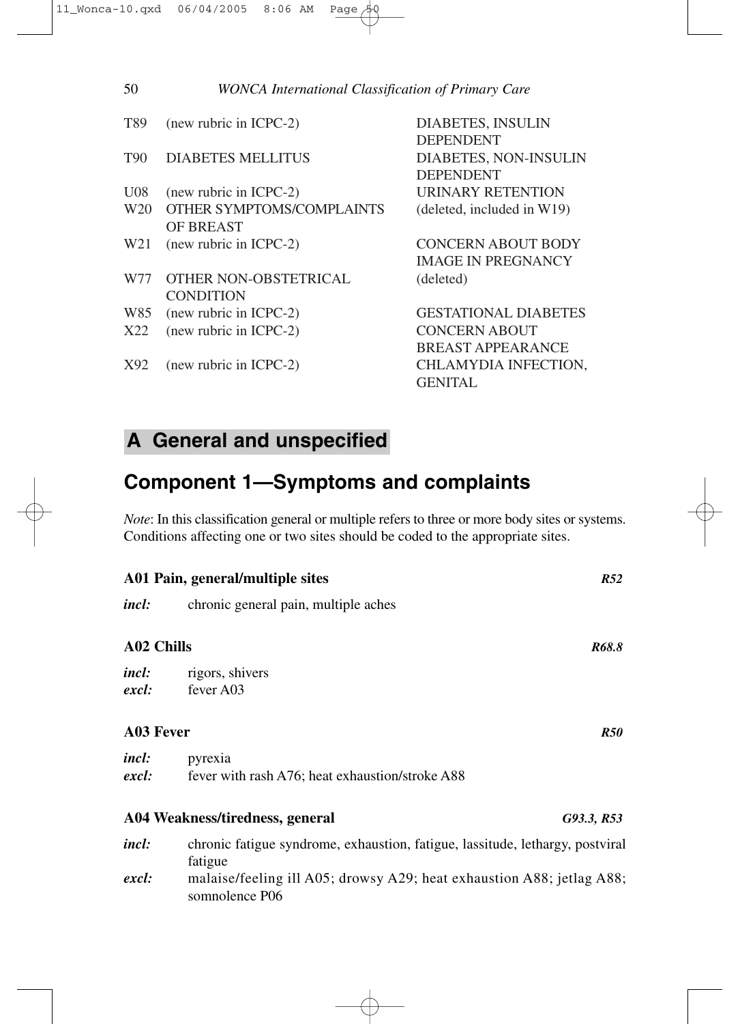| 50              | <b>WONCA International Classification of Primary Care</b> |                                                               |
|-----------------|-----------------------------------------------------------|---------------------------------------------------------------|
| T89             | (new rubric in ICPC-2)                                    | <b>DIABETES, INSULIN</b>                                      |
| T <sub>90</sub> | <b>DIABETES MELLITUS</b>                                  | <b>DEPENDENT</b><br>DIABETES, NON-INSULIN<br><b>DEPENDENT</b> |
| U <sub>08</sub> | (new rubric in ICPC-2)                                    | URINARY RETENTION                                             |
| W <sub>20</sub> | <b>OTHER SYMPTOMS/COMPLAINTS</b><br><b>OF BREAST</b>      | (deleted, included in W19)                                    |
| W <sub>21</sub> | (new rubric in ICPC-2)                                    | <b>CONCERN ABOUT BODY</b><br><b>IMAGE IN PREGNANCY</b>        |
| W77             | <b>OTHER NON-OBSTETRICAL</b><br><b>CONDITION</b>          | (deleted)                                                     |
| W85             | (new rubric in ICPC-2)                                    | <b>GESTATIONAL DIABETES</b>                                   |
| X22             | (new rubric in ICPC-2)                                    | <b>CONCERN ABOUT</b>                                          |
|                 |                                                           | <b>BREAST APPEARANCE</b>                                      |
| X92             | (new rubric in ICPC-2)                                    | CHLAMYDIA INFECTION,                                          |

# **A General and unspecified**

# **Component 1—Symptoms and complaints**

*Note*: In this classification general or multiple refers to three or more body sites or systems. Conditions affecting one or two sites should be coded to the appropriate sites.

**GENITAL** 

|                       | A01 Pain, general/multiple sites                                                         | R52        |
|-----------------------|------------------------------------------------------------------------------------------|------------|
| <i>incl:</i>          | chronic general pain, multiple aches                                                     |            |
| A02 Chills            |                                                                                          | R68.8      |
| <i>incl:</i><br>excl: | rigors, shivers<br>fever A03                                                             |            |
| A03 Fever             |                                                                                          | <i>R50</i> |
| <i>incl:</i><br>excl: | pyrexia<br>fever with rash A76; heat exhaustion/stroke A88                               |            |
|                       | A04 Weakness/tiredness, general                                                          | G93.3, R53 |
| <i>incl:</i>          | chronic fatigue syndrome, exhaustion, fatigue, lassitude, lethargy, postviral<br>fatigue |            |
| excl:                 | malaise/feeling ill A05; drowsy A29; heat exhaustion A88; jetlag A88;<br>somnolence P06  |            |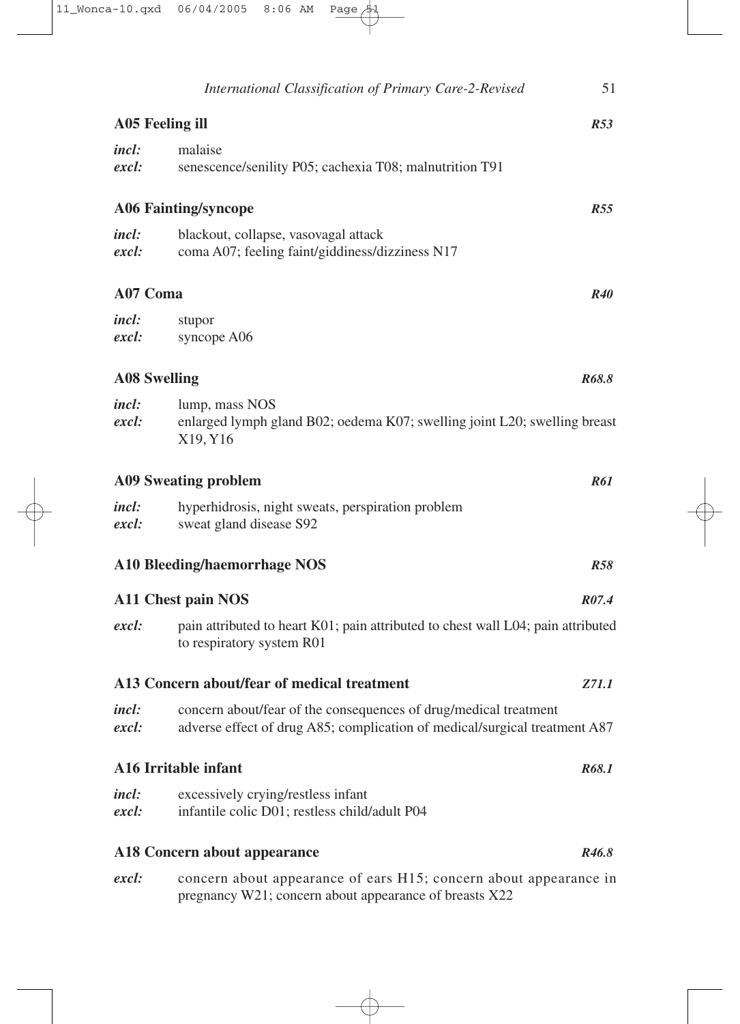|                        | International Classification of Primary Care-2-Revised                                                                                         | 51         |  |
|------------------------|------------------------------------------------------------------------------------------------------------------------------------------------|------------|--|
| <b>A05 Feeling ill</b> |                                                                                                                                                | R53        |  |
| <i>incl:</i><br>excl:  | malaise<br>senescence/senility P05; cachexia T08; malnutrition T91                                                                             |            |  |
|                        | <b>A06 Fainting/syncope</b>                                                                                                                    | R55        |  |
| <i>incl:</i><br>excl:  | blackout, collapse, vasovagal attack<br>coma A07; feeling faint/giddiness/dizziness N17                                                        |            |  |
| A07 Coma               |                                                                                                                                                | <b>R40</b> |  |
| <i>incl:</i><br>excl:  | stupor<br>syncope A06                                                                                                                          |            |  |
| <b>A08 Swelling</b>    |                                                                                                                                                | R68.8      |  |
| <i>incl:</i><br>excl:  | lump, mass NOS<br>enlarged lymph gland B02; oedema K07; swelling joint L20; swelling breast<br>X19, Y16                                        |            |  |
|                        | <b>A09 Sweating problem</b>                                                                                                                    | R61        |  |
| <i>incl:</i><br>excl:  | hyperhidrosis, night sweats, perspiration problem<br>sweat gland disease S92                                                                   |            |  |
|                        | A10 Bleeding/haemorrhage NOS                                                                                                                   | <i>R58</i> |  |
|                        | <b>A11 Chest pain NOS</b>                                                                                                                      | R07.4      |  |
| excl:                  | pain attributed to heart K01; pain attributed to chest wall L04; pain attributed<br>to respiratory system R01                                  |            |  |
|                        | A13 Concern about/fear of medical treatment                                                                                                    | Z71.1      |  |
| <i>incl:</i><br>excl:  | concern about/fear of the consequences of drug/medical treatment<br>adverse effect of drug A85; complication of medical/surgical treatment A87 |            |  |
|                        | A16 Irritable infant                                                                                                                           | R68.1      |  |
| <i>incl:</i><br>excl:  | excessively crying/restless infant<br>infantile colic D01; restless child/adult P04                                                            |            |  |
|                        | A18 Concern about appearance                                                                                                                   | R46.8      |  |
| excl:                  | concern about appearance of ears H15; concern about appearance in<br>pregnancy W21; concern about appearance of breasts X22                    |            |  |

 $\color{red} \Phi$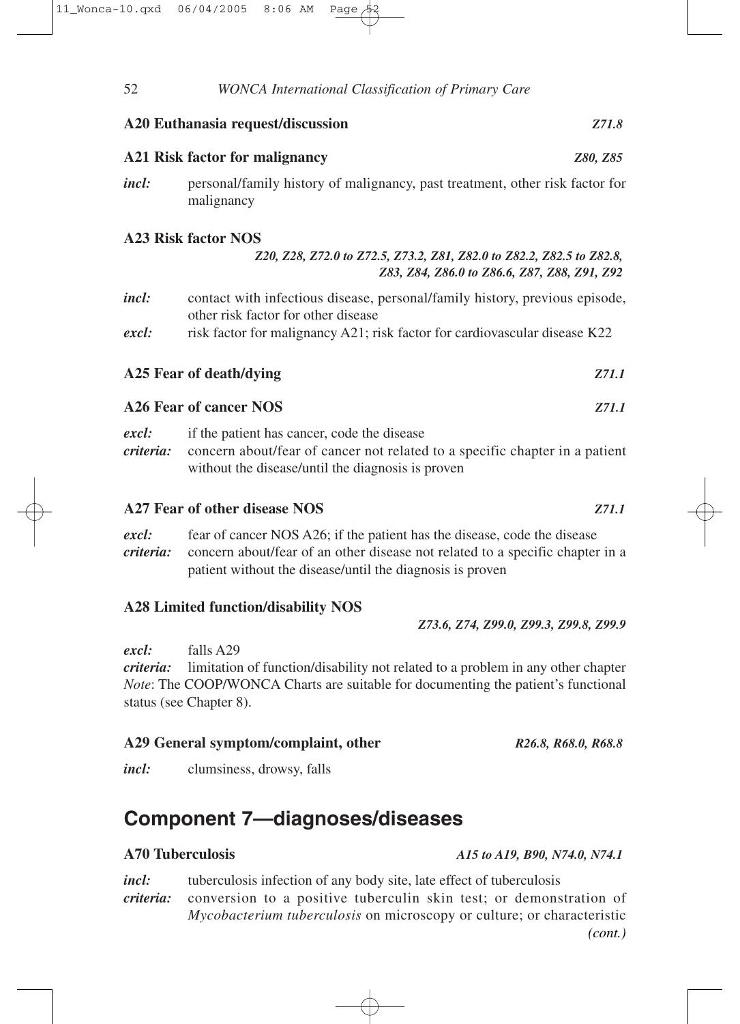| 52                 | <b>WONCA International Classification of Primary Care</b>                                                                                                                                                              |          |
|--------------------|------------------------------------------------------------------------------------------------------------------------------------------------------------------------------------------------------------------------|----------|
|                    | A20 Euthanasia request/discussion                                                                                                                                                                                      | Z71.8    |
|                    | A21 Risk factor for malignancy                                                                                                                                                                                         | Z80, Z85 |
| <i>incl:</i>       | personal/family history of malignancy, past treatment, other risk factor for<br>malignancy                                                                                                                             |          |
|                    | <b>A23 Risk factor NOS</b>                                                                                                                                                                                             |          |
|                    | Z20, Z28, Z72.0 to Z72.5, Z73.2, Z81, Z82.0 to Z82.2, Z82.5 to Z82.8,<br>Z83, Z84, Z86.0 to Z86.6, Z87, Z88, Z91, Z92                                                                                                  |          |
| <i>incl:</i>       | contact with infectious disease, personal/family history, previous episode,<br>other risk factor for other disease                                                                                                     |          |
| excl:              | risk factor for malignancy A21; risk factor for cardiovascular disease K22                                                                                                                                             |          |
|                    | A25 Fear of death/dying                                                                                                                                                                                                | Z71.1    |
|                    | A <sub>26</sub> Fear of cancer NOS                                                                                                                                                                                     | Z71.1    |
| excl:<br>criteria: | if the patient has cancer, code the disease<br>concern about/fear of cancer not related to a specific chapter in a patient<br>without the disease/until the diagnosis is proven                                        |          |
|                    | A27 Fear of other disease NOS                                                                                                                                                                                          | Z71.1    |
| excl:<br>criteria: | fear of cancer NOS A26; if the patient has the disease, code the disease<br>concern about/fear of an other disease not related to a specific chapter in a<br>patient without the disease/until the diagnosis is proven |          |
|                    | <b>A28 Limited function/disability NOS</b>                                                                                                                                                                             |          |

*Z73.6, Z74, Z99.0, Z99.3, Z99.8, Z99.9*

*excl:* falls A29

*criteria:* limitation of function/disability not related to a problem in any other chapter *Note*: The COOP/WONCA Charts are suitable for documenting the patient's functional status (see Chapter 8).

#### **A29 General symptom/complaint, other** *R26.8, R68.0, R68.8*

*incl:* clumsiness, drowsy, falls

# **Component 7—diagnoses/diseases**

**A70 Tuberculosis** *A15 to A19, B90, N74.0, N74.1*

*incl:* tuberculosis infection of any body site, late effect of tuberculosis *criteria:* conversion to a positive tuberculin skin test; or demonstration of *Mycobacterium tuberculosis* on microscopy or culture; or characteristic *(cont.)*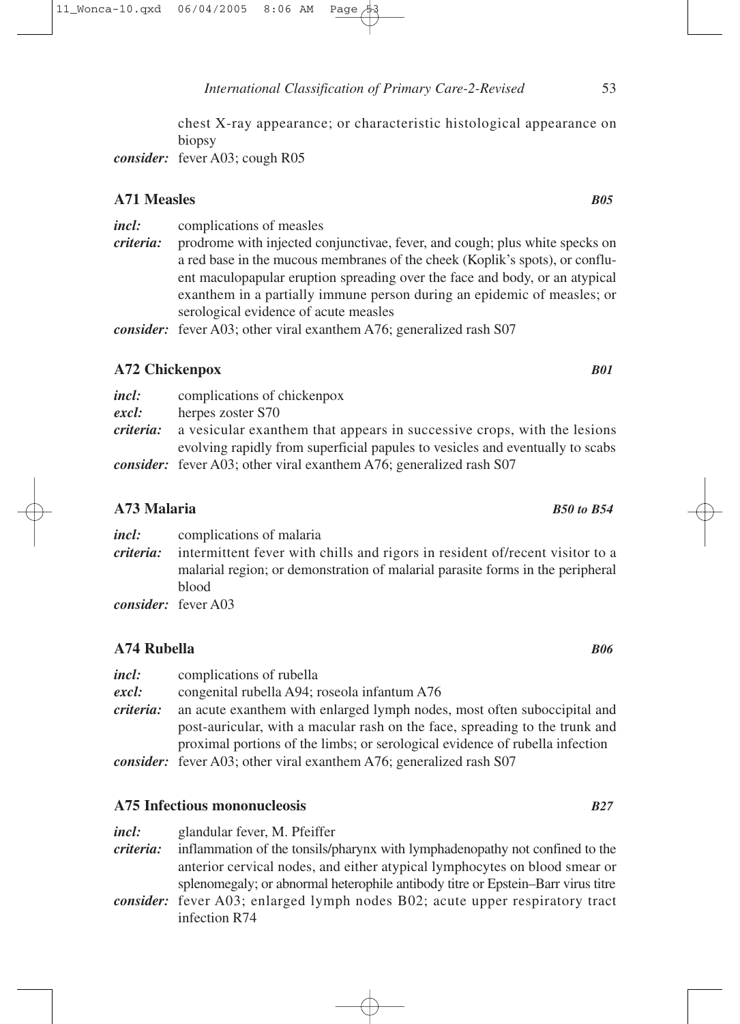*International Classification of Primary Care-2-Revised* 53

chest X-ray appearance; or characteristic histological appearance on biopsy

*consider:* fever A03; cough R05

#### **A71 Measles** *B05*

*incl:* complications of measles *criteria:* prodrome with injected conjunctivae, fever, and cough; plus white specks on a red base in the mucous membranes of the cheek (Koplik's spots), or confluent maculopapular eruption spreading over the face and body, or an atypical exanthem in a partially immune person during an epidemic of measles; or serological evidence of acute measles

*consider:* fever A03; other viral exanthem A76; generalized rash S07

#### **A72 Chickenpox** *B01*

| incl:     | complications of chickenpox                                                   |
|-----------|-------------------------------------------------------------------------------|
| excl:     | herpes zoster S70                                                             |
| criteria: | a vesicular exanthem that appears in successive crops, with the lesions       |
|           | evolving rapidly from superficial papules to vesicles and eventually to scabs |
|           | <i>consider:</i> fever A03; other viral exanthem A76; generalized rash S07    |

#### **A73 Malaria** *B50 to B54*

*incl:* complications of malaria

*criteria:* intermittent fever with chills and rigors in resident of/recent visitor to a malarial region; or demonstration of malarial parasite forms in the peripheral blood

*consider:* fever A03

#### **A74 Rubella** *B06*

| incl:     | complications of rubella                                                     |  |  |
|-----------|------------------------------------------------------------------------------|--|--|
| excl:     | congenital rubella A94; roseola infantum A76                                 |  |  |
| criteria: | an acute example with enlarged lymph nodes, most often suboccipital and      |  |  |
|           | post-auricular, with a macular rash on the face, spreading to the trunk and  |  |  |
|           | proximal portions of the limbs; or serological evidence of rubella infection |  |  |
|           | <i>consider:</i> fever A03; other viral exanthem A76; generalized rash S07   |  |  |

#### **A75 Infectious mononucleosis** *B27*

*incl:* glandular fever, M. Pfeiffer

*criteria:* inflammation of the tonsils/pharynx with lymphadenopathy not confined to the anterior cervical nodes, and either atypical lymphocytes on blood smear or splenomegaly; or abnormal heterophile antibody titre or Epstein–Barr virus titre

*consider:* fever A03; enlarged lymph nodes B02; acute upper respiratory tract infection R74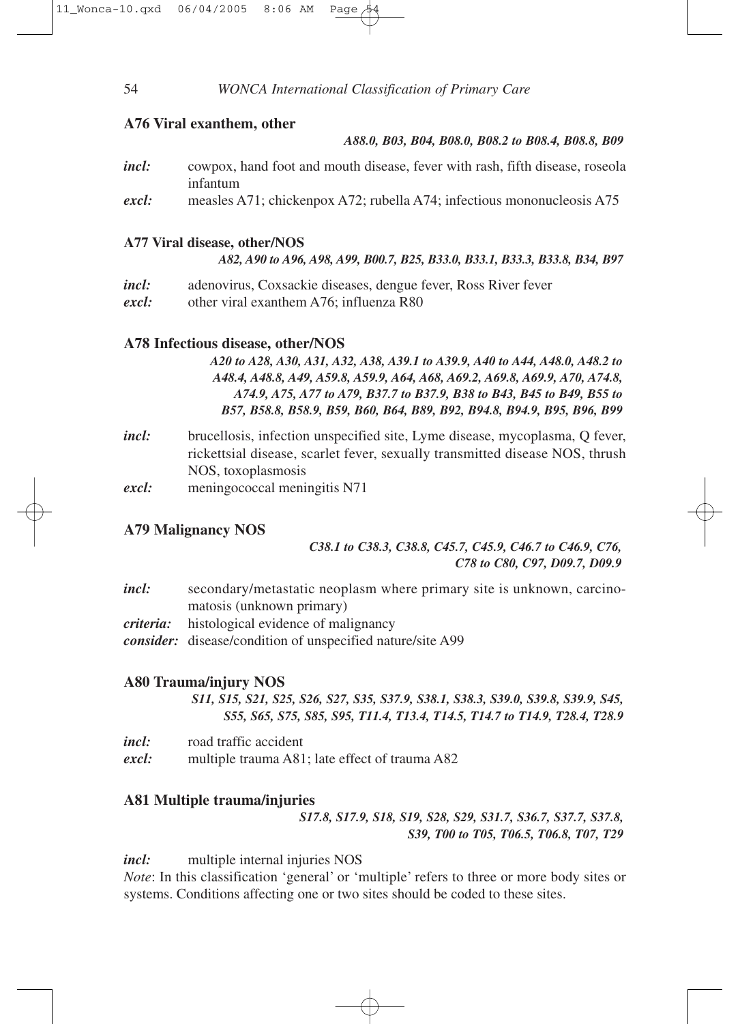#### **A76 Viral exanthem, other**

*A88.0, B03, B04, B08.0, B08.2 to B08.4, B08.8, B09*

- *incl:* cowpox, hand foot and mouth disease, fever with rash, fifth disease, roseola infantum
- *excl:* measles A71; chickenpox A72; rubella A74; infectious mononucleosis A75

#### **A77 Viral disease, other/NOS**

*A82, A90 to A96, A98, A99, B00.7, B25, B33.0, B33.1, B33.3, B33.8, B34, B97*

- *incl:* adenovirus, Coxsackie diseases, dengue fever, Ross River fever
- *excl:* other viral exanthem A76; influenza R80

#### **A78 Infectious disease, other/NOS**

*A20 to A28, A30, A31, A32, A38, A39.1 to A39.9, A40 to A44, A48.0, A48.2 to A48.4, A48.8, A49, A59.8, A59.9, A64, A68, A69.2, A69.8, A69.9, A70, A74.8, A74.9, A75, A77 to A79, B37.7 to B37.9, B38 to B43, B45 to B49, B55 to B57, B58.8, B58.9, B59, B60, B64, B89, B92, B94.8, B94.9, B95, B96, B99*

- *incl:* brucellosis, infection unspecified site, Lyme disease, mycoplasma, Q fever, rickettsial disease, scarlet fever, sexually transmitted disease NOS, thrush NOS, toxoplasmosis
- *excl:* meningococcal meningitis N71

#### **A79 Malignancy NOS**

#### *C38.1 to C38.3, C38.8, C45.7, C45.9, C46.7 to C46.9, C76, C78 to C80, C97, D09.7, D09.9*

- *incl:* secondary/metastatic neoplasm where primary site is unknown, carcinomatosis (unknown primary)
- *criteria:* histological evidence of malignancy
- *consider:* disease/condition of unspecified nature/site A99

#### **A80 Trauma/injury NOS**

*S11, S15, S21, S25, S26, S27, S35, S37.9, S38.1, S38.3, S39.0, S39.8, S39.9, S45, S55, S65, S75, S85, S95, T11.4, T13.4, T14.5, T14.7 to T14.9, T28.4, T28.9*

- *incl:* road traffic accident
- *excl:* multiple trauma A81; late effect of trauma A82

#### **A81 Multiple trauma/injuries**

#### *S17.8, S17.9, S18, S19, S28, S29, S31.7, S36.7, S37.7, S37.8, S39, T00 to T05, T06.5, T06.8, T07, T29*

*incl:* multiple internal injuries NOS

*Note*: In this classification 'general' or 'multiple' refers to three or more body sites or systems. Conditions affecting one or two sites should be coded to these sites.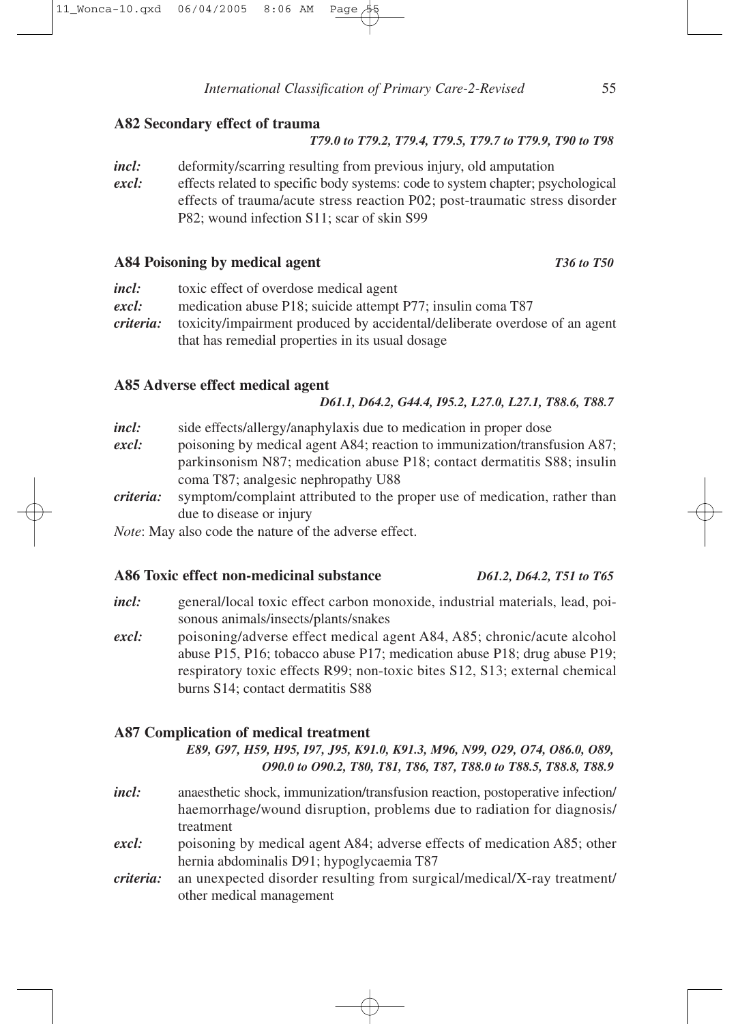*International Classification of Primary Care-2-Revised* 55

#### **A82 Secondary effect of trauma**

#### *T79.0 to T79.2, T79.4, T79.5, T79.7 to T79.9, T90 to T98*

- *incl:* deformity/scarring resulting from previous injury, old amputation
- *excl:* effects related to specific body systems: code to system chapter; psychological effects of trauma/acute stress reaction P02; post-traumatic stress disorder P82; wound infection S11; scar of skin S99

#### **A84 Poisoning by medical agent** *T36 to T50*

*incl:* toxic effect of overdose medical agent *excl:* medication abuse P18; suicide attempt P77; insulin coma T87 *criteria:* toxicity/impairment produced by accidental/deliberate overdose of an agent that has remedial properties in its usual dosage

#### **A85 Adverse effect medical agent**

*D61.1, D64.2, G44.4, I95.2, L27.0, L27.1, T88.6, T88.7*

- *incl:* side effects/allergy/anaphylaxis due to medication in proper dose
- *excl:* poisoning by medical agent A84; reaction to immunization/transfusion A87; parkinsonism N87; medication abuse P18; contact dermatitis S88; insulin coma T87; analgesic nephropathy U88
- *criteria:* symptom/complaint attributed to the proper use of medication, rather than due to disease or injury
- *Note*: May also code the nature of the adverse effect.

#### **A86 Toxic effect non-medicinal substance** *D61.2, D64.2, T51 to T65*

- *incl:* general/local toxic effect carbon monoxide, industrial materials, lead, poisonous animals/insects/plants/snakes
- *excl:* poisoning/adverse effect medical agent A84, A85; chronic/acute alcohol abuse P15, P16; tobacco abuse P17; medication abuse P18; drug abuse P19; respiratory toxic effects R99; non-toxic bites S12, S13; external chemical burns S14; contact dermatitis S88

#### **A87 Complication of medical treatment**

*E89, G97, H59, H95, I97, J95, K91.0, K91.3, M96, N99, O29, O74, O86.0, O89, O90.0 to O90.2, T80, T81, T86, T87, T88.0 to T88.5, T88.8, T88.9*

- *incl:* anaesthetic shock, immunization/transfusion reaction, postoperative infection/ haemorrhage/wound disruption, problems due to radiation for diagnosis/ treatment
- *excl:* poisoning by medical agent A84; adverse effects of medication A85; other hernia abdominalis D91; hypoglycaemia T87
- *criteria:* an unexpected disorder resulting from surgical/medical/X-ray treatment/ other medical management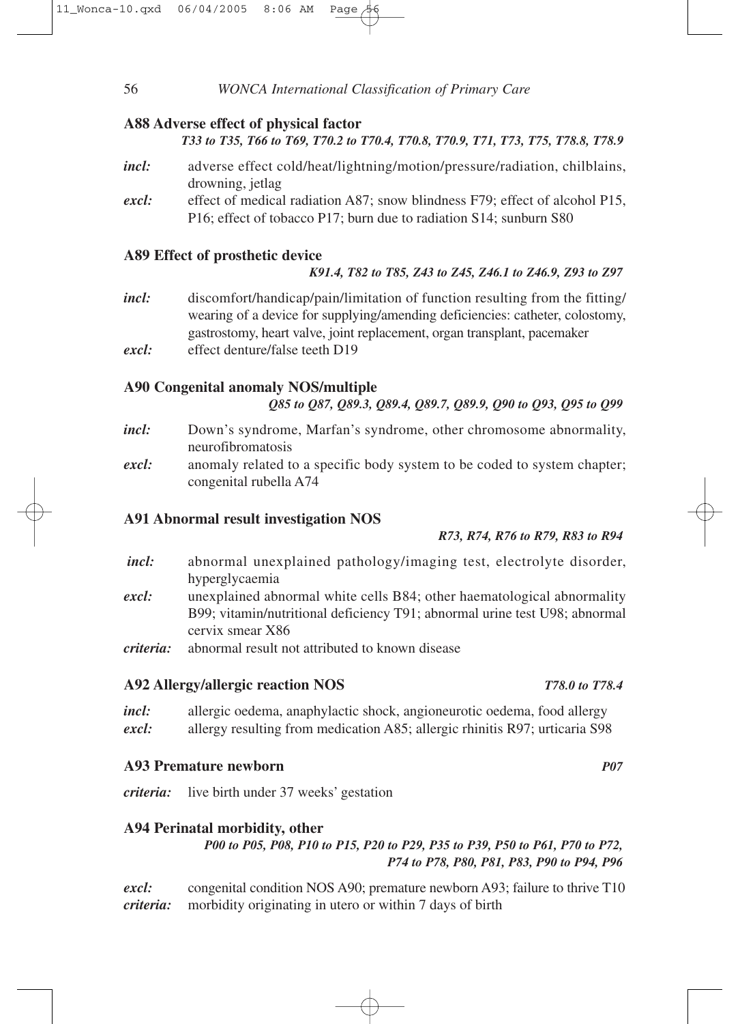#### **A88 Adverse effect of physical factor**

*T33 to T35, T66 to T69, T70.2 to T70.4, T70.8, T70.9, T71, T73, T75, T78.8, T78.9*

- *incl:* adverse effect cold/heat/lightning/motion/pressure/radiation, chilblains, drowning, jetlag
- *excl:* effect of medical radiation A87; snow blindness F79; effect of alcohol P15, P16; effect of tobacco P17; burn due to radiation S14; sunburn S80

#### **A89 Effect of prosthetic device**

#### *K91.4, T82 to T85, Z43 to Z45, Z46.1 to Z46.9, Z93 to Z97*

- *incl:* discomfort/handicap/pain/limitation of function resulting from the fitting/ wearing of a device for supplying/amending deficiencies: catheter, colostomy, gastrostomy, heart valve, joint replacement, organ transplant, pacemaker *excl:* effect denture/false teeth D19
- 

#### **A90 Congenital anomaly NOS/multiple**

*Q85 to Q87, Q89.3, Q89.4, Q89.7, Q89.9, Q90 to Q93, Q95 to Q99*

- *incl:* Down's syndrome, Marfan's syndrome, other chromosome abnormality, neurofibromatosis
- *excl:* anomaly related to a specific body system to be coded to system chapter; congenital rubella A74

#### **A91 Abnormal result investigation NOS**

#### *R73, R74, R76 to R79, R83 to R94*

- *incl:* abnormal unexplained pathology/imaging test, electrolyte disorder, hyperglycaemia
- *excl:* unexplained abnormal white cells B84; other haematological abnormality B99; vitamin/nutritional deficiency T91; abnormal urine test U98; abnormal cervix smear X86
- *criteria:* abnormal result not attributed to known disease

#### **A92 Allergy/allergic reaction NOS** *T78.0 to T78.4*

*incl:* allergic oedema, anaphylactic shock, angioneurotic oedema, food allergy *excl:* allergy resulting from medication A85; allergic rhinitis R97; urticaria S98

#### **A93 Premature newborn** *P07*

*criteria:* live birth under 37 weeks' gestation

#### **A94 Perinatal morbidity, other**

#### *P00 to P05, P08, P10 to P15, P20 to P29, P35 to P39, P50 to P61, P70 to P72, P74 to P78, P80, P81, P83, P90 to P94, P96*

*excl:* congenital condition NOS A90; premature newborn A93; failure to thrive T10 *criteria:* morbidity originating in utero or within 7 days of birth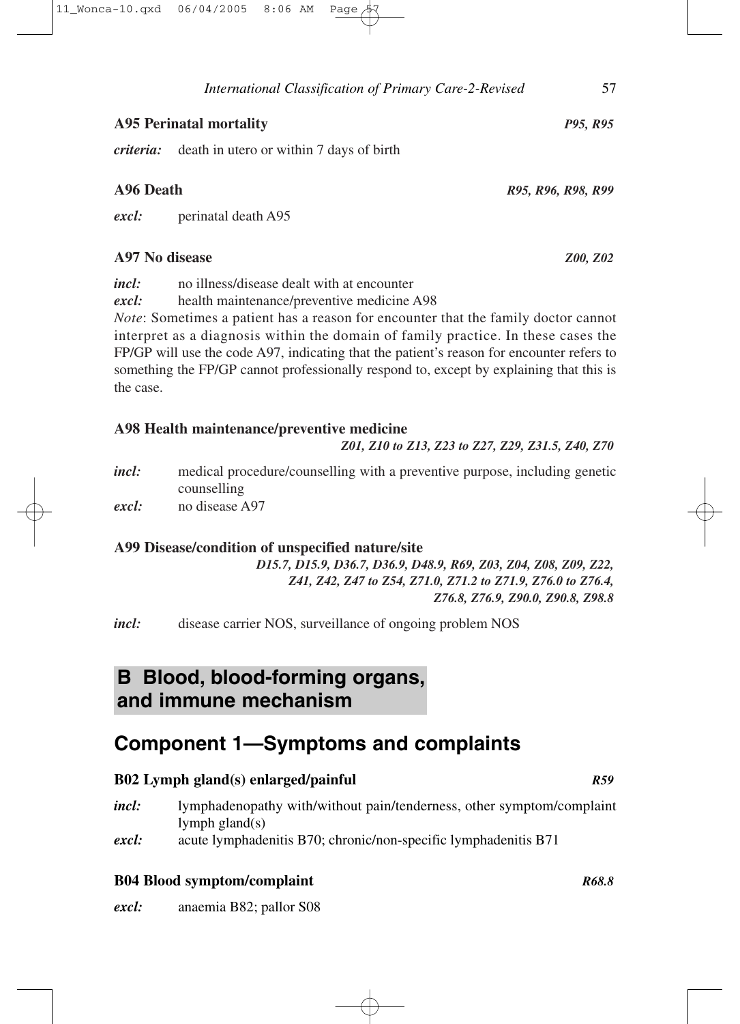|  | International Classification of Primary Care-2-Revised | 57 |
|--|--------------------------------------------------------|----|
|  |                                                        |    |

#### **A95 Perinatal mortality** *P95, R95*

*criteria:* death in utero or within 7 days of birth

*excl:* perinatal death A95

### **A97 No disease** *Z00, Z02*

*incl:* no illness/disease dealt with at encounter

*excl:* health maintenance/preventive medicine A98

*Note*: Sometimes a patient has a reason for encounter that the family doctor cannot interpret as a diagnosis within the domain of family practice. In these cases the FP/GP will use the code A97, indicating that the patient's reason for encounter refers to something the FP/GP cannot professionally respond to, except by explaining that this is the case.

## **A98 Health maintenance/preventive medicine**

*Z01, Z10 to Z13, Z23 to Z27, Z29, Z31.5, Z40, Z70*

*incl:* medical procedure/counselling with a preventive purpose, including genetic counselling *excl:* no disease A97

### **A99 Disease/condition of unspecified nature/site**

*D15.7, D15.9, D36.7, D36.9, D48.9, R69, Z03, Z04, Z08, Z09, Z22, Z41, Z42, Z47 to Z54, Z71.0, Z71.2 to Z71.9, Z76.0 to Z76.4, Z76.8, Z76.9, Z90.0, Z90.8, Z98.8*

*incl:* disease carrier NOS, surveillance of ongoing problem NOS

# **B Blood, blood-forming organs, and immune mechanism**

# **Component 1—Symptoms and complaints**

### **B02 Lymph gland(s) enlarged/painful** *R59*

- *incl:* lymphadenopathy with/without pain/tenderness, other symptom/complaint lymph gland(s)
- *excl:* acute lymphadenitis B70; chronic/non-specific lymphadenitis B71

### **B04 Blood symptom/complaint** *R68.8*

*excl:* anaemia B82; pallor S08

**A96 Death** *R95, R96, R98, R99*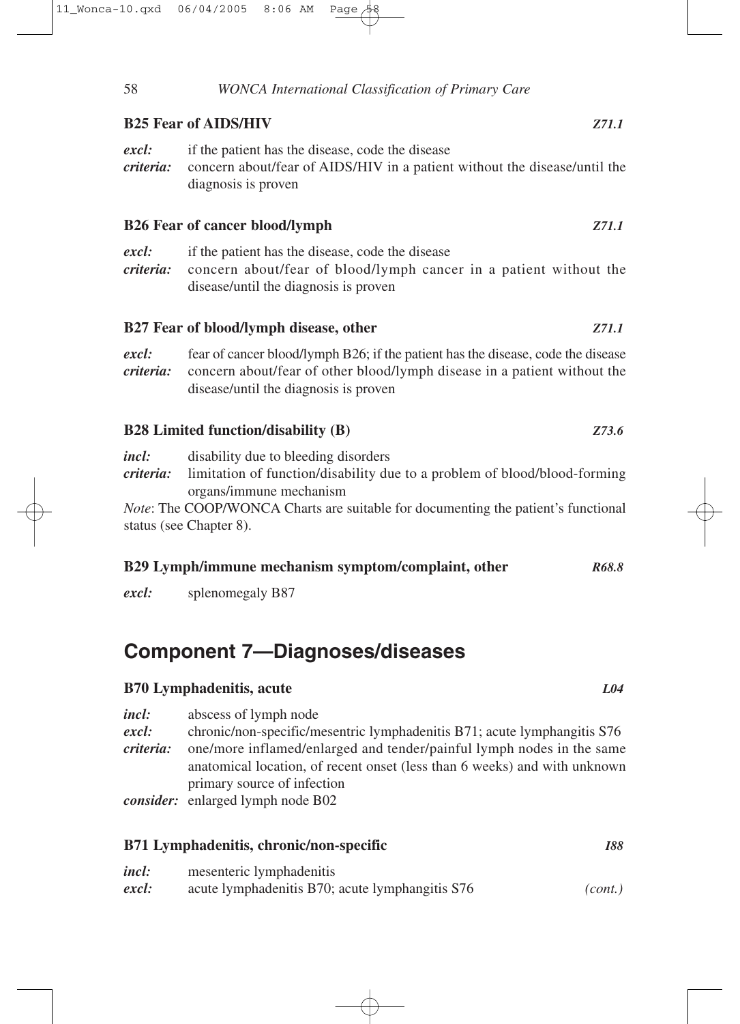#### **B25 Fear of AIDS/HIV** *Z71.1*

*excl:* if the patient has the disease, code the disease *criteria:* concern about/fear of AIDS/HIV in a patient without the disease/until the diagnosis is proven

#### **B26 Fear of cancer blood/lymph** *Z71.1*

- *excl:* if the patient has the disease, code the disease
- *criteria:* concern about/fear of blood/lymph cancer in a patient without the disease/until the diagnosis is proven

#### **B27 Fear of blood/lymph disease, other** *Z71.1*

*excl:* fear of cancer blood/lymph B26; if the patient has the disease, code the disease *criteria:* concern about/fear of other blood/lymph disease in a patient without the disease/until the diagnosis is proven

#### **B28 Limited function/disability (B)** *Z73.6*

- *incl:* disability due to bleeding disorders
- *criteria:* limitation of function/disability due to a problem of blood/blood-forming organs/immune mechanism

*Note*: The COOP/WONCA Charts are suitable for documenting the patient's functional status (see Chapter 8).

#### **B29 Lymph/immune mechanism symptom/complaint, other** *R68.8*

*excl:* splenomegaly B87

# **Component 7—Diagnoses/diseases**

#### **B70 Lymphadenitis, acute** *L04*

*incl:* abscess of lymph node *excl:* chronic/non-specific/mesentric lymphadenitis B71; acute lymphangitis S76 *criteria:* one/more inflamed/enlarged and tender/painful lymph nodes in the same anatomical location, of recent onset (less than 6 weeks) and with unknown primary source of infection *consider:* enlarged lymph node B02

#### **B71 Lymphadenitis, chronic/non-specific** *I88*

| <i>incl:</i> | mesenteric lymphadenitis                        |         |
|--------------|-------------------------------------------------|---------|
| excl:        | acute lymphadenitis B70; acute lymphangitis S76 | (cont.) |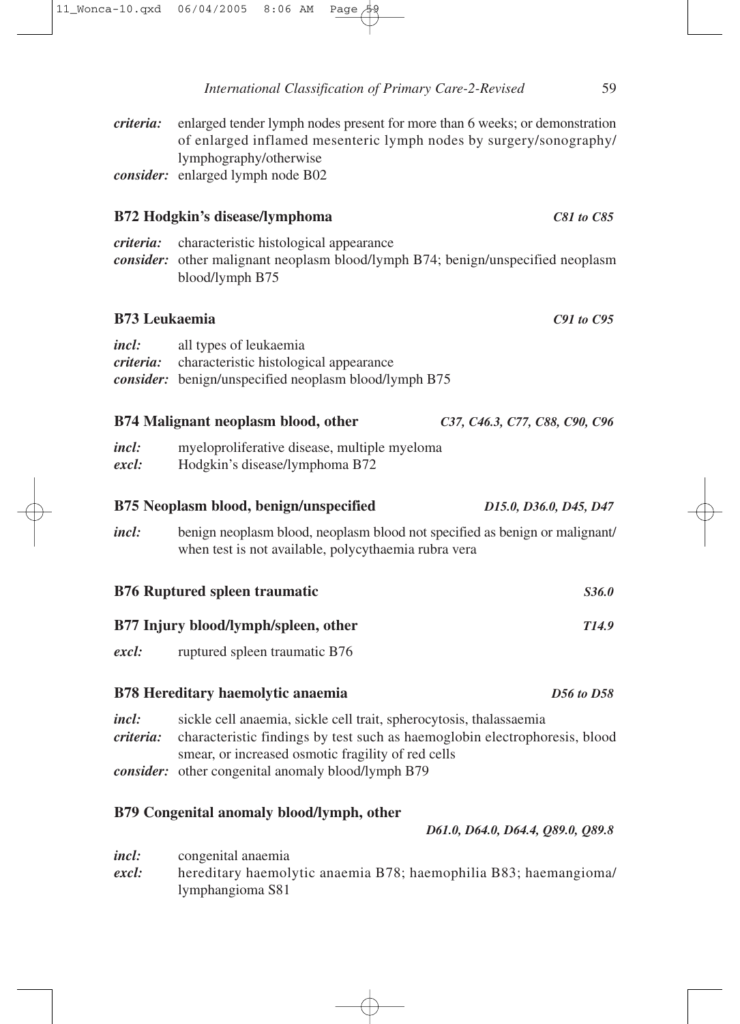| criteria:                        | enlarged tender lymph nodes present for more than 6 weeks; or demonstration<br>of enlarged inflamed mesenteric lymph nodes by surgery/sonography/<br>lymphography/otherwise                                                                                   |                                   |
|----------------------------------|---------------------------------------------------------------------------------------------------------------------------------------------------------------------------------------------------------------------------------------------------------------|-----------------------------------|
|                                  | consider: enlarged lymph node B02                                                                                                                                                                                                                             |                                   |
|                                  | B72 Hodgkin's disease/lymphoma                                                                                                                                                                                                                                | C81 to C85                        |
| criteria:                        | characteristic histological appearance<br>consider: other malignant neoplasm blood/lymph B74; benign/unspecified neoplasm<br>blood/lymph B75                                                                                                                  |                                   |
| <b>B73 Leukaemia</b>             |                                                                                                                                                                                                                                                               | $C91$ to $C95$                    |
| <i>incl:</i><br>criteria:        | all types of leukaemia<br>characteristic histological appearance<br>consider: benign/unspecified neoplasm blood/lymph B75                                                                                                                                     |                                   |
|                                  | B74 Malignant neoplasm blood, other                                                                                                                                                                                                                           | C37, C46.3, C77, C88, C90, C96    |
| <i>incl:</i><br>excl:            | myeloproliferative disease, multiple myeloma<br>Hodgkin's disease/lymphoma B72                                                                                                                                                                                |                                   |
|                                  | B75 Neoplasm blood, benign/unspecified                                                                                                                                                                                                                        | D15.0, D36.0, D45, D47            |
|                                  |                                                                                                                                                                                                                                                               |                                   |
| <i>incl:</i>                     | benign neoplasm blood, neoplasm blood not specified as benign or malignant/<br>when test is not available, polycythaemia rubra vera                                                                                                                           |                                   |
|                                  | <b>B76 Ruptured spleen traumatic</b>                                                                                                                                                                                                                          | S36.0                             |
|                                  | B77 Injury blood/lymph/spleen, other                                                                                                                                                                                                                          | T14.9                             |
| excl:                            | ruptured spleen traumatic B76                                                                                                                                                                                                                                 |                                   |
|                                  | <b>B78 Hereditary haemolytic anaemia</b>                                                                                                                                                                                                                      | <b>D56</b> to D58                 |
| <i>incl:</i><br><i>criteria:</i> | sickle cell anaemia, sickle cell trait, spherocytosis, thalassaemia<br>characteristic findings by test such as haemoglobin electrophoresis, blood<br>smear, or increased osmotic fragility of red cells<br>consider: other congenital anomaly blood/lymph B79 |                                   |
|                                  | B79 Congenital anomaly blood/lymph, other                                                                                                                                                                                                                     | D61.0, D64.0, D64.4, Q89.0, Q89.8 |

*incl:* congenital anaemia *excl:* hereditary haemolytic anaemia B78; haemophilia B83; haemangioma/ lymphangioma S81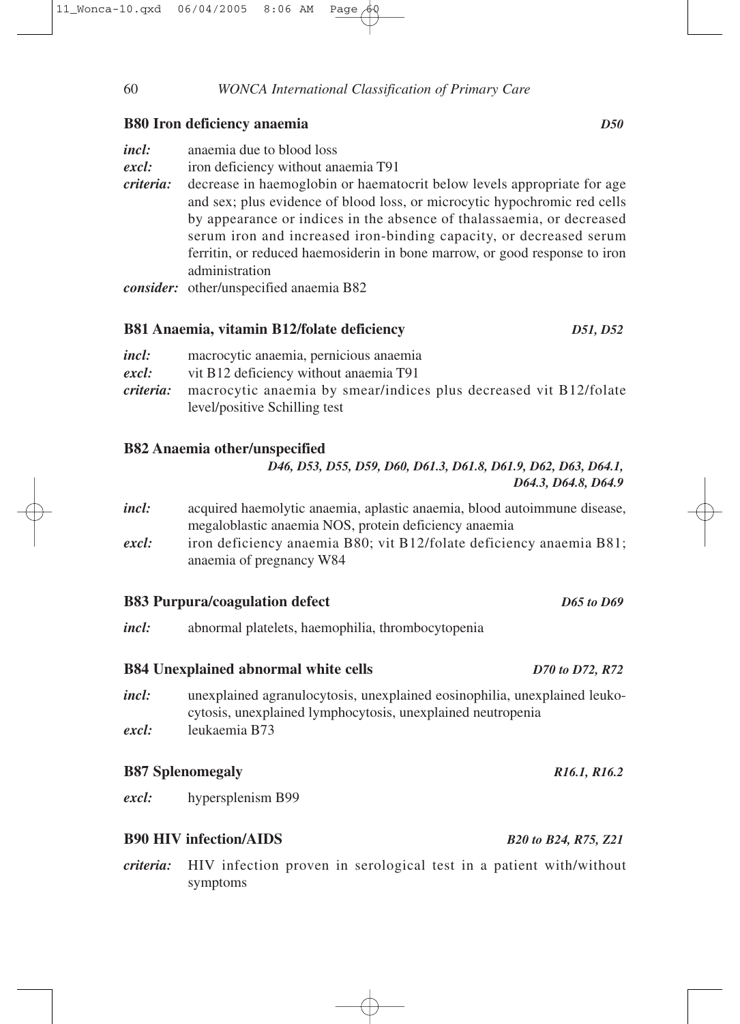#### **B80 Iron deficiency anaemia** *D50*

- *incl:* anaemia due to blood loss
- *excl:* iron deficiency without anaemia T91
- *criteria:* decrease in haemoglobin or haematocrit below levels appropriate for age and sex; plus evidence of blood loss, or microcytic hypochromic red cells by appearance or indices in the absence of thalassaemia, or decreased serum iron and increased iron-binding capacity, or decreased serum ferritin, or reduced haemosiderin in bone marrow, or good response to iron administration
- *consider:* other/unspecified anaemia B82

#### **B81 Anaemia, vitamin B12/folate deficiency** *D51, D52*

| incl:     | macrocytic anaemia, pernicious anaemia                            |
|-----------|-------------------------------------------------------------------|
| excl:     | vit B12 deficiency without anaemia T91                            |
| criteria: | macrocytic anaemia by smear/indices plus decreased vit B12/folate |
|           | level/positive Schilling test                                     |

#### **B82 Anaemia other/unspecified**

#### *D46, D53, D55, D59, D60, D61.3, D61.8, D61.9, D62, D63, D64.1, D64.3, D64.8, D64.9*

*incl:* acquired haemolytic anaemia, aplastic anaemia, blood autoimmune disease, megaloblastic anaemia NOS, protein deficiency anaemia *excl:* iron deficiency anaemia B80; vit B12/folate deficiency anaemia B81; anaemia of pregnancy W84

#### **B83 Purpura/coagulation defect** *D65 to D69*

*incl:* abnormal platelets, haemophilia, thrombocytopenia

#### **B84 Unexplained abnormal white cells** *D70 to D72, R72*

*incl:* unexplained agranulocytosis, unexplained eosinophilia, unexplained leukocytosis, unexplained lymphocytosis, unexplained neutropenia *excl:* leukaemia B73

#### **B87 Splenomegaly** *R16.1, R16.2*

*excl:* hypersplenism B99

#### **B90 HIV infection/AIDS** *B20 to B24, R75, Z21*

*criteria:* HIV infection proven in serological test in a patient with/without symptoms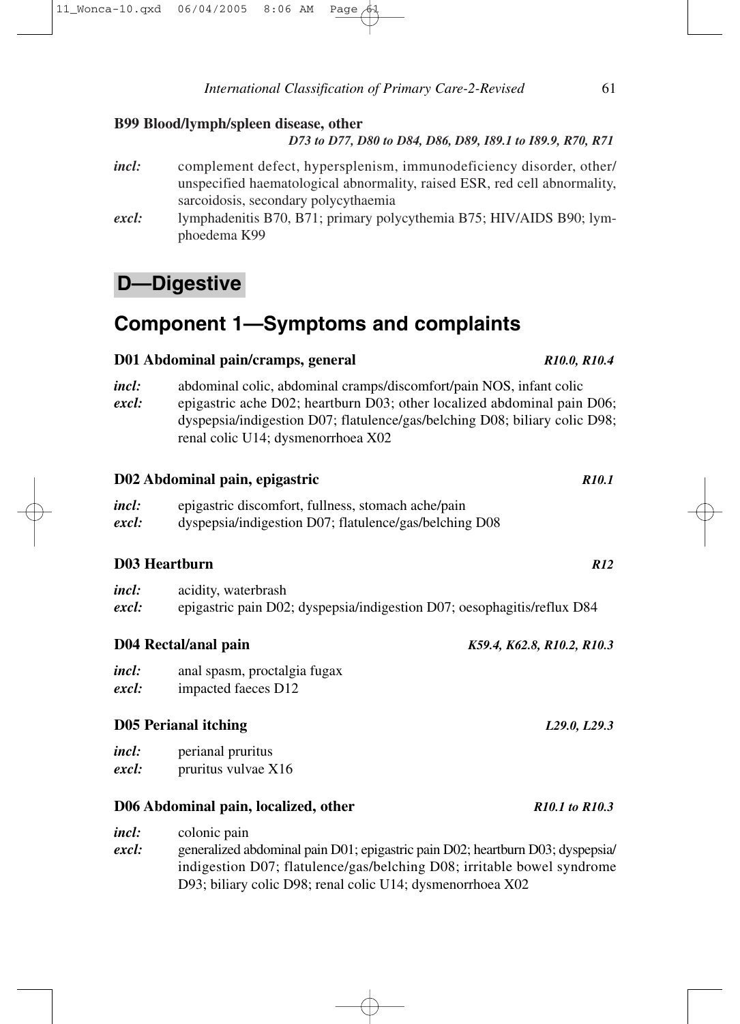*International Classification of Primary Care-2-Revised* 61

#### **B99 Blood/lymph/spleen disease, other**

#### *D73 to D77, D80 to D84, D86, D89, I89.1 to I89.9, R70, R71*

- *incl:* complement defect, hypersplenism, immunodeficiency disorder, other/ unspecified haematological abnormality, raised ESR, red cell abnormality, sarcoidosis, secondary polycythaemia
- *excl:* lymphadenitis B70, B71; primary polycythemia B75; HIV/AIDS B90; lymphoedema K99

## **D—Digestive**

# **Component 1—Symptoms and complaints**

#### **D01 Abdominal pain/cramps, general** *R10.0, R10.4*

*incl:* abdominal colic, abdominal cramps/discomfort/pain NOS, infant colic *excl:* epigastric ache D02; heartburn D03; other localized abdominal pain D06; dyspepsia/indigestion D07; flatulence/gas/belching D08; biliary colic D98; renal colic U14; dysmenorrhoea X02

# **D02 Abdominal pain, epigastric** *R10.1 incl:* epigastric discomfort, fullness, stomach ache/pain *excl:* dyspepsia/indigestion D07; flatulence/gas/belching D08

#### **D03 Heartburn** *R12*

*incl:* acidity, waterbrash *excl:* epigastric pain D02; dyspepsia/indigestion D07; oesophagitis/reflux D84

#### **D04 Rectal/anal pain** *K59.4, K62.8, R10.2, R10.3*

### *incl:* anal spasm, proctalgia fugax *excl:* impacted faeces D12

#### **D05 Perianal itching** *L29.0, L29.3*

- *incl:* perianal pruritus
- *excl:* pruritus vulvae X16

#### **D06 Abdominal pain, localized, other** *R10.1 to R10.3*

- *incl:* colonic pain
- *excl:* generalized abdominal pain D01; epigastric pain D02; heartburn D03; dyspepsia/ indigestion D07; flatulence/gas/belching D08; irritable bowel syndrome D93; biliary colic D98; renal colic U14; dysmenorrhoea X02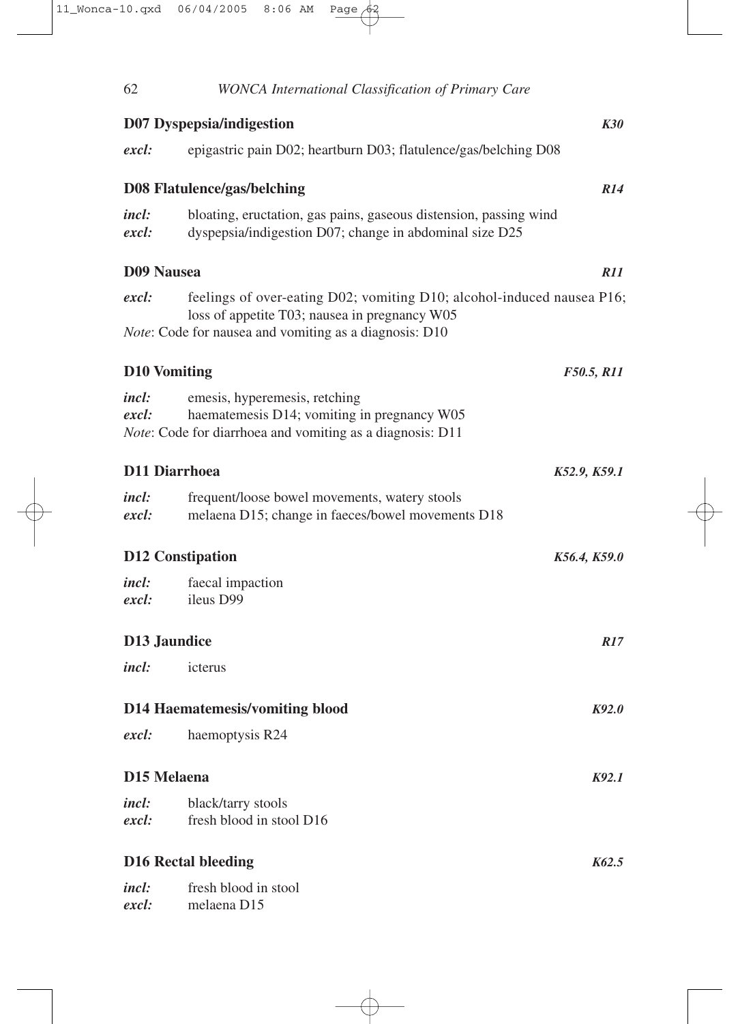| 62                    | <b>WONCA International Classification of Primary Care</b>                                                                                                                         |              |  |
|-----------------------|-----------------------------------------------------------------------------------------------------------------------------------------------------------------------------------|--------------|--|
|                       | D07 Dyspepsia/indigestion                                                                                                                                                         | <b>K30</b>   |  |
| excl:                 | epigastric pain D02; heartburn D03; flatulence/gas/belching D08                                                                                                                   |              |  |
|                       | D08 Flatulence/gas/belching                                                                                                                                                       | <i>R14</i>   |  |
| <i>incl:</i><br>excl: | bloating, eructation, gas pains, gaseous distension, passing wind<br>dyspepsia/indigestion D07; change in abdominal size D25                                                      |              |  |
| <b>D09 Nausea</b>     |                                                                                                                                                                                   | <i>R11</i>   |  |
| excl:                 | feelings of over-eating D02; vomiting D10; alcohol-induced nausea P16;<br>loss of appetite T03; nausea in pregnancy W05<br>Note: Code for nausea and vomiting as a diagnosis: D10 |              |  |
| <b>D10 Vomiting</b>   |                                                                                                                                                                                   | F50.5, R11   |  |
| <i>incl:</i><br>excl: | emesis, hyperemesis, retching<br>haematemesis D14; vomiting in pregnancy W05<br>Note: Code for diarrhoea and vomiting as a diagnosis: D11                                         |              |  |
|                       | D11 Diarrhoea                                                                                                                                                                     | K52.9, K59.1 |  |
| <i>incl:</i><br>excl: | frequent/loose bowel movements, watery stools<br>melaena D15; change in faeces/bowel movements D18                                                                                |              |  |
|                       | <b>D12 Constipation</b>                                                                                                                                                           | K56.4, K59.0 |  |
| <i>incl:</i><br>excl: | faecal impaction<br>ileus D99                                                                                                                                                     |              |  |
| D13 Jaundice          |                                                                                                                                                                                   | <i>R17</i>   |  |
| <i>incl:</i>          | icterus                                                                                                                                                                           |              |  |
|                       | D14 Haematemesis/vomiting blood                                                                                                                                                   | K92.0        |  |
| excl:                 | haemoptysis R24                                                                                                                                                                   |              |  |
| D15 Melaena           |                                                                                                                                                                                   | K92.1        |  |
| <i>incl:</i><br>excl: | black/tarry stools<br>fresh blood in stool D16                                                                                                                                    |              |  |
|                       | <b>D16 Rectal bleeding</b>                                                                                                                                                        | K62.5        |  |
| <i>incl:</i><br>excl: | fresh blood in stool<br>melaena D15                                                                                                                                               |              |  |

 $\bigoplus$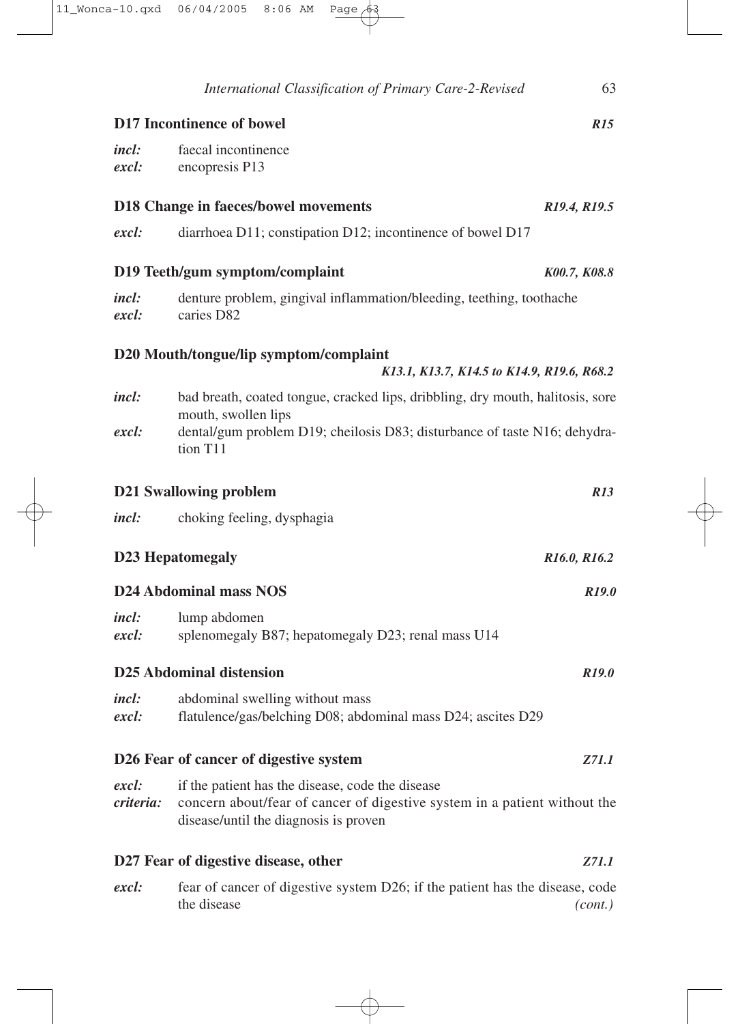|                       | International Classification of Primary Care-2-Revised                                                                                                                 | 63                                    |
|-----------------------|------------------------------------------------------------------------------------------------------------------------------------------------------------------------|---------------------------------------|
|                       | D17 Incontinence of bowel                                                                                                                                              | R15                                   |
| <i>incl:</i><br>excl: | faecal incontinence<br>encopresis P13                                                                                                                                  |                                       |
|                       | D18 Change in faeces/bowel movements                                                                                                                                   | R19.4, R19.5                          |
| excl:                 | diarrhoea D11; constipation D12; incontinence of bowel D17                                                                                                             |                                       |
|                       | D19 Teeth/gum symptom/complaint                                                                                                                                        | K00.7, K08.8                          |
| <i>incl:</i><br>excl: | denture problem, gingival inflammation/bleeding, teething, toothache<br>caries D82                                                                                     |                                       |
|                       | D20 Mouth/tongue/lip symptom/complaint<br>K13.1, K13.7, K14.5 to K14.9, R19.6, R68.2                                                                                   |                                       |
| <i>incl:</i>          | bad breath, coated tongue, cracked lips, dribbling, dry mouth, halitosis, sore                                                                                         |                                       |
| excl:                 | mouth, swollen lips<br>dental/gum problem D19; cheilosis D83; disturbance of taste N16; dehydra-<br>tion $T11$                                                         |                                       |
|                       | <b>D21 Swallowing problem</b>                                                                                                                                          | R13                                   |
| <i>incl:</i>          | choking feeling, dysphagia                                                                                                                                             |                                       |
|                       | D23 Hepatomegaly                                                                                                                                                       | R <sub>16.0</sub> , R <sub>16.2</sub> |
|                       | <b>D24 Abdominal mass NOS</b>                                                                                                                                          | R <sub>19.0</sub>                     |
| <i>incl:</i><br>excl: | lump abdomen<br>splenomegaly B87; hepatomegaly D23; renal mass U14                                                                                                     |                                       |
|                       | <b>D25</b> Abdominal distension                                                                                                                                        | R <sub>19.0</sub>                     |
| <i>incl:</i><br>excl: | abdominal swelling without mass<br>flatulence/gas/belching D08; abdominal mass D24; ascites D29                                                                        |                                       |
|                       | D26 Fear of cancer of digestive system                                                                                                                                 | Z71.1                                 |
| excl:<br>criteria:    | if the patient has the disease, code the disease<br>concern about/fear of cancer of digestive system in a patient without the<br>disease/until the diagnosis is proven |                                       |
|                       | D27 Fear of digestive disease, other                                                                                                                                   | Z71.1                                 |
| excl:                 | fear of cancer of digestive system D26; if the patient has the disease, code<br>the disease                                                                            | (cont.)                               |

 $\overline{\bigoplus}$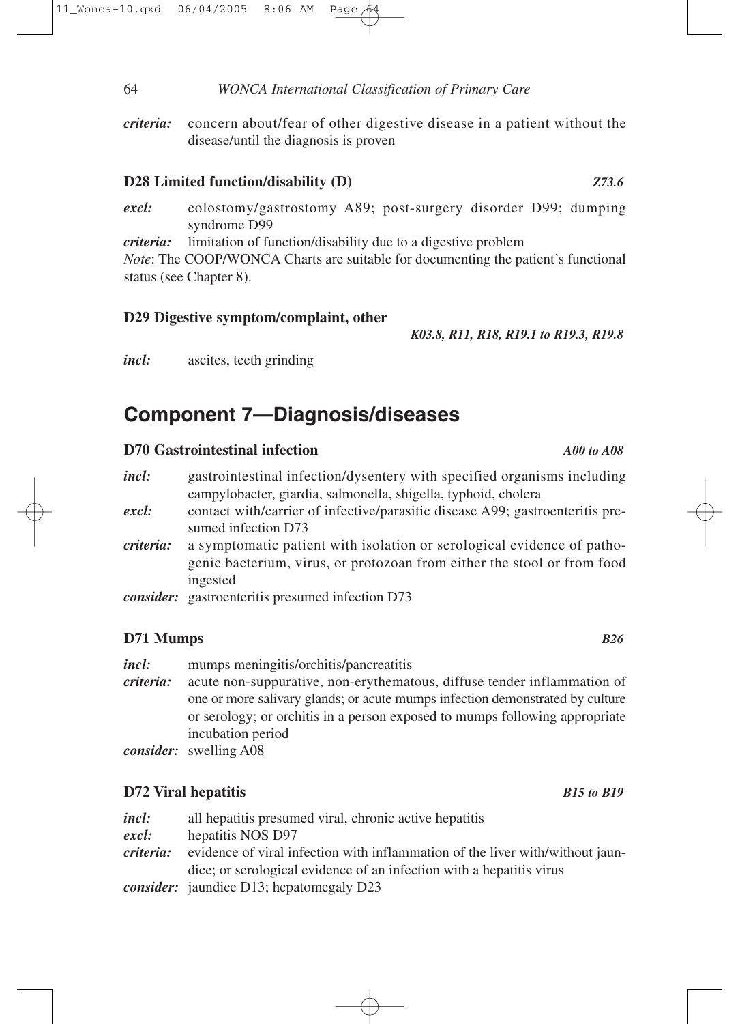*criteria:* concern about/fear of other digestive disease in a patient without the disease/until the diagnosis is proven

#### **D28 Limited function/disability (D)** *Z73.6*

*excl:* colostomy/gastrostomy A89; post-surgery disorder D99; dumping syndrome D99

*criteria:* limitation of function/disability due to a digestive problem

*Note*: The COOP/WONCA Charts are suitable for documenting the patient's functional status (see Chapter 8).

#### **D29 Digestive symptom/complaint, other**

*K03.8, R11, R18, R19.1 to R19.3, R19.8*

*incl:* ascites, teeth grinding

# **Component 7—Diagnosis/diseases**

# **D70 Gastrointestinal infection** *A00 to A08*

*incl:* gastrointestinal infection/dysentery with specified organisms including campylobacter, giardia, salmonella, shigella, typhoid, cholera *excl:* contact with/carrier of infective/parasitic disease A99; gastroenteritis presumed infection D73 *criteria:* a symptomatic patient with isolation or serological evidence of pathogenic bacterium, virus, or protozoan from either the stool or from food

ingested

*consider:* gastroenteritis presumed infection D73

### **D71 Mumps** *B26*

- *incl:* mumps meningitis/orchitis/pancreatitis
- *criteria:* acute non-suppurative, non-erythematous, diffuse tender inflammation of one or more salivary glands; or acute mumps infection demonstrated by culture or serology; or orchitis in a person exposed to mumps following appropriate incubation period

*consider:* swelling A08

### **D72 Viral hepatitis** *B15 to B19*

| <i>incl:</i> | all hepatitis presumed viral, chronic active hepatitis                        |
|--------------|-------------------------------------------------------------------------------|
| excl:        | hepatitis NOS D97                                                             |
| criteria:    | evidence of viral infection with inflammation of the liver with/without jaun- |
|              | dice; or serological evidence of an infection with a hepatitis virus          |
|              | <i>consider:</i> jaundice D13; hepatomegaly D23                               |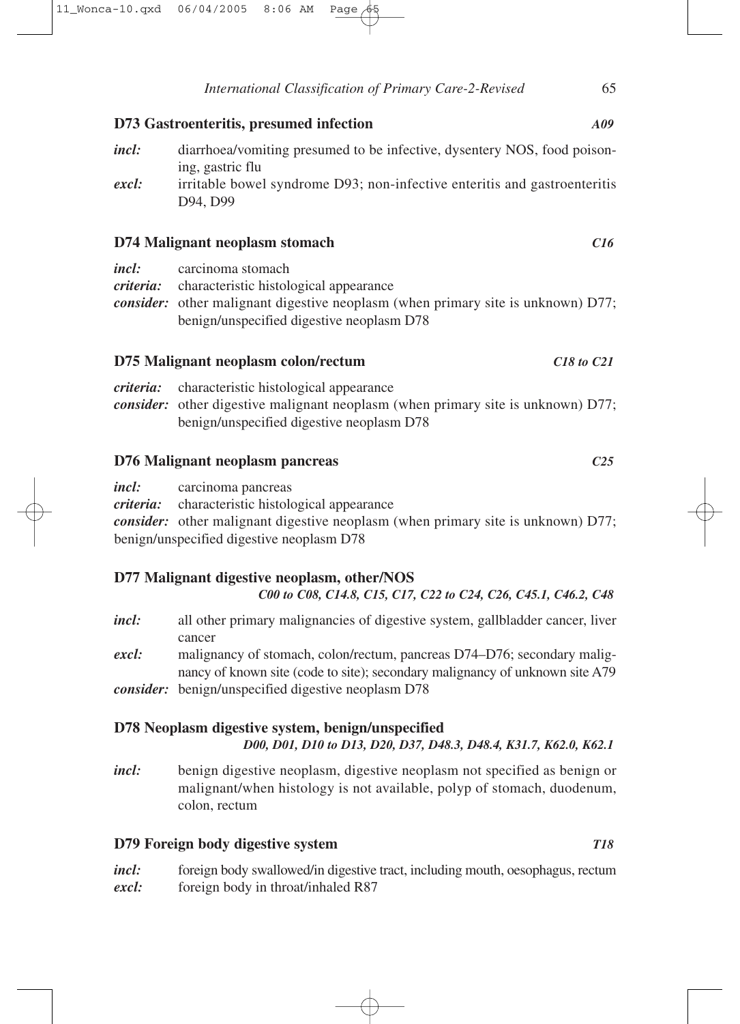|       | International Classification of Primary Care-2-Revised                                       | 65  |
|-------|----------------------------------------------------------------------------------------------|-----|
|       | D73 Gastroenteritis, presumed infection                                                      | A09 |
| incl: | diarrhoea/vomiting presumed to be infective, dysentery NOS, food poison-<br>ing, gastric flu |     |

*excl:* irritable bowel syndrome D93; non-infective enteritis and gastroenteritis D94, D99

# **D74 Malignant neoplasm stomach** *C16*

- *incl:* carcinoma stomach
- *criteria:* characteristic histological appearance
- *consider:* other malignant digestive neoplasm (when primary site is unknown) D77; benign/unspecified digestive neoplasm D78

### **D75 Malignant neoplasm colon/rectum** *C18 to C21*

*criteria:* characteristic histological appearance

*consider:* other digestive malignant neoplasm (when primary site is unknown) D77; benign/unspecified digestive neoplasm D78

### **D76 Malignant neoplasm pancreas** *C25*

*incl:* carcinoma pancreas

*criteria:* characteristic histological appearance

*consider:* other malignant digestive neoplasm (when primary site is unknown) D77; benign/unspecified digestive neoplasm D78

### **D77 Malignant digestive neoplasm, other/NOS** *C00 to C08, C14.8, C15, C17, C22 to C24, C26, C45.1, C46.2, C48*

*incl:* all other primary malignancies of digestive system, gallbladder cancer, liver cancer

*excl:* malignancy of stomach, colon/rectum, pancreas D74–D76; secondary malignancy of known site (code to site); secondary malignancy of unknown site A79 *consider:* benign/unspecified digestive neoplasm D78

# **D78 Neoplasm digestive system, benign/unspecified** *D00, D01, D10 to D13, D20, D37, D48.3, D48.4, K31.7, K62.0, K62.1*

*incl:* benign digestive neoplasm, digestive neoplasm not specified as benign or malignant/when histology is not available, polyp of stomach, duodenum, colon, rectum

# **D79 Foreign body digestive system** *T18*

*incl:* foreign body swallowed/in digestive tract, including mouth, oesophagus, rectum *excl:* foreign body in throat/inhaled R87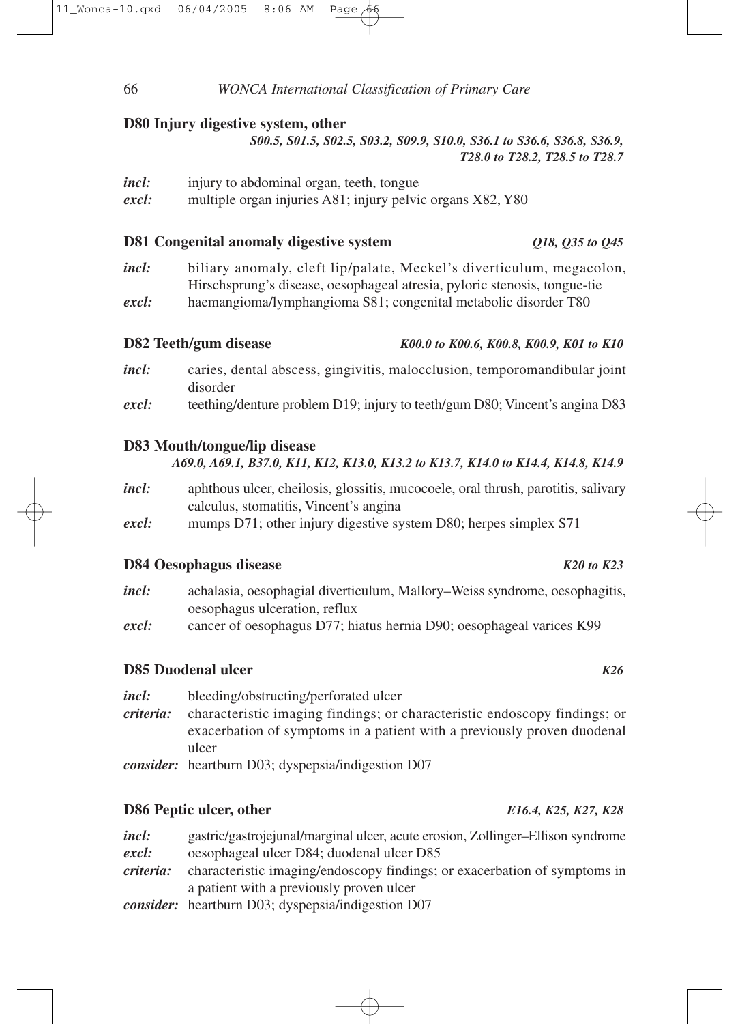### **D80 Injury digestive system, other**

*S00.5, S01.5, S02.5, S03.2, S09.9, S10.0, S36.1 to S36.6, S36.8, S36.9, T28.0 to T28.2, T28.5 to T28.7*

- *incl:* injury to abdominal organ, teeth, tongue
- *excl:* multiple organ injuries A81; injury pelvic organs X82, Y80

## **D81 Congenital anomaly digestive system** *Q18, Q35 to Q45*

- *incl:* biliary anomaly, cleft lip/palate, Meckel's diverticulum, megacolon, Hirschsprung's disease, oesophageal atresia, pyloric stenosis, tongue-tie
- *excl:* haemangioma/lymphangioma S81; congenital metabolic disorder T80

#### **D82 Teeth/gum disease** *K00.0 to K00.6, K00.8, K00.9, K01 to K10*

- *incl:* caries, dental abscess, gingivitis, malocclusion, temporomandibular joint disorder
- *excl:* teething/denture problem D19; injury to teeth/gum D80; Vincent's angina D83

#### **D83 Mouth/tongue/lip disease**

#### *A69.0, A69.1, B37.0, K11, K12, K13.0, K13.2 to K13.7, K14.0 to K14.4, K14.8, K14.9*

- *incl:* aphthous ulcer, cheilosis, glossitis, mucocoele, oral thrush, parotitis, salivary calculus, stomatitis, Vincent's angina
- *excl:* mumps D71; other injury digestive system D80; herpes simplex S71

#### **D84 Oesophagus disease** *K20 to K23*

- *incl:* achalasia, oesophagial diverticulum, Mallory–Weiss syndrome, oesophagitis, oesophagus ulceration, reflux
- *excl:* cancer of oesophagus D77; hiatus hernia D90; oesophageal varices K99

## **D85 Duodenal ulcer** *K26*

- *incl:* bleeding/obstructing/perforated ulcer *criteria:* characteristic imaging findings; or characteristic endoscopy findings; or exacerbation of symptoms in a patient with a previously proven duodenal ulcer
- *consider:* heartburn D03; dyspepsia/indigestion D07

#### **D86 Peptic ulcer, other** *E16.4, K25, K27, K28*

- *incl:* gastric/gastrojejunal/marginal ulcer, acute erosion, Zollinger–Ellison syndrome *excl:* oesophageal ulcer D84; duodenal ulcer D85
- *criteria:* characteristic imaging/endoscopy findings; or exacerbation of symptoms in a patient with a previously proven ulcer
- *consider:* heartburn D03; dyspepsia/indigestion D07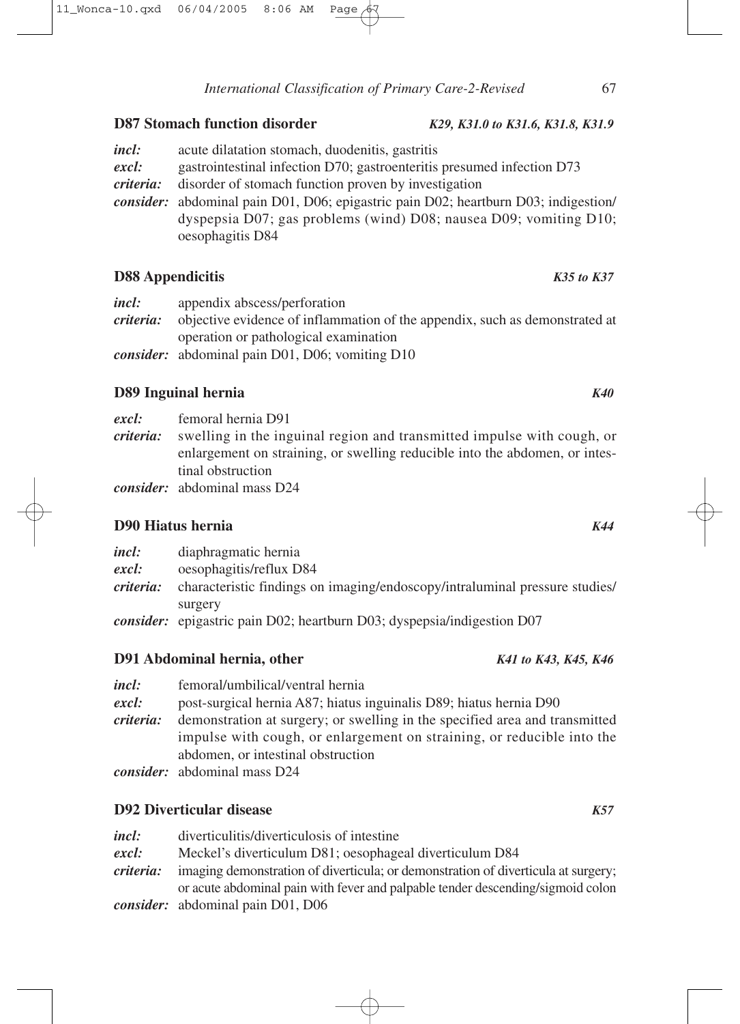## **D87 Stomach function disorder** *K29, K31.0 to K31.6, K31.8, K31.9*

| <i>incl:</i>     | acute dilatation stomach, duodenitis, gastritis                                     |
|------------------|-------------------------------------------------------------------------------------|
| excl:            | gastrointestinal infection D70; gastroenteritis presumed infection D73              |
| <i>criteria:</i> | disorder of stomach function proven by investigation                                |
|                  | consider: abdominal pain D01, D06; epigastric pain D02; heartburn D03; indigestion/ |
|                  | dyspepsia D07; gas problems (wind) D08; nausea D09; vomiting D10;                   |
|                  | oesophagitis D84                                                                    |

# **D88 Appendicitis** *K35 to K37*

| incl:            | appendix abscess/perforation                                                |
|------------------|-----------------------------------------------------------------------------|
| <i>criteria:</i> | objective evidence of inflammation of the appendix, such as demonstrated at |
|                  | operation or pathological examination                                       |
|                  | <i>consider</i> : abdominal pain D01, D06; vomiting D10                     |

# **D89 Inguinal hernia** *K40*

| excl:             | femoral hernia D91                                                          |
|-------------------|-----------------------------------------------------------------------------|
| <i>criteria</i> : | swelling in the inguinal region and transmitted impulse with cough, or      |
|                   | enlargement on straining, or swelling reducible into the abdomen, or intes- |
|                   | tinal obstruction                                                           |
|                   |                                                                             |

*consider:* abdominal mass D24

## **D90 Hiatus hernia** *K44*

|  | incl: | diaphragmatic hernia |
|--|-------|----------------------|
|--|-------|----------------------|

- *excl:* oesophagitis/reflux D84
- *criteria:* characteristic findings on imaging/endoscopy/intraluminal pressure studies/ surgery
- *consider:* epigastric pain D02; heartburn D03; dyspepsia/indigestion D07

# **D91 Abdominal hernia, other** *K41 to K43, K45, K46*

| incl:     | femoral/umbilical/ventral hernia                                            |
|-----------|-----------------------------------------------------------------------------|
| excl:     | post-surgical hernia A87; hiatus inguinalis D89; hiatus hernia D90          |
| criteria: | demonstration at surgery; or swelling in the specified area and transmitted |
|           | impulse with cough, or enlargement on straining, or reducible into the      |
|           | abdomen, or intestinal obstruction                                          |
|           | <i>consider</i> : abdominal mass D24                                        |

# **D92 Diverticular disease** *K57*

| <i>incl:</i>     | diverticulitis/diverticulosis of intestine                                        |
|------------------|-----------------------------------------------------------------------------------|
| excl:            | Meckel's diverticulum D81; oesophageal diverticulum D84                           |
| <i>criteria:</i> | imaging demonstration of diverticula; or demonstration of diverticula at surgery; |
|                  | or acute abdominal pain with fever and palpable tender descending/sigmoid colon   |
|                  | <i>consider:</i> abdominal pain D01, D06                                          |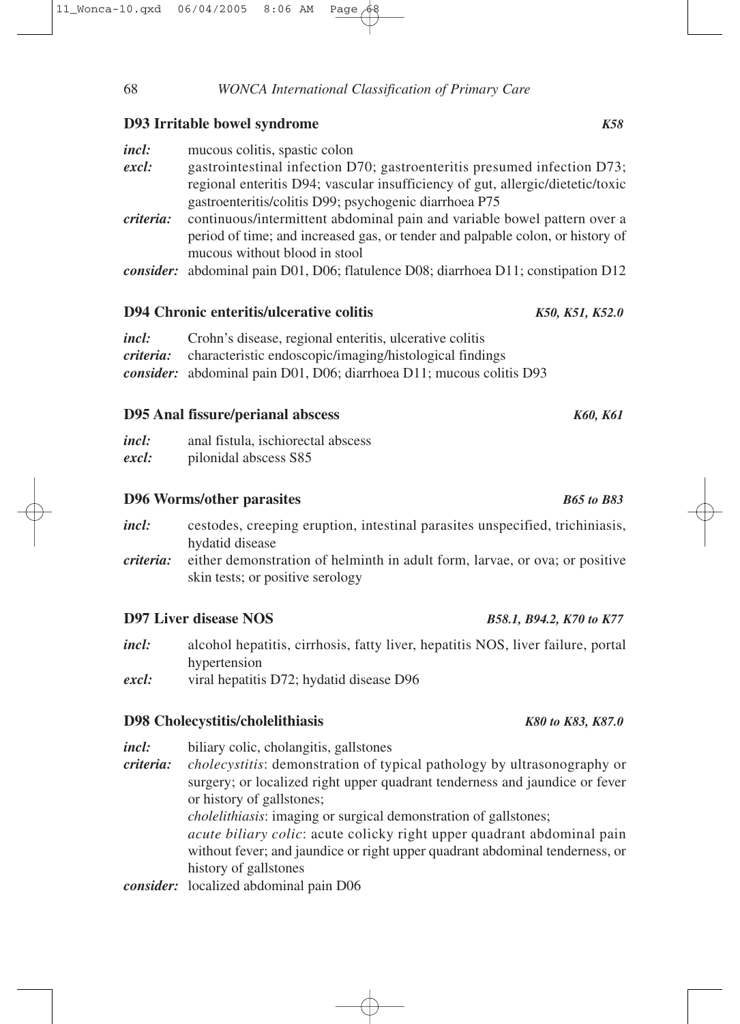# **D93 Irritable bowel syndrome** *K58*

- *incl:* mucous colitis, spastic colon *excl:* gastrointestinal infection D70; gastroenteritis presumed infection D73; regional enteritis D94; vascular insufficiency of gut, allergic/dietetic/toxic gastroenteritis/colitis D99; psychogenic diarrhoea P75 *criteria:* continuous/intermittent abdominal pain and variable bowel pattern over a period of time; and increased gas, or tender and palpable colon, or history of mucous without blood in stool
- *consider:* abdominal pain D01, D06; flatulence D08; diarrhoea D11; constipation D12

# **D94 Chronic enteritis/ulcerative colitis** *K50, K51, K52.0*

| <i>incl:</i> | Crohn's disease, regional enteritis, ulcerative colitis                     |
|--------------|-----------------------------------------------------------------------------|
|              | <i>criteria:</i> characteristic endoscopic/imaging/histological findings    |
|              | <i>consider:</i> abdominal pain D01, D06; diarrhoea D11; mucous colitis D93 |

# **D95 Anal fissure/perianal abscess** *K60, K61*

*incl:* anal fistula, ischiorectal abscess *excl:* pilonidal abscess S85

# **D96 Worms/other parasites** *B65 to B83*

- *incl:* cestodes, creeping eruption, intestinal parasites unspecified, trichiniasis, hydatid disease
- *criteria:* either demonstration of helminth in adult form, larvae, or ova; or positive skin tests; or positive serology

# **D97 Liver disease NOS** *B58.1, B94.2, K70 to K77*

- *incl:* alcohol hepatitis, cirrhosis, fatty liver, hepatitis NOS, liver failure, portal hypertension
- *excl:* viral hepatitis D72; hydatid disease D96

# **D98 Cholecystitis/cholelithiasis** *K80 to K83, K87.0*

- *incl:* biliary colic, cholangitis, gallstones
- *criteria: cholecystitis*: demonstration of typical pathology by ultrasonography or surgery; or localized right upper quadrant tenderness and jaundice or fever or history of gallstones;

*cholelithiasis*: imaging or surgical demonstration of gallstones; *acute biliary colic*: acute colicky right upper quadrant abdominal pain without fever; and jaundice or right upper quadrant abdominal tenderness, or history of gallstones

*consider:* localized abdominal pain D06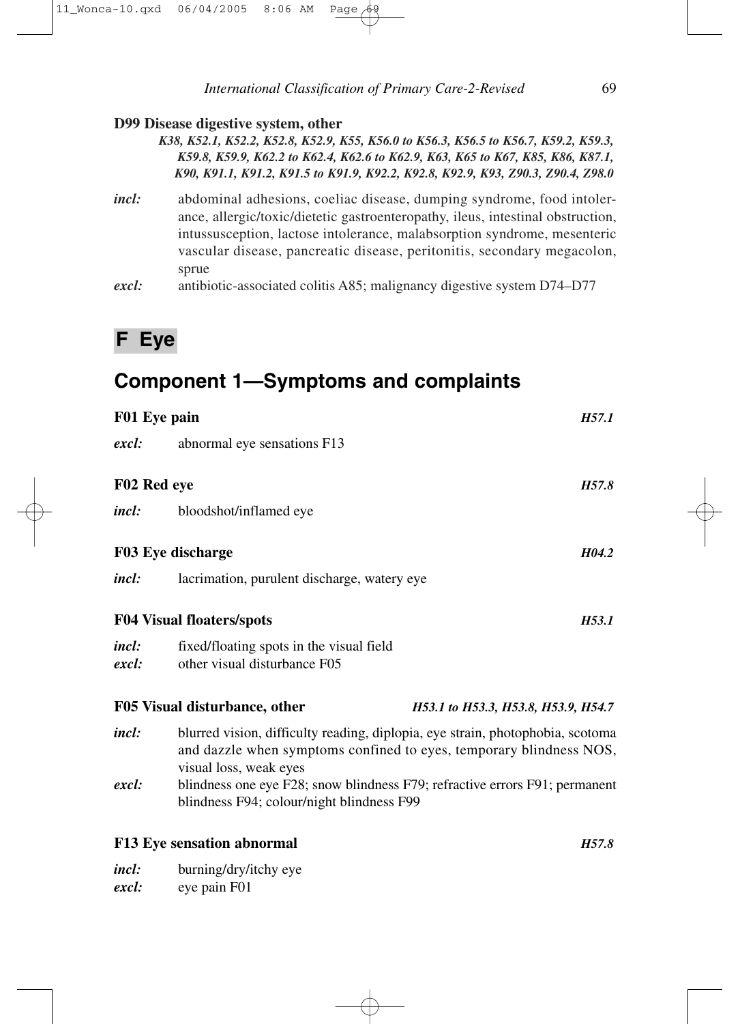#### **D99 Disease digestive system, other**

*K38, K52.1, K52.2, K52.8, K52.9, K55, K56.0 to K56.3, K56.5 to K56.7, K59.2, K59.3, K59.8, K59.9, K62.2 to K62.4, K62.6 to K62.9, K63, K65 to K67, K85, K86, K87.1, K90, K91.1, K91.2, K91.5 to K91.9, K92.2, K92.8, K92.9, K93, Z90.3, Z90.4, Z98.0*

*incl:* abdominal adhesions, coeliac disease, dumping syndrome, food intolerance, allergic/toxic/dietetic gastroenteropathy, ileus, intestinal obstruction, intussusception, lactose intolerance, malabsorption syndrome, mesenteric vascular disease, pancreatic disease, peritonitis, secondary megacolon, sprue

*excl:* antibiotic-associated colitis A85; malignancy digestive system D74–D77

# **F Eye**

# **Component 1—Symptoms and complaints**

| F01 Eye pain   |                                                                                                                                                                                 | H57.1                               |
|----------------|---------------------------------------------------------------------------------------------------------------------------------------------------------------------------------|-------------------------------------|
| excl:          | abnormal eye sensations F13                                                                                                                                                     |                                     |
| F02 Red eye    |                                                                                                                                                                                 | H <sub>57.8</sub>                   |
| <i>incl:</i>   | bloodshot/inflamed eye                                                                                                                                                          |                                     |
|                | F03 Eye discharge                                                                                                                                                               | H <sub>04.2</sub>                   |
| <i>incl:</i>   | lacrimation, purulent discharge, watery eye                                                                                                                                     |                                     |
|                | <b>F04 Visual floaters/spots</b>                                                                                                                                                | H53.1                               |
| incl:<br>excl: | fixed/floating spots in the visual field<br>other visual disturbance F05                                                                                                        |                                     |
|                | F05 Visual disturbance, other                                                                                                                                                   | H53.1 to H53.3, H53.8, H53.9, H54.7 |
| <i>incl:</i>   | blurred vision, difficulty reading, diplopia, eye strain, photophobia, scotoma<br>and dazzle when symptoms confined to eyes, temporary blindness NOS,<br>visual loss, weak eyes |                                     |
| excl:          | blindness one eye F28; snow blindness F79; refractive errors F91; permanent<br>blindness F94; colour/night blindness F99                                                        |                                     |
|                | F13 Eye sensation abnormal                                                                                                                                                      | H57.8                               |
| incl:          | burning/dry/itchy eye                                                                                                                                                           |                                     |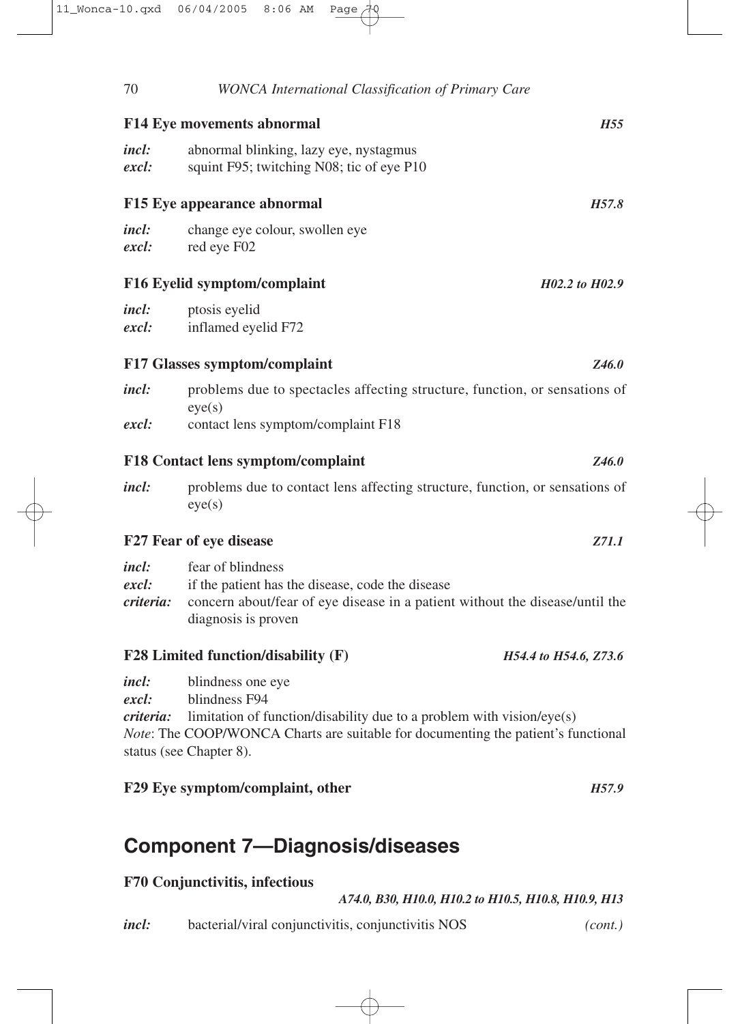| F14 Eye movements abnormal<br>H <sub>55</sub><br><i>incl:</i><br>abnormal blinking, lazy eye, nystagmus<br>squint F95; twitching N08; tic of eye P10<br>excl:<br>F15 Eye appearance abnormal<br>H <sub>57.8</sub><br><i>incl:</i><br>change eye colour, swollen eye<br>excl:<br>red eye F02<br>F16 Eyelid symptom/complaint<br>H02.2 to H02.9<br><i>incl:</i><br>ptosis eyelid<br>inflamed eyelid F72<br>excl:<br><b>F17 Glasses symptom/complaint</b><br>Z46.0<br><i>incl:</i><br>problems due to spectacles affecting structure, function, or sensations of<br>eye(s)<br>contact lens symptom/complaint F18<br>excl: |
|------------------------------------------------------------------------------------------------------------------------------------------------------------------------------------------------------------------------------------------------------------------------------------------------------------------------------------------------------------------------------------------------------------------------------------------------------------------------------------------------------------------------------------------------------------------------------------------------------------------------|
|                                                                                                                                                                                                                                                                                                                                                                                                                                                                                                                                                                                                                        |
|                                                                                                                                                                                                                                                                                                                                                                                                                                                                                                                                                                                                                        |
|                                                                                                                                                                                                                                                                                                                                                                                                                                                                                                                                                                                                                        |
|                                                                                                                                                                                                                                                                                                                                                                                                                                                                                                                                                                                                                        |
|                                                                                                                                                                                                                                                                                                                                                                                                                                                                                                                                                                                                                        |
|                                                                                                                                                                                                                                                                                                                                                                                                                                                                                                                                                                                                                        |
|                                                                                                                                                                                                                                                                                                                                                                                                                                                                                                                                                                                                                        |
|                                                                                                                                                                                                                                                                                                                                                                                                                                                                                                                                                                                                                        |
|                                                                                                                                                                                                                                                                                                                                                                                                                                                                                                                                                                                                                        |
| <b>F18 Contact lens symptom/complaint</b><br>Z46.0                                                                                                                                                                                                                                                                                                                                                                                                                                                                                                                                                                     |
| <i>incl:</i><br>problems due to contact lens affecting structure, function, or sensations of<br>eye(s)                                                                                                                                                                                                                                                                                                                                                                                                                                                                                                                 |
| F27 Fear of eye disease<br>Z71.1                                                                                                                                                                                                                                                                                                                                                                                                                                                                                                                                                                                       |
| <i>incl:</i><br>fear of blindness<br>excl:<br>if the patient has the disease, code the disease<br><i>criteria:</i><br>concern about/fear of eye disease in a patient without the disease/until the<br>diagnosis is proven                                                                                                                                                                                                                                                                                                                                                                                              |
| $F28$ Limited function/disability $(F)$<br>H54.4 to H54.6, Z73.6                                                                                                                                                                                                                                                                                                                                                                                                                                                                                                                                                       |
| <i>incl:</i><br>blindness one eye<br>blindness F94<br>excl:<br>criteria:<br>limitation of function/disability due to a problem with vision/eye(s)<br>Note: The COOP/WONCA Charts are suitable for documenting the patient's functional<br>status (see Chapter 8).                                                                                                                                                                                                                                                                                                                                                      |
| F29 Eye symptom/complaint, other<br>H <sub>57.9</sub>                                                                                                                                                                                                                                                                                                                                                                                                                                                                                                                                                                  |

# **Component 7—Diagnosis/diseases**

# **F70 Conjunctivitis, infectious**

*A74.0, B30, H10.0, H10.2 to H10.5, H10.8, H10.9, H13*

*incl:* bacterial/viral conjunctivitis, conjunctivitis NOS *(cont.)*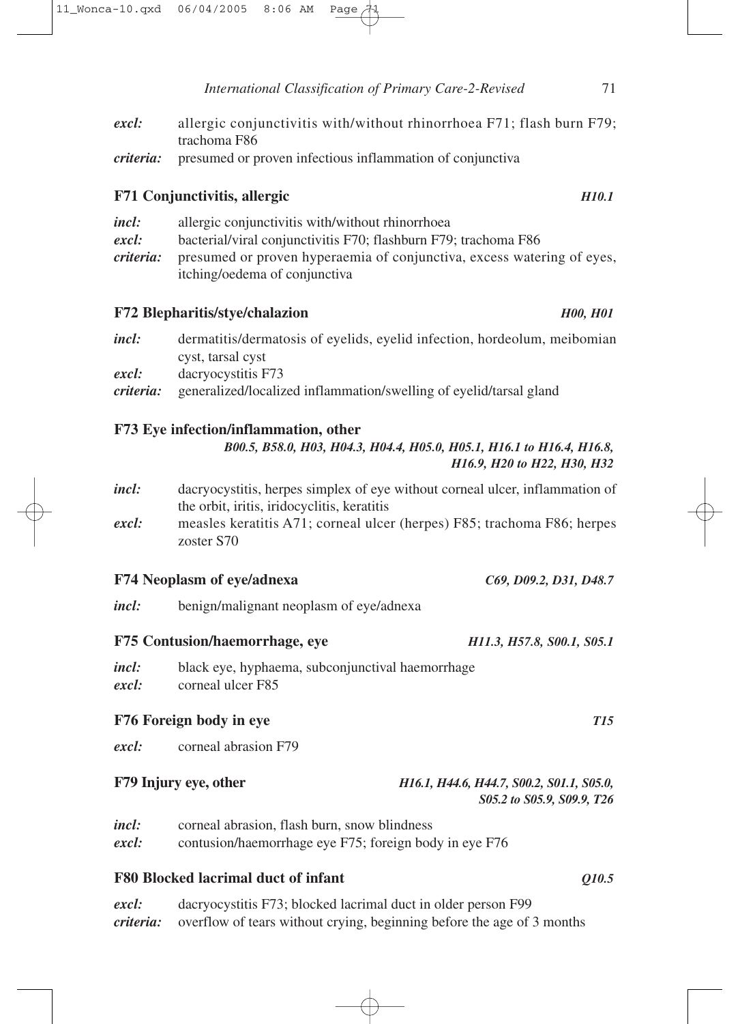| excl: | allergic conjunctivitis with/without rhinorrhoea F71; flash burn F79;      |
|-------|----------------------------------------------------------------------------|
|       | trachoma F86                                                               |
|       | <i>criteria:</i> presumed or proven infectious inflammation of conjunctiva |

### **F71 Conjunctivitis, allergic** *H10.1*

| <i>incl:</i>     | allergic conjunctivitis with/without rhinorrhoea                       |  |  |
|------------------|------------------------------------------------------------------------|--|--|
| excl:            | bacterial/viral conjunctivitis F70; flashburn F79; trachoma F86        |  |  |
| <i>criteria:</i> | presumed or proven hyperaemia of conjunctiva, excess watering of eyes, |  |  |
|                  | itching/oedema of conjunctiva                                          |  |  |

#### **F72 Blepharitis/stye/chalazion** *H00, H01*

| <i>incl:</i>     | dermatitis/dermatosis of eyelids, eyelid infection, hordeolum, meibomian |
|------------------|--------------------------------------------------------------------------|
|                  | cyst, tarsal cyst                                                        |
| excl:            | dacryocystitis F73                                                       |
| <i>criteria:</i> | generalized/localized inflammation/swelling of eyelid/tarsal gland       |

#### **F73 Eye infection/inflammation, other**

## *B00.5, B58.0, H03, H04.3, H04.4, H05.0, H05.1, H16.1 to H16.4, H16.8, H16.9, H20 to H22, H30, H32*

- *incl:* dacryocystitis, herpes simplex of eye without corneal ulcer, inflammation of the orbit, iritis, iridocyclitis, keratitis
- *excl:* measles keratitis A71; corneal ulcer (herpes) F85; trachoma F86; herpes zoster S70

#### **F74 Neoplasm of eye/adnexa** *C69, D09.2, D31, D48.7*

*incl:* benign/malignant neoplasm of eye/adnexa

#### **F75 Contusion/haemorrhage, eye** *H11.3, H57.8, S00.1, S05.1*

*incl:* black eye, hyphaema, subconjunctival haemorrhage *excl:* corneal ulcer F85

#### **F76 Foreign body in eye** *T15*

*excl:* corneal abrasion F79

**F79 Injury eye, other** *H16.1, H44.6, H44.7, S00.2, S01.1, S05.0,*

*S05.2 to S05.9, S09.9, T26*

*incl:* corneal abrasion, flash burn, snow blindness *excl:* contusion/haemorrhage eye F75; foreign body in eye F76

## **F80 Blocked lacrimal duct of infant** *Q10.5*

*excl:* dacryocystitis F73; blocked lacrimal duct in older person F99 *criteria:* overflow of tears without crying, beginning before the age of 3 months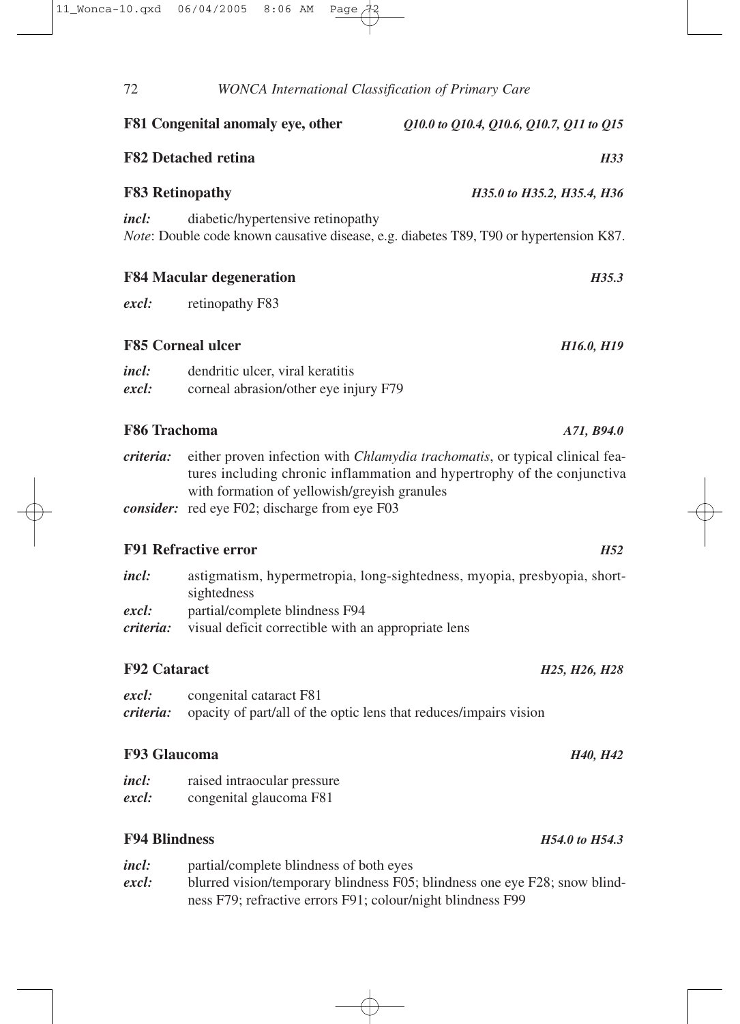|                                    | F81 Congenital anomaly eye, other                                                                    | Q10.0 to Q10.4, Q10.6, Q10.7, Q11 to Q15                                                                                                                             |
|------------------------------------|------------------------------------------------------------------------------------------------------|----------------------------------------------------------------------------------------------------------------------------------------------------------------------|
|                                    | <b>F82 Detached retina</b>                                                                           | H33                                                                                                                                                                  |
|                                    | <b>F83 Retinopathy</b>                                                                               | H35.0 to H35.2, H35.4, H36                                                                                                                                           |
| <i>incl:</i>                       | diabetic/hypertensive retinopathy                                                                    | <i>Note:</i> Double code known causative disease, e.g. diabetes T89, T90 or hypertension K87.                                                                        |
|                                    | <b>F84 Macular degeneration</b>                                                                      | H35.3                                                                                                                                                                |
| excl:                              | retinopathy F83                                                                                      |                                                                                                                                                                      |
|                                    | <b>F85 Corneal ulcer</b>                                                                             | H16.0, H19                                                                                                                                                           |
| <i>incl:</i><br>excl:              | dendritic ulcer, viral keratitis<br>corneal abrasion/other eye injury F79                            |                                                                                                                                                                      |
| <b>F86 Trachoma</b>                |                                                                                                      | A71, B94.0                                                                                                                                                           |
| <i>criteria:</i>                   | with formation of yellowish/greyish granules<br>consider: red eye F02; discharge from eye F03        | either proven infection with Chlamydia trachomatis, or typical clinical fea-<br>tures including chronic inflammation and hypertrophy of the conjunctiva              |
|                                    |                                                                                                      |                                                                                                                                                                      |
|                                    | <b>F91 Refractive error</b>                                                                          |                                                                                                                                                                      |
| <i>incl:</i><br>excl:<br>criteria: | sightedness<br>partial/complete blindness F94<br>visual deficit correctible with an appropriate lens |                                                                                                                                                                      |
| <b>F92 Cataract</b>                |                                                                                                      |                                                                                                                                                                      |
| excl:<br>criteria:                 | congenital cataract F81<br>opacity of part/all of the optic lens that reduces/impairs vision         |                                                                                                                                                                      |
| <b>F93 Glaucoma</b>                |                                                                                                      |                                                                                                                                                                      |
| <i>incl:</i><br>excl:              | raised intraocular pressure<br>congenital glaucoma F81                                               |                                                                                                                                                                      |
| <b>F94 Blindness</b>               |                                                                                                      | H52<br>astigmatism, hypermetropia, long-sightedness, myopia, presbyopia, short-<br>H <sub>25</sub> , H <sub>26</sub> , H <sub>28</sub><br>H40, H42<br>H54.0 to H54.3 |

 $\overline{\bigoplus}$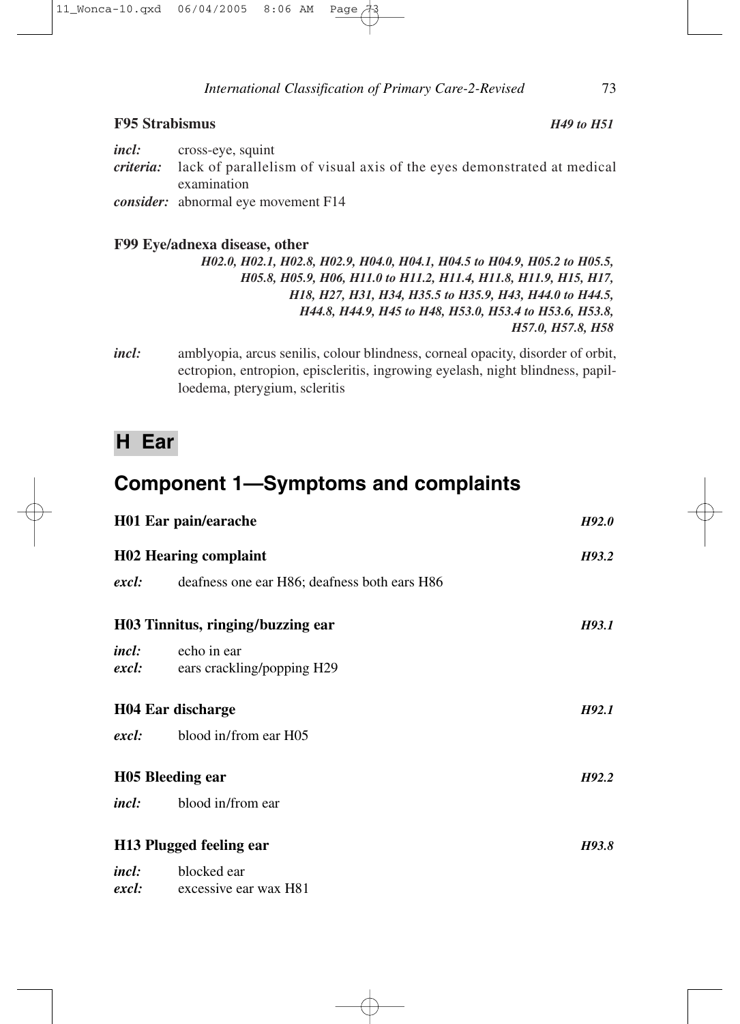#### **F95 Strabismus** *H49 to H51*

| <i>incl:</i> cross-eye, squint                                                          |
|-----------------------------------------------------------------------------------------|
| <i>criteria:</i> lack of parallelism of visual axis of the eyes demonstrated at medical |
| examination                                                                             |
| <i>consider:</i> abnormal eye movement F14                                              |

#### **F99 Eye/adnexa disease, other**

*H02.0, H02.1, H02.8, H02.9, H04.0, H04.1, H04.5 to H04.9, H05.2 to H05.5, H05.8, H05.9, H06, H11.0 to H11.2, H11.4, H11.8, H11.9, H15, H17, H18, H27, H31, H34, H35.5 to H35.9, H43, H44.0 to H44.5, H44.8, H44.9, H45 to H48, H53.0, H53.4 to H53.6, H53.8, H57.0, H57.8, H58*

*incl:* amblyopia, arcus senilis, colour blindness, corneal opacity, disorder of orbit, ectropion, entropion, episcleritis, ingrowing eyelash, night blindness, papilloedema, pterygium, scleritis

# **H Ear**

# **Component 1—Symptoms and complaints**

|       | H01 Ear pain/earache                                   | H92.0 |
|-------|--------------------------------------------------------|-------|
|       | <b>H02 Hearing complaint</b>                           | H93.2 |
| excl: | deafness one ear H86; deafness both ears H86           |       |
|       | H03 Tinnitus, ringing/buzzing ear                      | H93.1 |
| excl: | <i>incl:</i> echo in ear<br>ears crackling/popping H29 |       |
|       | H04 Ear discharge                                      | H92.1 |
| excl: | blood in/from ear H05                                  |       |
|       | H05 Bleeding ear                                       | H92.2 |
| incl: | blood in/from ear                                      |       |
|       | H13 Plugged feeling ear                                | H93.8 |
| excl: | <i>incl:</i> blocked ear<br>excessive ear wax H81      |       |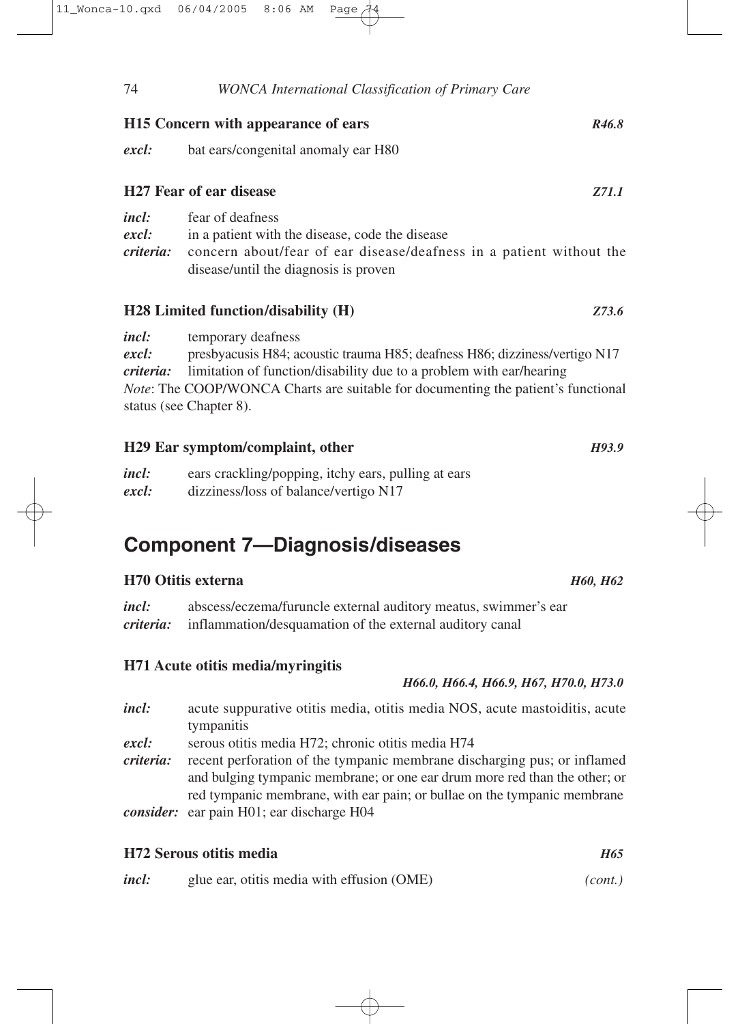| THE CONCELLED WILL appeal ance of ears |                                                                                                                                                                                     | K40.0 |
|----------------------------------------|-------------------------------------------------------------------------------------------------------------------------------------------------------------------------------------|-------|
| excl:                                  | bat ears/congenital anomaly ear H80                                                                                                                                                 |       |
|                                        | H <sub>27</sub> Fear of ear disease                                                                                                                                                 | Z71.1 |
| <i>incl:</i><br>excl:<br>criteria:     | fear of deafness<br>in a patient with the disease, code the disease<br>concern about/fear of ear disease/deafness in a patient without the<br>disease/until the diagnosis is proven |       |

**H15 Concern with appearance of ears** *R46.8*

74 *WONCA International Classification of Primary Care*

# **H28 Limited function/disability (H)** *Z73.6*

*incl:* temporary deafness *excl:* presbyacusis H84; acoustic trauma H85; deafness H86; dizziness/vertigo N17 *criteria:* limitation of function/disability due to a problem with ear/hearing *Note*: The COOP/WONCA Charts are suitable for documenting the patient's functional status (see Chapter 8).

#### **H29 Ear symptom/complaint, other** *H93.9*

*incl:* ears crackling/popping, itchy ears, pulling at ears *excl:* dizziness/loss of balance/vertigo N17

# **Component 7—Diagnosis/diseases**

### **H70 Otitis externa** *H60, H62*

*incl:* abscess/eczema/furuncle external auditory meatus, swimmer's ear *criteria:* inflammation/desquamation of the external auditory canal

### **H71 Acute otitis media/myringitis**

#### *H66.0, H66.4, H66.9, H67, H70.0, H73.0*

- *incl:* acute suppurative otitis media, otitis media NOS, acute mastoiditis, acute tympanitis
- *excl:* serous otitis media H72; chronic otitis media H74
- *criteria:* recent perforation of the tympanic membrane discharging pus; or inflamed and bulging tympanic membrane; or one ear drum more red than the other; or red tympanic membrane, with ear pain; or bullae on the tympanic membrane *consider:* ear pain H01; ear discharge H04

| H72 Serous otitis media |                                            | H65     |
|-------------------------|--------------------------------------------|---------|
| <i>incl:</i>            | glue ear, otitis media with effusion (OME) | (cont.) |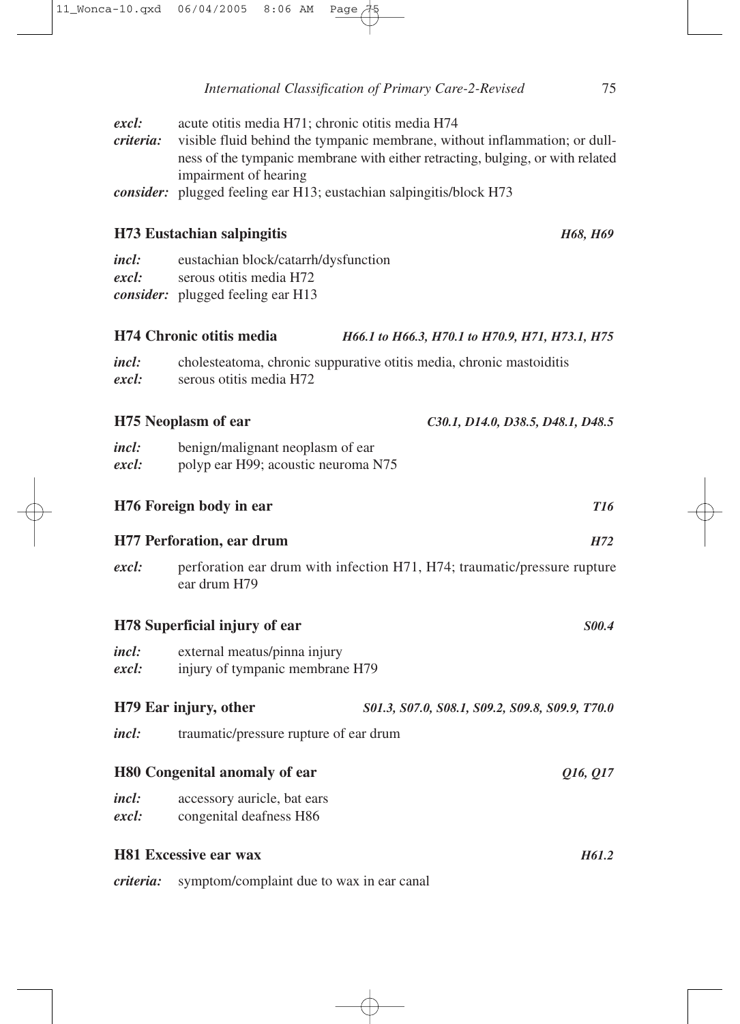| excl:     | acute otitis media H71; chronic otitis media H74                               |  |  |  |
|-----------|--------------------------------------------------------------------------------|--|--|--|
| criteria: | visible fluid behind the tympanic membrane, without inflammation; or dull-     |  |  |  |
|           | ness of the tympanic membrane with either retracting, bulging, or with related |  |  |  |
|           | impairment of hearing                                                          |  |  |  |
|           | <i>consider</i> : plugged feeling ear H13; eustachian salpingitis/block H73    |  |  |  |

## **H73 Eustachian salpingitis** *H68, H69*

| incl: | eustachian block/catarrh/dysfunction      |
|-------|-------------------------------------------|
| excl: | serous otitis media H72                   |
|       | <i>consider</i> : plugged feeling ear H13 |

# **H74 Chronic otitis media** *H66.1 to H66.3, H70.1 to H70.9, H71, H73.1, H75*

| incl: | cholesteatoma, chronic suppurative otitis media, chronic mastoiditis |
|-------|----------------------------------------------------------------------|
| excl: | serous otitis media H72                                              |

**H75 Neoplasm of ear** *C30.1, D14.0, D38.5, D48.1, D48.5 incl:* benign/malignant neoplasm of ear *excl:* polyp ear H99; acoustic neuroma N75

# **H76 Foreign body in ear** *T16*

# **H77 Perforation, ear drum** *H72*

*excl:* perforation ear drum with infection H71, H74; traumatic/pressure rupture ear drum H79

### **H78 Superficial injury of ear** *S00.4*

- *incl:* external meatus/pinna injury
- *excl:* injury of tympanic membrane H79

# **H79 Ear injury, other** *S01.3, S07.0, S08.1, S09.2, S09.8, S09.9, T70.0*

*incl:* traumatic/pressure rupture of ear drum

# **H80 Congenital anomaly of ear** *Q16, Q17*

*incl:* accessory auricle, bat ears *excl:* congenital deafness H86

**H81 Excessive ear wax** *H61.2*

*criteria:* symptom/complaint due to wax in ear canal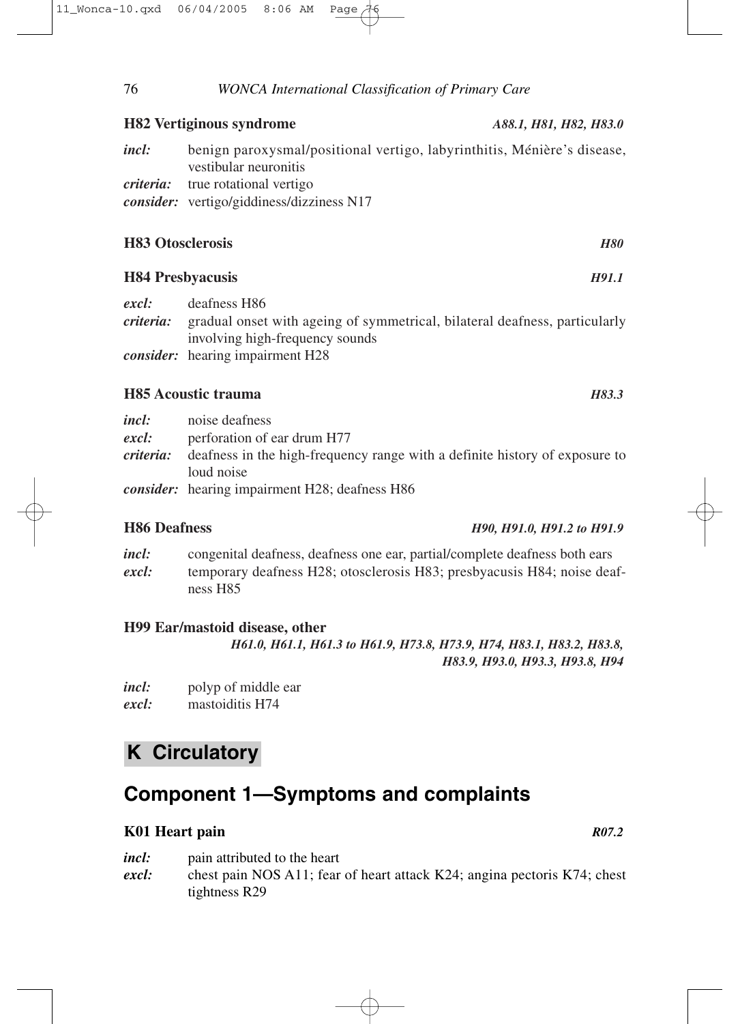| <b>H82 Vertiginous syndrome</b> |                                                                                                  | A88.1, H81, H82, H83.0 |
|---------------------------------|--------------------------------------------------------------------------------------------------|------------------------|
| <i>incl:</i>                    | benign paroxysmal/positional vertigo, labyrinthitis, Ménière's disease,<br>vestibular neuronitis |                        |
|                                 | <i>criteria:</i> true rotational vertigo<br><i>consider:</i> vertigo/giddiness/dizziness N17     |                        |

# **H83 Otosclerosis** *H80*

#### **H84 Presbyacusis** *H91.1*

| excl:     | deafness H86                                                               |
|-----------|----------------------------------------------------------------------------|
| criteria: | gradual onset with ageing of symmetrical, bilateral deafness, particularly |
|           | involving high-frequency sounds                                            |
|           | <i>consider:</i> hearing impairment H28                                    |

## **H85 Acoustic trauma** *H83.3*

| <i>incl:</i> | noise deafness                                                              |
|--------------|-----------------------------------------------------------------------------|
| excl:        | perforation of ear drum H77                                                 |
| criteria:    | deafness in the high-frequency range with a definite history of exposure to |
|              | loud noise                                                                  |
|              | <i>consider:</i> hearing impairment H28; deafness H86                       |

**H86 Deafness** *H90, H91.0, H91.2 to H91.9*

*incl:* congenital deafness, deafness one ear, partial/complete deafness both ears *excl:* temporary deafness H28; otosclerosis H83; presbyacusis H84; noise deafness H85

# **H99 Ear/mastoid disease, other**

*H61.0, H61.1, H61.3 to H61.9, H73.8, H73.9, H74, H83.1, H83.2, H83.8, H83.9, H93.0, H93.3, H93.8, H94*

| <i>incl:</i> | polyp of middle ear |
|--------------|---------------------|
| excl:        | mastoiditis H74     |

# **K Circulatory**

# **Component 1—Symptoms and complaints**

# **K01 Heart pain** *R07.2*

*incl:* pain attributed to the heart *excl:* chest pain NOS A11; fear of heart attack K24; angina pectoris K74; chest tightness R29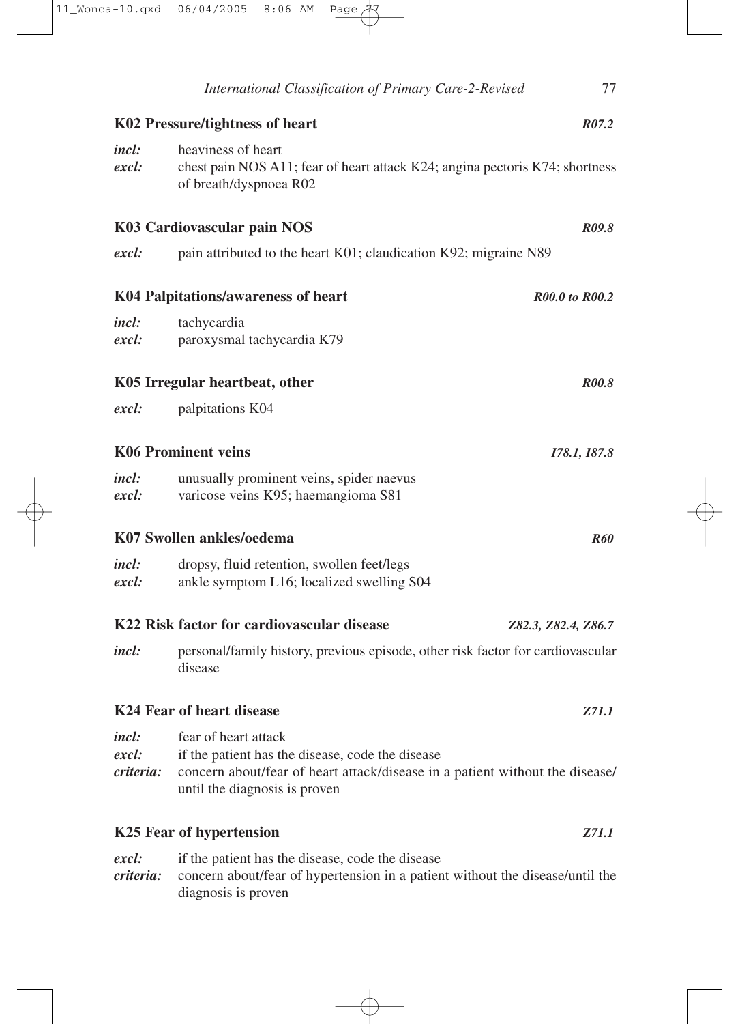|                                    | International Classification of Primary Care-2-Revised                                                                                                                                    | 77                  |  |
|------------------------------------|-------------------------------------------------------------------------------------------------------------------------------------------------------------------------------------------|---------------------|--|
|                                    | K02 Pressure/tightness of heart                                                                                                                                                           | R07.2               |  |
| <i>incl:</i><br>excl:              | heaviness of heart<br>chest pain NOS A11; fear of heart attack K24; angina pectoris K74; shortness<br>of breath/dyspnoea R02                                                              |                     |  |
|                                    | K03 Cardiovascular pain NOS                                                                                                                                                               | R09.8               |  |
| excl:                              | pain attributed to the heart K01; claudication K92; migraine N89                                                                                                                          |                     |  |
|                                    | K04 Palpitations/awareness of heart                                                                                                                                                       | R00.0 to R00.2      |  |
| <i>incl:</i><br>excl:              | tachycardia<br>paroxysmal tachycardia K79                                                                                                                                                 |                     |  |
|                                    | K05 Irregular heartbeat, other                                                                                                                                                            | R <sub>00.8</sub>   |  |
| excl:                              | palpitations K04                                                                                                                                                                          |                     |  |
|                                    | <b>K06 Prominent veins</b>                                                                                                                                                                | 178.1, 187.8        |  |
| <i>incl:</i><br>excl:              | unusually prominent veins, spider naevus<br>varicose veins K95; haemangioma S81                                                                                                           |                     |  |
|                                    | K07 Swollen ankles/oedema                                                                                                                                                                 | <b>R60</b>          |  |
| <i>incl:</i><br>excl:              | dropsy, fluid retention, swollen feet/legs<br>ankle symptom L16; localized swelling S04                                                                                                   |                     |  |
|                                    | K22 Risk factor for cardiovascular disease                                                                                                                                                | Z82.3, Z82.4, Z86.7 |  |
| <i>incl:</i>                       | personal/family history, previous episode, other risk factor for cardiovascular<br>disease                                                                                                |                     |  |
|                                    | K24 Fear of heart disease                                                                                                                                                                 | Z71.1               |  |
| <i>incl:</i><br>excl:<br>criteria: | fear of heart attack<br>if the patient has the disease, code the disease<br>concern about/fear of heart attack/disease in a patient without the disease/<br>until the diagnosis is proven |                     |  |
|                                    | K25 Fear of hypertension                                                                                                                                                                  | Z71.1               |  |
| excl:<br>criteria:                 | if the patient has the disease, code the disease<br>concern about/fear of hypertension in a patient without the disease/until the                                                         |                     |  |

diagnosis is proven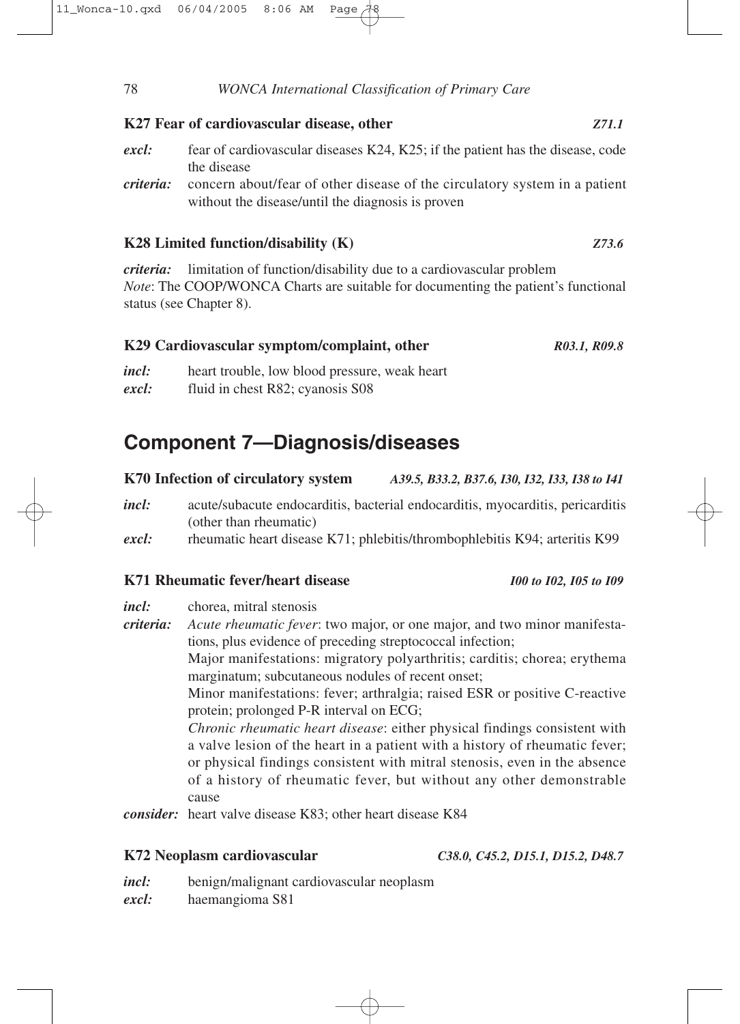# **K27 Fear of cardiovascular disease, other** *Z71.1 excl:* fear of cardiovascular diseases K24, K25; if the patient has the disease, code the disease *criteria:* concern about/fear of other disease of the circulatory system in a patient without the disease/until the diagnosis is proven

#### **K28 Limited function/disability (K)** *Z73.6*

*criteria:* limitation of function/disability due to a cardiovascular problem *Note*: The COOP/WONCA Charts are suitable for documenting the patient's functional status (see Chapter 8).

#### **K29 Cardiovascular symptom/complaint, other** *R03.1, R09.8*

*incl:* heart trouble, low blood pressure, weak heart *excl:* fluid in chest R82; cyanosis S08

# **Component 7—Diagnosis/diseases**

|              | K70 Infection of circulatory system | A39.5, B33.2, B37.6, I30, I32, I33, I38 to I41                                 |
|--------------|-------------------------------------|--------------------------------------------------------------------------------|
| <i>incl:</i> |                                     | acute/subacute endocarditis, bacterial endocarditis, myocarditis, pericarditis |
| excl:        | (other than rheumatic)              | rheumatic heart disease K71; phlebitis/thrombophlebitis K94; arteritis K99     |

# **K71 Rheumatic fever/heart disease** *I00 to I02, I05 to I09*

*incl:* chorea, mitral stenosis

*criteria: Acute rheumatic fever*: two major, or one major, and two minor manifestations, plus evidence of preceding streptococcal infection;

> Major manifestations: migratory polyarthritis; carditis; chorea; erythema marginatum; subcutaneous nodules of recent onset;

> Minor manifestations: fever; arthralgia; raised ESR or positive C-reactive protein; prolonged P-R interval on ECG;

> *Chronic rheumatic heart disease*: either physical findings consistent with a valve lesion of the heart in a patient with a history of rheumatic fever; or physical findings consistent with mitral stenosis, even in the absence of a history of rheumatic fever, but without any other demonstrable cause

*consider:* heart valve disease K83; other heart disease K84

#### **K72 Neoplasm cardiovascular** *C38.0, C45.2, D15.1, D15.2, D48.7*

*incl:* benign/malignant cardiovascular neoplasm *excl:* haemangioma S81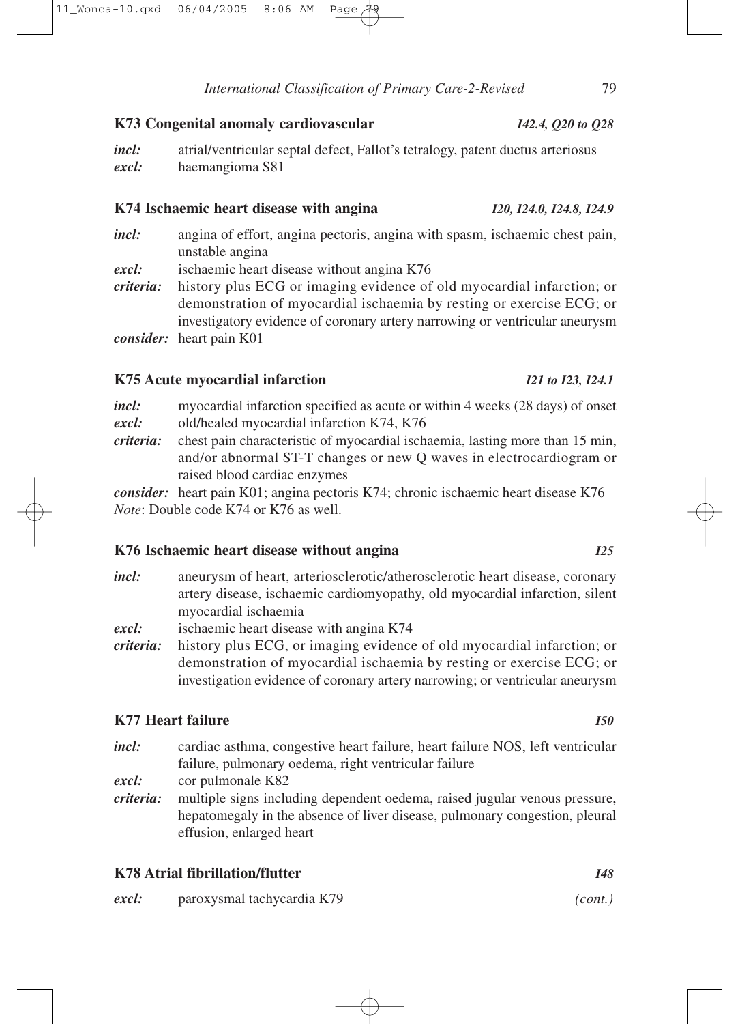#### **K73 Congenital anomaly cardiovascular** *I42.4, Q20 to Q28*

*incl:* atrial/ventricular septal defect, Fallot's tetralogy, patent ductus arteriosus *excl:* haemangioma S81

#### **K74 Ischaemic heart disease with angina** *I20, I24.0, I24.8, I24.9*

*incl:* angina of effort, angina pectoris, angina with spasm, ischaemic chest pain, unstable angina *excl:* ischaemic heart disease without angina K76 *criteria:* history plus ECG or imaging evidence of old myocardial infarction; or demonstration of myocardial ischaemia by resting or exercise ECG; or investigatory evidence of coronary artery narrowing or ventricular aneurysm *consider:* heart pain K01

#### **K75 Acute myocardial infarction** *I21 to I23, I24.1*

*incl:* myocardial infarction specified as acute or within 4 weeks (28 days) of onset *excl:* old/healed myocardial infarction K74, K76 *criteria:* chest pain characteristic of myocardial ischaemia, lasting more than 15 min, and/or abnormal ST-T changes or new Q waves in electrocardiogram or raised blood cardiac enzymes

*consider:* heart pain K01; angina pectoris K74; chronic ischaemic heart disease K76 *Note*: Double code K74 or K76 as well.

### **K76 Ischaemic heart disease without angina** *I25*

- *incl:* aneurysm of heart, arteriosclerotic/atherosclerotic heart disease, coronary artery disease, ischaemic cardiomyopathy, old myocardial infarction, silent myocardial ischaemia
- *excl:* ischaemic heart disease with angina K74
- *criteria:* history plus ECG, or imaging evidence of old myocardial infarction; or demonstration of myocardial ischaemia by resting or exercise ECG; or investigation evidence of coronary artery narrowing; or ventricular aneurysm

## **K77 Heart failure** *I50*

- *incl:* cardiac asthma, congestive heart failure, heart failure NOS, left ventricular failure, pulmonary oedema, right ventricular failure
- *excl:* cor pulmonale K82
- *criteria:* multiple signs including dependent oedema, raised jugular venous pressure, hepatomegaly in the absence of liver disease, pulmonary congestion, pleural effusion, enlarged heart

## **K78 Atrial fibrillation/flutter** *I48*

*excl:* paroxysmal tachycardia K79 *(cont.)*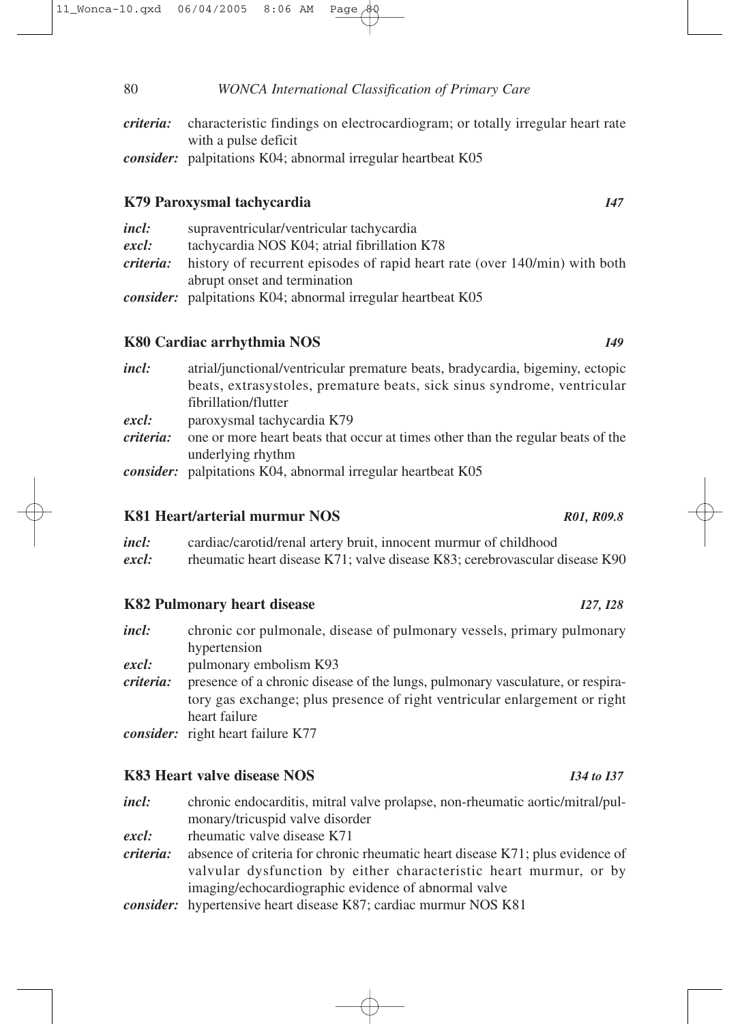- *criteria:* characteristic findings on electrocardiogram; or totally irregular heart rate with a pulse deficit *consider:* palpitations K04; abnormal irregular heartbeat K05
- 

# **K79 Paroxysmal tachycardia** *I47*

| <i>incl:</i>     | supraventricular/ventricular tachycardia                                   |
|------------------|----------------------------------------------------------------------------|
| excl:            | tachycardia NOS K04; atrial fibrillation K78                               |
| <i>criteria:</i> | history of recurrent episodes of rapid heart rate (over 140/min) with both |
|                  | abrupt onset and termination                                               |
|                  | <i>consider:</i> palpitations K04; abnormal irregular heartbeat K05        |

#### **K80 Cardiac arrhythmia NOS** *I49*

| <i>incl:</i> | atrial/junctional/ventricular premature beats, bradycardia, bigeminy, ectopic   |  |
|--------------|---------------------------------------------------------------------------------|--|
|              | beats, extrasystoles, premature beats, sick sinus syndrome, ventricular         |  |
|              | fibrillation/flutter                                                            |  |
| excl:        | paroxysmal tachycardia K79                                                      |  |
| criteria:    | one or more heart beats that occur at times other than the regular beats of the |  |
|              | underlying rhythm                                                               |  |
|              | <i>consider:</i> palpitations K04, abnormal irregular heartbeat K05             |  |

# **K81 Heart/arterial murmur NOS** *R01, R09.8*

| <i>incl:</i> | cardiac/carotid/renal artery bruit, innocent murmur of childhood            |
|--------------|-----------------------------------------------------------------------------|
| excl:        | rheumatic heart disease K71; valve disease K83; cerebrovascular disease K90 |

#### **K82 Pulmonary heart disease** *I27, I28*

| chronic cor pulmonale, disease of pulmonary vessels, primary pulmonary         |
|--------------------------------------------------------------------------------|
| hypertension                                                                   |
| pulmonary embolism K93                                                         |
| presence of a chronic disease of the lungs, pulmonary vasculature, or respira- |
| tory gas exchange; plus presence of right ventricular enlargement or right     |
| heart failure                                                                  |
|                                                                                |

*consider:* right heart failure K77

## **K83 Heart valve disease NOS** *I34 to I37*

*incl:* chronic endocarditis, mitral valve prolapse, non-rheumatic aortic/mitral/pulmonary/tricuspid valve disorder

*excl:* rheumatic valve disease K71

- *criteria:* absence of criteria for chronic rheumatic heart disease K71; plus evidence of valvular dysfunction by either characteristic heart murmur, or by imaging/echocardiographic evidence of abnormal valve
- *consider:* hypertensive heart disease K87; cardiac murmur NOS K81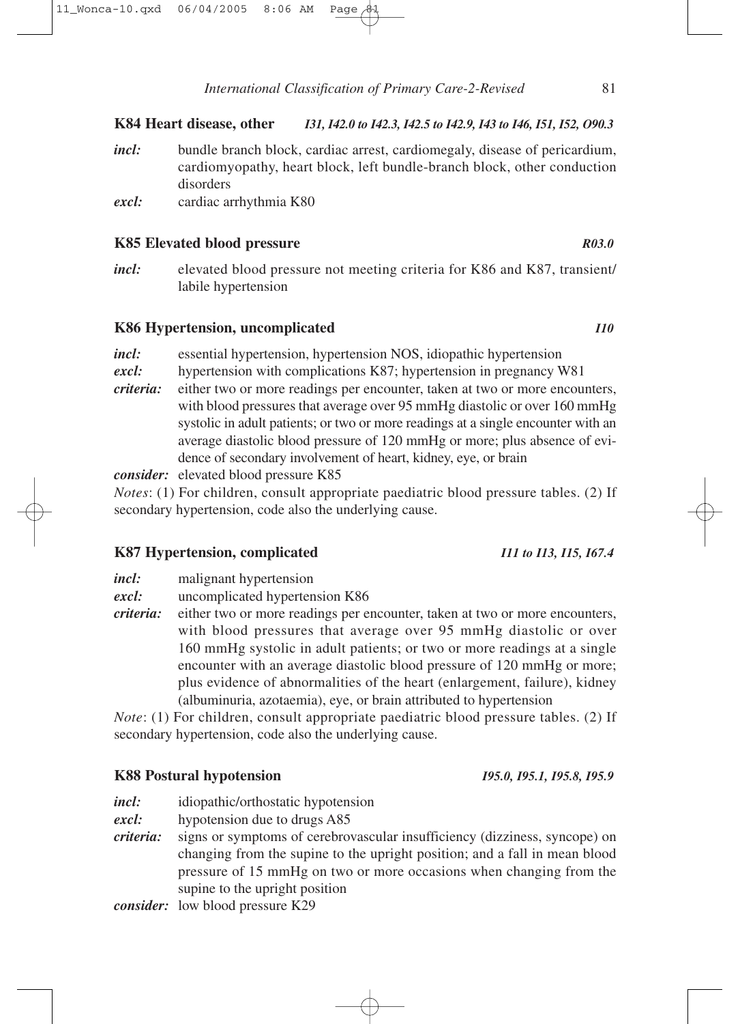### **K84 Heart disease, other** *I31, I42.0 to I42.3, I42.5 to I42.9, I43 to I46, I51, I52, O90.3*

- *incl:* bundle branch block, cardiac arrest, cardiomegaly, disease of pericardium, cardiomyopathy, heart block, left bundle-branch block, other conduction disorders
- *excl:* cardiac arrhythmia K80

#### **K85 Elevated blood pressure** *R03.0*

*incl:* elevated blood pressure not meeting criteria for K86 and K87, transient/ labile hypertension

#### **K86 Hypertension, uncomplicated** *I10*

- *incl:* essential hypertension, hypertension NOS, idiopathic hypertension
- *excl:* hypertension with complications K87; hypertension in pregnancy W81
- *criteria:* either two or more readings per encounter, taken at two or more encounters, with blood pressures that average over 95 mmHg diastolic or over 160 mmHg systolic in adult patients; or two or more readings at a single encounter with an average diastolic blood pressure of 120 mmHg or more; plus absence of evidence of secondary involvement of heart, kidney, eye, or brain

*consider:* elevated blood pressure K85

*Notes*: (1) For children, consult appropriate paediatric blood pressure tables. (2) If secondary hypertension, code also the underlying cause.

#### **K87 Hypertension, complicated** *I11 to I13, I15, I67.4*

*incl:* malignant hypertension

*excl:* uncomplicated hypertension K86

*criteria:* either two or more readings per encounter, taken at two or more encounters, with blood pressures that average over 95 mmHg diastolic or over 160 mmHg systolic in adult patients; or two or more readings at a single encounter with an average diastolic blood pressure of 120 mmHg or more; plus evidence of abnormalities of the heart (enlargement, failure), kidney (albuminuria, azotaemia), eye, or brain attributed to hypertension

*Note*: (1) For children, consult appropriate paediatric blood pressure tables. (2) If secondary hypertension, code also the underlying cause.

#### **K88 Postural hypotension** *I95.0, I95.1, I95.8, I95.9*

- *incl:* idiopathic/orthostatic hypotension
- *excl:* hypotension due to drugs A85
- *criteria:* signs or symptoms of cerebrovascular insufficiency (dizziness, syncope) on changing from the supine to the upright position; and a fall in mean blood pressure of 15 mmHg on two or more occasions when changing from the supine to the upright position

*consider:* low blood pressure K29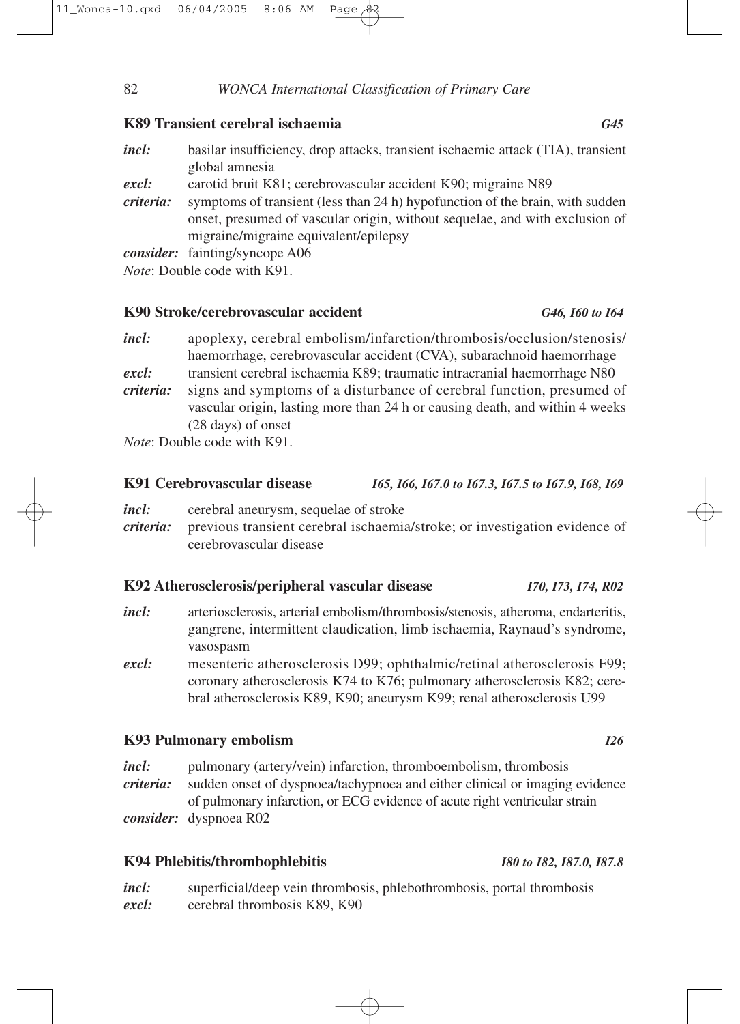## **K89 Transient cerebral ischaemia** *G45*

- *incl:* basilar insufficiency, drop attacks, transient ischaemic attack (TIA), transient global amnesia
- *excl:* carotid bruit K81; cerebrovascular accident K90; migraine N89

*criteria:* symptoms of transient (less than 24 h) hypofunction of the brain, with sudden onset, presumed of vascular origin, without sequelae, and with exclusion of migraine/migraine equivalent/epilepsy

*consider:* fainting/syncope A06

*Note*: Double code with K91.

### **K90 Stroke/cerebrovascular accident** *G46, I60 to I64*

# *incl:* apoplexy, cerebral embolism/infarction/thrombosis/occlusion/stenosis/ haemorrhage, cerebrovascular accident (CVA), subarachnoid haemorrhage *excl:* transient cerebral ischaemia K89; traumatic intracranial haemorrhage N80

*criteria:* signs and symptoms of a disturbance of cerebral function, presumed of vascular origin, lasting more than 24 h or causing death, and within 4 weeks (28 days) of onset

*Note*: Double code with K91.

### **K91 Cerebrovascular disease** *I65, I66, I67.0 to I67.3, I67.5 to I67.9, I68, I69*

- *incl:* cerebral aneurysm, sequelae of stroke
- *criteria:* previous transient cerebral ischaemia/stroke; or investigation evidence of cerebrovascular disease

# **K92 Atherosclerosis/peripheral vascular disease** *I70, I73, I74, R02*

- *incl:* arteriosclerosis, arterial embolism/thrombosis/stenosis, atheroma, endarteritis, gangrene, intermittent claudication, limb ischaemia, Raynaud's syndrome, vasospasm
- *excl:* mesenteric atherosclerosis D99; ophthalmic/retinal atherosclerosis F99; coronary atherosclerosis K74 to K76; pulmonary atherosclerosis K82; cerebral atherosclerosis K89, K90; aneurysm K99; renal atherosclerosis U99

### **K93 Pulmonary embolism** *I26*

*incl:* pulmonary (artery/vein) infarction, thromboembolism, thrombosis *criteria:* sudden onset of dyspnoea/tachypnoea and either clinical or imaging evidence of pulmonary infarction, or ECG evidence of acute right ventricular strain *consider:* dyspnoea R02

# **K94 Phlebitis/thrombophlebitis** *I80 to I82, I87.0, I87.8*

*incl:* superficial/deep vein thrombosis, phlebothrombosis, portal thrombosis *excl:* cerebral thrombosis K89, K90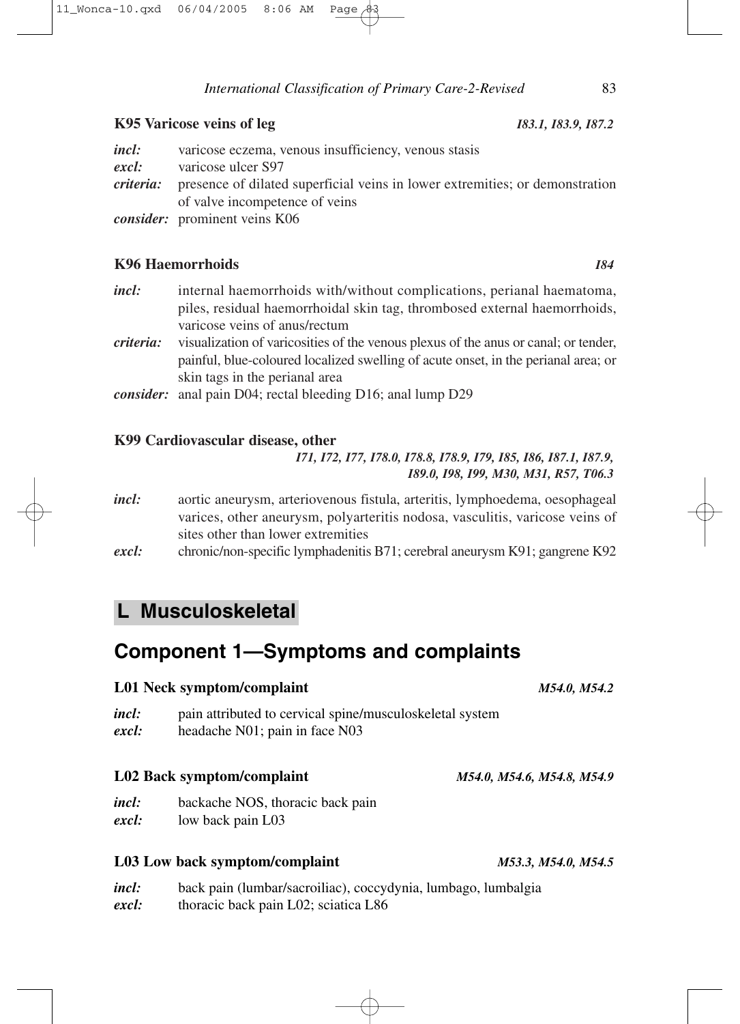#### **K95 Varicose veins of leg** *I83.1, I83.9, I87.2*

| <i>incl:</i> | varicose eczema, venous insufficiency, venous stasis                                          |
|--------------|-----------------------------------------------------------------------------------------------|
| excl:        | varicose ulcer S97                                                                            |
|              | <i>criteria:</i> presence of dilated superficial veins in lower extremities; or demonstration |
|              | of valve incompetence of veins                                                                |
|              | <i>consider:</i> prominent veins K06                                                          |

#### **K96 Haemorrhoids** *I84*

- *incl:* internal haemorrhoids with/without complications, perianal haematoma, piles, residual haemorrhoidal skin tag, thrombosed external haemorrhoids, varicose veins of anus/rectum
- *criteria:* visualization of varicosities of the venous plexus of the anus or canal; or tender, painful, blue-coloured localized swelling of acute onset, in the perianal area; or skin tags in the perianal area
- *consider:* anal pain D04; rectal bleeding D16; anal lump D29

## **K99 Cardiovascular disease, other**

#### *I71, I72, I77, I78.0, I78.8, I78.9, I79, I85, I86, I87.1, I87.9, I89.0, I98, I99, M30, M31, R57, T06.3*

*incl:* aortic aneurysm, arteriovenous fistula, arteritis, lymphoedema, oesophageal varices, other aneurysm, polyarteritis nodosa, vasculitis, varicose veins of sites other than lower extremities

*excl:* chronic/non-specific lymphadenitis B71; cerebral aneurysm K91; gangrene K92

# **L Musculoskeletal**

# **Component 1—Symptoms and complaints**

#### **L01 Neck symptom/complaint** *M54.0, M54.2*

*incl:* pain attributed to cervical spine/musculoskeletal system *excl:* headache N01; pain in face N03

#### **L02 Back symptom/complaint** *M54.0, M54.6, M54.8, M54.9*

*incl:* backache NOS, thoracic back pain *excl:* low back pain L03

### **L03 Low back symptom/complaint** *M53.3, M54.0, M54.5*

- *incl:* back pain (lumbar/sacroiliac), coccydynia, lumbago, lumbalgia
- *excl:* thoracic back pain L02; sciatica L86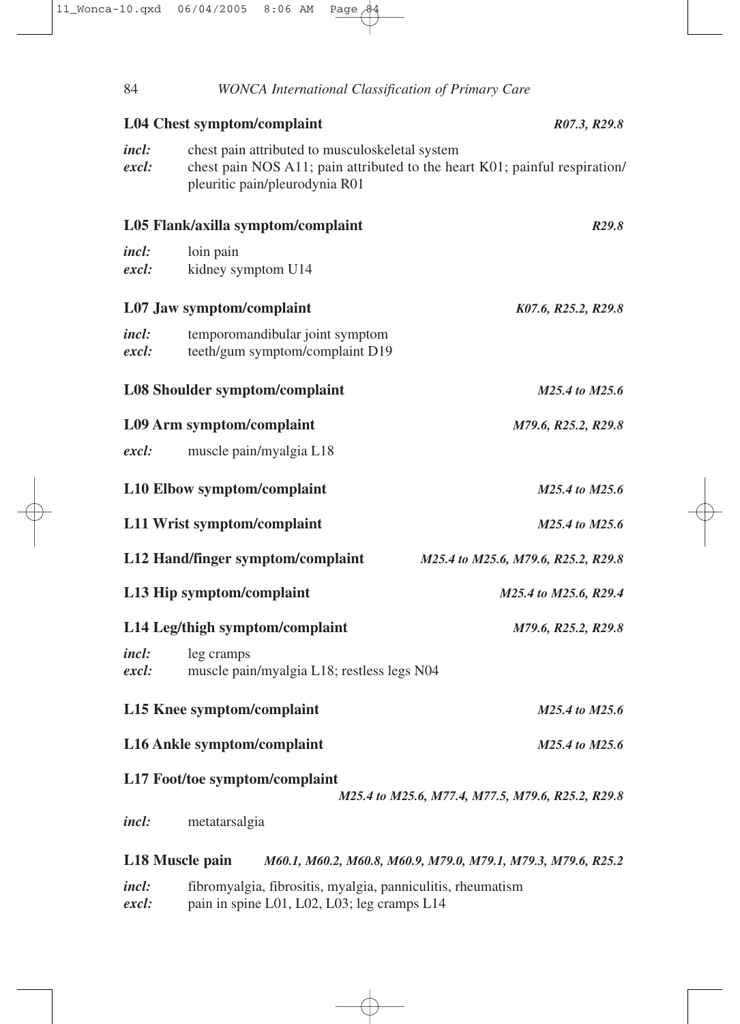| 84                                                                               | <b>WONCA International Classification of Primary Care</b>                                                                                                       |                                                   |  |
|----------------------------------------------------------------------------------|-----------------------------------------------------------------------------------------------------------------------------------------------------------------|---------------------------------------------------|--|
|                                                                                  | <b>L04 Chest symptom/complaint</b><br>R07.3, R29.8                                                                                                              |                                                   |  |
| <i>incl:</i><br>excl:                                                            | chest pain attributed to musculoskeletal system<br>chest pain NOS A11; pain attributed to the heart K01; painful respiration/<br>pleuritic pain/pleurodynia R01 |                                                   |  |
|                                                                                  | L05 Flank/axilla symptom/complaint                                                                                                                              | R <sub>29.8</sub>                                 |  |
| <i>incl:</i><br>excl:                                                            | loin pain<br>kidney symptom U14                                                                                                                                 |                                                   |  |
|                                                                                  | L07 Jaw symptom/complaint                                                                                                                                       | K07.6, R25.2, R29.8                               |  |
| <i>incl:</i><br>excl:                                                            | temporomandibular joint symptom<br>teeth/gum symptom/complaint D19                                                                                              |                                                   |  |
|                                                                                  | L08 Shoulder symptom/complaint                                                                                                                                  | M25.4 to M25.6                                    |  |
|                                                                                  | L09 Arm symptom/complaint                                                                                                                                       | M79.6, R25.2, R29.8                               |  |
| excl:                                                                            | muscle pain/myalgia L18                                                                                                                                         |                                                   |  |
|                                                                                  | L10 Elbow symptom/complaint                                                                                                                                     | M25.4 to M25.6                                    |  |
|                                                                                  | L11 Wrist symptom/complaint                                                                                                                                     | M25.4 to M25.6                                    |  |
| L12 Hand/finger symptom/complaint<br>M25.4 to M25.6, M79.6, R25.2, R29.8         |                                                                                                                                                                 |                                                   |  |
|                                                                                  | L13 Hip symptom/complaint                                                                                                                                       | M25.4 to M25.6, R29.4                             |  |
|                                                                                  | L14 Leg/thigh symptom/complaint<br>M79.6, R25.2, R29.8                                                                                                          |                                                   |  |
| incl:<br>excl:                                                                   | leg cramps<br>muscle pain/myalgia L18; restless legs N04                                                                                                        |                                                   |  |
|                                                                                  | L15 Knee symptom/complaint                                                                                                                                      | M25.4 to M25.6                                    |  |
|                                                                                  | L16 Ankle symptom/complaint<br>M25.4 to M25.6                                                                                                                   |                                                   |  |
| L17 Foot/toe symptom/complaint                                                   |                                                                                                                                                                 |                                                   |  |
| <i>incl:</i>                                                                     | metatarsalgia                                                                                                                                                   | M25.4 to M25.6, M77.4, M77.5, M79.6, R25.2, R29.8 |  |
|                                                                                  |                                                                                                                                                                 |                                                   |  |
| L18 Muscle pain<br>M60.1, M60.2, M60.8, M60.9, M79.0, M79.1, M79.3, M79.6, R25.2 |                                                                                                                                                                 |                                                   |  |
| <i>incl:</i><br>excl:                                                            | fibromyalgia, fibrositis, myalgia, panniculitis, rheumatism<br>pain in spine L01, L02, L03; leg cramps L14                                                      |                                                   |  |

€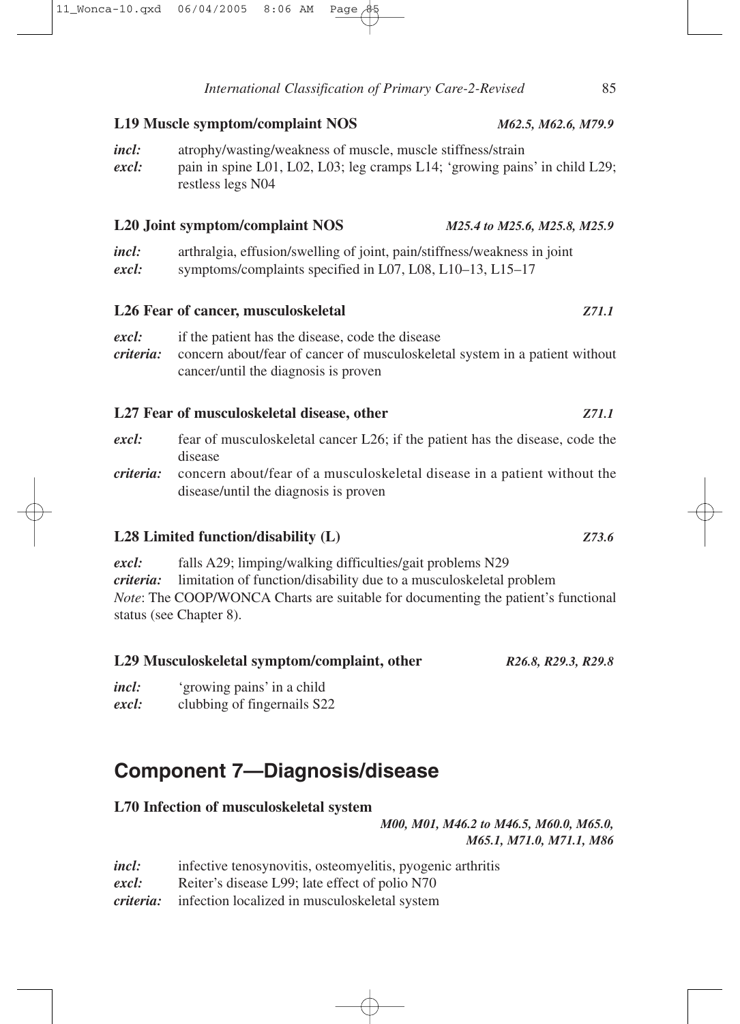## **L19 Muscle symptom/complaint NOS** *M62.5, M62.6, M79.9*

*incl:* atrophy/wasting/weakness of muscle, muscle stiffness/strain *excl:* pain in spine L01, L02, L03; leg cramps L14; 'growing pains' in child L29; restless legs N04

## **L20 Joint symptom/complaint NOS** *M25.4 to M25.6, M25.8, M25.9*

*incl:* arthralgia, effusion/swelling of joint, pain/stiffness/weakness in joint *excl:* symptoms/complaints specified in L07, L08, L10–13, L15–17

# **L26 Fear of cancer, musculoskeletal** *Z71.1*

- *excl:* if the patient has the disease, code the disease
- *criteria:* concern about/fear of cancer of musculoskeletal system in a patient without cancer/until the diagnosis is proven

# **L27 Fear of musculoskeletal disease, other** *Z71.1*

- *excl:* fear of musculoskeletal cancer L26; if the patient has the disease, code the disease
- *criteria:* concern about/fear of a musculoskeletal disease in a patient without the disease/until the diagnosis is proven

# **L28 Limited function/disability (L)** *Z73.6*

*excl:* falls A29; limping/walking difficulties/gait problems N29 *criteria:* limitation of function/disability due to a musculoskeletal problem *Note*: The COOP/WONCA Charts are suitable for documenting the patient's functional status (see Chapter 8).

# **L29 Musculoskeletal symptom/complaint, other** *R26.8, R29.3, R29.8*

- *incl:* 'growing pains' in a child
- *excl:* clubbing of fingernails S22

# **Component 7—Diagnosis/disease**

# **L70 Infection of musculoskeletal system**

*M00, M01, M46.2 to M46.5, M60.0, M65.0, M65.1, M71.0, M71.1, M86*

- *incl:* infective tenosynovitis, osteomyelitis, pyogenic arthritis
- *excl:* Reiter's disease L99; late effect of polio N70

*criteria:* infection localized in musculoskeletal system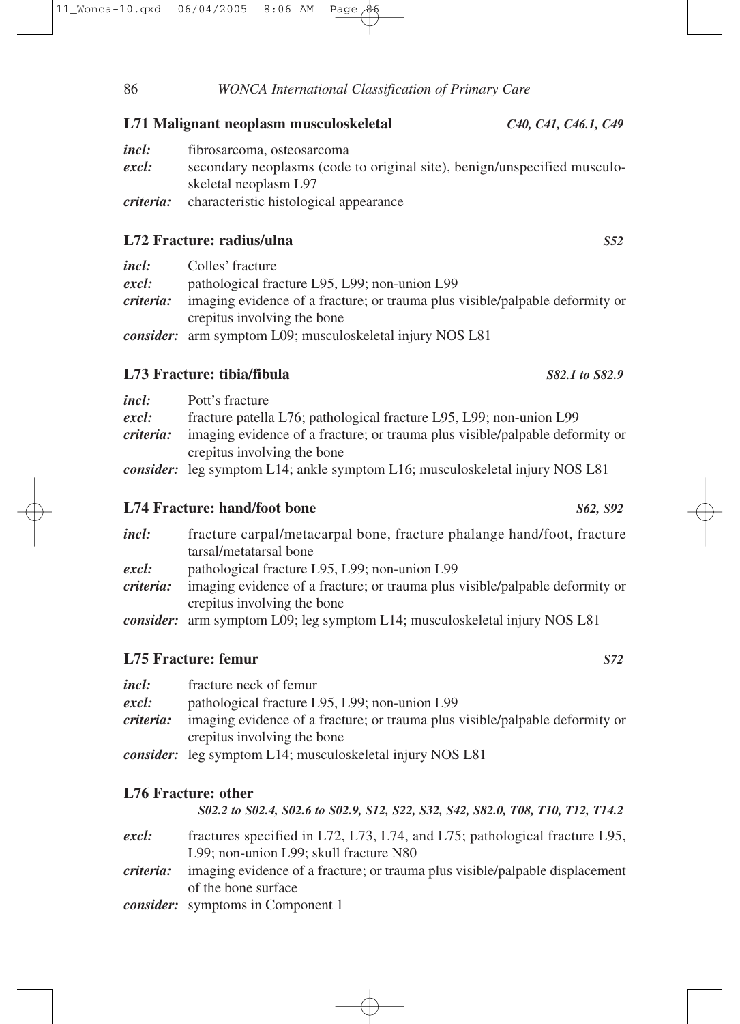### **L71 Malignant neoplasm musculoskeletal** *C40, C41, C46.1, C49*

| <i>incl:</i>      | fibrosarcoma, osteosarcoma                                               |
|-------------------|--------------------------------------------------------------------------|
| excl:             | secondary neoplasms (code to original site), benign/unspecified musculo- |
|                   | skeletal neoplasm L97                                                    |
| <i>criteria</i> : | characteristic histological appearance                                   |
|                   |                                                                          |

# **L72 Fracture: radius/ulna** *S52*

| <i>incl:</i>      | Colles' fracture                                                             |
|-------------------|------------------------------------------------------------------------------|
| excl:             | pathological fracture L95, L99; non-union L99                                |
| <i>criteria</i> : | imaging evidence of a fracture; or trauma plus visible/palpable deformity or |
|                   | crepitus involving the bone                                                  |
|                   | <i>consider:</i> arm symptom L09; musculoskeletal injury NOS L81             |

# **L73 Fracture: tibia/fibula** *S82.1 to S82.9*

| <i>incl:</i>     | Pott's fracture                                                              |
|------------------|------------------------------------------------------------------------------|
| excl:            | fracture patella L76; pathological fracture L95, L99; non-union L99          |
| <i>criteria:</i> | imaging evidence of a fracture; or trauma plus visible/palpable deformity or |
|                  | crepitus involving the bone                                                  |
|                  | consider: leg symptom L14; ankle symptom L16; musculoskeletal injury NOS L81 |

### **L74 Fracture: hand/foot bone** *S62, S92*

- *incl:* fracture carpal/metacarpal bone, fracture phalange hand/foot, fracture tarsal/metatarsal bone
- *excl:* pathological fracture L95, L99; non-union L99
- *criteria:* imaging evidence of a fracture; or trauma plus visible/palpable deformity or crepitus involving the bone
- *consider:* arm symptom L09; leg symptom L14; musculoskeletal injury NOS L81

### **L75 Fracture: femur** *S72*

*incl:* fracture neck of femur *excl:* pathological fracture L95, L99; non-union L99 *criteria:* imaging evidence of a fracture; or trauma plus visible/palpable deformity or crepitus involving the bone *consider:* leg symptom L14; musculoskeletal injury NOS L81

### **L76 Fracture: other**

#### *S02.2 to S02.4, S02.6 to S02.9, S12, S22, S32, S42, S82.0, T08, T10, T12, T14.2*

- *excl:* fractures specified in L72, L73, L74, and L75; pathological fracture L95, L99; non-union L99; skull fracture N80
- *criteria:* imaging evidence of a fracture; or trauma plus visible/palpable displacement of the bone surface
- *consider:* symptoms in Component 1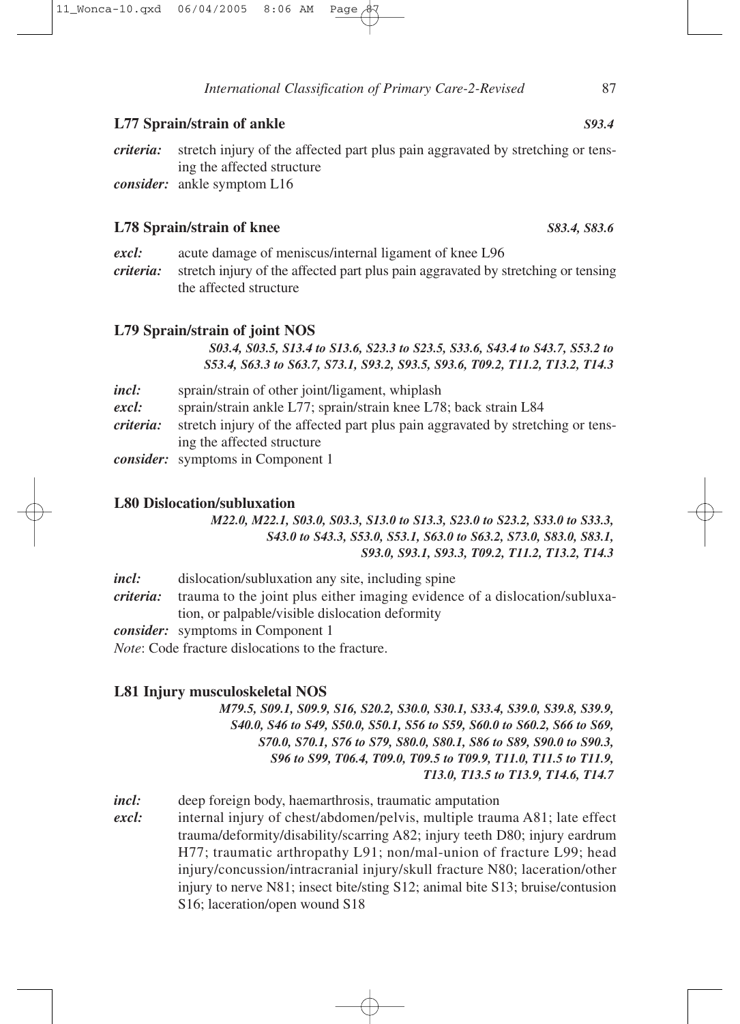|  | International Classification of Primary Care-2-Revised | 87 |
|--|--------------------------------------------------------|----|
|  |                                                        |    |

#### **L77 Sprain/strain of ankle** *S93.4*

*criteria:* stretch injury of the affected part plus pain aggravated by stretching or tensing the affected structure *consider:* ankle symptom L16

#### **L78 Sprain/strain of knee** *S83.4, S83.6*

*excl:* acute damage of meniscus/internal ligament of knee L96 *criteria:* stretch injury of the affected part plus pain aggravated by stretching or tensing the affected structure

#### **L79 Sprain/strain of joint NOS**

## *S03.4, S03.5, S13.4 to S13.6, S23.3 to S23.5, S33.6, S43.4 to S43.7, S53.2 to S53.4, S63.3 to S63.7, S73.1, S93.2, S93.5, S93.6, T09.2, T11.2, T13.2, T14.3*

| <i>incl:</i> | sprain/strain of other joint/ligament, whiplash                                 |
|--------------|---------------------------------------------------------------------------------|
| excl:        | sprain/strain ankle L77; sprain/strain knee L78; back strain L84                |
| criteria:    | stretch injury of the affected part plus pain aggravated by stretching or tens- |
|              | ing the affected structure                                                      |
|              | <i>consider:</i> symptoms in Component 1                                        |

#### **L80 Dislocation/subluxation**

## *M22.0, M22.1, S03.0, S03.3, S13.0 to S13.3, S23.0 to S23.2, S33.0 to S33.3, S43.0 to S43.3, S53.0, S53.1, S63.0 to S63.2, S73.0, S83.0, S83.1, S93.0, S93.1, S93.3, T09.2, T11.2, T13.2, T14.3*

*incl:* dislocation/subluxation any site, including spine *criteria:* trauma to the joint plus either imaging evidence of a dislocation/subluxation, or palpable/visible dislocation deformity *consider:* symptoms in Component 1 *Note*: Code fracture dislocations to the fracture.

#### **L81 Injury musculoskeletal NOS**

*M79.5, S09.1, S09.9, S16, S20.2, S30.0, S30.1, S33.4, S39.0, S39.8, S39.9, S40.0, S46 to S49, S50.0, S50.1, S56 to S59, S60.0 to S60.2, S66 to S69, S70.0, S70.1, S76 to S79, S80.0, S80.1, S86 to S89, S90.0 to S90.3, S96 to S99, T06.4, T09.0, T09.5 to T09.9, T11.0, T11.5 to T11.9, T13.0, T13.5 to T13.9, T14.6, T14.7*

*incl:* deep foreign body, haemarthrosis, traumatic amputation

*excl:* internal injury of chest/abdomen/pelvis, multiple trauma A81; late effect trauma/deformity/disability/scarring A82; injury teeth D80; injury eardrum H77; traumatic arthropathy L91; non/mal-union of fracture L99; head injury/concussion/intracranial injury/skull fracture N80; laceration/other injury to nerve N81; insect bite/sting S12; animal bite S13; bruise/contusion S16; laceration/open wound S18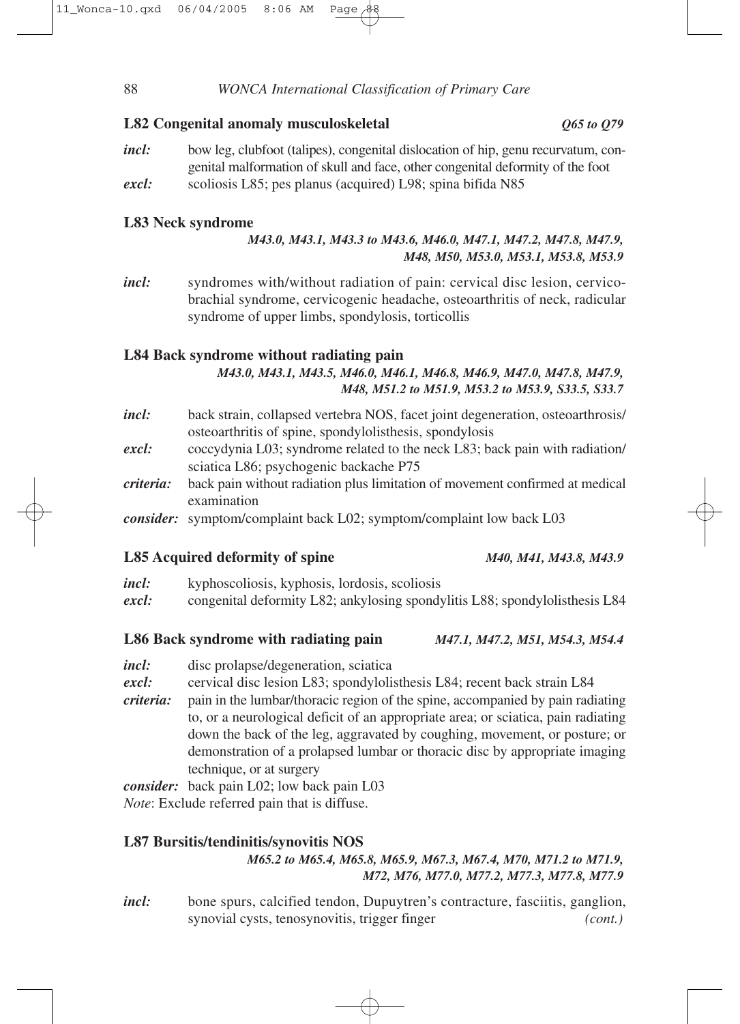### **L82 Congenital anomaly musculoskeletal** *Q65 to Q79*

- 
- *incl:* bow leg, clubfoot (talipes), congenital dislocation of hip, genu recurvatum, congenital malformation of skull and face, other congenital deformity of the foot *excl:* scoliosis L85; pes planus (acquired) L98; spina bifida N85

### **L83 Neck syndrome**

# *M43.0, M43.1, M43.3 to M43.6, M46.0, M47.1, M47.2, M47.8, M47.9, M48, M50, M53.0, M53.1, M53.8, M53.9*

incl: syndromes with/without radiation of pain: cervical disc lesion, cervicobrachial syndrome, cervicogenic headache, osteoarthritis of neck, radicular syndrome of upper limbs, spondylosis, torticollis

### **L84 Back syndrome without radiating pain**

*M43.0, M43.1, M43.5, M46.0, M46.1, M46.8, M46.9, M47.0, M47.8, M47.9, M48, M51.2 to M51.9, M53.2 to M53.9, S33.5, S33.7*

- *incl:* back strain, collapsed vertebra NOS, facet joint degeneration, osteoarthrosis/ osteoarthritis of spine, spondylolisthesis, spondylosis
- *excl:* coccydynia L03; syndrome related to the neck L83; back pain with radiation/ sciatica L86; psychogenic backache P75
- *criteria:* back pain without radiation plus limitation of movement confirmed at medical examination
- *consider:* symptom/complaint back L02; symptom/complaint low back L03

### **L85 Acquired deformity of spine** *M40, M41, M43.8, M43.9*

- *incl:* kyphoscoliosis, kyphosis, lordosis, scoliosis
- *excl:* congenital deformity L82; ankylosing spondylitis L88; spondylolisthesis L84

### **L86 Back syndrome with radiating pain** *M47.1, M47.2, M51, M54.3, M54.4*

- *incl:* disc prolapse/degeneration, sciatica
- *excl:* cervical disc lesion L83; spondylolisthesis L84; recent back strain L84
- *criteria:* pain in the lumbar/thoracic region of the spine, accompanied by pain radiating to, or a neurological deficit of an appropriate area; or sciatica, pain radiating down the back of the leg, aggravated by coughing, movement, or posture; or demonstration of a prolapsed lumbar or thoracic disc by appropriate imaging technique, or at surgery

*consider:* back pain L02; low back pain L03

*Note*: Exclude referred pain that is diffuse.

#### **L87 Bursitis/tendinitis/synovitis NOS**

### *M65.2 to M65.4, M65.8, M65.9, M67.3, M67.4, M70, M71.2 to M71.9, M72, M76, M77.0, M77.2, M77.3, M77.8, M77.9*

*incl:* bone spurs, calcified tendon, Dupuytren's contracture, fasciitis, ganglion, synovial cysts, tenosynovitis, trigger finger *(cont.)*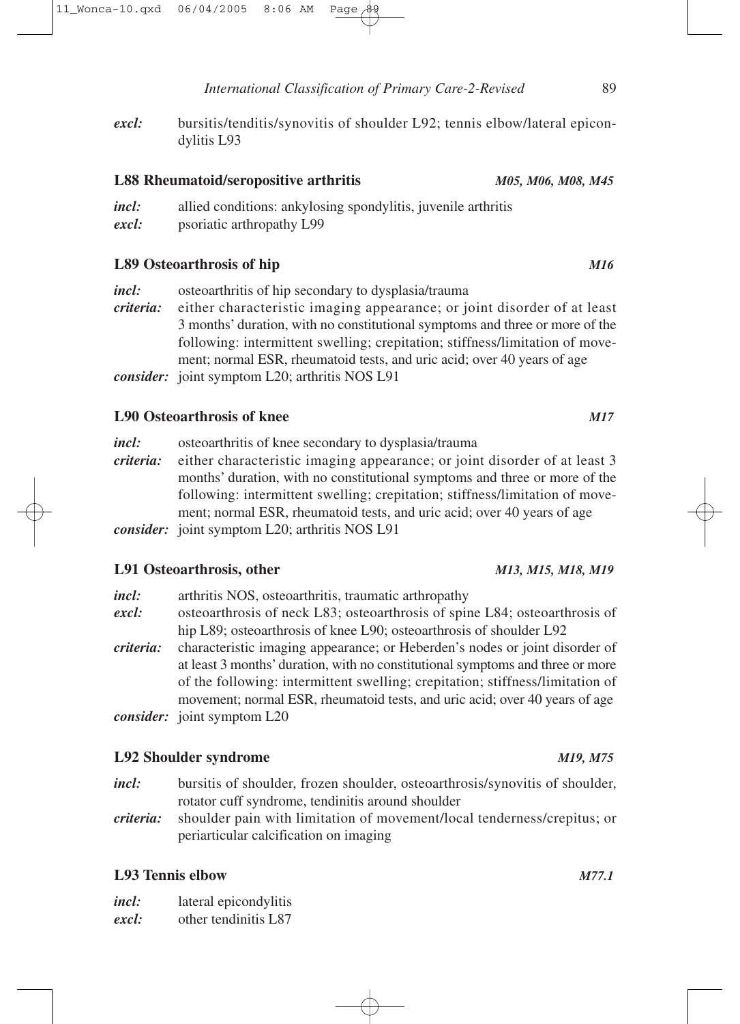*excl:* bursitis/tenditis/synovitis of shoulder L92; tennis elbow/lateral epicondylitis L93

#### **L88 Rheumatoid/seropositive arthritis** *M05, M06, M08, M45*

*incl:* allied conditions: ankylosing spondylitis, juvenile arthritis *excl:* psoriatic arthropathy L99

#### **L89 Osteoarthrosis of hip** *M16*

- *incl:* osteoarthritis of hip secondary to dysplasia/trauma
- *criteria:* either characteristic imaging appearance; or joint disorder of at least 3 months' duration, with no constitutional symptoms and three or more of the following: intermittent swelling; crepitation; stiffness/limitation of movement; normal ESR, rheumatoid tests, and uric acid; over 40 years of age *consider:* joint symptom L20; arthritis NOS L91
- **L90 Osteoarthrosis of knee** *M17*
- *incl:* osteoarthritis of knee secondary to dysplasia/trauma *criteria:* either characteristic imaging appearance; or joint disorder of at least 3 months' duration, with no constitutional symptoms and three or more of the following: intermittent swelling; crepitation; stiffness/limitation of movement; normal ESR, rheumatoid tests, and uric acid; over 40 years of age *consider:* joint symptom L20; arthritis NOS L91

#### **L91 Osteoarthrosis, other** *M13, M15, M18, M19*

- *incl:* arthritis NOS, osteoarthritis, traumatic arthropathy
- *excl:* osteoarthrosis of neck L83; osteoarthrosis of spine L84; osteoarthrosis of hip L89; osteoarthrosis of knee L90; osteoarthrosis of shoulder L92
- *criteria:* characteristic imaging appearance; or Heberden's nodes or joint disorder of at least 3 months' duration, with no constitutional symptoms and three or more of the following: intermittent swelling; crepitation; stiffness/limitation of movement; normal ESR, rheumatoid tests, and uric acid; over 40 years of age

*consider:* joint symptom L20

### **L92 Shoulder syndrome** *M19, M75*

- *incl:* bursitis of shoulder, frozen shoulder, osteoarthrosis/synovitis of shoulder, rotator cuff syndrome, tendinitis around shoulder
- *criteria:* shoulder pain with limitation of movement/local tenderness/crepitus; or periarticular calcification on imaging

# **L93 Tennis elbow** *M77.1*

| incl: | lateral epicondylitis |
|-------|-----------------------|
| excl: | other tendinitis L87  |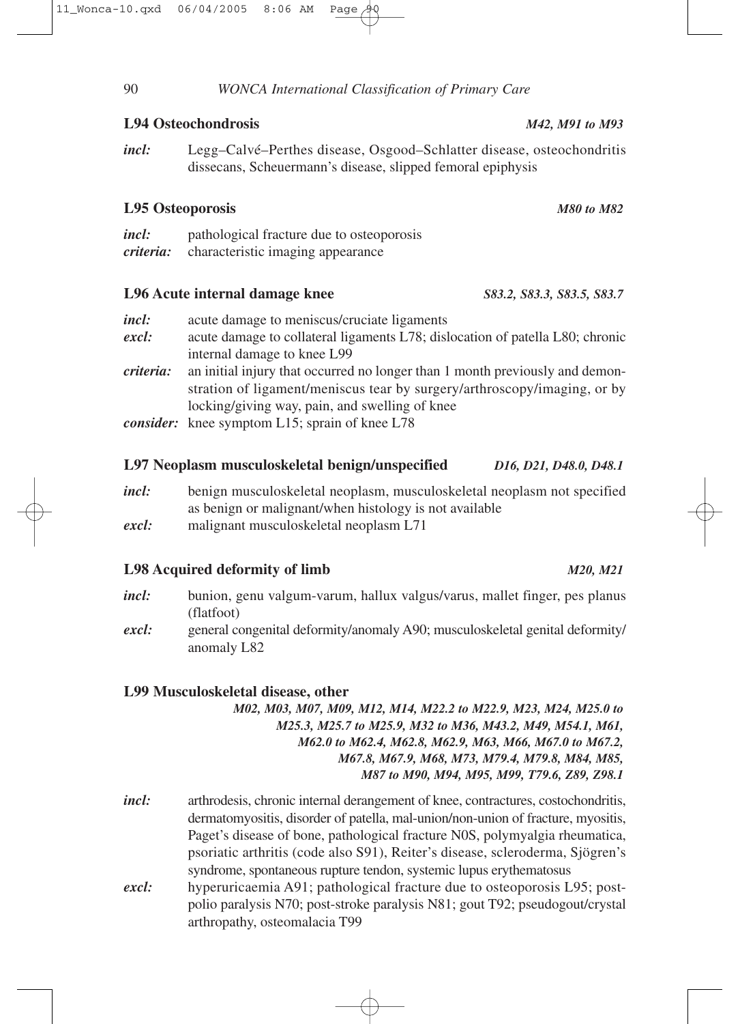## **L94 Osteochondrosis** *M42, M91 to M93*

*incl:* Legg–Calvé–Perthes disease, Osgood–Schlatter disease, osteochondritis dissecans, Scheuermann's disease, slipped femoral epiphysis

## **L95 Osteoporosis** *M80 to M82*

*incl:* pathological fracture due to osteoporosis *criteria:* characteristic imaging appearance

### **L96 Acute internal damage knee** *S83.2, S83.3, S83.5, S83.7*

- *incl:* acute damage to meniscus/cruciate ligaments
- *excl:* acute damage to collateral ligaments L78; dislocation of patella L80; chronic internal damage to knee L99
- *criteria:* an initial injury that occurred no longer than 1 month previously and demonstration of ligament/meniscus tear by surgery/arthroscopy/imaging, or by locking/giving way, pain, and swelling of knee
- *consider:* knee symptom L15; sprain of knee L78

#### **L97 Neoplasm musculoskeletal benign/unspecified** *D16, D21, D48.0, D48.1*

*incl:* benign musculoskeletal neoplasm, musculoskeletal neoplasm not specified as benign or malignant/when histology is not available *excl:* malignant musculoskeletal neoplasm L71

#### **L98 Acquired deformity of limb** *M20, M21*

- *incl:* bunion, genu valgum-varum, hallux valgus/varus, mallet finger, pes planus (flatfoot)
- *excl:* general congenital deformity/anomaly A90; musculoskeletal genital deformity/ anomaly L82

#### **L99 Musculoskeletal disease, other**

*M02, M03, M07, M09, M12, M14, M22.2 to M22.9, M23, M24, M25.0 to M25.3, M25.7 to M25.9, M32 to M36, M43.2, M49, M54.1, M61, M62.0 to M62.4, M62.8, M62.9, M63, M66, M67.0 to M67.2, M67.8, M67.9, M68, M73, M79.4, M79.8, M84, M85, M87 to M90, M94, M95, M99, T79.6, Z89, Z98.1*

- *incl:* arthrodesis, chronic internal derangement of knee, contractures, costochondritis, dermatomyositis, disorder of patella, mal-union/non-union of fracture, myositis, Paget's disease of bone, pathological fracture N0S, polymyalgia rheumatica, psoriatic arthritis (code also S91), Reiter's disease, scleroderma, Sjögren's syndrome, spontaneous rupture tendon, systemic lupus erythematosus
- *excl:* hyperuricaemia A91; pathological fracture due to osteoporosis L95; postpolio paralysis N70; post-stroke paralysis N81; gout T92; pseudogout/crystal arthropathy, osteomalacia T99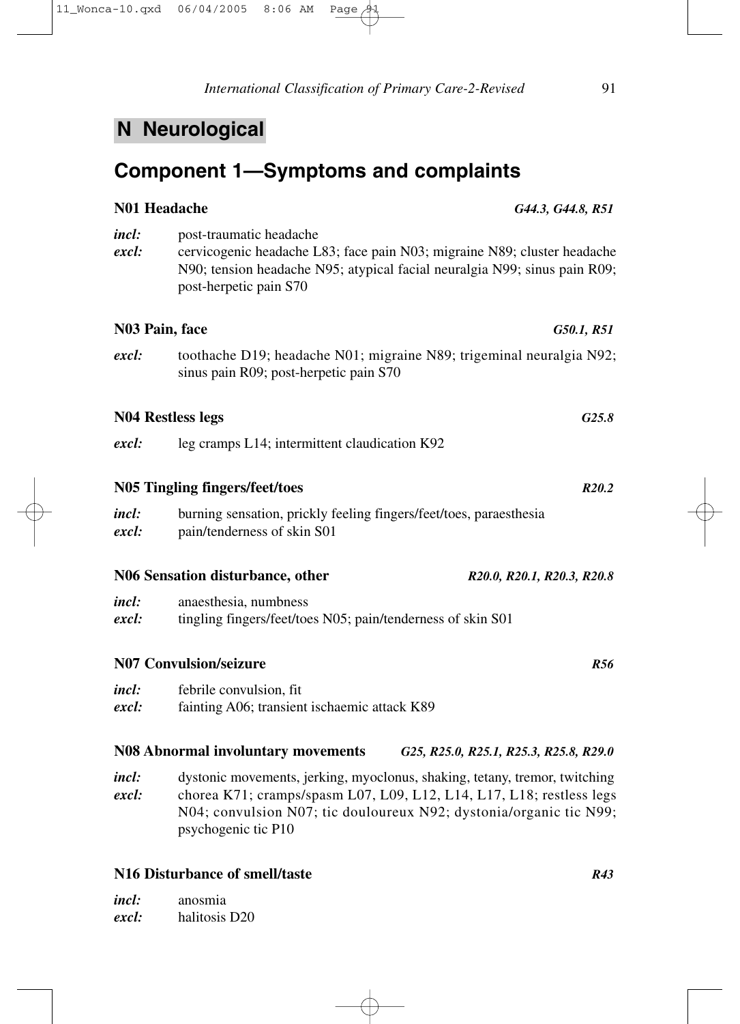# **N Neurological**

# **Component 1—Symptoms and complaints**

# **N01 Headache** *G44.3, G44.8, R51 incl:* post-traumatic headache *excl:* cervicogenic headache L83; face pain N03; migraine N89; cluster headache N90; tension headache N95; atypical facial neuralgia N99; sinus pain R09; post-herpetic pain S70 **N03 Pain, face** *G50.1, R51 excl:* toothache D19; headache N01; migraine N89; trigeminal neuralgia N92; sinus pain R09; post-herpetic pain S70 **N04 Restless legs** *G25.8 excl:* leg cramps L14; intermittent claudication K92 **N05 Tingling fingers/feet/toes** *R20.2 incl:* burning sensation, prickly feeling fingers/feet/toes, paraesthesia *excl:* pain/tenderness of skin S01 **N06 Sensation disturbance, other** *R20.0, R20.1, R20.3, R20.8 incl:* anaesthesia, numbness *excl:* tingling fingers/feet/toes N05; pain/tenderness of skin S01 **N07 Convulsion/seizure** *R56 incl:* febrile convulsion, fit *excl:* fainting A06; transient ischaemic attack K89 **N08 Abnormal involuntary movements** *G25, R25.0, R25.1, R25.3, R25.8, R29.0 incl:* dystonic movements, jerking, myoclonus, shaking, tetany, tremor, twitching *excl:* chorea K71; cramps/spasm L07, L09, L12, L14, L17, L18; restless legs N04; convulsion N07; tic douloureux N92; dystonia/organic tic N99; psychogenic tic P10

# **N16 Disturbance of smell/taste** *R43*

| incl: | anosmia       |
|-------|---------------|
| excl: | halitosis D20 |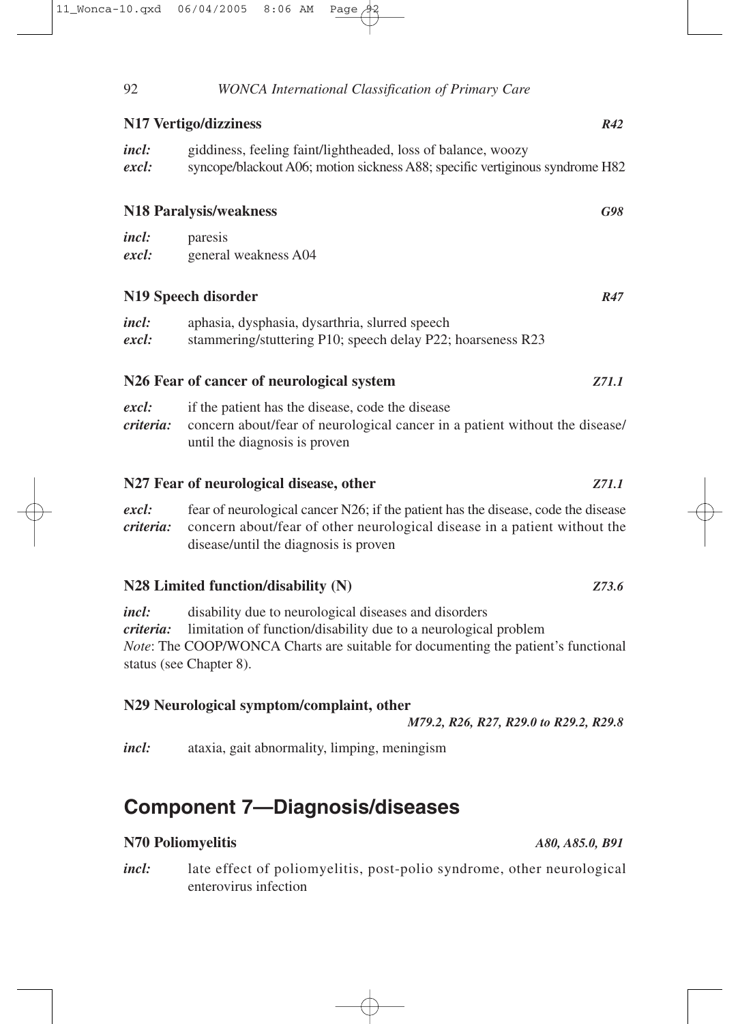|                           | N17 Vertigo/dizziness                                                                                                                                                                                                                    | R42             |
|---------------------------|------------------------------------------------------------------------------------------------------------------------------------------------------------------------------------------------------------------------------------------|-----------------|
| incl:<br>excl:            | giddiness, feeling faint/lightheaded, loss of balance, woozy<br>syncope/blackout A06; motion sickness A88; specific vertiginous syndrome H82                                                                                             |                 |
|                           | N18 Paralysis/weakness                                                                                                                                                                                                                   | G98             |
| <i>incl:</i><br>excl:     | paresis<br>general weakness A04                                                                                                                                                                                                          |                 |
|                           | N19 Speech disorder                                                                                                                                                                                                                      | R47             |
| <i>incl:</i><br>excl:     | aphasia, dysphasia, dysarthria, slurred speech<br>stammering/stuttering P10; speech delay P22; hoarseness R23                                                                                                                            |                 |
|                           | N26 Fear of cancer of neurological system                                                                                                                                                                                                | Z71.1           |
| excl:<br>criteria:        | if the patient has the disease, code the disease<br>concern about/fear of neurological cancer in a patient without the disease/<br>until the diagnosis is proven                                                                         |                 |
|                           | N27 Fear of neurological disease, other                                                                                                                                                                                                  | Z71.1           |
| excl:<br><i>criteria:</i> | fear of neurological cancer N26; if the patient has the disease, code the disease<br>concern about/fear of other neurological disease in a patient without the<br>disease/until the diagnosis is proven                                  |                 |
|                           | N28 Limited function/disability (N)                                                                                                                                                                                                      | Z73.6           |
| <i>incl:</i><br>criteria: | disability due to neurological diseases and disorders<br>limitation of function/disability due to a neurological problem<br>Note: The COOP/WONCA Charts are suitable for documenting the patient's functional<br>status (see Chapter 8). |                 |
|                           | N29 Neurological symptom/complaint, other<br>M79.2, R26, R27, R29.0 to R29.2, R29.8                                                                                                                                                      |                 |
| incl:                     | ataxia, gait abnormality, limping, meningism                                                                                                                                                                                             |                 |
|                           | <b>Component 7-Diagnosis/diseases</b>                                                                                                                                                                                                    |                 |
|                           | N70 Poliomyelitis                                                                                                                                                                                                                        | A80, A85.0, B91 |
|                           |                                                                                                                                                                                                                                          |                 |

*incl:* late effect of poliomyelitis, post-polio syndrome, other neurological enterovirus infection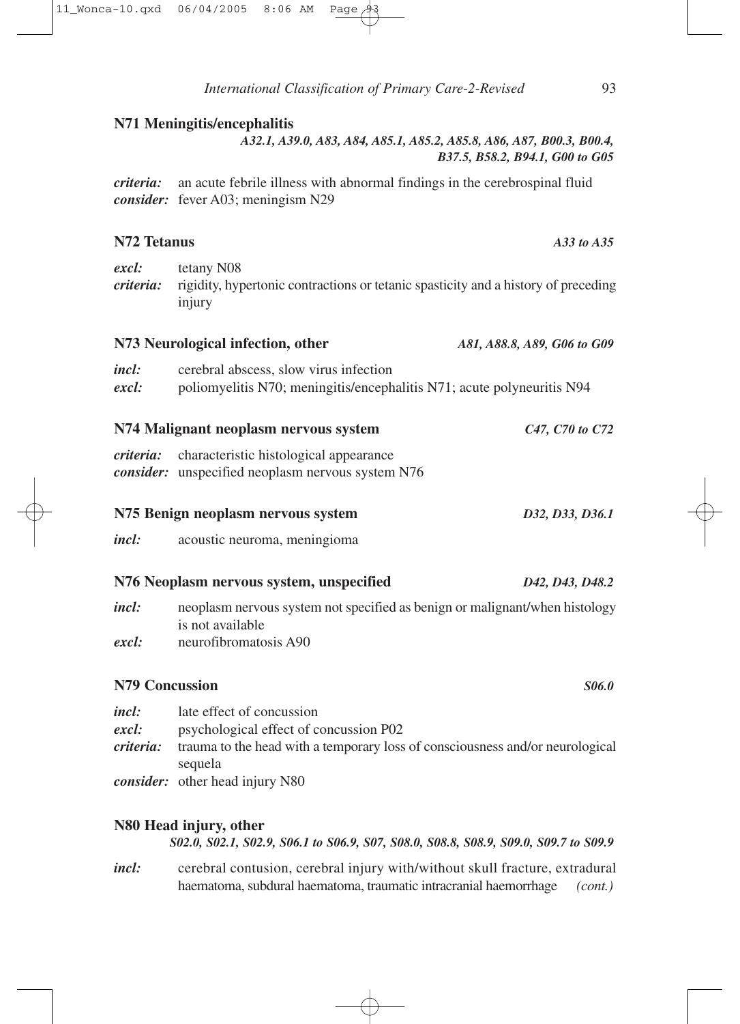|  | International Classification of Primary Care-2-Revised | 93 |
|--|--------------------------------------------------------|----|
|  |                                                        |    |

**N71 Meningitis/encephalitis** *A32.1, A39.0, A83, A84, A85.1, A85.2, A85.8, A86, A87, B00.3, B00.4, B37.5, B58.2, B94.1, G00 to G05*

*criteria:* an acute febrile illness with abnormal findings in the cerebrospinal fluid *consider:* fever A03; meningism N29

### **N72 Tetanus** *A33 to A35*

excl: tetany N08 *criteria:* rigidity, hypertonic contractions or tetanic spasticity and a history of preceding injury

| N73 Neurological infection, other |                                                                                                                  | A81, A88.8, A89, G06 to G09 |
|-----------------------------------|------------------------------------------------------------------------------------------------------------------|-----------------------------|
| <i>incl:</i><br>excl:             | cerebral abscess, slow virus infection<br>poliomyelitis N70; meningitis/encephalitis N71; acute polyneuritis N94 |                             |

- **N74 Malignant neoplasm nervous system** *C47, C70 to C72 criteria:* characteristic histological appearance
	- *consider:* unspecified neoplasm nervous system N76
	- **N75 Benign neoplasm nervous system** *D32, D33, D36.1*
	- *incl:* acoustic neuroma, meningioma

# **N76 Neoplasm nervous system, unspecified** *D42, D43, D48.2*

*incl:* neoplasm nervous system not specified as benign or malignant/when histology is not available *excl:* neurofibromatosis A90

# **N79 Concussion** *S06.0*

*incl:* late effect of concussion *excl:* psychological effect of concussion P02 *criteria:* trauma to the head with a temporary loss of consciousness and/or neurological sequela *consider:* other head injury N80

# **N80 Head injury, other**

*S02.0, S02.1, S02.9, S06.1 to S06.9, S07, S08.0, S08.8, S08.9, S09.0, S09.7 to S09.9*

*incl:* cerebral contusion, cerebral injury with/without skull fracture, extradural haematoma, subdural haematoma, traumatic intracranial haemorrhage *(cont.)*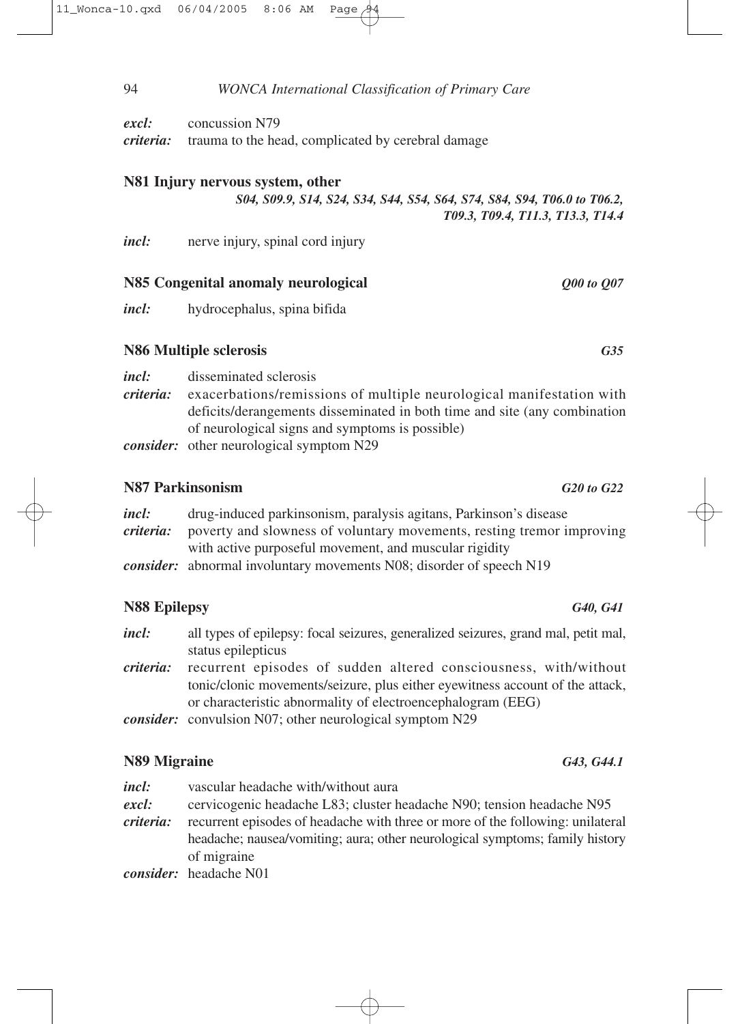*excl:* concussion N79 *criteria:* trauma to the head, complicated by cerebral damage

#### **N81 Injury nervous system, other**

*S04, S09.9, S14, S24, S34, S44, S54, S64, S74, S84, S94, T06.0 to T06.2, T09.3, T09.4, T11.3, T13.3, T14.4*

*incl:* nerve injury, spinal cord injury

#### **N85 Congenital anomaly neurological** *Q00 to Q07*

*incl:* hydrocephalus, spina bifida

#### **N86 Multiple sclerosis** *G35*

*incl:* disseminated sclerosis

*criteria:* exacerbations/remissions of multiple neurological manifestation with deficits/derangements disseminated in both time and site (any combination of neurological signs and symptoms is possible)

*consider:* other neurological symptom N29

#### **N87 Parkinsonism** *G20 to G22*

*incl:* drug-induced parkinsonism, paralysis agitans, Parkinson's disease *criteria:* poverty and slowness of voluntary movements, resting tremor improving with active purposeful movement, and muscular rigidity *consider:* abnormal involuntary movements N08; disorder of speech N19

#### **N88 Epilepsy** *G40, G41*

- *incl:* all types of epilepsy: focal seizures, generalized seizures, grand mal, petit mal, status epilepticus
- *criteria:* recurrent episodes of sudden altered consciousness, with/without tonic/clonic movements/seizure, plus either eyewitness account of the attack, or characteristic abnormality of electroencephalogram (EEG)

*consider:* convulsion N07; other neurological symptom N29

#### **N89 Migraine** *G43, G44.1*

*incl:* vascular headache with/without aura

*excl:* cervicogenic headache L83; cluster headache N90; tension headache N95

*criteria:* recurrent episodes of headache with three or more of the following: unilateral headache; nausea/vomiting; aura; other neurological symptoms; family history of migraine

*consider:* headache N01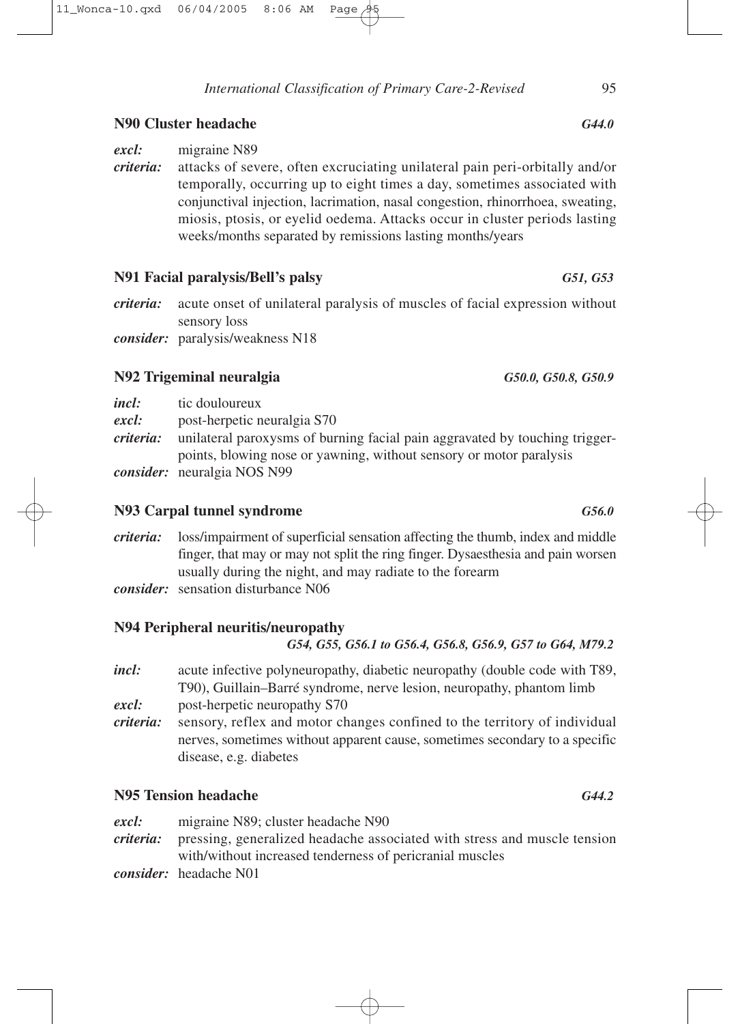#### **N90 Cluster headache** *G44.0*

*excl:* migraine N89

*criteria:* attacks of severe, often excruciating unilateral pain peri-orbitally and/or temporally, occurring up to eight times a day, sometimes associated with conjunctival injection, lacrimation, nasal congestion, rhinorrhoea, sweating, miosis, ptosis, or eyelid oedema. Attacks occur in cluster periods lasting weeks/months separated by remissions lasting months/years

#### **N91 Facial paralysis/Bell's palsy** *G51, G53*

*criteria:* acute onset of unilateral paralysis of muscles of facial expression without sensory loss *consider:* paralysis/weakness N18

#### **N92 Trigeminal neuralgia** *G50.0, G50.8, G50.9*

*incl:* tic douloureux *excl:* post-herpetic neuralgia S70 *criteria:* unilateral paroxysms of burning facial pain aggravated by touching triggerpoints, blowing nose or yawning, without sensory or motor paralysis *consider:* neuralgia NOS N99

# **N93 Carpal tunnel syndrome** *G56.0*

- *criteria:* loss/impairment of superficial sensation affecting the thumb, index and middle finger, that may or may not split the ring finger. Dysaesthesia and pain worsen usually during the night, and may radiate to the forearm
- *consider:* sensation disturbance N06

#### **N94 Peripheral neuritis/neuropathy**

#### *G54, G55, G56.1 to G56.4, G56.8, G56.9, G57 to G64, M79.2*

*incl:* acute infective polyneuropathy, diabetic neuropathy (double code with T89, T90), Guillain–Barré syndrome, nerve lesion, neuropathy, phantom limb *excl:* post-herpetic neuropathy S70

*criteria:* sensory, reflex and motor changes confined to the territory of individual nerves, sometimes without apparent cause, sometimes secondary to a specific disease, e.g. diabetes

# **N95 Tension headache** *G44.2*

*excl:* migraine N89; cluster headache N90 *criteria:* pressing, generalized headache associated with stress and muscle tension with/without increased tenderness of pericranial muscles *consider:* headache N01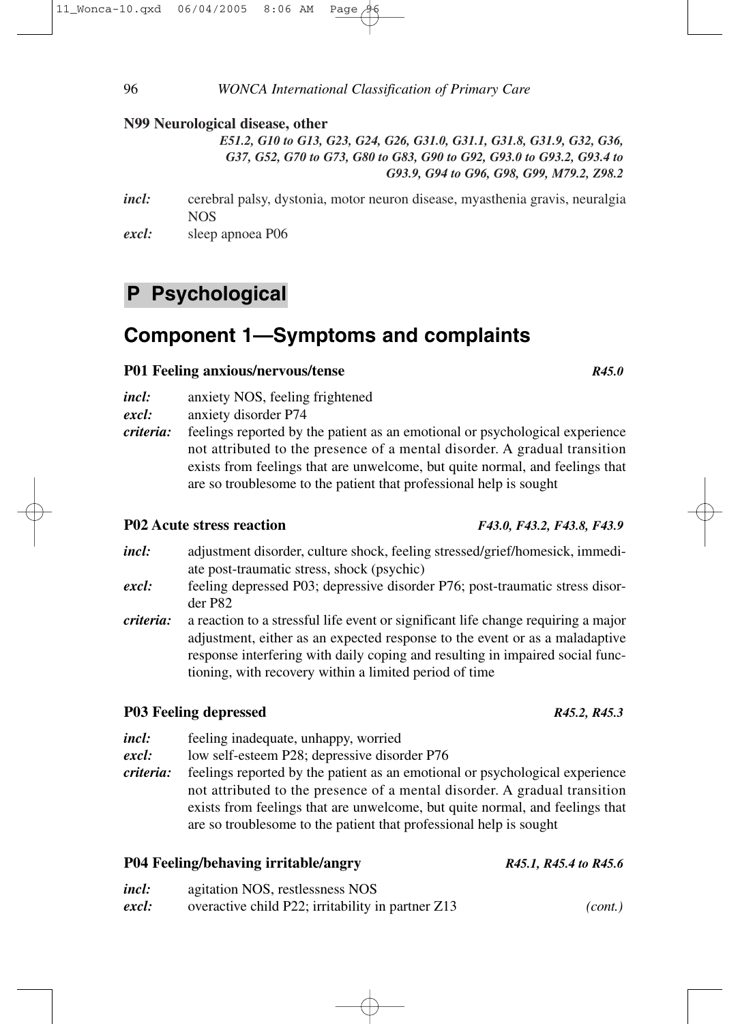### **N99 Neurological disease, other**

*E51.2, G10 to G13, G23, G24, G26, G31.0, G31.1, G31.8, G31.9, G32, G36, G37, G52, G70 to G73, G80 to G83, G90 to G92, G93.0 to G93.2, G93.4 to G93.9, G94 to G96, G98, G99, M79.2, Z98.2*

*incl:* cerebral palsy, dystonia, motor neuron disease, myasthenia gravis, neuralgia NOS

*excl:* sleep apnoea P06

# **P Psychological**

# **Component 1—Symptoms and complaints**

#### **P01 Feeling anxious/nervous/tense** *R45.0*

*incl:* anxiety NOS, feeling frightened

*excl:* anxiety disorder P74

*criteria:* feelings reported by the patient as an emotional or psychological experience not attributed to the presence of a mental disorder. A gradual transition exists from feelings that are unwelcome, but quite normal, and feelings that are so troublesome to the patient that professional help is sought

#### **P02 Acute stress reaction** *F43.0, F43.2, F43.8, F43.9*

- *incl:* adjustment disorder, culture shock, feeling stressed/grief/homesick, immediate post-traumatic stress, shock (psychic)
- *excl:* feeling depressed P03; depressive disorder P76; post-traumatic stress disorder P82
- *criteria:* a reaction to a stressful life event or significant life change requiring a major adjustment, either as an expected response to the event or as a maladaptive response interfering with daily coping and resulting in impaired social functioning, with recovery within a limited period of time

# **P03 Feeling depressed** *R45.2, R45.3*

- incl: feeling inadequate, unhappy, worried
- *excl:* low self-esteem P28; depressive disorder P76
- *criteria:* feelings reported by the patient as an emotional or psychological experience not attributed to the presence of a mental disorder. A gradual transition exists from feelings that are unwelcome, but quite normal, and feelings that are so troublesome to the patient that professional help is sought

# **P04 Feeling/behaving irritable/angry** *R45.1, R45.4 to R45.6*

- *incl:* agitation NOS, restlessness NOS
- *excl:* overactive child P22; irritability in partner Z13 *(cont.)*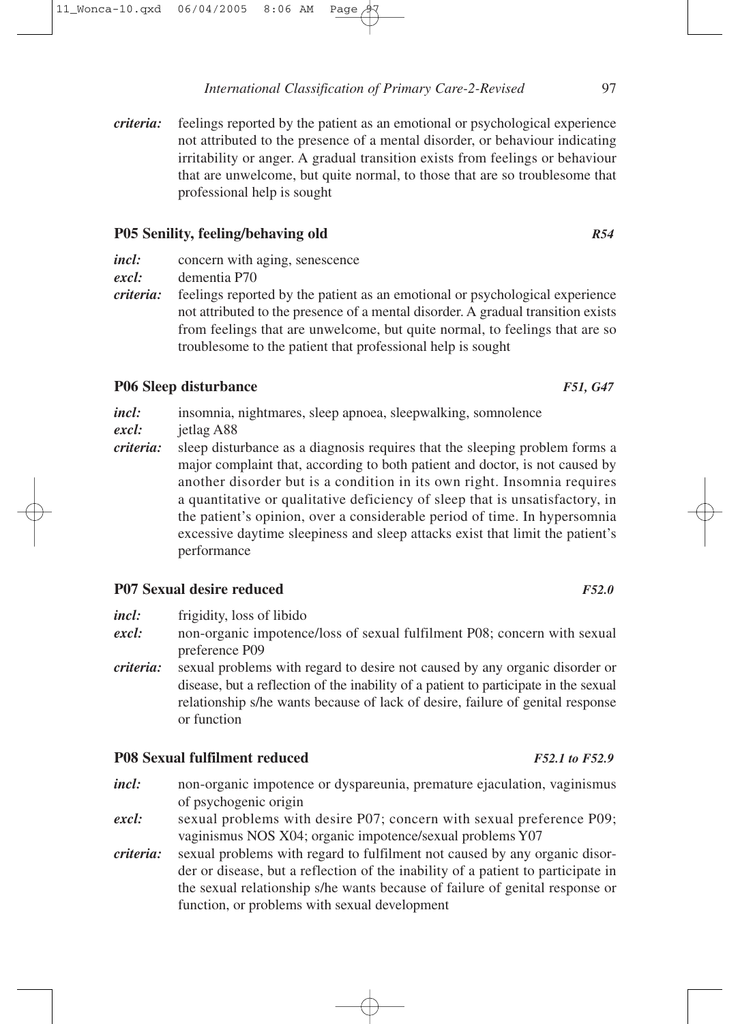*criteria:* feelings reported by the patient as an emotional or psychological experience not attributed to the presence of a mental disorder, or behaviour indicating irritability or anger. A gradual transition exists from feelings or behaviour that are unwelcome, but quite normal, to those that are so troublesome that professional help is sought

## **P05 Senility, feeling/behaving old** *R54*

*incl:* concern with aging, senescence

*excl:* dementia P70

*criteria:* feelings reported by the patient as an emotional or psychological experience not attributed to the presence of a mental disorder. A gradual transition exists from feelings that are unwelcome, but quite normal, to feelings that are so troublesome to the patient that professional help is sought

#### **P06 Sleep disturbance** *F51, G47*

*incl:* insomnia, nightmares, sleep apnoea, sleepwalking, somnolence

*excl:* jetlag A88

*criteria:* sleep disturbance as a diagnosis requires that the sleeping problem forms a major complaint that, according to both patient and doctor, is not caused by another disorder but is a condition in its own right. Insomnia requires a quantitative or qualitative deficiency of sleep that is unsatisfactory, in the patient's opinion, over a considerable period of time. In hypersomnia excessive daytime sleepiness and sleep attacks exist that limit the patient's performance

## **P07 Sexual desire reduced** *F52.0*

*incl:* frigidity, loss of libido

- *excl:* non-organic impotence/loss of sexual fulfilment P08; concern with sexual preference P09
- *criteria:* sexual problems with regard to desire not caused by any organic disorder or disease, but a reflection of the inability of a patient to participate in the sexual relationship s/he wants because of lack of desire, failure of genital response or function

### **P08 Sexual fulfilment reduced** *F52.1 to F52.9*

- *incl:* non-organic impotence or dyspareunia, premature ejaculation, vaginismus of psychogenic origin
- *excl:* sexual problems with desire P07; concern with sexual preference P09; vaginismus NOS X04; organic impotence/sexual problems Y07
- *criteria:* sexual problems with regard to fulfilment not caused by any organic disorder or disease, but a reflection of the inability of a patient to participate in the sexual relationship s/he wants because of failure of genital response or function, or problems with sexual development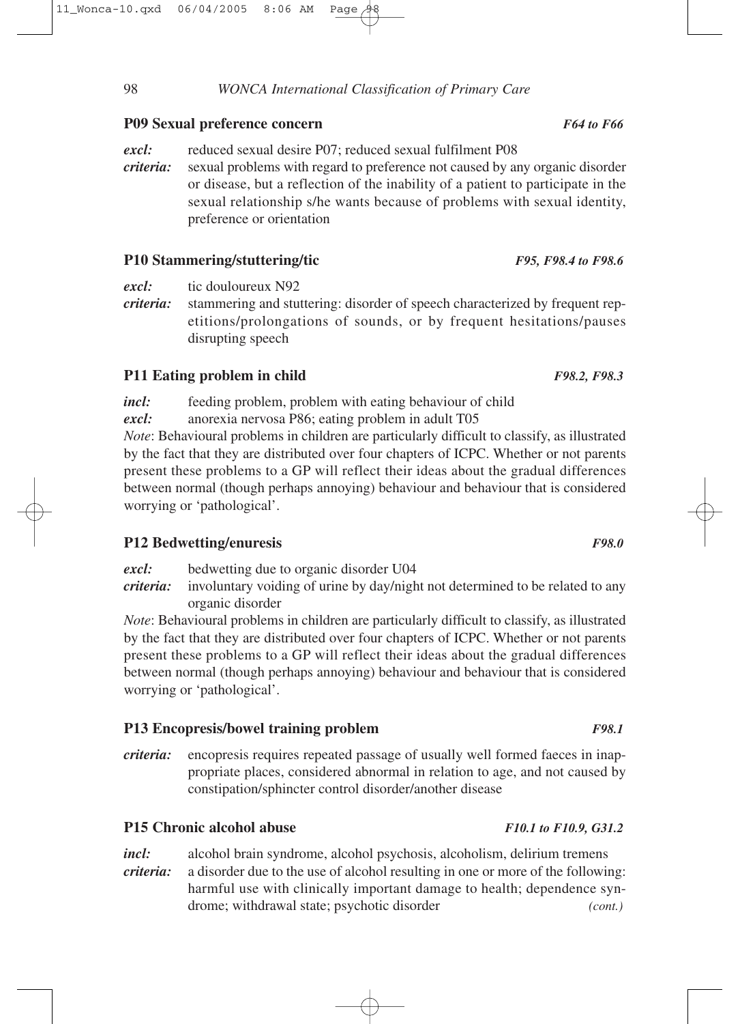### **P09 Sexual preference concern** *F64 to F66*

*excl:* reduced sexual desire P07; reduced sexual fulfilment P08

*criteria:* sexual problems with regard to preference not caused by any organic disorder or disease, but a reflection of the inability of a patient to participate in the sexual relationship s/he wants because of problems with sexual identity, preference or orientation

#### **P10 Stammering/stuttering/tic** *F95, F98.4 to F98.6*

*excl:* tic douloureux N92

*criteria:* stammering and stuttering: disorder of speech characterized by frequent repetitions/prolongations of sounds, or by frequent hesitations/pauses disrupting speech

#### **P11 Eating problem in child** *F98.2, F98.3*

*incl:* feeding problem, problem with eating behaviour of child

*excl:* anorexia nervosa P86; eating problem in adult T05

*Note*: Behavioural problems in children are particularly difficult to classify, as illustrated by the fact that they are distributed over four chapters of ICPC. Whether or not parents present these problems to a GP will reflect their ideas about the gradual differences between normal (though perhaps annoying) behaviour and behaviour that is considered worrying or 'pathological'.

#### **P12 Bedwetting/enuresis** *F98.0*

- *excl:* bedwetting due to organic disorder U04
- *criteria:* involuntary voiding of urine by day/night not determined to be related to any organic disorder

*Note*: Behavioural problems in children are particularly difficult to classify, as illustrated by the fact that they are distributed over four chapters of ICPC. Whether or not parents present these problems to a GP will reflect their ideas about the gradual differences between normal (though perhaps annoying) behaviour and behaviour that is considered worrying or 'pathological'.

#### **P13 Encopresis/bowel training problem** *F98.1*

*criteria:* encopresis requires repeated passage of usually well formed faeces in inappropriate places, considered abnormal in relation to age, and not caused by constipation/sphincter control disorder/another disease

# **P15 Chronic alcohol abuse** *F10.1 to F10.9, G31.2*

*incl:* alcohol brain syndrome, alcohol psychosis, alcoholism, delirium tremens *criteria:* a disorder due to the use of alcohol resulting in one or more of the following: harmful use with clinically important damage to health; dependence syndrome; withdrawal state; psychotic disorder *(cont.)*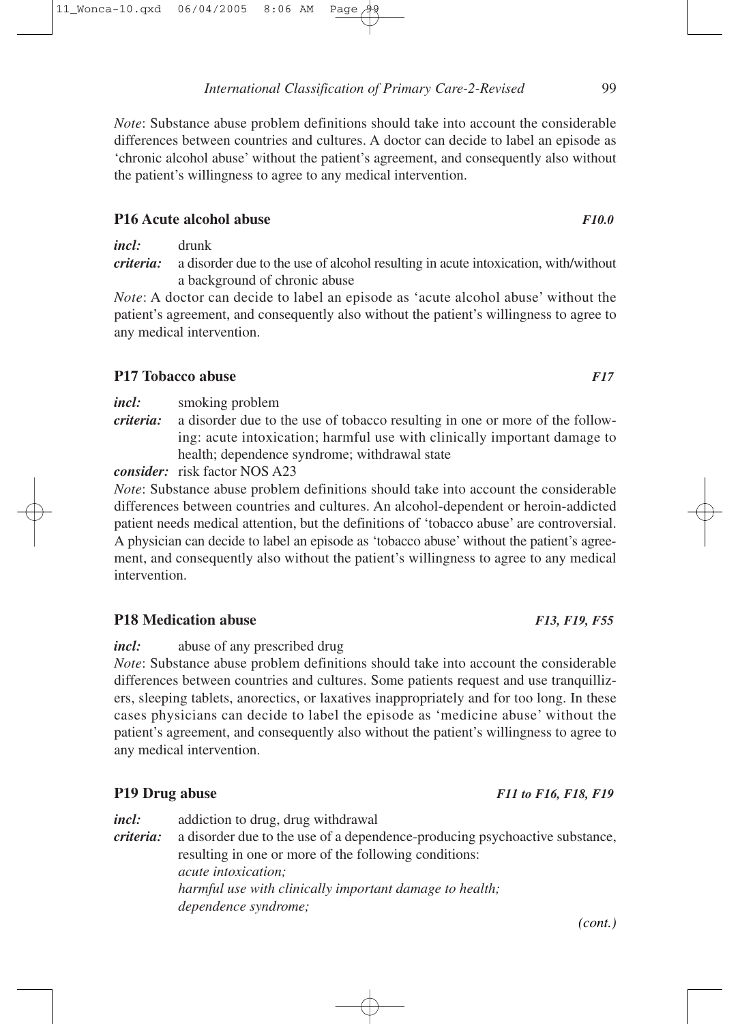*Note*: Substance abuse problem definitions should take into account the considerable differences between countries and cultures. A doctor can decide to label an episode as 'chronic alcohol abuse' without the patient's agreement, and consequently also without the patient's willingness to agree to any medical intervention.

#### **P16 Acute alcohol abuse** *F10.0*

*incl:* drunk

*criteria:* a disorder due to the use of alcohol resulting in acute intoxication, with/without a background of chronic abuse

*Note*: A doctor can decide to label an episode as 'acute alcohol abuse' without the patient's agreement, and consequently also without the patient's willingness to agree to any medical intervention.

#### **P17 Tobacco abuse** *F17*

*incl:* smoking problem

*criteria:* a disorder due to the use of tobacco resulting in one or more of the following: acute intoxication; harmful use with clinically important damage to health; dependence syndrome; withdrawal state

*consider:* risk factor NOS A23

*Note*: Substance abuse problem definitions should take into account the considerable differences between countries and cultures. An alcohol-dependent or heroin-addicted patient needs medical attention, but the definitions of 'tobacco abuse' are controversial. A physician can decide to label an episode as 'tobacco abuse' without the patient's agreement, and consequently also without the patient's willingness to agree to any medical intervention.

#### **P18 Medication abuse** *F13, F19, F55*

*incl:* abuse of any prescribed drug

*Note*: Substance abuse problem definitions should take into account the considerable differences between countries and cultures. Some patients request and use tranquillizers, sleeping tablets, anorectics, or laxatives inappropriately and for too long. In these cases physicians can decide to label the episode as 'medicine abuse' without the patient's agreement, and consequently also without the patient's willingness to agree to any medical intervention.

#### **P19 Drug abuse** *F11 to F16, F18, F19*

*incl:* addiction to drug, drug withdrawal *criteria:* a disorder due to the use of a dependence-producing psychoactive substance, resulting in one or more of the following conditions: *acute intoxication; harmful use with clinically important damage to health; dependence syndrome;*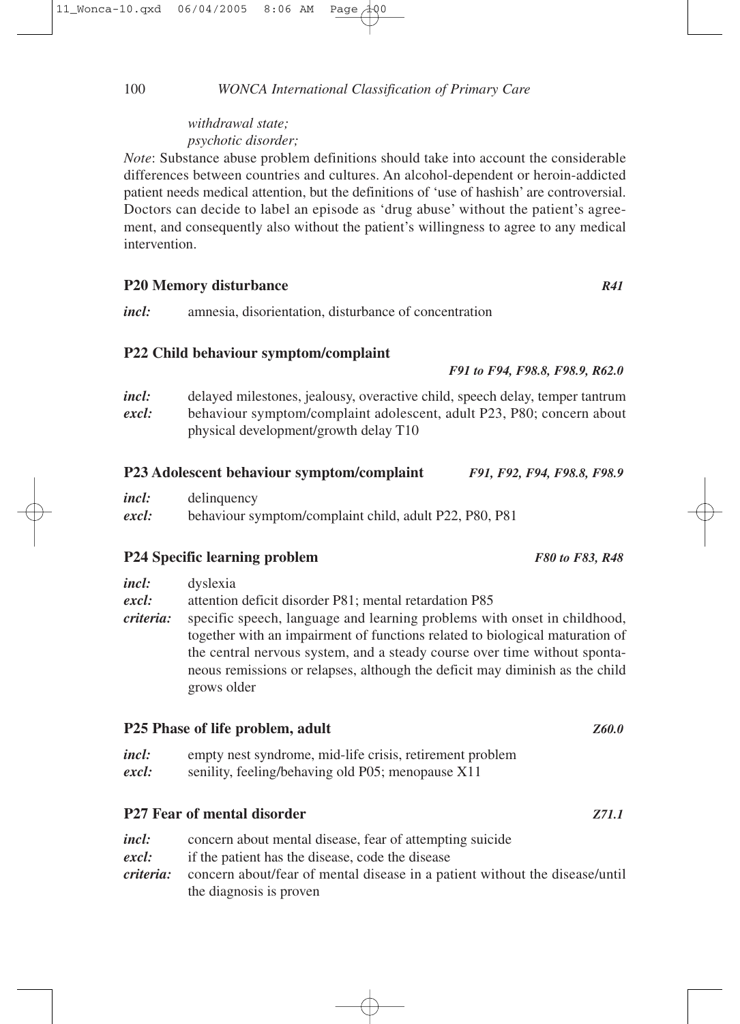#### *withdrawal state; psychotic disorder;*

*Note*: Substance abuse problem definitions should take into account the considerable differences between countries and cultures. An alcohol-dependent or heroin-addicted patient needs medical attention, but the definitions of 'use of hashish' are controversial. Doctors can decide to label an episode as 'drug abuse' without the patient's agreement, and consequently also without the patient's willingness to agree to any medical intervention.

#### **P20 Memory disturbance** *R41*

*incl:* amnesia, disorientation, disturbance of concentration

#### **P22 Child behaviour symptom/complaint**

*F91 to F94, F98.8, F98.9, R62.0*

*incl:* delayed milestones, jealousy, overactive child, speech delay, temper tantrum *excl:* behaviour symptom/complaint adolescent, adult P23, P80; concern about physical development/growth delay T10

#### **P23 Adolescent behaviour symptom/complaint** *F91, F92, F94, F98.8, F98.9*

| <i>incl:</i> | delinquency                                            |
|--------------|--------------------------------------------------------|
| excl:        | behaviour symptom/complaint child, adult P22, P80, P81 |

#### **P24 Specific learning problem** *F80 to F83, R48*

| <i>incl:</i> | dyslexia                                                                     |
|--------------|------------------------------------------------------------------------------|
| excl:        | attention deficit disorder P81; mental retardation P85                       |
| criteria:    | specific speech, language and learning problems with onset in childhood,     |
|              | together with an impairment of functions related to biological maturation of |
|              | the central nervous system, and a steady course over time without sponta-    |
|              | neous remissions or relapses, although the deficit may diminish as the child |
|              | grows older                                                                  |

#### **P25 Phase of life problem, adult** *Z60.0*

*incl:* empty nest syndrome, mid-life crisis, retirement problem *excl:* senility, feeling/behaving old P05; menopause X11

#### **P27 Fear of mental disorder** *Z71.1*

*incl:* concern about mental disease, fear of attempting suicide *excl:* if the patient has the disease, code the disease *criteria:* concern about/fear of mental disease in a patient without the disease/until the diagnosis is proven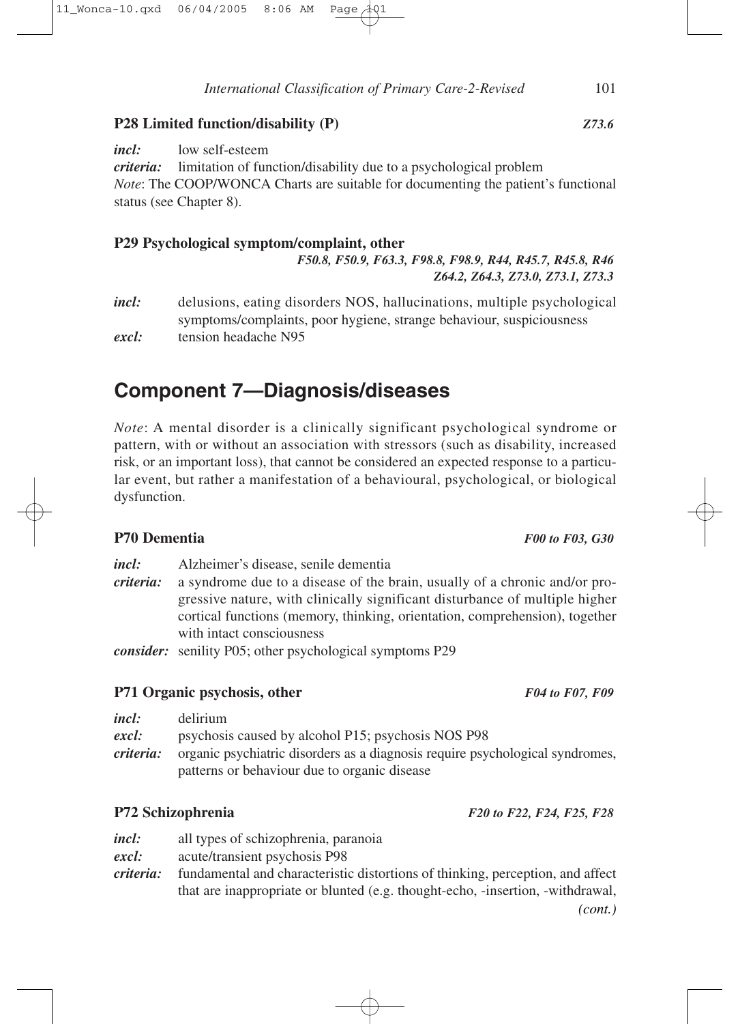#### **P28 Limited function/disability (P)** *Z73.6*

*incl:* low self-esteem *criteria:* limitation of function/disability due to a psychological problem *Note*: The COOP/WONCA Charts are suitable for documenting the patient's functional status (see Chapter 8).

#### **P29 Psychological symptom/complaint, other**

*F50.8, F50.9, F63.3, F98.8, F98.9, R44, R45.7, R45.8, R46 Z64.2, Z64.3, Z73.0, Z73.1, Z73.3*

*incl:* delusions, eating disorders NOS, hallucinations, multiple psychological symptoms/complaints, poor hygiene, strange behaviour, suspiciousness *excl:* tension headache N95

## **Component 7—Diagnosis/diseases**

*Note*: A mental disorder is a clinically significant psychological syndrome or pattern, with or without an association with stressors (such as disability, increased risk, or an important loss), that cannot be considered an expected response to a particular event, but rather a manifestation of a behavioural, psychological, or biological dysfunction.

### **P70 Dementia** *F00 to F03, G30*

*incl:* Alzheimer's disease, senile dementia

*criteria:* a syndrome due to a disease of the brain, usually of a chronic and/or progressive nature, with clinically significant disturbance of multiple higher cortical functions (memory, thinking, orientation, comprehension), together with intact consciousness

*consider:* senility P05; other psychological symptoms P29

#### **P71 Organic psychosis, other** *F04 to F07, F09*

| <i>incl:</i>     | delirium                                                                      |
|------------------|-------------------------------------------------------------------------------|
| excl:            | psychosis caused by alcohol P15; psychosis NOS P98                            |
| <i>criteria:</i> | organic psychiatric disorders as a diagnosis require psychological syndromes, |
|                  | patterns or behaviour due to organic disease                                  |

#### **P72 Schizophrenia** *F20 to F22, F24, F25, F28*

| <i>incl:</i>     | all types of schizophrenia, paranoia                                           |
|------------------|--------------------------------------------------------------------------------|
| excl:            | acute/transient psychosis P98                                                  |
| <i>criteria:</i> | fundamental and characteristic distortions of thinking, perception, and affect |
|                  | that are inappropriate or blunted (e.g. thought-echo, -insertion, -withdrawal, |
|                  |                                                                                |

*(cont.)*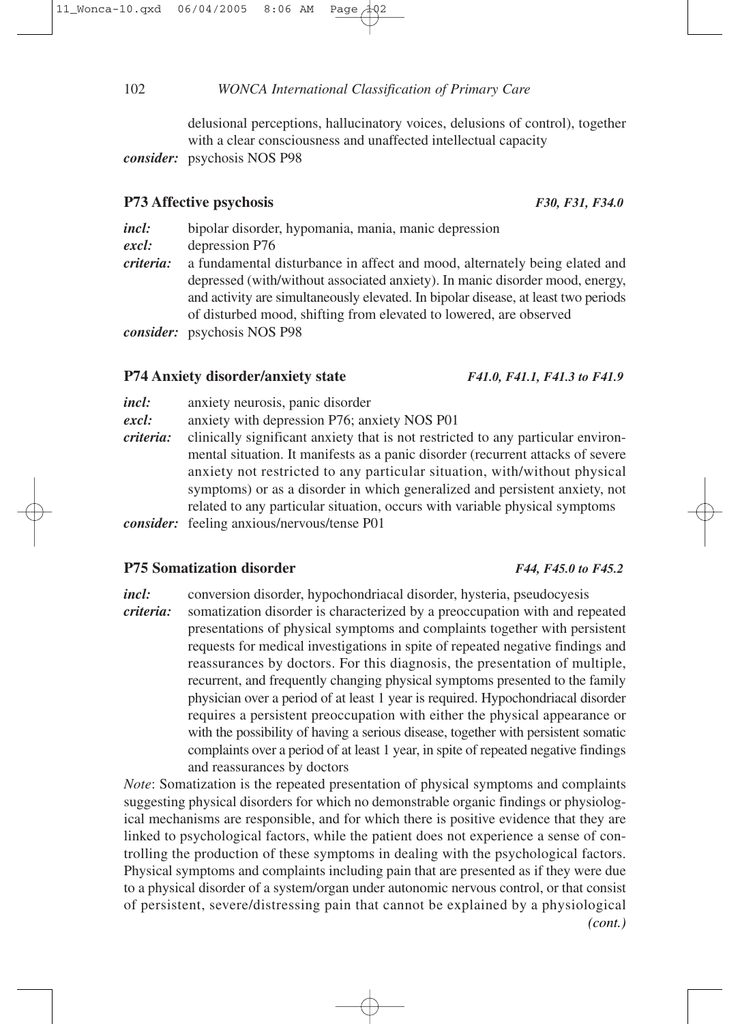delusional perceptions, hallucinatory voices, delusions of control), together with a clear consciousness and unaffected intellectual capacity *consider:* psychosis NOS P98

#### **P73 Affective psychosis** *F30, F31, F34.0*

| incl:     | bipolar disorder, hypomania, mania, manic depression                               |
|-----------|------------------------------------------------------------------------------------|
| excl:     | depression P76                                                                     |
| criteria: | a fundamental disturbance in affect and mood, alternately being elated and         |
|           | depressed (with/without associated anxiety). In manic disorder mood, energy,       |
|           | and activity are simultaneously elevated. In bipolar disease, at least two periods |
|           | of disturbed mood, shifting from elevated to lowered, are observed                 |
|           | considere perchasis NOS DOS                                                        |

*consider:* psychosis NOS P98

#### **P74 Anxiety disorder/anxiety state** *F41.0, F41.1, F41.3 to F41.9*

*incl:* anxiety neurosis, panic disorder

*excl:* anxiety with depression P76; anxiety NOS P01

*criteria:* clinically significant anxiety that is not restricted to any particular environmental situation. It manifests as a panic disorder (recurrent attacks of severe anxiety not restricted to any particular situation, with/without physical symptoms) or as a disorder in which generalized and persistent anxiety, not related to any particular situation, occurs with variable physical symptoms *consider:* feeling anxious/nervous/tense P01

#### **P75 Somatization disorder** *F44, F45.0 to F45.2*

*incl:* conversion disorder, hypochondriacal disorder, hysteria, pseudocyesis *criteria:* somatization disorder is characterized by a preoccupation with and repeated presentations of physical symptoms and complaints together with persistent requests for medical investigations in spite of repeated negative findings and reassurances by doctors. For this diagnosis, the presentation of multiple, recurrent, and frequently changing physical symptoms presented to the family physician over a period of at least 1 year is required. Hypochondriacal disorder requires a persistent preoccupation with either the physical appearance or with the possibility of having a serious disease, together with persistent somatic complaints over a period of at least 1 year, in spite of repeated negative findings and reassurances by doctors

*Note*: Somatization is the repeated presentation of physical symptoms and complaints suggesting physical disorders for which no demonstrable organic findings or physiological mechanisms are responsible, and for which there is positive evidence that they are linked to psychological factors, while the patient does not experience a sense of controlling the production of these symptoms in dealing with the psychological factors. Physical symptoms and complaints including pain that are presented as if they were due to a physical disorder of a system/organ under autonomic nervous control, or that consist of persistent, severe/distressing pain that cannot be explained by a physiological *(cont.)*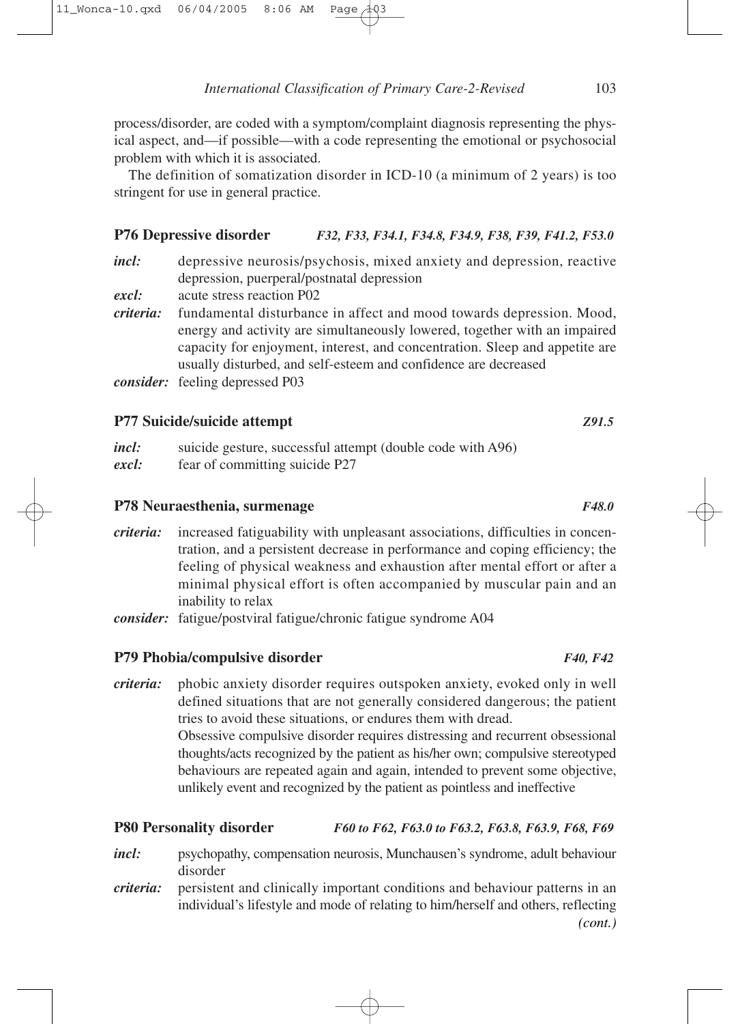process/disorder, are coded with a symptom/complaint diagnosis representing the physical aspect, and—if possible—with a code representing the emotional or psychosocial problem with which it is associated.

The definition of somatization disorder in ICD-10 (a minimum of 2 years) is too stringent for use in general practice.

#### **P76 Depressive disorder** *F32, F33, F34.1, F34.8, F34.9, F38, F39, F41.2, F53.0*

*incl:* depressive neurosis/psychosis, mixed anxiety and depression, reactive depression, puerperal/postnatal depression

*excl:* acute stress reaction P02

*criteria:* fundamental disturbance in affect and mood towards depression. Mood, energy and activity are simultaneously lowered, together with an impaired capacity for enjoyment, interest, and concentration. Sleep and appetite are usually disturbed, and self-esteem and confidence are decreased

*consider:* feeling depressed P03

#### **P77 Suicide/suicide attempt** *Z91.5*

*incl:* suicide gesture, successful attempt (double code with A96) *excl:* fear of committing suicide P27

- **P78 Neuraesthenia, surmenage** *F48.0*
- *criteria:* increased fatiguability with unpleasant associations, difficulties in concentration, and a persistent decrease in performance and coping efficiency; the feeling of physical weakness and exhaustion after mental effort or after a minimal physical effort is often accompanied by muscular pain and an inability to relax
- *consider:* fatigue/postviral fatigue/chronic fatigue syndrome A04

#### **P79 Phobia/compulsive disorder** *F40, F42*

*criteria:* phobic anxiety disorder requires outspoken anxiety, evoked only in well defined situations that are not generally considered dangerous; the patient tries to avoid these situations, or endures them with dread. Obsessive compulsive disorder requires distressing and recurrent obsessional thoughts/acts recognized by the patient as his/her own; compulsive stereotyped behaviours are repeated again and again, intended to prevent some objective, unlikely event and recognized by the patient as pointless and ineffective

### **P80 Personality disorder** *F60 to F62, F63.0 to F63.2, F63.8, F63.9, F68, F69*

- *incl:* psychopathy, compensation neurosis, Munchausen's syndrome, adult behaviour disorder
- *criteria:* persistent and clinically important conditions and behaviour patterns in an individual's lifestyle and mode of relating to him/herself and others, reflecting *(cont.)*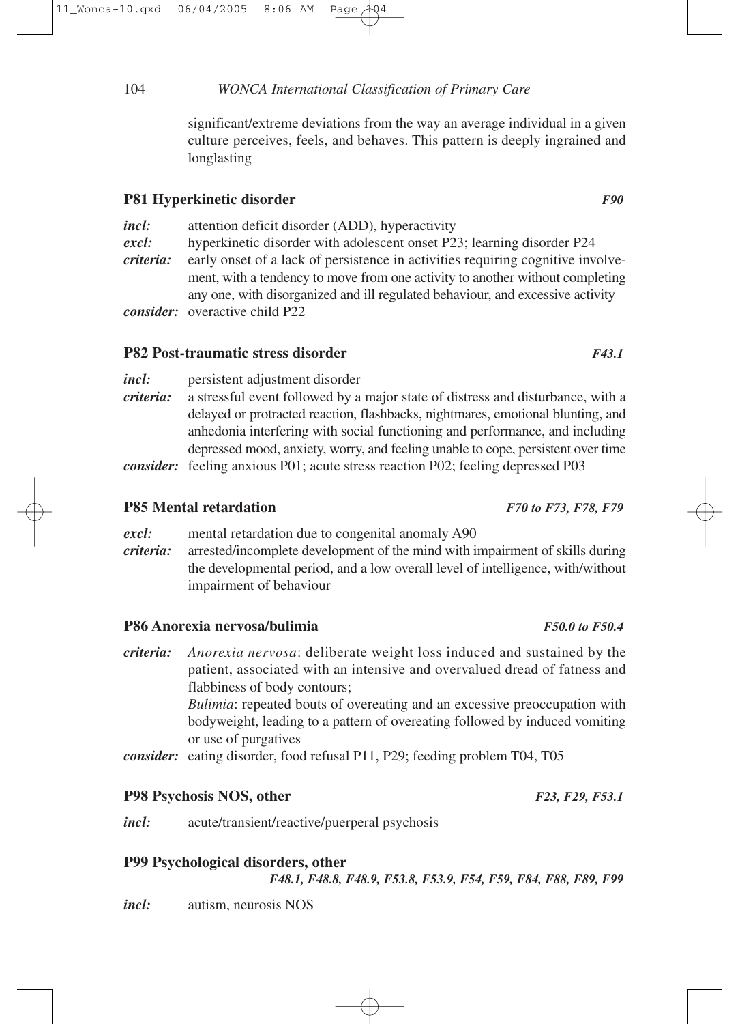significant/extreme deviations from the way an average individual in a given culture perceives, feels, and behaves. This pattern is deeply ingrained and longlasting

#### **P81 Hyperkinetic disorder** *F90*

*incl:* attention deficit disorder (ADD), hyperactivity *excl:* hyperkinetic disorder with adolescent onset P23; learning disorder P24 *criteria:* early onset of a lack of persistence in activities requiring cognitive involvement, with a tendency to move from one activity to another without completing any one, with disorganized and ill regulated behaviour, and excessive activity *consider:* overactive child P22

#### **P82 Post-traumatic stress disorder** *F43.1*

*incl:* persistent adjustment disorder

*criteria:* a stressful event followed by a major state of distress and disturbance, with a delayed or protracted reaction, flashbacks, nightmares, emotional blunting, and anhedonia interfering with social functioning and performance, and including depressed mood, anxiety, worry, and feeling unable to cope, persistent over time *consider:* feeling anxious P01; acute stress reaction P02; feeling depressed P03

#### **P85 Mental retardation** *F70 to F73, F78, F79*

*excl:* mental retardation due to congenital anomaly A90 *criteria:* arrested/incomplete development of the mind with impairment of skills during the developmental period, and a low overall level of intelligence, with/without

#### **P86 Anorexia nervosa/bulimia** *F50.0 to F50.4*

impairment of behaviour

*criteria: Anorexia nervosa*: deliberate weight loss induced and sustained by the patient, associated with an intensive and overvalued dread of fatness and flabbiness of body contours;

> *Bulimia*: repeated bouts of overeating and an excessive preoccupation with bodyweight, leading to a pattern of overeating followed by induced vomiting or use of purgatives

*consider:* eating disorder, food refusal P11, P29; feeding problem T04, T05

#### **P98 Psychosis NOS, other** *F23, F29, F53.1*

*incl:* acute/transient/reactive/puerperal psychosis

#### **P99 Psychological disorders, other**

*F48.1, F48.8, F48.9, F53.8, F53.9, F54, F59, F84, F88, F89, F99*

*incl:* autism, neurosis NOS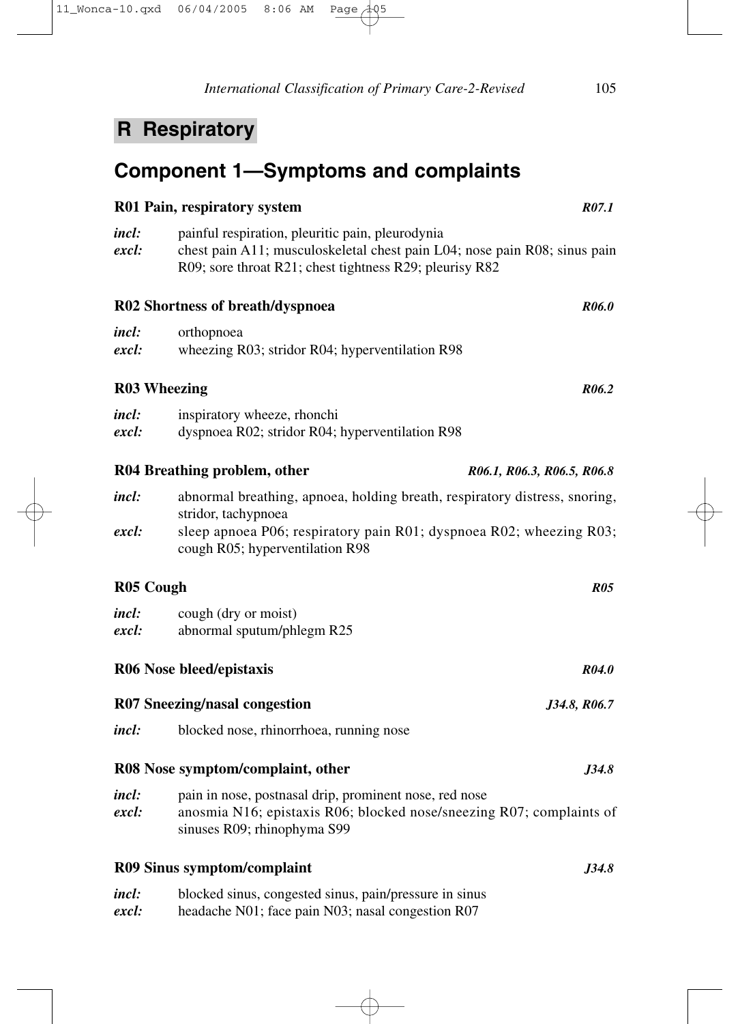# **R Respiratory**

# **Component 1—Symptoms and complaints**

|                  | R01 Pain, respiratory system                                                                                                                                                             | R07.1                      |
|------------------|------------------------------------------------------------------------------------------------------------------------------------------------------------------------------------------|----------------------------|
| incl:<br>excl:   | painful respiration, pleuritic pain, pleurodynia<br>chest pain A11; musculoskeletal chest pain L04; nose pain R08; sinus pain<br>R09; sore throat R21; chest tightness R29; pleurisy R82 |                            |
|                  | R02 Shortness of breath/dyspnoea                                                                                                                                                         | R06.0                      |
| incl:<br>excl:   | orthopnoea<br>wheezing R03; stridor R04; hyperventilation R98                                                                                                                            |                            |
|                  | <b>R03 Wheezing</b>                                                                                                                                                                      | R06.2                      |
| incl:<br>excl:   | inspiratory wheeze, rhonchi<br>dyspnoea R02; stridor R04; hyperventilation R98                                                                                                           |                            |
|                  | R04 Breathing problem, other                                                                                                                                                             | R06.1, R06.3, R06.5, R06.8 |
| incl:            | abnormal breathing, apnoea, holding breath, respiratory distress, snoring,                                                                                                               |                            |
| excl:            | stridor, tachypnoea<br>sleep apnoea P06; respiratory pain R01; dyspnoea R02; wheezing R03;<br>cough R05; hyperventilation R98                                                            |                            |
| <b>R05 Cough</b> |                                                                                                                                                                                          | <b>R05</b>                 |
| incl:<br>excl:   | cough (dry or moist)<br>abnormal sputum/phlegm R25                                                                                                                                       |                            |
|                  | R06 Nose bleed/epistaxis                                                                                                                                                                 | R04.0                      |
|                  | R07 Sneezing/nasal congestion                                                                                                                                                            | <b>J34.8, R06.7</b>        |
| incl:            | blocked nose, rhinorrhoea, running nose                                                                                                                                                  |                            |
|                  | R08 Nose symptom/complaint, other                                                                                                                                                        | .J34.8                     |
| incl:<br>excl:   | pain in nose, postnasal drip, prominent nose, red nose<br>anosmia N16; epistaxis R06; blocked nose/sneezing R07; complaints of<br>sinuses R09; rhinophyma S99                            |                            |
|                  | R09 Sinus symptom/complaint                                                                                                                                                              | .J34.8                     |
| incl:            | blocked sinus, congested sinus, pain/pressure in sinus                                                                                                                                   |                            |

*excl:* headache N01; face pain N03; nasal congestion R07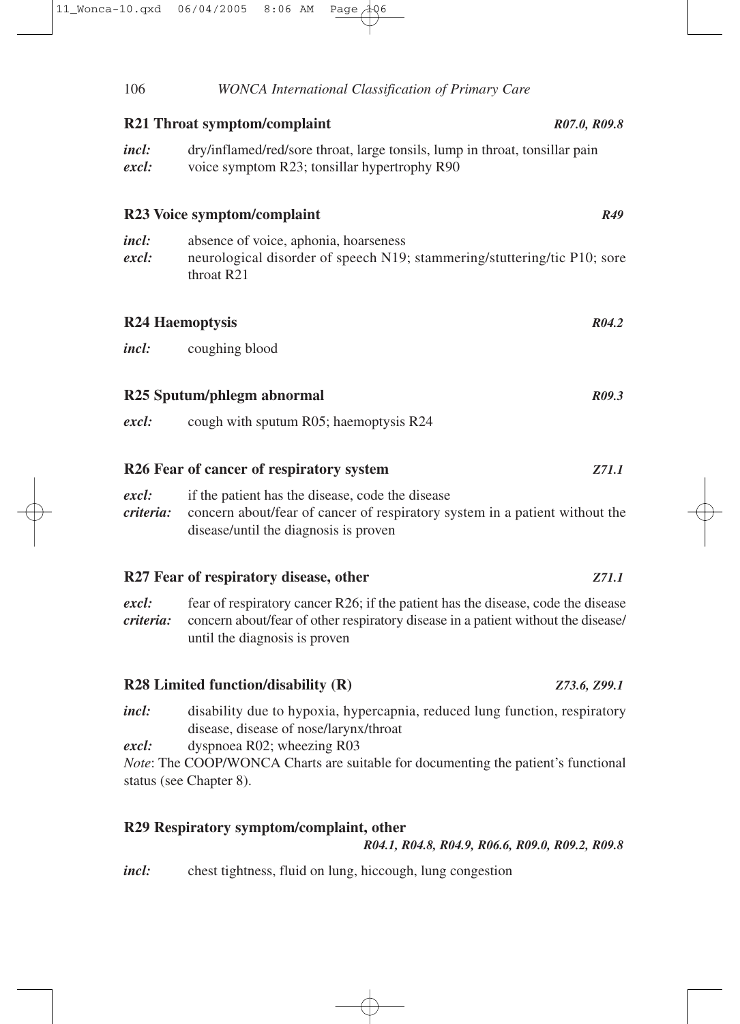|                       | R21 Throat symptom/complaint                                                                                                                                                                                                                                       | R07.0, R09.8      |
|-----------------------|--------------------------------------------------------------------------------------------------------------------------------------------------------------------------------------------------------------------------------------------------------------------|-------------------|
| <i>incl:</i><br>excl: | dry/inflamed/red/sore throat, large tonsils, lump in throat, tonsillar pain<br>voice symptom R23; tonsillar hypertrophy R90                                                                                                                                        |                   |
|                       | R23 Voice symptom/complaint                                                                                                                                                                                                                                        | R49               |
| <i>incl:</i><br>excl: | absence of voice, aphonia, hoarseness<br>neurological disorder of speech N19; stammering/stuttering/tic P10; sore<br>throat R21                                                                                                                                    |                   |
|                       | <b>R24 Haemoptysis</b>                                                                                                                                                                                                                                             | R <sub>04.2</sub> |
| <i>incl:</i>          | coughing blood                                                                                                                                                                                                                                                     |                   |
|                       | R25 Sputum/phlegm abnormal                                                                                                                                                                                                                                         | R09.3             |
| excl:                 | cough with sputum R05; haemoptysis R24                                                                                                                                                                                                                             |                   |
|                       | R26 Fear of cancer of respiratory system                                                                                                                                                                                                                           | Z71.1             |
| excl:<br>criteria:    | if the patient has the disease, code the disease<br>concern about/fear of cancer of respiratory system in a patient without the<br>disease/until the diagnosis is proven                                                                                           |                   |
|                       | R27 Fear of respiratory disease, other                                                                                                                                                                                                                             | Z71.1             |
| excl:<br>criteria:    | fear of respiratory cancer R26; if the patient has the disease, code the disease<br>concern about/fear of other respiratory disease in a patient without the disease/<br>until the diagnosis is proven                                                             |                   |
|                       | R28 Limited function/disability (R)                                                                                                                                                                                                                                | Z73.6, Z99.1      |
| incl:<br>excl:        | disability due to hypoxia, hypercapnia, reduced lung function, respiratory<br>disease, disease of nose/larynx/throat<br>dyspnoea R02; wheezing R03<br>Note: The COOP/WONCA Charts are suitable for documenting the patient's functional<br>status (see Chapter 8). |                   |

*R04.1, R04.8, R04.9, R06.6, R09.0, R09.2, R09.8*

*incl:* chest tightness, fluid on lung, hiccough, lung congestion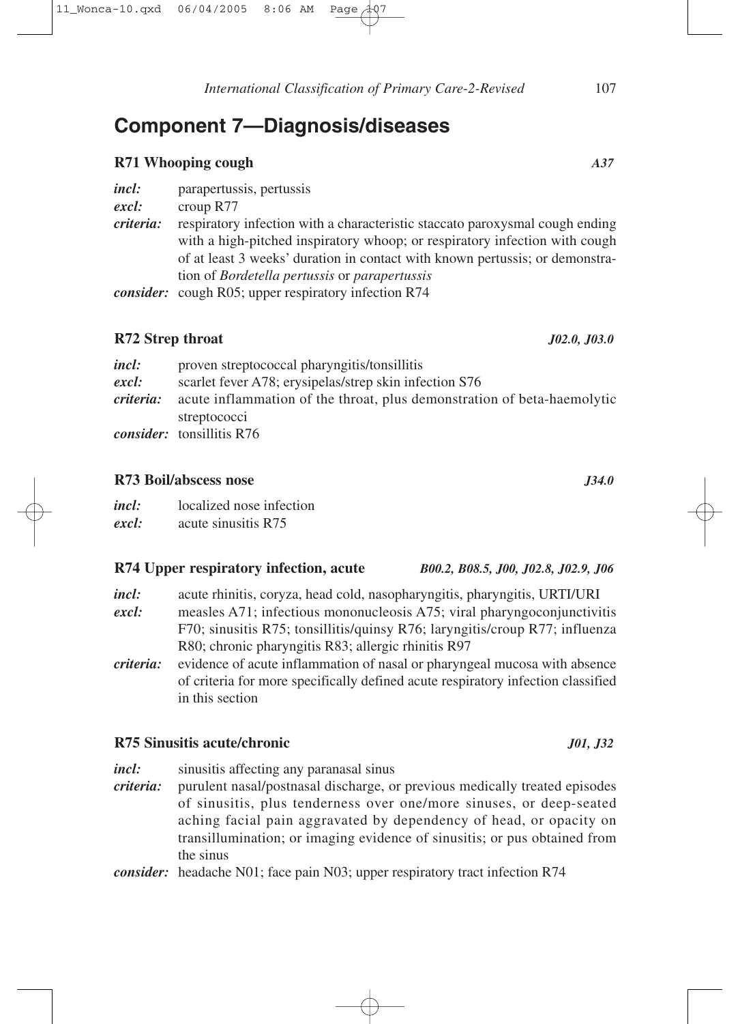## **Component 7—Diagnosis/diseases**

### **R71 Whooping cough** *A37*

*incl:* parapertussis, pertussis *excl:* croup R77 *criteria:* respiratory infection with a characteristic staccato paroxysmal cough ending with a high-pitched inspiratory whoop; or respiratory infection with cough of at least 3 weeks' duration in contact with known pertussis; or demonstration of *Bordetella pertussis* or *parapertussis*

*consider:* cough R05; upper respiratory infection R74

### **R72 Strep throat** *J02.0, J03.0*

| <i>incl:</i>      | proven streptococcal pharyngitis/tonsillitis                            |
|-------------------|-------------------------------------------------------------------------|
| excl:             | scarlet fever A78; erysipelas/strep skin infection S76                  |
| <i>criteria</i> : | acute inflammation of the throat, plus demonstration of beta-haemolytic |
|                   | streptococci                                                            |
|                   | <i>consider:</i> tonsillitis R76                                        |

#### **R73 Boil/abscess nose** *J34.0*

*incl:* localized nose infection *excl:* acute sinusitis R75

#### **R74 Upper respiratory infection, acute** *B00.2, B08.5, J00, J02.8, J02.9, J06*

*incl:* acute rhinitis, coryza, head cold, nasopharyngitis, pharyngitis, URTI/URI

*excl:* measles A71; infectious mononucleosis A75; viral pharyngoconjunctivitis F70; sinusitis R75; tonsillitis/quinsy R76; laryngitis/croup R77; influenza R80; chronic pharyngitis R83; allergic rhinitis R97

*criteria:* evidence of acute inflammation of nasal or pharyngeal mucosa with absence of criteria for more specifically defined acute respiratory infection classified in this section

### **R75 Sinusitis acute/chronic** *J01, J32*

*incl:* sinusitis affecting any paranasal sinus

*criteria:* purulent nasal/postnasal discharge, or previous medically treated episodes of sinusitis, plus tenderness over one/more sinuses, or deep-seated aching facial pain aggravated by dependency of head, or opacity on transillumination; or imaging evidence of sinusitis; or pus obtained from the sinus

*consider:* headache N01; face pain N03; upper respiratory tract infection R74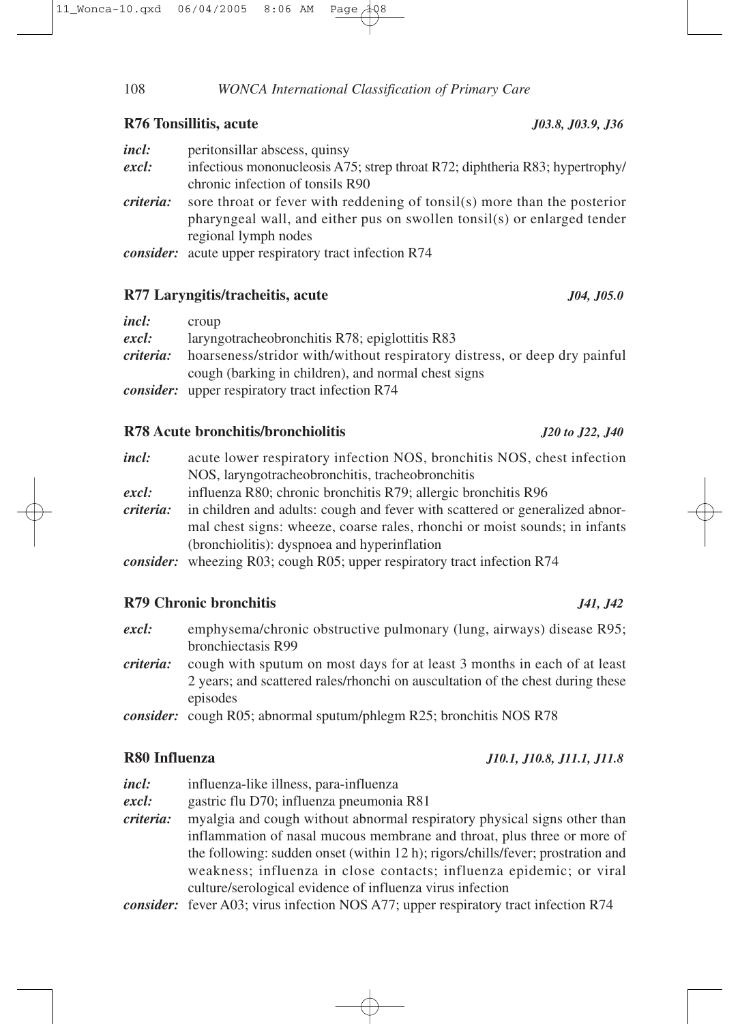#### **R76 Tonsillitis, acute** *J03.8, J03.9, J36*

*incl:* peritonsillar abscess, quinsy

- *excl:* infectious mononucleosis A75; strep throat R72; diphtheria R83; hypertrophy/ chronic infection of tonsils R90
- *criteria:* sore throat or fever with reddening of tonsil(s) more than the posterior pharyngeal wall, and either pus on swollen tonsil(s) or enlarged tender regional lymph nodes
- *consider:* acute upper respiratory tract infection R74

### **R77 Laryngitis/tracheitis, acute** *J04, J05.0*

| incl:     | croup                                                                     |
|-----------|---------------------------------------------------------------------------|
| excl:     | laryngotracheobronchitis R78; epiglottitis R83                            |
| criteria: | hoarseness/stridor with/without respiratory distress, or deep dry painful |
|           | cough (barking in children), and normal chest signs                       |
|           | <i>consider:</i> upper respiratory tract infection R74                    |

#### **R78 Acute bronchitis/bronchiolitis** *J20 to J22, J40*

- *incl:* acute lower respiratory infection NOS, bronchitis NOS, chest infection NOS, laryngotracheobronchitis, tracheobronchitis
- *excl:* influenza R80; chronic bronchitis R79; allergic bronchitis R96
- *criteria:* in children and adults: cough and fever with scattered or generalized abnormal chest signs: wheeze, coarse rales, rhonchi or moist sounds; in infants (bronchiolitis): dyspnoea and hyperinflation
- *consider:* wheezing R03; cough R05; upper respiratory tract infection R74

#### **R79 Chronic bronchitis** *J41, J42*

- *excl:* emphysema/chronic obstructive pulmonary (lung, airways) disease R95; bronchiectasis R99
- *criteria:* cough with sputum on most days for at least 3 months in each of at least 2 years; and scattered rales/rhonchi on auscultation of the chest during these episodes
- *consider:* cough R05; abnormal sputum/phlegm R25; bronchitis NOS R78

- *incl:* influenza-like illness, para-influenza
- *excl:* gastric flu D70; influenza pneumonia R81
- *criteria:* myalgia and cough without abnormal respiratory physical signs other than inflammation of nasal mucous membrane and throat, plus three or more of the following: sudden onset (within 12 h); rigors/chills/fever; prostration and weakness; influenza in close contacts; influenza epidemic; or viral culture/serological evidence of influenza virus infection
- *consider:* fever A03; virus infection NOS A77; upper respiratory tract infection R74

### **R80 Influenza** *J10.1, J10.8, J11.1, J11.8*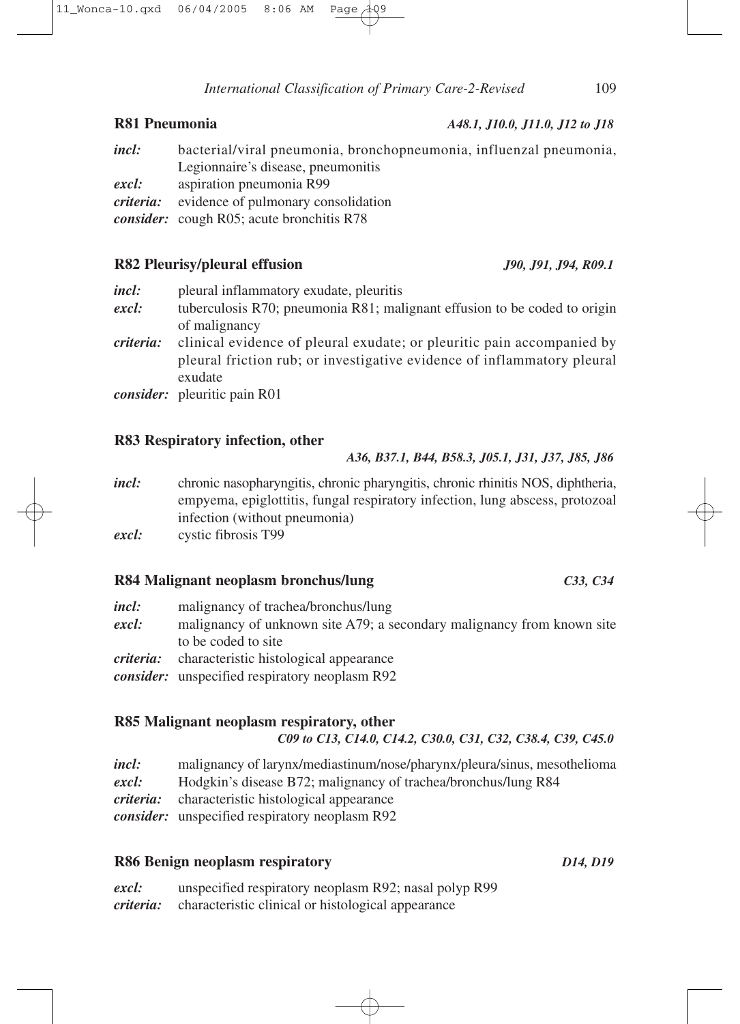#### **R81 Pneumonia** *A48.1, J10.0, J11.0, J12 to J18*

*incl:* bacterial/viral pneumonia, bronchopneumonia, influenzal pneumonia, Legionnaire's disease, pneumonitis *excl:* aspiration pneumonia R99 *criteria:* evidence of pulmonary consolidation *consider:* cough R05; acute bronchitis R78

#### **R82 Pleurisy/pleural effusion** *J90, J91, J94, R09.1*

*incl:* pleural inflammatory exudate, pleuritis *excl:* tuberculosis R70; pneumonia R81; malignant effusion to be coded to origin of malignancy *criteria:* clinical evidence of pleural exudate; or pleuritic pain accompanied by pleural friction rub; or investigative evidence of inflammatory pleural exudate *consider:* pleuritic pain R01

#### **R83 Respiratory infection, other**

#### *A36, B37.1, B44, B58.3, J05.1, J31, J37, J85, J86*

*incl:* chronic nasopharyngitis, chronic pharyngitis, chronic rhinitis NOS, diphtheria, empyema, epiglottitis, fungal respiratory infection, lung abscess, protozoal infection (without pneumonia)

*excl:* cystic fibrosis T99

#### **R84 Malignant neoplasm bronchus/lung** *C33, C34*

*incl:* malignancy of trachea/bronchus/lung *excl:* malignancy of unknown site A79; a secondary malignancy from known site to be coded to site *criteria:* characteristic histological appearance *consider:* unspecified respiratory neoplasm R92

#### **R85 Malignant neoplasm respiratory, other**

*C09 to C13, C14.0, C14.2, C30.0, C31, C32, C38.4, C39, C45.0*

- *incl:* malignancy of larynx/mediastinum/nose/pharynx/pleura/sinus, mesothelioma
- *excl:* Hodgkin's disease B72; malignancy of trachea/bronchus/lung R84
- *criteria:* characteristic histological appearance

*consider:* unspecified respiratory neoplasm R92

#### **R86 Benign neoplasm respiratory** *D14, D19*

*excl:* unspecified respiratory neoplasm R92; nasal polyp R99 *criteria:* characteristic clinical or histological appearance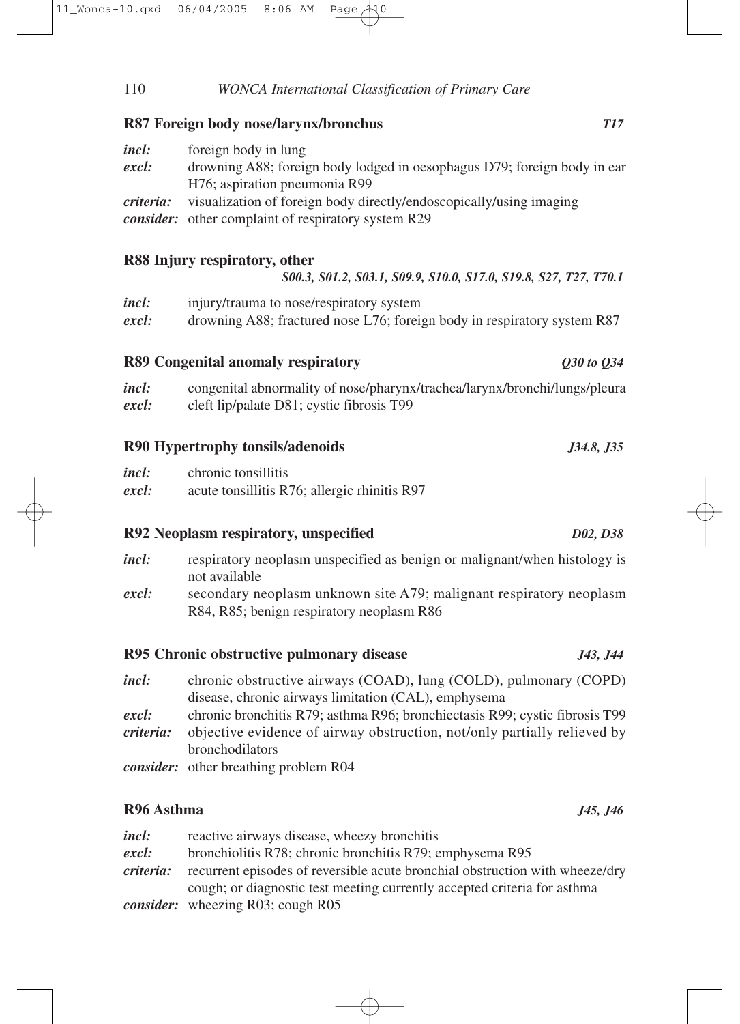| R87 Foreign body nose/larynx/bronchus<br>T17 |                                                                          |  |
|----------------------------------------------|--------------------------------------------------------------------------|--|
| <i>incl:</i>                                 | foreign body in lung                                                     |  |
| excl:                                        | drowning A88; foreign body lodged in oesophagus D79; foreign body in ear |  |
|                                              | H76; aspiration pneumonia R99                                            |  |
| <i>criteria</i> :                            | visualization of foreign body directly/endoscopically/using imaging      |  |
|                                              | <i>consider:</i> other complaint of respiratory system R29               |  |

## **R88 Injury respiratory, other**

|                | S00.3, S01.2, S03.1, S09.9, S10.0, S17.0, S19.8, S27, T27, T70.1                                                          |                 |
|----------------|---------------------------------------------------------------------------------------------------------------------------|-----------------|
| incl:<br>excl: | injury/trauma to nose/respiratory system<br>drowning A88; fractured nose L76; foreign body in respiratory system R87      |                 |
|                | <b>R89 Congenital anomaly respiratory</b>                                                                                 | 030 to 034      |
| incl:<br>excl: | congenital abnormality of nose/pharynx/trachea/larynx/bronchi/lungs/pleura<br>cleft lip/palate D81; cystic fibrosis T99   |                 |
|                | R90 Hypertrophy tonsils/adenoids                                                                                          | J34.8, J35      |
| incl:<br>excl: | chronic tonsillitis<br>acute tonsillitis R76; allergic rhinitis R97                                                       |                 |
|                | R92 Neoplasm respiratory, unspecified                                                                                     | <b>D02, D38</b> |
| incl:          | respiratory neoplasm unspecified as benign or malignant/when histology is<br>not available                                |                 |
| excl:          | secondary neoplasm unknown site A79; malignant respiratory neoplasm<br>R84, R85; benign respiratory neoplasm R86          |                 |
|                | R95 Chronic obstructive pulmonary disease                                                                                 | J43, J44        |
| incl:          | chronic obstructive airways (COAD), lung (COLD), pulmonary (COPD)<br>disease, chronic airways limitation (CAL), emphysema |                 |
| excl:          | chronic bronchitis R79; asthma R96; bronchiectasis R99; cystic fibrosis T99                                               |                 |
| criteria:      | objective evidence of airway obstruction, not/only partially relieved by<br>bronchodilators                               |                 |
|                | consider: other breathing problem R04                                                                                     |                 |
| R96 Asthma     |                                                                                                                           | J45, J46        |

| <i>incl:</i>     | reactive airways disease, wheezy bronchitis                                  |
|------------------|------------------------------------------------------------------------------|
| excl:            | bronchiolitis R78; chronic bronchitis R79; emphysema R95                     |
| <i>criteria:</i> | recurrent episodes of reversible acute bronchial obstruction with wheeze/dry |
|                  | cough; or diagnostic test meeting currently accepted criteria for asthma     |
|                  | <i>consider:</i> wheezing R03; cough R05                                     |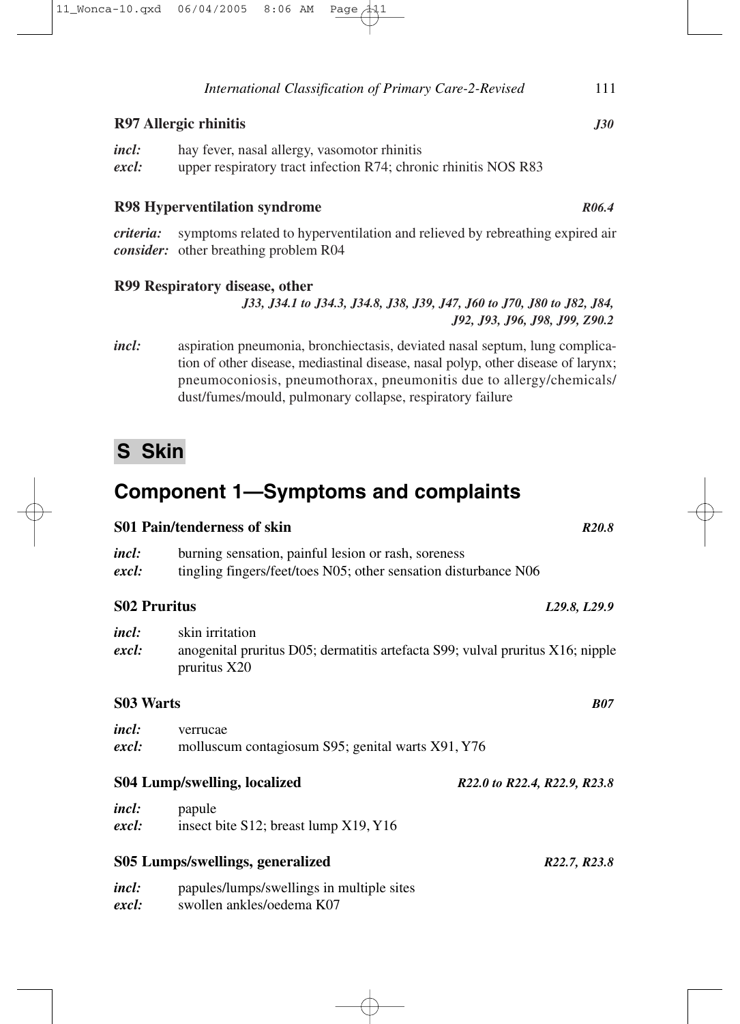| International Classification of Primary Care-2-Revised |  |  |  |  | 111 |
|--------------------------------------------------------|--|--|--|--|-----|
|--------------------------------------------------------|--|--|--|--|-----|

#### **R97 Allergic rhinitis** *J30*

incl: hay fever, nasal allergy, vasomotor rhinitis *excl:* upper respiratory tract infection R74; chronic rhinitis NOS R83

### **R98 Hyperventilation syndrome** *R06.4*

*criteria:* symptoms related to hyperventilation and relieved by rebreathing expired air *consider:* other breathing problem R04

- **R99 Respiratory disease, other** *J33, J34.1 to J34.3, J34.8, J38, J39, J47, J60 to J70, J80 to J82, J84, J92, J93, J96, J98, J99, Z90.2*
- *incl:* aspiration pneumonia, bronchiectasis, deviated nasal septum, lung complication of other disease, mediastinal disease, nasal polyp, other disease of larynx; pneumoconiosis, pneumothorax, pneumonitis due to allergy/chemicals/ dust/fumes/mould, pulmonary collapse, respiratory failure

## **S Skin**

## **Component 1—Symptoms and complaints**

|                       | S01 Pain/tenderness of skin                                                                                            | R20.8                                 |
|-----------------------|------------------------------------------------------------------------------------------------------------------------|---------------------------------------|
| <i>incl:</i><br>excl: | burning sensation, painful lesion or rash, soreness<br>tingling fingers/feet/toes N05; other sensation disturbance N06 |                                       |
| <b>S02 Pruritus</b>   |                                                                                                                        | L <sub>29.8</sub> , L <sub>29.9</sub> |
| <i>incl:</i><br>excl: | skin irritation<br>anogenital pruritus D05; dermatitis artefacta S99; vulval pruritus X16; nipple<br>pruritus X20      |                                       |
| <b>S03 Warts</b>      |                                                                                                                        | <b>B07</b>                            |
| <i>incl:</i><br>excl: | verrucae<br>molluscum contagiosum S95; genital warts X91, Y76                                                          |                                       |
|                       | S04 Lump/swelling, localized                                                                                           | R22.0 to R22.4, R22.9, R23.8          |
| <i>incl:</i><br>excl: | papule<br>insect bite S12; breast lump X19, Y16                                                                        |                                       |
|                       | S05 Lumps/swellings, generalized                                                                                       | R <sub>22.7</sub> , R <sub>23.8</sub> |
| <i>incl:</i><br>excl: | papules/lumps/swellings in multiple sites<br>swollen ankles/oedema K07                                                 |                                       |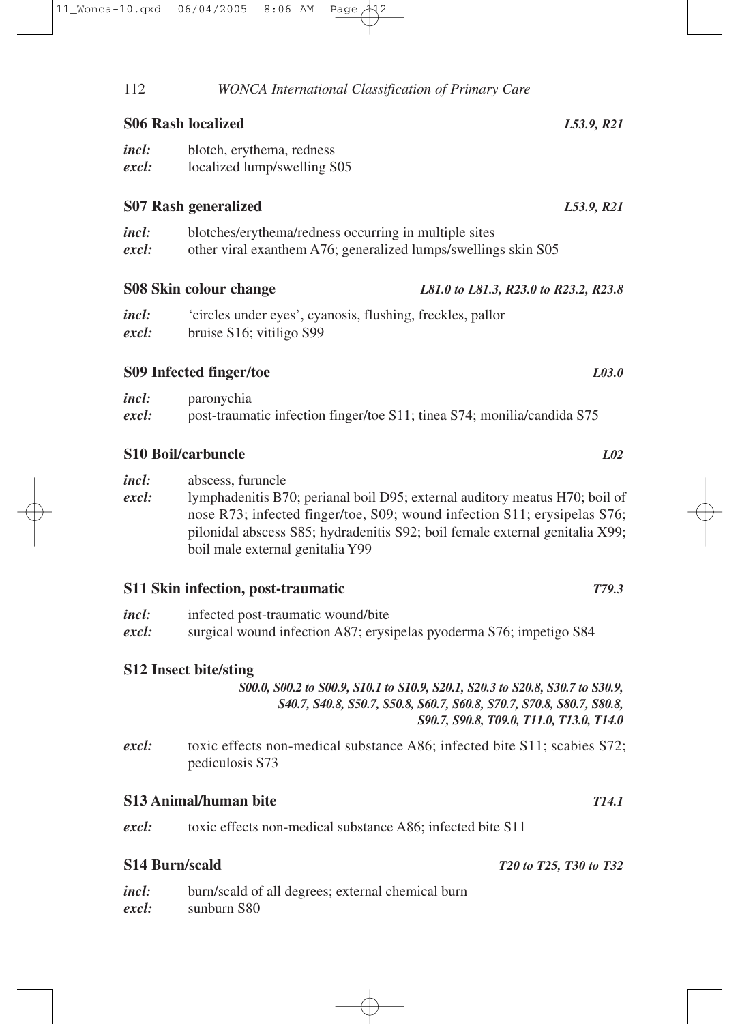| L53.9, R21                                                                                                                                                                                         | <b>S06 Rash localized</b>                                                                                               |                       |
|----------------------------------------------------------------------------------------------------------------------------------------------------------------------------------------------------|-------------------------------------------------------------------------------------------------------------------------|-----------------------|
|                                                                                                                                                                                                    |                                                                                                                         |                       |
|                                                                                                                                                                                                    | blotch, erythema, redness<br>localized lump/swelling S05                                                                | <i>incl:</i><br>excl: |
| L53.9, R21                                                                                                                                                                                         | <b>S07 Rash generalized</b>                                                                                             |                       |
|                                                                                                                                                                                                    | blotches/erythema/redness occurring in multiple sites<br>other viral exanthem A76; generalized lumps/swellings skin S05 | incl:<br>excl:        |
| L81.0 to L81.3, R23.0 to R23.2, R23.8                                                                                                                                                              | S08 Skin colour change                                                                                                  |                       |
|                                                                                                                                                                                                    | 'circles under eyes', cyanosis, flushing, freckles, pallor<br>bruise S16; vitiligo S99                                  | <i>incl:</i><br>excl: |
| L03.0                                                                                                                                                                                              | S09 Infected finger/toe                                                                                                 |                       |
|                                                                                                                                                                                                    | paronychia                                                                                                              | <i>incl:</i>          |
| post-traumatic infection finger/toe S11; tinea S74; monilia/candida S75                                                                                                                            |                                                                                                                         | excl:                 |
| L02                                                                                                                                                                                                | S10 Boil/carbuncle                                                                                                      |                       |
| lymphadenitis B70; perianal boil D95; external auditory meatus H70; boil of                                                                                                                        |                                                                                                                         | excl:                 |
| nose R73; infected finger/toe, S09; wound infection S11; erysipelas S76;<br>pilonidal abscess S85; hydradenitis S92; boil female external genitalia X99;                                           | boil male external genitalia Y99                                                                                        |                       |
| T79.3                                                                                                                                                                                              | S11 Skin infection, post-traumatic                                                                                      |                       |
| surgical wound infection A87; erysipelas pyoderma S76; impetigo S84                                                                                                                                | infected post-traumatic wound/bite                                                                                      | <i>incl:</i><br>excl: |
| S00.0, S00.2 to S00.9, S10.1 to S10.9, S20.1, S20.3 to S20.8, S30.7 to S30.9,<br>S40.7, S40.8, S50.7, S50.8, S60.7, S60.8, S70.7, S70.8, S80.7, S80.8,<br>S90.7, S90.8, T09.0, T11.0, T13.0, T14.0 | S12 Insect bite/sting                                                                                                   |                       |
| toxic effects non-medical substance A86; infected bite S11; scabies S72;                                                                                                                           | pediculosis S73                                                                                                         | excl:                 |
| T14.1                                                                                                                                                                                              | S13 Animal/human bite                                                                                                   |                       |
|                                                                                                                                                                                                    | toxic effects non-medical substance A86; infected bite S11                                                              | excl:                 |
| T20 to T25, T30 to T32                                                                                                                                                                             | S14 Burn/scald                                                                                                          |                       |

 $\overline{\bigoplus}$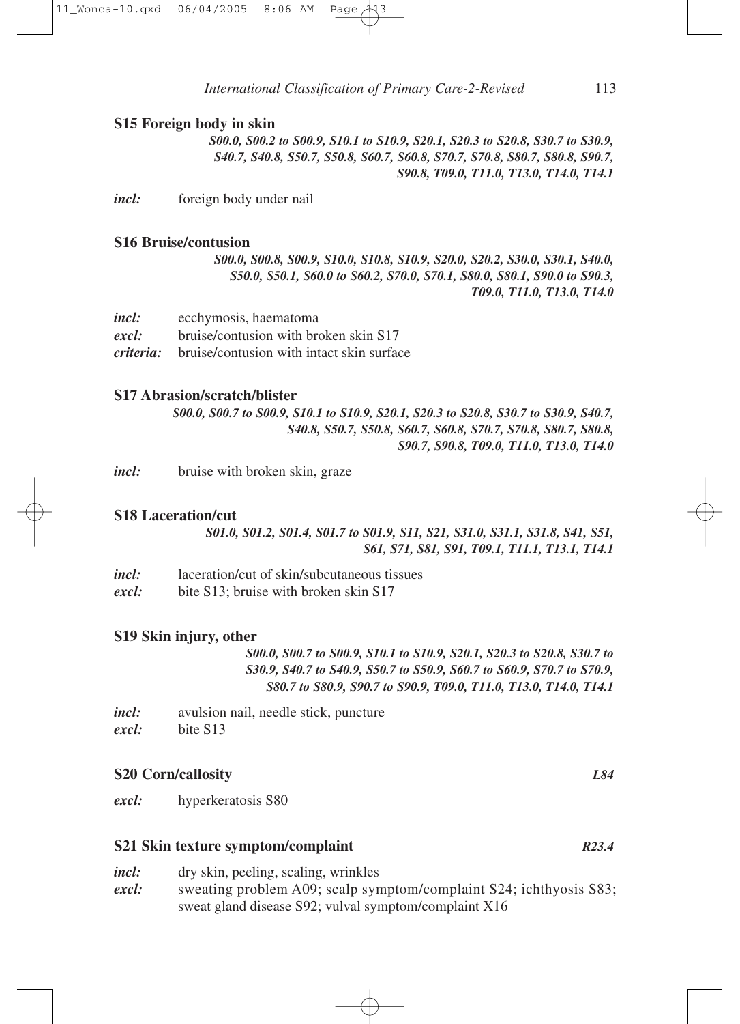#### **S15 Foreign body in skin**

*S00.0, S00.2 to S00.9, S10.1 to S10.9, S20.1, S20.3 to S20.8, S30.7 to S30.9, S40.7, S40.8, S50.7, S50.8, S60.7, S60.8, S70.7, S70.8, S80.7, S80.8, S90.7, S90.8, T09.0, T11.0, T13.0, T14.0, T14.1*

*incl:* foreign body under nail

#### **S16 Bruise/contusion**

*S00.0, S00.8, S00.9, S10.0, S10.8, S10.9, S20.0, S20.2, S30.0, S30.1, S40.0, S50.0, S50.1, S60.0 to S60.2, S70.0, S70.1, S80.0, S80.1, S90.0 to S90.3, T09.0, T11.0, T13.0, T14.0*

*incl:* ecchymosis, haematoma *excl:* bruise/contusion with broken skin S17 *criteria:* bruise/contusion with intact skin surface

#### **S17 Abrasion/scratch/blister**

*S00.0, S00.7 to S00.9, S10.1 to S10.9, S20.1, S20.3 to S20.8, S30.7 to S30.9, S40.7, S40.8, S50.7, S50.8, S60.7, S60.8, S70.7, S70.8, S80.7, S80.8, S90.7, S90.8, T09.0, T11.0, T13.0, T14.0*

*incl:* bruise with broken skin, graze

#### **S18 Laceration/cut**

*S01.0, S01.2, S01.4, S01.7 to S01.9, S11, S21, S31.0, S31.1, S31.8, S41, S51, S61, S71, S81, S91, T09.1, T11.1, T13.1, T14.1*

*incl:* laceration/cut of skin/subcutaneous tissues

*excl:* bite S13; bruise with broken skin S17

#### **S19 Skin injury, other**

*S00.0, S00.7 to S00.9, S10.1 to S10.9, S20.1, S20.3 to S20.8, S30.7 to S30.9, S40.7 to S40.9, S50.7 to S50.9, S60.7 to S60.9, S70.7 to S70.9, S80.7 to S80.9, S90.7 to S90.9, T09.0, T11.0, T13.0, T14.0, T14.1*

*incl:* avulsion nail, needle stick, puncture *excl:* bite S13

#### **S20 Corn/callosity** *L84*

*excl:* hyperkeratosis S80

#### **S21 Skin texture symptom/complaint** *R23.4*

*incl:* dry skin, peeling, scaling, wrinkles *excl:* sweating problem A09; scalp symptom/complaint S24; ichthyosis S83; sweat gland disease S92; vulval symptom/complaint X16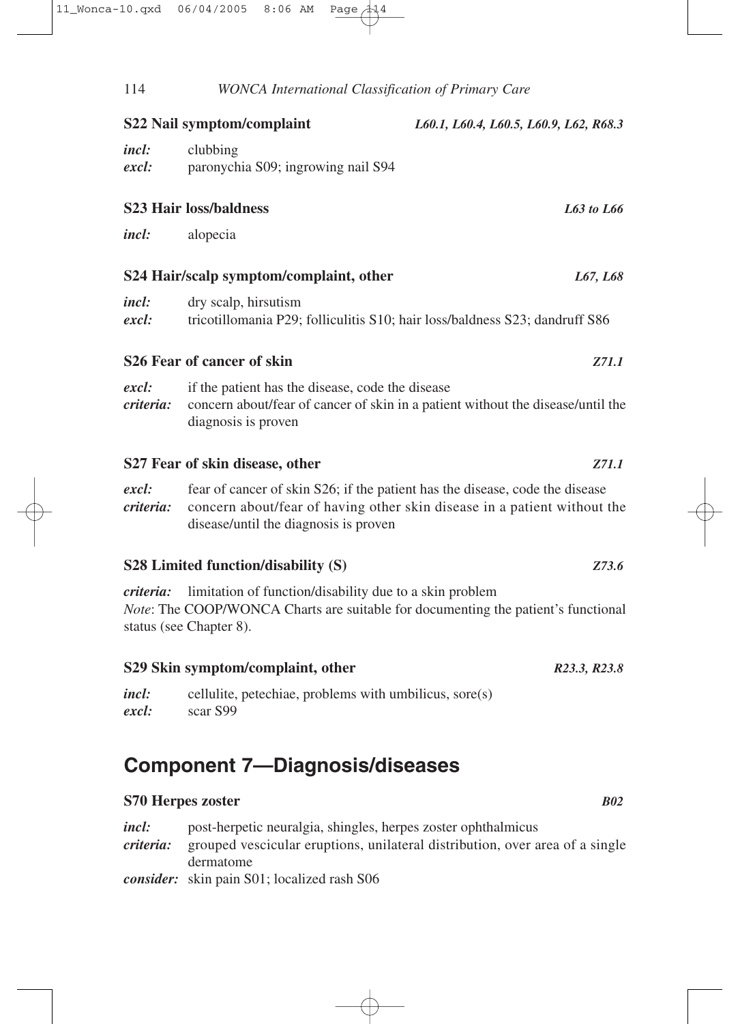| L60.1, L60.4, L60.5, L60.9, L62, R68.3 | S22 Nail symptom/complaint                                                                                                                                                                        |                    |
|----------------------------------------|---------------------------------------------------------------------------------------------------------------------------------------------------------------------------------------------------|--------------------|
|                                        | clubbing<br>paronychia S09; ingrowing nail S94                                                                                                                                                    | incl:<br>excl:     |
| $L63$ to $L66$                         | <b>S23 Hair loss/baldness</b>                                                                                                                                                                     |                    |
|                                        | alopecia                                                                                                                                                                                          | incl:              |
| L67, L68                               | S24 Hair/scalp symptom/complaint, other                                                                                                                                                           |                    |
|                                        | dry scalp, hirsutism<br>tricotillomania P29; folliculitis S10; hair loss/baldness S23; dandruff S86                                                                                               | incl:<br>excl:     |
| Z71.1                                  | S <sub>26</sub> Fear of cancer of skin                                                                                                                                                            |                    |
|                                        | if the patient has the disease, code the disease<br>concern about/fear of cancer of skin in a patient without the disease/until the<br>diagnosis is proven                                        | excl:<br>criteria: |
| Z71.1                                  | S27 Fear of skin disease, other                                                                                                                                                                   |                    |
|                                        | fear of cancer of skin S26; if the patient has the disease, code the disease<br>concern about/fear of having other skin disease in a patient without the<br>disease/until the diagnosis is proven | excl:<br>criteria: |
| Z73.6                                  | S28 Limited function/disability (S)                                                                                                                                                               |                    |
|                                        | limitation of function/disability due to a skin problem<br>Note: The COOP/WONCA Charts are suitable for documenting the patient's functional<br>status (see Chapter 8).                           | criteria:          |
| R23.3, R23.8                           | S29 Skin symptom/complaint, other                                                                                                                                                                 |                    |
|                                        | cellulite, petechiae, problems with umbilicus, sore(s)<br>scar S99                                                                                                                                | incl:<br>excl:     |

# **S70 Herpes zoster** *B02 incl:* post-herpetic neuralgia, shingles, herpes zoster ophthalmicus *criteria*: grouped vescicular eruptions, unilateral distribution, over a

*criteria:* grouped vescicular eruptions, unilateral distribution, over area of a single dermatome

*consider:* skin pain S01; localized rash S06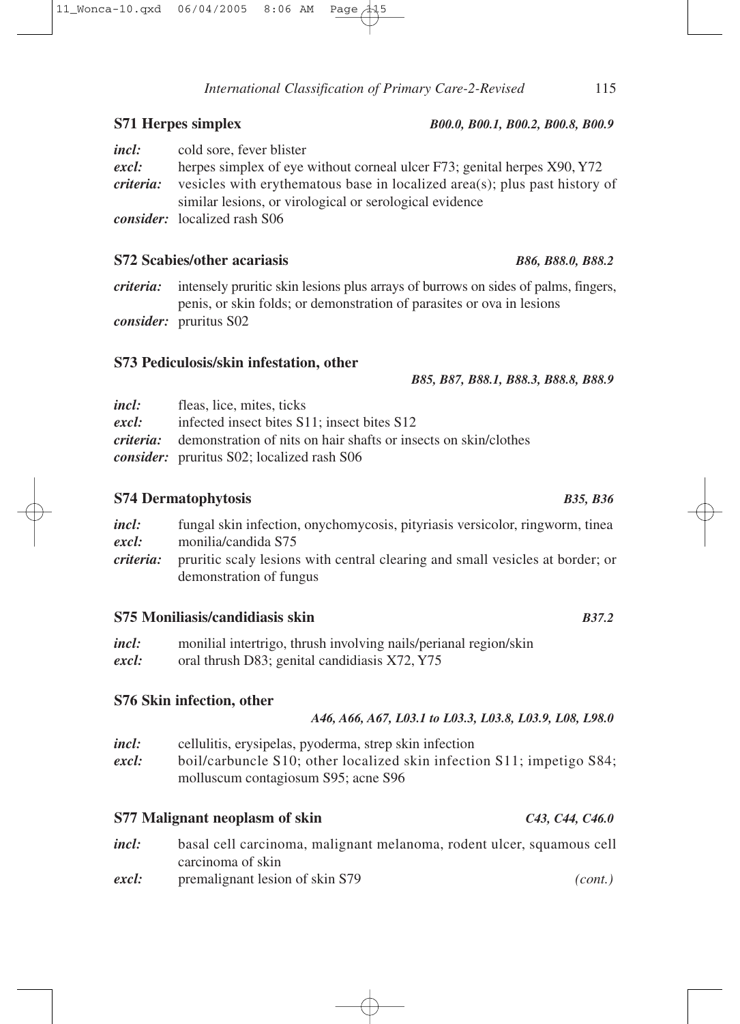**S71 Herpes simplex** *B00.0, B00.1, B00.2, B00.8, B00.9*

| incl:     | cold sore, fever blister                                                   |
|-----------|----------------------------------------------------------------------------|
| excl:     | herpes simplex of eye without corneal ulcer F73; genital herpes X90, Y72   |
| criteria: | vesicles with erythematous base in localized area(s); plus past history of |
|           | similar lesions, or virological or serological evidence                    |
|           | <i>consider:</i> localized rash S06                                        |
|           |                                                                            |

#### **S72 Scabies/other acariasis** *B86, B88.0, B88.2*

*criteria:* intensely pruritic skin lesions plus arrays of burrows on sides of palms, fingers, penis, or skin folds; or demonstration of parasites or ova in lesions *consider:* pruritus S02

#### **S73 Pediculosis/skin infestation, other**

*B85, B87, B88.1, B88.3, B88.8, B88.9*

| incl: | fleas, lice, mites, ticks                                                        |
|-------|----------------------------------------------------------------------------------|
| excl: | infected insect bites S11; insect bites S12                                      |
|       | <i>criteria:</i> demonstration of nits on hair shafts or insects on skin/clothes |
|       | <i>consider:</i> pruritus S02; localized rash S06                                |

### **S74 Dermatophytosis** *B35, B36*

| <i>incl:</i>      | fungal skin infection, onychomycosis, pityriasis versicolor, ringworm, tinea  |
|-------------------|-------------------------------------------------------------------------------|
| excl:             | monilia/candida S75                                                           |
| <i>criteria</i> : | pruritic scaly lesions with central clearing and small vesicles at border; or |
|                   | demonstration of fungus                                                       |

### **S75 Moniliasis/candidiasis skin** *B37.2*

| incl: | monilial intertrigo, thrush involving nails/perianal region/skin |
|-------|------------------------------------------------------------------|
| excl: | oral thrush D83; genital candidiasis X72, Y75                    |

#### **S76 Skin infection, other**

#### *A46, A66, A67, L03.1 to L03.3, L03.8, L03.9, L08, L98.0*

*incl:* cellulitis, erysipelas, pyoderma, strep skin infection *excl:* boil/carbuncle S10; other localized skin infection S11; impetigo S84; molluscum contagiosum S95; acne S96

#### **S77 Malignant neoplasm of skin** *C43, C44, C46.0*

- *incl:* basal cell carcinoma, malignant melanoma, rodent ulcer, squamous cell carcinoma of skin
- *excl:* premalignant lesion of skin S79 *(cont.)*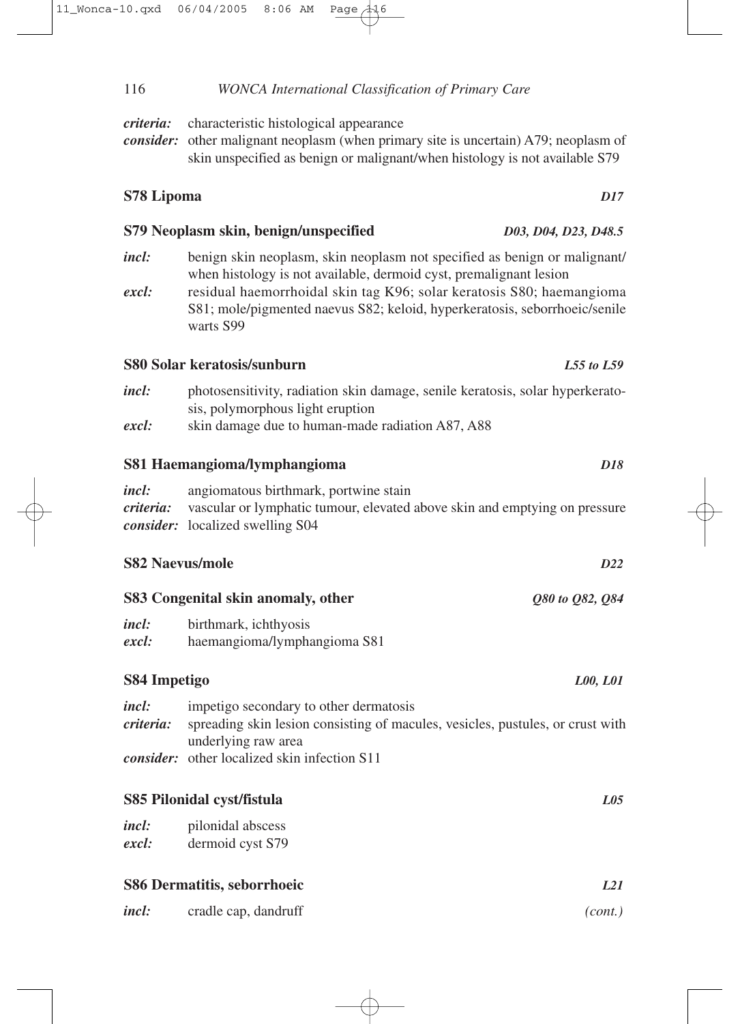*criteria:* characteristic histological appearance

*consider:* other malignant neoplasm (when primary site is uncertain) A79; neoplasm of skin unspecified as benign or malignant/when histology is not available S79

#### **S78 Lipoma** *D17*

### **S79 Neoplasm skin, benign/unspecified** *D03, D04, D23, D48.5*

- *incl:* benign skin neoplasm, skin neoplasm not specified as benign or malignant/ when histology is not available, dermoid cyst, premalignant lesion
- *excl:* residual haemorrhoidal skin tag K96; solar keratosis S80; haemangioma S81; mole/pigmented naevus S82; keloid, hyperkeratosis, seborrhoeic/senile warts S99

#### **S80 Solar keratosis/sunburn** *L55 to L59*

- *incl:* photosensitivity, radiation skin damage, senile keratosis, solar hyperkeratosis, polymorphous light eruption
- *excl:* skin damage due to human-made radiation A87, A88

#### **S81 Haemangioma/lymphangioma** *D18*

*incl:* angiomatous birthmark, portwine stain *criteria:* vascular or lymphatic tumour, elevated above skin and emptying on pressure *consider:* localized swelling S04

#### **S82 Naevus/mole** *D22*

#### **S83 Congenital skin anomaly, other** *Q80 to Q82, Q84*

*incl:* birthmark, ichthyosis *excl:* haemangioma/lymphangioma S81

#### **S84 Impetigo** *L00, L01*

## *incl:* impetigo secondary to other dermatosis *criteria:* spreading skin lesion consisting of macules, vesicles, pustules, or crust with underlying raw area *consider:* other localized skin infection S11

**S85 Pilonidal cyst/fistula** *L05 incl:* pilonidal abscess *excl:* dermoid cyst S79

### **S86 Dermatitis, seborrhoeic** *L21*

*incl:* cradle cap, dandruff *(cont.)*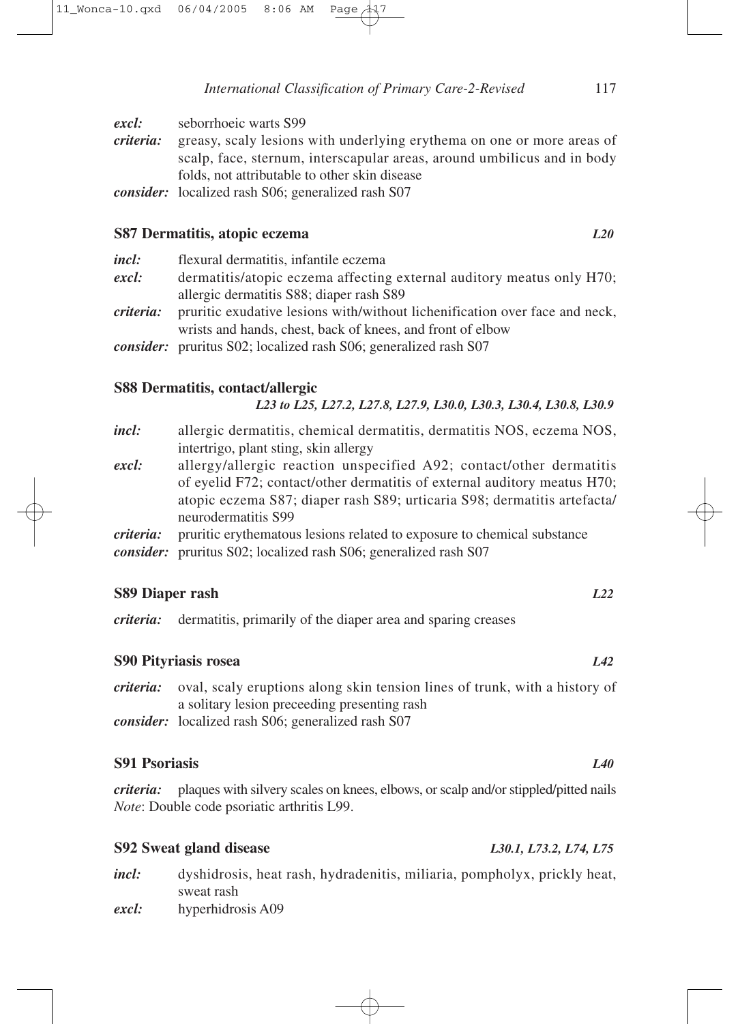- *excl:* seborrhoeic warts S99 *criteria:* greasy, scaly lesions with underlying erythema on one or more areas of scalp, face, sternum, interscapular areas, around umbilicus and in body folds, not attributable to other skin disease
- *consider:* localized rash S06; generalized rash S07

#### **S87 Dermatitis, atopic eczema** *L20*

| <i>incl:</i> | flexural dermatitis, infantile eczema                                       |
|--------------|-----------------------------------------------------------------------------|
| excl:        | dermatitis/atopic eczema affecting external auditory meatus only H70;       |
|              | allergic dermatitis S88; diaper rash S89                                    |
| criteria:    | pruritic exudative lesions with/without lichenification over face and neck, |
|              | wrists and hands, chest, back of knees, and front of elbow                  |
|              | <i>consider:</i> pruritus S02; localized rash S06; generalized rash S07     |

#### **S88 Dermatitis, contact/allergic**

#### *L23 to L25, L27.2, L27.8, L27.9, L30.0, L30.3, L30.4, L30.8, L30.9*

*incl:* allergic dermatitis, chemical dermatitis, dermatitis NOS, eczema NOS, intertrigo, plant sting, skin allergy *excl:* allergy/allergic reaction unspecified A92; contact/other dermatitis of eyelid F72; contact/other dermatitis of external auditory meatus H70; atopic eczema S87; diaper rash S89; urticaria S98; dermatitis artefacta/ neurodermatitis S99 *criteria:* pruritic erythematous lesions related to exposure to chemical substance *consider:* pruritus S02; localized rash S06; generalized rash S07

#### **S89 Diaper rash** *L22*

*criteria:* dermatitis, primarily of the diaper area and sparing creases

#### **S90 Pityriasis rosea** *L42*

*criteria:* oval, scaly eruptions along skin tension lines of trunk, with a history of a solitary lesion preceeding presenting rash *consider:* localized rash S06; generalized rash S07

#### **S91 Psoriasis** *L40*

*criteria:* plaques with silvery scales on knees, elbows, or scalp and/or stippled/pitted nails *Note*: Double code psoriatic arthritis L99.

#### **S92 Sweat gland disease** *L30.1, L73.2, L74, L75*

*incl:* dyshidrosis, heat rash, hydradenitis, miliaria, pompholyx, prickly heat, sweat rash *excl:* hyperhidrosis A09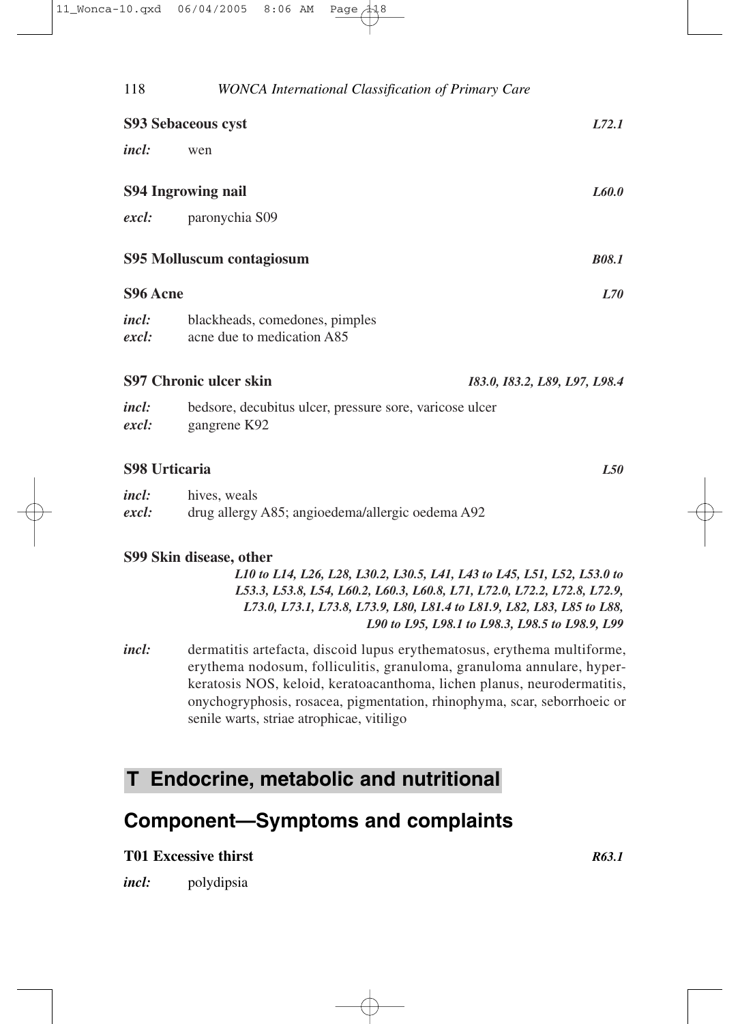| 118                   | <b>WONCA International Classification of Primary Care</b>               |                                                                                                                                                                                                                                                                                  |
|-----------------------|-------------------------------------------------------------------------|----------------------------------------------------------------------------------------------------------------------------------------------------------------------------------------------------------------------------------------------------------------------------------|
|                       | S93 Sebaceous cyst                                                      | L72.1                                                                                                                                                                                                                                                                            |
| <i>incl:</i>          | wen                                                                     |                                                                                                                                                                                                                                                                                  |
|                       | <b>S94 Ingrowing nail</b>                                               | L60.0                                                                                                                                                                                                                                                                            |
| excl:                 | paronychia S09                                                          |                                                                                                                                                                                                                                                                                  |
|                       | S95 Molluscum contagiosum                                               | <b>B08.1</b>                                                                                                                                                                                                                                                                     |
| S <sub>96</sub> Acne  |                                                                         | L70                                                                                                                                                                                                                                                                              |
| <i>incl:</i><br>excl: | blackheads, comedones, pimples<br>acne due to medication A85            |                                                                                                                                                                                                                                                                                  |
|                       | <b>S97 Chronic ulcer skin</b>                                           | 183.0, 183.2, L89, L97, L98.4                                                                                                                                                                                                                                                    |
| <i>incl:</i><br>excl: | bedsore, decubitus ulcer, pressure sore, varicose ulcer<br>gangrene K92 |                                                                                                                                                                                                                                                                                  |
| <b>S98 Urticaria</b>  |                                                                         | L50                                                                                                                                                                                                                                                                              |
| incl:<br>excl:        | hives, weals<br>drug allergy A85; angioedema/allergic oedema A92        |                                                                                                                                                                                                                                                                                  |
|                       | S99 Skin disease, other                                                 | L10 to L14, L26, L28, L30.2, L30.5, L41, L43 to L45, L51, L52, L53.0 to<br>L53.3, L53.8, L54, L60.2, L60.3, L60.8, L71, L72.0, L72.2, L72.8, L72.9,<br>L73.0, L73.1, L73.8, L73.9, L80, L81.4 to L81.9, L82, L83, L85 to L88,<br>L90 to L95, L98.1 to L98.3, L98.5 to L98.9, L99 |
| <i>incl:</i>          |                                                                         | dermatitis artefacta, discoid lupus erythematosus, erythema multiforme,                                                                                                                                                                                                          |

erythema nodosum, folliculitis, granuloma, granuloma annulare, hyperkeratosis NOS, keloid, keratoacanthoma, lichen planus, neurodermatitis, onychogryphosis, rosacea, pigmentation, rhinophyma, scar, seborrhoeic or senile warts, striae atrophicae, vitiligo

# **T Endocrine, metabolic and nutritional**

## **Component—Symptoms and complaints**

**T01 Excessive thirst** *R63.1*

*incl:* polydipsia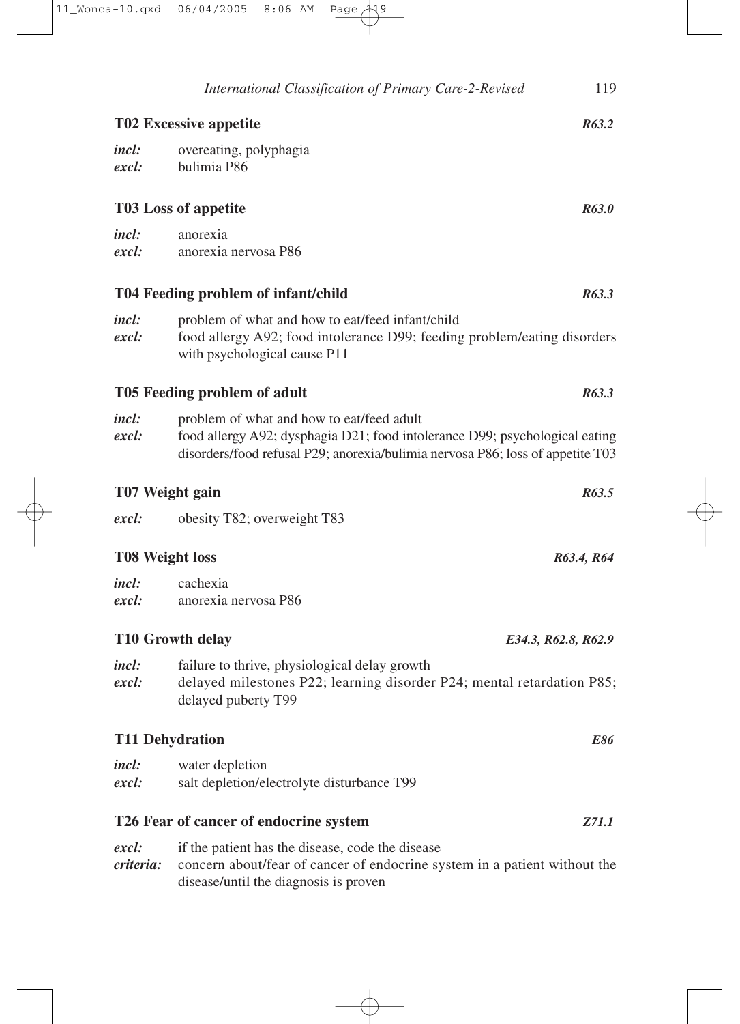|                        | International Classification of Primary Care-2-Revised                                                                                                                                                     | 119                 |  |
|------------------------|------------------------------------------------------------------------------------------------------------------------------------------------------------------------------------------------------------|---------------------|--|
|                        | <b>T02 Excessive appetite</b>                                                                                                                                                                              | R63.2               |  |
| <i>incl:</i><br>excl:  | overeating, polyphagia<br>bulimia P86                                                                                                                                                                      |                     |  |
|                        | <b>T03 Loss of appetite</b>                                                                                                                                                                                | R63.0               |  |
| <i>incl:</i><br>excl:  | anorexia<br>anorexia nervosa P86                                                                                                                                                                           |                     |  |
|                        | T04 Feeding problem of infant/child                                                                                                                                                                        | R63.3               |  |
| <i>incl:</i><br>excl:  | problem of what and how to eat/feed infant/child<br>food allergy A92; food intolerance D99; feeding problem/eating disorders<br>with psychological cause P11                                               |                     |  |
|                        | T05 Feeding problem of adult                                                                                                                                                                               | R63.3               |  |
| <i>incl:</i><br>excl:  | problem of what and how to eat/feed adult<br>food allergy A92; dysphagia D21; food intolerance D99; psychological eating<br>disorders/food refusal P29; anorexia/bulimia nervosa P86; loss of appetite T03 |                     |  |
| T07 Weight gain        |                                                                                                                                                                                                            | R63.5               |  |
| excl:                  | obesity T82; overweight T83                                                                                                                                                                                |                     |  |
| <b>T08 Weight loss</b> |                                                                                                                                                                                                            | R63.4, R64          |  |
| <i>incl:</i><br>excl:  | cachexia<br>anorexia nervosa P86                                                                                                                                                                           |                     |  |
|                        | T10 Growth delay                                                                                                                                                                                           | E34.3, R62.8, R62.9 |  |
| <i>incl:</i><br>excl:  | failure to thrive, physiological delay growth<br>delayed milestones P22; learning disorder P24; mental retardation P85;<br>delayed puberty T99                                                             |                     |  |
| <b>T11 Dehydration</b> |                                                                                                                                                                                                            | E86                 |  |
| <i>incl:</i><br>excl:  | water depletion<br>salt depletion/electrolyte disturbance T99                                                                                                                                              |                     |  |
|                        | T26 Fear of cancer of endocrine system                                                                                                                                                                     | Z71.1               |  |
| excl:<br>criteria:     | if the patient has the disease, code the disease<br>concern about/fear of cancer of endocrine system in a patient without the<br>disease/until the diagnosis is proven                                     |                     |  |

 $\overline{\oplus}$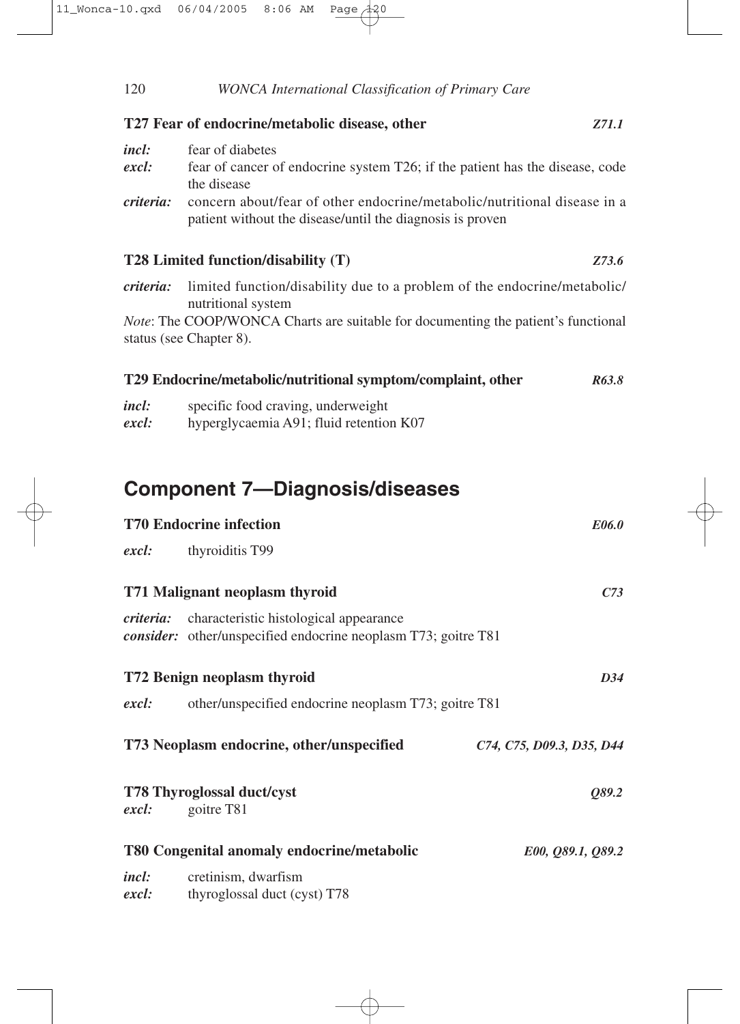|                  | T27 Fear of endocrine/metabolic disease, other                                                                                        | Z71.1 |
|------------------|---------------------------------------------------------------------------------------------------------------------------------------|-------|
| <i>incl:</i>     | fear of diabetes                                                                                                                      |       |
| excl:            | fear of cancer of endocrine system T26; if the patient has the disease, code<br>the disease                                           |       |
| criteria:        | concern about/fear of other endocrine/metabolic/nutritional disease in a<br>patient without the disease/until the diagnosis is proven |       |
|                  | T28 Limited function/disability (T)                                                                                                   | Z73.6 |
| <i>criteria:</i> | limited function/disability due to a problem of the endocrine/metabolic/<br>nutritional system                                        |       |

*Note*: The COOP/WONCA Charts are suitable for documenting the patient's functional status (see Chapter 8).

| T29 Endocrine/metabolic/nutritional symptom/complaint, other | R63.8 |
|--------------------------------------------------------------|-------|
|--------------------------------------------------------------|-------|

| <i>incl:</i> | specific food craving, underweight      |
|--------------|-----------------------------------------|
| excl:        | hyperglycaemia A91; fluid retention K07 |

| <b>T70 Endocrine infection</b><br>E06.0 |                                                                                                                 |                                  |
|-----------------------------------------|-----------------------------------------------------------------------------------------------------------------|----------------------------------|
|                                         | excl: thyroiditis T99                                                                                           |                                  |
|                                         |                                                                                                                 |                                  |
|                                         | T71 Malignant neoplasm thyroid                                                                                  | C <sub>73</sub>                  |
| criteria:                               | characteristic histological appearance<br><i>consider:</i> other/unspecified endocrine neoplasm T73; goitre T81 |                                  |
|                                         |                                                                                                                 |                                  |
|                                         | T72 Benign neoplasm thyroid                                                                                     | D <sub>34</sub>                  |
| excl:                                   | other/unspecified endocrine neoplasm T73; goitre T81                                                            |                                  |
|                                         | T73 Neoplasm endocrine, other/unspecified                                                                       | C74, C75, D09.3, D35, D44        |
|                                         | T78 Thyroglossal duct/cyst                                                                                      | 089.2                            |
| excl:                                   | goitre T81                                                                                                      |                                  |
|                                         | T80 Congenital anomaly endocrine/metabolic                                                                      | E00, <i>O89.1</i> , <i>O89.2</i> |
| <i>incl:</i><br>excl:                   | cretinism, dwarfism<br>thyroglossal duct (cyst) T78                                                             |                                  |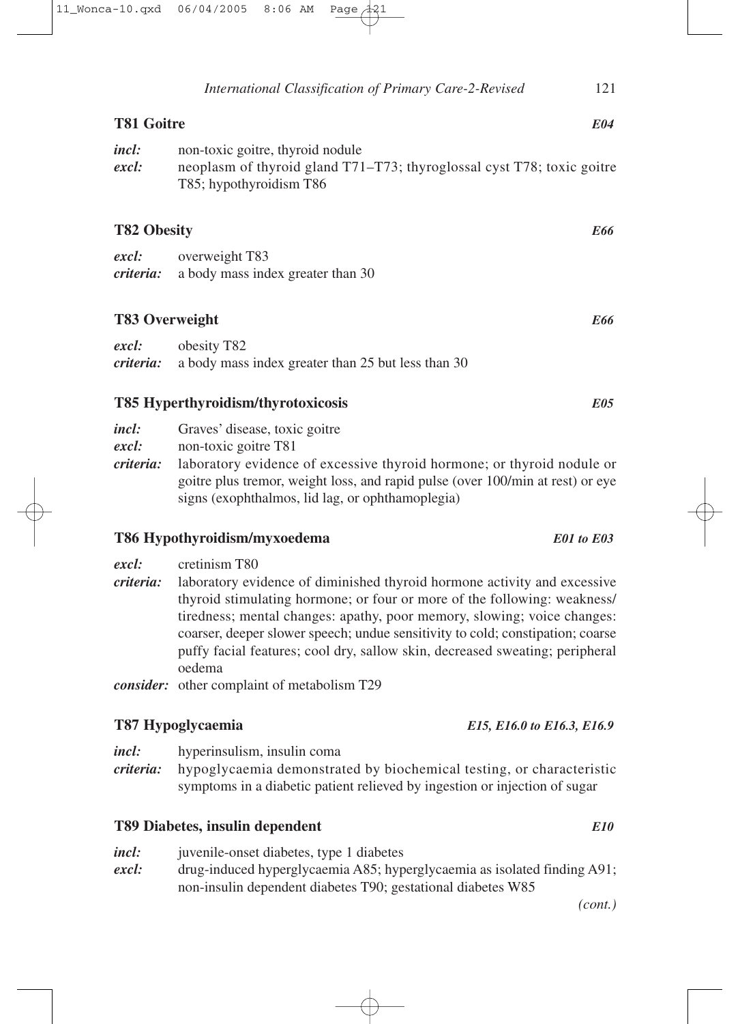|  |  | International Classification of Primary Care-2-Revised | 121 |
|--|--|--------------------------------------------------------|-----|
|  |  |                                                        |     |

| T81 Goitre            |                                                                                                                                       | E04 |
|-----------------------|---------------------------------------------------------------------------------------------------------------------------------------|-----|
| <i>incl:</i><br>excl: | non-toxic goitre, thyroid nodule<br>neoplasm of thyroid gland T71–T73; thyroglossal cyst T78; toxic goitre<br>T85; hypothyroidism T86 |     |

#### **T82 Obesity** *E66*

| excl: | overweight T83                                      |
|-------|-----------------------------------------------------|
|       | <i>criteria</i> : a body mass index greater than 30 |

### **T83 Overweight** *E66*

| excl: | obesity T82                                                         |
|-------|---------------------------------------------------------------------|
|       | <i>criteria:</i> a body mass index greater than 25 but less than 30 |

#### **T85 Hyperthyroidism/thyrotoxicosis** *E05*

- *incl:* Graves' disease, toxic goitre
- *excl:* non-toxic goitre T81
- *criteria:* laboratory evidence of excessive thyroid hormone; or thyroid nodule or goitre plus tremor, weight loss, and rapid pulse (over 100/min at rest) or eye signs (exophthalmos, lid lag, or ophthamoplegia)

#### **T86 Hypothyroidism/myxoedema** *E01 to E03*

*excl:* cretinism T80 *criteria:* laboratory evidence of diminished thyroid hormone activity and excessive thyroid stimulating hormone; or four or more of the following: weakness/ tiredness; mental changes: apathy, poor memory, slowing; voice changes: coarser, deeper slower speech; undue sensitivity to cold; constipation; coarse puffy facial features; cool dry, sallow skin, decreased sweating; peripheral oedema

*consider:* other complaint of metabolism T29

### **T87 Hypoglycaemia** *E15, E16.0 to E16.3, E16.9*

- *incl:* hyperinsulism, insulin coma
- *criteria:* hypoglycaemia demonstrated by biochemical testing, or characteristic symptoms in a diabetic patient relieved by ingestion or injection of sugar

### **T89 Diabetes, insulin dependent** *E10*

*incl:* juvenile-onset diabetes, type 1 diabetes *excl:* drug-induced hyperglycaemia A85; hyperglycaemia as isolated finding A91; non-insulin dependent diabetes T90; gestational diabetes W85

*(cont.)*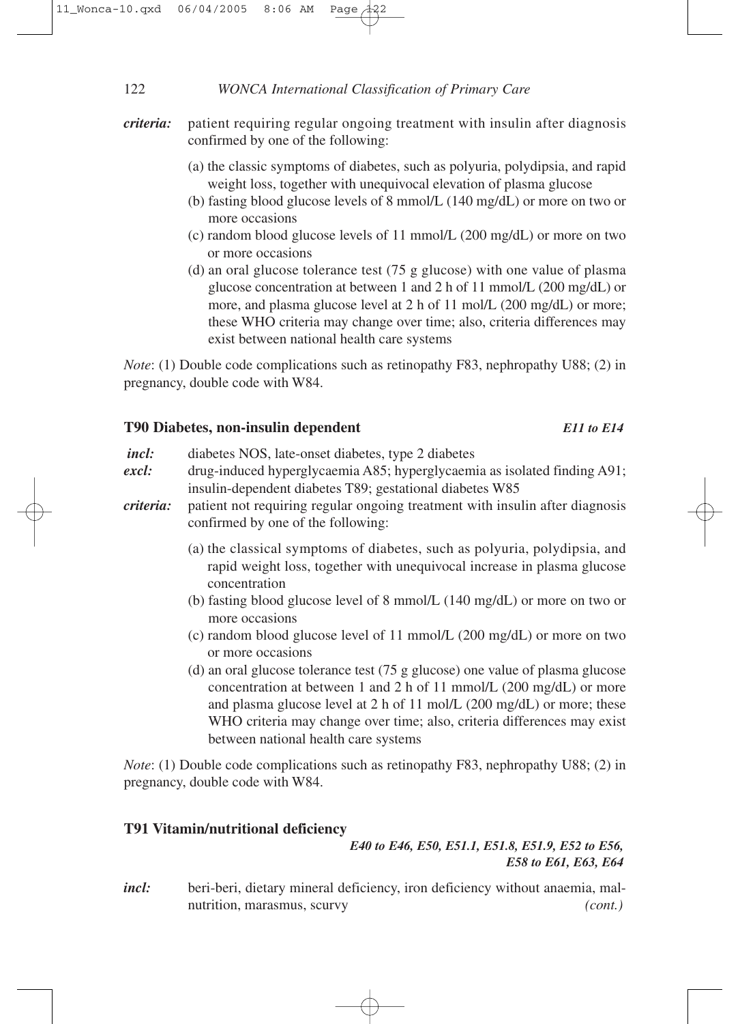- *criteria:* patient requiring regular ongoing treatment with insulin after diagnosis confirmed by one of the following:
	- (a) the classic symptoms of diabetes, such as polyuria, polydipsia, and rapid weight loss, together with unequivocal elevation of plasma glucose
	- (b) fasting blood glucose levels of 8 mmol/L (140 mg/dL) or more on two or more occasions
	- (c) random blood glucose levels of 11 mmol/L (200 mg/dL) or more on two or more occasions
	- (d) an oral glucose tolerance test (75 g glucose) with one value of plasma glucose concentration at between 1 and 2 h of 11 mmol/L (200 mg/dL) or more, and plasma glucose level at 2 h of 11 mol/L (200 mg/dL) or more; these WHO criteria may change over time; also, criteria differences may exist between national health care systems

*Note*: (1) Double code complications such as retinopathy F83, nephropathy U88; (2) in pregnancy, double code with W84.

#### **T90 Diabetes, non-insulin dependent** *E11 to E14*

*incl:* diabetes NOS, late-onset diabetes, type 2 diabetes

- *excl:* drug-induced hyperglycaemia A85; hyperglycaemia as isolated finding A91; insulin-dependent diabetes T89; gestational diabetes W85
- *criteria:* patient not requiring regular ongoing treatment with insulin after diagnosis confirmed by one of the following:
	- (a) the classical symptoms of diabetes, such as polyuria, polydipsia, and rapid weight loss, together with unequivocal increase in plasma glucose concentration
	- (b) fasting blood glucose level of 8 mmol/L (140 mg/dL) or more on two or more occasions
	- (c) random blood glucose level of 11 mmol/L (200 mg/dL) or more on two or more occasions
	- (d) an oral glucose tolerance test (75 g glucose) one value of plasma glucose concentration at between 1 and 2 h of 11 mmol/L (200 mg/dL) or more and plasma glucose level at 2 h of 11 mol/L (200 mg/dL) or more; these WHO criteria may change over time; also, criteria differences may exist between national health care systems

*Note*: (1) Double code complications such as retinopathy F83, nephropathy U88; (2) in pregnancy, double code with W84.

#### **T91 Vitamin/nutritional deficiency**

*E40 to E46, E50, E51.1, E51.8, E51.9, E52 to E56, E58 to E61, E63, E64*

*incl:* beri-beri, dietary mineral deficiency, iron deficiency without anaemia, malnutrition, marasmus, scurvy *(cont.)*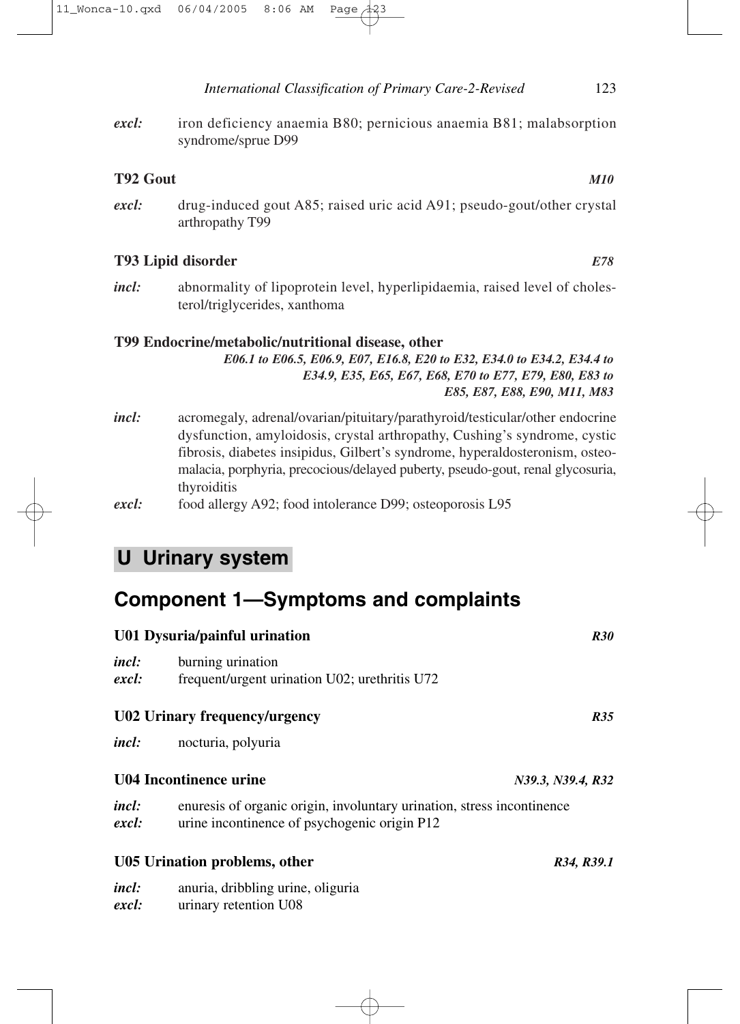*excl:* iron deficiency anaemia B80; pernicious anaemia B81; malabsorption syndrome/sprue D99

#### **T92 Gout** *M10*

*excl:* drug-induced gout A85; raised uric acid A91; pseudo-gout/other crystal arthropathy T99

#### **T93 Lipid disorder** *E78*

*incl:* abnormality of lipoprotein level, hyperlipidaemia, raised level of cholesterol/triglycerides, xanthoma

#### **T99 Endocrine/metabolic/nutritional disease, other**

*E06.1 to E06.5, E06.9, E07, E16.8, E20 to E32, E34.0 to E34.2, E34.4 to E34.9, E35, E65, E67, E68, E70 to E77, E79, E80, E83 to E85, E87, E88, E90, M11, M83*

*incl:* acromegaly, adrenal/ovarian/pituitary/parathyroid/testicular/other endocrine dysfunction, amyloidosis, crystal arthropathy, Cushing's syndrome, cystic fibrosis, diabetes insipidus, Gilbert's syndrome, hyperaldosteronism, osteomalacia, porphyria, precocious/delayed puberty, pseudo-gout, renal glycosuria, thyroiditis

*excl:* food allergy A92; food intolerance D99; osteoporosis L95

## **U Urinary system**

## **Component 1—Symptoms and complaints**

|                       | UVI DYSUH <i>a</i> /pannul urmation                                                                                    | NJV.              |
|-----------------------|------------------------------------------------------------------------------------------------------------------------|-------------------|
| <i>incl:</i><br>excl: | burning urination<br>frequent/urgent urination U02; urethritis U72                                                     |                   |
|                       | U02 Urinary frequency/urgency                                                                                          | R35               |
| <i>incl:</i>          | nocturia, polyuria                                                                                                     |                   |
|                       | <b>U04</b> Incontinence urine                                                                                          | N39.3, N39.4, R32 |
| <i>incl:</i><br>excl: | enuresis of organic origin, involuntary urination, stress incontinence<br>urine incontinence of psychogenic origin P12 |                   |
|                       | U05 Urination problems, other                                                                                          | R34, R39.1        |
| <i>incl:</i><br>excl: | anuria, dribbling urine, oliguria<br>urinary retention U08                                                             |                   |

**U01 Dysuria/painful urination** *R30*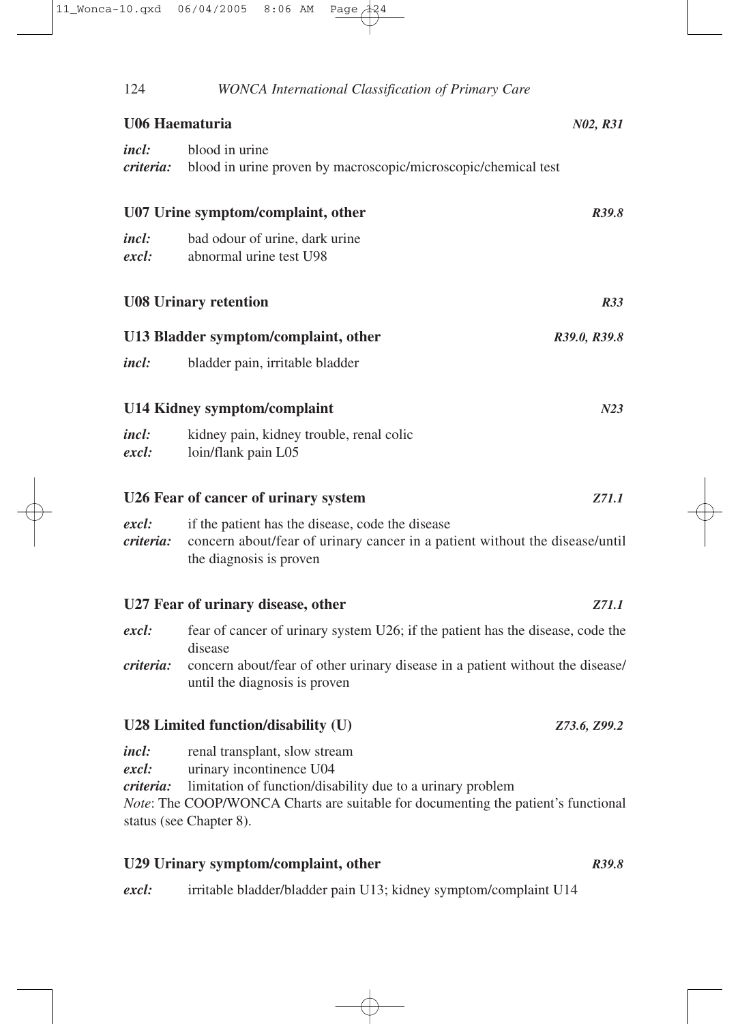| 124                                | <b>WONCA International Classification of Primary Care</b>                                                                                                                                                                               |              |
|------------------------------------|-----------------------------------------------------------------------------------------------------------------------------------------------------------------------------------------------------------------------------------------|--------------|
| <b>U06 Haematuria</b>              |                                                                                                                                                                                                                                         | N02, R31     |
| incl:<br><i>criteria:</i>          | blood in urine<br>blood in urine proven by macroscopic/microscopic/chemical test                                                                                                                                                        |              |
|                                    | U07 Urine symptom/complaint, other                                                                                                                                                                                                      | R39.8        |
| <i>incl:</i><br>excl:              | bad odour of urine, dark urine<br>abnormal urine test U98                                                                                                                                                                               |              |
|                                    | <b>U08 Urinary retention</b>                                                                                                                                                                                                            | R33          |
|                                    | U13 Bladder symptom/complaint, other                                                                                                                                                                                                    | R39.0, R39.8 |
| <i>incl:</i>                       | bladder pain, irritable bladder                                                                                                                                                                                                         |              |
|                                    | U14 Kidney symptom/complaint                                                                                                                                                                                                            | N23          |
| <i>incl:</i><br>excl:              | kidney pain, kidney trouble, renal colic<br>loin/flank pain L05                                                                                                                                                                         |              |
|                                    | U26 Fear of cancer of urinary system                                                                                                                                                                                                    | Z71.1        |
| excl:<br>criteria:                 | if the patient has the disease, code the disease<br>concern about/fear of urinary cancer in a patient without the disease/until<br>the diagnosis is proven                                                                              |              |
|                                    | U27 Fear of urinary disease, other                                                                                                                                                                                                      | Z71.1        |
| excl:                              | fear of cancer of urinary system U26; if the patient has the disease, code the                                                                                                                                                          |              |
| criteria:                          | disease<br>concern about/fear of other urinary disease in a patient without the disease/<br>until the diagnosis is proven                                                                                                               |              |
|                                    | U28 Limited function/disability (U)                                                                                                                                                                                                     | Z73.6, Z99.2 |
| <i>incl:</i><br>excl:<br>criteria: | renal transplant, slow stream<br>urinary incontinence U04<br>limitation of function/disability due to a urinary problem<br>Note: The COOP/WONCA Charts are suitable for documenting the patient's functional<br>status (see Chapter 8). |              |
|                                    | U29 Urinary symptom/complaint, other                                                                                                                                                                                                    | R39.8        |
| excl:                              | irritable bladder/bladder pain U13; kidney symptom/complaint U14                                                                                                                                                                        |              |

 $\overline{\bigoplus}$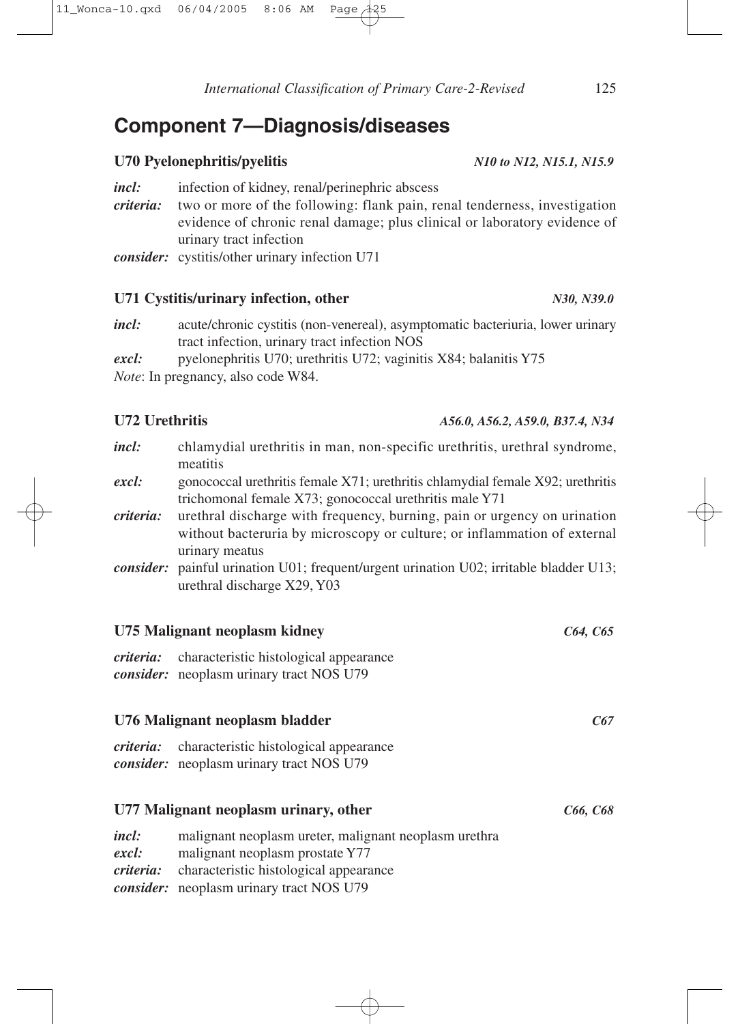## **Component 7—Diagnosis/diseases**

### **U70 Pyelonephritis/pyelitis** *N10 to N12, N15.1, N15.9*

- *incl:* infection of kidney, renal/perinephric abscess
- *criteria:* two or more of the following: flank pain, renal tenderness, investigation evidence of chronic renal damage; plus clinical or laboratory evidence of urinary tract infection
- *consider:* cystitis/other urinary infection U71

#### **U71 Cystitis/urinary infection, other** *N30, N39.0*

- *incl:* acute/chronic cystitis (non-venereal), asymptomatic bacteriuria, lower urinary tract infection, urinary tract infection NOS
- *excl:* pyelonephritis U70; urethritis U72; vaginitis X84; balanitis Y75

*Note*: In pregnancy, also code W84.

### **U72 Urethritis** *A56.0, A56.2, A59.0, B37.4, N34*

- *incl:* chlamydial urethritis in man, non-specific urethritis, urethral syndrome, meatitis
- *excl:* gonococcal urethritis female X71; urethritis chlamydial female X92; urethritis trichomonal female X73; gonococcal urethritis male Y71
- *criteria:* urethral discharge with frequency, burning, pain or urgency on urination without bacteruria by microscopy or culture; or inflammation of external urinary meatus
- *consider:* painful urination U01; frequent/urgent urination U02; irritable bladder U13; urethral discharge X29, Y03

|                                           | U75 Malignant neoplasm kidney                                                                                                                                                         | C64. C65                          |
|-------------------------------------------|---------------------------------------------------------------------------------------------------------------------------------------------------------------------------------------|-----------------------------------|
| <i>criteria:</i>                          | characteristic histological appearance<br>consider: neoplasm urinary tract NOS U79                                                                                                    |                                   |
|                                           | U76 Malignant neoplasm bladder                                                                                                                                                        | C67                               |
| <i>criteria:</i>                          | characteristic histological appearance<br><i>consider:</i> neoplasm urinary tract NOS U79                                                                                             |                                   |
|                                           | U77 Malignant neoplasm urinary, other                                                                                                                                                 | C <sub>66</sub> , C <sub>68</sub> |
| <i>incl:</i><br>excl:<br><i>criteria:</i> | malignant neoplasm ureter, malignant neoplasm urethra<br>malignant neoplasm prostate Y77<br>characteristic histological appearance<br><i>consider:</i> neoplasm urinary tract NOS U79 |                                   |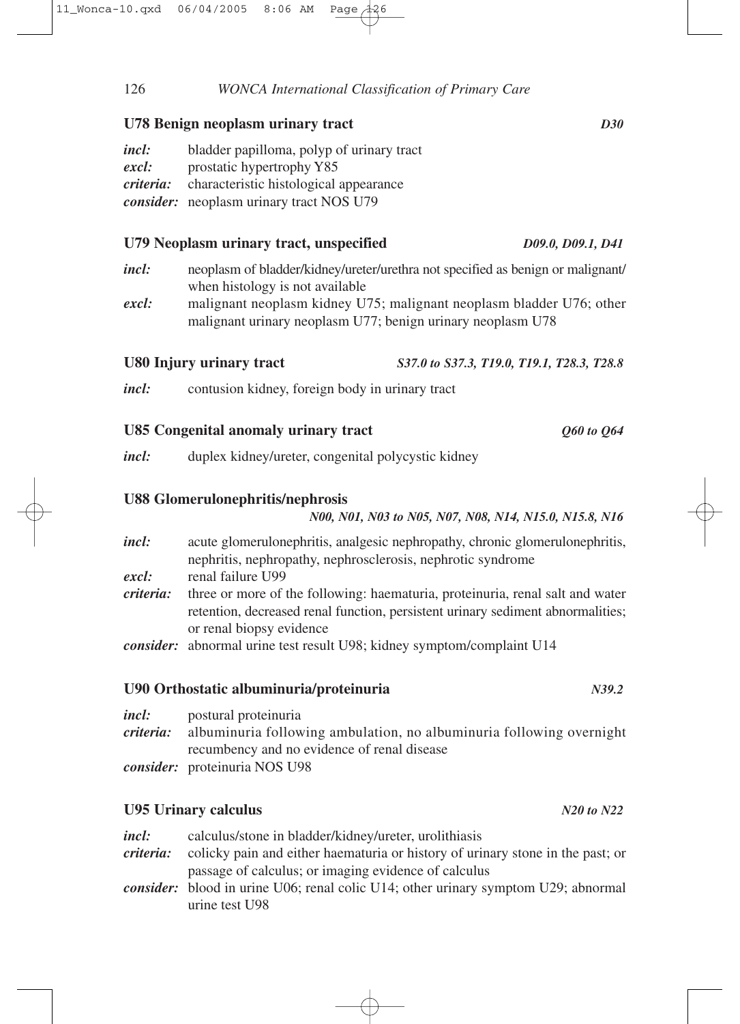#### **U78 Benign neoplasm urinary tract** *D30*

| incl:     | bladder papilloma, polyp of urinary tract       |
|-----------|-------------------------------------------------|
| excl:     | prostatic hypertrophy Y85                       |
| criteria: | characteristic histological appearance          |
|           | <i>consider:</i> neoplasm urinary tract NOS U79 |

#### **U79 Neoplasm urinary tract, unspecified** *D09.0, D09.1, D41*

- *incl:* neoplasm of bladder/kidney/ureter/urethra not specified as benign or malignant/ when histology is not available
- *excl:* malignant neoplasm kidney U75; malignant neoplasm bladder U76; other malignant urinary neoplasm U77; benign urinary neoplasm U78

#### **U80 Injury urinary tract** *S37.0 to S37.3, T19.0, T19.1, T28.3, T28.8*

*incl:* contusion kidney, foreign body in urinary tract

#### **U85 Congenital anomaly urinary tract** *Q60 to Q64*

*incl:* duplex kidney/ureter, congenital polycystic kidney

#### **U88 Glomerulonephritis/nephrosis**

#### *N00, N01, N03 to N05, N07, N08, N14, N15.0, N15.8, N16*

| <i>incl:</i>     | acute glomerulonephritis, analgesic nephropathy, chronic glomerulonephritis,                                                                                                                                                                                                                     |
|------------------|--------------------------------------------------------------------------------------------------------------------------------------------------------------------------------------------------------------------------------------------------------------------------------------------------|
|                  | nephritis, nephropathy, nephrosclerosis, nephrotic syndrome                                                                                                                                                                                                                                      |
| excl:            | renal failure U99                                                                                                                                                                                                                                                                                |
| <i>criteria:</i> | three or more of the following: haematuria, proteinuria, renal salt and water                                                                                                                                                                                                                    |
|                  | retention, decreased renal function, persistent urinary sediment abnormalities;                                                                                                                                                                                                                  |
|                  | or renal biopsy evidence                                                                                                                                                                                                                                                                         |
|                  | $\mathbf{1}$ and $\mathbf{1}$ and $\mathbf{1}$ and $\mathbf{1}$ and $\mathbf{1}$ and $\mathbf{1}$ and $\mathbf{1}$ and $\mathbf{1}$ and $\mathbf{1}$ and $\mathbf{1}$ and $\mathbf{1}$ and $\mathbf{1}$ and $\mathbf{1}$ and $\mathbf{1}$ and $\mathbf{1}$ and $\mathbf{1}$ and $\mathbf{1}$ and |

*consider:* abnormal urine test result U98; kidney symptom/complaint U14

#### **U90 Orthostatic albuminuria/proteinuria** *N39.2*

*incl:* postural proteinuria *criteria:* albuminuria following ambulation, no albuminuria following overnight recumbency and no evidence of renal disease *consider:* proteinuria NOS U98

#### **U95 Urinary calculus** *N20 to N22*

| incl:     | calculus/stone in bladder/kidney/ureter, urolithiasis                                     |
|-----------|-------------------------------------------------------------------------------------------|
| criteria: | colicky pain and either haematuria or history of urinary stone in the past; or            |
|           | passage of calculus; or imaging evidence of calculus                                      |
|           | <i>consider:</i> blood in urine U06; renal colic U14; other urinary symptom U29; abnormal |
|           | urine test U98                                                                            |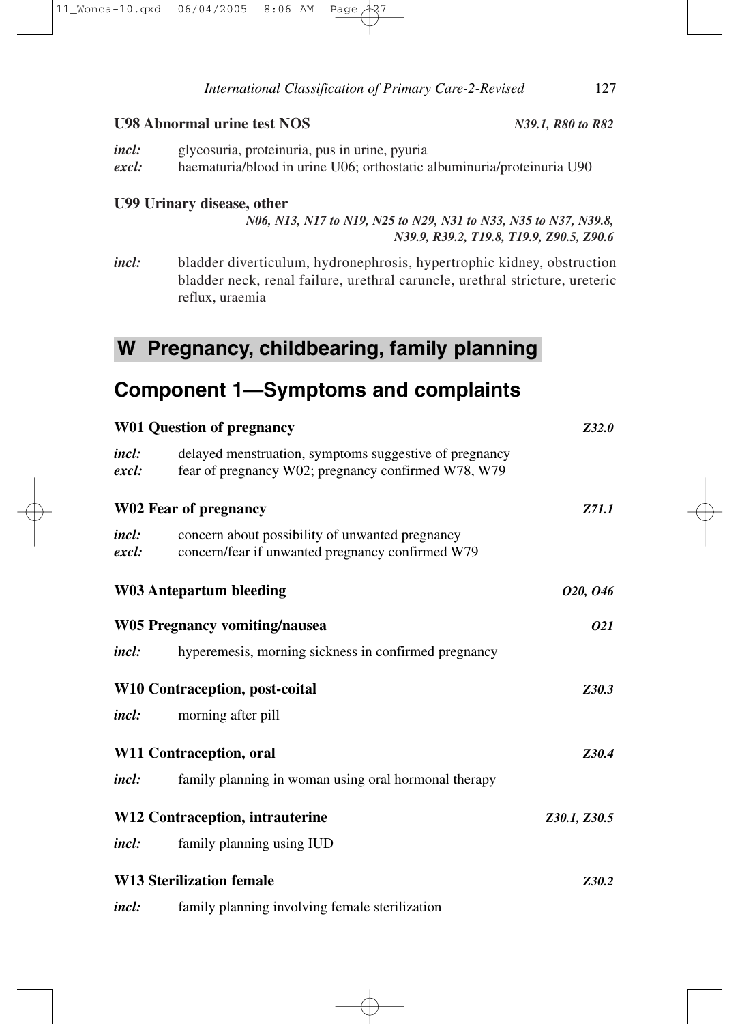### **U98 Abnormal urine test NOS** *N39.1, R80 to R82*

*incl:* glycosuria, proteinuria, pus in urine, pyuria

*excl:* haematuria/blood in urine U06; orthostatic albuminuria/proteinuria U90

#### **U99 Urinary disease, other**

*N06, N13, N17 to N19, N25 to N29, N31 to N33, N35 to N37, N39.8, N39.9, R39.2, T19.8, T19.9, Z90.5, Z90.6*

*incl:* bladder diverticulum, hydronephrosis, hypertrophic kidney, obstruction bladder neck, renal failure, urethral caruncle, urethral stricture, ureteric reflux, uraemia

## **W Pregnancy, childbearing, family planning**

## **Component 1—Symptoms and complaints**

|                       | <b>W01 Question of pregnancy</b>                                                                              | Z32.0        |
|-----------------------|---------------------------------------------------------------------------------------------------------------|--------------|
| <i>incl:</i><br>excl: | delayed menstruation, symptoms suggestive of pregnancy<br>fear of pregnancy W02; pregnancy confirmed W78, W79 |              |
|                       | <b>W02 Fear of pregnancy</b>                                                                                  | Z71.1        |
| incl:<br>excl:        | concern about possibility of unwanted pregnancy<br>concern/fear if unwanted pregnancy confirmed W79           |              |
|                       | <b>W03 Antepartum bleeding</b>                                                                                | 020, 046     |
|                       | <b>W05 Pregnancy vomiting/nausea</b>                                                                          | 021          |
| incl:                 | hyperemesis, morning sickness in confirmed pregnancy                                                          |              |
|                       | W10 Contraception, post-coital                                                                                | Z30.3        |
| incl:                 | morning after pill                                                                                            |              |
|                       | W11 Contraception, oral                                                                                       | Z30.4        |
| incl:                 | family planning in woman using oral hormonal therapy                                                          |              |
|                       | W12 Contraception, intrauterine                                                                               | Z30.1, Z30.5 |
| <i>incl:</i>          | family planning using IUD                                                                                     |              |
|                       | <b>W13 Sterilization female</b>                                                                               | Z30.2        |
| incl:                 | family planning involving female sterilization                                                                |              |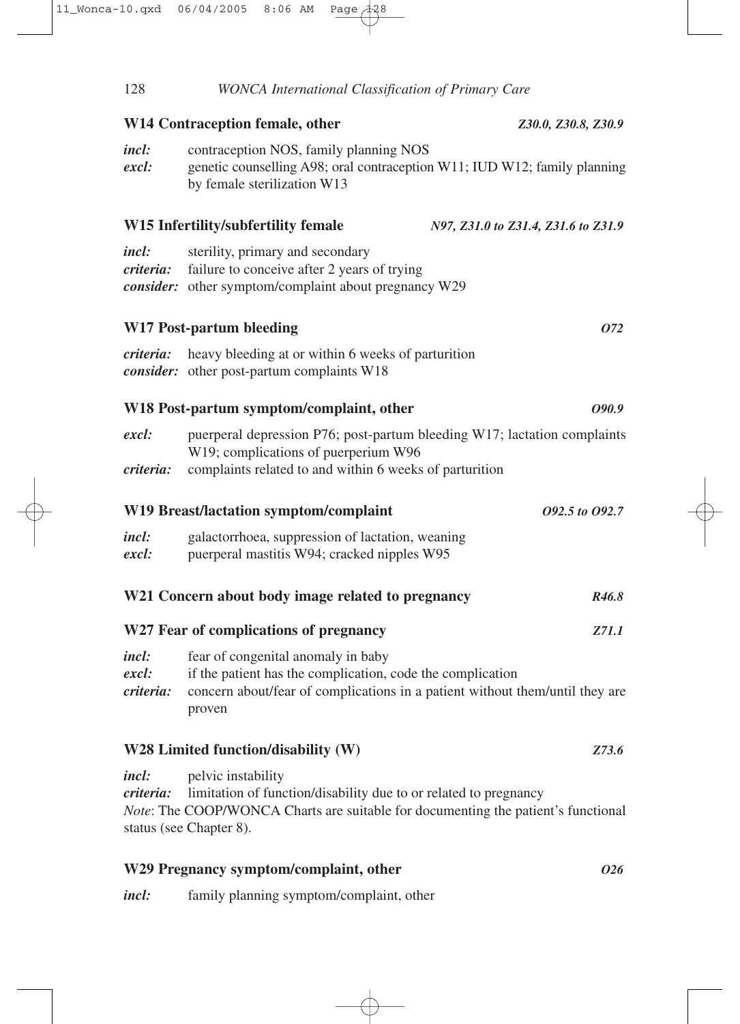| 128                                | WONCA International Classification of Primary Care                                                                                                                                                     |                                     |
|------------------------------------|--------------------------------------------------------------------------------------------------------------------------------------------------------------------------------------------------------|-------------------------------------|
|                                    | W14 Contraception female, other                                                                                                                                                                        | Z30.0, Z30.8, Z30.9                 |
| <i>incl:</i><br>excl:              | contraception NOS, family planning NOS<br>genetic counselling A98; oral contraception W11; IUD W12; family planning<br>by female sterilization W13                                                     |                                     |
|                                    | W15 Infertility/subfertility female                                                                                                                                                                    | N97, Z31.0 to Z31.4, Z31.6 to Z31.9 |
| <i>incl:</i><br>criteria:          | sterility, primary and secondary<br>failure to conceive after 2 years of trying<br>consider: other symptom/complaint about pregnancy W29                                                               |                                     |
|                                    | <b>W17 Post-partum bleeding</b>                                                                                                                                                                        | 072                                 |
| criteria:                          | heavy bleeding at or within 6 weeks of parturition<br>consider: other post-partum complaints W18                                                                                                       |                                     |
|                                    | W18 Post-partum symptom/complaint, other                                                                                                                                                               | 090.9                               |
| excl:<br><i>criteria:</i>          | puerperal depression P76; post-partum bleeding W17; lactation complaints<br>W19; complications of puerperium W96<br>complaints related to and within 6 weeks of parturition                            |                                     |
|                                    | W19 Breast/lactation symptom/complaint                                                                                                                                                                 | 092.5 to 092.7                      |
| <i>incl:</i><br>excl:              | galactorrhoea, suppression of lactation, weaning<br>puerperal mastitis W94; cracked nipples W95                                                                                                        |                                     |
|                                    | W21 Concern about body image related to pregnancy                                                                                                                                                      | R46.8                               |
|                                    | W27 Fear of complications of pregnancy                                                                                                                                                                 | Z71.1                               |
| <i>incl:</i><br>excl:<br>criteria: | fear of congenital anomaly in baby<br>if the patient has the complication, code the complication<br>concern about/fear of complications in a patient without them/until they are<br>proven             |                                     |
|                                    | W28 Limited function/disability (W)                                                                                                                                                                    | Z73.6                               |
| <i>incl:</i><br>criteria:          | pelvic instability<br>limitation of function/disability due to or related to pregnancy<br>Note: The COOP/WONCA Charts are suitable for documenting the patient's functional<br>status (see Chapter 8). |                                     |
|                                    | W29 Pregnancy symptom/complaint, other                                                                                                                                                                 | 026                                 |

*incl:* family planning symptom/complaint, other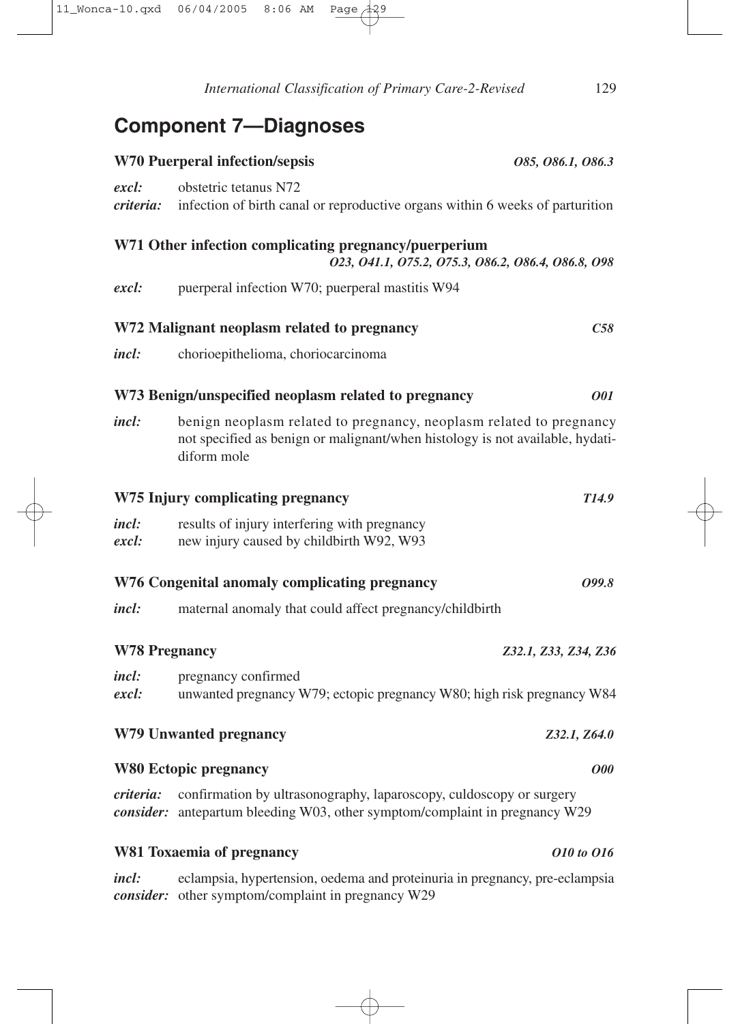|                       | International Classification of Primary Care-2-Revised                                                                                                              | 129                  |
|-----------------------|---------------------------------------------------------------------------------------------------------------------------------------------------------------------|----------------------|
|                       | <b>Component 7-Diagnoses</b>                                                                                                                                        |                      |
|                       | <b>W70 Puerperal infection/sepsis</b>                                                                                                                               | 085, 086.1, 086.3    |
| excl:<br>criteria:    | obstetric tetanus N72<br>infection of birth canal or reproductive organs within 6 weeks of parturition                                                              |                      |
|                       | W71 Other infection complicating pregnancy/puerperium<br>023, 041.1, 075.2, 075.3, 086.2, 086.4, 086.8, 098                                                         |                      |
| excl:                 | puerperal infection W70; puerperal mastitis W94                                                                                                                     |                      |
|                       | W72 Malignant neoplasm related to pregnancy                                                                                                                         | C58                  |
| <i>incl:</i>          | chorioepithelioma, choriocarcinoma                                                                                                                                  |                      |
|                       | W73 Benign/unspecified neoplasm related to pregnancy                                                                                                                | 001                  |
| <i>incl:</i>          | benign neoplasm related to pregnancy, neoplasm related to pregnancy<br>not specified as benign or malignant/when histology is not available, hydati-<br>diform mole |                      |
|                       | W75 Injury complicating pregnancy                                                                                                                                   | T14.9                |
| incl:<br>excl:        | results of injury interfering with pregnancy<br>new injury caused by childbirth W92, W93                                                                            |                      |
|                       | W76 Congenital anomaly complicating pregnancy                                                                                                                       | 099.8                |
| <i>incl:</i>          | maternal anomaly that could affect pregnancy/childbirth                                                                                                             |                      |
| <b>W78 Pregnancy</b>  |                                                                                                                                                                     | Z32.1, Z33, Z34, Z36 |
| <i>incl:</i><br>excl: | pregnancy confirmed<br>unwanted pregnancy W79; ectopic pregnancy W80; high risk pregnancy W84                                                                       |                      |
|                       | <b>W79 Unwanted pregnancy</b>                                                                                                                                       | Z32.1, Z64.0         |
|                       | <b>W80 Ectopic pregnancy</b>                                                                                                                                        | 000                  |
| criteria:             | confirmation by ultrasonography, laparoscopy, culdoscopy or surgery<br>consider: antepartum bleeding W03, other symptom/complaint in pregnancy W29                  |                      |
|                       | <b>W81 Toxaemia of pregnancy</b>                                                                                                                                    | 010 to 016           |
| incl:                 | eclampsia, hypertension, oedema and proteinuria in pregnancy, pre-eclampsia<br>consider: other symptom/complaint in pregnancy W29                                   |                      |

 $\bigoplus$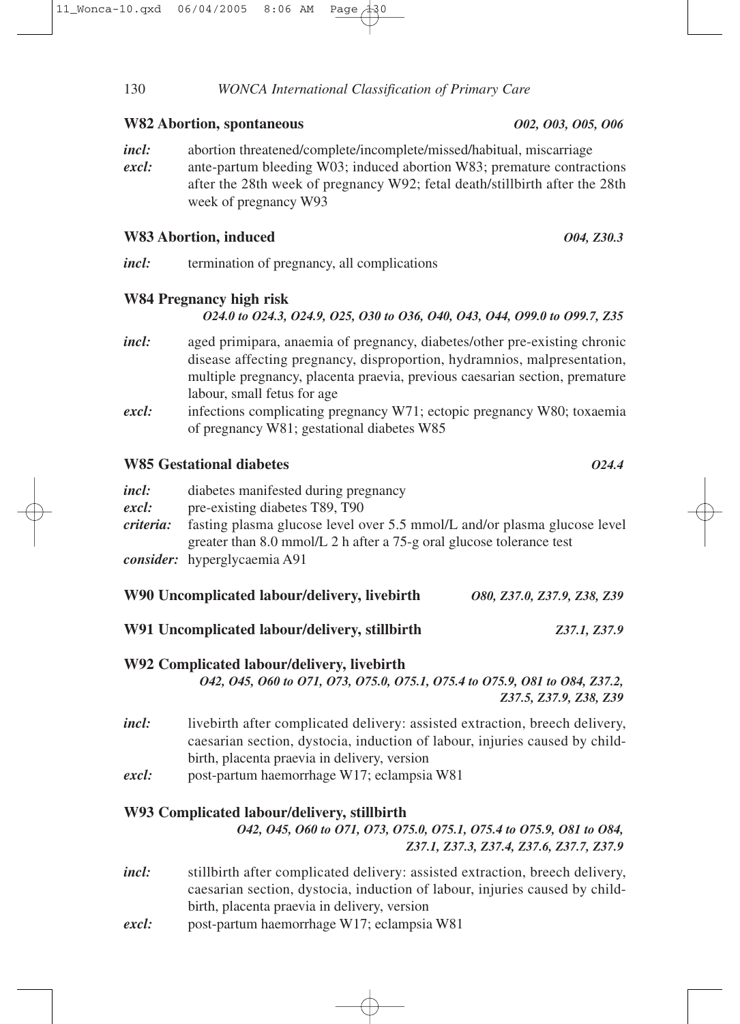#### **W82 Abortion, spontaneous** *O02, O03, O05, O06*

*incl:* abortion threatened/complete/incomplete/missed/habitual, miscarriage *excl:* ante-partum bleeding W03; induced abortion W83; premature contractions after the 28th week of pregnancy W92; fetal death/stillbirth after the 28th week of pregnancy W93

#### **W83 Abortion, induced** *O04, Z30.3*

*incl:* termination of pregnancy, all complications

#### **W84 Pregnancy high risk**

#### *O24.0 to O24.3, O24.9, O25, O30 to O36, O40, O43, O44, O99.0 to O99.7, Z35*

- *incl:* aged primipara, anaemia of pregnancy, diabetes/other pre-existing chronic disease affecting pregnancy, disproportion, hydramnios, malpresentation, multiple pregnancy, placenta praevia, previous caesarian section, premature labour, small fetus for age
- *excl:* infections complicating pregnancy W71; ectopic pregnancy W80; toxaemia of pregnancy W81; gestational diabetes W85

#### **W85 Gestational diabetes** *O24.4*

- *incl:* diabetes manifested during pregnancy
- *excl:* pre-existing diabetes T89, T90

*criteria:* fasting plasma glucose level over 5.5 mmol/L and/or plasma glucose level greater than 8.0 mmol/L 2 h after a 75-g oral glucose tolerance test *consider:* hyperglycaemia A91

- 
- **W90 Uncomplicated labour/delivery, livebirth** *O80, Z37.0, Z37.9, Z38, Z39*
- **W91 Uncomplicated labour/delivery, stillbirth** *Z37.1, Z37.9*

#### **W92 Complicated labour/delivery, livebirth**

*O42, O45, O60 to O71, O73, O75.0, O75.1, O75.4 to O75.9, O81 to O84, Z37.2, Z37.5, Z37.9, Z38, Z39*

- *incl:* livebirth after complicated delivery: assisted extraction, breech delivery, caesarian section, dystocia, induction of labour, injuries caused by childbirth, placenta praevia in delivery, version
- *excl:* post-partum haemorrhage W17; eclampsia W81

#### **W93 Complicated labour/delivery, stillbirth**

*O42, O45, O60 to O71, O73, O75.0, O75.1, O75.4 to O75.9, O81 to O84, Z37.1, Z37.3, Z37.4, Z37.6, Z37.7, Z37.9*

- *incl:* stillbirth after complicated delivery: assisted extraction, breech delivery, caesarian section, dystocia, induction of labour, injuries caused by childbirth, placenta praevia in delivery, version
- *excl:* post-partum haemorrhage W17; eclampsia W81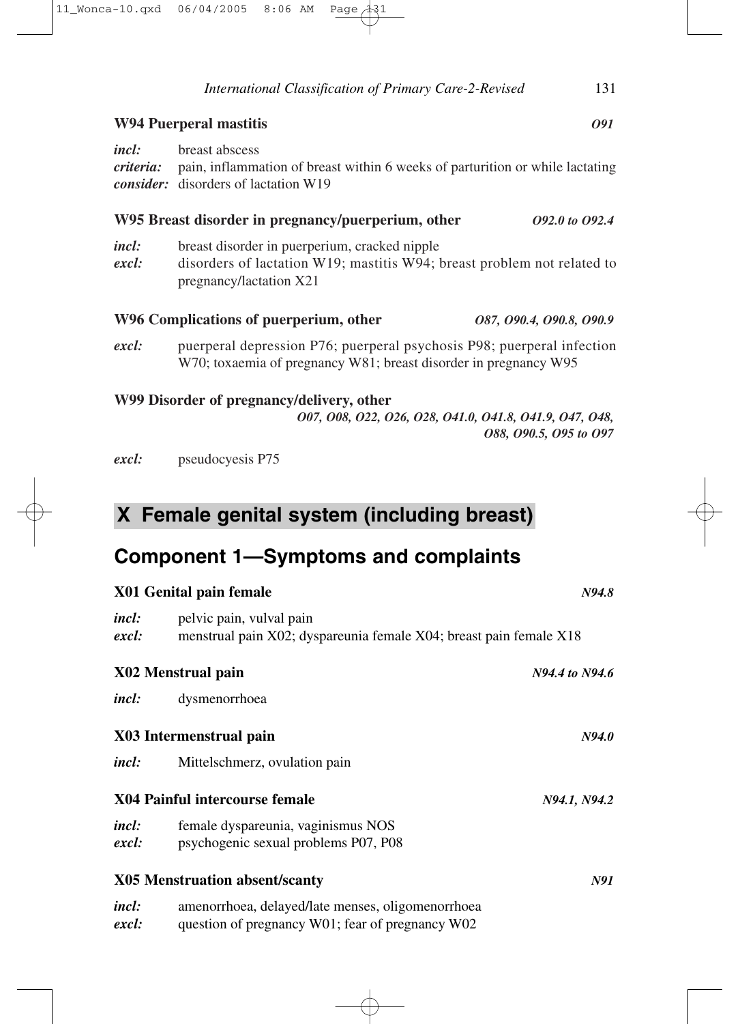|                       | W94 Puerperal mastitis                                                                                                                              | 091                      |
|-----------------------|-----------------------------------------------------------------------------------------------------------------------------------------------------|--------------------------|
| incl:<br>criteria:    | breast abscess<br>pain, inflammation of breast within 6 weeks of parturition or while lactating<br><i>consider:</i> disorders of lactation W19      |                          |
|                       | W95 Breast disorder in pregnancy/puerperium, other                                                                                                  | 092.0 to 092.4           |
| <i>incl:</i><br>excl: | breast disorder in puerperium, cracked nipple<br>disorders of lactation W19; mastitis W94; breast problem not related to<br>pregnancy/lactation X21 |                          |
|                       | W96 Complications of puerperium, other                                                                                                              | 087, 090.4, 090.8, 090.9 |
| excl:                 | puerperal depression P76; puerperal psychosis P98; puerperal infection<br>W70; toxaemia of pregnancy W81; breast disorder in pregnancy W95          |                          |
|                       | W99 Disorder of pregnancy/delivery, other<br>007, 008, 022, 026, 028, 041.0, 041.8, 041.9, 047, 048,                                                | 088, 090.5, 095 to 097   |

*excl:* pseudocyesis P75

# **X Female genital system (including breast)**

# **Component 1—Symptoms and complaints**

|                       | X01 Genital pain female                                                                               | N94.8          |
|-----------------------|-------------------------------------------------------------------------------------------------------|----------------|
| <i>incl:</i><br>excl: | pelvic pain, vulval pain<br>menstrual pain X02; dyspareunia female X04; breast pain female X18        |                |
|                       | X02 Menstrual pain                                                                                    | N94.4 to N94.6 |
| <i>incl:</i>          | dysmenorrhoea                                                                                         |                |
|                       | X03 Intermenstrual pain                                                                               | N94.0          |
| <i>incl:</i>          | Mittelschmerz, ovulation pain                                                                         |                |
|                       | X04 Painful intercourse female                                                                        | N94.1, N94.2   |
| <i>incl:</i>          | female dyspareunia, vaginismus NOS                                                                    |                |
| excl:                 | psychogenic sexual problems P07, P08                                                                  |                |
|                       | X05 Menstruation absent/scanty                                                                        | N91            |
| <i>incl:</i><br>excl: | amenorrhoea, delayed/late menses, oligomenorrhoea<br>question of pregnancy W01; fear of pregnancy W02 |                |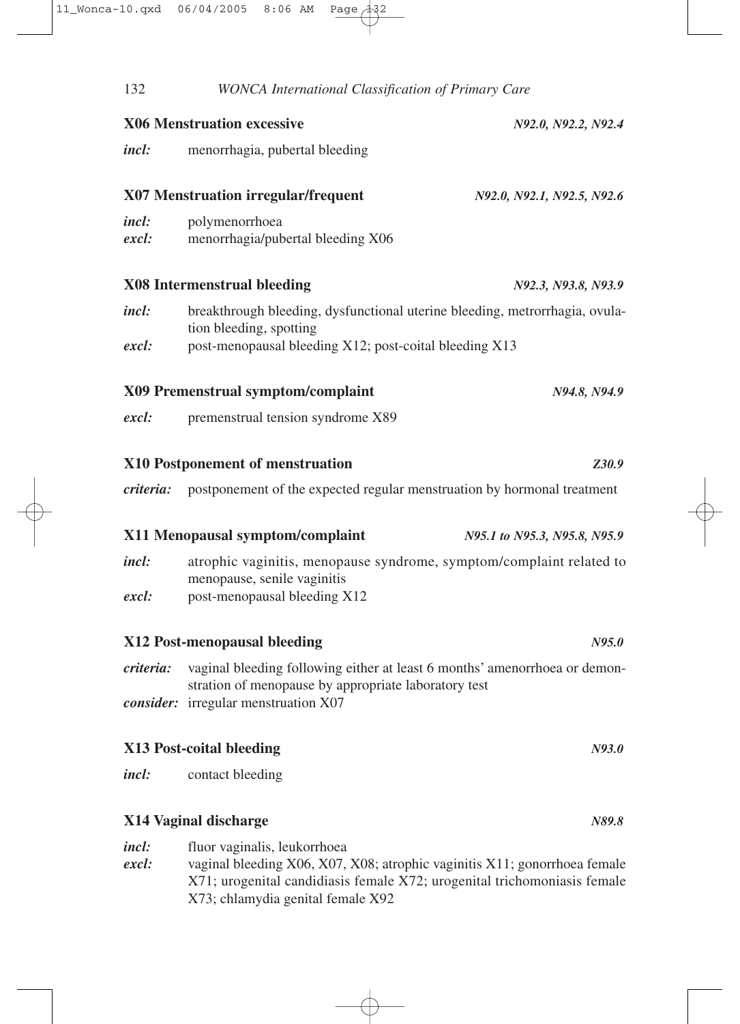| 132                   | <b>WONCA International Classification of Primary Care</b>                                                                                                                                                                  |                              |  |
|-----------------------|----------------------------------------------------------------------------------------------------------------------------------------------------------------------------------------------------------------------------|------------------------------|--|
|                       | X06 Menstruation excessive                                                                                                                                                                                                 | N92.0, N92.2, N92.4          |  |
| <i>incl:</i>          | menorrhagia, pubertal bleeding                                                                                                                                                                                             |                              |  |
|                       | X07 Menstruation irregular/frequent                                                                                                                                                                                        | N92.0, N92.1, N92.5, N92.6   |  |
| <i>incl:</i><br>excl: | polymenorrhoea<br>menorrhagia/pubertal bleeding X06                                                                                                                                                                        |                              |  |
|                       | X08 Intermenstrual bleeding                                                                                                                                                                                                | N92.3, N93.8, N93.9          |  |
| <i>incl:</i>          | breakthrough bleeding, dysfunctional uterine bleeding, metrorrhagia, ovula-<br>tion bleeding, spotting                                                                                                                     |                              |  |
| excl:                 | post-menopausal bleeding X12; post-coital bleeding X13                                                                                                                                                                     |                              |  |
|                       | X09 Premenstrual symptom/complaint                                                                                                                                                                                         | N94.8, N94.9                 |  |
| excl:                 | premenstrual tension syndrome X89                                                                                                                                                                                          |                              |  |
|                       | X10 Postponement of menstruation                                                                                                                                                                                           | Z30.9                        |  |
| criteria:             | postponement of the expected regular menstruation by hormonal treatment                                                                                                                                                    |                              |  |
|                       | X11 Menopausal symptom/complaint                                                                                                                                                                                           | N95.1 to N95.3, N95.8, N95.9 |  |
| incl:<br>excl:        | atrophic vaginitis, menopause syndrome, symptom/complaint related to<br>menopause, senile vaginitis<br>post-menopausal bleeding X12                                                                                        |                              |  |
|                       | X12 Post-menopausal bleeding                                                                                                                                                                                               | N95.0                        |  |
| criteria:             | vaginal bleeding following either at least 6 months' amenorrhoea or demon-<br>stration of menopause by appropriate laboratory test<br>consider: irregular menstruation X07                                                 |                              |  |
|                       | X13 Post-coital bleeding                                                                                                                                                                                                   | N93.0                        |  |
| incl:                 | contact bleeding                                                                                                                                                                                                           |                              |  |
|                       | X14 Vaginal discharge                                                                                                                                                                                                      | N89.8                        |  |
| <i>incl:</i><br>excl: | fluor vaginalis, leukorrhoea<br>vaginal bleeding X06, X07, X08; atrophic vaginitis X11; gonorrhoea female<br>X71; urogenital candidiasis female X72; urogenital trichomoniasis female<br>X73; chlamydia genital female X92 |                              |  |

€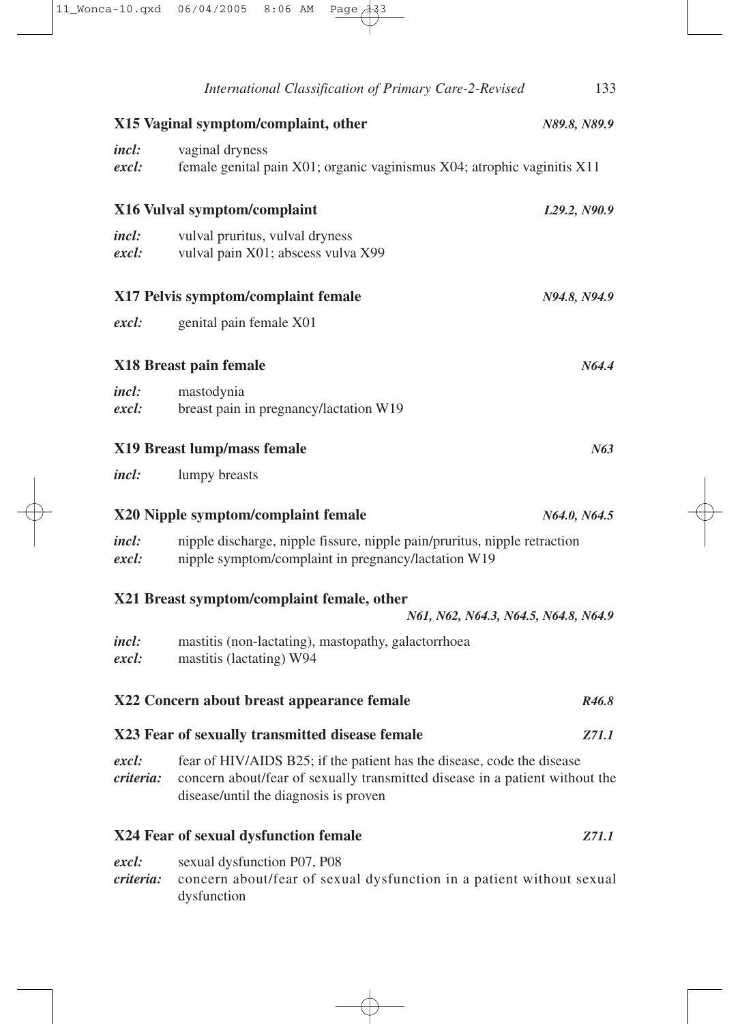|                       | International Classification of Primary Care-2-Revised                                                                                                                                         | 133                                   |
|-----------------------|------------------------------------------------------------------------------------------------------------------------------------------------------------------------------------------------|---------------------------------------|
|                       | X15 Vaginal symptom/complaint, other                                                                                                                                                           | N89.8, N89.9                          |
| incl:<br>excl:        | vaginal dryness<br>female genital pain X01; organic vaginismus X04; atrophic vaginitis X11                                                                                                     |                                       |
|                       | X16 Vulval symptom/complaint                                                                                                                                                                   | L <sub>29.2</sub> , N <sub>90.9</sub> |
| <i>incl:</i><br>excl: | vulval pruritus, vulval dryness<br>vulval pain X01; abscess vulva X99                                                                                                                          |                                       |
|                       | X17 Pelvis symptom/complaint female                                                                                                                                                            | N94.8, N94.9                          |
| excl:                 | genital pain female X01                                                                                                                                                                        |                                       |
|                       | X18 Breast pain female                                                                                                                                                                         | N64.4                                 |
| <i>incl:</i><br>excl: | mastodynia<br>breast pain in pregnancy/lactation W19                                                                                                                                           |                                       |
|                       | X19 Breast lump/mass female                                                                                                                                                                    | N63                                   |
| <i>incl:</i>          | lumpy breasts                                                                                                                                                                                  |                                       |
|                       | X20 Nipple symptom/complaint female                                                                                                                                                            | N64.0, N64.5                          |
| <i>incl:</i><br>excl: | nipple discharge, nipple fissure, nipple pain/pruritus, nipple retraction<br>nipple symptom/complaint in pregnancy/lactation W19                                                               |                                       |
|                       | X21 Breast symptom/complaint female, other<br>N61, N62, N64.3, N64.5, N64.8, N64.9                                                                                                             |                                       |
| incl:<br>excl:        | mastitis (non-lactating), mastopathy, galactorrhoea<br>mastitis (lactating) W94                                                                                                                |                                       |
|                       | X22 Concern about breast appearance female                                                                                                                                                     | R <sub>46.8</sub>                     |
|                       | X23 Fear of sexually transmitted disease female                                                                                                                                                | Z71.1                                 |
| excl:<br>criteria:    | fear of HIV/AIDS B25; if the patient has the disease, code the disease<br>concern about/fear of sexually transmitted disease in a patient without the<br>disease/until the diagnosis is proven |                                       |
|                       | X24 Fear of sexual dysfunction female                                                                                                                                                          | Z71.1                                 |
| excl:<br>criteria:    | sexual dysfunction P07, P08<br>concern about/fear of sexual dysfunction in a patient without sexual<br>dysfunction                                                                             |                                       |

 $\overline{\bigoplus}$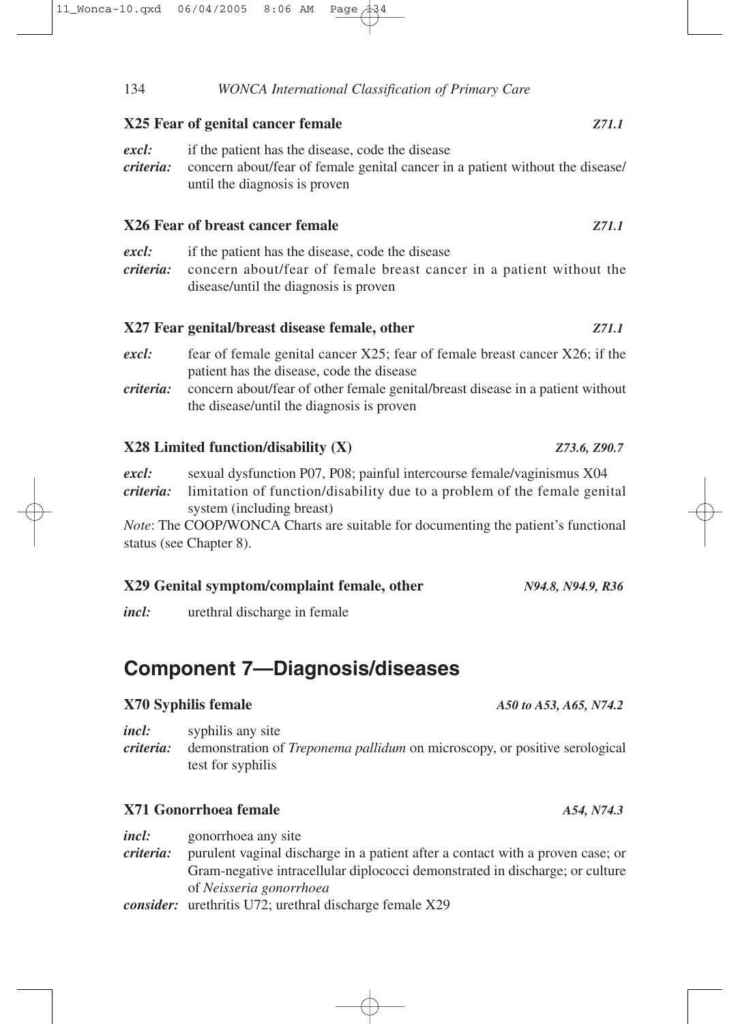#### **X25 Fear of genital cancer female** *Z71.1*

*excl:* if the patient has the disease, code the disease *criteria:* concern about/fear of female genital cancer in a patient without the disease/ until the diagnosis is proven

### **X26 Fear of breast cancer female** *Z71.1*

- *excl:* if the patient has the disease, code the disease
- *criteria:* concern about/fear of female breast cancer in a patient without the disease/until the diagnosis is proven

### **X27 Fear genital/breast disease female, other** *Z71.1*

- *excl:* fear of female genital cancer X25; fear of female breast cancer X26; if the patient has the disease, code the disease
- *criteria:* concern about/fear of other female genital/breast disease in a patient without the disease/until the diagnosis is proven
- **X28 Limited function/disability (X)** *Z73.6, Z90.7*
- *excl:* sexual dysfunction P07, P08; painful intercourse female/vaginismus X04 *criteria:* limitation of function/disability due to a problem of the female genital system (including breast)

*Note*: The COOP/WONCA Charts are suitable for documenting the patient's functional status (see Chapter 8).

#### **X29 Genital symptom/complaint female, other** *N94.8, N94.9, R36*

*incl:* urethral discharge in female

## **Component 7—Diagnosis/diseases**

- *incl:* syphilis any site
- *criteria:* demonstration of *Treponema pallidum* on microscopy, or positive serological test for syphilis

#### **X71 Gonorrhoea female** *A54, N74.3*

- *incl:* gonorrhoea any site
- *criteria:* purulent vaginal discharge in a patient after a contact with a proven case; or Gram-negative intracellular diplococci demonstrated in discharge; or culture of *Neisseria gonorrhoea*
- *consider:* urethritis U72; urethral discharge female X29

**X70 Syphilis female** *A50 to A53, A65, N74.2*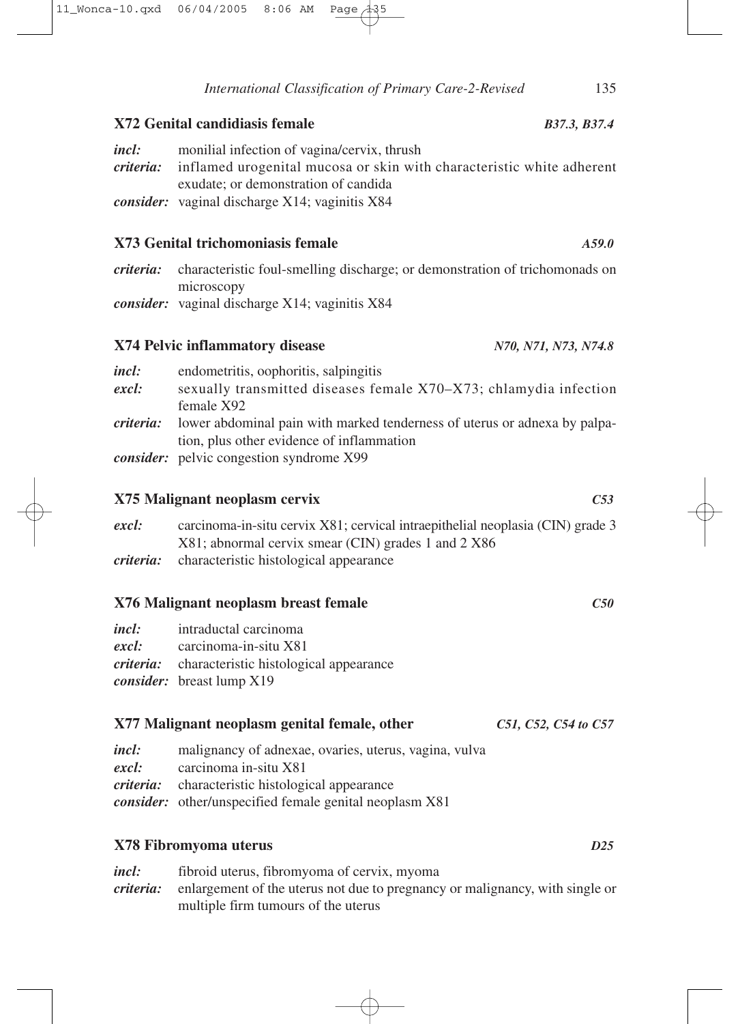*International Classification of Primary Care-2-Revised* 135

#### **X72 Genital candidiasis female** *B37.3, B37.4*

incl: monilial infection of vagina/cervix, thrush *criteria:* inflamed urogenital mucosa or skin with characteristic white adherent exudate; or demonstration of candida *consider:* vaginal discharge X14; vaginitis X84

#### **X73 Genital trichomoniasis female** *A59.0*

- *criteria:* characteristic foul-smelling discharge; or demonstration of trichomonads on microscopy
- *consider:* vaginal discharge X14; vaginitis X84

#### **X74 Pelvic inflammatory disease** *N70, N71, N73, N74.8*

*incl:* endometritis, oophoritis, salpingitis *excl:* sexually transmitted diseases female X70–X73; chlamydia infection female X92 *criteria:* lower abdominal pain with marked tenderness of uterus or adnexa by palpation, plus other evidence of inflammation *consider:* pelvic congestion syndrome X99

#### **X75 Malignant neoplasm cervix** *C53*

*excl:* carcinoma-in-situ cervix X81; cervical intraepithelial neoplasia (CIN) grade 3 X81; abnormal cervix smear (CIN) grades 1 and 2 X86 *criteria:* characteristic histological appearance

#### **X76 Malignant neoplasm breast female** *C50*

*incl:* intraductal carcinoma *excl:* carcinoma-in-situ X81 *criteria:* characteristic histological appearance *consider:* breast lump X19

#### **X77 Malignant neoplasm genital female, other** *C51, C52, C54 to C57*

*incl:* malignancy of adnexae, ovaries, uterus, vagina, vulva *excl:* carcinoma in-situ X81 *criteria:* characteristic histological appearance *consider:* other/unspecified female genital neoplasm X81

#### **X78 Fibromyoma uterus** *D25*

| <i>incl:</i> | fibroid uterus, fibromyoma of cervix, myoma                                                   |
|--------------|-----------------------------------------------------------------------------------------------|
|              | <i>criteria:</i> enlargement of the uterus not due to pregnancy or malignancy, with single or |
|              | multiple firm tumours of the uterus                                                           |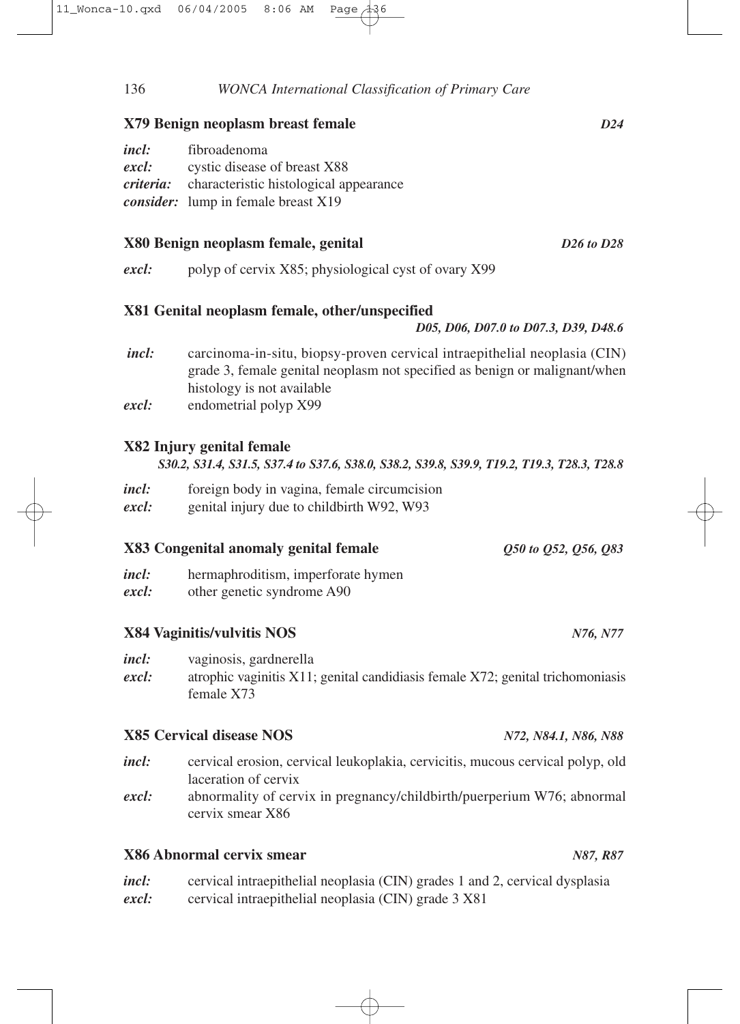#### **X79 Benign neoplasm breast female** *D24*

| <i>incl:</i> | fibroadenoma                                            |
|--------------|---------------------------------------------------------|
| excl:        | cystic disease of breast X88                            |
|              | <i>criteria:</i> characteristic histological appearance |
|              | <i>consider</i> : lump in female breast X19             |

#### **X80 Benign neoplasm female, genital** *D26 to D28*

*excl:* polyp of cervix X85; physiological cyst of ovary X99

#### **X81 Genital neoplasm female, other/unspecified**

*D05, D06, D07.0 to D07.3, D39, D48.6*

- *incl:* carcinoma-in-situ, biopsy-proven cervical intraepithelial neoplasia (CIN) grade 3, female genital neoplasm not specified as benign or malignant/when histology is not available
- *excl:* endometrial polyp X99

#### **X82 Injury genital female**

*S30.2, S31.4, S31.5, S37.4 to S37.6, S38.0, S38.2, S39.8, S39.9, T19.2, T19.3, T28.3, T28.8*

- *incl:* foreign body in vagina, female circumcision
- *excl:* genital injury due to childbirth W92, W93

| X83 Congenital anomaly genital female |  |  |  | $Q50$ to $Q52$ , $Q56$ , $Q83$ |
|---------------------------------------|--|--|--|--------------------------------|
|                                       |  |  |  |                                |

- *incl:* hermaphroditism, imperforate hymen
- *excl:* other genetic syndrome A90

#### **X84 Vaginitis/vulvitis NOS** *N76, N77*

*incl:* vaginosis, gardnerella *excl:* atrophic vaginitis X11; genital candidiasis female X72; genital trichomoniasis female X73

#### **X85 Cervical disease NOS** *N72, N84.1, N86, N88*

- *incl:* cervical erosion, cervical leukoplakia, cervicitis, mucous cervical polyp, old laceration of cervix
- *excl:* abnormality of cervix in pregnancy/childbirth/puerperium W76; abnormal cervix smear X86

### **X86 Abnormal cervix smear** *N87, R87*

*incl:* cervical intraepithelial neoplasia (CIN) grades 1 and 2, cervical dysplasia *excl:* cervical intraepithelial neoplasia (CIN) grade 3 X81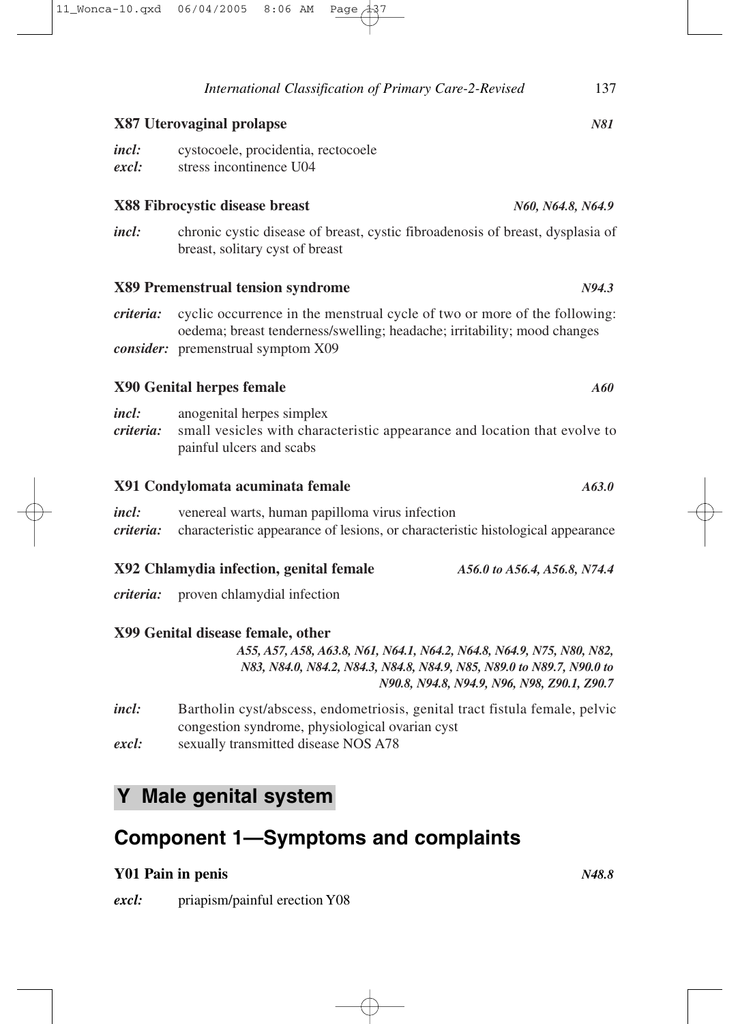|                           | International Classification of Primary Care-2-Revised                                                                                                                                                                             | 137 |
|---------------------------|------------------------------------------------------------------------------------------------------------------------------------------------------------------------------------------------------------------------------------|-----|
|                           | X87 Uterovaginal prolapse<br>N81                                                                                                                                                                                                   |     |
| <i>incl:</i><br>excl:     | cystocoele, procidentia, rectocoele<br>stress incontinence U04                                                                                                                                                                     |     |
|                           | X88 Fibrocystic disease breast<br>N60, N64.8, N64.9                                                                                                                                                                                |     |
| <i>incl:</i>              | chronic cystic disease of breast, cystic fibroadenosis of breast, dysplasia of<br>breast, solitary cyst of breast                                                                                                                  |     |
|                           | X89 Premenstrual tension syndrome<br>N94.3                                                                                                                                                                                         |     |
| <i>criteria:</i>          | cyclic occurrence in the menstrual cycle of two or more of the following:<br>oedema; breast tenderness/swelling; headache; irritability; mood changes<br>consider: premenstrual symptom X09                                        |     |
|                           | X90 Genital herpes female<br>A60                                                                                                                                                                                                   |     |
| incl:<br>criteria:        | anogenital herpes simplex<br>small vesicles with characteristic appearance and location that evolve to<br>painful ulcers and scabs                                                                                                 |     |
|                           | X91 Condylomata acuminata female<br>A63.0                                                                                                                                                                                          |     |
| <i>incl:</i><br>criteria: | venereal warts, human papilloma virus infection<br>characteristic appearance of lesions, or characteristic histological appearance                                                                                                 |     |
|                           | X92 Chlamydia infection, genital female<br>A56.0 to A56.4, A56.8, N74.4                                                                                                                                                            |     |
| criteria:                 | proven chlamydial infection                                                                                                                                                                                                        |     |
|                           | X99 Genital disease female, other<br>A55, A57, A58, A63.8, N61, N64.1, N64.2, N64.8, N64.9, N75, N80, N82,<br>N83, N84.0, N84.2, N84.3, N84.8, N84.9, N85, N89.0 to N89.7, N90.0 to<br>N90.8, N94.8, N94.9, N96, N98, Z90.1, Z90.7 |     |
| incl:<br>excl:            | Bartholin cyst/abscess, endometriosis, genital tract fistula female, pelvic<br>congestion syndrome, physiological ovarian cyst<br>sexually transmitted disease NOS A78                                                             |     |

# **Y Male genital system**

# **Component 1—Symptoms and complaints**

### **Y01 Pain in penis** *N48.8*

*excl:* priapism/painful erection Y08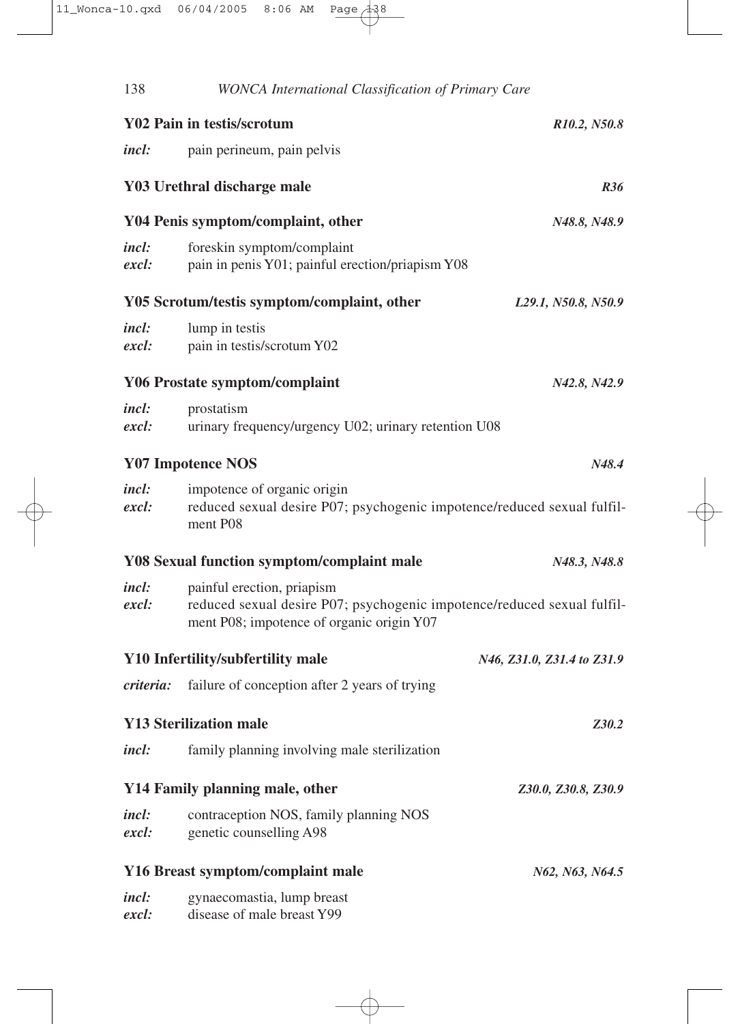| 138                   | <b>WONCA International Classification of Primary Care</b>                                                                                          |                                                           |  |
|-----------------------|----------------------------------------------------------------------------------------------------------------------------------------------------|-----------------------------------------------------------|--|
|                       | Y02 Pain in testis/scrotum                                                                                                                         | R <sub>10.2</sub> , N <sub>50.8</sub>                     |  |
| <i>incl:</i>          | pain perineum, pain pelvis                                                                                                                         |                                                           |  |
|                       | Y03 Urethral discharge male                                                                                                                        | R36                                                       |  |
|                       | Y04 Penis symptom/complaint, other                                                                                                                 | N48.8, N48.9                                              |  |
| <i>incl:</i><br>excl: | foreskin symptom/complaint<br>pain in penis Y01; painful erection/priapism Y08                                                                     |                                                           |  |
|                       | Y05 Scrotum/testis symptom/complaint, other                                                                                                        | L <sub>29.1</sub> , N <sub>50.8</sub> , N <sub>50.9</sub> |  |
| <i>incl:</i><br>excl: | lump in testis<br>pain in testis/scrotum Y02                                                                                                       |                                                           |  |
|                       | Y06 Prostate symptom/complaint                                                                                                                     | N42.8, N42.9                                              |  |
| <i>incl:</i><br>excl: | prostatism<br>urinary frequency/urgency U02; urinary retention U08                                                                                 |                                                           |  |
|                       | <b>Y07 Impotence NOS</b>                                                                                                                           | N48.4                                                     |  |
| <i>incl:</i><br>excl: | impotence of organic origin<br>reduced sexual desire P07; psychogenic impotence/reduced sexual fulfil-<br>ment P08                                 |                                                           |  |
|                       | Y08 Sexual function symptom/complaint male                                                                                                         | N48.3, N48.8                                              |  |
| <i>incl:</i><br>excl: | painful erection, priapism<br>reduced sexual desire P07; psychogenic impotence/reduced sexual fulfil-<br>ment P08; impotence of organic origin Y07 |                                                           |  |
|                       | Y10 Infertility/subfertility male                                                                                                                  | N46, Z31.0, Z31.4 to Z31.9                                |  |
| criteria:             | failure of conception after 2 years of trying                                                                                                      |                                                           |  |
|                       | <b>Y13 Sterilization male</b>                                                                                                                      | Z30.2                                                     |  |
| <i>incl:</i>          | family planning involving male sterilization                                                                                                       |                                                           |  |
|                       | Y14 Family planning male, other                                                                                                                    | Z30.0, Z30.8, Z30.9                                       |  |
| <i>incl:</i><br>excl: | contraception NOS, family planning NOS<br>genetic counselling A98                                                                                  |                                                           |  |
|                       | Y16 Breast symptom/complaint male                                                                                                                  | N62, N63, N64.5                                           |  |
| <i>incl:</i><br>excl: | gynaecomastia, lump breast<br>disease of male breast Y99                                                                                           |                                                           |  |

 $\overline{\bigoplus}$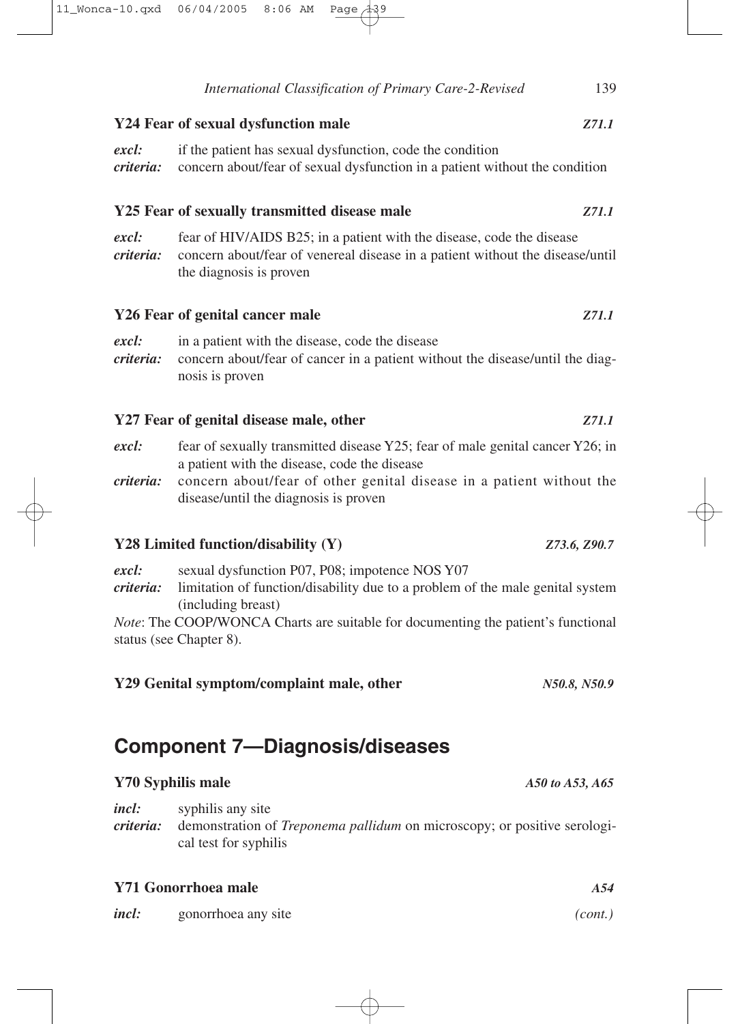|                           | Y24 Fear of sexual dysfunction male                                                                                                                                                                                                            | Z71.1        |
|---------------------------|------------------------------------------------------------------------------------------------------------------------------------------------------------------------------------------------------------------------------------------------|--------------|
| excl:<br>criteria:        | if the patient has sexual dysfunction, code the condition<br>concern about/fear of sexual dysfunction in a patient without the condition                                                                                                       |              |
|                           | Y25 Fear of sexually transmitted disease male                                                                                                                                                                                                  | Z71.1        |
| excl:<br>criteria:        | fear of HIV/AIDS B25; in a patient with the disease, code the disease<br>concern about/fear of venereal disease in a patient without the disease/until<br>the diagnosis is proven                                                              |              |
|                           | Y26 Fear of genital cancer male                                                                                                                                                                                                                | Z71.1        |
| excl:<br>criteria:        | in a patient with the disease, code the disease<br>concern about/fear of cancer in a patient without the disease/until the diag-<br>nosis is proven                                                                                            |              |
|                           | Y27 Fear of genital disease male, other                                                                                                                                                                                                        | Z71.1        |
| excl:<br><i>criteria:</i> | fear of sexually transmitted disease Y25; fear of male genital cancer Y26; in<br>a patient with the disease, code the disease<br>concern about/fear of other genital disease in a patient without the<br>disease/until the diagnosis is proven |              |
|                           | Y28 Limited function/disability (Y)                                                                                                                                                                                                            | Z73.6, Z90.7 |
| excl:<br>criteria:        | sexual dysfunction P07, P08; impotence NOS Y07<br>limitation of function/disability due to a problem of the male genital system<br>(including breast)                                                                                          |              |

*International Classification of Primary Care-2-Revised* 139

*Note*: The COOP/WONCA Charts are suitable for documenting the patient's functional status (see Chapter 8).

### **Y29 Genital symptom/complaint male, other** *N50.8, N50.9*

# **Component 7—Diagnosis/diseases**

|  | Y70 Syphilis male |  |  |  |
|--|-------------------|--|--|--|
|--|-------------------|--|--|--|

*incl:* syphilis any site

*criteria:* demonstration of *Treponema pallidum* on microscopy; or positive serological test for syphilis

**Y70 Syphilis male** *A50 to A53, A65*

|       | Y71 Gonorrhoea male | A54     |
|-------|---------------------|---------|
| incl: | gonorrhoea any site | (cont.) |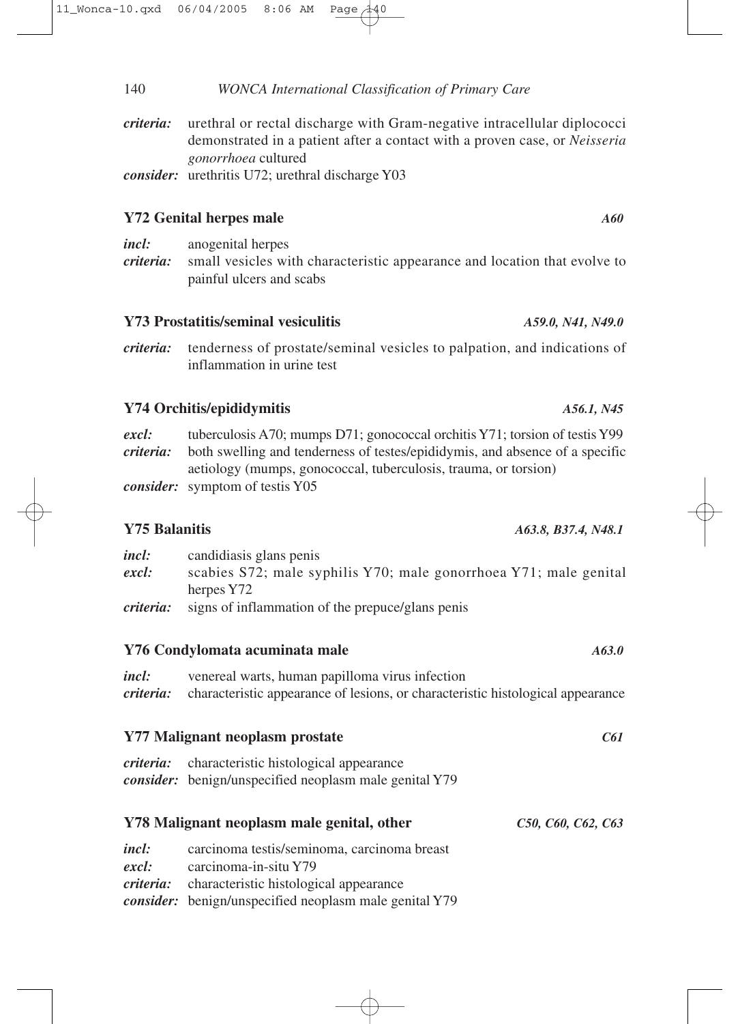- *criteria:* urethral or rectal discharge with Gram-negative intracellular diplococci demonstrated in a patient after a contact with a proven case, or *Neisseria gonorrhoea* cultured
- *consider:* urethritis U72; urethral discharge Y03

#### **Y72 Genital herpes male** *A60*

- *incl:* anogenital herpes
- *criteria:* small vesicles with characteristic appearance and location that evolve to painful ulcers and scabs

#### **Y73 Prostatitis/seminal vesiculitis** *A59.0, N41, N49.0*

*criteria:* tenderness of prostate/seminal vesicles to palpation, and indications of inflammation in urine test

#### **Y74 Orchitis/epididymitis** *A56.1, N45*

*excl:* tuberculosis A70; mumps D71; gonococcal orchitis Y71; torsion of testis Y99 *criteria:* both swelling and tenderness of testes/epididymis, and absence of a specific aetiology (mumps, gonococcal, tuberculosis, trauma, or torsion) *consider:* symptom of testis Y05

**Y75 Balanitis** *A63.8, B37.4, N48.1*

| <i>incl:</i>     | candidiasis glans penis                                           |
|------------------|-------------------------------------------------------------------|
| excl:            | scabies S72; male syphilis Y70; male gonorrhoea Y71; male genital |
|                  | herpes Y72                                                        |
| <i>criteria:</i> | signs of inflammation of the prepuce/glans penis                  |

#### **Y76 Condylomata acuminata male** *A63.0*

*incl:* venereal warts, human papilloma virus infection *criteria:* characteristic appearance of lesions, or characteristic histological appearance

#### **Y77 Malignant neoplasm prostate** *C61*

*criteria:* characteristic histological appearance *consider:* benign/unspecified neoplasm male genital Y79

## **Y78 Malignant neoplasm male genital, other** *C50, C60, C62, C63*

| <i>incl:</i> | carcinoma testis/seminoma, carcinoma breast                    |
|--------------|----------------------------------------------------------------|
| excl:        | carcinoma-in-situ Y79                                          |
|              | <i>criteria:</i> characteristic histological appearance        |
|              | <i>consider</i> : benign/unspecified neoplasm male genital Y79 |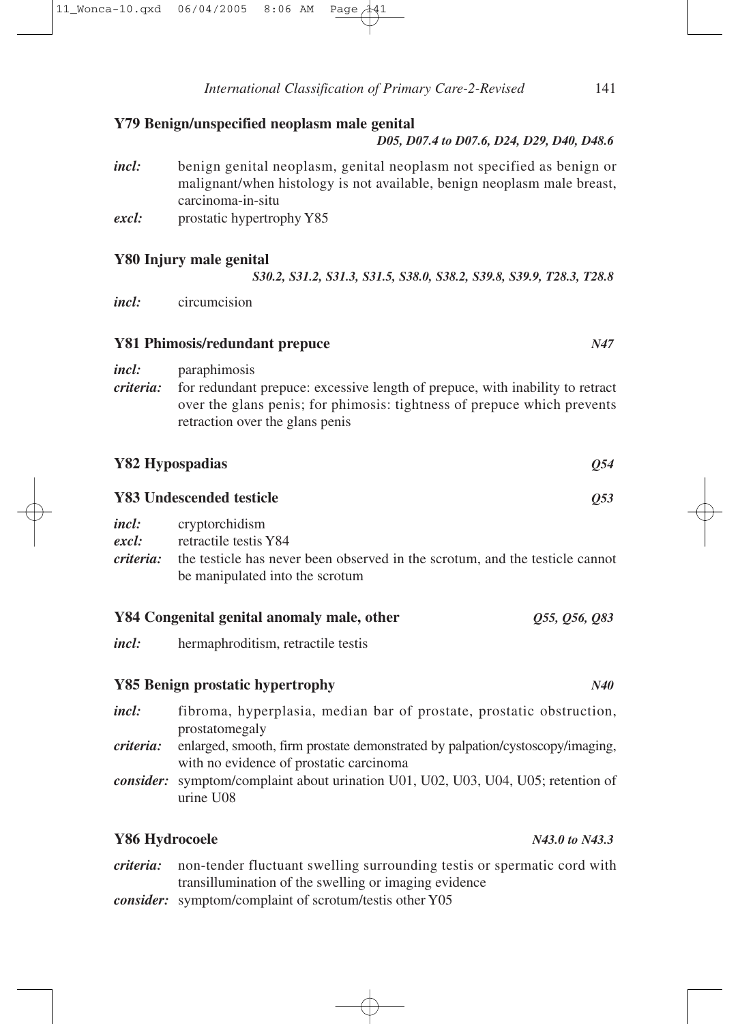*International Classification of Primary Care-2-Revised* 141

#### **Y79 Benign/unspecified neoplasm male genital**

#### *D05, D07.4 to D07.6, D24, D29, D40, D48.6*

*incl:* benign genital neoplasm, genital neoplasm not specified as benign or malignant/when histology is not available, benign neoplasm male breast, carcinoma-in-situ *excl:* prostatic hypertrophy Y85

### **Y80 Injury male genital**

*S30.2, S31.2, S31.3, S31.5, S38.0, S38.2, S39.8, S39.9, T28.3, T28.8*

*incl:* circumcision

#### **Y81 Phimosis/redundant prepuce** *N47*

*incl:* paraphimosis

*criteria:* for redundant prepuce: excessive length of prepuce, with inability to retract over the glans penis; for phimosis: tightness of prepuce which prevents retraction over the glans penis

| Y82 Hypospadias | 054 |
|-----------------|-----|
|-----------------|-----|

- **Y83 Undescended testicle** *Q53*
- *incl:* cryptorchidism
- *excl:* retractile testis Y84
- *criteria:* the testicle has never been observed in the scrotum, and the testicle cannot be manipulated into the scrotum

#### **Y84 Congenital genital anomaly male, other** *Q55, Q56, Q83*

*incl:* hermaphroditism, retractile testis

#### **Y85 Benign prostatic hypertrophy** *N40*

- *incl:* fibroma, hyperplasia, median bar of prostate, prostatic obstruction, prostatomegaly
- *criteria:* enlarged, smooth, firm prostate demonstrated by palpation/cystoscopy/imaging, with no evidence of prostatic carcinoma
- *consider:* symptom/complaint about urination U01, U02, U03, U04, U05; retention of urine U08

#### **Y86 Hydrocoele** *N43.0 to N43.3*

*criteria:* non-tender fluctuant swelling surrounding testis or spermatic cord with transillumination of the swelling or imaging evidence

*consider:* symptom/complaint of scrotum/testis other Y05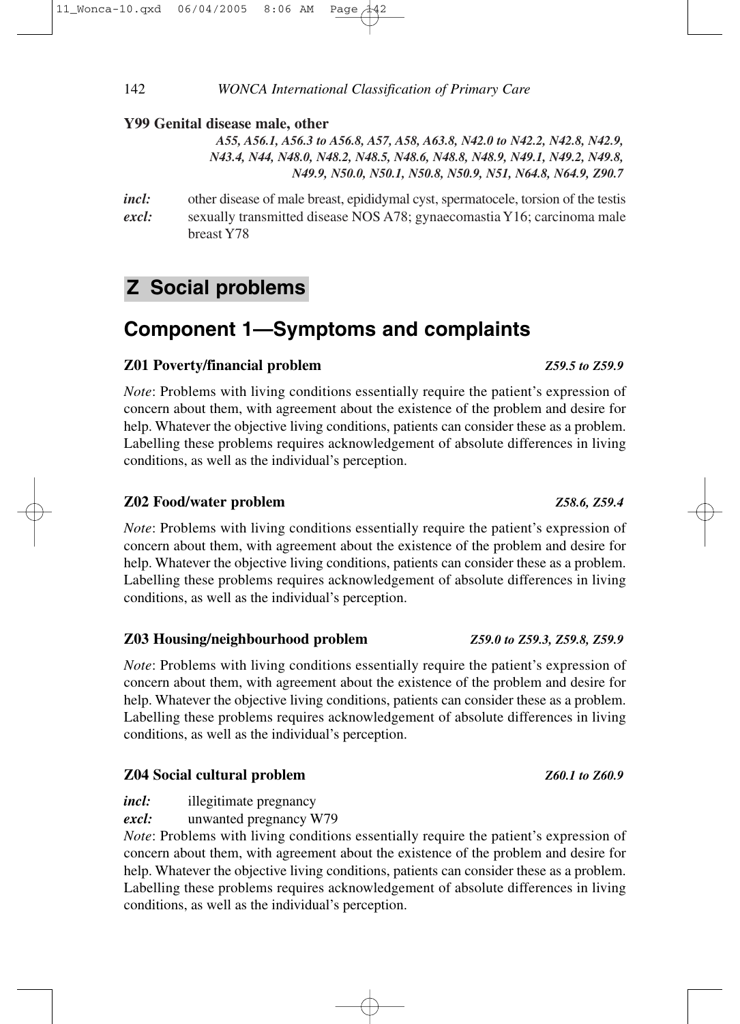#### **Y99 Genital disease male, other**

*A55, A56.1, A56.3 to A56.8, A57, A58, A63.8, N42.0 to N42.2, N42.8, N42.9, N43.4, N44, N48.0, N48.2, N48.5, N48.6, N48.8, N48.9, N49.1, N49.2, N49.8, N49.9, N50.0, N50.1, N50.8, N50.9, N51, N64.8, N64.9, Z90.7*

*incl:* other disease of male breast, epididymal cyst, spermatocele, torsion of the testis *excl:* sexually transmitted disease NOS A78; gynaecomastia Y16; carcinoma male breast Y78

# **Z Social problems**

## **Component 1—Symptoms and complaints**

#### **Z01 Poverty/financial problem** *Z59.5 to Z59.9*

*Note*: Problems with living conditions essentially require the patient's expression of concern about them, with agreement about the existence of the problem and desire for help. Whatever the objective living conditions, patients can consider these as a problem. Labelling these problems requires acknowledgement of absolute differences in living conditions, as well as the individual's perception.

### **Z02 Food/water problem** *Z58.6, Z59.4*

*Note*: Problems with living conditions essentially require the patient's expression of concern about them, with agreement about the existence of the problem and desire for help. Whatever the objective living conditions, patients can consider these as a problem. Labelling these problems requires acknowledgement of absolute differences in living conditions, as well as the individual's perception.

#### **Z03 Housing/neighbourhood problem** *Z59.0 to Z59.3, Z59.8, Z59.9*

*Note*: Problems with living conditions essentially require the patient's expression of concern about them, with agreement about the existence of the problem and desire for help. Whatever the objective living conditions, patients can consider these as a problem. Labelling these problems requires acknowledgement of absolute differences in living conditions, as well as the individual's perception.

#### **Z04 Social cultural problem** *Z60.1 to Z60.9*

*incl:* illegitimate pregnancy

*excl:* unwanted pregnancy W79

*Note*: Problems with living conditions essentially require the patient's expression of concern about them, with agreement about the existence of the problem and desire for help. Whatever the objective living conditions, patients can consider these as a problem. Labelling these problems requires acknowledgement of absolute differences in living conditions, as well as the individual's perception.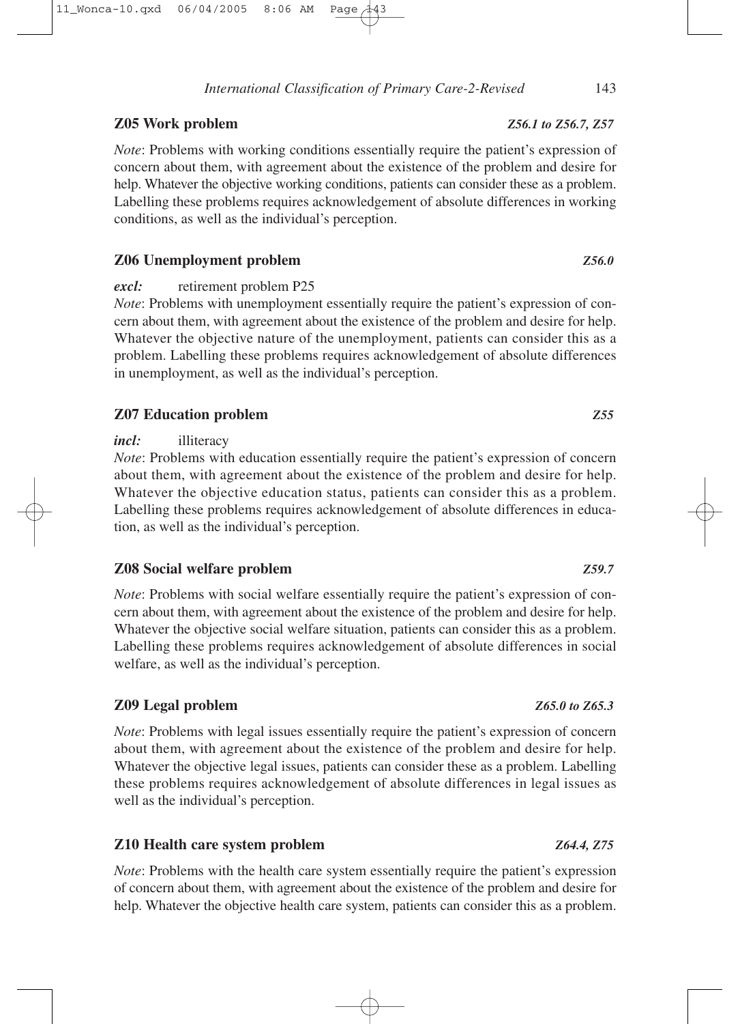#### **Z05 Work problem** *Z56.1 to Z56.7, Z57*

*Note*: Problems with working conditions essentially require the patient's expression of concern about them, with agreement about the existence of the problem and desire for help. Whatever the objective working conditions, patients can consider these as a problem. Labelling these problems requires acknowledgement of absolute differences in working conditions, as well as the individual's perception.

#### **Z06 Unemployment problem** *Z56.0*

*excl:* retirement problem P25 *Note*: Problems with unemployment essentially require the patient's expression of concern about them, with agreement about the existence of the problem and desire for help.

Whatever the objective nature of the unemployment, patients can consider this as a problem. Labelling these problems requires acknowledgement of absolute differences in unemployment, as well as the individual's perception.

#### **Z07 Education problem** *Z55*

*incl:* illiteracy

*Note*: Problems with education essentially require the patient's expression of concern about them, with agreement about the existence of the problem and desire for help. Whatever the objective education status, patients can consider this as a problem. Labelling these problems requires acknowledgement of absolute differences in education, as well as the individual's perception.

#### **Z08 Social welfare problem** *Z59.7*

*Note*: Problems with social welfare essentially require the patient's expression of concern about them, with agreement about the existence of the problem and desire for help. Whatever the objective social welfare situation, patients can consider this as a problem. Labelling these problems requires acknowledgement of absolute differences in social welfare, as well as the individual's perception.

#### **Z09 Legal problem** *Z65.0 to Z65.3*

*Note*: Problems with legal issues essentially require the patient's expression of concern about them, with agreement about the existence of the problem and desire for help. Whatever the objective legal issues, patients can consider these as a problem. Labelling these problems requires acknowledgement of absolute differences in legal issues as well as the individual's perception.

#### **Z10 Health care system problem** *Z64.4, Z75*

*Note*: Problems with the health care system essentially require the patient's expression of concern about them, with agreement about the existence of the problem and desire for help. Whatever the objective health care system, patients can consider this as a problem.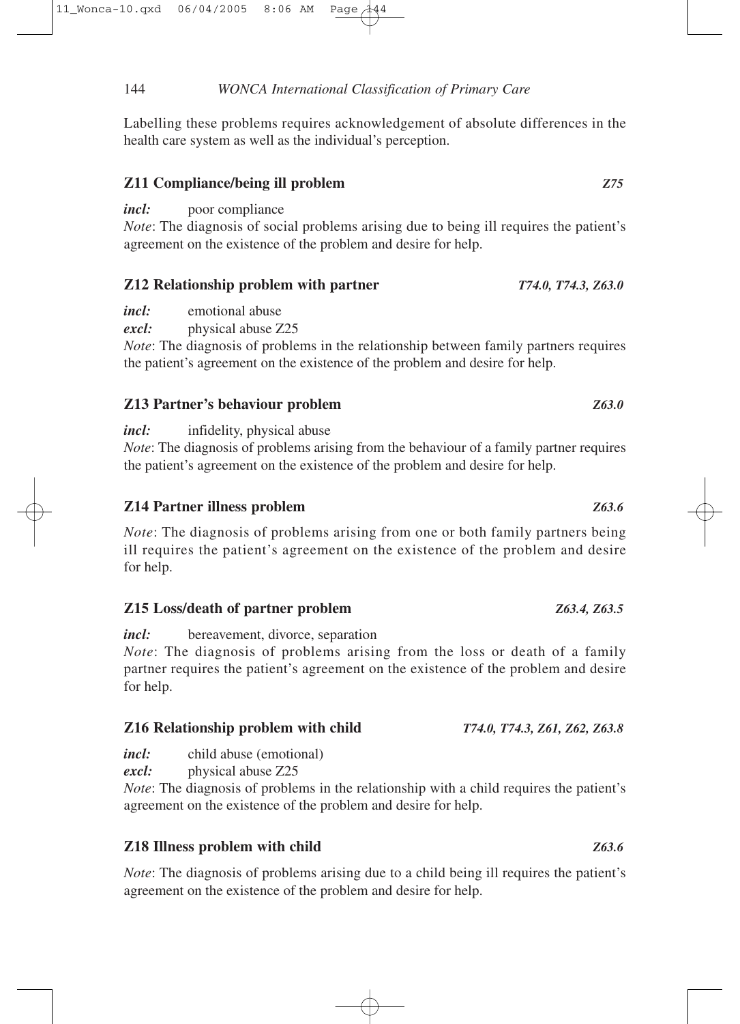Labelling these problems requires acknowledgement of absolute differences in the health care system as well as the individual's perception.

#### **Z11 Compliance/being ill problem** *Z75*

*incl:* poor compliance

*Note*: The diagnosis of social problems arising due to being ill requires the patient's agreement on the existence of the problem and desire for help.

#### **Z12 Relationship problem with partner** *T74.0, T74.3, Z63.0*

*incl:* emotional abuse

*excl:* physical abuse Z25

*Note*: The diagnosis of problems in the relationship between family partners requires the patient's agreement on the existence of the problem and desire for help.

#### **Z13 Partner's behaviour problem** *Z63.0*

*incl:* infidelity, physical abuse

*Note*: The diagnosis of problems arising from the behaviour of a family partner requires the patient's agreement on the existence of the problem and desire for help.

#### **Z14 Partner illness problem** *Z63.6*

*Note*: The diagnosis of problems arising from one or both family partners being ill requires the patient's agreement on the existence of the problem and desire for help.

#### **Z15 Loss/death of partner problem** *Z63.4, Z63.5*

*incl:* bereavement, divorce, separation

*Note*: The diagnosis of problems arising from the loss or death of a family partner requires the patient's agreement on the existence of the problem and desire for help.

#### **Z16 Relationship problem with child** *T74.0, T74.3, Z61, Z62, Z63.8*

*incl:* child abuse (emotional)

*excl:* physical abuse Z25

*Note*: The diagnosis of problems in the relationship with a child requires the patient's agreement on the existence of the problem and desire for help.

#### **Z18 Illness problem with child** *Z63.6*

*Note*: The diagnosis of problems arising due to a child being ill requires the patient's agreement on the existence of the problem and desire for help.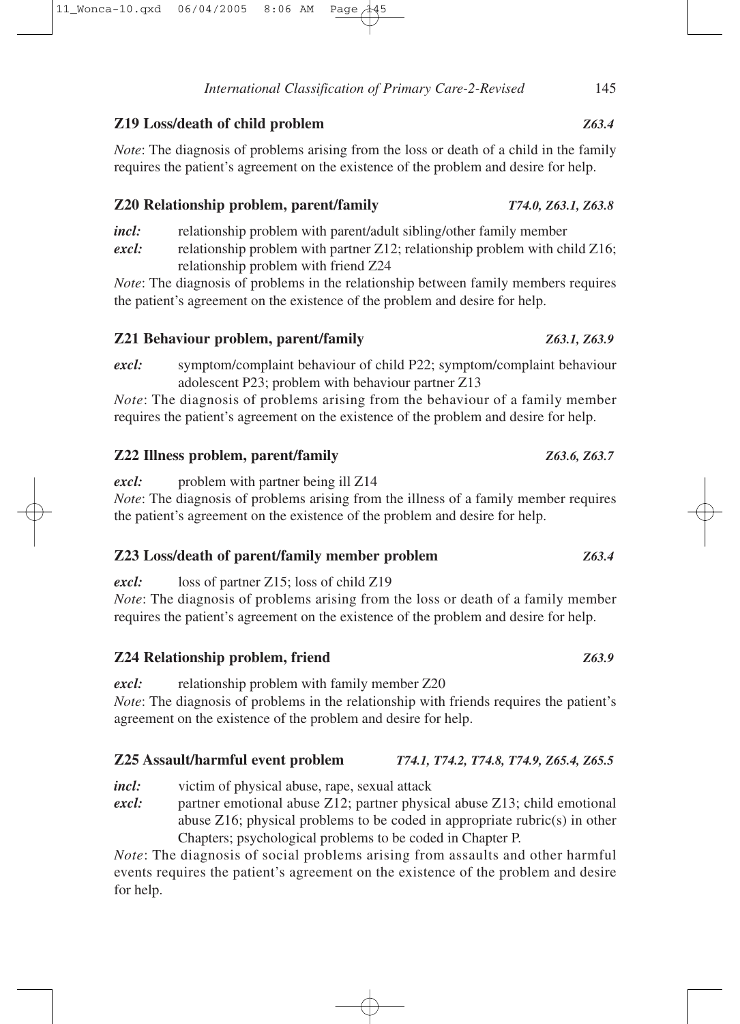#### **Z19 Loss/death of child problem** *Z63.4*

*Note*: The diagnosis of problems arising from the loss or death of a child in the family requires the patient's agreement on the existence of the problem and desire for help.

#### **Z20 Relationship problem, parent/family** *T74.0, Z63.1, Z63.8*

*incl:* relationship problem with parent/adult sibling/other family member

*excl:* relationship problem with partner Z12; relationship problem with child Z16; relationship problem with friend Z24

*Note*: The diagnosis of problems in the relationship between family members requires the patient's agreement on the existence of the problem and desire for help.

#### **Z21 Behaviour problem, parent/family** *Z63.1, Z63.9*

*excl:* symptom/complaint behaviour of child P22; symptom/complaint behaviour adolescent P23; problem with behaviour partner Z13

*Note*: The diagnosis of problems arising from the behaviour of a family member requires the patient's agreement on the existence of the problem and desire for help.

#### **Z22 Illness problem, parent/family** *Z63.6, Z63.7*

*excl:* problem with partner being ill Z14

*Note*: The diagnosis of problems arising from the illness of a family member requires the patient's agreement on the existence of the problem and desire for help.

#### **Z23 Loss/death of parent/family member problem** *Z63.4*

*excl:* loss of partner Z15; loss of child Z19

*Note*: The diagnosis of problems arising from the loss or death of a family member requires the patient's agreement on the existence of the problem and desire for help.

#### **Z24 Relationship problem, friend** *Z63.9*

*excl:* relationship problem with family member Z20

*Note*: The diagnosis of problems in the relationship with friends requires the patient's agreement on the existence of the problem and desire for help.

#### **Z25 Assault/harmful event problem** *T74.1, T74.2, T74.8, T74.9, Z65.4, Z65.5*

*incl:* victim of physical abuse, rape, sexual attack

*excl:* partner emotional abuse Z12; partner physical abuse Z13; child emotional abuse Z16; physical problems to be coded in appropriate rubric(s) in other Chapters; psychological problems to be coded in Chapter P.

*Note*: The diagnosis of social problems arising from assaults and other harmful events requires the patient's agreement on the existence of the problem and desire for help.

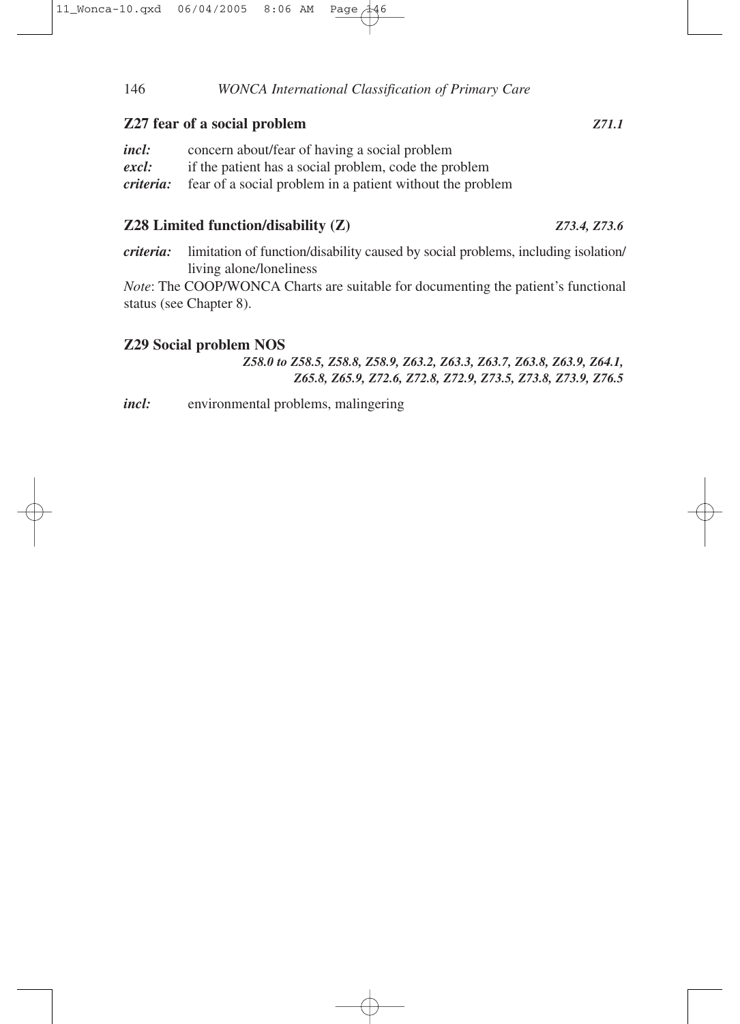### **Z27 fear of a social problem** *Z71.1*

| <i>incl:</i>     | concern about/fear of having a social problem             |
|------------------|-----------------------------------------------------------|
| excl:            | if the patient has a social problem, code the problem     |
| <i>criteria:</i> | fear of a social problem in a patient without the problem |

#### **Z28 Limited function/disability (Z)** *Z73.4, Z73.6*

*criteria:* limitation of function/disability caused by social problems, including isolation/ living alone/loneliness

*Note*: The COOP/WONCA Charts are suitable for documenting the patient's functional status (see Chapter 8).

### **Z29 Social problem NOS**

*Z58.0 to Z58.5, Z58.8, Z58.9, Z63.2, Z63.3, Z63.7, Z63.8, Z63.9, Z64.1, Z65.8, Z65.9, Z72.6, Z72.8, Z72.9, Z73.5, Z73.8, Z73.9, Z76.5*

*incl:* environmental problems, malingering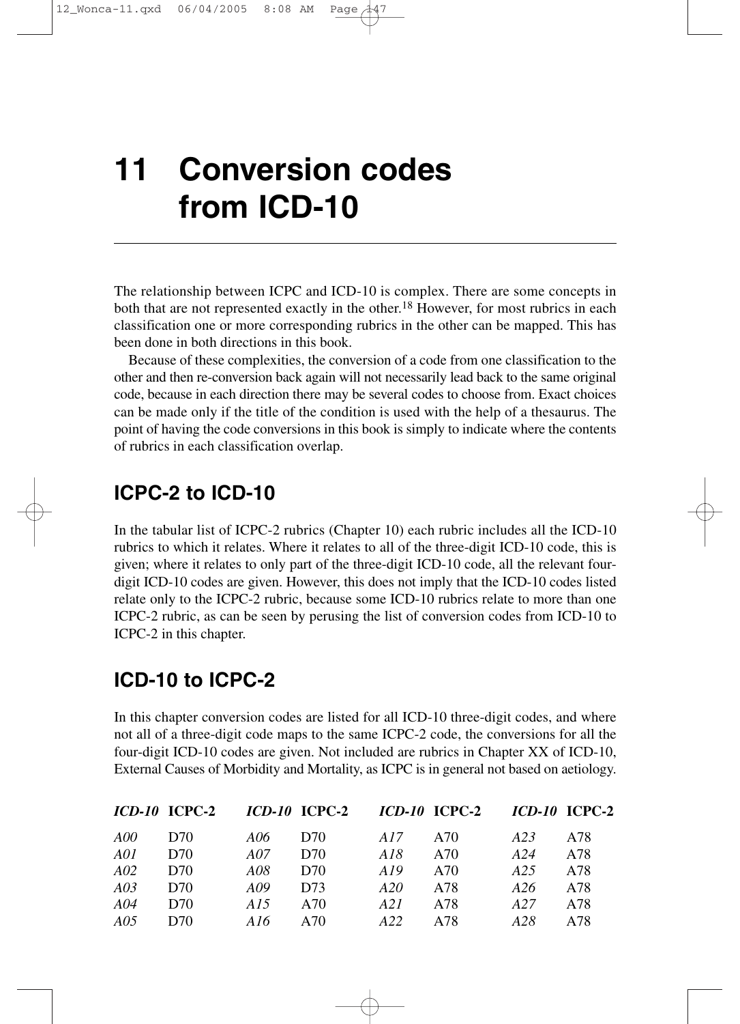The relationship between ICPC and ICD-10 is complex. There are some concepts in both that are not represented exactly in the other.<sup>18</sup> However, for most rubrics in each classification one or more corresponding rubrics in the other can be mapped. This has been done in both directions in this book.

Because of these complexities, the conversion of a code from one classification to the other and then re-conversion back again will not necessarily lead back to the same original code, because in each direction there may be several codes to choose from. Exact choices can be made only if the title of the condition is used with the help of a thesaurus. The point of having the code conversions in this book is simply to indicate where the contents of rubrics in each classification overlap.

# **ICPC-2 to ICD-10**

In the tabular list of ICPC-2 rubrics (Chapter 10) each rubric includes all the ICD-10 rubrics to which it relates. Where it relates to all of the three-digit ICD-10 code, this is given; where it relates to only part of the three-digit ICD-10 code, all the relevant fourdigit ICD-10 codes are given. However, this does not imply that the ICD-10 codes listed relate only to the ICPC-2 rubric, because some ICD-10 rubrics relate to more than one ICPC-2 rubric, as can be seen by perusing the list of conversion codes from ICD-10 to ICPC-2 in this chapter.

# **ICD-10 to ICPC-2**

In this chapter conversion codes are listed for all ICD-10 three-digit codes, and where not all of a three-digit code maps to the same ICPC-2 code, the conversions for all the four-digit ICD-10 codes are given. Not included are rubrics in Chapter XX of ICD-10, External Causes of Morbidity and Mortality, as ICPC is in general not based on aetiology.

|                |                 |           |             | <i>ICD-10</i> ICPC-2 <i>ICD-10</i> ICPC-2 <i>ICD-10</i> ICPC-2 <i>ICD-10</i> ICPC-2 |         |  |
|----------------|-----------------|-----------|-------------|-------------------------------------------------------------------------------------|---------|--|
| <i>A00</i> D70 |                 | A06 D70   | $A17$ $A70$ |                                                                                     | A23 A78 |  |
|                | A01 D70 A07 D70 |           | $A18$ $A70$ |                                                                                     | A24 A78 |  |
| A02 D70        |                 | A08 D70   | $A19$ $A70$ |                                                                                     | A25 A78 |  |
| $A03$ D70      |                 | $A09$ D73 | A20 A78     |                                                                                     | A26 A78 |  |
| $A04$ D70      |                 | A15 A70   | A21 A78     |                                                                                     | A27 A78 |  |
|                | A05 D70 A16 A70 |           | A22 A78     |                                                                                     | A28 A78 |  |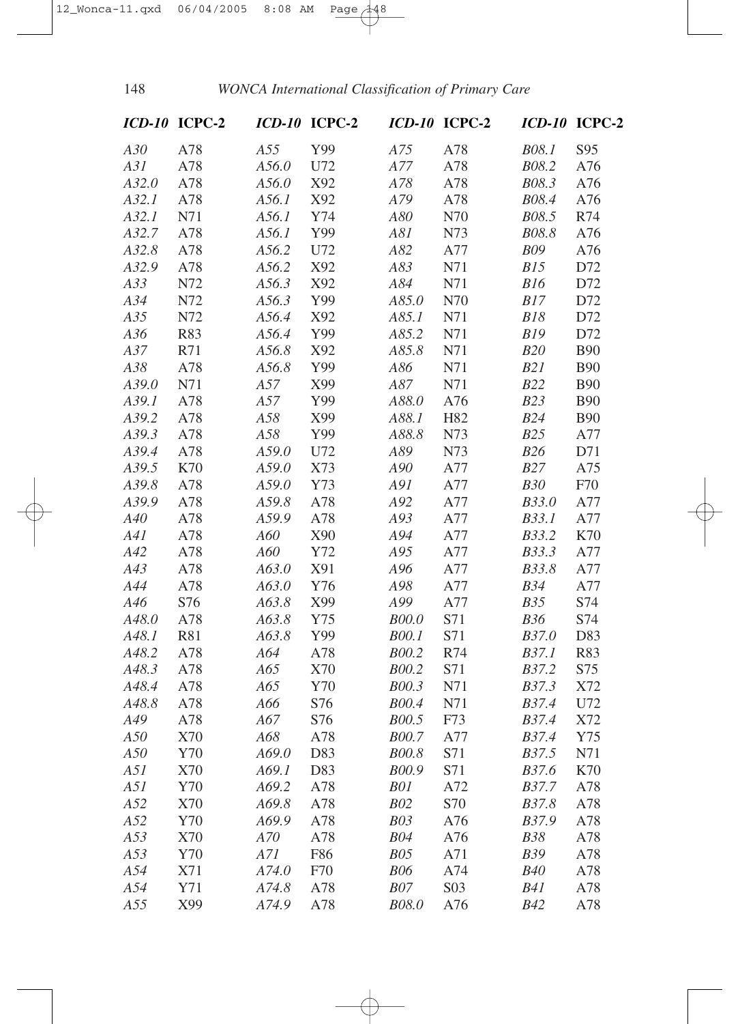| ⊥ ≀∪       |                      | <i><u><b>DIVOIT HUCHRANDRA</b></u></i> CRUSSIFICATION OF |                      |              |                      |               |            |
|------------|----------------------|----------------------------------------------------------|----------------------|--------------|----------------------|---------------|------------|
|            | <b>ICD-10 ICPC-2</b> |                                                          | <b>ICD-10 ICPC-2</b> |              | <b>ICD-10 ICPC-2</b> | ICD-10 ICPC-2 |            |
| A30        | A78                  | A55                                                      | Y99                  | A75          | A78                  | B08.1         | S95        |
| A31        | A78                  | A56.0                                                    | U72                  | A77          | A78                  | B08.2         | A76        |
| A32.0      | A78                  | A56.0                                                    | X92                  | A78          | A78                  | B08.3         | A76        |
| A32.1      | A78                  | A56.1                                                    | X92                  | A79          | A78                  | B08.4         | A76        |
| A32.1      | N71                  | A56.1                                                    | Y74                  | A80          | N70                  | B08.5         | R74        |
| A32.7      | A78                  | A56.1                                                    | Y99                  | A81          | N73                  | <b>B08.8</b>  | A76        |
| A32.8      | A78                  | A56.2                                                    | U72                  | A82          | A77                  | <b>B09</b>    | A76        |
| A32.9      | A78                  | A56.2                                                    | X92                  | A83          | N71                  | B15           | D72        |
| A33        | N72                  | A56.3                                                    | X92                  | A84          | N71                  | B16           | D72        |
| A34        | N72                  | A56.3                                                    | Y99                  | A85.0        | N70                  | B17           | D72        |
| A35        | N72                  | A56.4                                                    | X92                  | A85.1        | N71                  | <b>B18</b>    | D72        |
| A36        | R83                  | A56.4                                                    | Y99                  | A85.2        | N71                  | <b>B19</b>    | D72        |
| A37        | R71                  | A56.8                                                    | X92                  | A85.8        | N71                  | <b>B20</b>    | <b>B90</b> |
| A38        | A78                  | A56.8                                                    | Y99                  | A86          | N71                  | B21           | <b>B90</b> |
| A39.0      | N71                  | A57                                                      | X99                  | A87          | N71                  | <b>B22</b>    | <b>B90</b> |
| A39.1      | A78                  | A57                                                      | Y99                  | A88.0        | A76                  | <b>B23</b>    | <b>B90</b> |
| A39.2      | A78                  | A58                                                      | X99                  | A88.1        | H82                  | <b>B24</b>    | <b>B90</b> |
| A39.3      | A78                  | A58                                                      | Y99                  | A88.8        | N73                  | B25           | A77        |
| A39.4      | A78                  | A59.0                                                    | U72                  | A89          | N73                  | <b>B26</b>    | D71        |
| A39.5      | K70                  | A59.0                                                    | X73                  | A90          | A77                  | <b>B27</b>    | A75        |
| A39.8      | A78                  | A59.0                                                    | Y73                  | A91          | A77                  | <b>B30</b>    | F70        |
| A39.9      | A78                  | A59.8                                                    | A78                  | A92          | A77                  | B33.0         | A77        |
| A40        | A78                  | A59.9                                                    | A78                  | A93          | A77                  | B33.1         | A77        |
| A41        | A78                  | A60                                                      | X90                  | A94          | A77                  | B33.2         | K70        |
| A42        | A78                  | A60                                                      | Y72                  | A95          | A77                  | B33.3         | A77        |
| A43        | A78                  | A63.0                                                    | X91                  | A96          | A77                  | <b>B</b> 33.8 | A77        |
| A44        | A78                  | A63.0                                                    | Y76                  | A98          | A77                  | <b>B34</b>    | A77        |
| A46        | S76                  | A63.8                                                    | X99                  | A99          | A77                  | <b>B35</b>    | S74        |
| A48.0      | A78                  | A63.8                                                    | Y75                  | <b>B00.0</b> | S71                  | <b>B36</b>    | S74        |
| A48.1      | R81                  | A63.8                                                    | Y99                  | <b>B00.1</b> | S71                  | B37.0         | D83        |
| A48.2      | A78                  | A64                                                      | A78                  | B00.2        | R74                  | B37.1         | R83        |
| A48.3      | A78                  | A65                                                      | X70                  | <b>B00.2</b> | S71                  | B37.2         | S75        |
| A48.4      | A78                  | A65                                                      | Y70                  | <i>BOO.3</i> | N71                  | B37.3         | X72        |
| A48.8      | A78                  | A66                                                      | S76                  | <b>B00.4</b> | N71                  | B37.4         | U72        |
| A49        | A78                  | A67                                                      | S76                  | B00.5        | F73                  | B37.4         | X72        |
| A50        | X70                  | A68                                                      | A78                  | <b>B00.7</b> | A77                  | B37.4         | Y75        |
| <i>A50</i> | Y70                  | A69.0                                                    | D83                  | <i>BOO.8</i> | S71                  | <i>B</i> 37.5 | N71        |
| A51        | X70                  | A69.1                                                    | D83                  | B00.9        | S71                  | B37.6         | K70        |
| A51        | Y70                  | A69.2                                                    | A78                  | <b>B01</b>   | A72                  | B37.7         | A78        |
| A52        | X70                  | A69.8                                                    | A78                  | <b>B02</b>   | S70                  | <i>B</i> 37.8 | A78        |
| A52        | Y70                  | A69.9                                                    | A78                  | <b>B03</b>   | A76                  | B37.9         | A78        |
| A53        | X70                  | A70                                                      | A78                  | <b>B04</b>   | A76                  | <b>B</b> 38   | A78        |
| A53        | Y70                  | A71                                                      | F86                  | <b>B05</b>   | A71                  | <b>B39</b>    | A78        |
| A54        | X71                  | A74.0                                                    | F70                  | <b>B06</b>   | A74                  | <b>B40</b>    | A78        |
| A54        | Y71                  | A74.8                                                    | A78                  | ${\it B07}$  | <b>S03</b>           | <b>B41</b>    | A78        |
| A55        | X99                  | A74.9                                                    | A78                  | B08.0        | A76                  | <b>B42</b>    | A78        |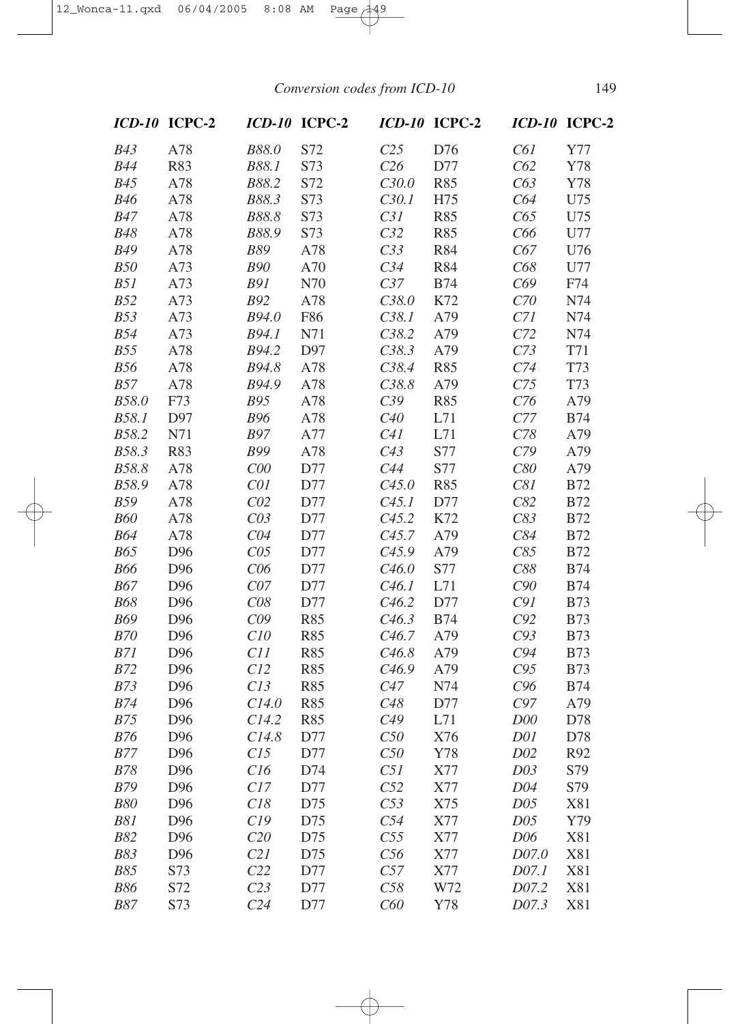┮

|            | <b>ICD-10 ICPC-2</b> |                 | <b>ICD-10 ICPC-2</b> | <i><b>ICD-10</b></i> | ICPC-2     | <b>ICD-10 ICPC-2</b> |            |
|------------|----------------------|-----------------|----------------------|----------------------|------------|----------------------|------------|
| <b>B43</b> | A78                  | B88.0           | S72                  | C25                  | D76        | C61                  | Y77        |
| <b>B44</b> | R83                  | B88.1           | S73                  | C <sub>26</sub>      | D77        | C62                  | Y78        |
| <b>B45</b> | A78                  | B88.2           | S72                  | C30.0                | R85        | C63                  | Y78        |
| <i>B46</i> | A78                  | B88.3           | S73                  | C30.1                | H75        | C64                  | U75        |
| <i>B47</i> | A78                  | <b>B88.8</b>    | S73                  | C31                  | R85        | C65                  | U75        |
| <b>B48</b> | A78                  | B88.9           | S73                  | C32                  | R85        | C66                  | U77        |
| <b>B49</b> | A78                  | <b>B89</b>      | A78                  | C33                  | R84        | C67                  | U76        |
| <b>B50</b> | A73                  | <b>B90</b>      | A70                  | C <sub>34</sub>      | R84        | C68                  | U77        |
| <i>B51</i> | A73                  | <i>B91</i>      | N70                  | C37                  | <b>B74</b> | C69                  | F74        |
| <b>B52</b> | A73                  | <b>B92</b>      | A78                  | C38.0                | K72        | ${\cal C}70$         | N74        |
| <b>B53</b> | A73                  | B94.0           | F86                  | C38.1                | A79        | C71                  | N74        |
| <b>B54</b> | A73                  | B94.1           | N71                  | $C38.2\,$            | A79        | C72                  | N74        |
| <b>B55</b> | A78                  | B94.2           | D97                  | C38.3                | A79        | C73                  | T71        |
| <b>B56</b> | A78                  | B94.8           | A78                  | C38.4                | R85        | C74                  | T73        |
| <b>B57</b> | A78                  | B94.9           | A78                  | C38.8                | A79        | C75                  | T73        |
| B58.0      | F73                  | <b>B95</b>      | A78                  | C39                  | R85        | C76                  | A79        |
| B58.1      | D97                  | <b>B96</b>      | A78                  | C40                  | L71        | C77                  | <b>B74</b> |
| B58.2      | N71                  | <b>B97</b>      | A77                  | C41                  | L71        | C78                  | A79        |
| B58.3      | R83                  | <b>B99</b>      | A78                  | C43                  | S77        | ${\cal C}79$         | A79        |
| B58.8      | A78                  | C00             | D77                  | C44                  | S77        | C80                  | A79        |
| B58.9      | A78                  | COI             | D77                  | C45.0                | R85        | C81                  | <b>B72</b> |
| <b>B59</b> | A78                  | CO <sub>2</sub> | D77                  | C45.1                | D77        | C82                  | <b>B72</b> |
| <b>B60</b> | A78                  | CO <sub>3</sub> | D77                  | C45.2                | K72        | C83                  | <b>B72</b> |
| <i>B64</i> | A78                  | CO4             | D77                  | C45.7                | A79        | C84                  | <b>B72</b> |
| <i>B65</i> | D96                  | CO <sub>5</sub> | D77                  | C45.9                | A79        | C85                  | <b>B72</b> |
| <b>B66</b> | D <sub>96</sub>      | C <sub>06</sub> | D77                  | C46.0                | S77        | C88                  | <b>B74</b> |
| <b>B67</b> | D96                  | CO7             | D77                  | C46.1                | L71        | C90                  | <b>B74</b> |
| <b>B68</b> | D96                  | CO8             | D77                  | C46.2                | D77        | C91                  | <b>B73</b> |
| <b>B69</b> | D96                  | CO9             | R85                  | C46.3                | <b>B74</b> | C92                  | <b>B73</b> |
| <b>B70</b> | D96                  | C10             | R85                  | C <sub>46.7</sub>    | A79        | C93                  | <b>B73</b> |
| <i>B71</i> | D96                  | C11             | R85                  | C46.8                | A79        | C94                  | <b>B73</b> |
| <b>B72</b> | D96                  | C12             | R85                  | C46.9                | A79        | C95                  | <b>B73</b> |
| <b>B73</b> | D96                  | C13             | R85                  | C47                  | N74        | C96                  | <b>B74</b> |
| <b>B74</b> | D <sub>96</sub>      | C14.0           | R85                  | C48                  | D77        | C97                  | A79        |
| <b>B75</b> | D96                  | C14.2           | R85                  | C49                  | L71        | D00                  | D78        |
| <b>B76</b> | D96                  | C14.8           | D77                  | C50                  | X76        | <b>D01</b>           | D78        |
| <i>B77</i> | D96                  | C15             | D77                  | C50                  | Y78        | D <sub>02</sub>      | R92        |
| $B78\,$    | D <sub>96</sub>      | C16             | D74                  | C51                  | X77        | D03                  | S79        |
| <b>B79</b> | D96                  | C17             | D77                  | C52                  | X77        | D04                  | S79        |
| <b>B80</b> | D96                  | C18             | D75                  | C53                  | X75        | D05                  | X81        |
| <b>B81</b> | D96                  | C19             | D75                  | C54                  | X77        | D05                  | Y79        |
| <b>B82</b> | D96                  | C20             | D75                  | C55                  | X77        | D <sub>06</sub>      | X81        |
| <b>B83</b> | D96                  | C21             | D75                  | C56                  | X77        | D07.0                | X81        |
| <b>B85</b> | S73                  | C22             | D77                  | C57                  | X77        | D07.1                | X81        |
| <b>B86</b> | S72                  | C23             | D77                  | C58                  | W72        | D07.2                | X81        |
| $B87\;$    | S73                  | C <sub>24</sub> | D77                  | C60                  | Y78        | D07.3                | X81        |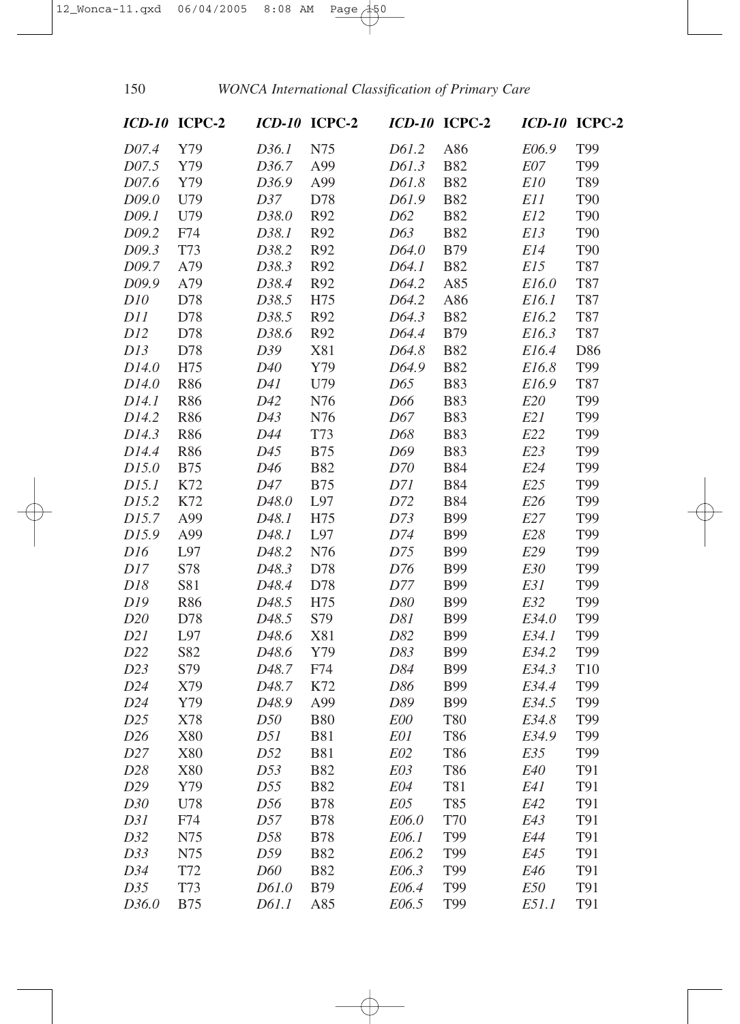| <b>ICD-10</b>     | ICPC-2     | <b>ICD-10</b>     | ICPC-2     | <b>ICD-10</b> | ICPC-2     | $ICD-10$   | ICPC-2     |
|-------------------|------------|-------------------|------------|---------------|------------|------------|------------|
| D07.4             | Y79        | D36.1             | N75        | D61.2         | A86        | E06.9      | T99        |
| D07.5             | Y79        | D36.7             | A99        | D61.3         | <b>B82</b> | E07        | T99        |
| D07.6             | Y79        | D36.9             | A99        | D61.8         | <b>B82</b> | E10        | T89        |
| D09.0             | U79        | D37               | D78        | D61.9         | <b>B82</b> | <i>E11</i> | <b>T90</b> |
| D09.1             | U79        | D38.0             | R92        | D62           | <b>B82</b> | E12        | <b>T90</b> |
| D09.2             | F74        | D38.1             | R92        | D63           | <b>B82</b> | E13        | <b>T90</b> |
| D09.3             | T73        | D38.2             | R92        | D64.0         | <b>B79</b> | E14        | <b>T90</b> |
| D09.7             | A79        | D38.3             | R92        | D64.1         | <b>B82</b> | E15        | T87        |
| D <sub>09.9</sub> | A79        | D38.4             | R92        | D64.2         | A85        | E16.0      | T87        |
| D10               | D78        | D38.5             | H75        | D64.2         | A86        | E16.1      | T87        |
| D11               | D78        | D38.5             | R92        | D64.3         | <b>B82</b> | E16.2      | T87        |
| D12               | D78        | D38.6             | R92        | D64.4         | <b>B79</b> | E16.3      | T87        |
| D13               | D78        | D39               | X81        | D64.8         | <b>B82</b> | E16.4      | D86        |
| D14.0             | H75        | D <sub>40</sub>   | Y79        | D64.9         | <b>B82</b> | E16.8      | T99        |
| D14.0             | R86        | D41               | U79        | D65           | <b>B83</b> | E16.9      | T87        |
| D14.1             | <b>R86</b> | D42               | N76        | D66           | <b>B83</b> | E20        | T99        |
| D14.2             | <b>R86</b> | D43               | N76        | D67           | <b>B83</b> | E21        | T99        |
| D14.3             | R86        | D44               | T73        | D68           | <b>B83</b> | E22        | T99        |
| D14.4             | R86        | D45               | <b>B75</b> | D69           | <b>B83</b> | E23        | T99        |
| D15.0             | <b>B75</b> | D46               | <b>B82</b> | D70           | <b>B84</b> | E24        | T99        |
| D15.1             | K72        | D47               | <b>B75</b> | D71           | <b>B84</b> | E25        | T99        |
| D15.2             | K72        | D48.0             | L97        | D72           | <b>B84</b> | E26        | T99        |
| D15.7             | A99        | D48.1             | H75        | D73           | <b>B99</b> | E27        | T99        |
| D15.9             | A99        | D48.1             | L97        | D74           | <b>B99</b> | E28        | T99        |
| D <sub>16</sub>   | L97        | D48.2             | N76        | D75           | <b>B99</b> | E29        | T99        |
| D17               | S78        | D48.3             | D78        | D76           | <b>B99</b> | E30        | T99        |
| D18               | S81        | D48.4             | D78        | D77           | <b>B99</b> | E31        | T99        |
| D19               | R86        | D48.5             | H75        | D80           | <b>B99</b> | E32        | T99        |
| D <sub>20</sub>   | D78        | D <sub>48.5</sub> | S79        | D81           | <b>B99</b> | E34.0      | T99        |
| D21               | L97        | D48.6             | X81        | D82           | <b>B99</b> | E34.1      | T99        |
| D <sub>22</sub>   | S82        | D48.6             | Y79        | D83           | <b>B99</b> | E34.2      | T99        |
| D23               | S79        | D48.7             | F74        | D84           | <b>B99</b> | E34.3      | T10        |
| D24               | X79        | D48.7             | K72        | D86           | <b>B99</b> | E34.4      | T99        |
| D24               | Y79        | D <sub>48.9</sub> | A99        | D89           | <b>B99</b> | E34.5      | T99        |
| D25               | X78        | D50               | <b>B80</b> | <b>E00</b>    | <b>T80</b> | E34.8      | T99        |
| D26               | X80        | D5I               | <b>B81</b> | E01           | T86        | E34.9      | T99        |
| D <sub>27</sub>   | X80        | D52               | <b>B81</b> | E02           | <b>T86</b> | E35        | T99        |
| D28               | X80        | D53               | <b>B82</b> | E03           | T86        | E40        | T91        |
| D29               | Y79        | D55               | <b>B82</b> | E04           | T81        | E41        | T91        |
| D30               | U78        | D56               | <b>B78</b> | E05           | T85        | E42        | T91        |
| D31               | F74        | D57               | <b>B78</b> | E06.0         | <b>T70</b> | E43        | T91        |
| D32               | N75        | D58               | <b>B78</b> | E06.1         | T99        | E44        | T91        |
| D33               | N75        | D59               | <b>B82</b> | E06.2         | T99        | E45        | T91        |
| D34               | T72        | D60               | <b>B82</b> | E06.3         | T99        | E46        | T91        |
| D35               | T73        | D61.0             | <b>B79</b> | E06.4         | T99        | E50        | T91        |
| D36.0             | <b>B75</b> | D61.1             | A85        | E06.5         | T99        | E51.1      | T91        |

- 
- 
-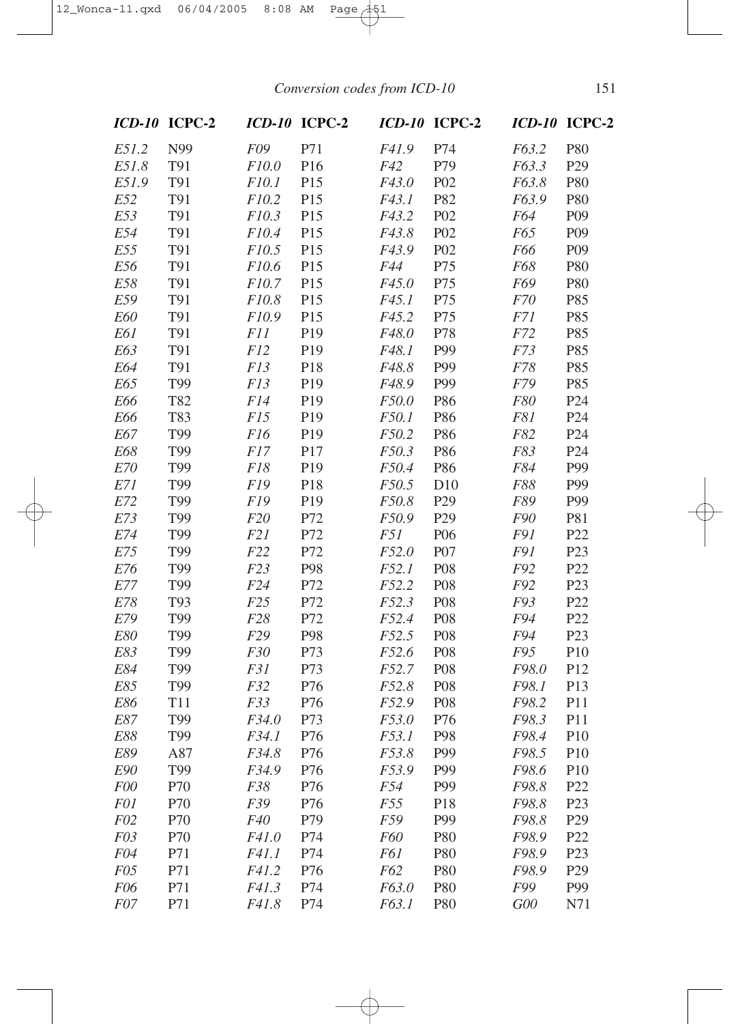Т

| $ICD-10$   | ICPC-2 | <i><b>ICD-10</b></i> | ICPC-2          | <i><b>ICD-10</b></i> | ICPC-2          |            | <b>ICD-10 ICPC-2</b> |
|------------|--------|----------------------|-----------------|----------------------|-----------------|------------|----------------------|
| E51.2      | N99    | F09                  | P71             | F41.9                | P74             | F63.2      | P80                  |
| E51.8      | T91    | F10.0                | P <sub>16</sub> | F42                  | P79             | F63.3      | P <sub>29</sub>      |
| E51.9      | T91    | <i>F10.1</i>         | P15             | F43.0                | P <sub>02</sub> | F63.8      | P80                  |
| E52        | T91    | F10.2                | P15             | F43.1                | P82             | F63.9      | P80                  |
| E53        | T91    | F10.3                | P15             | F43.2                | P <sub>02</sub> | F64        | P <sub>09</sub>      |
| E54        | T91    | F10.4                | P15             | F43.8                | P <sub>02</sub> | F65        | P <sub>09</sub>      |
| E55        | T91    | F10.5                | P15             | F43.9                | P <sub>02</sub> | F66        | P <sub>09</sub>      |
| E56        | T91    | F10.6                | P15             | F44                  | P75             | F68        | P80                  |
| E58        | T91    | F10.7                | P15             | F45.0                | P75             | F69        | P80                  |
| E59        | T91    | F10.8                | P15             | F45.1                | P75             | <i>F70</i> | P85                  |
| <i>E60</i> | T91    | F10.9                | P15             | F45.2                | P75             | <i>F71</i> | P85                  |
| E61        | T91    | F11                  | P19             | F48.0                | P78             | F72        | P85                  |
| E63        | T91    | F12                  | P19             | F48.1                | P99             | F73        | P85                  |
| E64        | T91    | F13                  | P18             | F48.8                | P99             | F78        | P85                  |
| E65        | T99    | F13                  | P <sub>19</sub> | F48.9                | P99             | F79        | P85                  |
| E66        | T82    | F14                  | P <sub>19</sub> | <i>F50.0</i>         | P86             | F80        | P24                  |
| E66        | T83    | F15                  | P19             | F50.1                | P86             | F81        | P24                  |
| E67        | T99    | F16                  | P19             | F50.2                | P86             | F82        | P24                  |
| E68        | T99    | F17                  | P17             | F50.3                | P86             | F83        | P24                  |
| E70        | T99    | F18                  | P19             | F50.4                | P86             | F84        | P99                  |
| E71        | T99    | F19                  | P18             | F50.5                | D10             | F88        | P99                  |
| E72        | T99    | F19                  | P19             | F50.8                | P <sub>29</sub> | F89        | P99                  |
| E73        | T99    | F20                  | P72             | F50.9                | P <sub>29</sub> | F90        | P81                  |
| E74        | T99    | F21                  | P72             | F51                  | P <sub>06</sub> | F91        | P22                  |
| E75        | T99    | F22                  | P72             | F52.0                | P07             | F91        | P <sub>23</sub>      |
| E76        | T99    | F23                  | P98             | <i>F52.1</i>         | P08             | F92        | P22                  |
| E77        | T99    | F24                  | P72             | F52.2                | P08             | F92        | P <sub>23</sub>      |
| E78        | T93    | F25                  | P72             | F52.3                | P <sub>08</sub> | F93        | P22                  |
| E79        | T99    | F28                  | P72             | F52.4                | P08             | F94        | P22                  |
| E80        | T99    | F29                  | P98             | F52.5                | P08             | F94        | P <sub>23</sub>      |
| E83        | T99    | F30                  | P73             | F52.6                | P <sub>08</sub> | F95        | P10                  |
| E84        | T99    | F31                  | P73             | F52.7                | P <sub>08</sub> | F98.0      | P <sub>12</sub>      |
| E85        | T99    | F32                  | P76             | F52.8                | <b>P08</b>      | F98.1      | P <sub>13</sub>      |
| E86        | T11    | F33                  | P76             | F52.9                | P <sub>08</sub> | F98.2      | P11                  |
| E87        | T99    | F34.0                | P73             | F53.0                | P76             | F98.3      | P11                  |
| E88        | T99    | F34.1                | P76             | F53.1                | <b>P98</b>      | F98.4      | P10                  |
| E89        | A87    | F34.8                | P76             | F53.8                | P99             | F98.5      | P <sub>10</sub>      |
| E90        | T99    | F34.9                | P76             | F53.9                | P99             | F98.6      | P10                  |
| F00        | P70    | F38                  | P76             | F54                  | P99             | F98.8      | P22                  |
| F01        | P70    | F39                  | P76             | F55                  | P18             | F98.8      | P <sub>23</sub>      |
| F02        | P70    | <i>F40</i>           | P79             | F59                  | P99             | F98.8      | P <sub>29</sub>      |
| F03        | P70    | F41.0                | P74             | F60                  | P80             | F98.9      | P22                  |
| F04        | P71    | <i>F41.1</i>         | P74             | F61                  | P80             | F98.9      | P <sub>23</sub>      |
| F05        | P71    | F41.2                | P76             | F62                  | P80             | F98.9      | P <sub>29</sub>      |
| <i>F06</i> | P71    | F41.3                | P74             | F63.0                | P80             | F99        | P99                  |
| F07        | P71    | F41.8                | P74             | F63.1                | P80             | G00        | N71                  |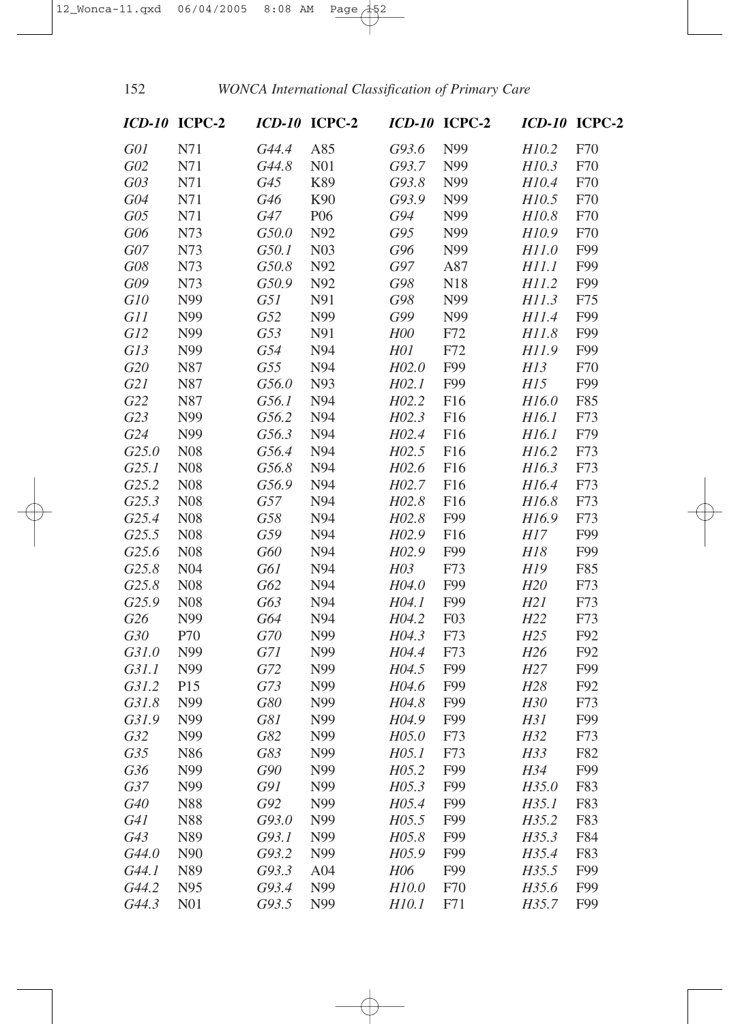| <b>ICD-10</b> | ICPC-2           | $ICD-10$ | ICPC-2          | $ICD-10$          | ICPC-2 | $ICD-10$          | ICPC-2 |
|---------------|------------------|----------|-----------------|-------------------|--------|-------------------|--------|
| G01           | N71              | G44.4    | A85             | G93.6             | N99    | H10.2             | F70    |
| GO2           | N71              | G44.8    | N <sub>01</sub> | G93.7             | N99    | H <sub>10.3</sub> | F70    |
| G03           | N71              | G45      | K89             | G93.8             | N99    | H <sub>10.4</sub> | F70    |
| G04           | N71              | G46      | K90             | G93.9             | N99    | H <sub>10.5</sub> | F70    |
| G05           | N71              | G47      | P <sub>06</sub> | G94               | N99    | H <sub>10.8</sub> | F70    |
| G06           | N73              | G50.0    | N92             | G95               | N99    | H <sub>10.9</sub> | F70    |
| G07           | N73              | G50.1    | N <sub>03</sub> | G96               | N99    | H11.0             | F99    |
| G08           | N73              | G50.8    | N92             | G97               | A87    | H11.1             | F99    |
| G09           | N73              | G50.9    | N92             | G98               | N18    | H11.2             | F99    |
| G10           | N99              | G51      | N91             | G98               | N99    | H11.3             | F75    |
| G11           | N99              | G52      | N99             | G99               | N99    | H11.4             | F99    |
| G12           | N99              | G53      | N91             | <b>H00</b>        | F72    | H11.8             | F99    |
| G13           | N99              | G54      | N94             | H01               | F72    | H11.9             | F99    |
| G20           | N87              | G55      | N94             | H02.0             | F99    | H13               | F70    |
| G21           | N87              | G56.0    | N93             | H02.1             | F99    | H15               | F99    |
| G22           | N87              | G56.1    | N94             | H02.2             | F16    | H <sub>16.0</sub> | F85    |
| G23           | N99              | G56.2    | N94             | H02.3             | F16    | H16.1             | F73    |
| G24           | N99              | G56.3    | N94             | H02.4             | F16    | H16.1             | F79    |
| G25.0         | N <sub>0</sub> 8 | G56.4    | N94             | H02.5             | F16    | H <sub>16.2</sub> | F73    |
| G25.1         | N <sub>0</sub> 8 | G56.8    | N94             | H02.6             | F16    | H16.3             | F73    |
| G25.2         | N <sub>08</sub>  | G56.9    | N94             | H02.7             | F16    | H16.4             | F73    |
| G25.3         | N <sub>08</sub>  | G57      | N94             | H02.8             | F16    | H16.8             | F73    |
| G25.4         | N <sub>08</sub>  | G58      | N94             | H02.8             | F99    | H <sub>16.9</sub> | F73    |
| G25.5         | N <sub>08</sub>  | G59      | N94             | H02.9             | F16    | H17               | F99    |
| G25.6         | N <sub>08</sub>  | G60      | N94             | H <sub>02.9</sub> | F99    | H18               | F99    |
| G25.8         | N04              | G61      | N94             | H03               | F73    | H19               | F85    |
| G25.8         | N <sub>08</sub>  | G62      | N94             | H04.0             | F99    | H <sub>20</sub>   | F73    |
| G25.9         | N <sub>08</sub>  | G63      | N94             | H04.1             | F99    | H21               | F73    |
| G26           | N99              | G64      | N94             | H04.2             | F03    | H22               | F73    |
| G30           | P70              | G70      | N99             | H04.3             | F73    | H25               | F92    |
| G31.0         | N99              | G71      | N99             | H04.4             | F73    | H <sub>26</sub>   | F92    |
| G31.1         | N99              | G72      | N99             | H04.5             | F99    | H27               | F99    |
| G31.2         | P15              | G73      | N99             | H04.6             | F99    | H <sub>28</sub>   | F92    |
| G31.8         | N99              | G80      | N99             | H04.8             | F99    | H30               | F73    |
| G31.9         | N99              | G81      | N99             | H04.9             | F99    | H31               | F99    |
| G32           | N99              | G82      | N99             | H05.0             | F73    | H32               | F73    |
| G35           | N86              | G83      | N99             | H05.1             | F73    | H33               | F82    |
| G36           | N99              | G90      | N99             | H05.2             | F99    | H34               | F99    |
| G37           | N99              | G91      | N99             | H05.3             | F99    | H35.0             | F83    |
| G40           | N88              | G92      | N99             | H05.4             | F99    | H35.1             | F83    |
| G41           | N88              | G93.0    | N99             | H05.5             | F99    | H35.2             | F83    |
| G43           | N89              | G93.1    | N99             | H05.8             | F99    | H35.3             | F84    |
| G44.0         | N90              | G93.2    | N99             | H05.9             | F99    | H35.4             | F83    |
| G44.1         | N89              | G93.3    | A04             | H06               | F99    | H35.5             | F99    |
| G44.2         | N95              | G93.4    | N99             | H <sub>10.0</sub> | F70    | H35.6             | F99    |
| G44.3         | N <sub>01</sub>  | G93.5    | N99             | H10.1             | F71    | H35.7             | F99    |

€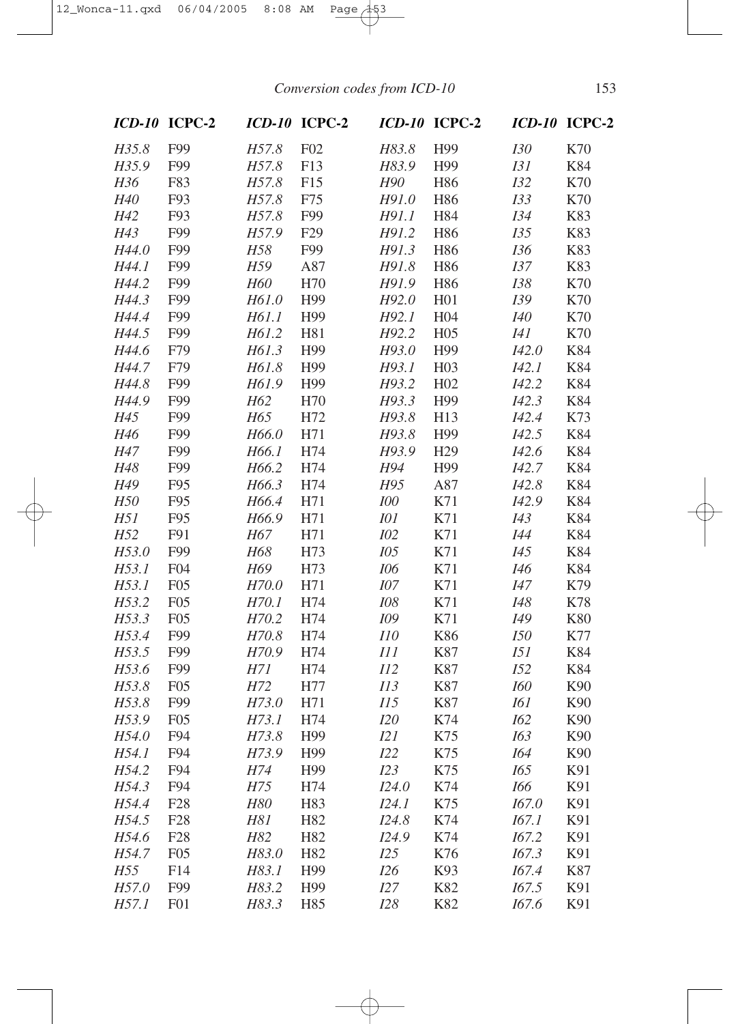Т

| $ICD-10$        | ICPC-2          |       | <b>ICD-10 ICPC-2</b> |            | <b>ICD-10 ICPC-2</b> | <b>ICD-10 ICPC-2</b> |            |
|-----------------|-----------------|-------|----------------------|------------|----------------------|----------------------|------------|
| H35.8           | F99             | H57.8 | F02                  | H83.8      | H99                  | 130                  | K70        |
| H35.9           | F99             | H57.8 | F13                  | H83.9      | H99                  | <i>I31</i>           | K84        |
| H36             | F83             | H57.8 | F15                  | H90        | H86                  | 132                  | K70        |
| H40             | F93             | H57.8 | F75                  | H91.0      | H86                  | I33                  | K70        |
| H42             | F93             | H57.8 | F99                  | H91.1      | H84                  | <i>I34</i>           | K83        |
| H43             | F99             | H57.9 | F <sub>29</sub>      | H91.2      | H86                  | I35                  | K83        |
| H44.0           | F99             | H58   | F99                  | H91.3      | H86                  | 136                  | K83        |
| H44.1           | F99             | H59   | A87                  | H91.8      | H86                  | 137                  | K83        |
| H44.2           | F99             | H60   | H70                  | H91.9      | H86                  | 138                  | K70        |
| H44.3           | F99             | H61.0 | H99                  | H92.0      | H <sub>01</sub>      | 139                  | K70        |
| H44.4           | F99             | H61.1 | H99                  | H92.1      | H <sub>04</sub>      | <i>I40</i>           | K70        |
| H44.5           | F99             | H61.2 | H81                  | H92.2      | H <sub>05</sub>      | <i>I41</i>           | K70        |
| H44.6           | F79             | H61.3 | H99                  | H93.0      | H99                  | 142.0                | K84        |
| H44.7           | F79             | H61.8 | H99                  | H93.1      | H <sub>03</sub>      | <i>I42.1</i>         | K84        |
| H44.8           | F99             | H61.9 | H99                  | H93.2      | H02                  | 142.2                | K84        |
| H44.9           | F99             | H62   | H70                  | H93.3      | H99                  | 142.3                | K84        |
| H45             | F99             | H65   | H72                  | H93.8      | H13                  | 142.4                | K73        |
| H46             | F99             | H66.0 | H71                  | H93.8      | H99                  | 142.5                | K84        |
| H47             | F99             | H66.1 | H74                  | H93.9      | H <sub>29</sub>      | 142.6                | K84        |
| H48             | F99             | H66.2 | H74                  | H94        | H99                  | <i>I42.7</i>         | K84        |
| H49             | F95             | H66.3 | H74                  | H95        | A87                  | 142.8                | K84        |
| H <sub>50</sub> | F95             | H66.4 | H71                  | 100        | K71                  | 142.9                | K84        |
| H51             | F95             | H66.9 | H71                  | 101        | K71                  | 143                  | K84        |
| H <sub>52</sub> | F91             | H67   | H71                  | 102        | K71                  | <i>I44</i>           | K84        |
| H53.0           | F99             | H68   | H73                  | 105        | K71                  | 145                  | K84        |
| H53.1           | F04             | H69   | H73                  | 106        | K71                  | 146                  | K84        |
| H53.1           | F05             | H70.0 | H71                  | I07        | K71                  | 147                  | K79        |
| H53.2           | F05             | H70.1 | H74                  | 108        | K71                  | <i>I48</i>           | K78        |
| H53.3           | F05             | H70.2 | H74                  | <b>I09</b> | K71                  | <i>I49</i>           | <b>K80</b> |
| H53.4           | F99             | H70.8 | H74                  | II0        | K86                  | <i>I50</i>           | K77        |
| H53.5           | F99             | H70.9 | H74                  | III        | K87                  | I5I                  | K84        |
| H53.6           | F99             | H71   | H74                  | II2        | K87                  | I52                  | K84        |
| H53.8           | F05             | H72   | H77                  | II3        | K87                  | <i><b>I60</b></i>    | K90        |
| H53.8           | F99             | H73.0 | H71                  | II5        | K87                  | <i>I61</i>           | K90        |
| H53.9           | F05             | H73.1 | H74                  | <i>I20</i> | K74                  | 162                  | K90        |
| H54.0           | F94             | H73.8 | H99                  | 121        | K75                  | 163                  | K90        |
| H54.1           | F94             | H73.9 | H99                  | I22        | K75                  | <i>I</i> 64          | K90        |
| H54.2           | F94             | H74   | H99                  | I23        | K75                  | I65                  | K91        |
| H54.3           | F94             | H75   | H74                  | 124.0      | K74                  | 166                  | K91        |
| H54.4           | F <sub>28</sub> | H80   | H83                  | I24.1      | K75                  | 167.0                | K91        |
| H54.5           | F <sub>28</sub> | H81   | H82                  | I24.8      | K74                  | <i>I</i> 67.1        | K91        |
| H54.6           | F <sub>28</sub> | H82   | H82                  | I24.9      | K74                  | I67.2                | K91        |
| H54.7           | F05             | H83.0 | H82                  | I25        | K76                  | I67.3                | K91        |
| H55             | F14             | H83.1 | H99                  | I26        | K93                  | 167.4                | K87        |
| H57.0           | F99             | H83.2 | H99                  | I27        | K82                  | I67.5                | K91        |
| H57.1           | F01             | H83.3 | H85                  | 128        | K82                  | 167.6                | K91        |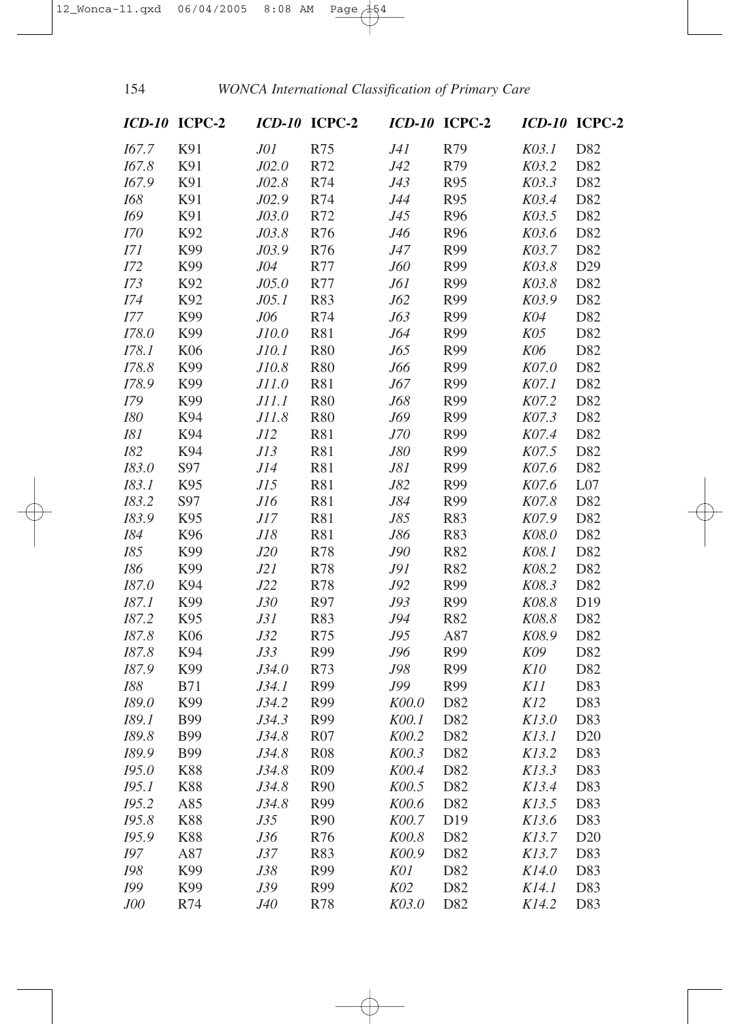| 154 | <b>WONCA International Classification of Primary Care</b> |
|-----|-----------------------------------------------------------|
|-----|-----------------------------------------------------------|

| $ICD-10$      | ICPC-2     | $ICD-10$      | ICPC-2          |                   | <b>ICD-10 ICPC-2</b> |       | <b>ICD-10 ICPC-2</b> |
|---------------|------------|---------------|-----------------|-------------------|----------------------|-------|----------------------|
| <i>I</i> 67.7 | K91        | J01           | R75             | <i>J41</i>        | R79                  | K03.1 | D82                  |
| 167.8         | K91        | J02.0         | R72             | <i>J42</i>        | R79                  | K03.2 | D82                  |
| 167.9         | K91        | J02.8         | R74             | J43               | R95                  | K03.3 | D82                  |
| 168           | K91        | J02.9         | R74             | J44               | R95                  | K03.4 | D82                  |
| <i>I69</i>    | K91        | J03.0         | R72             | J45               | R96                  | K03.5 | D <sub>82</sub>      |
| 170           | K92        | J03.8         | R76             | J46               | R96                  | K03.6 | D82                  |
| I7I           | K99        | J03.9         | R76             | J47               | R99                  | K03.7 | D82                  |
| <i>I72</i>    | K99        | J04           | R77             | <i>J60</i>        | R99                  | K03.8 | D29                  |
| I73           | K92        | J05.0         | R77             | J61               | R99                  | K03.8 | D <sub>82</sub>      |
| <i>I74</i>    | K92        | J05.1         | R83             | J62               | R99                  | K03.9 | D82                  |
| $I77$         | K99        | <i>J06</i>    | R74             | J63               | R99                  | K04   | D82                  |
| 178.0         | K99        | J10.0         | R81             | J64               | R99                  | K05   | D82                  |
| 178.1         | K06        | J10.1         | <b>R80</b>      | J65               | R99                  | K06   | D82                  |
| 178.8         | K99        | J10.8         | <b>R80</b>      | <i>J</i> 66       | R99                  | K07.0 | D82                  |
| 178.9         | K99        | J11.0         | R81             | J67               | R99                  | K07.1 | D82                  |
| <i>I79</i>    | K99        | <i>J11.1</i>  | <b>R80</b>      | <i>J</i> 68       | R99                  | K07.2 | D82                  |
| 180           | K94        | J11.8         | <b>R80</b>      | J69               | R99                  | K07.3 | D82                  |
| 181           | K94        | JI2           | R81             | $J70\,$           | R99                  | K07.4 | D82                  |
| 182           | K94        | JI3           | R81             | ${\it J80}$       | R99                  | K07.5 | D82                  |
| 183.0         | S97        | JI4           | R81             | J81               | R99                  | K07.6 | D82                  |
| 183.1         | K95        | JI5           | R81             | <i>J82</i>        | R99                  | K07.6 | L07                  |
| 183.2         | S97        | J16           | R81             | J84               | R99                  | K07.8 | D82                  |
| 183.9         | K95        | JI7           | R81             | <i>J85</i>        | R83                  | K07.9 | D82                  |
| 184           | K96        | J18           | R81             | <b>J86</b>        | R83                  | K08.0 | D82                  |
| 185           | K99        | J20           | R78             | <b>J90</b>        | R82                  | K08.1 | D82                  |
| 186           | K99        | J21           | R78             | <i>J91</i>        | R82                  | K08.2 | D82                  |
| 187.0         | K94        | J22           | R78             | J92               | R99                  | K08.3 | D82                  |
| 187.1         | K99        | <i>J30</i>    | R97             | J93               | R99                  | K08.8 | D <sub>19</sub>      |
| 187.2         | K95        | J31           | R83             | J94               | R82                  | K08.8 | D82                  |
| 187.8         | K06        | J32           | R75             | J95               | A87                  | K08.9 | D82                  |
| 187.8         | K94        | J33           | R99             | <b>J96</b>        | R99                  | K09   | D82                  |
| 187.9         | K99        | J34.0         | R73             | <i><b>J98</b></i> | R99                  | K10   | D82                  |
| 188           | <b>B71</b> | <i>J34.1</i>  | R99             | J99               | R99                  | K11   | D83                  |
| 189.0         | K99        | J34.2         | R99             | K00.0             | D82                  | K12   | D83                  |
| 189.1         | <b>B99</b> | <i>J</i> 34.3 | R99             | K00.1             | D82                  | K13.0 | D83                  |
| 189.8         | <b>B99</b> | J34.8         | <b>R07</b>      | K00.2             | D82                  | K13.1 | D20                  |
| 189.9         | <b>B99</b> | J34.8         | <b>R08</b>      | K00.3             | D82                  | K13.2 | D83                  |
| I95.0         | <b>K88</b> | J34.8         | R <sub>09</sub> | K00.4             | D82                  | K13.3 | D83                  |
| 195.1         | <b>K88</b> | J34.8         | R90             | K00.5             | D82                  | K13.4 | D83                  |
| I95.2         | A85        | J34.8         | R99             | K00.6             | D82                  | K13.5 | D83                  |
| I95.8         | <b>K88</b> | J35           | R90             | K00.7             | D19                  | K13.6 | D83                  |
| 195.9         | <b>K88</b> | <i>J</i> 36   | R76             | K00.8             | D82                  | K13.7 | D20                  |
| 197           | A87        | J37           | R83             | K00.9             | D82                  | K13.7 | D83                  |
| 198           | K99        | <i>J</i> 38   | R99             | K01               | D82                  | K14.0 | D83                  |
| 199           | K99        | <i>J39</i>    | R99             | KO2               | D82                  | K14.1 | D83                  |
| J00           | R74        | J40           | R78             | K03.0             | D82                  | K14.2 | D83                  |

 $\overline{\bigoplus}$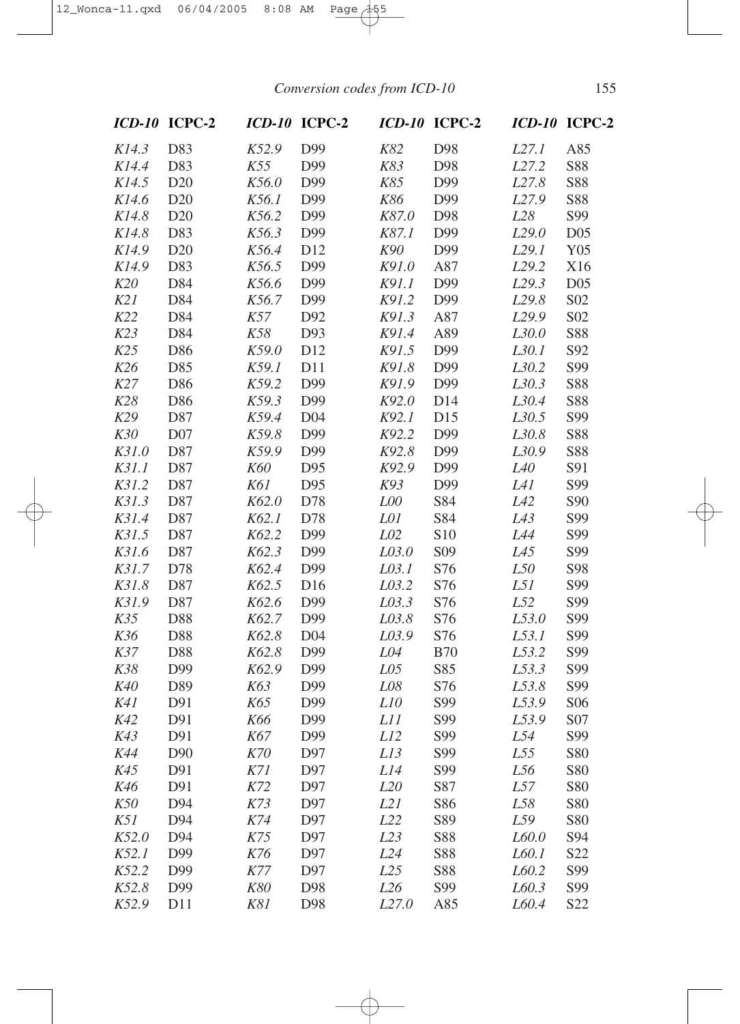| $ICD-10$ | ICPC-2          | $ICD-10$ | ICPC-2          | $ICD-10$ | $ICPC-2$   |                   | <b>ICD-10 ICPC-2</b> |
|----------|-----------------|----------|-----------------|----------|------------|-------------------|----------------------|
| K14.3    | D83             | K52.9    | D99             | K82      | D98        | L27.1             | A85                  |
| K14.4    | D83             | K55      | D99             | K83      | D98        | L <sub>27.2</sub> | S88                  |
| K14.5    | D <sub>20</sub> | K56.0    | D99             | K85      | D99        | L27.8             | <b>S88</b>           |
| K14.6    | D <sub>20</sub> | K56.1    | D99             | K86      | D99        | L27.9             | S88                  |
| K14.8    | D <sub>20</sub> | K56.2    | D99             | K87.0    | D98        | L28               | S99                  |
| K14.8    | D83             | K56.3    | D99             | K87.1    | D99        | L29.0             | D <sub>05</sub>      |
| K14.9    | D <sub>20</sub> | K56.4    | D12             | K90      | D99        | L29.1             | Y05                  |
| K14.9    | D83             | K56.5    | D99             | K91.0    | A87        | L <sub>29.2</sub> | X16                  |
| K20      | D84             | K56.6    | D99             | K91.1    | D99        | L <sub>29.3</sub> | D <sub>05</sub>      |
| K21      | D84             | K56.7    | D99             | K91.2    | D99        | L29.8             | S <sub>02</sub>      |
| K22      | D84             | K57      | D92             | K91.3    | A87        | L29.9             | S <sub>02</sub>      |
| K23      | D84             | K58      | D93             | K91.4    | A89        | L30.0             | S88                  |
| K25      | D86             | K59.0    | D12             | K91.5    | D99        | L30.1             | S92                  |
| K26      | D85             | K59.1    | D11             | K91.8    | D99        | L30.2             | S99                  |
| K27      | D86             | K59.2    | D99             | K91.9    | D99        | L30.3             | S88                  |
| K28      | D86             | K59.3    | D99             | K92.0    | D14        | L30.4             | S88                  |
| K29      | D87             | K59.4    | D <sub>04</sub> | K92.1    | D15        | L30.5             | S99                  |
| K30      | D07             | K59.8    | D99             | K92.2    | D99        | L30.8             | S88                  |
| K31.0    | D87             | K59.9    | D99             | K92.8    | D99        | L30.9             | S88                  |
| K31.1    | D87             | K60      | D95             | K92.9    | D99        | L40               | S91                  |
| K31.2    | D87             | K61      | D95             | K93      | D99        | L41               | S99                  |
| K31.3    | D87             | K62.0    | D78             | L00      | S84        | L42               | S90                  |
| K31.4    | D87             | K62.1    | D78             | L01      | S84        | L43               | S99                  |
| K31.5    | D87             | K62.2    | D99             | L02      | S10        | L44               | S99                  |
| K31.6    | D87             | K62.3    | D99             | L03.0    | S09        | L45               | S99                  |
| K31.7    | D78             | K62.4    | D99             | L03.1    | S76        | L50               | S98                  |
| K31.8    | D87             | K62.5    | D16             | L03.2    | S76        | L51               | S99                  |
| K31.9    | D87             | K62.6    | D99             | L03.3    | S76        | L52               | S99                  |
| K35      | D88             | K62.7    | D99             | L03.8    | S76        | L53.0             | S99                  |
| K36      | D88             | K62.8    | D <sub>04</sub> | L03.9    | S76        | L53.1             | S99                  |
| K37      | D88             | K62.8    | D99             | L04      | <b>B70</b> | L53.2             | S99                  |
| K38      | D99             | K62.9    | D99             | L05      | S85        | L53.3             | S99                  |
| K40      | D89             | K63      | D99             | L08      | S76        | L53.8             | S99                  |
| K41      | D91             | K65      | D99             | L10      | S99        | L53.9             | S <sub>06</sub>      |
| K42      | D91             | K66      | D99             | L11      | S99        | L53.9             | S07                  |
| K43      | D91             | K67      | D99             | L12      | S99        | L54               | S99                  |
| K44      | D <sub>90</sub> | K70      | D97             | L13      | S99        | L55               | S80                  |
| K45      | D91             | K71      | D97             | L14      | S99        | L56               | S80                  |
| K46      | D91             | K72      | D97             | L20      | S87        | L57               | S80                  |
| K50      | D94             | K73      | D97             | L21      | S86        | L58               | S80                  |
| K51      | D94             | K74      | D97             | L22      | S89        | L59               | S80                  |
| K52.0    | D94             | K75      | D97             | L23      | S88        | L60.0             | S94                  |
| K52.1    | D99             | K76      | D97             | L24      | S88        | L60.1             | S22                  |
| K52.2    | D99             | K77      | D97             | L25      | S88        | L60.2             | S99                  |
| K52.8    | D99             | K80      | D98             | L26      | S99        | L60.3             | S99                  |
| K52.9    | D11             | K81      | D98             | L27.0    | A85        | L60.4             | S22                  |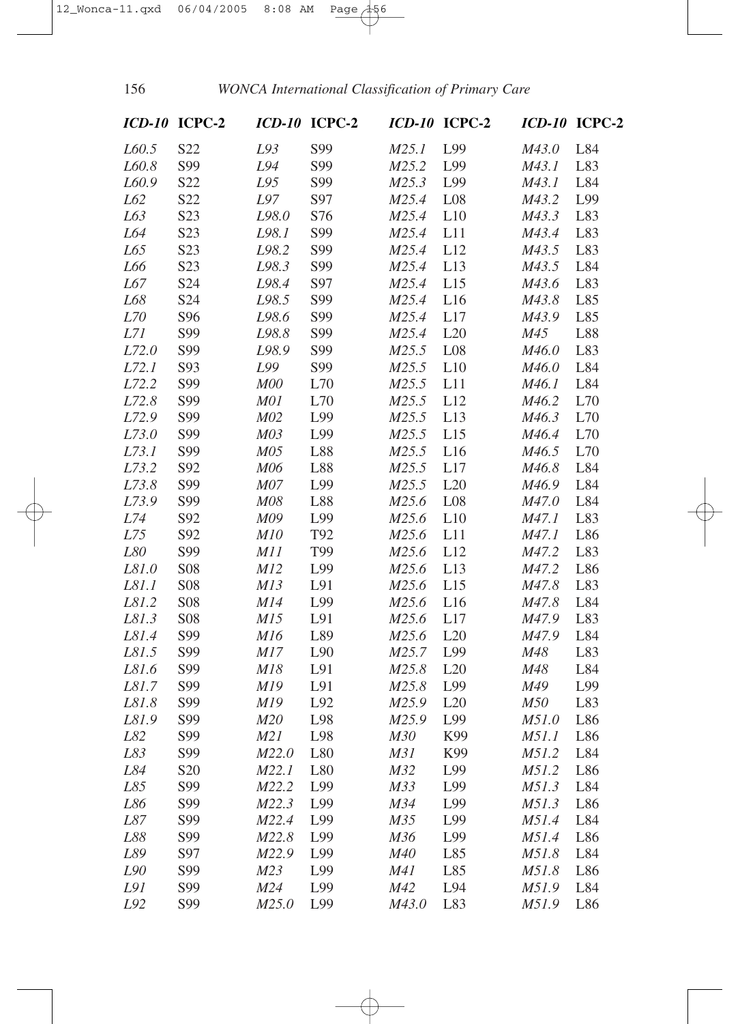| <b>ICD-10 ICPC-2</b> |                  | $ICD-10$        | ICPC-2 |               | <b>ICD-10 ICPC-2</b> |              | <b>ICD-10 ICPC-2</b> |
|----------------------|------------------|-----------------|--------|---------------|----------------------|--------------|----------------------|
| L60.5                | S22              | L93             | S99    | M25.1         | L99                  | M43.0        | L84                  |
| L60.8                | S99              | L94             | S99    | <i>M</i> 25.2 | L99                  | M43.1        | L83                  |
| L60.9                | S <sub>22</sub>  | L95             | S99    | M25.3         | L99                  | M43.1        | L84                  |
| L62                  | S <sub>22</sub>  | L97             | S97    | M25.4         | L <sub>08</sub>      | M43.2        | L99                  |
| L63                  | S <sub>2</sub> 3 | L98.0           | S76    | M25.4         | L10                  | M43.3        | L83                  |
| L64                  | S <sub>2</sub> 3 | L98.1           | S99    | M25.4         | L11                  | M43.4        | L83                  |
| L65                  | S <sub>2</sub> 3 | L98.2           | S99    | M25.4         | L12                  | M43.5        | L83                  |
| L66                  | S <sub>2</sub> 3 | L98.3           | S99    | M25.4         | L13                  | M43.5        | L84                  |
| L67                  | S24              | L98.4           | S97    | M25.4         | L15                  | M43.6        | L83                  |
| L68                  | S24              | L98.5           | S99    | M25.4         | L16                  | M43.8        | L85                  |
| L70                  | S96              | L98.6           | S99    | M25.4         | L17                  | M43.9        | L85                  |
| L71                  | S99              | L98.8           | S99    | M25.4         | L20                  | M45          | L88                  |
| L72.0                | S99              | L98.9           | S99    | M25.5         | L <sub>08</sub>      | M46.0        | L83                  |
| L72.1                | S93              | L99             | S99    | M25.5         | L10                  | <i>M46.0</i> | L84                  |
| L72.2                | S99              | <b>M00</b>      | L70    | M25.5         | L11                  | M46.1        | L84                  |
| L72.8                | S99              | <i>M01</i>      | L70    | M25.5         | L12                  | M46.2        | L70                  |
| L72.9                | S99              | M02             | L99    | M25.5         | L13                  | M46.3        | L70                  |
| L73.0                | S99              | M <sub>03</sub> | L99    | M25.5         | L15                  | M46.4        | L70                  |
| L73.1                | S99              | M <sub>05</sub> | L88    | M25.5         | L16                  | M46.5        | L70                  |
| L73.2                | S92              | M06             | L88    | M25.5         | L17                  | M46.8        | L84                  |
| L73.8                | S99              | <b>M07</b>      | L99    | M25.5         | L20                  | M46.9        | L84                  |
| L73.9                | S99              | M08             | L88    | M25.6         | L <sub>08</sub>      | M47.0        | L84                  |
| L74                  | S92              | M09             | L99    | M25.6         | L10                  | M47.1        | L83                  |
| L75                  | S92              | <i>M10</i>      | T92    | M25.6         | L11                  | M47.1        | L86                  |
| L80                  | S99              | M11             | T99    | M25.6         | L12                  | M47.2        | L83                  |
| L81.0                | <b>S08</b>       | M12             | L99    | M25.6         | L13                  | M47.2        | L86                  |
| L81.1                | <b>S08</b>       | M13             | L91    | M25.6         | L15                  | M47.8        | L83                  |
| L81.2                | <b>S08</b>       | M14             | L99    | M25.6         | L16                  | M47.8        | L84                  |
| L81.3                | <b>S08</b>       | M15             | L91    | M25.6         | L17                  | M47.9        | L83                  |
| L81.4                | S99              | M16             | L89    | M25.6         | L20                  | M47.9        | L84                  |
| L81.5                | S99              | <i>M17</i>      | L90    | M25.7         | L99                  | M48          | L83                  |
| L81.6                | S99              | M18             | L91    | M25.8         | L20                  | M48          | L84                  |
| L81.7                | S99              | <i>M19</i>      | L91    | M25.8         | L99                  | M49          | L99                  |
| L81.8                | S99              | M19             | L92    | M25.9         | L20                  | <i>M50</i>   | L83                  |
| L81.9                | S99              | <i>M20</i>      | L98    | M25.9         | L99                  | <i>M51.0</i> | L86                  |
| L82                  | S99              | M21             | L98    | M30           | K99                  | M51.1        | L86                  |
| L83                  | S99              | M22.0           | L80    | M31           | K99                  | M51.2        | L84                  |
| L84                  | S <sub>20</sub>  | M22.1           | L80    | M32           | L99                  | M51.2        | L86                  |
| L85                  | S99              | M22.2           | L99    | M33           | L99                  | M51.3        | L84                  |
| L86                  | S99              | M22.3           | L99    | M34           | L99                  | M51.3        | L86                  |
| L87                  | S99              | M22.4           | L99    | M35           | L99                  | M51.4        | L84                  |
| L88                  | S99              | M22.8           | L99    | M36           | L99                  | M51.4        | L86                  |
| L89                  | S97              | M22.9           | L99    | M40           | L85                  | <i>M51.8</i> | L84                  |
| L90                  | S99              | M23             | L99    | M41           | L85                  | M51.8        | L86                  |
| L91                  | S99              | M24             | L99    | M42           | L94                  | M51.9        | L84                  |
| L92                  | S99              | M25.0           | L99    | M43.0         | L83                  | M51.9        | L86                  |
|                      |                  |                 |        |               |                      |              |                      |

 $\bigoplus$ 

156 *WONCA International Classification of Primary Care*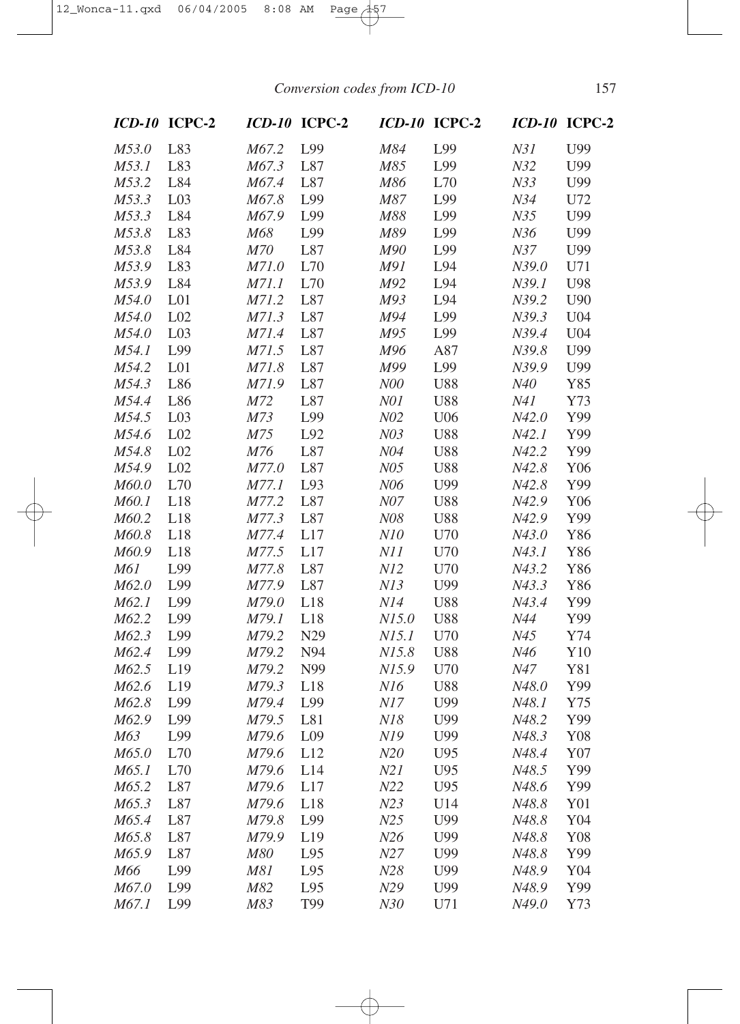| <i><b>ICD-10</b></i> | ICPC-2          | <i><b>ICD-10</b></i> | ICPC-2          | <b>ICD-10</b> | ICPC-2     | <i><b>ICD-10</b></i> | ICPC-2 |
|----------------------|-----------------|----------------------|-----------------|---------------|------------|----------------------|--------|
| M53.0                | L83             | M67.2                | L99             | M84           | L99        | N31                  | U99    |
| <i>M53.1</i>         | L83             | M67.3                | L87             | M85           | L99        | N32                  | U99    |
| M53.2                | L84             | M67.4                | L87             | M86           | L70        | N33                  | U99    |
| M53.3                | L <sub>03</sub> | M67.8                | L99             | M87           | L99        | N34                  | U72    |
| M53.3                | L84             | M67.9                | L99             | M88           | L99        | N35                  | U99    |
| M53.8                | L83             | M68                  | L99             | M89           | L99        | N36                  | U99    |
| M53.8                | L84             | M70                  | L87             | M90           | L99        | N37                  | U99    |
| M53.9                | L83             | <i>M71.0</i>         | L70             | M91           | L94        | N39.0                | U71    |
| M53.9                | L84             | M71.1                | L70             | M92           | L94        | N39.1                | U98    |
| M54.0                | L <sub>01</sub> | M71.2                | L87             | M93           | L94        | N39.2                | U90    |
| M54.0                | L <sub>02</sub> | M71.3                | L87             | M94           | L99        | N39.3                | U04    |
| M54.0                | L <sub>03</sub> | M71.4                | L87             | M95           | L99        | N39.4                | U04    |
| M54.1                | L99             | M71.5                | L87             | M96           | A87        | N39.8                | U99    |
| M54.2                | L <sub>01</sub> | M71.8                | L87             | M99           | L99        | N39.9                | U99    |
| M54.3                | L86             | M71.9                | L87             | N00           | <b>U88</b> | N40                  | Y85    |
| M54.4                | L86             | M72                  | L87             | N01           | <b>U88</b> | N41                  | Y73    |
| M54.5                | L <sub>03</sub> | M73                  | L99             | N02           | U06        | N42.0                | Y99    |
| M54.6                | L <sub>02</sub> | M75                  | L92             | N03           | <b>U88</b> | N42.1                | Y99    |
| M54.8                | L <sub>02</sub> | M76                  | L87             | N04           | <b>U88</b> | N42.2                | Y99    |
| M54.9                | L <sub>02</sub> | M77.0                | L87             | N05           | <b>U88</b> | N42.8                | Y06    |
| M60.0                | L70             | M77.1                | L93             | N06           | U99        | N42.8                | Y99    |
| <i>M60.1</i>         | L18             | M77.2                | L87             | <i>N07</i>    | <b>U88</b> | N42.9                | Y06    |
| M60.2                | L18             | M77.3                | L87             | N08           | <b>U88</b> | N42.9                | Y99    |
| M60.8                | L18             | M77.4                | L17             | N10           | U70        | N43.0                | Y86    |
| M60.9                | L18             | M77.5                | L17             | N11           | U70        | N43.1                | Y86    |
| M61                  | L99             | M77.8                | L87             | N12           | U70        | N43.2                | Y86    |
| M62.0                | L99             | M77.9                | L87             | N13           | U99        | N43.3                | Y86    |
| M62.1                | L99             | M79.0                | L18             | N14           | U88        | N43.4                | Y99    |
| M62.2                | L99             | M79.1                | L18             | N15.0         | U88        | N44                  | Y99    |
| M62.3                | L99             | M79.2                | N29             | <i>N15.1</i>  | U70        | N45                  | Y74    |
| M62.4                | L99             | M79.2                | N94             | N15.8         | <b>U88</b> | N46                  | Y10    |
| M62.5                | L19             | M79.2                | N99             | N15.9         | U70        | N47                  | Y81    |
| M62.6                | L19             | M79.3                | L18             | N16           | <b>U88</b> | N48.0                | Y99    |
| M62.8                | L99             | M79.4                | L99             | N17           | U99        | N48.1                | Y75    |
| M62.9                | L99             | M79.5                | L81             | $Nl\sqrt{8}$  | U99        | N48.2                | Y99    |
| M63                  | L99             | M79.6                | L <sub>09</sub> | N19           | U99        | N48.3                | Y08    |
| M65.0                | L70             | M79.6                | L12             | N20           | U95        | N48.4                | Y07    |
| M65.1                | L70             | M79.6                | L14             | N21           | U95        | N48.5                | Y99    |
| M65.2                | L87             | M79.6                | L17             | N22           | U95        | N48.6                | Y99    |
| M65.3                | L87             | M79.6                | L18             | N23           | U14        | N48.8                | Y01    |
| M65.4                | L87             | M79.8                | L99             | N25           | U99        | N48.8                | Y04    |
| M65.8                | L87             | M79.9                | L19             | N26           | U99        | N48.8                | Y08    |
| M65.9                | L87             | M80                  | L95             | $N27$         | U99        | N48.8                | Y99    |
| M66                  | L99             | M81                  | L95             | N28           | U99        | N48.9                | Y04    |
| <i>M</i> 67.0        | L99             | M82                  | L95             | N29           | U99        | N48.9                | Y99    |
| M67.1                | L99             | M83                  | T99             | N30           | U71        | N49.0                | Y73    |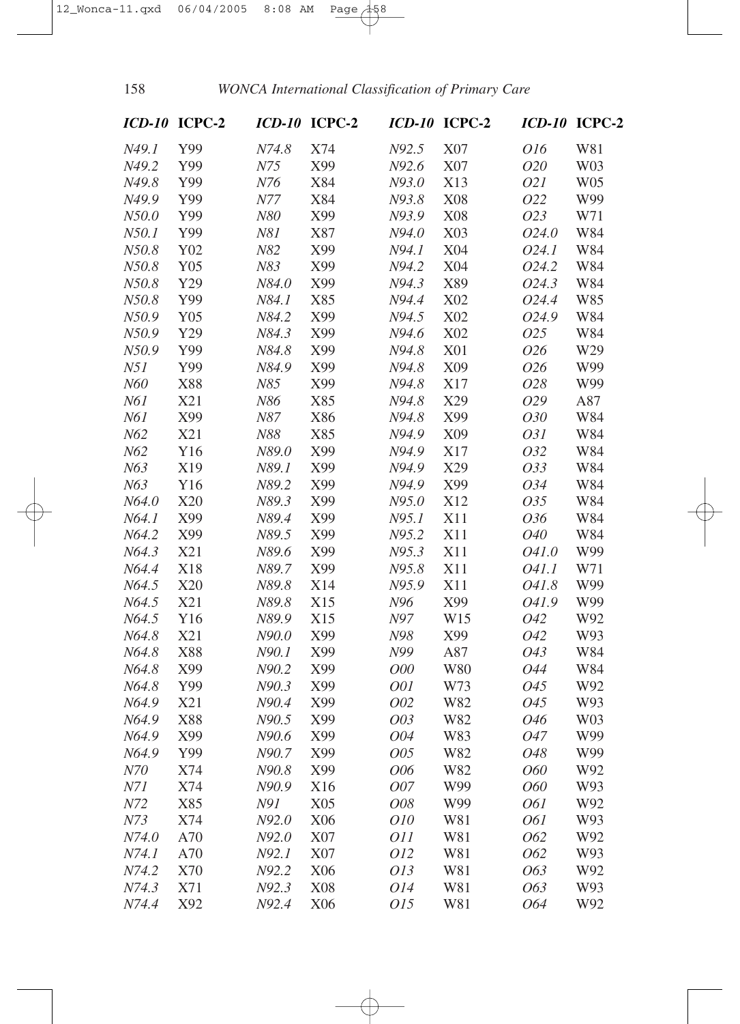| <b>ICD-10</b> | ICPC-2          | <b>ICD-10</b> | ICPC-2 | $ICD-10$ | ICPC-2           | $ICD-10$ | ICPC-2 |
|---------------|-----------------|---------------|--------|----------|------------------|----------|--------|
| N49.1         | Y99             | N74.8         | X74    | N92.5    | X07              | 016      | W81    |
| N49.2         | Y99             | N75           | X99    | N92.6    | X07              | 020      | W03    |
| N49.8         | Y99             | N76           | X84    | N93.0    | X13              | 021      | W05    |
| N49.9         | Y99             | N77           | X84    | N93.8    | X08              | 022      | W99    |
| N50.0         | Y99             | N80           | X99    | N93.9    | <b>X08</b>       | 023      | W71    |
| N50.1         | Y99             | N81           | X87    | N94.0    | X03              | 024.0    | W84    |
| N50.8         | Y02             | N82           | X99    | N94.1    | X04              | 024.1    | W84    |
| N50.8         | Y05             | N83           | X99    | N94.2    | X04              | 024.2    | W84    |
| N50.8         | Y29             | N84.0         | X99    | N94.3    | X89              | 024.3    | W84    |
| N50.8         | Y99             | N84.1         | X85    | N94.4    | X <sub>0</sub> 2 | 024.4    | W85    |
| N50.9         | Y <sub>05</sub> | N84.2         | X99    | N94.5    | X02              | 024.9    | W84    |
| N50.9         | Y29             | N84.3         | X99    | N94.6    | X02              | 025      | W84    |
| N50.9         | Y99             | N84.8         | X99    | N94.8    | X01              | 026      | W29    |
| N51           | Y99             | N84.9         | X99    | N94.8    | X09              | 026      | W99    |
| N60           | X88             | N85           | X99    | N94.8    | X17              | 028      | W99    |
| N61           | X21             | N86           | X85    | N94.8    | X29              | 029      | A87    |
| N61           | X99             | N87           | X86    | N94.8    | X99              | 030      | W84    |
| N62           | X21             | N88           | X85    | N94.9    | X09              | 031      | W84    |
| N62           | Y16             | N89.0         | X99    | N94.9    | X17              | 032      | W84    |
| N63           | X19             | N89.1         | X99    | N94.9    | X29              | 033      | W84    |
| N63           | Y16             | N89.2         | X99    | N94.9    | X99              | 034      | W84    |
| N64.0         | X20             | N89.3         | X99    | N95.0    | X12              | 035      | W84    |
| N64.1         | X99             | N89.4         | X99    | N95.1    | X11              | 036      | W84    |
| N64.2         | X99             | N89.5         | X99    | N95.2    | X11              | 040      | W84    |
| N64.3         | X21             | N89.6         | X99    | N95.3    | X11              | 041.0    | W99    |
| N64.4         | X18             | N89.7         | X99    | N95.8    | X11              | 041.1    | W71    |
| N64.5         | X20             | N89.8         | X14    | N95.9    | X11              | 041.8    | W99    |
| N64.5         | X21             | N89.8         | X15    | N96      | X99              | 041.9    | W99    |
| N64.5         | Y16             | N89.9         | X15    | N97      | W15              | 042      | W92    |
| N64.8         | X21             | N90.0         | X99    | N98      | X99              | 042      | W93    |
| N64.8         | X88             | N90.1         | X99    | N99      | A87              | 043      | W84    |
| N64.8         | X99             | N90.2         | X99    | 000      | W80              | 044      | W84    |
| N64.8         | Y99             | N90.3         | X99    | 001      | W73              | 045      | W92    |
| N64.9         | X21             | N90.4         | X99    | 002      | W82              | 045      | W93    |
| N64.9         | X88             | N90.5         | X99    | 003      | W82              | 046      | W03    |
| N64.9         | X99             | N90.6         | X99    | 004      | W83              | 047      | W99    |
| N64.9         | Y99             | N90.7         | X99    | 005      | W82              | 048      | W99    |
| N70           | X74             | N90.8         | X99    | 006      | W82              | 060      | W92    |
| N71           | X74             | N90.9         | X16    | 007      | W99              | 060      | W93    |
| N72           | X85             | N91           | X05    | 008      | W99              | 061      | W92    |
| N73           | X74             | N92.0         | X06    | 010      | W81              | 061      | W93    |
| N74.0         | A70             | N92.0         | X07    | 011      | W81              | 062      | W92    |
| N74.1         | A70             | N92.1         | X07    | 012      | W81              | 062      | W93    |
| N74.2         | X70             | N92.2         | X06    | 013      | W81              | 063      | W92    |
| N74.3         | X71             | N92.3         | X08    | 014      | W81              | 063      | W93    |
| N74.4         | X92             | N92.4         | X06    | 015      | W81              | 064      | W92    |

€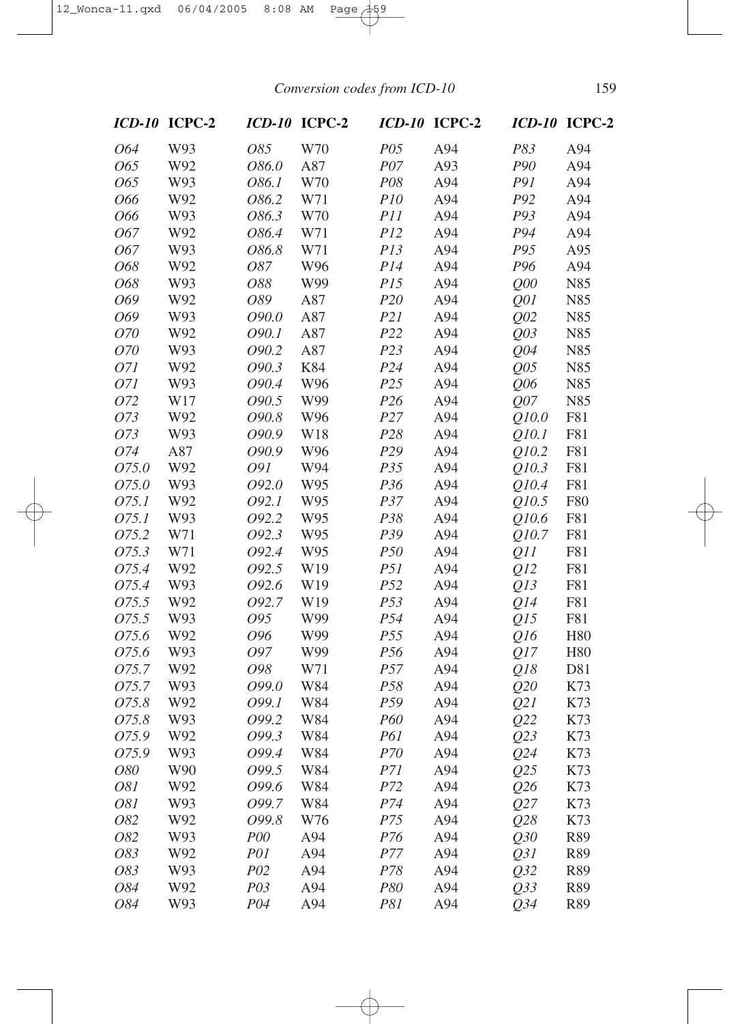┮

| <b>ICD-10</b> | ICPC-2 | <i><b>ICD-10</b></i> | ICPC-2 | <b>ICD-10</b>   | ICPC-2 | <i><b>ICD-10</b></i> | ICPC-2 |
|---------------|--------|----------------------|--------|-----------------|--------|----------------------|--------|
| 064           | W93    | 085                  | W70    | P05             | A94    | P83                  | A94    |
| 065           | W92    | 086.0                | A87    | P07             | A93    | P90                  | A94    |
| 065           | W93    | 086.1                | W70    | P08             | A94    | P91                  | A94    |
| 066           | W92    | 086.2                | W71    | P10             | A94    | P92                  | A94    |
| 066           | W93    | 086.3                | W70    | PII             | A94    | P93                  | A94    |
| 067           | W92    | 086.4                | W71    | P12             | A94    | P94                  | A94    |
| 067           | W93    | 086.8                | W71    | P13             | A94    | P95                  | A95    |
| 068           | W92    | 087                  | W96    | P14             | A94    | P96                  | A94    |
| 068           | W93    | 088                  | W99    | P15             | A94    | 000                  | N85    |
| 069           | W92    | 089                  | A87    | P20             | A94    | Q01                  | N85    |
| 069           | W93    | 090.0                | A87    | P21             | A94    | QO2                  | N85    |
| 070           | W92    | 090.1                | A87    | P22             | A94    | Q <sub>03</sub>      | N85    |
| 070           | W93    | 090.2                | A87    | P23             | A94    | Q <sub>04</sub>      | N85    |
| 071           | W92    | 090.3                | K84    | P24             | A94    | Q <sub>05</sub>      | N85    |
| 071           | W93    | 090.4                | W96    | P25             | A94    | Q06                  | N85    |
| 072           | W17    | 090.5                | W99    | P26             | A94    | Q07                  | N85    |
| 073           | W92    | 090.8                | W96    | P27             | A94    | Q10.0                | F81    |
| 073           | W93    | 090.9                | W18    | P <sub>28</sub> | A94    | Q10.1                | F81    |
| 074           | A87    | 090.9                | W96    | P29             | A94    | Q10.2                | F81    |
| 075.0         | W92    | 091                  | W94    | P35             | A94    | Q10.3                | F81    |
| 075.0         | W93    | 092.0                | W95    | P36             | A94    | Q10.4                | F81    |
| 075.1         | W92    | 092.1                | W95    | P37             | A94    | Q10.5                | F80    |
| 075.1         | W93    | 092.2                | W95    | P38             | A94    | Q10.6                | F81    |
| 075.2         | W71    | 092.3                | W95    | P39             | A94    | Q10.7                | F81    |
| 075.3         | W71    | 092.4                | W95    | P50             | A94    | Q11                  | F81    |
| 075.4         | W92    | 092.5                | W19    | P51             | A94    | Q12                  | F81    |
| 075.4         | W93    | 092.6                | W19    | P <sub>52</sub> | A94    | Q13                  | F81    |
| 075.5         | W92    | 092.7                | W19    | P53             | A94    | Q14                  | F81    |
| 075.5         | W93    | 095                  | W99    | P54             | A94    | Q15                  | F81    |
| 075.6         | W92    | 096                  | W99    | P55             | A94    | Q16                  | H80    |
| 075.6         | W93    | 097                  | W99    | P <sub>56</sub> | A94    | Q17                  | H80    |
| 075.7         | W92    | 098                  | W71    | P57             | A94    | Q18                  | D81    |
| 075.7         | W93    | 099.0                | W84    | P58             | A94    | Q20                  | K73    |
| 075.8         | W92    | 099.1                | W84    | P59             | A94    | Q21                  | K73    |
| 075.8         | W93    | 099.2                | W84    | P60             | A94    | 022                  | K73    |
| 075.9         | W92    | 099.3                | W84    | P61             | A94    | Q <sub>23</sub>      | K73    |
| 075.9         | W93    | 099.4                | W84    | <i>P70</i>      | A94    | Q24                  | K73    |
| 080           | W90    | 099.5                | W84    | <i>P71</i>      | A94    | Q25                  | K73    |
| 081           | W92    | 099.6                | W84    | P72             | A94    | Q26                  | K73    |
| 081           | W93    | 099.7                | W84    | P74             | A94    | Q27                  | K73    |
| 082           | W92    | 099.8                | W76    | P75             | A94    | Q28                  | K73    |
| 082           | W93    | P00                  | A94    | $P76$           | A94    | Q30                  | R89    |
| 083           | W92    | P01                  | A94    | $\cal{P}77$     | A94    | Q31                  | R89    |
| 083           | W93    | P02                  | A94    | P78             | A94    | Q32                  | R89    |
| 084           | W92    | P03                  | A94    | P80             | A94    | Q33                  | R89    |
| 084           | W93    | P04                  | A94    | P81             | A94    | Q34                  | R89    |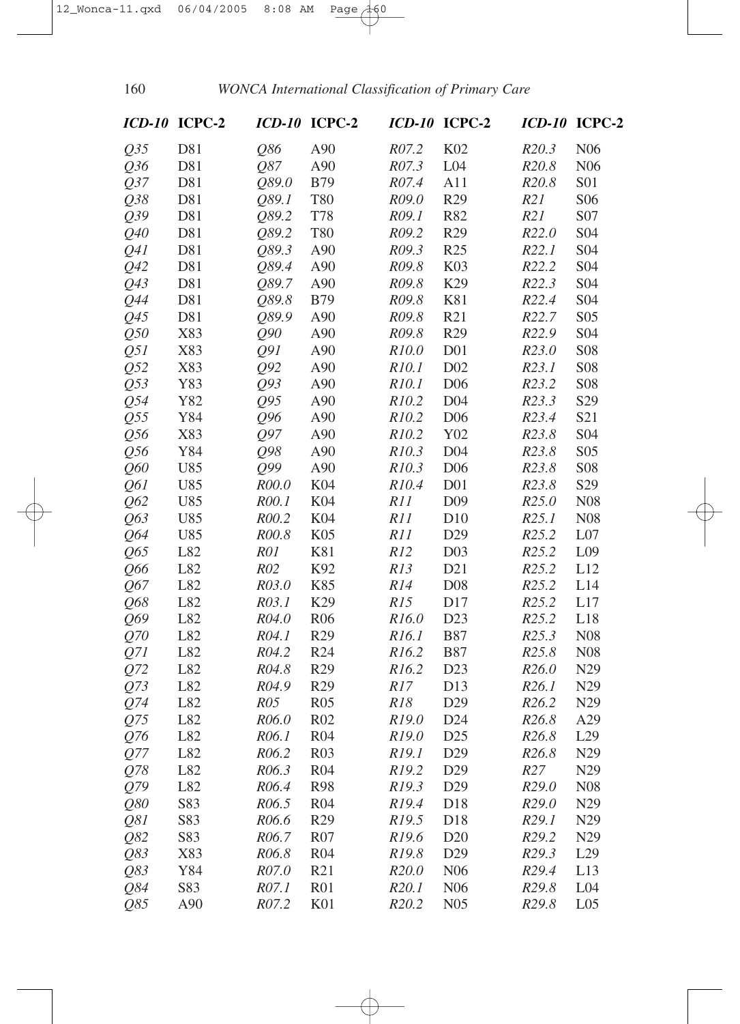|                 | <b>ICD-10 ICPC-2</b> | <b>ICD-10</b>     | ICPC-2          | $ICD-10$          | ICPC-2           | <i><b>ICD-10</b></i> | ICPC-2           |
|-----------------|----------------------|-------------------|-----------------|-------------------|------------------|----------------------|------------------|
| Q35             | D81                  | Q86               | A90             | R07.2             | K02              | R20.3                | N <sub>06</sub>  |
| Q36             | D81                  | Q87               | A90             | R07.3             | L04              | R20.8                | N <sub>06</sub>  |
| Q37             | D81                  | Q89.0             | <b>B79</b>      | R07.4             | A11              | R20.8                | S01              |
| Q38             | D81                  | Q89.1             | <b>T80</b>      | R09.0             | R29              | R21                  | S <sub>06</sub>  |
| Q39             | D81                  | Q89.2             | <b>T78</b>      | R09.1             | R82              | R21                  | S07              |
| Q40             | D81                  | Q89.2             | <b>T80</b>      | R09.2             | R29              | R22.0                | S04              |
| Q41             | D81                  | Q89.3             | A90             | R09.3             | R <sub>25</sub>  | R22.1                | S04              |
| Q42             | D81                  | Q89.4             | A90             | R09.8             | K03              | R22.2                | S04              |
| Q43             | D81                  | Q89.7             | A90             | R09.8             | K29              | R22.3                | S04              |
| Q44             | D81                  | Q89.8             | <b>B79</b>      | R09.8             | K81              | R22.4                | S04              |
| Q45             | D81                  | Q89.9             | A90             | R09.8             | R21              | R22.7                | S <sub>05</sub>  |
| Q50             | X83                  | Q90               | A90             | R09.8             | R29              | R22.9                | S04              |
| Q51             | X83                  | Q91               | A90             | R <sub>10.0</sub> | D <sub>01</sub>  | R23.0                | <b>S08</b>       |
| Q52             | X83                  | Q92               | A90             | R <sub>10.1</sub> | D02              | R23.1                | <b>S08</b>       |
| $Q$ 53          | Y83                  | Q93               | A90             | R <sub>10.1</sub> | D <sub>06</sub>  | R23.2                | <b>S08</b>       |
| Q54             | Y82                  | Q95               | A90             | R <sub>10.2</sub> | D <sub>04</sub>  | R23.3                | S29              |
| Q55             | Y84                  | Q96               | A90             | R <sub>10.2</sub> | D <sub>06</sub>  | R23.4                | S21              |
| Q56             | X83                  | Q97               | A90             | R <sub>10.2</sub> | Y <sub>0</sub> 2 | R23.8                | S04              |
| Q <sub>56</sub> | Y84                  | Q98               | A90             | R <sub>10.3</sub> | D <sub>04</sub>  | R23.8                | S <sub>05</sub>  |
| Q60             | U85                  | Q99               | A90             | R <sub>10.3</sub> | D <sub>06</sub>  | R23.8                | <b>S08</b>       |
| Q61             | U85                  | R00.0             | K04             | R10.4             | D <sub>01</sub>  | R23.8                | S29              |
| Q62             | U85                  | R00.1             | K04             | R11               | D <sub>09</sub>  | R25.0                | N <sub>08</sub>  |
| Q63             | U85                  | R00.2             | K04             | R11               | D10              | R25.1                | N <sub>08</sub>  |
| Q64             | U85                  | R00.8             | K05             | R11               | D29              | R25.2                | L07              |
| Q65             | L82                  | <b>RO1</b>        | K81             | R12               | D <sub>03</sub>  | R25.2                | L <sub>09</sub>  |
| Q66             | L82                  | R02               | K92             | R13               | D21              | R25.2                | L12              |
| Q67             | L82                  | R03.0             | K85             | R14               | D08              | R25.2                | L14              |
| Q68             | L82                  | R03.1             | K29             | R15               | D17              | R25.2                | L17              |
| Q69             | L82                  | R04.0             | <b>R06</b>      | R <sub>16.0</sub> | D <sub>23</sub>  | R <sub>25.2</sub>    | L18              |
| Q70             | L82                  | R04.1             | R29             | R <sub>16.1</sub> | <b>B87</b>       | R25.3                | N08              |
| Q71             | L82                  | R04.2             | R24             | R <sub>16.2</sub> | <b>B87</b>       | R25.8                | N <sub>0</sub> 8 |
| Q72             | L82                  | R04.8             | R29             | R <sub>16.2</sub> | D23              | R26.0                | N29              |
| Q73             | L82                  | R04.9             | R29             | R17               | D13              | R26.1                | N29              |
| Q74             | L82                  | R05               | <b>R05</b>      | R18               | D <sub>29</sub>  | R26.2                | N29              |
| Q75             | L82                  | R <sub>06.0</sub> | R02             | R19.0             | D <sub>24</sub>  | R26.8                | A29              |
| $Q$ 76          | L82                  | R06.1             | <b>R04</b>      | R19.0             | D25              | R26.8                | L29              |
| Q77             | L82                  | R <sub>06.2</sub> | R03             | R19.1             | D <sub>29</sub>  | R26.8                | N29              |
| Q78             | L82                  | R06.3             | R <sub>04</sub> | R19.2             | D <sub>29</sub>  | R27                  | N29              |
| Q79             | L82                  | R06.4             | <b>R98</b>      | R19.3             | D29              | R29.0                | N <sub>0</sub> 8 |
| Q80             | S83                  | R06.5             | R <sub>04</sub> | R19.4             | D18              | R29.0                | N29              |
| Q81             | S83                  | R06.6             | R29             | R19.5             | D18              | R <sub>29.1</sub>    | N29              |
| Q82             | S83                  | R <sub>06.7</sub> | R07             | R19.6             | D20              | R <sub>29.2</sub>    | N29              |
| Q83             | X83                  | R06.8             | R <sub>04</sub> | R19.8             | D <sub>29</sub>  | R29.3                | L29              |
| Q83             | Y84                  | R07.0             | R21             | R20.0             | N <sub>06</sub>  | R29.4                | L13              |
| Q84             | S83                  | R07.1             | R <sub>01</sub> | R <sub>20.1</sub> | N <sub>06</sub>  | R29.8                | L04              |
| Q85             | A90                  | R07.2             | K01             | R20.2             | N <sub>05</sub>  | R29.8                | L <sub>05</sub>  |

 $\bigoplus$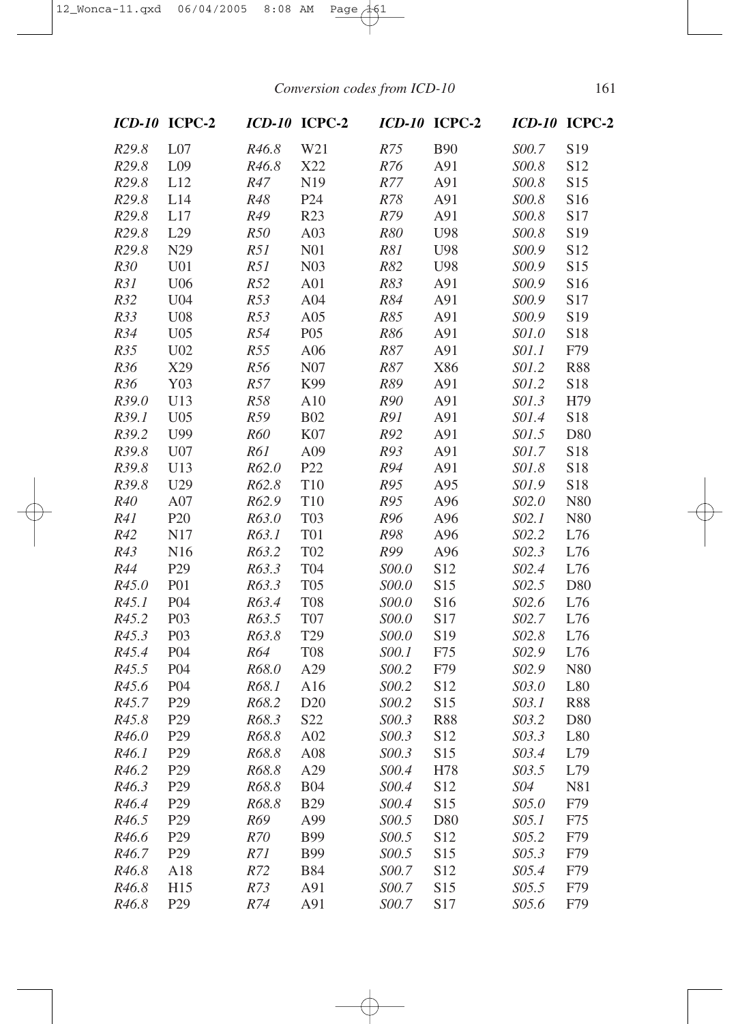Т

| <b>ICD-10 ICPC-2</b> | $ICD-10$                                                                                                                                                                                                     |                                                                                                                                       | $ICD-10$                                                                                                                                                                                                                    |                                                                                                                                                      | $ICD-10$                                                                                                                                                         | ICPC-2                                                                                                                                                                                     |
|----------------------|--------------------------------------------------------------------------------------------------------------------------------------------------------------------------------------------------------------|---------------------------------------------------------------------------------------------------------------------------------------|-----------------------------------------------------------------------------------------------------------------------------------------------------------------------------------------------------------------------------|------------------------------------------------------------------------------------------------------------------------------------------------------|------------------------------------------------------------------------------------------------------------------------------------------------------------------|--------------------------------------------------------------------------------------------------------------------------------------------------------------------------------------------|
| L07                  | R46.8                                                                                                                                                                                                        | W21                                                                                                                                   | R75                                                                                                                                                                                                                         | <b>B90</b>                                                                                                                                           | S00.7                                                                                                                                                            | S19                                                                                                                                                                                        |
| L <sub>09</sub>      | R <sub>46.8</sub>                                                                                                                                                                                            | X22                                                                                                                                   | R76                                                                                                                                                                                                                         | A91                                                                                                                                                  | S00.8                                                                                                                                                            | S12                                                                                                                                                                                        |
| L12                  | R47                                                                                                                                                                                                          | N19                                                                                                                                   | R77                                                                                                                                                                                                                         | A91                                                                                                                                                  | S00.8                                                                                                                                                            | S15                                                                                                                                                                                        |
| L14                  | R48                                                                                                                                                                                                          | P <sub>24</sub>                                                                                                                       | R78                                                                                                                                                                                                                         | A91                                                                                                                                                  | S00.8                                                                                                                                                            | S16                                                                                                                                                                                        |
| L17                  | R49                                                                                                                                                                                                          | R23                                                                                                                                   | R79                                                                                                                                                                                                                         | A91                                                                                                                                                  | S00.8                                                                                                                                                            | S17                                                                                                                                                                                        |
| L29                  | R50                                                                                                                                                                                                          | A03                                                                                                                                   | R80                                                                                                                                                                                                                         | U98                                                                                                                                                  | S00.8                                                                                                                                                            | S19                                                                                                                                                                                        |
| N29                  | R51                                                                                                                                                                                                          | N <sub>01</sub>                                                                                                                       | R81                                                                                                                                                                                                                         | U98                                                                                                                                                  | S00.9                                                                                                                                                            | S12                                                                                                                                                                                        |
|                      |                                                                                                                                                                                                              |                                                                                                                                       |                                                                                                                                                                                                                             | U98                                                                                                                                                  |                                                                                                                                                                  | S15                                                                                                                                                                                        |
| U06                  |                                                                                                                                                                                                              |                                                                                                                                       |                                                                                                                                                                                                                             |                                                                                                                                                      |                                                                                                                                                                  | S16                                                                                                                                                                                        |
| U04                  | R53                                                                                                                                                                                                          | A04                                                                                                                                   | R84                                                                                                                                                                                                                         | A91                                                                                                                                                  | S00.9                                                                                                                                                            | S17                                                                                                                                                                                        |
| U08                  | R53                                                                                                                                                                                                          | A05                                                                                                                                   | R85                                                                                                                                                                                                                         | A91                                                                                                                                                  | S00.9                                                                                                                                                            | S19                                                                                                                                                                                        |
| U <sub>05</sub>      | R54                                                                                                                                                                                                          | P05                                                                                                                                   |                                                                                                                                                                                                                             |                                                                                                                                                      |                                                                                                                                                                  | S18                                                                                                                                                                                        |
|                      | R55                                                                                                                                                                                                          |                                                                                                                                       |                                                                                                                                                                                                                             |                                                                                                                                                      |                                                                                                                                                                  | F79                                                                                                                                                                                        |
| X29                  | R56                                                                                                                                                                                                          | N07                                                                                                                                   | R87                                                                                                                                                                                                                         | X86                                                                                                                                                  | S01.2                                                                                                                                                            | <b>R88</b>                                                                                                                                                                                 |
|                      |                                                                                                                                                                                                              |                                                                                                                                       |                                                                                                                                                                                                                             |                                                                                                                                                      |                                                                                                                                                                  | S18                                                                                                                                                                                        |
| U13                  |                                                                                                                                                                                                              |                                                                                                                                       | R90                                                                                                                                                                                                                         |                                                                                                                                                      | S01.3                                                                                                                                                            | H79                                                                                                                                                                                        |
|                      |                                                                                                                                                                                                              |                                                                                                                                       |                                                                                                                                                                                                                             |                                                                                                                                                      |                                                                                                                                                                  | S18                                                                                                                                                                                        |
| U99                  |                                                                                                                                                                                                              |                                                                                                                                       |                                                                                                                                                                                                                             |                                                                                                                                                      |                                                                                                                                                                  | D80                                                                                                                                                                                        |
|                      |                                                                                                                                                                                                              |                                                                                                                                       |                                                                                                                                                                                                                             |                                                                                                                                                      |                                                                                                                                                                  | S18                                                                                                                                                                                        |
|                      |                                                                                                                                                                                                              |                                                                                                                                       |                                                                                                                                                                                                                             |                                                                                                                                                      |                                                                                                                                                                  | S18                                                                                                                                                                                        |
|                      |                                                                                                                                                                                                              |                                                                                                                                       |                                                                                                                                                                                                                             |                                                                                                                                                      |                                                                                                                                                                  | S18                                                                                                                                                                                        |
|                      |                                                                                                                                                                                                              |                                                                                                                                       |                                                                                                                                                                                                                             |                                                                                                                                                      |                                                                                                                                                                  | N80                                                                                                                                                                                        |
|                      |                                                                                                                                                                                                              | <b>T03</b>                                                                                                                            |                                                                                                                                                                                                                             |                                                                                                                                                      |                                                                                                                                                                  | N80                                                                                                                                                                                        |
|                      |                                                                                                                                                                                                              |                                                                                                                                       |                                                                                                                                                                                                                             |                                                                                                                                                      |                                                                                                                                                                  | L76                                                                                                                                                                                        |
|                      |                                                                                                                                                                                                              |                                                                                                                                       |                                                                                                                                                                                                                             |                                                                                                                                                      |                                                                                                                                                                  | L76                                                                                                                                                                                        |
|                      |                                                                                                                                                                                                              |                                                                                                                                       |                                                                                                                                                                                                                             |                                                                                                                                                      |                                                                                                                                                                  | L76                                                                                                                                                                                        |
|                      |                                                                                                                                                                                                              |                                                                                                                                       |                                                                                                                                                                                                                             |                                                                                                                                                      |                                                                                                                                                                  | D80                                                                                                                                                                                        |
|                      |                                                                                                                                                                                                              |                                                                                                                                       |                                                                                                                                                                                                                             |                                                                                                                                                      |                                                                                                                                                                  | L76                                                                                                                                                                                        |
| P03                  | R63.5                                                                                                                                                                                                        |                                                                                                                                       | <i>SOO.O</i>                                                                                                                                                                                                                |                                                                                                                                                      |                                                                                                                                                                  | L76                                                                                                                                                                                        |
| P03                  | R63.8                                                                                                                                                                                                        | T <sub>29</sub>                                                                                                                       | S00.0                                                                                                                                                                                                                       |                                                                                                                                                      |                                                                                                                                                                  | L76                                                                                                                                                                                        |
| P04                  | R64                                                                                                                                                                                                          | <b>T08</b>                                                                                                                            |                                                                                                                                                                                                                             |                                                                                                                                                      | S02.9                                                                                                                                                            | L76                                                                                                                                                                                        |
| P04                  | R68.0                                                                                                                                                                                                        | A29                                                                                                                                   | S00.2                                                                                                                                                                                                                       | F79                                                                                                                                                  | S02.9                                                                                                                                                            | N80                                                                                                                                                                                        |
| P04                  | R68.1                                                                                                                                                                                                        | A16                                                                                                                                   | S00.2                                                                                                                                                                                                                       | S12                                                                                                                                                  | S03.0                                                                                                                                                            | L80                                                                                                                                                                                        |
| P <sub>29</sub>      | R68.2                                                                                                                                                                                                        | D20                                                                                                                                   | S00.2                                                                                                                                                                                                                       | S15                                                                                                                                                  | S03.1                                                                                                                                                            | <b>R88</b>                                                                                                                                                                                 |
| P29                  | R68.3                                                                                                                                                                                                        | S22                                                                                                                                   | S00.3                                                                                                                                                                                                                       | <b>R88</b>                                                                                                                                           | S03.2                                                                                                                                                            | D80                                                                                                                                                                                        |
| P <sub>29</sub>      | R68.8                                                                                                                                                                                                        | A02                                                                                                                                   | S00.3                                                                                                                                                                                                                       | S12                                                                                                                                                  | S03.3                                                                                                                                                            | L80                                                                                                                                                                                        |
| P <sub>29</sub>      | R68.8                                                                                                                                                                                                        | A08                                                                                                                                   | S00.3                                                                                                                                                                                                                       | S15                                                                                                                                                  | S03.4                                                                                                                                                            | L79                                                                                                                                                                                        |
| P <sub>29</sub>      | R68.8                                                                                                                                                                                                        | A29                                                                                                                                   | S00.4                                                                                                                                                                                                                       | H78                                                                                                                                                  | S03.5                                                                                                                                                            | L79                                                                                                                                                                                        |
|                      | R68.8                                                                                                                                                                                                        |                                                                                                                                       |                                                                                                                                                                                                                             |                                                                                                                                                      |                                                                                                                                                                  | N81                                                                                                                                                                                        |
| P <sub>29</sub>      | R68.8                                                                                                                                                                                                        | <b>B29</b>                                                                                                                            | S00.4                                                                                                                                                                                                                       | S15                                                                                                                                                  | S05.0                                                                                                                                                            | F79                                                                                                                                                                                        |
| P <sub>29</sub>      | R69                                                                                                                                                                                                          | A99                                                                                                                                   | S00.5                                                                                                                                                                                                                       | D80                                                                                                                                                  | S05.1                                                                                                                                                            | F75                                                                                                                                                                                        |
|                      |                                                                                                                                                                                                              |                                                                                                                                       |                                                                                                                                                                                                                             |                                                                                                                                                      |                                                                                                                                                                  | F79                                                                                                                                                                                        |
| P <sub>29</sub>      | R71                                                                                                                                                                                                          | <b>B99</b>                                                                                                                            | S00.5                                                                                                                                                                                                                       | S15                                                                                                                                                  | S05.3                                                                                                                                                            | F79                                                                                                                                                                                        |
| A18                  | R72                                                                                                                                                                                                          | <b>B84</b>                                                                                                                            | S00.7                                                                                                                                                                                                                       | S12                                                                                                                                                  | S05.4                                                                                                                                                            | F79                                                                                                                                                                                        |
| H15                  | R73                                                                                                                                                                                                          | A91                                                                                                                                   | S00.7                                                                                                                                                                                                                       | S15                                                                                                                                                  | S05.5                                                                                                                                                            | F79                                                                                                                                                                                        |
| P <sub>29</sub>      | R74                                                                                                                                                                                                          | A91                                                                                                                                   | S00.7                                                                                                                                                                                                                       | S17                                                                                                                                                  | S05.6                                                                                                                                                            | F79                                                                                                                                                                                        |
|                      | U <sub>01</sub><br>U <sub>02</sub><br>Y03<br>U <sub>05</sub><br>U07<br>U13<br>U29<br>A07<br>P <sub>20</sub><br>N <sub>17</sub><br>N16<br>P29<br>P01<br>P <sub>04</sub><br>P <sub>29</sub><br>P <sub>29</sub> | R51<br>R52<br>R57<br>R58<br>R59<br>R60<br>R61<br>R62.0<br>R62.8<br>R62.9<br>R63.0<br>R63.1<br>R63.2<br>R63.3<br>R63.3<br>R63.4<br>R70 | ICPC-2<br>N <sub>03</sub><br>A <sub>01</sub><br>A06<br>K99<br>A10<br><b>B02</b><br>K07<br>A09<br>P22<br>T10<br>T10<br><b>T01</b><br><b>T02</b><br>T04<br><b>T05</b><br><b>T08</b><br><b>T07</b><br><b>B04</b><br><b>B99</b> | R82<br>R83<br>R86<br>R87<br>R89<br>R91<br>R92<br>R93<br>R94<br>R95<br>R95<br>R96<br>R98<br>R99<br>S00.0<br>S00.0<br>S00.0<br>S00.1<br>S00.4<br>S00.5 | ICPC-2<br>A91<br>A91<br>A91<br>A91<br>A91<br>A91<br>A91<br>A91<br>A91<br>A95<br>A96<br>A96<br>A96<br>A96<br>S12<br>S15<br>S16<br>S17<br>S19<br>F75<br>S12<br>S12 | S00.9<br>S00.9<br>S01.0<br>S01.1<br>S01.2<br>S01.4<br>S01.5<br>S01.7<br>S01.8<br>S01.9<br>S02.0<br>$S$ 02.1<br>S02.2<br>S02.3<br>S02.4<br>S02.5<br>S02.6<br>S02.7<br>S02.8<br>S04<br>S05.2 |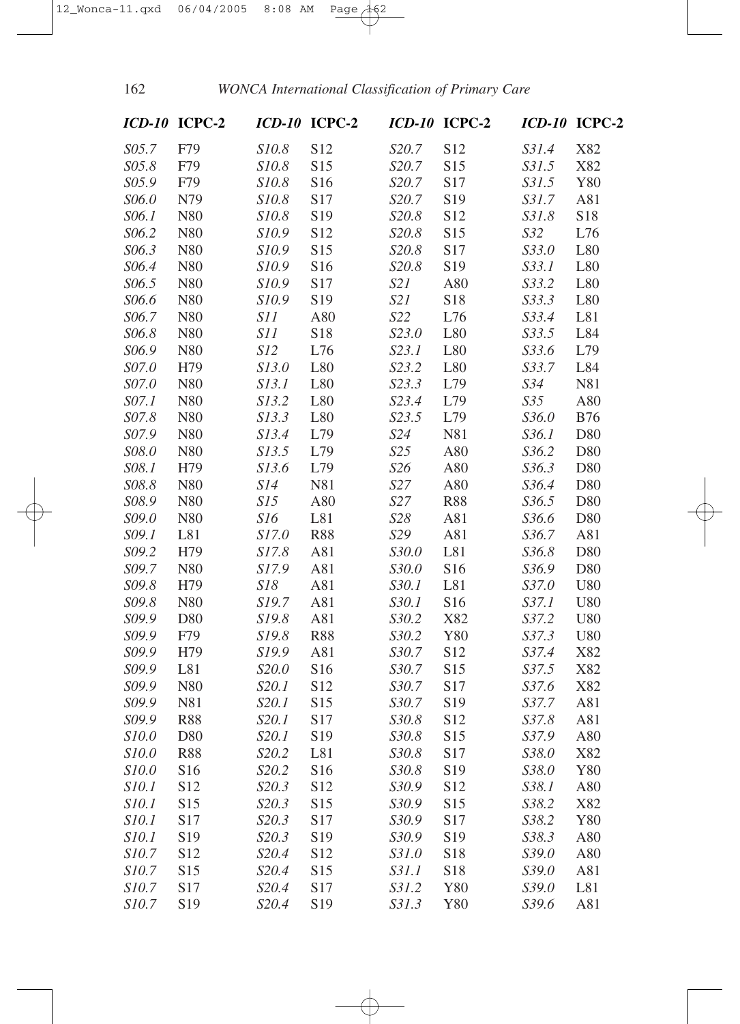| 102          | wONCA International Classification of Primary Care |              |               |                   |                      |                 |               |
|--------------|----------------------------------------------------|--------------|---------------|-------------------|----------------------|-----------------|---------------|
|              | <b>ICD-10 ICPC-2</b>                               |              | ICD-10 ICPC-2 |                   | <b>ICD-10 ICPC-2</b> |                 | ICD-10 ICPC-2 |
| S05.7        | F79                                                | S10.8        | S12           | S <sub>20.7</sub> | S12                  | S31.4           | X82           |
| S05.8        | F79                                                | S10.8        | S15           | S20.7             | S15                  | S31.5           | X82           |
| S05.9        | F79                                                | S10.8        | S16           | S20.7             | S17                  | S31.5           | Y80           |
| S06.0        | N79                                                | S10.8        | S17           | S20.7             | S19                  | S31.7           | A81           |
| S06.1        | N80                                                | S10.8        | S19           | S20.8             | S12                  | S31.8           | S18           |
| S06.2        | N80                                                | S10.9        | S12           | S20.8             | S15                  | S32             | L76           |
| S06.3        | N80                                                | S10.9        | S15           | S20.8             | S17                  | S33.0           | L80           |
| S06.4        | N80                                                | S10.9        | S16           | S20.8             | S19                  | S33.1           | L80           |
| S06.5        | N80                                                | S10.9        | S17           | S21               | A80                  | S33.2           | L80           |
| S06.6        | N80                                                | S10.9        | S19           | S21               | S18                  | S33.3           | L80           |
| S06.7        | N80                                                | <i>S11</i>   | A80           | S22               | L76                  | S33.4           | L81           |
| S06.8        | N80                                                | S11          | S18           | S23.0             | L80                  | S33.5           | L84           |
| S06.9        | N80                                                | S12          | L76           | S23.1             | L80                  | S33.6           | L79           |
| S07.0        | H79                                                | <i>S13.0</i> | L80           | S23.2             | L80                  | S33.7           | L84           |
| S07.0        | N80                                                | S13.1        | L80           | S23.3             | L79                  | S34             | N81           |
| S07.1        | N80                                                | S13.2        | L80           | S23.4             | L79                  | S <sub>35</sub> | A80           |
| S07.8        | N80                                                | S13.3        | L80           | S23.5             | L79                  | S36.0           | <b>B76</b>    |
| S07.9        | N80                                                | S13.4        | L79           | S24               | N81                  | S36.1           | D80           |
| S08.0        | N80                                                | S13.5        | L79           | S25               | A80                  | S36.2           | D80           |
| S08.1        | H79                                                | S13.6        | L79           | S26               | A80                  | S36.3           | D80           |
| S08.8        | N80                                                | S14          | N81           | S27               | A80                  | S36.4           | D80           |
| S08.9        | N80                                                | S15          | A80           | S27               | <b>R88</b>           | S36.5           | D80           |
| S09.0        | N80                                                | S16          | L81           | S28               | A81                  | S36.6           | D80           |
| S09.1        | L81                                                | S17.0        | <b>R88</b>    | S29               | A81                  | S36.7           | A81           |
| S09.2        | H79                                                | S17.8        | A81           | S30.0             | L81                  | S36.8           | D80           |
| S09.7        | N80                                                | S17.9        | A81           | S30.0             | S16                  | S36.9           | D80           |
| S09.8        | H79                                                | S18          | A81           | S30.1             | L81                  | S37.0           | U80           |
| S09.8        | N80                                                | S19.7        | A81           | S30.1             | S16                  | S37.1           | U80           |
| S09.9        | D80                                                | S19.8        | A81           | S30.2             | X82                  | S37.2           | U80           |
| S09.9        | F79                                                | S19.8        | <b>R88</b>    | S30.2             | Y80                  | S37.3           | U80           |
| S09.9        | H79                                                | S19.9        | A81           | S30.7             | S12                  | S37.4           | X82           |
| S09.9        | L81                                                | S20.0        | S16           | S30.7             | S15                  | S37.5           | X82           |
| S09.9        | N80                                                | S20.1        | S12           | S30.7             | S17                  | S37.6           | X82           |
| S09.9        | N81                                                | S20.1        | S15           | S30.7             | S19                  | S37.7           | A81           |
| S09.9        | <b>R88</b>                                         | S20.1        | S17           | S30.8             | S12                  | S37.8           | A81           |
| S10.0        | D80                                                | S20.1        | S19           | S30.8             | S15                  | S37.9           | A80           |
| S10.0        | <b>R88</b>                                         | S20.2        | L81           | S30.8             | S17                  | S38.0           | X82           |
| S10.0        | S16                                                | S20.2        | S16           | S30.8             | S19                  | S38.0           | Y80           |
| S10.1        | S12                                                | S20.3        | S12           | S30.9             | S12                  | S38.1           | A80           |
| S10.1        | S15                                                | S20.3        | S15           | S30.9             | S15                  | S38.2           | X82           |
| S10.1        | S17                                                | S20.3        | S17           | S30.9             | S17                  | S38.2           | Y80           |
| S10.1        | S19                                                | S20.3        | S19           | S30.9             | S19                  | S38.3           | A80           |
| S10.7        | S12                                                | S20.4        | S12           | S31.0             | S18                  | S39.0           | A80           |
| S10.7        | S15                                                | S20.4        | S15           | S31.1             | S18                  | S39.0           | A81           |
| <i>S10.7</i> | S17                                                | S20.4        | S17           | S31.2             | Y80                  | S39.0           | L81           |
| S10.7        | S19                                                | S20.4        | S19           | S31.3             | Y80                  | S39.6           | A81           |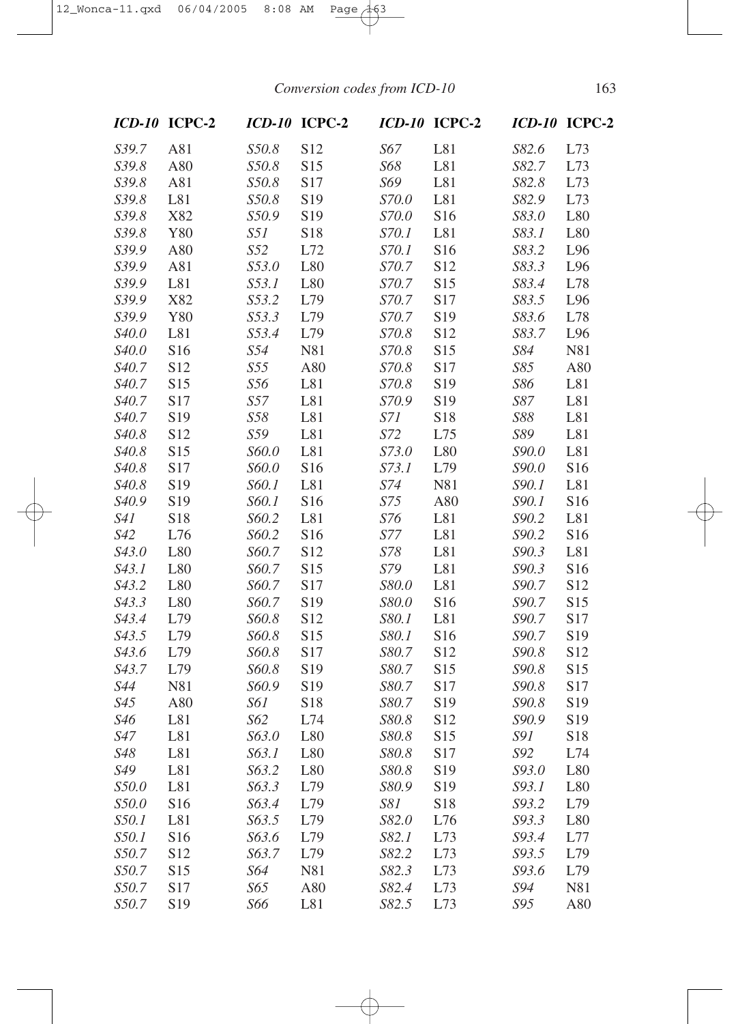Т

| $ICD-10$          | ICPC-2 | $ICD-10$        | ICPC-2 | $ICD-10$     | ICPC-2 |       | ICD-10 ICPC-2 |
|-------------------|--------|-----------------|--------|--------------|--------|-------|---------------|
| S39.7             | A81    | S50.8           | S12    | S67          | L81    | S82.6 | L73           |
| S39.8             | A80    | S50.8           | S15    | S68          | L81    | S82.7 | L73           |
| S39.8             | A81    | S50.8           | S17    | S69          | L81    | S82.8 | L73           |
| S39.8             | L81    | S50.8           | S19    | S70.0        | L81    | S82.9 | L73           |
| S39.8             | X82    | S50.9           | S19    | <i>S70.0</i> | S16    | S83.0 | L80           |
| S39.8             | Y80    | S51             | S18    | S70.1        | L81    | S83.1 | L80           |
| S39.9             | A80    | S52             | L72    | S70.1        | S16    | S83.2 | L96           |
| S39.9             | A81    | S53.0           | L80    | S70.7        | S12    | S83.3 | L96           |
| S39.9             | L81    | S53.1           | L80    | <i>S70.7</i> | S15    | S83.4 | L78           |
| S39.9             | X82    | S53.2           | L79    | <i>S70.7</i> | S17    | S83.5 | L96           |
| S39.9             | Y80    | S53.3           | L79    | S70.7        | S19    | S83.6 | L78           |
| S40.0             | L81    | S53.4           | L79    | S70.8        | S12    | S83.7 | L96           |
| S <sub>40.0</sub> | S16    | S54             | N81    | S70.8        | S15    | S84   | N81           |
| S40.7             | S12    | S <sub>55</sub> | A80    | <i>S70.8</i> | S17    | S85   | A80           |
| S40.7             | S15    | S56             | L81    | S70.8        | S19    | S86   | L81           |
| S40.7             | S17    | S57             | L81    | S70.9        | S19    | S87   | L81           |
| S40.7             | S19    | S58             | L81    | S71          | S18    | S88   | L81           |
| S <sub>40.8</sub> | S12    | S59             | L81    | S72          | L75    | S89   | L81           |
| S40.8             | S15    | S60.0           | L81    | S73.0        | L80    | S90.0 | L81           |
| S40.8             | S17    | S60.0           | S16    | S73.1        | L79    | S90.0 | S16           |
| S40.8             | S19    | S60.1           | L81    | S74          | N81    | S90.1 | L81           |
| S <sub>40.9</sub> | S19    | S60.1           | S16    | S75          | A80    | S90.1 | S16           |
| S41               | S18    | S60.2           | L81    | S76          | L81    | S90.2 | L81           |
| S42               | L76    | S60.2           | S16    | S77          | L81    | S90.2 | S16           |
| S43.0             | L80    | S60.7           | S12    | S78          | L81    | S90.3 | L81           |
| S43.1             | L80    | S60.7           | S15    | S79          | L81    | S90.3 | S16           |
| S43.2             | L80    | S60.7           | S17    | S80.0        | L81    | S90.7 | S12           |
| S43.3             | L80    | S60.7           | S19    | S80.0        | S16    | S90.7 | S15           |
| S43.4             | L79    | S60.8           | S12    | S80.1        | L81    | S90.7 | S17           |
| S43.5             | L79    | S60.8           | S15    | S80.1        | S16    | S90.7 | S19           |
| S43.6             | L79    | S60.8           | S17    | S80.7        | S12    | S90.8 | S12           |
| S43.7             | L79    | S60.8           | S19    | S80.7        | S15    | S90.8 | S15           |
| S44               | N81    | S60.9           | S19    | S80.7        | S17    | S90.8 | S17           |
| S45               | A80    | S61             | S18    | S80.7        | S19    | S90.8 | S19           |
| S46               | L81    | S62             | L74    | S80.8        | S12    | S90.9 | S19           |
| S47               | L81    | S63.0           | L80    | S80.8        | S15    | S91   | S18           |
| S48               | L81    | S63.1           | L80    | S80.8        | S17    | S92   | L74           |
| S49               | L81    | S63.2           | L80    | S80.8        | S19    | S93.0 | L80           |
| S50.0             | L81    | S63.3           | L79    | S80.9        | S19    | S93.1 | L80           |
| S50.0             | S16    | S63.4           | L79    | S81          | S18    | S93.2 | L79           |
| S50.1             | L81    | S63.5           | L79    | S82.0        | L76    | S93.3 | L80           |
| S50.1             | S16    | S63.6           | L79    | S82.1        | L73    | S93.4 | L77           |
| S50.7             | S12    | S63.7           | L79    | S82.2        | L73    | S93.5 | L79           |
| S50.7             | S15    | S64             | N81    | S82.3        | L73    | S93.6 | L79           |
| S50.7             | S17    | S65             | A80    | S82.4        | L73    | S94   | N81           |
| S50.7             | S19    | S66             | L81    | S82.5        | L73    | S95   | A80           |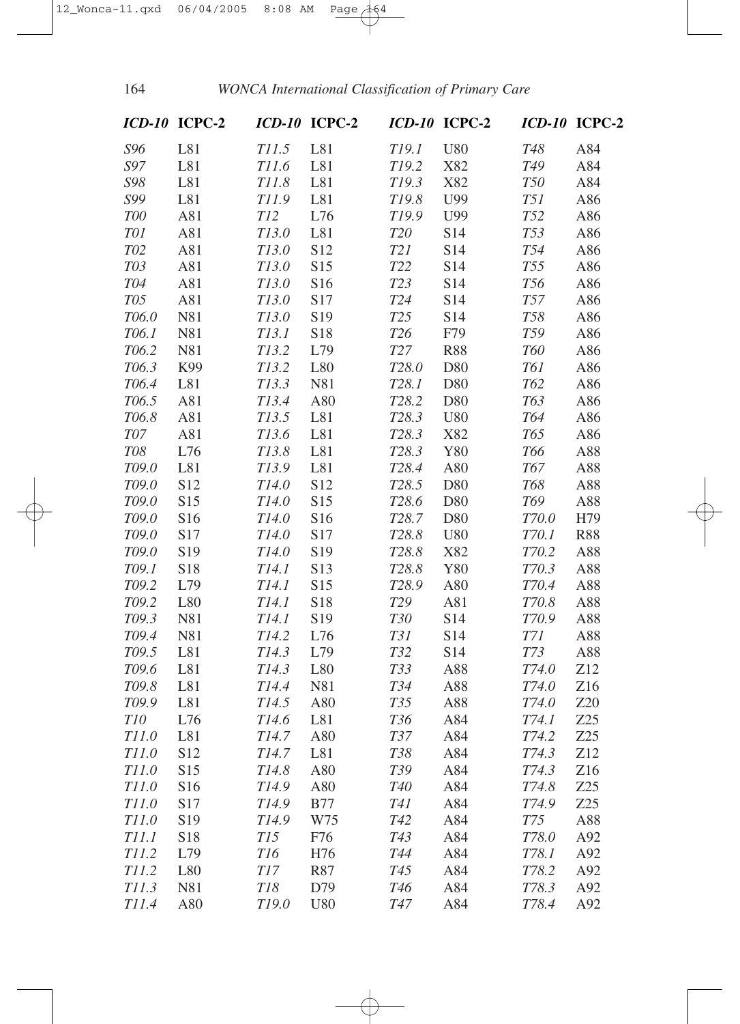| 104               | WONCA International Classification of Frimary Care |       |                      |                   |                      |              |               |
|-------------------|----------------------------------------------------|-------|----------------------|-------------------|----------------------|--------------|---------------|
|                   | <b>ICD-10 ICPC-2</b>                               |       | <b>ICD-10 ICPC-2</b> |                   | <b>ICD-10 ICPC-2</b> |              | ICD-10 ICPC-2 |
| S96               | L81                                                | T11.5 | L81                  | T19.1             | U80                  | <b>T48</b>   | A84           |
| S97               | L81                                                | T11.6 | L81                  | T19.2             | X82                  | T49          | A84           |
| S98               | L81                                                | T11.8 | L81                  | T19.3             | X82                  | <b>T50</b>   | A84           |
| S99               | L81                                                | T11.9 | L81                  | T19.8             | U99                  | T51          | A86           |
| ${\it TOO}$       | A81                                                | T12   | L76                  | T19.9             | U99                  | <b>T52</b>   | A86           |
| ${\cal T}01$      | A81                                                | T13.0 | L81                  | T20               | S14                  | T53          | A86           |
| T02               | A81                                                | T13.0 | S12                  | T21               | S14                  | T54          | A86           |
| T03               | A81                                                | T13.0 | S15                  | T22               | S14                  | T55          | A86           |
| T04               | A81                                                | T13.0 | S16                  | T <sub>23</sub>   | S14                  | T56          | A86           |
| T05               | A81                                                | T13.0 | S17                  | T24               | S14                  | <b>T57</b>   | A86           |
| T06.0             | N81                                                | T13.0 | S19                  | T <sub>25</sub>   | S14                  | T58          | A86           |
| T06.1             | N81                                                | T13.1 | S18                  | T26               | F79                  | T59          | A86           |
| T <sub>06.2</sub> | N81                                                | T13.2 | L79                  | <b>T27</b>        | <b>R88</b>           | T60          | A86           |
| T06.3             | K99                                                | T13.2 | L80                  | T28.0             | D80                  | T61          | A86           |
| T06.4             | L81                                                | T13.3 | N81                  | T28.1             | D80                  | T62          | A86           |
| T06.5             | A81                                                | T13.4 | A80                  | T28.2             | D80                  | T63          | A86           |
| T06.8             | A81                                                | T13.5 | L81                  | T28.3             | U80                  | T64          | A86           |
| <b>T07</b>        | A81                                                | T13.6 | L81                  | T28.3             | X82                  | T65          | A86           |
| T08               | L76                                                | T13.8 | L81                  | T28.3             | Y80                  | T66          | A88           |
| T09.0             | L81                                                | T13.9 | L81                  | T28.4             | A80                  | T67          | A88           |
| T09.0             | S12                                                | T14.0 | S12                  | T28.5             | D80                  | <b>T68</b>   | A88           |
| T09.0             | S15                                                | T14.0 | S15                  | T28.6             | D80                  | T69          | A88           |
| T09.0             | S16                                                | T14.0 | S16                  | T <sub>28.7</sub> | D80                  | T70.0        | H79           |
| T09.0             | S17                                                | T14.0 | S17                  | T28.8             | U80                  | <i>T70.1</i> | <b>R88</b>    |
| T09.0             | S19                                                | T14.0 | S19                  | T28.8             | X82                  | T70.2        | A88           |
| T09.1             | S18                                                | T14.1 | S13                  | T28.8             | Y80                  | T70.3        | A88           |
| T09.2             | L79                                                | T14.1 | S15                  | T28.9             | A80                  | T70.4        | A88           |
| T09.2             | L80                                                | T14.1 | S18                  | T29               | A81                  | T70.8        | A88           |
| T09.3             | N81                                                | T14.1 | S19                  | T30               | S14                  | T70.9        | A88           |
| T09.4             | N81                                                | T14.2 | L76                  | T31               | S14                  | T71          | A88           |
| T09.5             | L81                                                | T14.3 | L79                  | T32               | S14                  | T73          | A88           |
| T09.6             | L81                                                | T14.3 | L80                  | T33               | A88                  | T74.0        | Z12           |
| T09.8             | L81                                                | T14.4 | N81                  | T34               | A88                  | T74.0        | Z16           |
| T09.9             | L81                                                | T14.5 | A80                  | T35               | A88                  | T74.0        | Z20           |
| T10               | L76                                                | T14.6 | L81                  | T36               | A84                  | T74.1        | Z25           |
| T11.0             | L81                                                | T14.7 | A80                  | <b>T37</b>        | A84                  | T74.2        | Z25           |
| T11.0             | S12                                                | T14.7 | L81                  | T38               | A84                  | T74.3        | Z12           |
| T11.0             | S15                                                | T14.8 | A80                  | T39               | A84                  | T74.3        | Z16           |
| <i>T11.0</i>      | S16                                                | T14.9 | A80                  | T40               | A84                  | T74.8        | Z25           |
| T11.0             | S17                                                | T14.9 | <b>B77</b>           | <i>T41</i>        | A84                  | T74.9        | Z25           |
| T11.0             | S19                                                | T14.9 | W75                  | T42               | A84                  | T75          | A88           |
| $T\!I\!I\!.I$     | S18                                                | T15   | F76                  | T43               | A84                  | T78.0        | A92           |
| T11.2             | L79                                                | T16   | H76                  | T44               | A84                  | T78.1        | A92           |
| T11.2             | L80                                                | T17   | R87                  | T45               | A84                  | T78.2        | A92           |
| T11.3             | N81                                                | T18   | D79                  | T46               | A84                  | T78.3        | A92           |
| T11.4             | A80                                                | T19.0 | U80                  | T47               | A84                  | T78.4        | A92           |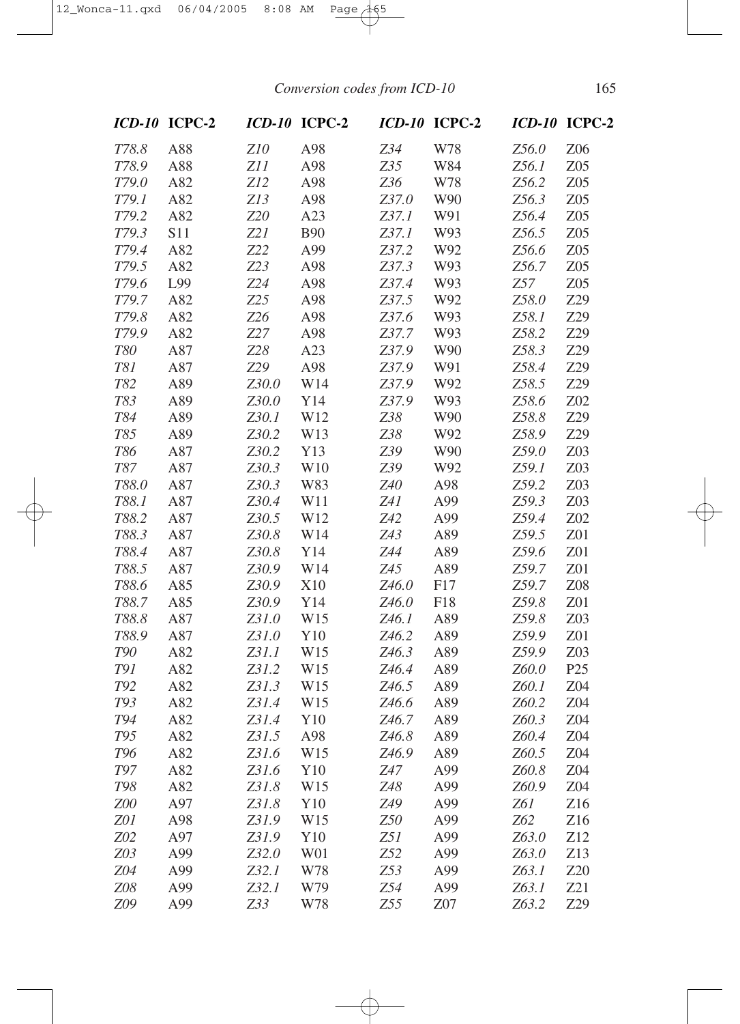| <b>ICD-10</b> | ICPC-2 | <i><b>ICD-10</b></i> | ICPC-2          | <b>ICD-10</b> | ICPC-2 | <b>ICD-10</b> | ICPC-2          |
|---------------|--------|----------------------|-----------------|---------------|--------|---------------|-----------------|
| T78.8         | A88    | Z10                  | A98             | Z34           | W78    | Z56.0         | Z06             |
| T78.9         | A88    | Z11                  | A98             | Z35           | W84    | Z56.1         | Z <sub>05</sub> |
| T79.0         | A82    | Z12                  | A98             | Z36           | W78    | Z56.2         | Z <sub>05</sub> |
| T79.1         | A82    | Z13                  | A98             | Z37.0         | W90    | Z56.3         | Z <sub>05</sub> |
| T79.2         | A82    | Z20                  | A23             | Z37.1         | W91    | Z56.4         | Z <sub>05</sub> |
| T79.3         | S11    | Z21                  | <b>B90</b>      | Z37.1         | W93    | Z56.5         | Z <sub>05</sub> |
| T79.4         | A82    | Z22                  | A99             | Z37.2         | W92    | Z56.6         | Z <sub>05</sub> |
| T79.5         | A82    | Z23                  | A98             | Z37.3         | W93    | Z56.7         | Z <sub>05</sub> |
| T79.6         | L99    | Z24                  | A98             | Z37.4         | W93    | Z57           | Z <sub>05</sub> |
| T79.7         | A82    | Z25                  | A98             | Z37.5         | W92    | Z58.0         | Z29             |
| T79.8         | A82    | Z26                  | A98             | Z37.6         | W93    | Z58.1         | Z29             |
| T79.9         | A82    | Z27                  | A98             | Z37.7         | W93    | Z58.2         | Z29             |
| <b>T80</b>    | A87    | Z28                  | A23             | Z37.9         | W90    | Z58.3         | Z29             |
| T81           | A87    | Z29                  | A98             | Z37.9         | W91    | Z58.4         | Z29             |
| T82           | A89    | Z30.0                | W14             | Z37.9         | W92    | Z58.5         | Z29             |
| T83           | A89    | Z30.0                | Y14             | Z37.9         | W93    | Z58.6         | Z02             |
| T84           | A89    | Z30.1                | W12             | Z38           | W90    | Z58.8         | Z29             |
| T85           | A89    | Z30.2                | W13             | Z38           | W92    | Z58.9         | Z29             |
| T86           | A87    | Z30.2                | Y13             | Z39           | W90    | Z59.0         | Z03             |
| T87           | A87    | Z30.3                | W10             | Z39           | W92    | Z59.1         | Z03             |
| T88.0         | A87    | Z30.3                | W83             | Z40           | A98    | Z59.2         | Z03             |
| T88.1         | A87    | Z30.4                | W11             | Z41           | A99    | Z59.3         | Z03             |
| T88.2         | A87    | Z30.5                | W12             | Z42           | A99    | Z59.4         | Z02             |
| T88.3         | A87    | Z30.8                | W14             | Z43           | A89    | Z59.5         | Z <sub>01</sub> |
| T88.4         | A87    | Z30.8                | Y14             | Z44           | A89    | Z59.6         | Z <sub>01</sub> |
| T88.5         | A87    | Z30.9                | W14             | Z45           | A89    | Z59.7         | Z <sub>01</sub> |
| T88.6         | A85    | Z30.9                | X10             | Z46.0         | F17    | Z59.7         | Z08             |
| T88.7         | A85    | Z30.9                | Y14             | Z46.0         | F18    | Z59.8         | Z <sub>01</sub> |
| T88.8         | A87    | Z31.0                | W15             | Z46.1         | A89    | Z59.8         | Z03             |
| T88.9         | A87    | Z31.0                | Y10             | Z46.2         | A89    | Z59.9         | Z01             |
| <b>T90</b>    | A82    | Z31.1                | W <sub>15</sub> | Z46.3         | A89    | Z59.9         | Z03             |
| T91           | A82    | Z31.2                | W <sub>15</sub> | Z46.4         | A89    | Z60.0         | P <sub>25</sub> |
| T92           | A82    | Z31.3                | W15             | Z46.5         | A89    | Z60.1         | Z04             |
| T93           | A82    | Z31.4                | W15             | Z46.6         | A89    | Z60.2         | Z04             |
| T94           | A82    | Z31.4                | Y10             | Z46.7         | A89    | Z60.3         | Z04             |
| T95           | A82    | Z31.5                | A98             | Z46.8         | A89    | Z60.4         | Z04             |
| T96           | A82    | Z31.6                | W15             | Z46.9         | A89    | Z60.5         | Z04             |
| T97           | A82    | Z31.6                | Y10             | <b>Z47</b>    | A99    | Z60.8         | Z04             |
| T98           | A82    | Z31.8                | W15             | Z48           | A99    | Z60.9         | Z04             |
| <b>Z00</b>    | A97    | Z31.8                | Y10             | Z49           | A99    | Z61           | Z16             |
| Z01           | A98    | Z31.9                | W15             | Z50           | A99    | Z62           | Z16             |
| Z02           | A97    | Z31.9                | Y10             | Z51           | A99    | Z63.0         | Z12             |
| Z03           | A99    | Z32.0                | W <sub>01</sub> | Z52           | A99    | Z63.0         | Z13             |
| Z04           | A99    | Z32.1                | W78             | Z53           | A99    | Z63.1         | Z20             |
| Z08           | A99    | Z32.1                | W79             | Z54           | A99    | Z63.1         | Z21             |
| Z09           | A99    | Z33                  | W78             | Z55           | Z07    | Z63.2         | Z29             |
|               |        |                      |                 |               |        |               |                 |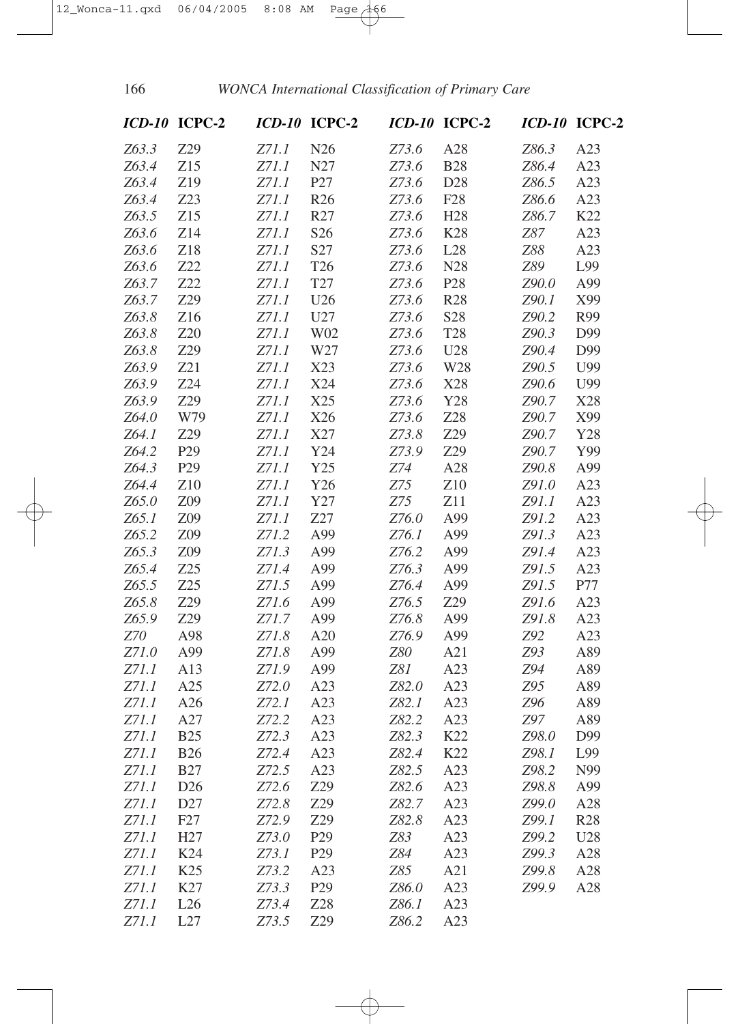| <i><b>ICD-10</b></i> | ICPC-2          |       | <b>ICD-10 ICPC-2</b> | <i><b>ICD-10</b></i> | ICPC-2          |       | ICD-10 ICPC-2   |
|----------------------|-----------------|-------|----------------------|----------------------|-----------------|-------|-----------------|
| Z63.3                | Z29             | Z71.1 | N26                  | Z73.6                | A28             | Z86.3 | A23             |
| Z63.4                | Z15             | Z71.1 | N27                  | Z73.6                | <b>B28</b>      | Z86.4 | A23             |
| Z63.4                | Z19             | Z71.1 | P <sub>27</sub>      | Z73.6                | D <sub>28</sub> | Z86.5 | A23             |
| Z63.4                | Z23             | Z71.1 | R <sub>26</sub>      | Z73.6                | F <sub>28</sub> | Z86.6 | A23             |
| Z63.5                | Z15             | Z71.1 | R <sub>27</sub>      | Z73.6                | H <sub>28</sub> | Z86.7 | K22             |
| Z63.6                | Z14             | Z71.1 | S <sub>26</sub>      | Z73.6                | K <sub>28</sub> | Z87   | A23             |
| Z63.6                | Z18             | Z71.1 | S27                  | Z73.6                | L28             | Z88   | A23             |
| Z63.6                | Z22             | Z71.1 | T <sub>26</sub>      | Z73.6                | N28             | Z89   | L99             |
| Z63.7                | Z22             | Z71.1 | T <sub>27</sub>      | Z73.6                | P <sub>28</sub> | Z90.0 | A99             |
| Z63.7                | Z29             | Z71.1 | U26                  | Z73.6                | R <sub>28</sub> | Z90.1 | X99             |
| Z63.8                | Z16             | Z71.1 | U27                  | Z73.6                | S <sub>28</sub> | Z90.2 | R99             |
| Z63.8                | Z20             | Z71.1 | W <sub>02</sub>      | Z73.6                | T <sub>28</sub> | Z90.3 | D99             |
| Z63.8                | Z29             | Z71.1 | W27                  | Z73.6                | U28             | Z90.4 | D99             |
| Z63.9                | Z21             | Z71.1 | X23                  | Z73.6                | W <sub>28</sub> | Z90.5 | U99             |
| Z63.9                | Z24             | Z71.1 | X24                  | Z73.6                | X28             | Z90.6 | U99             |
| Z63.9                | Z29             | Z71.1 | X25                  | Z73.6                | Y28             | Z90.7 | X28             |
| Z64.0                | W79             | Z71.1 | X26                  | Z73.6                | Z28             | Z90.7 | X99             |
| Z64.1                | Z29             | Z71.1 | X27                  | Z73.8                | Z29             | Z90.7 | Y28             |
| Z64.2                | P <sub>29</sub> | Z71.1 | Y24                  | Z73.9                | Z29             | Z90.7 | Y99             |
| Z64.3                | P <sub>29</sub> | Z71.1 | Y25                  | Z74                  | A28             | Z90.8 | A99             |
| Z64.4                | Z10             | Z71.1 | Y26                  | Z75                  | Z10             | Z91.0 | A23             |
| Z65.0                | Z09             | Z71.1 | Y27                  | Z75                  | Z11             | Z91.1 | A23             |
| Z65.1                | Z09             | Z71.1 | Z27                  | Z76.0                | A99             | Z91.2 | A23             |
| Z65.2                | Z09             | Z71.2 | A99                  | Z76.1                | A99             | Z91.3 | A23             |
| Z65.3                | Z09             | Z71.3 | A99                  | Z76.2                | A99             | Z91.4 | A23             |
| Z65.4                | Z25             | Z71.4 | A99                  | Z76.3                | A99             | Z91.5 | A23             |
| Z65.5                | Z25             | Z71.5 | A99                  | Z76.4                | A99             | Z91.5 | P77             |
| Z65.8                | Z29             | Z71.6 | A99                  | Z76.5                | Z29             | Z91.6 | A23             |
| Z65.9                | Z29             | Z71.7 | A99                  | Z76.8                | A99             | Z91.8 | A23             |
| Z70                  | A98             | Z71.8 | A20                  | Z76.9                | A99             | Z92   | A23             |
| Z71.0                | A99             | Z71.8 | A99                  | Z80                  | A21             | Z93   | A89             |
| Z71.1                | A13             | Z71.9 | A99                  | Z81                  | A23             | Z94   | A89             |
| Z71.1                | A25             | Z72.0 | A23                  | Z82.0                | A23             | Z95   | A89             |
| Z71.1                | A26             | Z72.1 | A23                  | Z82.1                | A23             | Z96   | A89             |
| Z71.1                | A27             | Z72.2 | A23                  | Z82.2                | A23             | Z97   | A89             |
| Z71.1                | <b>B25</b>      | Z72.3 | A23                  | Z82.3                | K <sub>22</sub> | Z98.0 | D99             |
| Z71.1                | <b>B26</b>      | Z72.4 | A23                  | Z82.4                | K22             | Z98.1 | L99             |
| Z71.1                | <b>B27</b>      | Z72.5 | A23                  | Z82.5                | A23             | Z98.2 | N99             |
| Z71.1                | D <sub>26</sub> | Z72.6 | Z29                  | Z82.6                | A23             | Z98.8 | A99             |
| Z71.1                | D27             | Z72.8 | Z29                  | Z82.7                | A23             | Z99.0 | A28             |
| Z71.1                | F27             | Z72.9 | Z29                  | Z82.8                | A23             | Z99.1 | R <sub>28</sub> |
| Z71.1                | H <sub>27</sub> | Z73.0 | P <sub>29</sub>      | Z83                  | A23             | Z99.2 | U28             |
| Z71.1                | K24             | Z73.1 | P <sub>29</sub>      | Z84                  | A23             | Z99.3 | A28             |
| Z71.1                | K <sub>25</sub> | Z73.2 | A23                  | Z85                  | A21             | Z99.8 | A28             |
| Z71.1                | K27             | Z73.3 | P <sub>29</sub>      | Z86.0                | A23             | Z99.9 | A28             |
| Z71.1                | L26             | Z73.4 | Z28                  | Z86.1                | A23             |       |                 |
| Z71.1                | L27             | Z73.5 | Z29                  | Z86.2                | A23             |       |                 |
|                      |                 |       |                      |                      |                 |       |                 |

166 *WONCA International Classification of Primary Care*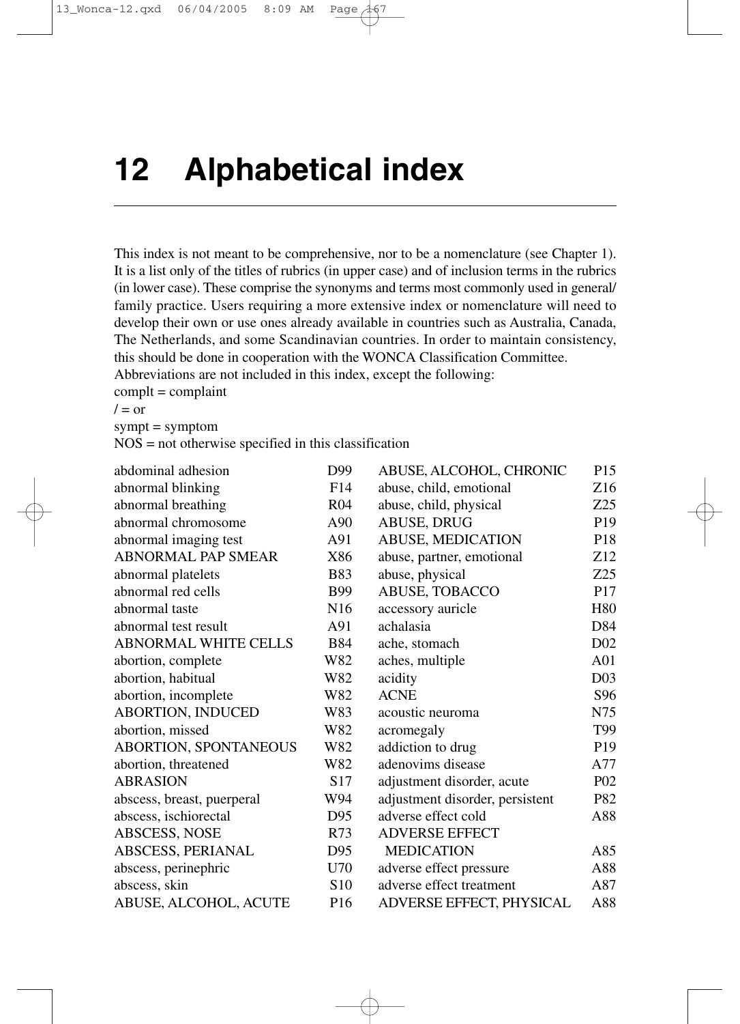# **12 Alphabetical index**

This index is not meant to be comprehensive, nor to be a nomenclature (see Chapter 1). It is a list only of the titles of rubrics (in upper case) and of inclusion terms in the rubrics (in lower case). These comprise the synonyms and terms most commonly used in general/ family practice. Users requiring a more extensive index or nomenclature will need to develop their own or use ones already available in countries such as Australia, Canada, The Netherlands, and some Scandinavian countries. In order to maintain consistency, this should be done in cooperation with the WONCA Classification Committee.

Abbreviations are not included in this index, except the following:

 $complt = complain$ 

 $/ =$  or

sympt = symptom

NOS = not otherwise specified in this classification

| abdominal adhesion           | D99             | ABUSE, ALCOHOL, CHRONIC         | P <sub>15</sub>  |
|------------------------------|-----------------|---------------------------------|------------------|
| abnormal blinking            | F14             | abuse, child, emotional         | Z <sub>16</sub>  |
| abnormal breathing           | R <sub>04</sub> | abuse, child, physical          | Z <sub>25</sub>  |
| abnormal chromosome          | A90             | <b>ABUSE, DRUG</b>              | P <sub>19</sub>  |
| abnormal imaging test        | A91             | ABUSE, MEDICATION               | P <sub>18</sub>  |
| <b>ABNORMAL PAP SMEAR</b>    | X86             | abuse, partner, emotional       | Z <sub>12</sub>  |
| abnormal platelets           | <b>B83</b>      | abuse, physical                 | Z <sub>25</sub>  |
| abnormal red cells           | <b>B99</b>      | ABUSE, TOBACCO                  | P <sub>17</sub>  |
| abnormal taste               | N <sub>16</sub> | accessory auricle               | H80              |
| abnormal test result         | A91             | achalasia                       | D <sub>84</sub>  |
| <b>ABNORMAL WHITE CELLS</b>  | <b>B84</b>      | ache, stomach                   | D <sub>0</sub> 2 |
| abortion, complete           | W82             | aches, multiple                 | A01              |
| abortion, habitual           | W82             | acidity                         | D <sub>03</sub>  |
| abortion, incomplete         | W82             | <b>ACNE</b>                     | S96              |
| ABORTION, INDUCED            | W83             | acoustic neuroma                | N75              |
| abortion, missed             | W82             | acromegaly                      | T99              |
| <b>ABORTION, SPONTANEOUS</b> | W82             | addiction to drug               | P <sub>19</sub>  |
| abortion, threatened         | W82             | adenovims disease               | A77              |
| <b>ABRASION</b>              | S <sub>17</sub> | adjustment disorder, acute      | P <sub>0</sub> 2 |
| abscess, breast, puerperal   | W94             | adjustment disorder, persistent | P82              |
| abscess, ischiorectal        | D95             | adverse effect cold             | A88              |
| <b>ABSCESS, NOSE</b>         | R73             | <b>ADVERSE EFFECT</b>           |                  |
| ABSCESS, PERIANAL            | D95             | <b>MEDICATION</b>               | A85              |
| abscess, perinephric         | U70             | adverse effect pressure         | A88              |
| abscess, skin                | S <sub>10</sub> | adverse effect treatment        | A87              |
| ABUSE, ALCOHOL, ACUTE        | P <sub>16</sub> | ADVERSE EFFECT, PHYSICAL        | A88              |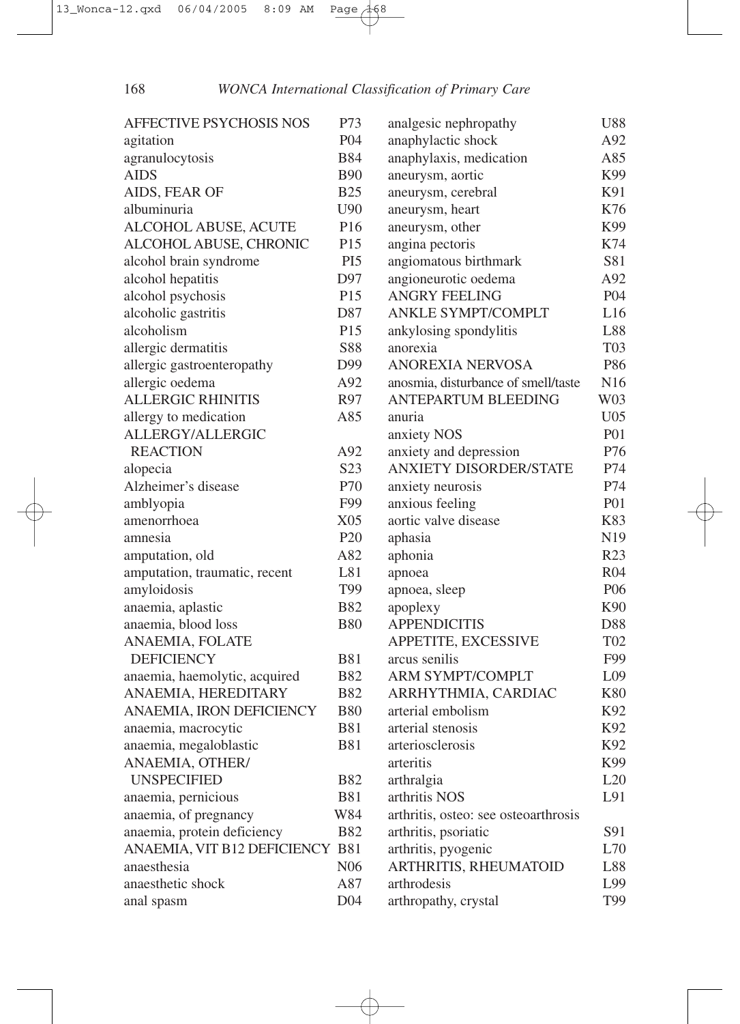| AFFECTIVE PSYCHOSIS NOS         | P73             | analgesic nephropathy                | U88             |
|---------------------------------|-----------------|--------------------------------------|-----------------|
| agitation                       | P04             | anaphylactic shock                   | A92             |
| agranulocytosis                 | <b>B84</b>      | anaphylaxis, medication              | A85             |
| <b>AIDS</b>                     | <b>B90</b>      | aneurysm, aortic                     | K99             |
| AIDS, FEAR OF                   | <b>B25</b>      | aneurysm, cerebral                   | K91             |
| albuminuria                     | U90             | aneurysm, heart                      | K76             |
| ALCOHOL ABUSE, ACUTE            | P16             | aneurysm, other                      | K99             |
| ALCOHOL ABUSE, CHRONIC          | P <sub>15</sub> | angina pectoris                      | K74             |
| alcohol brain syndrome          | PI <sub>5</sub> | angiomatous birthmark                | S81             |
| alcohol hepatitis               | D97             | angioneurotic oedema                 | A92             |
| alcohol psychosis               | P15             | <b>ANGRY FEELING</b>                 | P04             |
| alcoholic gastritis             | D87             | <b>ANKLE SYMPT/COMPLT</b>            | L16             |
| alcoholism                      | P15             | ankylosing spondylitis               | L88             |
| allergic dermatitis             | <b>S88</b>      | anorexia                             | T03             |
| allergic gastroenteropathy      | D99             | <b>ANOREXIA NERVOSA</b>              | P86             |
| allergic oedema                 | A92             | anosmia, disturbance of smell/taste  | N <sub>16</sub> |
| <b>ALLERGIC RHINITIS</b>        | R97             | <b>ANTEPARTUM BLEEDING</b>           | W03             |
| allergy to medication           | A85             | anuria                               | U <sub>05</sub> |
| ALLERGY/ALLERGIC                |                 | anxiety NOS                          | <b>P01</b>      |
| <b>REACTION</b>                 | A92             | anxiety and depression               | P76             |
| alopecia                        | S23             | <b>ANXIETY DISORDER/STATE</b>        | P74             |
| Alzheimer's disease             | P70             | anxiety neurosis                     | P74             |
| amblyopia                       | F99             | anxious feeling                      | <b>P01</b>      |
| amenorrhoea                     | X05             | aortic valve disease                 | K83             |
| amnesia                         | P <sub>20</sub> | aphasia                              | N19             |
| amputation, old                 | A82             | aphonia                              | R <sub>23</sub> |
| amputation, traumatic, recent   | L81             | apnoea                               | <b>R04</b>      |
| amyloidosis                     | T99             | apnoea, sleep                        | P <sub>06</sub> |
| anaemia, aplastic               | <b>B82</b>      | apoplexy                             | K90             |
| anaemia, blood loss             | <b>B80</b>      | <b>APPENDICITIS</b>                  | D88             |
| ANAEMIA, FOLATE                 |                 | APPETITE, EXCESSIVE                  | T <sub>02</sub> |
| <b>DEFICIENCY</b>               | <b>B81</b>      | arcus senilis                        | F99             |
| anaemia, haemolytic, acquired   | <b>B82</b>      | ARM SYMPT/COMPLT                     | L <sub>09</sub> |
| ANAEMIA, HEREDITARY             | <b>B82</b>      | ARRHYTHMIA, CARDIAC                  | <b>K80</b>      |
| ANAEMIA, IRON DEFICIENCY        | <b>B80</b>      | arterial embolism                    | K92             |
| anaemia, macrocytic             | <b>B81</b>      | arterial stenosis                    | K92             |
| anaemia, megaloblastic          | <b>B81</b>      | arteriosclerosis                     | K92             |
| ANAEMIA, OTHER/                 |                 | arteritis                            | K99             |
| <b>UNSPECIFIED</b>              | <b>B82</b>      | arthralgia                           | L20             |
| anaemia, pernicious             | <b>B81</b>      | arthritis NOS                        | L91             |
| anaemia, of pregnancy           | W84             | arthritis, osteo: see osteoarthrosis |                 |
| anaemia, protein deficiency     | <b>B82</b>      | arthritis, psoriatic                 | S91             |
| ANAEMIA, VIT B12 DEFICIENCY B81 |                 | arthritis, pyogenic                  | L70             |
| anaesthesia                     | N <sub>06</sub> | ARTHRITIS, RHEUMATOID                | L88             |
| anaesthetic shock               | A87             | arthrodesis                          | L99             |
| anal spasm                      | D <sub>04</sub> | arthropathy, crystal                 | T99             |

 $\bigoplus$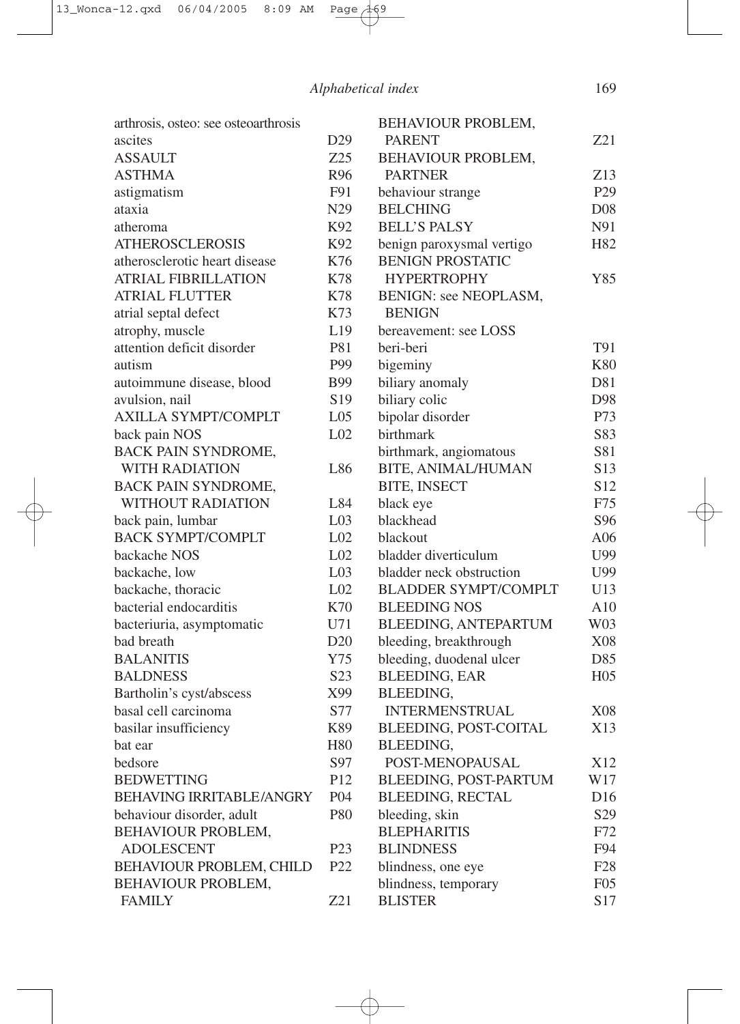*Alphabetical index* 169

| arthrosis, osteo: see osteoarthrosis |                  | <b>BEHAVIOUR PROBLEM,</b>    |                 |
|--------------------------------------|------------------|------------------------------|-----------------|
| ascites                              | D29              | <b>PARENT</b>                | Z21             |
| <b>ASSAULT</b>                       | Z <sub>25</sub>  | BEHAVIOUR PROBLEM,           |                 |
| <b>ASTHMA</b>                        | R <sub>96</sub>  | <b>PARTNER</b>               | Z13             |
| astigmatism                          | F91              | behaviour strange            | P <sub>29</sub> |
| ataxia                               | N <sub>29</sub>  | <b>BELCHING</b>              | D <sub>08</sub> |
| atheroma                             | K92              | <b>BELL'S PALSY</b>          | N91             |
| <b>ATHEROSCLEROSIS</b>               | K92              | benign paroxysmal vertigo    | H82             |
| atherosclerotic heart disease        | K76              | <b>BENIGN PROSTATIC</b>      |                 |
| <b>ATRIAL FIBRILLATION</b>           | K78              | <b>HYPERTROPHY</b>           | Y85             |
| <b>ATRIAL FLUTTER</b>                | K78              | <b>BENIGN: see NEOPLASM,</b> |                 |
| atrial septal defect                 | K73              | <b>BENIGN</b>                |                 |
| atrophy, muscle                      | L19              | bereavement: see LOSS        |                 |
| attention deficit disorder           | P81              | beri-beri                    | T91             |
| autism                               | P99              | bigeminy                     | <b>K80</b>      |
|                                      |                  |                              | D81             |
| autoimmune disease, blood            | <b>B99</b>       | biliary anomaly              |                 |
| avulsion, nail                       | S <sub>19</sub>  | biliary colic                | D98             |
| <b>AXILLA SYMPT/COMPLT</b>           | L <sub>05</sub>  | bipolar disorder             | P73             |
| back pain NOS                        | L <sub>02</sub>  | birthmark                    | S83             |
| BACK PAIN SYNDROME,                  |                  | birthmark, angiomatous       | S81             |
| <b>WITH RADIATION</b>                | L86              | BITE, ANIMAL/HUMAN           | S <sub>13</sub> |
| <b>BACK PAIN SYNDROME,</b>           |                  | <b>BITE, INSECT</b>          | S <sub>12</sub> |
| <b>WITHOUT RADIATION</b>             | L84              | black eye                    | F75             |
| back pain, lumbar                    | L <sub>03</sub>  | blackhead                    | S96             |
| <b>BACK SYMPT/COMPLT</b>             | L <sub>02</sub>  | blackout                     | A06             |
| backache NOS                         | L <sub>02</sub>  | bladder diverticulum         | U99             |
| backache, low                        | L <sub>03</sub>  | bladder neck obstruction     | U99             |
| backache, thoracic                   | L <sub>02</sub>  | <b>BLADDER SYMPT/COMPLT</b>  | U13             |
| bacterial endocarditis               | K70              | <b>BLEEDING NOS</b>          | A10             |
| bacteriuria, asymptomatic            | U71              | BLEEDING, ANTEPARTUM         | W03             |
| bad breath                           | D20              | bleeding, breakthrough       | <b>X08</b>      |
| <b>BALANITIS</b>                     | Y75              | bleeding, duodenal ulcer     | D <sub>85</sub> |
| <b>BALDNESS</b>                      | S <sub>2</sub> 3 | <b>BLEEDING, EAR</b>         | H <sub>05</sub> |
| Bartholin's cyst/abscess             | X99              | BLEEDING,                    |                 |
| basal cell carcinoma                 | S77              | <b>INTERMENSTRUAL</b>        | X08             |
| basilar insufficiency                | K89              | BLEEDING, POST-COITAL        | X13             |
| bat ear                              | H80              | BLEEDING,                    |                 |
| bedsore                              | S97              | POST-MENOPAUSAL              | X12             |
| <b>BEDWETTING</b>                    | P12              | BLEEDING, POST-PARTUM        | W17             |
| <b>BEHAVING IRRITABLE/ANGRY</b>      | P04              | <b>BLEEDING, RECTAL</b>      | D <sub>16</sub> |
| behaviour disorder, adult            | P80              | bleeding, skin               | S <sub>29</sub> |
| BEHAVIOUR PROBLEM,                   |                  | <b>BLEPHARITIS</b>           | F72             |
| <b>ADOLESCENT</b>                    | P <sub>23</sub>  | <b>BLINDNESS</b>             | F94             |
| BEHAVIOUR PROBLEM, CHILD             | P <sub>22</sub>  | blindness, one eye           | F <sub>28</sub> |
| BEHAVIOUR PROBLEM,                   |                  | blindness, temporary         | F <sub>05</sub> |
| <b>FAMILY</b>                        | Z21              | <b>BLISTER</b>               | S17             |

 $\oplus$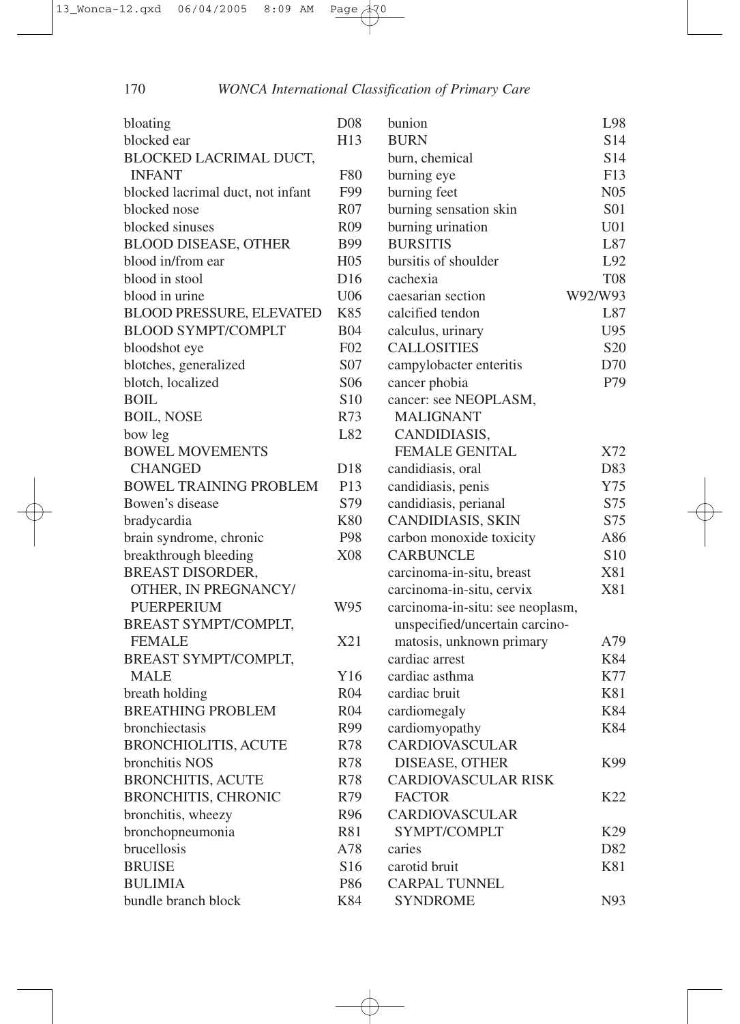| bloating                          | D <sub>08</sub> | bunion                           | L98             |
|-----------------------------------|-----------------|----------------------------------|-----------------|
| blocked ear                       | H13             | <b>BURN</b>                      | S <sub>14</sub> |
| BLOCKED LACRIMAL DUCT,            |                 | burn, chemical                   | S <sub>14</sub> |
| <b>INFANT</b>                     | <b>F80</b>      | burning eye                      | F13             |
| blocked lacrimal duct, not infant | F99             | burning feet                     | N05             |
| blocked nose                      | R07             | burning sensation skin           | <b>S01</b>      |
| blocked sinuses                   | R <sub>09</sub> | burning urination                | U <sub>01</sub> |
| <b>BLOOD DISEASE, OTHER</b>       | <b>B99</b>      | <b>BURSITIS</b>                  | L87             |
| blood in/from ear                 | H <sub>05</sub> | bursitis of shoulder             | L92             |
| blood in stool                    | D <sub>16</sub> | cachexia                         | <b>T08</b>      |
| blood in urine                    | U06             | caesarian section                | W92/W93         |
| BLOOD PRESSURE, ELEVATED          | K85             | calcified tendon                 | L87             |
| <b>BLOOD SYMPT/COMPLT</b>         | <b>B04</b>      | calculus, urinary                | U95             |
| bloodshot eye                     | F <sub>02</sub> | <b>CALLOSITIES</b>               | <b>S20</b>      |
| blotches, generalized             | S07             | campylobacter enteritis          | D70             |
| blotch, localized                 | S <sub>06</sub> | cancer phobia                    | P79             |
| <b>BOIL</b>                       | S10             | cancer: see NEOPLASM,            |                 |
| <b>BOIL, NOSE</b>                 | R73             | <b>MALIGNANT</b>                 |                 |
| bow leg                           | L82             | CANDIDIASIS,                     |                 |
| <b>BOWEL MOVEMENTS</b>            |                 | <b>FEMALE GENITAL</b>            | X72             |
| <b>CHANGED</b>                    | D18             | candidiasis, oral                | D83             |
| <b>BOWEL TRAINING PROBLEM</b>     | P <sub>13</sub> | candidiasis, penis               | Y75             |
| Bowen's disease                   | S79             | candidiasis, perianal            | S75             |
| bradycardia                       | <b>K80</b>      | CANDIDIASIS, SKIN                | S75             |
| brain syndrome, chronic           | P98             | carbon monoxide toxicity         | A86             |
| breakthrough bleeding             | X08             | <b>CARBUNCLE</b>                 | S <sub>10</sub> |
| <b>BREAST DISORDER,</b>           |                 | carcinoma-in-situ, breast        | X81             |
| OTHER, IN PREGNANCY/              |                 | carcinoma-in-situ, cervix        | X81             |
| PUERPERIUM                        | W95             | carcinoma-in-situ: see neoplasm, |                 |
| BREAST SYMPT/COMPLT,              |                 | unspecified/uncertain carcino-   |                 |
| <b>FEMALE</b>                     | X21             | matosis, unknown primary         | A79             |
| BREAST SYMPT/COMPLT,              |                 | cardiac arrest                   | K84             |
| <b>MALE</b>                       | Y16             | cardiac asthma                   | K77             |
| breath holding                    | R <sub>04</sub> | cardiac bruit                    | K81             |
| <b>BREATHING PROBLEM</b>          | R <sub>04</sub> | cardiomegaly                     | K84             |
| bronchiectasis                    | R99             | cardiomyopathy                   | K84             |
| <b>BRONCHIOLITIS, ACUTE</b>       | R78             | <b>CARDIOVASCULAR</b>            |                 |
| bronchitis NOS                    | R78             | DISEASE, OTHER                   | K99             |
| <b>BRONCHITIS, ACUTE</b>          | R78             | CARDIOVASCULAR RISK              |                 |
| <b>BRONCHITIS, CHRONIC</b>        | R79             | <b>FACTOR</b>                    | K <sub>22</sub> |
| bronchitis, wheezy                | R96             | <b>CARDIOVASCULAR</b>            |                 |
| bronchopneumonia                  | R81             | SYMPT/COMPLT                     | K <sub>29</sub> |
| brucellosis                       | A78             | caries                           | D82             |
| <b>BRUISE</b>                     | S <sub>16</sub> | carotid bruit                    | K81             |
| <b>BULIMIA</b>                    | P86             | <b>CARPAL TUNNEL</b>             |                 |
| bundle branch block               | K84             | <b>SYNDROME</b>                  | N93             |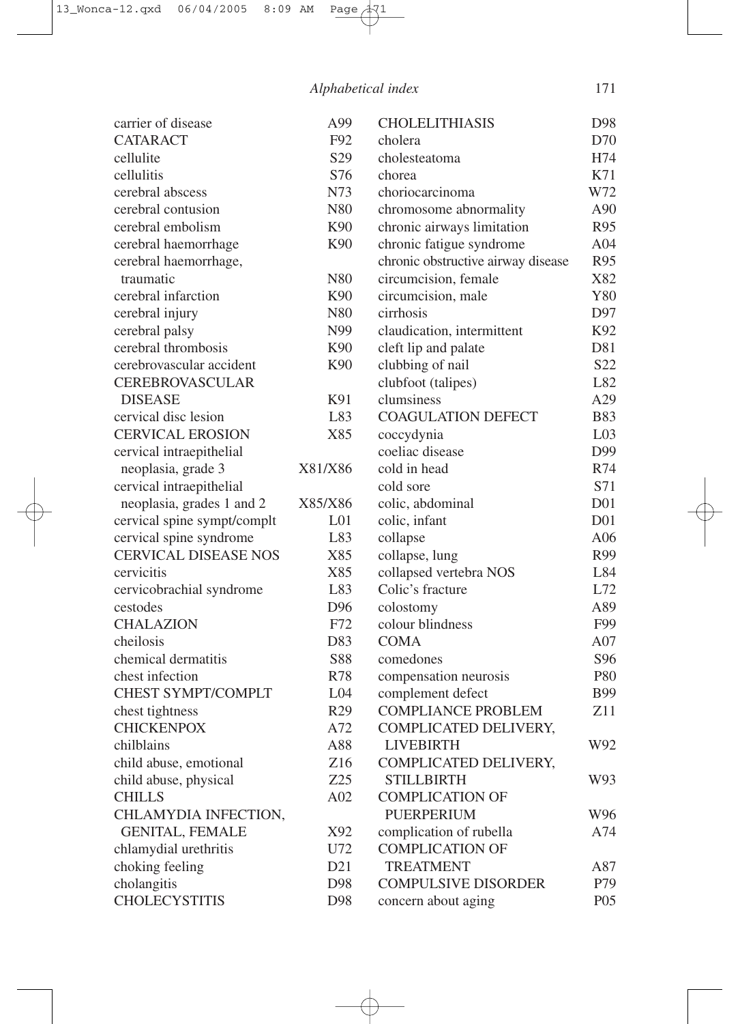| F92<br><b>CATARACT</b><br>cholera<br>D70<br>S29<br>cellulite<br>cholesteatoma<br>H74<br>S76<br>K71<br>cellulitis<br>chorea<br>W72<br>cerebral abscess<br>N73<br>choriocarcinoma<br>A90<br>cerebral contusion<br>N80<br>chromosome abnormality<br>R95<br>cerebral embolism<br>K90<br>chronic airways limitation<br>A04<br>K90<br>chronic fatigue syndrome<br>cerebral haemorrhage<br>R95<br>chronic obstructive airway disease<br>cerebral haemorrhage,<br>X82<br>traumatic<br>N80<br>circumcision, female<br>cerebral infarction<br>Y80<br>K90<br>circumcision, male<br>cirrhosis<br>cerebral injury<br>N80<br>D97<br>N99<br>claudication, intermittent<br>K92<br>cerebral palsy<br>cerebral thrombosis<br>K90<br>D81<br>cleft lip and palate<br>S22<br>cerebrovascular accident<br>K90<br>clubbing of nail<br><b>CEREBROVASCULAR</b><br>clubfoot (talipes)<br>L82<br>clumsiness<br>A29<br><b>DISEASE</b><br>K91<br>cervical disc lesion<br>L83<br><b>COAGULATION DEFECT</b><br><b>B83</b><br><b>CERVICAL EROSION</b><br>X85<br>L <sub>03</sub><br>coccydynia<br>coeliac disease<br>D99<br>cervical intraepithelial<br>cold in head<br>neoplasia, grade 3<br>X81/X86<br>R74<br>S71<br>cervical intraepithelial<br>cold sore<br>D <sub>01</sub><br>neoplasia, grades 1 and 2<br>X85/X86<br>colic, abdominal<br>cervical spine sympt/complt<br>L <sub>01</sub><br>colic, infant<br>D <sub>01</sub><br>cervical spine syndrome<br>L83<br>collapse<br>A06<br><b>CERVICAL DISEASE NOS</b><br>X85<br>collapse, lung<br>R99<br>collapsed vertebra NOS<br>cervicitis<br>X85<br>L84<br>Colic's fracture<br>L72<br>L83<br>cervicobrachial syndrome<br>A89<br>D <sub>96</sub><br>colostomy<br>cestodes<br>F72<br>F99<br><b>CHALAZION</b><br>colour blindness<br>D83<br><b>COMA</b><br>A07<br>cheilosis<br>chemical dermatitis<br><b>S88</b><br>S96<br>comedones<br>chest infection<br><b>R78</b><br>compensation neurosis<br><b>P80</b><br>CHEST SYMPT/COMPLT<br>L <sub>04</sub><br>complement defect<br><b>B99</b><br>R29<br><b>COMPLIANCE PROBLEM</b><br>chest tightness<br>Z11<br><b>CHICKENPOX</b><br>A72<br>COMPLICATED DELIVERY,<br>chilblains<br>A88<br><b>LIVEBIRTH</b><br>W92<br>child abuse, emotional<br>Z16<br>COMPLICATED DELIVERY,<br>child abuse, physical<br>Z <sub>25</sub><br><b>STILLBIRTH</b><br>W93<br><b>COMPLICATION OF</b><br><b>CHILLS</b><br>A02<br>CHLAMYDIA INFECTION,<br>PUERPERIUM<br>W96<br>complication of rubella<br><b>GENITAL, FEMALE</b><br>X92<br>A74<br>chlamydial urethritis<br><b>COMPLICATION OF</b><br>U72<br>choking feeling<br>D21<br><b>TREATMENT</b><br>A87<br>cholangitis<br>D <sub>98</sub><br><b>COMPULSIVE DISORDER</b><br>P79 | carrier of disease   | A99             | <b>CHOLELITHIASIS</b> | D98             |
|-----------------------------------------------------------------------------------------------------------------------------------------------------------------------------------------------------------------------------------------------------------------------------------------------------------------------------------------------------------------------------------------------------------------------------------------------------------------------------------------------------------------------------------------------------------------------------------------------------------------------------------------------------------------------------------------------------------------------------------------------------------------------------------------------------------------------------------------------------------------------------------------------------------------------------------------------------------------------------------------------------------------------------------------------------------------------------------------------------------------------------------------------------------------------------------------------------------------------------------------------------------------------------------------------------------------------------------------------------------------------------------------------------------------------------------------------------------------------------------------------------------------------------------------------------------------------------------------------------------------------------------------------------------------------------------------------------------------------------------------------------------------------------------------------------------------------------------------------------------------------------------------------------------------------------------------------------------------------------------------------------------------------------------------------------------------------------------------------------------------------------------------------------------------------------------------------------------------------------------------------------------------------------------------------------------------------------------------------------------------------------------------------------------------------------------------------------------------------------------------------------------------------------------------------------------------------------------------------------------------------------------------------------------------------|----------------------|-----------------|-----------------------|-----------------|
|                                                                                                                                                                                                                                                                                                                                                                                                                                                                                                                                                                                                                                                                                                                                                                                                                                                                                                                                                                                                                                                                                                                                                                                                                                                                                                                                                                                                                                                                                                                                                                                                                                                                                                                                                                                                                                                                                                                                                                                                                                                                                                                                                                                                                                                                                                                                                                                                                                                                                                                                                                                                                                                                       |                      |                 |                       |                 |
|                                                                                                                                                                                                                                                                                                                                                                                                                                                                                                                                                                                                                                                                                                                                                                                                                                                                                                                                                                                                                                                                                                                                                                                                                                                                                                                                                                                                                                                                                                                                                                                                                                                                                                                                                                                                                                                                                                                                                                                                                                                                                                                                                                                                                                                                                                                                                                                                                                                                                                                                                                                                                                                                       |                      |                 |                       |                 |
|                                                                                                                                                                                                                                                                                                                                                                                                                                                                                                                                                                                                                                                                                                                                                                                                                                                                                                                                                                                                                                                                                                                                                                                                                                                                                                                                                                                                                                                                                                                                                                                                                                                                                                                                                                                                                                                                                                                                                                                                                                                                                                                                                                                                                                                                                                                                                                                                                                                                                                                                                                                                                                                                       |                      |                 |                       |                 |
|                                                                                                                                                                                                                                                                                                                                                                                                                                                                                                                                                                                                                                                                                                                                                                                                                                                                                                                                                                                                                                                                                                                                                                                                                                                                                                                                                                                                                                                                                                                                                                                                                                                                                                                                                                                                                                                                                                                                                                                                                                                                                                                                                                                                                                                                                                                                                                                                                                                                                                                                                                                                                                                                       |                      |                 |                       |                 |
|                                                                                                                                                                                                                                                                                                                                                                                                                                                                                                                                                                                                                                                                                                                                                                                                                                                                                                                                                                                                                                                                                                                                                                                                                                                                                                                                                                                                                                                                                                                                                                                                                                                                                                                                                                                                                                                                                                                                                                                                                                                                                                                                                                                                                                                                                                                                                                                                                                                                                                                                                                                                                                                                       |                      |                 |                       |                 |
|                                                                                                                                                                                                                                                                                                                                                                                                                                                                                                                                                                                                                                                                                                                                                                                                                                                                                                                                                                                                                                                                                                                                                                                                                                                                                                                                                                                                                                                                                                                                                                                                                                                                                                                                                                                                                                                                                                                                                                                                                                                                                                                                                                                                                                                                                                                                                                                                                                                                                                                                                                                                                                                                       |                      |                 |                       |                 |
|                                                                                                                                                                                                                                                                                                                                                                                                                                                                                                                                                                                                                                                                                                                                                                                                                                                                                                                                                                                                                                                                                                                                                                                                                                                                                                                                                                                                                                                                                                                                                                                                                                                                                                                                                                                                                                                                                                                                                                                                                                                                                                                                                                                                                                                                                                                                                                                                                                                                                                                                                                                                                                                                       |                      |                 |                       |                 |
|                                                                                                                                                                                                                                                                                                                                                                                                                                                                                                                                                                                                                                                                                                                                                                                                                                                                                                                                                                                                                                                                                                                                                                                                                                                                                                                                                                                                                                                                                                                                                                                                                                                                                                                                                                                                                                                                                                                                                                                                                                                                                                                                                                                                                                                                                                                                                                                                                                                                                                                                                                                                                                                                       |                      |                 |                       |                 |
|                                                                                                                                                                                                                                                                                                                                                                                                                                                                                                                                                                                                                                                                                                                                                                                                                                                                                                                                                                                                                                                                                                                                                                                                                                                                                                                                                                                                                                                                                                                                                                                                                                                                                                                                                                                                                                                                                                                                                                                                                                                                                                                                                                                                                                                                                                                                                                                                                                                                                                                                                                                                                                                                       |                      |                 |                       |                 |
|                                                                                                                                                                                                                                                                                                                                                                                                                                                                                                                                                                                                                                                                                                                                                                                                                                                                                                                                                                                                                                                                                                                                                                                                                                                                                                                                                                                                                                                                                                                                                                                                                                                                                                                                                                                                                                                                                                                                                                                                                                                                                                                                                                                                                                                                                                                                                                                                                                                                                                                                                                                                                                                                       |                      |                 |                       |                 |
|                                                                                                                                                                                                                                                                                                                                                                                                                                                                                                                                                                                                                                                                                                                                                                                                                                                                                                                                                                                                                                                                                                                                                                                                                                                                                                                                                                                                                                                                                                                                                                                                                                                                                                                                                                                                                                                                                                                                                                                                                                                                                                                                                                                                                                                                                                                                                                                                                                                                                                                                                                                                                                                                       |                      |                 |                       |                 |
|                                                                                                                                                                                                                                                                                                                                                                                                                                                                                                                                                                                                                                                                                                                                                                                                                                                                                                                                                                                                                                                                                                                                                                                                                                                                                                                                                                                                                                                                                                                                                                                                                                                                                                                                                                                                                                                                                                                                                                                                                                                                                                                                                                                                                                                                                                                                                                                                                                                                                                                                                                                                                                                                       |                      |                 |                       |                 |
|                                                                                                                                                                                                                                                                                                                                                                                                                                                                                                                                                                                                                                                                                                                                                                                                                                                                                                                                                                                                                                                                                                                                                                                                                                                                                                                                                                                                                                                                                                                                                                                                                                                                                                                                                                                                                                                                                                                                                                                                                                                                                                                                                                                                                                                                                                                                                                                                                                                                                                                                                                                                                                                                       |                      |                 |                       |                 |
|                                                                                                                                                                                                                                                                                                                                                                                                                                                                                                                                                                                                                                                                                                                                                                                                                                                                                                                                                                                                                                                                                                                                                                                                                                                                                                                                                                                                                                                                                                                                                                                                                                                                                                                                                                                                                                                                                                                                                                                                                                                                                                                                                                                                                                                                                                                                                                                                                                                                                                                                                                                                                                                                       |                      |                 |                       |                 |
|                                                                                                                                                                                                                                                                                                                                                                                                                                                                                                                                                                                                                                                                                                                                                                                                                                                                                                                                                                                                                                                                                                                                                                                                                                                                                                                                                                                                                                                                                                                                                                                                                                                                                                                                                                                                                                                                                                                                                                                                                                                                                                                                                                                                                                                                                                                                                                                                                                                                                                                                                                                                                                                                       |                      |                 |                       |                 |
|                                                                                                                                                                                                                                                                                                                                                                                                                                                                                                                                                                                                                                                                                                                                                                                                                                                                                                                                                                                                                                                                                                                                                                                                                                                                                                                                                                                                                                                                                                                                                                                                                                                                                                                                                                                                                                                                                                                                                                                                                                                                                                                                                                                                                                                                                                                                                                                                                                                                                                                                                                                                                                                                       |                      |                 |                       |                 |
|                                                                                                                                                                                                                                                                                                                                                                                                                                                                                                                                                                                                                                                                                                                                                                                                                                                                                                                                                                                                                                                                                                                                                                                                                                                                                                                                                                                                                                                                                                                                                                                                                                                                                                                                                                                                                                                                                                                                                                                                                                                                                                                                                                                                                                                                                                                                                                                                                                                                                                                                                                                                                                                                       |                      |                 |                       |                 |
|                                                                                                                                                                                                                                                                                                                                                                                                                                                                                                                                                                                                                                                                                                                                                                                                                                                                                                                                                                                                                                                                                                                                                                                                                                                                                                                                                                                                                                                                                                                                                                                                                                                                                                                                                                                                                                                                                                                                                                                                                                                                                                                                                                                                                                                                                                                                                                                                                                                                                                                                                                                                                                                                       |                      |                 |                       |                 |
|                                                                                                                                                                                                                                                                                                                                                                                                                                                                                                                                                                                                                                                                                                                                                                                                                                                                                                                                                                                                                                                                                                                                                                                                                                                                                                                                                                                                                                                                                                                                                                                                                                                                                                                                                                                                                                                                                                                                                                                                                                                                                                                                                                                                                                                                                                                                                                                                                                                                                                                                                                                                                                                                       |                      |                 |                       |                 |
|                                                                                                                                                                                                                                                                                                                                                                                                                                                                                                                                                                                                                                                                                                                                                                                                                                                                                                                                                                                                                                                                                                                                                                                                                                                                                                                                                                                                                                                                                                                                                                                                                                                                                                                                                                                                                                                                                                                                                                                                                                                                                                                                                                                                                                                                                                                                                                                                                                                                                                                                                                                                                                                                       |                      |                 |                       |                 |
|                                                                                                                                                                                                                                                                                                                                                                                                                                                                                                                                                                                                                                                                                                                                                                                                                                                                                                                                                                                                                                                                                                                                                                                                                                                                                                                                                                                                                                                                                                                                                                                                                                                                                                                                                                                                                                                                                                                                                                                                                                                                                                                                                                                                                                                                                                                                                                                                                                                                                                                                                                                                                                                                       |                      |                 |                       |                 |
|                                                                                                                                                                                                                                                                                                                                                                                                                                                                                                                                                                                                                                                                                                                                                                                                                                                                                                                                                                                                                                                                                                                                                                                                                                                                                                                                                                                                                                                                                                                                                                                                                                                                                                                                                                                                                                                                                                                                                                                                                                                                                                                                                                                                                                                                                                                                                                                                                                                                                                                                                                                                                                                                       |                      |                 |                       |                 |
|                                                                                                                                                                                                                                                                                                                                                                                                                                                                                                                                                                                                                                                                                                                                                                                                                                                                                                                                                                                                                                                                                                                                                                                                                                                                                                                                                                                                                                                                                                                                                                                                                                                                                                                                                                                                                                                                                                                                                                                                                                                                                                                                                                                                                                                                                                                                                                                                                                                                                                                                                                                                                                                                       |                      |                 |                       |                 |
|                                                                                                                                                                                                                                                                                                                                                                                                                                                                                                                                                                                                                                                                                                                                                                                                                                                                                                                                                                                                                                                                                                                                                                                                                                                                                                                                                                                                                                                                                                                                                                                                                                                                                                                                                                                                                                                                                                                                                                                                                                                                                                                                                                                                                                                                                                                                                                                                                                                                                                                                                                                                                                                                       |                      |                 |                       |                 |
|                                                                                                                                                                                                                                                                                                                                                                                                                                                                                                                                                                                                                                                                                                                                                                                                                                                                                                                                                                                                                                                                                                                                                                                                                                                                                                                                                                                                                                                                                                                                                                                                                                                                                                                                                                                                                                                                                                                                                                                                                                                                                                                                                                                                                                                                                                                                                                                                                                                                                                                                                                                                                                                                       |                      |                 |                       |                 |
|                                                                                                                                                                                                                                                                                                                                                                                                                                                                                                                                                                                                                                                                                                                                                                                                                                                                                                                                                                                                                                                                                                                                                                                                                                                                                                                                                                                                                                                                                                                                                                                                                                                                                                                                                                                                                                                                                                                                                                                                                                                                                                                                                                                                                                                                                                                                                                                                                                                                                                                                                                                                                                                                       |                      |                 |                       |                 |
|                                                                                                                                                                                                                                                                                                                                                                                                                                                                                                                                                                                                                                                                                                                                                                                                                                                                                                                                                                                                                                                                                                                                                                                                                                                                                                                                                                                                                                                                                                                                                                                                                                                                                                                                                                                                                                                                                                                                                                                                                                                                                                                                                                                                                                                                                                                                                                                                                                                                                                                                                                                                                                                                       |                      |                 |                       |                 |
|                                                                                                                                                                                                                                                                                                                                                                                                                                                                                                                                                                                                                                                                                                                                                                                                                                                                                                                                                                                                                                                                                                                                                                                                                                                                                                                                                                                                                                                                                                                                                                                                                                                                                                                                                                                                                                                                                                                                                                                                                                                                                                                                                                                                                                                                                                                                                                                                                                                                                                                                                                                                                                                                       |                      |                 |                       |                 |
|                                                                                                                                                                                                                                                                                                                                                                                                                                                                                                                                                                                                                                                                                                                                                                                                                                                                                                                                                                                                                                                                                                                                                                                                                                                                                                                                                                                                                                                                                                                                                                                                                                                                                                                                                                                                                                                                                                                                                                                                                                                                                                                                                                                                                                                                                                                                                                                                                                                                                                                                                                                                                                                                       |                      |                 |                       |                 |
|                                                                                                                                                                                                                                                                                                                                                                                                                                                                                                                                                                                                                                                                                                                                                                                                                                                                                                                                                                                                                                                                                                                                                                                                                                                                                                                                                                                                                                                                                                                                                                                                                                                                                                                                                                                                                                                                                                                                                                                                                                                                                                                                                                                                                                                                                                                                                                                                                                                                                                                                                                                                                                                                       |                      |                 |                       |                 |
|                                                                                                                                                                                                                                                                                                                                                                                                                                                                                                                                                                                                                                                                                                                                                                                                                                                                                                                                                                                                                                                                                                                                                                                                                                                                                                                                                                                                                                                                                                                                                                                                                                                                                                                                                                                                                                                                                                                                                                                                                                                                                                                                                                                                                                                                                                                                                                                                                                                                                                                                                                                                                                                                       |                      |                 |                       |                 |
|                                                                                                                                                                                                                                                                                                                                                                                                                                                                                                                                                                                                                                                                                                                                                                                                                                                                                                                                                                                                                                                                                                                                                                                                                                                                                                                                                                                                                                                                                                                                                                                                                                                                                                                                                                                                                                                                                                                                                                                                                                                                                                                                                                                                                                                                                                                                                                                                                                                                                                                                                                                                                                                                       |                      |                 |                       |                 |
|                                                                                                                                                                                                                                                                                                                                                                                                                                                                                                                                                                                                                                                                                                                                                                                                                                                                                                                                                                                                                                                                                                                                                                                                                                                                                                                                                                                                                                                                                                                                                                                                                                                                                                                                                                                                                                                                                                                                                                                                                                                                                                                                                                                                                                                                                                                                                                                                                                                                                                                                                                                                                                                                       |                      |                 |                       |                 |
|                                                                                                                                                                                                                                                                                                                                                                                                                                                                                                                                                                                                                                                                                                                                                                                                                                                                                                                                                                                                                                                                                                                                                                                                                                                                                                                                                                                                                                                                                                                                                                                                                                                                                                                                                                                                                                                                                                                                                                                                                                                                                                                                                                                                                                                                                                                                                                                                                                                                                                                                                                                                                                                                       |                      |                 |                       |                 |
|                                                                                                                                                                                                                                                                                                                                                                                                                                                                                                                                                                                                                                                                                                                                                                                                                                                                                                                                                                                                                                                                                                                                                                                                                                                                                                                                                                                                                                                                                                                                                                                                                                                                                                                                                                                                                                                                                                                                                                                                                                                                                                                                                                                                                                                                                                                                                                                                                                                                                                                                                                                                                                                                       |                      |                 |                       |                 |
|                                                                                                                                                                                                                                                                                                                                                                                                                                                                                                                                                                                                                                                                                                                                                                                                                                                                                                                                                                                                                                                                                                                                                                                                                                                                                                                                                                                                                                                                                                                                                                                                                                                                                                                                                                                                                                                                                                                                                                                                                                                                                                                                                                                                                                                                                                                                                                                                                                                                                                                                                                                                                                                                       |                      |                 |                       |                 |
|                                                                                                                                                                                                                                                                                                                                                                                                                                                                                                                                                                                                                                                                                                                                                                                                                                                                                                                                                                                                                                                                                                                                                                                                                                                                                                                                                                                                                                                                                                                                                                                                                                                                                                                                                                                                                                                                                                                                                                                                                                                                                                                                                                                                                                                                                                                                                                                                                                                                                                                                                                                                                                                                       |                      |                 |                       |                 |
|                                                                                                                                                                                                                                                                                                                                                                                                                                                                                                                                                                                                                                                                                                                                                                                                                                                                                                                                                                                                                                                                                                                                                                                                                                                                                                                                                                                                                                                                                                                                                                                                                                                                                                                                                                                                                                                                                                                                                                                                                                                                                                                                                                                                                                                                                                                                                                                                                                                                                                                                                                                                                                                                       |                      |                 |                       |                 |
|                                                                                                                                                                                                                                                                                                                                                                                                                                                                                                                                                                                                                                                                                                                                                                                                                                                                                                                                                                                                                                                                                                                                                                                                                                                                                                                                                                                                                                                                                                                                                                                                                                                                                                                                                                                                                                                                                                                                                                                                                                                                                                                                                                                                                                                                                                                                                                                                                                                                                                                                                                                                                                                                       |                      |                 |                       |                 |
|                                                                                                                                                                                                                                                                                                                                                                                                                                                                                                                                                                                                                                                                                                                                                                                                                                                                                                                                                                                                                                                                                                                                                                                                                                                                                                                                                                                                                                                                                                                                                                                                                                                                                                                                                                                                                                                                                                                                                                                                                                                                                                                                                                                                                                                                                                                                                                                                                                                                                                                                                                                                                                                                       |                      |                 |                       |                 |
|                                                                                                                                                                                                                                                                                                                                                                                                                                                                                                                                                                                                                                                                                                                                                                                                                                                                                                                                                                                                                                                                                                                                                                                                                                                                                                                                                                                                                                                                                                                                                                                                                                                                                                                                                                                                                                                                                                                                                                                                                                                                                                                                                                                                                                                                                                                                                                                                                                                                                                                                                                                                                                                                       |                      |                 |                       |                 |
|                                                                                                                                                                                                                                                                                                                                                                                                                                                                                                                                                                                                                                                                                                                                                                                                                                                                                                                                                                                                                                                                                                                                                                                                                                                                                                                                                                                                                                                                                                                                                                                                                                                                                                                                                                                                                                                                                                                                                                                                                                                                                                                                                                                                                                                                                                                                                                                                                                                                                                                                                                                                                                                                       |                      |                 |                       |                 |
|                                                                                                                                                                                                                                                                                                                                                                                                                                                                                                                                                                                                                                                                                                                                                                                                                                                                                                                                                                                                                                                                                                                                                                                                                                                                                                                                                                                                                                                                                                                                                                                                                                                                                                                                                                                                                                                                                                                                                                                                                                                                                                                                                                                                                                                                                                                                                                                                                                                                                                                                                                                                                                                                       |                      |                 |                       |                 |
|                                                                                                                                                                                                                                                                                                                                                                                                                                                                                                                                                                                                                                                                                                                                                                                                                                                                                                                                                                                                                                                                                                                                                                                                                                                                                                                                                                                                                                                                                                                                                                                                                                                                                                                                                                                                                                                                                                                                                                                                                                                                                                                                                                                                                                                                                                                                                                                                                                                                                                                                                                                                                                                                       |                      |                 |                       |                 |
|                                                                                                                                                                                                                                                                                                                                                                                                                                                                                                                                                                                                                                                                                                                                                                                                                                                                                                                                                                                                                                                                                                                                                                                                                                                                                                                                                                                                                                                                                                                                                                                                                                                                                                                                                                                                                                                                                                                                                                                                                                                                                                                                                                                                                                                                                                                                                                                                                                                                                                                                                                                                                                                                       | <b>CHOLECYSTITIS</b> | D <sub>98</sub> | concern about aging   | P <sub>05</sub> |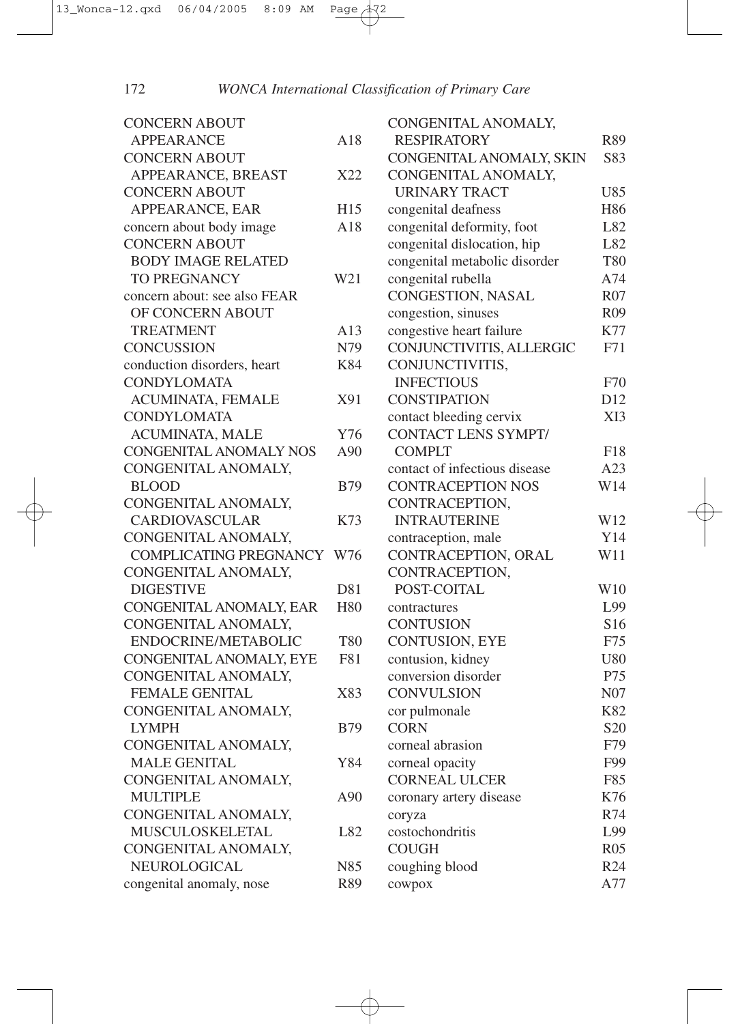|  | ٠ |
|--|---|

| <b>CONCERN ABOUT</b>          |            | CONGENITAL ANOMALY,           |                 |
|-------------------------------|------------|-------------------------------|-----------------|
| <b>APPEARANCE</b>             | A18        | <b>RESPIRATORY</b>            | R89             |
| <b>CONCERN ABOUT</b>          |            | CONGENITAL ANOMALY, SKIN      | S83             |
| APPEARANCE, BREAST            | X22        | CONGENITAL ANOMALY,           |                 |
| <b>CONCERN ABOUT</b>          |            | <b>URINARY TRACT</b>          | U85             |
| APPEARANCE, EAR               | H15        | congenital deafness           | H86             |
| concern about body image      | A18        | congenital deformity, foot    | L82             |
| <b>CONCERN ABOUT</b>          |            | congenital dislocation, hip   | L82             |
| <b>BODY IMAGE RELATED</b>     |            | congenital metabolic disorder | <b>T80</b>      |
| TO PREGNANCY                  | W21        | congenital rubella            | A74             |
| concern about: see also FEAR  |            | CONGESTION, NASAL             | <b>R07</b>      |
| OF CONCERN ABOUT              |            | congestion, sinuses           | R <sub>09</sub> |
| <b>TREATMENT</b>              | A13        | congestive heart failure      | K77             |
| <b>CONCUSSION</b>             | N79        | CONJUNCTIVITIS, ALLERGIC      | F71             |
| conduction disorders, heart   | K84        | CONJUNCTIVITIS,               |                 |
| <b>CONDYLOMATA</b>            |            | <b>INFECTIOUS</b>             | F70             |
| ACUMINATA, FEMALE             | X91        | <b>CONSTIPATION</b>           | D <sub>12</sub> |
| <b>CONDYLOMATA</b>            |            | contact bleeding cervix       | XI3             |
| <b>ACUMINATA, MALE</b>        | Y76        | <b>CONTACT LENS SYMPT/</b>    |                 |
| <b>CONGENITAL ANOMALY NOS</b> | A90        | <b>COMPLT</b>                 | F18             |
| CONGENITAL ANOMALY,           |            | contact of infectious disease | A23             |
| <b>BLOOD</b>                  | <b>B79</b> | <b>CONTRACEPTION NOS</b>      | W14             |
| CONGENITAL ANOMALY,           |            | CONTRACEPTION,                |                 |
| <b>CARDIOVASCULAR</b>         | K73        | <b>INTRAUTERINE</b>           | W12             |
| CONGENITAL ANOMALY,           |            | contraception, male           | Y14             |
| <b>COMPLICATING PREGNANCY</b> | W76        | CONTRACEPTION, ORAL           | W11             |
| CONGENITAL ANOMALY,           |            | CONTRACEPTION,                |                 |
| <b>DIGESTIVE</b>              | D81        | POST-COITAL                   | W10             |
| CONGENITAL ANOMALY, EAR       | H80        | contractures                  | L99             |
| CONGENITAL ANOMALY,           |            | <b>CONTUSION</b>              | S16             |
| ENDOCRINE/METABOLIC           | <b>T80</b> | <b>CONTUSION, EYE</b>         | F75             |
| CONGENITAL ANOMALY, EYE       | F81        | contusion, kidney             | U80             |
| CONGENITAL ANOMALY,           |            | conversion disorder           | P75             |
| <b>FEMALE GENITAL</b>         | X83        | <b>CONVULSION</b>             | N07             |
| CONGENITAL ANOMALY,           |            | cor pulmonale                 | K82             |
| <b>LYMPH</b>                  | <b>B79</b> | <b>CORN</b>                   | S <sub>20</sub> |
| CONGENITAL ANOMALY,           |            | corneal abrasion              | F79             |
| <b>MALE GENITAL</b>           | Y84        | corneal opacity               | F99             |
| CONGENITAL ANOMALY,           |            | <b>CORNEAL ULCER</b>          | F85             |
| <b>MULTIPLE</b>               | A90        | coronary artery disease       | K76             |
| CONGENITAL ANOMALY,           |            | coryza                        | R74             |
| MUSCULOSKELETAL               | L82        | costochondritis               | L99             |
| CONGENITAL ANOMALY,           |            | <b>COUGH</b>                  | R05             |
| NEUROLOGICAL                  | N85        | coughing blood                | R24             |
| congenital anomaly, nose      | R89        | cowpox                        | A77             |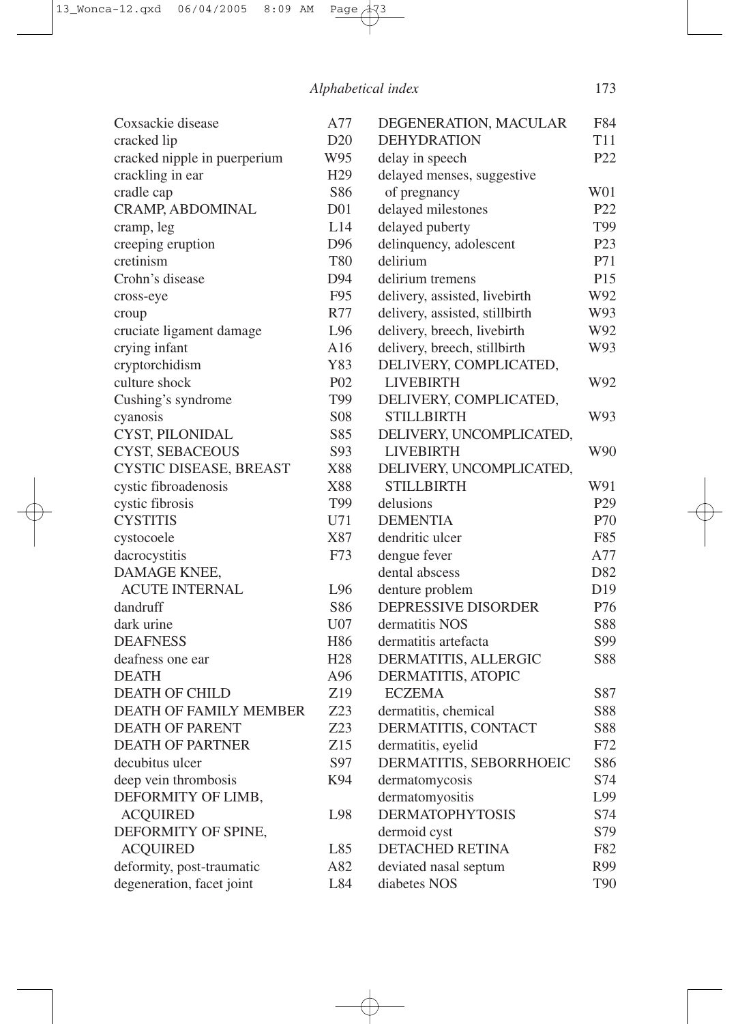| Coxsackie disease             | A77             | DEGENERATION, MACULAR          | F84             |
|-------------------------------|-----------------|--------------------------------|-----------------|
| cracked lip                   | D20             | <b>DEHYDRATION</b>             | T <sub>11</sub> |
| cracked nipple in puerperium  | W95             | delay in speech                | P <sub>22</sub> |
| crackling in ear              | H <sub>29</sub> | delayed menses, suggestive     |                 |
| cradle cap                    | S86             | of pregnancy                   | W <sub>01</sub> |
| CRAMP, ABDOMINAL              | D <sub>01</sub> | delayed milestones             | P <sub>22</sub> |
| cramp, leg                    | L14             | delayed puberty                | T99             |
| creeping eruption             | D96             | delinquency, adolescent        | P23             |
| cretinism                     | <b>T80</b>      | delirium                       | P71             |
| Crohn's disease               | D94             | delirium tremens               | P15             |
| cross-eye                     | F95             | delivery, assisted, livebirth  | W92             |
| croup                         | <b>R77</b>      | delivery, assisted, stillbirth | W93             |
| cruciate ligament damage      | L96             | delivery, breech, livebirth    | W92             |
| crying infant                 | A16             | delivery, breech, stillbirth   | W93             |
| cryptorchidism                | Y83             | DELIVERY, COMPLICATED,         |                 |
| culture shock                 | P <sub>02</sub> | <b>LIVEBIRTH</b>               | W92             |
| Cushing's syndrome            | T99             | DELIVERY, COMPLICATED,         |                 |
| cyanosis                      | <b>S08</b>      | <b>STILLBIRTH</b>              | W93             |
| CYST, PILONIDAL               | S85             | DELIVERY, UNCOMPLICATED,       |                 |
| <b>CYST, SEBACEOUS</b>        | S93             | <b>LIVEBIRTH</b>               | W90             |
| <b>CYSTIC DISEASE, BREAST</b> | X88             | DELIVERY, UNCOMPLICATED,       |                 |
| cystic fibroadenosis          | X88             | <b>STILLBIRTH</b>              | W91             |
| cystic fibrosis               | T99             | delusions                      | P <sub>29</sub> |
| <b>CYSTITIS</b>               | U71             | <b>DEMENTIA</b>                | P70             |
| cystocoele                    | X87             | dendritic ulcer                | F85             |
| dacrocystitis                 | F73             | dengue fever                   | A77             |
| DAMAGE KNEE,                  |                 | dental abscess                 | D <sub>82</sub> |
| <b>ACUTE INTERNAL</b>         | L96             | denture problem                | D <sub>19</sub> |
| dandruff                      | S86             | DEPRESSIVE DISORDER            | P76             |
| dark urine                    | U07             | dermatitis NOS                 | <b>S88</b>      |
| <b>DEAFNESS</b>               | H86             | dermatitis artefacta           | S99             |
| deafness one ear              | H <sub>28</sub> | DERMATITIS, ALLERGIC           | <b>S88</b>      |
| <b>DEATH</b>                  | A96             | DERMATITIS, ATOPIC             |                 |
| <b>DEATH OF CHILD</b>         | Z <sub>19</sub> | <b>ECZEMA</b>                  | S87             |
| <b>DEATH OF FAMILY MEMBER</b> | Z <sub>23</sub> | dermatitis, chemical           | <b>S88</b>      |
| <b>DEATH OF PARENT</b>        | Z <sub>23</sub> | DERMATITIS, CONTACT            | <b>S88</b>      |
| <b>DEATH OF PARTNER</b>       | Z15             | dermatitis, eyelid             | F72             |
| decubitus ulcer               | S97             | DERMATITIS, SEBORRHOEIC        | S86             |
| deep vein thrombosis          | K94             | dermatomycosis                 | S74             |
| DEFORMITY OF LIMB,            |                 | dermatomyositis                | L99             |
| <b>ACQUIRED</b>               | L98             | <b>DERMATOPHYTOSIS</b>         | S74             |
| DEFORMITY OF SPINE,           |                 | dermoid cyst                   | S79             |
| <b>ACQUIRED</b>               | L85             | DETACHED RETINA                | F82             |
| deformity, post-traumatic     | A82             | deviated nasal septum          | R99             |
| degeneration, facet joint     | L84             | diabetes NOS                   | <b>T90</b>      |

 $\oplus$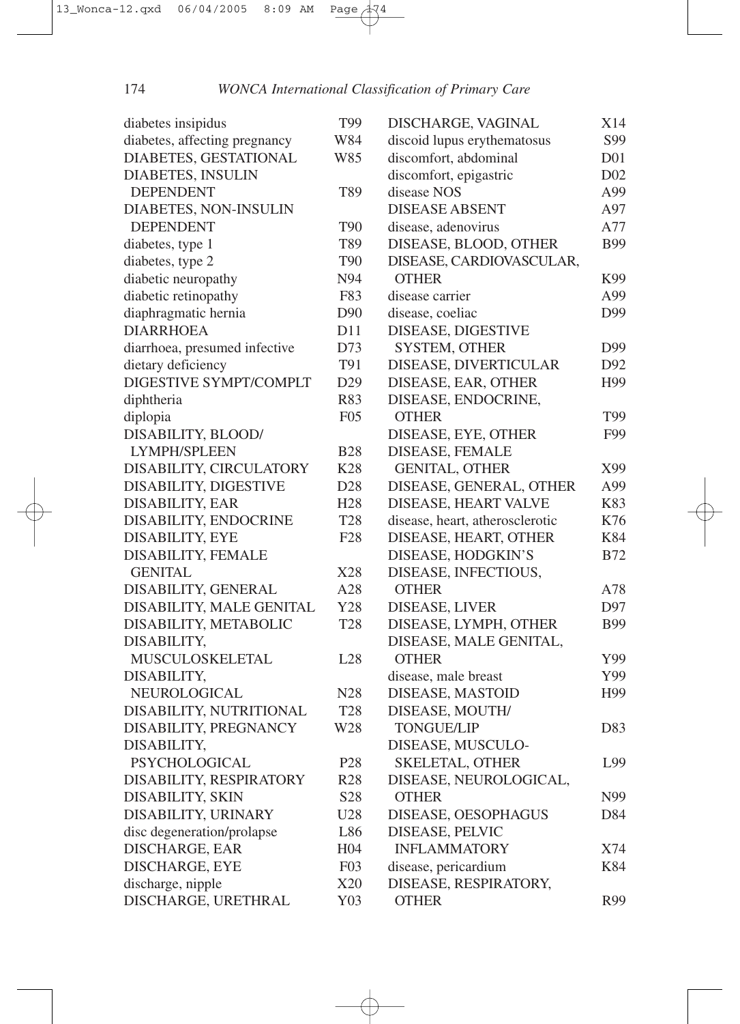| diabetes insipidus            | T99             | DISCHARGE, VAGINAL              | X14              |
|-------------------------------|-----------------|---------------------------------|------------------|
| diabetes, affecting pregnancy | W84             | discoid lupus erythematosus     | S99              |
| DIABETES, GESTATIONAL         | W85             | discomfort, abdominal           | D <sub>01</sub>  |
| DIABETES, INSULIN             |                 | discomfort, epigastric          | D <sub>0</sub> 2 |
| <b>DEPENDENT</b>              | T89             | disease NOS                     | A99              |
| DIABETES, NON-INSULIN         |                 | <b>DISEASE ABSENT</b>           | A97              |
| <b>DEPENDENT</b>              | <b>T90</b>      | disease, adenovirus             | A77              |
| diabetes, type 1              | T89             | DISEASE, BLOOD, OTHER           | <b>B99</b>       |
| diabetes, type 2              | <b>T90</b>      | DISEASE, CARDIOVASCULAR,        |                  |
| diabetic neuropathy           | N94             | <b>OTHER</b>                    | K99              |
| diabetic retinopathy          | F83             | disease carrier                 | A99              |
| diaphragmatic hernia          | D90             | disease, coeliac                | D99              |
| <b>DIARRHOEA</b>              | D11             | DISEASE, DIGESTIVE              |                  |
| diarrhoea, presumed infective | D73             | SYSTEM, OTHER                   | D99              |
| dietary deficiency            | T91             | DISEASE, DIVERTICULAR           | D92              |
| DIGESTIVE SYMPT/COMPLT        | D29             | DISEASE, EAR, OTHER             | H99              |
| diphtheria                    | R83             | DISEASE, ENDOCRINE,             |                  |
| diplopia                      | F <sub>05</sub> | <b>OTHER</b>                    | T99              |
| DISABILITY, BLOOD/            |                 | DISEASE, EYE, OTHER             | F99              |
| LYMPH/SPLEEN                  | <b>B28</b>      | DISEASE, FEMALE                 |                  |
| DISABILITY, CIRCULATORY       | K <sub>28</sub> | <b>GENITAL, OTHER</b>           | X99              |
| DISABILITY, DIGESTIVE         | D <sub>28</sub> | DISEASE, GENERAL, OTHER         | A99              |
| DISABILITY, EAR               | H <sub>28</sub> | DISEASE, HEART VALVE            | K83              |
| DISABILITY, ENDOCRINE         | T <sub>28</sub> | disease, heart, atherosclerotic | K76              |
| DISABILITY, EYE               | F28             | DISEASE, HEART, OTHER           | K84              |
| DISABILITY, FEMALE            |                 | DISEASE, HODGKIN'S              | <b>B72</b>       |
| <b>GENITAL</b>                | X28             | DISEASE, INFECTIOUS,            |                  |
| DISABILITY, GENERAL           | A28             | <b>OTHER</b>                    | A78              |
| DISABILITY, MALE GENITAL      | Y28             | DISEASE, LIVER                  | D97              |
| DISABILITY, METABOLIC         | T <sub>28</sub> | DISEASE, LYMPH, OTHER           | <b>B99</b>       |
| DISABILITY,                   |                 | DISEASE, MALE GENITAL,          |                  |
| MUSCULOSKELETAL               | L28             | <b>OTHER</b>                    | Y99              |
| DISABILITY,                   |                 | disease, male breast            | Y99              |
| NEUROLOGICAL                  | N28             | DISEASE, MASTOID                | H99              |
| DISABILITY, NUTRITIONAL       | T <sub>28</sub> | DISEASE, MOUTH/                 |                  |
| DISABILITY, PREGNANCY         | W28             | <b>TONGUE/LIP</b>               | D83              |
| DISABILITY,                   |                 | DISEASE, MUSCULO-               |                  |
| PSYCHOLOGICAL                 | P <sub>28</sub> | SKELETAL, OTHER                 | L99              |
| DISABILITY, RESPIRATORY       | R <sub>28</sub> | DISEASE, NEUROLOGICAL,          |                  |
| DISABILITY, SKIN              | S <sub>28</sub> | <b>OTHER</b>                    | N99              |
| DISABILITY, URINARY           | U28             | DISEASE, OESOPHAGUS             | D84              |
| disc degeneration/prolapse    | L86             | DISEASE, PELVIC                 |                  |
| DISCHARGE, EAR                | H <sub>04</sub> | <b>INFLAMMATORY</b>             | X74              |
| DISCHARGE, EYE                | F03             | disease, pericardium            | K84              |
| discharge, nipple             | X20             | DISEASE, RESPIRATORY,           |                  |
| DISCHARGE, URETHRAL           | Y03             | <b>OTHER</b>                    | R99              |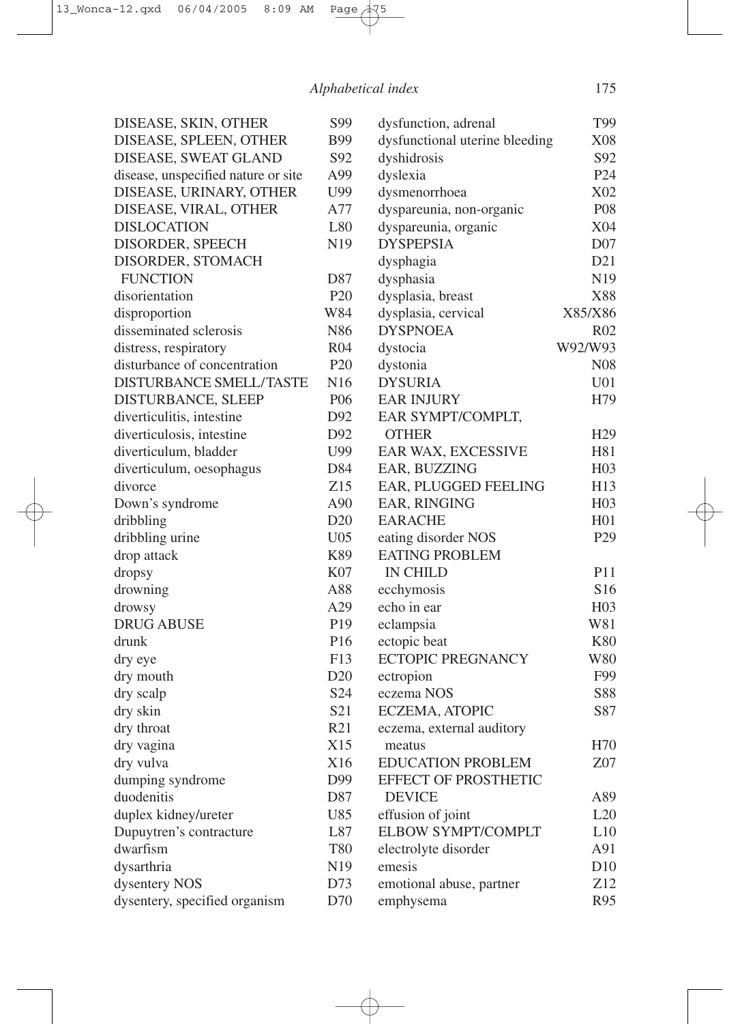Т

| DISEASE, SKIN, OTHER                | S99             | dysfunction, adrenal           | T99              |
|-------------------------------------|-----------------|--------------------------------|------------------|
| DISEASE, SPLEEN, OTHER              | <b>B99</b>      | dysfunctional uterine bleeding | X08              |
| DISEASE, SWEAT GLAND                | S92             | dyshidrosis                    | S92              |
| disease, unspecified nature or site | A99             | dyslexia                       | P <sub>24</sub>  |
| DISEASE, URINARY, OTHER             | U99             | dysmenorrhoea                  | X02              |
| DISEASE, VIRAL, OTHER               | A77             | dyspareunia, non-organic       | <b>P08</b>       |
| <b>DISLOCATION</b>                  | L80             | dyspareunia, organic           | X04              |
| DISORDER, SPEECH                    | N <sub>19</sub> | <b>DYSPEPSIA</b>               | D <sub>07</sub>  |
| DISORDER, STOMACH                   |                 | dysphagia                      | D21              |
| <b>FUNCTION</b>                     | D87             | dysphasia                      | N19              |
| disorientation                      | P <sub>20</sub> | dysplasia, breast              | X88              |
| disproportion                       | W84             | dysplasia, cervical            | X85/X86          |
| disseminated sclerosis              | N <sub>86</sub> | <b>DYSPNOEA</b>                | R <sub>02</sub>  |
| distress, respiratory               | R <sub>04</sub> | dystocia                       | W92/W93          |
| disturbance of concentration        | P <sub>20</sub> | dystonia                       | N <sub>0</sub> 8 |
| <b>DISTURBANCE SMELL/TASTE</b>      | N <sub>16</sub> | <b>DYSURIA</b>                 | U <sub>01</sub>  |
| DISTURBANCE, SLEEP                  | P <sub>06</sub> | <b>EAR INJURY</b>              | H79              |
| diverticulitis, intestine           | D92             | EAR SYMPT/COMPLT,              |                  |
| diverticulosis, intestine           | D92             | <b>OTHER</b>                   | H <sub>29</sub>  |
| diverticulum, bladder               | U99             | EAR WAX, EXCESSIVE             | H81              |
| diverticulum, oesophagus            | D <sub>84</sub> | EAR, BUZZING                   | H <sub>03</sub>  |
| divorce                             | Z15             | EAR, PLUGGED FEELING           | H <sub>13</sub>  |
| Down's syndrome                     | A90             | EAR, RINGING                   | H <sub>03</sub>  |
| dribbling                           | D20             | <b>EARACHE</b>                 | H <sub>01</sub>  |
| dribbling urine                     | U <sub>05</sub> | eating disorder NOS            | P <sub>29</sub>  |
| drop attack                         | K89             | <b>EATING PROBLEM</b>          |                  |
| dropsy                              | K07             | <b>IN CHILD</b>                | P11              |
| drowning                            | A88             | ecchymosis                     | S <sub>16</sub>  |
| drowsy                              | A29             | echo in ear                    | H <sub>03</sub>  |
| <b>DRUG ABUSE</b>                   | P <sub>19</sub> | eclampsia                      | W81              |
| drunk                               | P <sub>16</sub> | ectopic beat                   | K80              |
| dry eye                             | F13             | <b>ECTOPIC PREGNANCY</b>       | W80              |
| dry mouth                           | D <sub>20</sub> | ectropion                      | F99              |
| dry scalp                           | S <sub>24</sub> | eczema NOS                     | S88              |
| dry skin                            | S <sub>21</sub> | ECZEMA, ATOPIC                 | S87              |
| dry throat                          | R21             | eczema, external auditory      |                  |
| dry vagina                          | X15             | meatus                         | H70              |
| dry vulva                           | X16             | <b>EDUCATION PROBLEM</b>       | Z <sub>07</sub>  |
| dumping syndrome                    | D99             | EFFECT OF PROSTHETIC           |                  |
| duodenitis                          | D87             | <b>DEVICE</b>                  | A89              |
| duplex kidney/ureter                | U85             | effusion of joint              | L20              |
| Dupuytren's contracture             | L87             | ELBOW SYMPT/COMPLT             | L10              |
| dwarfism                            | <b>T80</b>      | electrolyte disorder           | A91              |
| dysarthria                          | N <sub>19</sub> | emesis                         | D10              |
| dysentery NOS                       | D73             | emotional abuse, partner       | Z12              |
| dysentery, specified organism       | D70             | emphysema                      | R95              |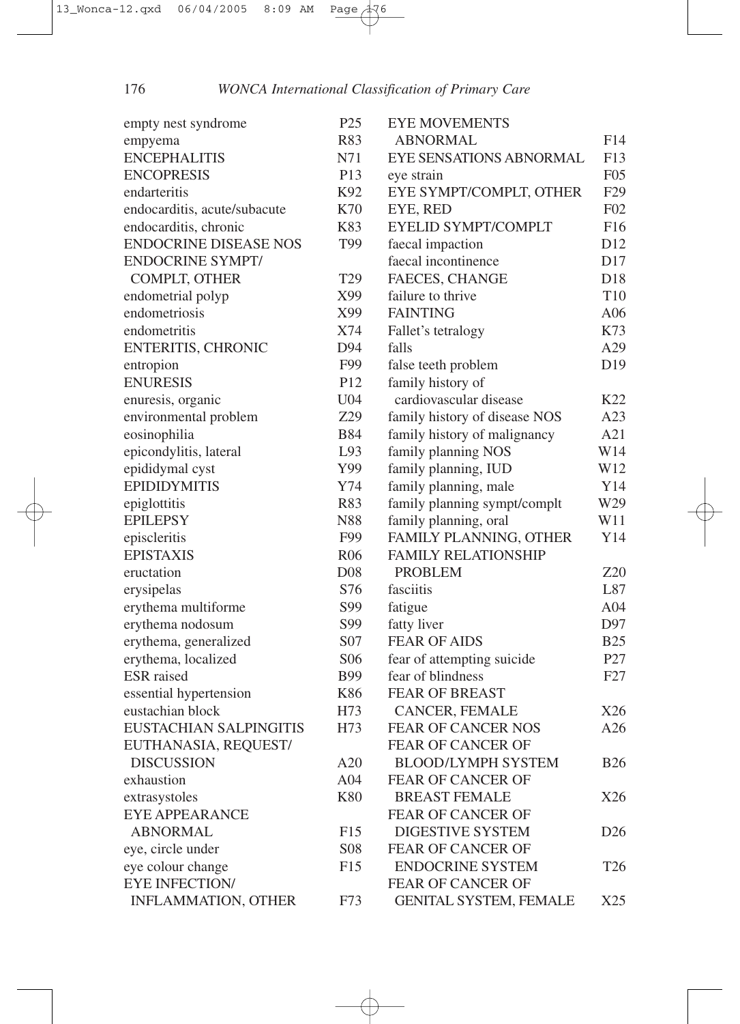| empty nest syndrome          | P <sub>25</sub> | <b>EYE MOVEMENTS</b>           |                 |
|------------------------------|-----------------|--------------------------------|-----------------|
| empyema                      | R83             | <b>ABNORMAL</b>                | F14             |
| <b>ENCEPHALITIS</b>          | N71             | <b>EYE SENSATIONS ABNORMAL</b> | F13             |
| <b>ENCOPRESIS</b>            | P <sub>13</sub> | eye strain                     | F05             |
| endarteritis                 | K92             | EYE SYMPT/COMPLT, OTHER        | F <sub>29</sub> |
| endocarditis, acute/subacute | K70             | EYE, RED                       | F02             |
| endocarditis, chronic        | K83             | EYELID SYMPT/COMPLT            | F <sub>16</sub> |
| <b>ENDOCRINE DISEASE NOS</b> | T99             | faecal impaction               | D12             |
| <b>ENDOCRINE SYMPT/</b>      |                 | faecal incontinence            | D17             |
| COMPLT, OTHER                | T29             | <b>FAECES, CHANGE</b>          | D18             |
| endometrial polyp            | X99             | failure to thrive              | T <sub>10</sub> |
| endometriosis                | X99             | <b>FAINTING</b>                | A06             |
| endometritis                 | X74             | Fallet's tetralogy             | K73             |
| <b>ENTERITIS, CHRONIC</b>    | D94             | falls                          | A29             |
| entropion                    | F99             | false teeth problem            | D19             |
| <b>ENURESIS</b>              | P12             | family history of              |                 |
| enuresis, organic            | U04             | cardiovascular disease         | K22             |
| environmental problem        | Z29             | family history of disease NOS  | A23             |
| eosinophilia                 | <b>B84</b>      | family history of malignancy   | A21             |
| epicondylitis, lateral       | L93             | family planning NOS            | W14             |
| epididymal cyst              | Y99             | family planning, IUD           | W12             |
| <b>EPIDIDYMITIS</b>          | Y74             | family planning, male          | Y14             |
| epiglottitis                 | R83             | family planning sympt/complt   | W29             |
| <b>EPILEPSY</b>              | N88             | family planning, oral          | W11             |
| episcleritis                 | F99             | FAMILY PLANNING, OTHER         | Y14             |
| <b>EPISTAXIS</b>             | <b>R06</b>      | <b>FAMILY RELATIONSHIP</b>     |                 |
| eructation                   | D <sub>08</sub> | <b>PROBLEM</b>                 | Z20             |
| erysipelas                   | S76             | fasciitis                      | L87             |
| erythema multiforme          | S99             | fatigue                        | A04             |
| erythema nodosum             | S99             | fatty liver                    | D97             |
| erythema, generalized        | S07             | <b>FEAR OF AIDS</b>            | <b>B25</b>      |
| erythema, localized          | S <sub>06</sub> | fear of attempting suicide     | P <sub>27</sub> |
| ESR raised                   | <b>B99</b>      | fear of blindness              | F27             |
| essential hypertension       | K86             | <b>FEAR OF BREAST</b>          |                 |
| eustachian block             | H73             | CANCER, FEMALE                 | X26             |
| EUSTACHIAN SALPINGITIS       | H73             | <b>FEAR OF CANCER NOS</b>      | A26             |
| EUTHANASIA, REQUEST/         |                 | FEAR OF CANCER OF              |                 |
| DISCUSSION                   | A20             | <b>BLOOD/LYMPH SYSTEM</b>      | <b>B26</b>      |
| exhaustion                   | A04             | FEAR OF CANCER OF              |                 |
| extrasystoles                | <b>K80</b>      | <b>BREAST FEMALE</b>           | X26             |
| <b>EYE APPEARANCE</b>        |                 | <b>FEAR OF CANCER OF</b>       |                 |
| <b>ABNORMAL</b>              | F15             | <b>DIGESTIVE SYSTEM</b>        | D <sub>26</sub> |
| eye, circle under            | <b>S08</b>      | FEAR OF CANCER OF              |                 |
| eye colour change            | F15             | <b>ENDOCRINE SYSTEM</b>        | T <sub>26</sub> |
| <b>EYE INFECTION/</b>        |                 | FEAR OF CANCER OF              |                 |
| <b>INFLAMMATION, OTHER</b>   | F73             | <b>GENITAL SYSTEM, FEMALE</b>  | X25             |

Æ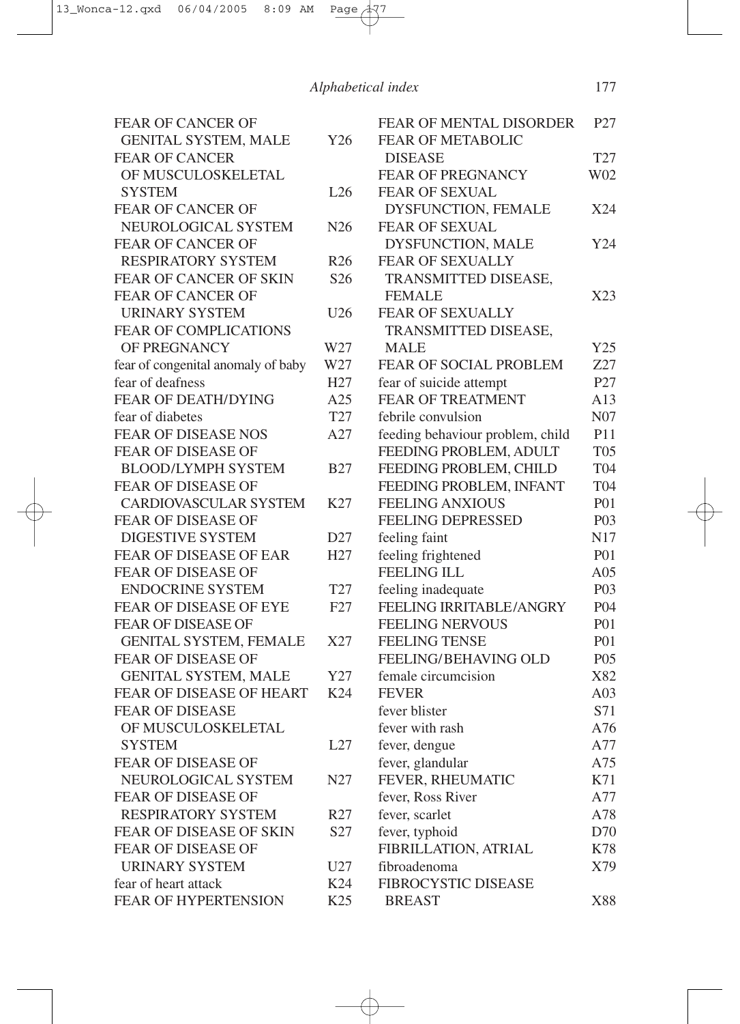| <b>FEAR OF CANCER OF</b><br><b>GENITAL SYSTEM, MALE</b> | Y26             | FEAR OF MENTAL DISORDER<br><b>FEAR OF METABOLIC</b> | P27              |
|---------------------------------------------------------|-----------------|-----------------------------------------------------|------------------|
| <b>FEAR OF CANCER</b>                                   |                 | <b>DISEASE</b>                                      | T27              |
| OF MUSCULOSKELETAL                                      |                 | <b>FEAR OF PREGNANCY</b>                            | W02              |
| <b>SYSTEM</b>                                           | L26             | <b>FEAR OF SEXUAL</b>                               |                  |
| <b>FEAR OF CANCER OF</b>                                |                 | DYSFUNCTION, FEMALE                                 | X24              |
| NEUROLOGICAL SYSTEM                                     | N <sub>26</sub> | <b>FEAR OF SEXUAL</b>                               |                  |
| <b>FEAR OF CANCER OF</b>                                |                 | DYSFUNCTION, MALE                                   | Y24              |
| <b>RESPIRATORY SYSTEM</b>                               | R <sub>26</sub> | <b>FEAR OF SEXUALLY</b>                             |                  |
| <b>FEAR OF CANCER OF SKIN</b>                           | S <sub>26</sub> | TRANSMITTED DISEASE,                                |                  |
| <b>FEAR OF CANCER OF</b>                                |                 | <b>FEMALE</b>                                       | X23              |
| <b>URINARY SYSTEM</b>                                   | U26             | <b>FEAR OF SEXUALLY</b>                             |                  |
| <b>FEAR OF COMPLICATIONS</b>                            |                 | TRANSMITTED DISEASE,                                |                  |
| OF PREGNANCY                                            | W27             | MALE                                                | Y25              |
| fear of congenital anomaly of baby                      | W27             | <b>FEAR OF SOCIAL PROBLEM</b>                       | Z27              |
| fear of deafness                                        | H <sub>27</sub> | fear of suicide attempt                             | P27              |
| <b>FEAR OF DEATH/DYING</b>                              | A25             | <b>FEAR OF TREATMENT</b>                            | A13              |
| fear of diabetes                                        | T <sub>27</sub> | febrile convulsion                                  | N <sub>0</sub> 7 |
| <b>FEAR OF DISEASE NOS</b>                              | A27             | feeding behaviour problem, child                    | P <sub>11</sub>  |
| <b>FEAR OF DISEASE OF</b>                               |                 | FEEDING PROBLEM, ADULT                              | T05              |
| <b>BLOOD/LYMPH SYSTEM</b>                               | <b>B27</b>      | FEEDING PROBLEM, CHILD                              | T04              |
| <b>FEAR OF DISEASE OF</b>                               |                 | FEEDING PROBLEM, INFANT                             | T04              |
| <b>CARDIOVASCULAR SYSTEM</b>                            | K27             | <b>FEELING ANXIOUS</b>                              | <b>P01</b>       |
| <b>FEAR OF DISEASE OF</b>                               |                 | <b>FEELING DEPRESSED</b>                            | P03              |
| <b>DIGESTIVE SYSTEM</b>                                 | D27             | feeling faint                                       | N <sub>17</sub>  |
| <b>FEAR OF DISEASE OF EAR</b>                           | H <sub>27</sub> | feeling frightened                                  | <b>P01</b>       |
| <b>FEAR OF DISEASE OF</b>                               |                 | <b>FEELING ILL</b>                                  | A05              |
| <b>ENDOCRINE SYSTEM</b>                                 | T <sub>27</sub> | feeling inadequate                                  | P <sub>0</sub> 3 |
| <b>FEAR OF DISEASE OF EYE</b>                           | F27             | FEELING IRRITABLE/ANGRY                             | P04              |
| <b>FEAR OF DISEASE OF</b>                               |                 | <b>FEELING NERVOUS</b>                              | P <sub>01</sub>  |
| <b>GENITAL SYSTEM, FEMALE</b>                           | X27             | <b>FEELING TENSE</b>                                | <b>P01</b>       |
| <b>FEAR OF DISEASE OF</b>                               |                 | FEELING/BEHAVING OLD                                | P <sub>05</sub>  |
| <b>GENITAL SYSTEM, MALE</b>                             | Y27             | female circumcision                                 | X82              |
| <b>FEAR OF DISEASE OF HEART</b>                         | K24             | <b>FEVER</b>                                        | A <sub>03</sub>  |
| <b>FEAR OF DISEASE</b>                                  |                 | fever blister                                       | S71              |
| OF MUSCULOSKELETAL                                      |                 | fever with rash                                     | A76              |
| <b>SYSTEM</b>                                           | L27             | fever, dengue                                       | A77              |
| <b>FEAR OF DISEASE OF</b>                               |                 | fever, glandular                                    | A75              |
| NEUROLOGICAL SYSTEM                                     | N <sub>27</sub> | FEVER, RHEUMATIC                                    | K71              |
| <b>FEAR OF DISEASE OF</b>                               |                 | fever, Ross River                                   | A77              |
| <b>RESPIRATORY SYSTEM</b>                               | R27             | fever, scarlet                                      | A78              |
| FEAR OF DISEASE OF SKIN                                 | S27             | fever, typhoid                                      | D70              |
| <b>FEAR OF DISEASE OF</b>                               |                 | FIBRILLATION, ATRIAL                                | K78              |
| <b>URINARY SYSTEM</b>                                   | U27             | fibroadenoma                                        | X79              |
| fear of heart attack                                    | K <sub>24</sub> | FIBROCYSTIC DISEASE                                 |                  |
| FEAR OF HYPERTENSION                                    | K <sub>25</sub> | <b>BREAST</b>                                       | X88              |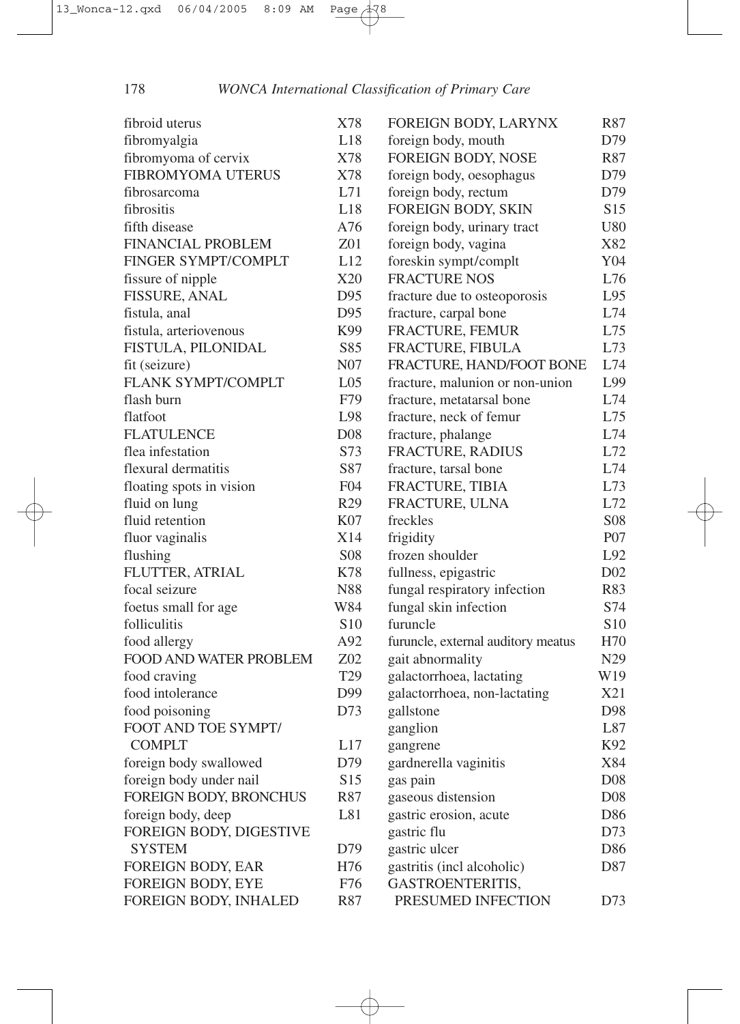| fibroid uterus           | X78             | FOREIGN BODY, LARYNX               | R87             |
|--------------------------|-----------------|------------------------------------|-----------------|
| fibromyalgia             | L18             | foreign body, mouth                | D79             |
| fibromyoma of cervix     | X78             | FOREIGN BODY, NOSE                 | R87             |
| <b>FIBROMYOMA UTERUS</b> | X78             | foreign body, oesophagus           | D79             |
| fibrosarcoma             | L71             | foreign body, rectum               | D79             |
| fibrositis               | L18             | FOREIGN BODY, SKIN                 | S15             |
| fifth disease            | A76             | foreign body, urinary tract        | U80             |
| FINANCIAL PROBLEM        | Z01             | foreign body, vagina               | X82             |
| FINGER SYMPT/COMPLT      | L12             | foreskin sympt/complt              | Y04             |
| fissure of nipple        | X20             | <b>FRACTURE NOS</b>                | L76             |
| FISSURE, ANAL            | D <sub>95</sub> | fracture due to osteoporosis       | L95             |
| fistula, anal            | D95             | fracture, carpal bone              | L74             |
| fistula, arteriovenous   | K99             | FRACTURE, FEMUR                    | L75             |
| FISTULA, PILONIDAL       | S85             | FRACTURE, FIBULA                   | L73             |
| fit (seizure)            | N <sub>07</sub> | FRACTURE, HAND/FOOT BONE           | L74             |
| FLANK SYMPT/COMPLT       | L <sub>05</sub> | fracture, malunion or non-union    | L99             |
| flash burn               | F79             | fracture, metatarsal bone          | L74             |
| flatfoot                 | L98             | fracture, neck of femur            | L75             |
| <b>FLATULENCE</b>        | D <sub>08</sub> | fracture, phalange                 | L74             |
| flea infestation         | S73             | FRACTURE, RADIUS                   | L72             |
| flexural dermatitis      | S87             | fracture, tarsal bone              | L74             |
| floating spots in vision | F04             | FRACTURE, TIBIA                    | L73             |
| fluid on lung            | R29             | FRACTURE, ULNA                     | L72             |
| fluid retention          | <b>K07</b>      | freckles                           | <b>S08</b>      |
| fluor vaginalis          | X14             | frigidity                          | P07             |
| flushing                 | <b>S08</b>      | frozen shoulder                    | L92             |
| FLUTTER, ATRIAL          | K78             | fullness, epigastric               | D02             |
| focal seizure            | N88             | fungal respiratory infection       | R83             |
| foetus small for age     | W84             | fungal skin infection              | S74             |
| folliculitis             | S <sub>10</sub> | furuncle                           | S10             |
| food allergy             | A92             | furuncle, external auditory meatus | H70             |
| FOOD AND WATER PROBLEM   | Z02             | gait abnormality                   | N29             |
| food craving             | T29             | galactorrhoea, lactating           | W19             |
| food intolerance         | D99             | galactorrhoea, non-lactating       | X21             |
| food poisoning           | D73             | gallstone                          | D98             |
| FOOT AND TOE SYMPT/      |                 | ganglion                           | L87             |
| <b>COMPLT</b>            | L17             | gangrene                           | K92             |
| foreign body swallowed   | D79             | gardnerella vaginitis              | X84             |
| foreign body under nail  | S15             | gas pain                           | D <sub>08</sub> |
| FOREIGN BODY, BRONCHUS   | R87             | gaseous distension                 | D <sub>08</sub> |
| foreign body, deep       | L81             | gastric erosion, acute             | D <sub>86</sub> |
| FOREIGN BODY, DIGESTIVE  |                 | gastric flu                        | D73             |
| <b>SYSTEM</b>            | D79             | gastric ulcer                      | D86             |
| <b>FOREIGN BODY, EAR</b> | H76             | gastritis (incl alcoholic)         | D87             |
| FOREIGN BODY, EYE        | F76             | <b>GASTROENTERITIS,</b>            |                 |
| FOREIGN BODY, INHALED    | R87             | PRESUMED INFECTION                 | D73             |
|                          |                 |                                    |                 |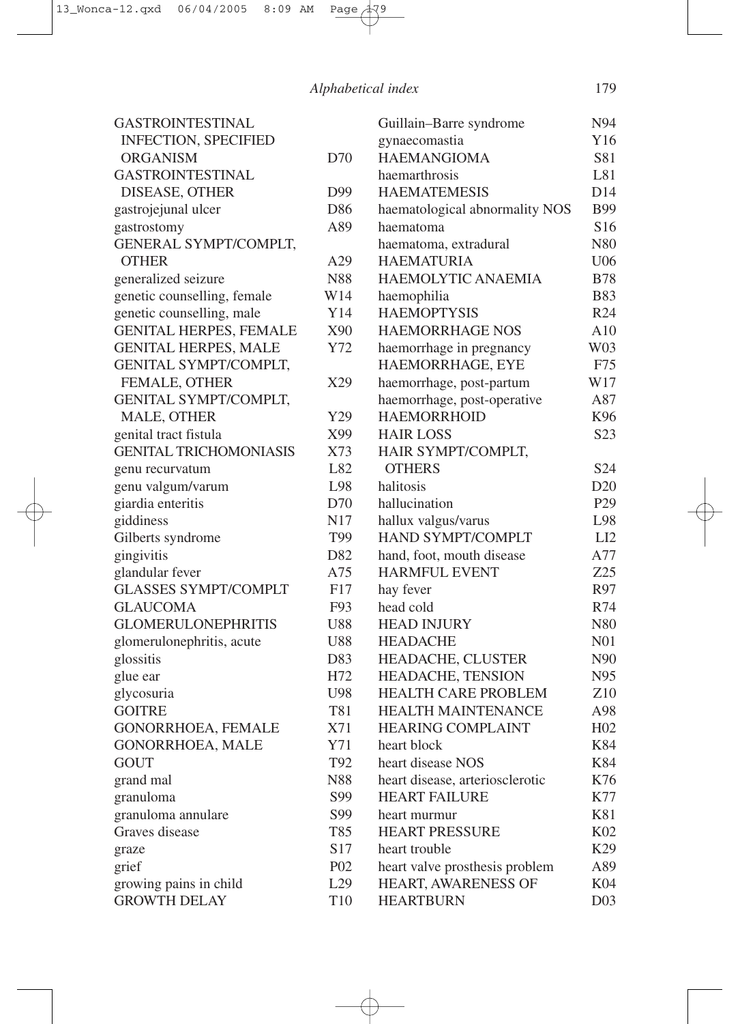| <b>GASTROINTESTINAL</b>       |                 | Guillain-Barre syndrome         | N94             |
|-------------------------------|-----------------|---------------------------------|-----------------|
| <b>INFECTION, SPECIFIED</b>   |                 | gynaecomastia                   | Y16             |
| <b>ORGANISM</b>               | D70             | <b>HAEMANGIOMA</b>              | S81             |
| <b>GASTROINTESTINAL</b>       |                 | haemarthrosis                   | L81             |
| DISEASE, OTHER                | D99             | <b>HAEMATEMESIS</b>             | D14             |
| gastrojejunal ulcer           | D <sub>86</sub> | haematological abnormality NOS  | <b>B99</b>      |
| gastrostomy                   | A89             | haematoma                       | S <sub>16</sub> |
| GENERAL SYMPT/COMPLT,         |                 | haematoma, extradural           | N80             |
| <b>OTHER</b>                  | A29             | <b>HAEMATURIA</b>               | U06             |
| generalized seizure           | N88             | <b>HAEMOLYTIC ANAEMIA</b>       | <b>B78</b>      |
| genetic counselling, female   | W14             | haemophilia                     | <b>B83</b>      |
| genetic counselling, male     | Y14             | <b>HAEMOPTYSIS</b>              | R24             |
| <b>GENITAL HERPES, FEMALE</b> | X90             | <b>HAEMORRHAGE NOS</b>          | A10             |
| <b>GENITAL HERPES, MALE</b>   | Y72             | haemorrhage in pregnancy        | W03             |
| GENITAL SYMPT/COMPLT,         |                 | HAEMORRHAGE, EYE                | F75             |
| FEMALE, OTHER                 | X29             | haemorrhage, post-partum        | W17             |
| <b>GENITAL SYMPT/COMPLT,</b>  |                 | haemorrhage, post-operative     | A87             |
| MALE, OTHER                   | Y29             | <b>HAEMORRHOID</b>              | K96             |
| genital tract fistula         | X99             | <b>HAIR LOSS</b>                | S23             |
| <b>GENITAL TRICHOMONIASIS</b> | X73             | HAIR SYMPT/COMPLT,              |                 |
| genu recurvatum               | L82             | <b>OTHERS</b>                   | S <sub>24</sub> |
| genu valgum/varum             | L98             | halitosis                       | D20             |
| giardia enteritis             | D70             | hallucination                   | P <sub>29</sub> |
| giddiness                     | N <sub>17</sub> | hallux valgus/varus             | L98             |
| Gilberts syndrome             | T99             | HAND SYMPT/COMPLT               | LI2             |
| gingivitis                    | D <sub>82</sub> | hand, foot, mouth disease       | A77             |
| glandular fever               | A75             | <b>HARMFUL EVENT</b>            | Z <sub>25</sub> |
| <b>GLASSES SYMPT/COMPLT</b>   | F17             | hay fever                       | R97             |
| <b>GLAUCOMA</b>               | F93             | head cold                       | R74             |
| <b>GLOMERULONEPHRITIS</b>     | U88             | <b>HEAD INJURY</b>              | N <sub>80</sub> |
| glomerulonephritis, acute     | U88             | <b>HEADACHE</b>                 | N <sub>01</sub> |
| glossitis                     | D83             | HEADACHE, CLUSTER               | N <sub>90</sub> |
| glue ear                      | H72             | HEADACHE, TENSION               | N95             |
| glycosuria                    | U98             | HEALTH CARE PROBLEM             | Z10             |
| <b>GOITRE</b>                 | T81             | <b>HEALTH MAINTENANCE</b>       | A98             |
| <b>GONORRHOEA, FEMALE</b>     | X71             | <b>HEARING COMPLAINT</b>        | H <sub>02</sub> |
| <b>GONORRHOEA, MALE</b>       | Y71             | heart block                     | K84             |
| <b>GOUT</b>                   | T92             | heart disease NOS               | K84             |
| grand mal                     | N88             | heart disease, arteriosclerotic | K76             |
| granuloma                     | S99             | <b>HEART FAILURE</b>            | K77             |
| granuloma annulare            | S99             | heart murmur                    | K81             |
| Graves disease                | T85             | <b>HEART PRESSURE</b>           | K02             |
| graze                         | S <sub>17</sub> | heart trouble                   | K <sub>29</sub> |
| grief                         | P <sub>02</sub> | heart valve prosthesis problem  | A89             |
| growing pains in child        | L29             | HEART, AWARENESS OF             | K04             |
| <b>GROWTH DELAY</b>           | T10             | <b>HEARTBURN</b>                | D <sub>03</sub> |
|                               |                 |                                 |                 |

 $\oplus$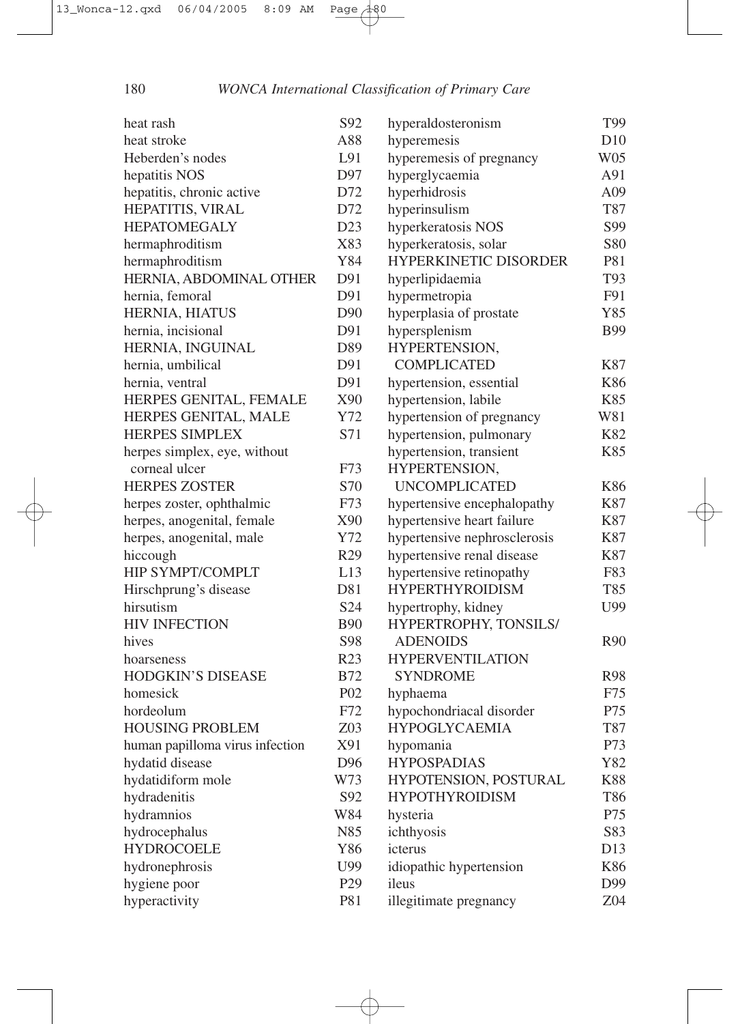| heat rash                       | S92             | hyperaldosteronism           | T99        |
|---------------------------------|-----------------|------------------------------|------------|
| heat stroke                     | A88             | hyperemesis                  | D10        |
| Heberden's nodes                | L91             | hyperemesis of pregnancy     | W05        |
| hepatitis NOS                   | D97             | hyperglycaemia               | A91        |
| hepatitis, chronic active       | D72             | hyperhidrosis                | A09        |
| HEPATITIS, VIRAL                | D72             | hyperinsulism                | T87        |
| <b>HEPATOMEGALY</b>             | D23             | hyperkeratosis NOS           | S99        |
| hermaphroditism                 | X83             | hyperkeratosis, solar        | <b>S80</b> |
| hermaphroditism                 | Y84             | <b>HYPERKINETIC DISORDER</b> | P81        |
| HERNIA, ABDOMINAL OTHER         | D91             | hyperlipidaemia              | T93        |
| hernia, femoral                 | D91             | hypermetropia                | F91        |
| HERNIA, HIATUS                  | D <sub>90</sub> | hyperplasia of prostate      | Y85        |
| hernia, incisional              | D91             | hypersplenism                | <b>B99</b> |
| HERNIA, INGUINAL                | D89             | HYPERTENSION,                |            |
| hernia, umbilical               | D91             | <b>COMPLICATED</b>           | K87        |
| hernia, ventral                 | D91             | hypertension, essential      | K86        |
| HERPES GENITAL, FEMALE          | X90             | hypertension, labile         | K85        |
| HERPES GENITAL, MALE            | Y72             | hypertension of pregnancy    | W81        |
| <b>HERPES SIMPLEX</b>           | S71             | hypertension, pulmonary      | K82        |
| herpes simplex, eye, without    |                 | hypertension, transient      | K85        |
| corneal ulcer                   | F73             | HYPERTENSION,                |            |
| <b>HERPES ZOSTER</b>            | S70             | <b>UNCOMPLICATED</b>         | K86        |
| herpes zoster, ophthalmic       | F73             | hypertensive encephalopathy  | K87        |
| herpes, anogenital, female      | X90             | hypertensive heart failure   | K87        |
| herpes, anogenital, male        | Y72             | hypertensive nephrosclerosis | K87        |
| hiccough                        | R <sub>29</sub> | hypertensive renal disease   | K87        |
| HIP SYMPT/COMPLT                | L13             | hypertensive retinopathy     | F83        |
| Hirschprung's disease           | D81             | <b>HYPERTHYROIDISM</b>       | T85        |
| hirsutism                       | S24             | hypertrophy, kidney          | U99        |
| <b>HIV INFECTION</b>            | <b>B90</b>      | HYPERTROPHY, TONSILS/        |            |
| hives                           | S98             | <b>ADENOIDS</b>              | R90        |
| hoarseness                      | R <sub>23</sub> | <b>HYPERVENTILATION</b>      |            |
| HODGKIN'S DISEASE               | <b>B72</b>      | <b>SYNDROME</b>              | <b>R98</b> |
| homesick                        | P <sub>02</sub> | hyphaema                     | F75        |
| hordeolum                       | F72             | hypochondriacal disorder     | P75        |
| <b>HOUSING PROBLEM</b>          | Z <sub>03</sub> | <b>HYPOGLYCAEMIA</b>         | T87        |
| human papilloma virus infection | X91             | hypomania                    | P73        |
| hydatid disease                 | D96             | <b>HYPOSPADIAS</b>           | Y82        |
| hydatidiform mole               | W73             | HYPOTENSION, POSTURAL        | K88        |
| hydradenitis                    | S92             | <b>HYPOTHYROIDISM</b>        | T86        |
| hydramnios                      | W84             | hysteria                     | P75        |
| hydrocephalus                   | N85             | ichthyosis                   | S83        |
| <b>HYDROCOELE</b>               | Y86             | icterus                      | D13        |
| hydronephrosis                  | U99             | idiopathic hypertension      | K86        |
| hygiene poor                    | P <sub>29</sub> | ileus                        | D99        |
| hyperactivity                   | P81             | illegitimate pregnancy       | Z04        |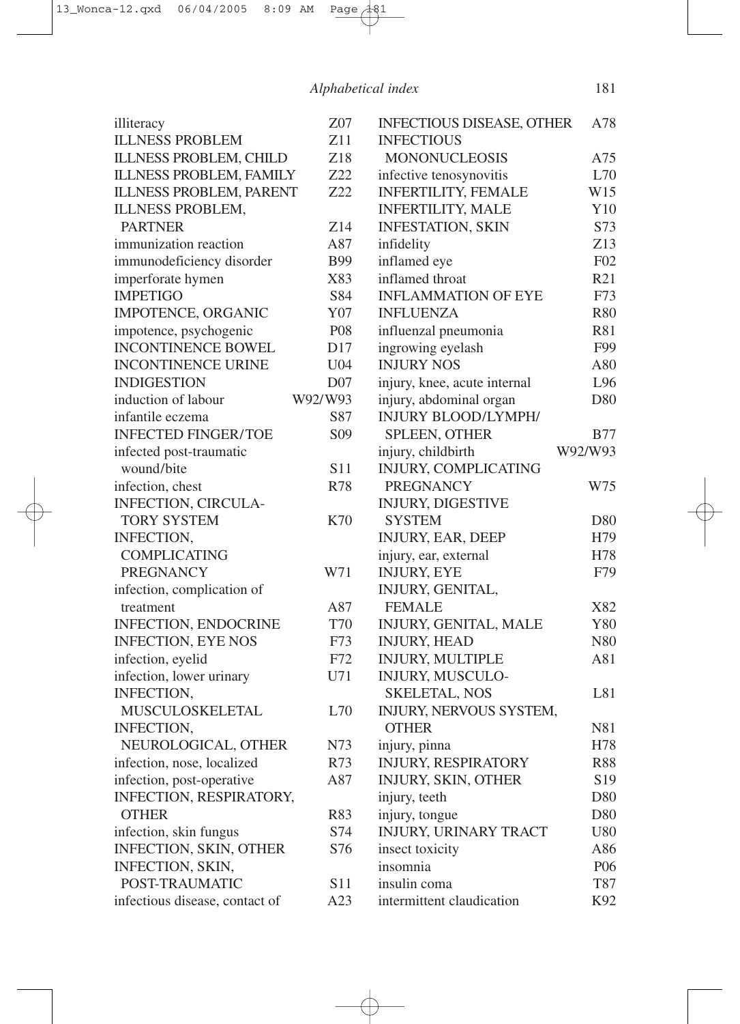| <b>ILLNESS PROBLEM</b><br><b>INFECTIOUS</b><br>Z11<br>ILLNESS PROBLEM, CHILD<br>Z <sub>18</sub><br><b>MONONUCLEOSIS</b><br>A75<br><b>ILLNESS PROBLEM, FAMILY</b><br>Z22<br>L70<br>infective tenosynovitis<br><b>INFERTILITY, FEMALE</b><br><b>ILLNESS PROBLEM, PARENT</b><br>Z22<br>W <sub>15</sub><br><b>ILLNESS PROBLEM,</b><br><b>INFERTILITY, MALE</b><br>Y10<br><b>PARTNER</b><br>S73<br>Z14<br><b>INFESTATION, SKIN</b><br>Z13<br>immunization reaction<br>A87<br>infidelity<br>inflamed eye<br>F02<br>immunodeficiency disorder<br><b>B99</b><br>inflamed throat<br>R21<br>imperforate hymen<br>X83<br><b>IMPETIGO</b><br><b>INFLAMMATION OF EYE</b><br>F73<br>S84<br>IMPOTENCE, ORGANIC<br>Y07<br><b>INFLUENZA</b><br><b>R80</b><br>impotence, psychogenic<br>P <sub>08</sub><br><b>R81</b><br>influenzal pneumonia<br><b>INCONTINENCE BOWEL</b><br>F99<br>D17<br>ingrowing eyelash<br><b>INJURY NOS</b><br><b>INCONTINENCE URINE</b><br>U <sub>04</sub><br>A80<br><b>INDIGESTION</b><br>D <sub>07</sub><br>L96<br>injury, knee, acute internal<br>induction of labour<br>W92/W93<br>injury, abdominal organ<br>D <sub>80</sub><br><b>INJURY BLOOD/LYMPH/</b><br>infantile eczema<br>S87<br><b>INFECTED FINGER/TOE</b><br>S <sub>09</sub><br>SPLEEN, OTHER<br>B77<br>injury, childbirth<br>W92/W93<br>infected post-traumatic<br>INJURY, COMPLICATING<br>wound/bite<br>S <sub>11</sub><br>infection, chest<br>R78<br><b>PREGNANCY</b><br>W75<br><b>INFECTION, CIRCULA-</b><br><b>INJURY, DIGESTIVE</b><br><b>TORY SYSTEM</b><br>K70<br><b>SYSTEM</b><br>D <sub>80</sub><br>INFECTION,<br><b>INJURY, EAR, DEEP</b><br>H79<br><b>COMPLICATING</b><br>H78<br>injury, ear, external<br><b>PREGNANCY</b><br>W71<br><b>INJURY, EYE</b><br>F79<br>INJURY, GENITAL,<br>infection, complication of<br>A87<br><b>FEMALE</b><br>X82<br>treatment<br><b>INFECTION, ENDOCRINE</b><br><b>T70</b><br>INJURY, GENITAL, MALE<br>Y80<br><b>INFECTION, EYE NOS</b><br>F73<br><b>INJURY, HEAD</b><br>N80<br>infection, eyelid<br>F72<br><b>INJURY, MULTIPLE</b><br>A81<br>infection, lower urinary<br>U71<br><b>INJURY, MUSCULO-</b><br>INFECTION,<br><b>SKELETAL, NOS</b><br>L81<br>MUSCULOSKELETAL<br>L70<br>INJURY, NERVOUS SYSTEM,<br>INFECTION,<br><b>OTHER</b><br>N81<br>NEUROLOGICAL, OTHER<br>N73<br>H78<br>injury, pinna<br>infection, nose, localized<br>R73<br><b>INJURY, RESPIRATORY</b><br>R88<br>infection, post-operative<br>A87<br>INJURY, SKIN, OTHER<br>S <sub>19</sub><br>INFECTION, RESPIRATORY,<br>injury, teeth<br>D <sub>80</sub><br><b>OTHER</b><br>R83<br>injury, tongue<br>D80<br>infection, skin fungus<br>S74<br>INJURY, URINARY TRACT<br>U80<br>INFECTION, SKIN, OTHER<br>S76<br>A86<br>insect toxicity<br>INFECTION, SKIN,<br>insomnia<br>P <sub>06</sub><br>POST-TRAUMATIC<br>S <sub>11</sub><br>insulin coma<br>T87<br>intermittent claudication<br>A23<br>K92 | illiteracy                     | Z <sub>07</sub> | INFECTIOUS DISEASE, OTHER | A78 |
|------------------------------------------------------------------------------------------------------------------------------------------------------------------------------------------------------------------------------------------------------------------------------------------------------------------------------------------------------------------------------------------------------------------------------------------------------------------------------------------------------------------------------------------------------------------------------------------------------------------------------------------------------------------------------------------------------------------------------------------------------------------------------------------------------------------------------------------------------------------------------------------------------------------------------------------------------------------------------------------------------------------------------------------------------------------------------------------------------------------------------------------------------------------------------------------------------------------------------------------------------------------------------------------------------------------------------------------------------------------------------------------------------------------------------------------------------------------------------------------------------------------------------------------------------------------------------------------------------------------------------------------------------------------------------------------------------------------------------------------------------------------------------------------------------------------------------------------------------------------------------------------------------------------------------------------------------------------------------------------------------------------------------------------------------------------------------------------------------------------------------------------------------------------------------------------------------------------------------------------------------------------------------------------------------------------------------------------------------------------------------------------------------------------------------------------------------------------------------------------------------------------------------------------------------------------------------------------------------------------------------------------------------------------------------------------------------------------------------------------------------------------------------------------------------------------------------------------------------------------------------------|--------------------------------|-----------------|---------------------------|-----|
|                                                                                                                                                                                                                                                                                                                                                                                                                                                                                                                                                                                                                                                                                                                                                                                                                                                                                                                                                                                                                                                                                                                                                                                                                                                                                                                                                                                                                                                                                                                                                                                                                                                                                                                                                                                                                                                                                                                                                                                                                                                                                                                                                                                                                                                                                                                                                                                                                                                                                                                                                                                                                                                                                                                                                                                                                                                                                    |                                |                 |                           |     |
|                                                                                                                                                                                                                                                                                                                                                                                                                                                                                                                                                                                                                                                                                                                                                                                                                                                                                                                                                                                                                                                                                                                                                                                                                                                                                                                                                                                                                                                                                                                                                                                                                                                                                                                                                                                                                                                                                                                                                                                                                                                                                                                                                                                                                                                                                                                                                                                                                                                                                                                                                                                                                                                                                                                                                                                                                                                                                    |                                |                 |                           |     |
|                                                                                                                                                                                                                                                                                                                                                                                                                                                                                                                                                                                                                                                                                                                                                                                                                                                                                                                                                                                                                                                                                                                                                                                                                                                                                                                                                                                                                                                                                                                                                                                                                                                                                                                                                                                                                                                                                                                                                                                                                                                                                                                                                                                                                                                                                                                                                                                                                                                                                                                                                                                                                                                                                                                                                                                                                                                                                    |                                |                 |                           |     |
|                                                                                                                                                                                                                                                                                                                                                                                                                                                                                                                                                                                                                                                                                                                                                                                                                                                                                                                                                                                                                                                                                                                                                                                                                                                                                                                                                                                                                                                                                                                                                                                                                                                                                                                                                                                                                                                                                                                                                                                                                                                                                                                                                                                                                                                                                                                                                                                                                                                                                                                                                                                                                                                                                                                                                                                                                                                                                    |                                |                 |                           |     |
|                                                                                                                                                                                                                                                                                                                                                                                                                                                                                                                                                                                                                                                                                                                                                                                                                                                                                                                                                                                                                                                                                                                                                                                                                                                                                                                                                                                                                                                                                                                                                                                                                                                                                                                                                                                                                                                                                                                                                                                                                                                                                                                                                                                                                                                                                                                                                                                                                                                                                                                                                                                                                                                                                                                                                                                                                                                                                    |                                |                 |                           |     |
|                                                                                                                                                                                                                                                                                                                                                                                                                                                                                                                                                                                                                                                                                                                                                                                                                                                                                                                                                                                                                                                                                                                                                                                                                                                                                                                                                                                                                                                                                                                                                                                                                                                                                                                                                                                                                                                                                                                                                                                                                                                                                                                                                                                                                                                                                                                                                                                                                                                                                                                                                                                                                                                                                                                                                                                                                                                                                    |                                |                 |                           |     |
|                                                                                                                                                                                                                                                                                                                                                                                                                                                                                                                                                                                                                                                                                                                                                                                                                                                                                                                                                                                                                                                                                                                                                                                                                                                                                                                                                                                                                                                                                                                                                                                                                                                                                                                                                                                                                                                                                                                                                                                                                                                                                                                                                                                                                                                                                                                                                                                                                                                                                                                                                                                                                                                                                                                                                                                                                                                                                    |                                |                 |                           |     |
|                                                                                                                                                                                                                                                                                                                                                                                                                                                                                                                                                                                                                                                                                                                                                                                                                                                                                                                                                                                                                                                                                                                                                                                                                                                                                                                                                                                                                                                                                                                                                                                                                                                                                                                                                                                                                                                                                                                                                                                                                                                                                                                                                                                                                                                                                                                                                                                                                                                                                                                                                                                                                                                                                                                                                                                                                                                                                    |                                |                 |                           |     |
|                                                                                                                                                                                                                                                                                                                                                                                                                                                                                                                                                                                                                                                                                                                                                                                                                                                                                                                                                                                                                                                                                                                                                                                                                                                                                                                                                                                                                                                                                                                                                                                                                                                                                                                                                                                                                                                                                                                                                                                                                                                                                                                                                                                                                                                                                                                                                                                                                                                                                                                                                                                                                                                                                                                                                                                                                                                                                    |                                |                 |                           |     |
|                                                                                                                                                                                                                                                                                                                                                                                                                                                                                                                                                                                                                                                                                                                                                                                                                                                                                                                                                                                                                                                                                                                                                                                                                                                                                                                                                                                                                                                                                                                                                                                                                                                                                                                                                                                                                                                                                                                                                                                                                                                                                                                                                                                                                                                                                                                                                                                                                                                                                                                                                                                                                                                                                                                                                                                                                                                                                    |                                |                 |                           |     |
|                                                                                                                                                                                                                                                                                                                                                                                                                                                                                                                                                                                                                                                                                                                                                                                                                                                                                                                                                                                                                                                                                                                                                                                                                                                                                                                                                                                                                                                                                                                                                                                                                                                                                                                                                                                                                                                                                                                                                                                                                                                                                                                                                                                                                                                                                                                                                                                                                                                                                                                                                                                                                                                                                                                                                                                                                                                                                    |                                |                 |                           |     |
|                                                                                                                                                                                                                                                                                                                                                                                                                                                                                                                                                                                                                                                                                                                                                                                                                                                                                                                                                                                                                                                                                                                                                                                                                                                                                                                                                                                                                                                                                                                                                                                                                                                                                                                                                                                                                                                                                                                                                                                                                                                                                                                                                                                                                                                                                                                                                                                                                                                                                                                                                                                                                                                                                                                                                                                                                                                                                    |                                |                 |                           |     |
|                                                                                                                                                                                                                                                                                                                                                                                                                                                                                                                                                                                                                                                                                                                                                                                                                                                                                                                                                                                                                                                                                                                                                                                                                                                                                                                                                                                                                                                                                                                                                                                                                                                                                                                                                                                                                                                                                                                                                                                                                                                                                                                                                                                                                                                                                                                                                                                                                                                                                                                                                                                                                                                                                                                                                                                                                                                                                    |                                |                 |                           |     |
|                                                                                                                                                                                                                                                                                                                                                                                                                                                                                                                                                                                                                                                                                                                                                                                                                                                                                                                                                                                                                                                                                                                                                                                                                                                                                                                                                                                                                                                                                                                                                                                                                                                                                                                                                                                                                                                                                                                                                                                                                                                                                                                                                                                                                                                                                                                                                                                                                                                                                                                                                                                                                                                                                                                                                                                                                                                                                    |                                |                 |                           |     |
|                                                                                                                                                                                                                                                                                                                                                                                                                                                                                                                                                                                                                                                                                                                                                                                                                                                                                                                                                                                                                                                                                                                                                                                                                                                                                                                                                                                                                                                                                                                                                                                                                                                                                                                                                                                                                                                                                                                                                                                                                                                                                                                                                                                                                                                                                                                                                                                                                                                                                                                                                                                                                                                                                                                                                                                                                                                                                    |                                |                 |                           |     |
|                                                                                                                                                                                                                                                                                                                                                                                                                                                                                                                                                                                                                                                                                                                                                                                                                                                                                                                                                                                                                                                                                                                                                                                                                                                                                                                                                                                                                                                                                                                                                                                                                                                                                                                                                                                                                                                                                                                                                                                                                                                                                                                                                                                                                                                                                                                                                                                                                                                                                                                                                                                                                                                                                                                                                                                                                                                                                    |                                |                 |                           |     |
|                                                                                                                                                                                                                                                                                                                                                                                                                                                                                                                                                                                                                                                                                                                                                                                                                                                                                                                                                                                                                                                                                                                                                                                                                                                                                                                                                                                                                                                                                                                                                                                                                                                                                                                                                                                                                                                                                                                                                                                                                                                                                                                                                                                                                                                                                                                                                                                                                                                                                                                                                                                                                                                                                                                                                                                                                                                                                    |                                |                 |                           |     |
|                                                                                                                                                                                                                                                                                                                                                                                                                                                                                                                                                                                                                                                                                                                                                                                                                                                                                                                                                                                                                                                                                                                                                                                                                                                                                                                                                                                                                                                                                                                                                                                                                                                                                                                                                                                                                                                                                                                                                                                                                                                                                                                                                                                                                                                                                                                                                                                                                                                                                                                                                                                                                                                                                                                                                                                                                                                                                    |                                |                 |                           |     |
|                                                                                                                                                                                                                                                                                                                                                                                                                                                                                                                                                                                                                                                                                                                                                                                                                                                                                                                                                                                                                                                                                                                                                                                                                                                                                                                                                                                                                                                                                                                                                                                                                                                                                                                                                                                                                                                                                                                                                                                                                                                                                                                                                                                                                                                                                                                                                                                                                                                                                                                                                                                                                                                                                                                                                                                                                                                                                    |                                |                 |                           |     |
|                                                                                                                                                                                                                                                                                                                                                                                                                                                                                                                                                                                                                                                                                                                                                                                                                                                                                                                                                                                                                                                                                                                                                                                                                                                                                                                                                                                                                                                                                                                                                                                                                                                                                                                                                                                                                                                                                                                                                                                                                                                                                                                                                                                                                                                                                                                                                                                                                                                                                                                                                                                                                                                                                                                                                                                                                                                                                    |                                |                 |                           |     |
|                                                                                                                                                                                                                                                                                                                                                                                                                                                                                                                                                                                                                                                                                                                                                                                                                                                                                                                                                                                                                                                                                                                                                                                                                                                                                                                                                                                                                                                                                                                                                                                                                                                                                                                                                                                                                                                                                                                                                                                                                                                                                                                                                                                                                                                                                                                                                                                                                                                                                                                                                                                                                                                                                                                                                                                                                                                                                    |                                |                 |                           |     |
|                                                                                                                                                                                                                                                                                                                                                                                                                                                                                                                                                                                                                                                                                                                                                                                                                                                                                                                                                                                                                                                                                                                                                                                                                                                                                                                                                                                                                                                                                                                                                                                                                                                                                                                                                                                                                                                                                                                                                                                                                                                                                                                                                                                                                                                                                                                                                                                                                                                                                                                                                                                                                                                                                                                                                                                                                                                                                    |                                |                 |                           |     |
|                                                                                                                                                                                                                                                                                                                                                                                                                                                                                                                                                                                                                                                                                                                                                                                                                                                                                                                                                                                                                                                                                                                                                                                                                                                                                                                                                                                                                                                                                                                                                                                                                                                                                                                                                                                                                                                                                                                                                                                                                                                                                                                                                                                                                                                                                                                                                                                                                                                                                                                                                                                                                                                                                                                                                                                                                                                                                    |                                |                 |                           |     |
|                                                                                                                                                                                                                                                                                                                                                                                                                                                                                                                                                                                                                                                                                                                                                                                                                                                                                                                                                                                                                                                                                                                                                                                                                                                                                                                                                                                                                                                                                                                                                                                                                                                                                                                                                                                                                                                                                                                                                                                                                                                                                                                                                                                                                                                                                                                                                                                                                                                                                                                                                                                                                                                                                                                                                                                                                                                                                    |                                |                 |                           |     |
|                                                                                                                                                                                                                                                                                                                                                                                                                                                                                                                                                                                                                                                                                                                                                                                                                                                                                                                                                                                                                                                                                                                                                                                                                                                                                                                                                                                                                                                                                                                                                                                                                                                                                                                                                                                                                                                                                                                                                                                                                                                                                                                                                                                                                                                                                                                                                                                                                                                                                                                                                                                                                                                                                                                                                                                                                                                                                    |                                |                 |                           |     |
|                                                                                                                                                                                                                                                                                                                                                                                                                                                                                                                                                                                                                                                                                                                                                                                                                                                                                                                                                                                                                                                                                                                                                                                                                                                                                                                                                                                                                                                                                                                                                                                                                                                                                                                                                                                                                                                                                                                                                                                                                                                                                                                                                                                                                                                                                                                                                                                                                                                                                                                                                                                                                                                                                                                                                                                                                                                                                    |                                |                 |                           |     |
|                                                                                                                                                                                                                                                                                                                                                                                                                                                                                                                                                                                                                                                                                                                                                                                                                                                                                                                                                                                                                                                                                                                                                                                                                                                                                                                                                                                                                                                                                                                                                                                                                                                                                                                                                                                                                                                                                                                                                                                                                                                                                                                                                                                                                                                                                                                                                                                                                                                                                                                                                                                                                                                                                                                                                                                                                                                                                    |                                |                 |                           |     |
|                                                                                                                                                                                                                                                                                                                                                                                                                                                                                                                                                                                                                                                                                                                                                                                                                                                                                                                                                                                                                                                                                                                                                                                                                                                                                                                                                                                                                                                                                                                                                                                                                                                                                                                                                                                                                                                                                                                                                                                                                                                                                                                                                                                                                                                                                                                                                                                                                                                                                                                                                                                                                                                                                                                                                                                                                                                                                    |                                |                 |                           |     |
|                                                                                                                                                                                                                                                                                                                                                                                                                                                                                                                                                                                                                                                                                                                                                                                                                                                                                                                                                                                                                                                                                                                                                                                                                                                                                                                                                                                                                                                                                                                                                                                                                                                                                                                                                                                                                                                                                                                                                                                                                                                                                                                                                                                                                                                                                                                                                                                                                                                                                                                                                                                                                                                                                                                                                                                                                                                                                    |                                |                 |                           |     |
|                                                                                                                                                                                                                                                                                                                                                                                                                                                                                                                                                                                                                                                                                                                                                                                                                                                                                                                                                                                                                                                                                                                                                                                                                                                                                                                                                                                                                                                                                                                                                                                                                                                                                                                                                                                                                                                                                                                                                                                                                                                                                                                                                                                                                                                                                                                                                                                                                                                                                                                                                                                                                                                                                                                                                                                                                                                                                    |                                |                 |                           |     |
|                                                                                                                                                                                                                                                                                                                                                                                                                                                                                                                                                                                                                                                                                                                                                                                                                                                                                                                                                                                                                                                                                                                                                                                                                                                                                                                                                                                                                                                                                                                                                                                                                                                                                                                                                                                                                                                                                                                                                                                                                                                                                                                                                                                                                                                                                                                                                                                                                                                                                                                                                                                                                                                                                                                                                                                                                                                                                    |                                |                 |                           |     |
|                                                                                                                                                                                                                                                                                                                                                                                                                                                                                                                                                                                                                                                                                                                                                                                                                                                                                                                                                                                                                                                                                                                                                                                                                                                                                                                                                                                                                                                                                                                                                                                                                                                                                                                                                                                                                                                                                                                                                                                                                                                                                                                                                                                                                                                                                                                                                                                                                                                                                                                                                                                                                                                                                                                                                                                                                                                                                    |                                |                 |                           |     |
|                                                                                                                                                                                                                                                                                                                                                                                                                                                                                                                                                                                                                                                                                                                                                                                                                                                                                                                                                                                                                                                                                                                                                                                                                                                                                                                                                                                                                                                                                                                                                                                                                                                                                                                                                                                                                                                                                                                                                                                                                                                                                                                                                                                                                                                                                                                                                                                                                                                                                                                                                                                                                                                                                                                                                                                                                                                                                    |                                |                 |                           |     |
|                                                                                                                                                                                                                                                                                                                                                                                                                                                                                                                                                                                                                                                                                                                                                                                                                                                                                                                                                                                                                                                                                                                                                                                                                                                                                                                                                                                                                                                                                                                                                                                                                                                                                                                                                                                                                                                                                                                                                                                                                                                                                                                                                                                                                                                                                                                                                                                                                                                                                                                                                                                                                                                                                                                                                                                                                                                                                    |                                |                 |                           |     |
|                                                                                                                                                                                                                                                                                                                                                                                                                                                                                                                                                                                                                                                                                                                                                                                                                                                                                                                                                                                                                                                                                                                                                                                                                                                                                                                                                                                                                                                                                                                                                                                                                                                                                                                                                                                                                                                                                                                                                                                                                                                                                                                                                                                                                                                                                                                                                                                                                                                                                                                                                                                                                                                                                                                                                                                                                                                                                    |                                |                 |                           |     |
|                                                                                                                                                                                                                                                                                                                                                                                                                                                                                                                                                                                                                                                                                                                                                                                                                                                                                                                                                                                                                                                                                                                                                                                                                                                                                                                                                                                                                                                                                                                                                                                                                                                                                                                                                                                                                                                                                                                                                                                                                                                                                                                                                                                                                                                                                                                                                                                                                                                                                                                                                                                                                                                                                                                                                                                                                                                                                    |                                |                 |                           |     |
|                                                                                                                                                                                                                                                                                                                                                                                                                                                                                                                                                                                                                                                                                                                                                                                                                                                                                                                                                                                                                                                                                                                                                                                                                                                                                                                                                                                                                                                                                                                                                                                                                                                                                                                                                                                                                                                                                                                                                                                                                                                                                                                                                                                                                                                                                                                                                                                                                                                                                                                                                                                                                                                                                                                                                                                                                                                                                    |                                |                 |                           |     |
|                                                                                                                                                                                                                                                                                                                                                                                                                                                                                                                                                                                                                                                                                                                                                                                                                                                                                                                                                                                                                                                                                                                                                                                                                                                                                                                                                                                                                                                                                                                                                                                                                                                                                                                                                                                                                                                                                                                                                                                                                                                                                                                                                                                                                                                                                                                                                                                                                                                                                                                                                                                                                                                                                                                                                                                                                                                                                    |                                |                 |                           |     |
|                                                                                                                                                                                                                                                                                                                                                                                                                                                                                                                                                                                                                                                                                                                                                                                                                                                                                                                                                                                                                                                                                                                                                                                                                                                                                                                                                                                                                                                                                                                                                                                                                                                                                                                                                                                                                                                                                                                                                                                                                                                                                                                                                                                                                                                                                                                                                                                                                                                                                                                                                                                                                                                                                                                                                                                                                                                                                    |                                |                 |                           |     |
|                                                                                                                                                                                                                                                                                                                                                                                                                                                                                                                                                                                                                                                                                                                                                                                                                                                                                                                                                                                                                                                                                                                                                                                                                                                                                                                                                                                                                                                                                                                                                                                                                                                                                                                                                                                                                                                                                                                                                                                                                                                                                                                                                                                                                                                                                                                                                                                                                                                                                                                                                                                                                                                                                                                                                                                                                                                                                    |                                |                 |                           |     |
|                                                                                                                                                                                                                                                                                                                                                                                                                                                                                                                                                                                                                                                                                                                                                                                                                                                                                                                                                                                                                                                                                                                                                                                                                                                                                                                                                                                                                                                                                                                                                                                                                                                                                                                                                                                                                                                                                                                                                                                                                                                                                                                                                                                                                                                                                                                                                                                                                                                                                                                                                                                                                                                                                                                                                                                                                                                                                    |                                |                 |                           |     |
|                                                                                                                                                                                                                                                                                                                                                                                                                                                                                                                                                                                                                                                                                                                                                                                                                                                                                                                                                                                                                                                                                                                                                                                                                                                                                                                                                                                                                                                                                                                                                                                                                                                                                                                                                                                                                                                                                                                                                                                                                                                                                                                                                                                                                                                                                                                                                                                                                                                                                                                                                                                                                                                                                                                                                                                                                                                                                    |                                |                 |                           |     |
|                                                                                                                                                                                                                                                                                                                                                                                                                                                                                                                                                                                                                                                                                                                                                                                                                                                                                                                                                                                                                                                                                                                                                                                                                                                                                                                                                                                                                                                                                                                                                                                                                                                                                                                                                                                                                                                                                                                                                                                                                                                                                                                                                                                                                                                                                                                                                                                                                                                                                                                                                                                                                                                                                                                                                                                                                                                                                    |                                |                 |                           |     |
|                                                                                                                                                                                                                                                                                                                                                                                                                                                                                                                                                                                                                                                                                                                                                                                                                                                                                                                                                                                                                                                                                                                                                                                                                                                                                                                                                                                                                                                                                                                                                                                                                                                                                                                                                                                                                                                                                                                                                                                                                                                                                                                                                                                                                                                                                                                                                                                                                                                                                                                                                                                                                                                                                                                                                                                                                                                                                    |                                |                 |                           |     |
|                                                                                                                                                                                                                                                                                                                                                                                                                                                                                                                                                                                                                                                                                                                                                                                                                                                                                                                                                                                                                                                                                                                                                                                                                                                                                                                                                                                                                                                                                                                                                                                                                                                                                                                                                                                                                                                                                                                                                                                                                                                                                                                                                                                                                                                                                                                                                                                                                                                                                                                                                                                                                                                                                                                                                                                                                                                                                    | infectious disease, contact of |                 |                           |     |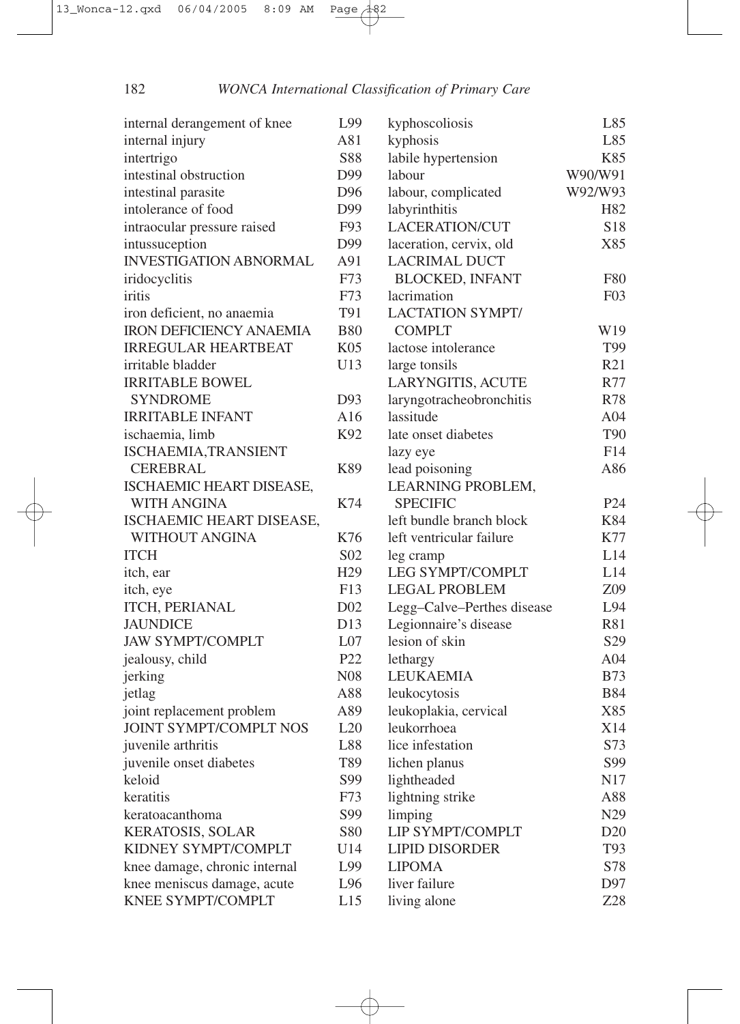| internal derangement of knee   | L99              | kyphoscoliosis             | L85             |
|--------------------------------|------------------|----------------------------|-----------------|
| internal injury                | A81              | kyphosis                   | L85             |
| intertrigo                     | <b>S88</b>       | labile hypertension        | K85             |
| intestinal obstruction         | D99              | labour                     | W90/W91         |
| intestinal parasite            | D <sub>96</sub>  | labour, complicated        | W92/W93         |
| intolerance of food            | D99              | labyrinthitis              | H82             |
| intraocular pressure raised    | F93              | <b>LACERATION/CUT</b>      | S18             |
| intussuception                 | D99              | laceration, cervix, old    | X85             |
| <b>INVESTIGATION ABNORMAL</b>  | A91              | <b>LACRIMAL DUCT</b>       |                 |
| iridocyclitis                  | F73              | <b>BLOCKED, INFANT</b>     | <b>F80</b>      |
| iritis                         | F73              | lacrimation                | F03             |
| iron deficient, no anaemia     | T91              | <b>LACTATION SYMPT/</b>    |                 |
| <b>IRON DEFICIENCY ANAEMIA</b> | <b>B80</b>       | <b>COMPLT</b>              | W19             |
| <b>IRREGULAR HEARTBEAT</b>     | K <sub>05</sub>  | lactose intolerance        | T99             |
| irritable bladder              | U13              | large tonsils              | R21             |
| <b>IRRITABLE BOWEL</b>         |                  | LARYNGITIS, ACUTE          | R77             |
| <b>SYNDROME</b>                | D93              | laryngotracheobronchitis   | R78             |
| <b>IRRITABLE INFANT</b>        | A16              | lassitude                  | A04             |
| ischaemia, limb                | K92              | late onset diabetes        | <b>T90</b>      |
| <b>ISCHAEMIA,TRANSIENT</b>     |                  | lazy eye                   | F14             |
| <b>CEREBRAL</b>                | K89              | lead poisoning             | A86             |
| ISCHAEMIC HEART DISEASE,       |                  | LEARNING PROBLEM,          |                 |
| <b>WITH ANGINA</b>             | K74              | <b>SPECIFIC</b>            | P <sub>24</sub> |
| ISCHAEMIC HEART DISEASE,       |                  | left bundle branch block   | K84             |
| <b>WITHOUT ANGINA</b>          | K76              | left ventricular failure   | K77             |
| <b>ITCH</b>                    | S <sub>0</sub> 2 | leg cramp                  | L14             |
| itch, ear                      | H <sub>29</sub>  | <b>LEG SYMPT/COMPLT</b>    | L14             |
| itch, eye                      | F13              | <b>LEGAL PROBLEM</b>       | Z09             |
| <b>ITCH, PERIANAL</b>          | D <sub>02</sub>  | Legg-Calve-Perthes disease | L94             |
| <b>JAUNDICE</b>                | D <sub>13</sub>  | Legionnaire's disease      | <b>R81</b>      |
| <b>JAW SYMPT/COMPLT</b>        | L <sub>07</sub>  | lesion of skin             | S29             |
| jealousy, child                | P <sub>22</sub>  | lethargy                   | A <sub>04</sub> |
| jerking                        | N <sub>0</sub> 8 | <b>LEUKAEMIA</b>           | <b>B73</b>      |
| jetlag                         | A88              | leukocytosis               | <b>B84</b>      |
| joint replacement problem      | A89              | leukoplakia, cervical      | X85             |
| JOINT SYMPT/COMPLT NOS         | L20              | leukorrhoea                | X14             |
| juvenile arthritis             | L88              | lice infestation           | S73             |
| juvenile onset diabetes        | T89              | lichen planus              | S99             |
| keloid                         | S99              | lightheaded                | N17             |
| keratitis                      | F73              | lightning strike           | A88             |
| keratoacanthoma                | S99              | limping                    | N <sub>29</sub> |
| <b>KERATOSIS, SOLAR</b>        | S80              | LIP SYMPT/COMPLT           | D <sub>20</sub> |
| KIDNEY SYMPT/COMPLT            | U14              | <b>LIPID DISORDER</b>      | T93             |
| knee damage, chronic internal  | L99              | <b>LIPOMA</b>              | S78             |
| knee meniscus damage, acute    | L96              | liver failure              | D97             |
| <b>KNEE SYMPT/COMPLT</b>       | L15              | living alone               | Z28             |
|                                |                  |                            |                 |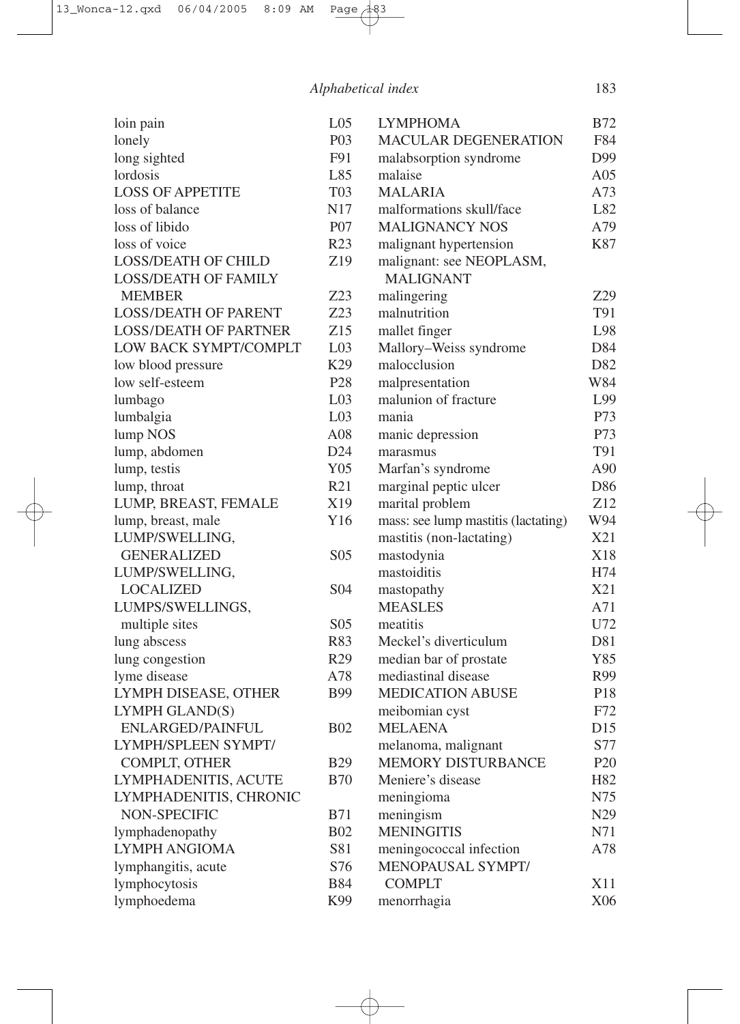| loin pain                    | L <sub>05</sub>  | <b>LYMPHOMA</b>                     | <b>B72</b>      |
|------------------------------|------------------|-------------------------------------|-----------------|
| lonely                       | P <sub>0</sub> 3 | <b>MACULAR DEGENERATION</b>         | F84             |
| long sighted                 | F91              | malabsorption syndrome              | D99             |
| lordosis                     | L85              | malaise                             | A05             |
| <b>LOSS OF APPETITE</b>      | T <sub>0</sub> 3 | <b>MALARIA</b>                      | A73             |
| loss of balance              | N <sub>17</sub>  | malformations skull/face            | L82             |
| loss of libido               | P07              | <b>MALIGNANCY NOS</b>               | A79             |
| loss of voice                | R <sub>23</sub>  | malignant hypertension              | K87             |
| <b>LOSS/DEATH OF CHILD</b>   | Z <sub>19</sub>  | malignant: see NEOPLASM,            |                 |
| <b>LOSS/DEATH OF FAMILY</b>  |                  | <b>MALIGNANT</b>                    |                 |
| <b>MEMBER</b>                | Z <sub>23</sub>  | malingering                         | Z29             |
| <b>LOSS/DEATH OF PARENT</b>  | Z23              | malnutrition                        | T91             |
| <b>LOSS/DEATH OF PARTNER</b> | Z15              | mallet finger                       | L98             |
| <b>LOW BACK SYMPT/COMPLT</b> | L <sub>03</sub>  | Mallory-Weiss syndrome              | D84             |
| low blood pressure           | K29              | malocclusion                        | D82             |
| low self-esteem              | P <sub>28</sub>  | malpresentation                     | W84             |
| lumbago                      | L <sub>03</sub>  | malunion of fracture                | L99             |
| lumbalgia                    | L <sub>03</sub>  | mania                               | P73             |
| lump NOS                     | A <sub>08</sub>  | manic depression                    | P73             |
| lump, abdomen                | D24              | marasmus                            | T91             |
| lump, testis                 | Y <sub>05</sub>  | Marfan's syndrome                   | A90             |
| lump, throat                 | R21              | marginal peptic ulcer               | D86             |
| LUMP, BREAST, FEMALE         | X19              | marital problem                     | Z12             |
| lump, breast, male           | Y16              | mass: see lump mastitis (lactating) | W94             |
| LUMP/SWELLING,               |                  | mastitis (non-lactating)            | X21             |
| <b>GENERALIZED</b>           | S <sub>05</sub>  | mastodynia                          | X18             |
| LUMP/SWELLING,               |                  | mastoiditis                         | H74             |
| <b>LOCALIZED</b>             | S <sub>04</sub>  | mastopathy                          | X21             |
| LUMPS/SWELLINGS,             |                  | <b>MEASLES</b>                      | A71             |
| multiple sites               | S <sub>05</sub>  | meatitis                            | U72             |
| lung abscess                 | R83              | Meckel's diverticulum               | D81             |
| lung congestion              | R <sub>29</sub>  | median bar of prostate              | Y85             |
| lyme disease                 | A78              | mediastinal disease                 | R99             |
| LYMPH DISEASE, OTHER         | <b>B99</b>       | <b>MEDICATION ABUSE</b>             | P <sub>18</sub> |
| LYMPH GLAND(S)               |                  | meibomian cyst                      | F72             |
| ENLARGED/PAINFUL             | <b>B02</b>       | <b>MELAENA</b>                      | D15             |
| LYMPH/SPLEEN SYMPT/          |                  | melanoma, malignant                 | S77             |
| COMPLT, OTHER                | <b>B29</b>       | <b>MEMORY DISTURBANCE</b>           | P <sub>20</sub> |
| LYMPHADENITIS, ACUTE         | <b>B70</b>       | Meniere's disease                   | H82             |
| LYMPHADENITIS, CHRONIC       |                  | meningioma                          | N75             |
| <b>NON-SPECIFIC</b>          | <b>B71</b>       | meningism                           | N29             |
| lymphadenopathy              | <b>B02</b>       | <b>MENINGITIS</b>                   | N71             |
| <b>LYMPH ANGIOMA</b>         | S81              | meningococcal infection             | A78             |
| lymphangitis, acute          | S76              | MENOPAUSAL SYMPT/                   |                 |
| lymphocytosis                | <b>B84</b>       | <b>COMPLT</b>                       | X11             |
| lymphoedema                  | K99              | menorrhagia                         | X06             |
|                              |                  |                                     |                 |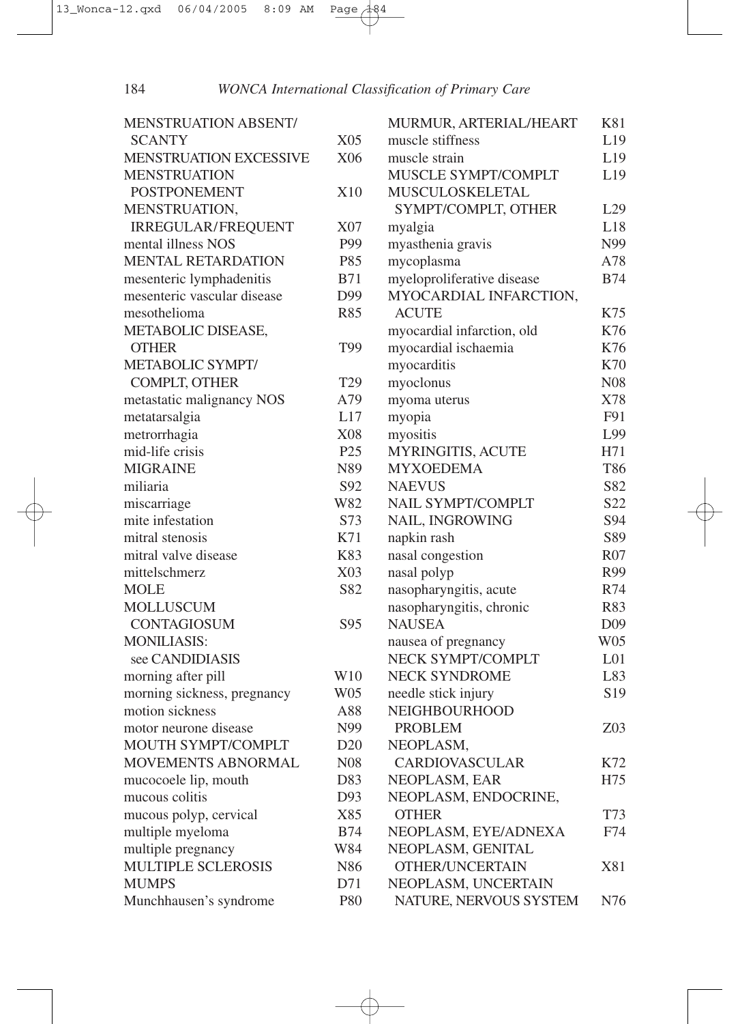| MENSTRUATION ABSENT/          |                  | MURMUR, ARTERIAL/HEART     | K81              |
|-------------------------------|------------------|----------------------------|------------------|
| <b>SCANTY</b>                 | X05              | muscle stiffness           | L19              |
| <b>MENSTRUATION EXCESSIVE</b> | X06              | muscle strain              | L19              |
| <b>MENSTRUATION</b>           |                  | MUSCLE SYMPT/COMPLT        | L19              |
| <b>POSTPONEMENT</b>           | X10              | MUSCULOSKELETAL            |                  |
| MENSTRUATION,                 |                  | SYMPT/COMPLT, OTHER        | L29              |
| IRREGULAR/FREQUENT            | X07              | myalgia                    | L18              |
| mental illness NOS            | P99              | myasthenia gravis          | N99              |
| <b>MENTAL RETARDATION</b>     | P85              | mycoplasma                 | A78              |
| mesenteric lymphadenitis      | <b>B71</b>       | myeloproliferative disease | <b>B74</b>       |
| mesenteric vascular disease   | D99              | MYOCARDIAL INFARCTION,     |                  |
| mesothelioma                  | <b>R85</b>       | <b>ACUTE</b>               | K75              |
| METABOLIC DISEASE,            |                  | myocardial infarction, old | K76              |
| <b>OTHER</b>                  | T99              | myocardial ischaemia       | K76              |
| METABOLIC SYMPT/              |                  | myocarditis                | K70              |
| COMPLT, OTHER                 | T <sub>29</sub>  | myoclonus                  | N <sub>0</sub> 8 |
| metastatic malignancy NOS     | A79              | myoma uterus               | X78              |
| metatarsalgia                 | L17              | myopia                     | F91              |
| metrorrhagia                  | X08              | myositis                   | L99              |
| mid-life crisis               | P <sub>25</sub>  | MYRINGITIS, ACUTE          | H71              |
| <b>MIGRAINE</b>               | N89              | <b>MYXOEDEMA</b>           | T86              |
| miliaria                      | S92              | <b>NAEVUS</b>              | S82              |
| miscarriage                   | W82              | NAIL SYMPT/COMPLT          | S22              |
| mite infestation              | S73              | NAIL, INGROWING            | S94              |
| mitral stenosis               | K71              | napkin rash                | S89              |
| mitral valve disease          | K83              | nasal congestion           | <b>R07</b>       |
| mittelschmerz                 | X03              | nasal polyp                | R99              |
| <b>MOLE</b>                   | S82              | nasopharyngitis, acute     | R74              |
| <b>MOLLUSCUM</b>              |                  | nasopharyngitis, chronic   | R83              |
| CONTAGIOSUM                   | S95              | <b>NAUSEA</b>              | D <sub>09</sub>  |
| <b>MONILIASIS:</b>            |                  | nausea of pregnancy        | W05              |
| see CANDIDIASIS               |                  | NECK SYMPT/COMPLT          | L <sub>01</sub>  |
| morning after pill            | W10              | NECK SYNDROME              | L83              |
| morning sickness, pregnancy   | W05              | needle stick injury        | S19              |
| motion sickness               | A88              | NEIGHBOURHOOD              |                  |
| motor neurone disease         | N99              | <b>PROBLEM</b>             | Z <sub>03</sub>  |
| MOUTH SYMPT/COMPLT            | D20              | NEOPLASM,                  |                  |
| MOVEMENTS ABNORMAL            | N <sub>0</sub> 8 | CARDIOVASCULAR             | K72              |
| mucocoele lip, mouth          | D83              | NEOPLASM, EAR              | H75              |
| mucous colitis                | D93              | NEOPLASM, ENDOCRINE,       |                  |
| mucous polyp, cervical        | X85              | <b>OTHER</b>               | T73              |
| multiple myeloma              | <b>B74</b>       | NEOPLASM, EYE/ADNEXA       | F74              |
| multiple pregnancy            | W84              | NEOPLASM, GENITAL          |                  |
| MULTIPLE SCLEROSIS            | N86              | OTHER/UNCERTAIN            | X81              |
| <b>MUMPS</b>                  | D71              | NEOPLASM, UNCERTAIN        |                  |
| Munchhausen's syndrome        | P80              | NATURE, NERVOUS SYSTEM     | N76              |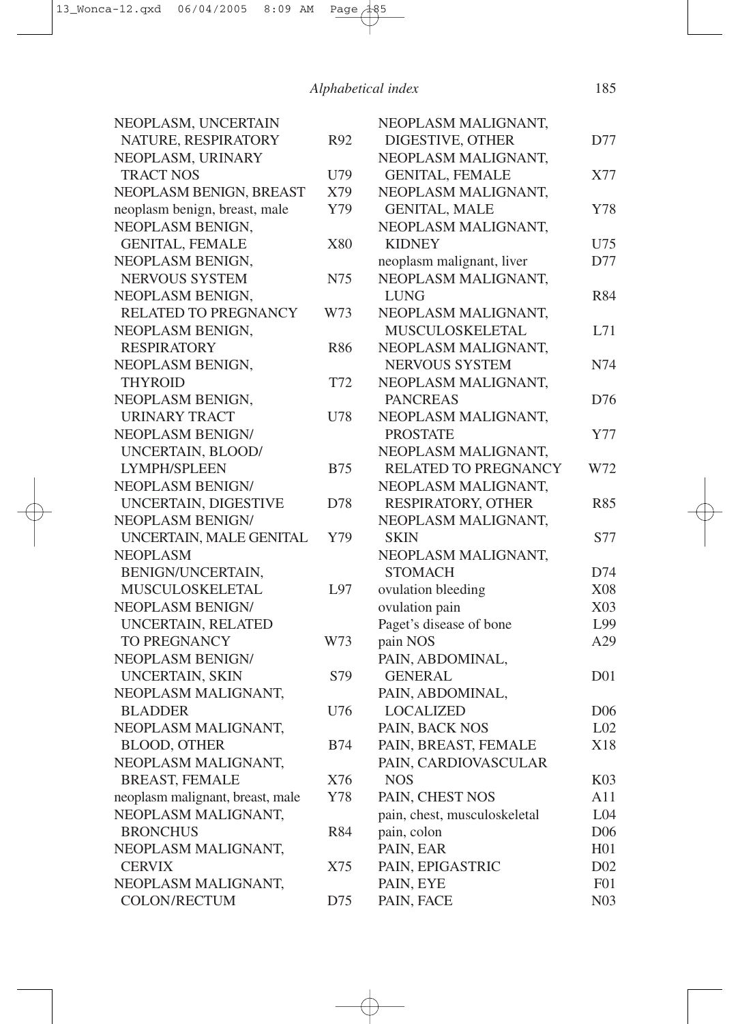| NEOPLASM, UNCERTAIN              |            | NEOPLASM MALIGNANT,          |                  |
|----------------------------------|------------|------------------------------|------------------|
| NATURE, RESPIRATORY              | R92        | DIGESTIVE, OTHER             | D77              |
| NEOPLASM, URINARY                |            | NEOPLASM MALIGNANT,          |                  |
| <b>TRACT NOS</b>                 | U79        | <b>GENITAL, FEMALE</b>       | X77              |
| NEOPLASM BENIGN, BREAST          | X79        | NEOPLASM MALIGNANT,          |                  |
| neoplasm benign, breast, male    | Y79        | <b>GENITAL, MALE</b>         | Y78              |
| NEOPLASM BENIGN,                 |            | NEOPLASM MALIGNANT,          |                  |
| <b>GENITAL, FEMALE</b>           | X80        | <b>KIDNEY</b>                | U75              |
| NEOPLASM BENIGN,                 |            | neoplasm malignant, liver    | D77              |
| NERVOUS SYSTEM                   | N75        | NEOPLASM MALIGNANT,          |                  |
| NEOPLASM BENIGN,                 |            | <b>LUNG</b>                  | <b>R84</b>       |
| RELATED TO PREGNANCY             | W73        | NEOPLASM MALIGNANT,          |                  |
| NEOPLASM BENIGN,                 |            | MUSCULOSKELETAL              | L71              |
| <b>RESPIRATORY</b>               | <b>R86</b> | NEOPLASM MALIGNANT,          |                  |
| NEOPLASM BENIGN,                 |            | NERVOUS SYSTEM               | N74              |
| <b>THYROID</b>                   | T72        | NEOPLASM MALIGNANT,          |                  |
| NEOPLASM BENIGN,                 |            | <b>PANCREAS</b>              | D76              |
| <b>URINARY TRACT</b>             | U78        | NEOPLASM MALIGNANT,          |                  |
| NEOPLASM BENIGN/                 |            | <b>PROSTATE</b>              | Y77              |
| UNCERTAIN, BLOOD/                |            | NEOPLASM MALIGNANT,          |                  |
| LYMPH/SPLEEN                     | <b>B75</b> | RELATED TO PREGNANCY         | W72              |
| NEOPLASM BENIGN/                 |            | NEOPLASM MALIGNANT,          |                  |
| UNCERTAIN, DIGESTIVE             | D78        | RESPIRATORY, OTHER           | <b>R85</b>       |
| NEOPLASM BENIGN/                 |            | NEOPLASM MALIGNANT,          |                  |
| UNCERTAIN, MALE GENITAL          | Y79        | <b>SKIN</b>                  | S77              |
| <b>NEOPLASM</b>                  |            | NEOPLASM MALIGNANT,          |                  |
| BENIGN/UNCERTAIN,                |            | <b>STOMACH</b>               | D74              |
| MUSCULOSKELETAL                  | L97        | ovulation bleeding           | X08              |
| NEOPLASM BENIGN/                 |            | ovulation pain               | X03              |
| UNCERTAIN, RELATED               |            | Paget's disease of bone      | L99              |
| TO PREGNANCY                     | W73        | pain NOS                     | A29              |
| NEOPLASM BENIGN/                 |            | PAIN, ABDOMINAL,             |                  |
| UNCERTAIN, SKIN                  | S79        | <b>GENERAL</b>               | D <sub>01</sub>  |
| NEOPLASM MALIGNANT,              |            | PAIN, ABDOMINAL,             |                  |
| <b>BLADDER</b>                   | U76        | <b>LOCALIZED</b>             | D <sub>06</sub>  |
| NEOPLASM MALIGNANT,              |            | PAIN, BACK NOS               | L <sub>02</sub>  |
| <b>BLOOD, OTHER</b>              | <b>B74</b> | PAIN, BREAST, FEMALE         | X18              |
| NEOPLASM MALIGNANT,              |            | PAIN, CARDIOVASCULAR         |                  |
| <b>BREAST, FEMALE</b>            | X76        | <b>NOS</b>                   | K <sub>03</sub>  |
| neoplasm malignant, breast, male | Y78        | PAIN, CHEST NOS              | A11              |
| NEOPLASM MALIGNANT,              |            | pain, chest, musculoskeletal | L <sub>04</sub>  |
| <b>BRONCHUS</b>                  | <b>R84</b> | pain, colon                  | D <sub>06</sub>  |
| NEOPLASM MALIGNANT,              |            | PAIN, EAR                    | H <sub>01</sub>  |
| <b>CERVIX</b>                    | X75        | PAIN, EPIGASTRIC             | D <sub>02</sub>  |
| NEOPLASM MALIGNANT,              |            | PAIN, EYE                    | F <sub>0</sub> 1 |
| COLON/RECTUM                     | D75        | PAIN, FACE                   | N <sub>03</sub>  |
|                                  |            |                              |                  |

 $\oplus$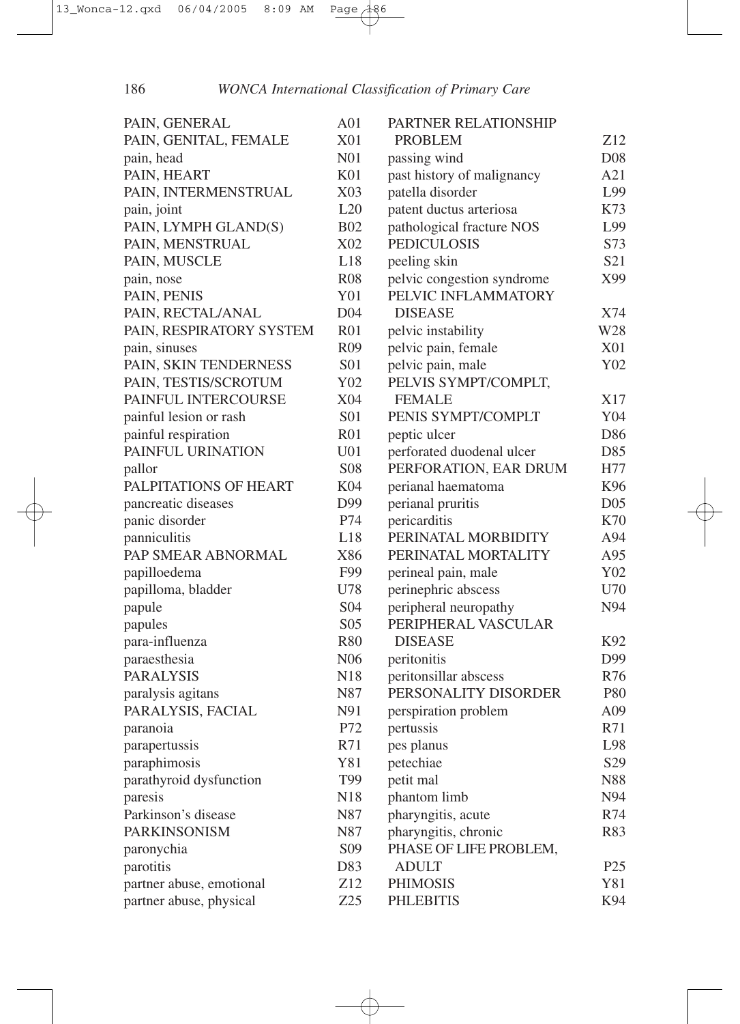| PAIN, GENERAL            | A <sub>01</sub> | PARTNER RELATIONSHIP       |                  |
|--------------------------|-----------------|----------------------------|------------------|
| PAIN, GENITAL, FEMALE    | X <sub>01</sub> | <b>PROBLEM</b>             | Z12              |
| pain, head               | N <sub>01</sub> | passing wind               | D <sub>08</sub>  |
| PAIN, HEART              | K <sub>01</sub> | past history of malignancy | A21              |
| PAIN, INTERMENSTRUAL     | X <sub>03</sub> | patella disorder           | L99              |
| pain, joint              | L20             | patent ductus arteriosa    | K73              |
| PAIN, LYMPH GLAND(S)     | <b>B02</b>      | pathological fracture NOS  | L99              |
| PAIN, MENSTRUAL          | X02             | <b>PEDICULOSIS</b>         | S73              |
| PAIN, MUSCLE             | L18             | peeling skin               | S <sub>21</sub>  |
| pain, nose               | <b>R08</b>      | pelvic congestion syndrome | X99              |
| PAIN, PENIS              | Y01             | PELVIC INFLAMMATORY        |                  |
| PAIN, RECTAL/ANAL        | D <sub>04</sub> | <b>DISEASE</b>             | X74              |
| PAIN, RESPIRATORY SYSTEM | R <sub>01</sub> | pelvic instability         | W28              |
| pain, sinuses            | R <sub>09</sub> | pelvic pain, female        | X01              |
| PAIN, SKIN TENDERNESS    | <b>S01</b>      | pelvic pain, male          | Y <sub>0</sub> 2 |
| PAIN, TESTIS/SCROTUM     | Y02             | PELVIS SYMPT/COMPLT,       |                  |
| PAINFUL INTERCOURSE      | X04             | <b>FEMALE</b>              | X17              |
| painful lesion or rash   | <b>S01</b>      | PENIS SYMPT/COMPLT         | Y04              |
| painful respiration      | R <sub>01</sub> | peptic ulcer               | D86              |
| PAINFUL URINATION        | U <sub>01</sub> | perforated duodenal ulcer  | D85              |
| pallor                   | <b>S08</b>      | PERFORATION, EAR DRUM      | H77              |
| PALPITATIONS OF HEART    | K04             | perianal haematoma         | K96              |
| pancreatic diseases      | D99             | perianal pruritis          | D <sub>05</sub>  |
| panic disorder           | P74             | pericarditis               | K70              |
| panniculitis             | L18             | PERINATAL MORBIDITY        | A94              |
| PAP SMEAR ABNORMAL       | X86             | PERINATAL MORTALITY        | A95              |
| papilloedema             | F99             | perineal pain, male        | Y02              |
| papilloma, bladder       | U78             | perinephric abscess        | U70              |
| papule                   | S04             | peripheral neuropathy      | N94              |
| papules                  | S <sub>05</sub> | PERIPHERAL VASCULAR        |                  |
| para-influenza           | <b>R80</b>      | <b>DISEASE</b>             | K92              |
| paraesthesia             | N <sub>06</sub> | peritonitis                | D99              |
| <b>PARALYSIS</b>         | N <sub>18</sub> | peritonsillar abscess      | R76              |
| paralysis agitans        | N87             | PERSONALITY DISORDER       | P80              |
| PARALYSIS, FACIAL        | N91             | perspiration problem       | A09              |
| paranoia                 | P72             | pertussis                  | R71              |
| parapertussis            | R71             | pes planus                 | L98              |
| paraphimosis             | Y81             | petechiae                  | S <sub>29</sub>  |
| parathyroid dysfunction  | T99             | petit mal                  | N88              |
| paresis                  | N18             | phantom limb               | N94              |
| Parkinson's disease      | N87             | pharyngitis, acute         | R74              |
| <b>PARKINSONISM</b>      | N87             | pharyngitis, chronic       | R83              |
| paronychia               | S09             | PHASE OF LIFE PROBLEM,     |                  |
| parotitis                | D83             | <b>ADULT</b>               | P <sub>25</sub>  |
| partner abuse, emotional | Z12             | <b>PHIMOSIS</b>            | Y81              |
| partner abuse, physical  | Z25             | <b>PHLEBITIS</b>           | K94              |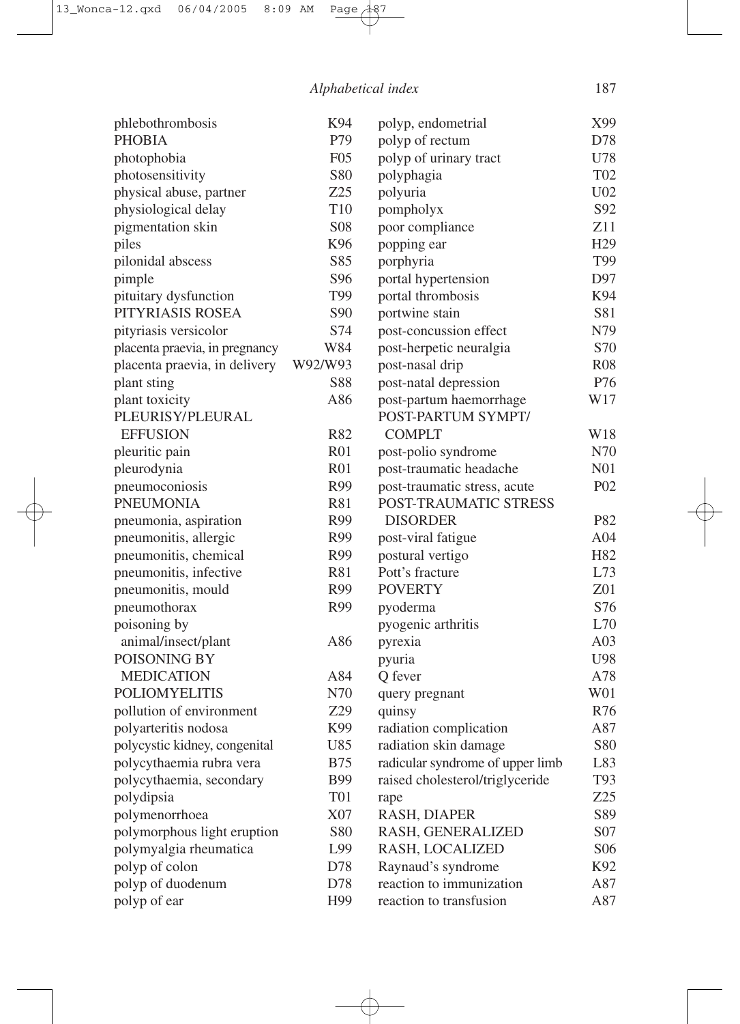| phlebothrombosis               | K94             | polyp, endometrial               | X99             |
|--------------------------------|-----------------|----------------------------------|-----------------|
| <b>PHOBIA</b>                  | P79             | polyp of rectum                  | D78             |
| photophobia                    | F05             | polyp of urinary tract           | U78             |
| photosensitivity               | S80             | polyphagia                       | T02             |
| physical abuse, partner        | Z25             | polyuria                         | U <sub>02</sub> |
| physiological delay            | T10             | pompholyx                        | S92             |
| pigmentation skin              | <b>S08</b>      | poor compliance                  | Z11             |
| piles                          | K96             | popping ear                      | H <sub>29</sub> |
| pilonidal abscess              | S85             | porphyria                        | T99             |
| pimple                         | S96             | portal hypertension              | D97             |
| pituitary dysfunction          | T99             | portal thrombosis                | K94             |
| PITYRIASIS ROSEA               | S90             | portwine stain                   | S81             |
| pityriasis versicolor          | S74             | post-concussion effect           | N79             |
| placenta praevia, in pregnancy | W84             | post-herpetic neuralgia          | S70             |
| placenta praevia, in delivery  | W92/W93         | post-nasal drip                  | <b>R08</b>      |
| plant sting                    | <b>S88</b>      | post-natal depression            | P76             |
| plant toxicity                 | A86             | post-partum haemorrhage          | W17             |
| PLEURISY/PLEURAL               |                 | POST-PARTUM SYMPT/               |                 |
| <b>EFFUSION</b>                | R82             | <b>COMPLT</b>                    | W18             |
| pleuritic pain                 | R <sub>01</sub> | post-polio syndrome              | N70             |
| pleurodynia                    | R <sub>01</sub> | post-traumatic headache          | N <sub>01</sub> |
| pneumoconiosis                 | R99             | post-traumatic stress, acute     | P <sub>02</sub> |
| <b>PNEUMONIA</b>               | <b>R81</b>      | POST-TRAUMATIC STRESS            |                 |
| pneumonia, aspiration          | R99             | <b>DISORDER</b>                  | P82             |
| pneumonitis, allergic          | R99             | post-viral fatigue               | A04             |
| pneumonitis, chemical          | R99             | postural vertigo                 | H82             |
| pneumonitis, infective         | <b>R81</b>      | Pott's fracture                  | L73             |
| pneumonitis, mould             | R99             | <b>POVERTY</b>                   | Z <sub>01</sub> |
| pneumothorax                   | R99             | pyoderma                         | S76             |
| poisoning by                   |                 | pyogenic arthritis               | L70             |
| animal/insect/plant            | A86             | pyrexia                          | A03             |
| POISONING BY                   |                 | pyuria                           | U98             |
| <b>MEDICATION</b>              | A84             | Q fever                          | A78             |
| <b>POLIOMYELITIS</b>           | N70             | query pregnant                   | W01             |
| pollution of environment       | Z29             | quinsy                           | R76             |
| polyarteritis nodosa           | K99             | radiation complication           | A87             |
| polycystic kidney, congenital  | U85             | radiation skin damage            | <b>S80</b>      |
| polycythaemia rubra vera       | <b>B75</b>      | radicular syndrome of upper limb | L83             |
| polycythaemia, secondary       | <b>B99</b>      | raised cholesterol/triglyceride  | T93             |
| polydipsia                     | <b>T01</b>      | rape                             | Z25             |
| polymenorrhoea                 | X07             | RASH, DIAPER                     | S89             |
| polymorphous light eruption    | S80             | RASH, GENERALIZED                | S07             |
| polymyalgia rheumatica         | L99             | RASH, LOCALIZED                  | S <sub>06</sub> |
| polyp of colon                 | D78             | Raynaud's syndrome               | K92             |
| polyp of duodenum              | D78             | reaction to immunization         | A87             |
| polyp of ear                   | H99             | reaction to transfusion          | A87             |
|                                |                 |                                  |                 |

 $\oplus$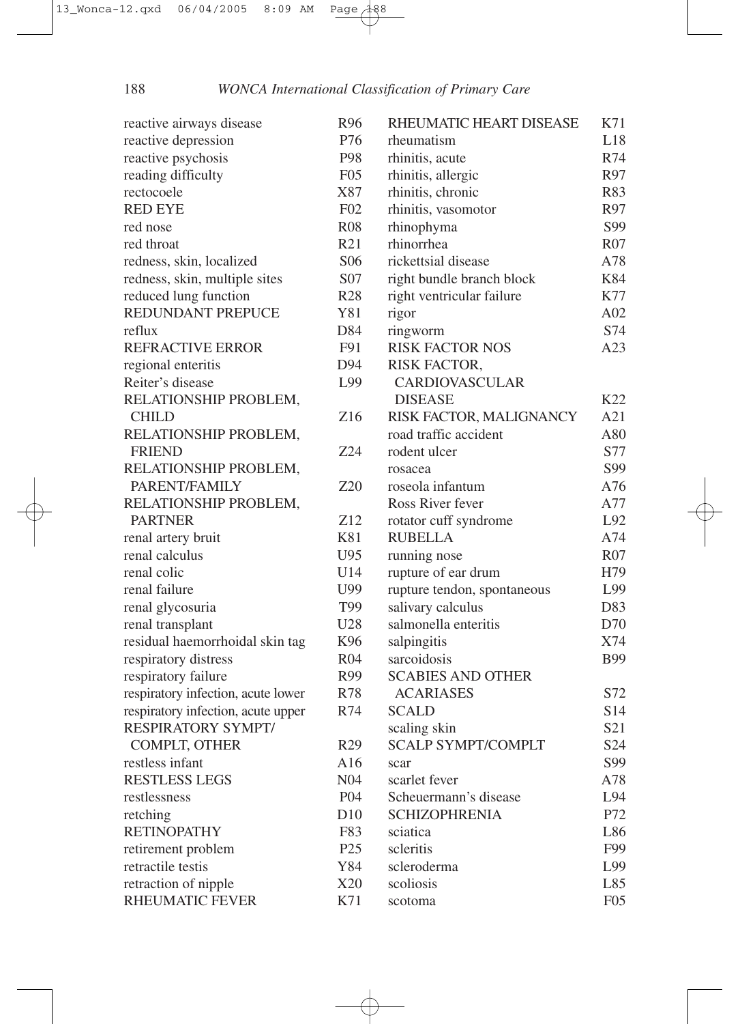| reactive airways disease           | R <sub>96</sub> | RHEUMATIC HEART DISEASE     | K71             |
|------------------------------------|-----------------|-----------------------------|-----------------|
| reactive depression                | P76             | rheumatism                  | L18             |
| reactive psychosis                 | P98             | rhinitis, acute             | R74             |
| reading difficulty                 | F05             | rhinitis, allergic          | R97             |
| rectocoele                         | X87             | rhinitis, chronic           | R83             |
| <b>RED EYE</b>                     | F02             | rhinitis, vasomotor         | R97             |
| red nose                           | <b>R08</b>      | rhinophyma                  | S99             |
| red throat                         | R21             | rhinorrhea                  | R07             |
| redness, skin, localized           | S <sub>06</sub> | rickettsial disease         | A78             |
| redness, skin, multiple sites      | S07             | right bundle branch block   | K84             |
| reduced lung function              | R <sub>28</sub> | right ventricular failure   | K77             |
| REDUNDANT PREPUCE                  | Y81             | rigor                       | A02             |
| reflux                             | D84             | ringworm                    | S74             |
| REFRACTIVE ERROR                   | F91             | <b>RISK FACTOR NOS</b>      | A23             |
| regional enteritis                 | D94             | RISK FACTOR,                |                 |
| Reiter's disease                   | L99             | <b>CARDIOVASCULAR</b>       |                 |
| RELATIONSHIP PROBLEM,              |                 | <b>DISEASE</b>              | K22             |
| <b>CHILD</b>                       | Z16             | RISK FACTOR, MALIGNANCY     | A21             |
| RELATIONSHIP PROBLEM,              |                 | road traffic accident       | A80             |
| <b>FRIEND</b>                      | Z24             | rodent ulcer                | S77             |
| RELATIONSHIP PROBLEM,              |                 | rosacea                     | S99             |
| PARENT/FAMILY                      | Z20             | roseola infantum            | A76             |
| RELATIONSHIP PROBLEM,              |                 | Ross River fever            | A77             |
| <b>PARTNER</b>                     | Z12             | rotator cuff syndrome       | L92             |
| renal artery bruit                 | K81             | <b>RUBELLA</b>              | A74             |
| renal calculus                     | U95             | running nose                | R07             |
| renal colic                        | U14             | rupture of ear drum         | H79             |
| renal failure                      | U99             | rupture tendon, spontaneous | L99             |
| renal glycosuria                   | T99             | salivary calculus           | D83             |
| renal transplant                   | U28             | salmonella enteritis        | D70             |
| residual haemorrhoidal skin tag    | K96             | salpingitis                 | X74             |
| respiratory distress               | <b>R04</b>      | sarcoidosis                 | <b>B99</b>      |
| respiratory failure                | R99             | <b>SCABIES AND OTHER</b>    |                 |
| respiratory infection, acute lower | R78             | <b>ACARIASES</b>            | S72             |
| respiratory infection, acute upper | R74             | <b>SCALD</b>                | S14             |
| RESPIRATORY SYMPT/                 |                 | scaling skin                | S21             |
| COMPLT, OTHER                      | R <sub>29</sub> | <b>SCALP SYMPT/COMPLT</b>   | S <sub>24</sub> |
| restless infant                    | A16             | scar                        | S99             |
| <b>RESTLESS LEGS</b>               | N <sub>04</sub> | scarlet fever               | A78             |
| restlessness                       | P04             | Scheuermann's disease       | L94             |
| retching                           | D10             | <b>SCHIZOPHRENIA</b>        | P72             |
| <b>RETINOPATHY</b>                 | F83             | sciatica                    | L86             |
| retirement problem                 | P <sub>25</sub> | scleritis                   | F99             |
| retractile testis                  | Y84             | scleroderma                 | L99             |
| retraction of nipple               | X20             | scoliosis                   | L85             |
| RHEUMATIC FEVER                    | K71             | scotoma                     | F05             |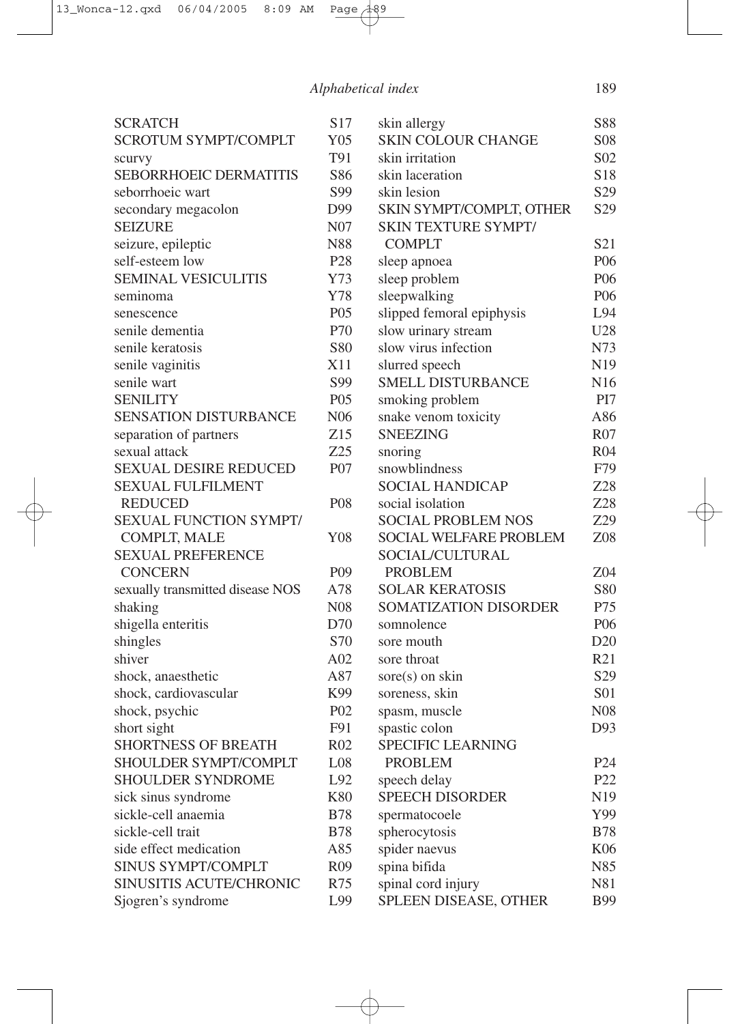| <b>SCRATCH</b>                   | S <sub>17</sub>  | skin allergy               | <b>S88</b>       |
|----------------------------------|------------------|----------------------------|------------------|
| <b>SCROTUM SYMPT/COMPLT</b>      | Y <sub>05</sub>  | <b>SKIN COLOUR CHANGE</b>  | <b>S08</b>       |
| scurvy                           | T91              | skin irritation            | S <sub>02</sub>  |
| <b>SEBORRHOEIC DERMATITIS</b>    | S86              | skin laceration            | S18              |
| seborrhoeic wart                 | S99              | skin lesion                | S29              |
| secondary megacolon              | D99              | SKIN SYMPT/COMPLT, OTHER   | S29              |
| <b>SEIZURE</b>                   | N <sub>07</sub>  | <b>SKIN TEXTURE SYMPT/</b> |                  |
| seizure, epileptic               | N88              | <b>COMPLT</b>              | S <sub>21</sub>  |
| self-esteem low                  | P <sub>28</sub>  | sleep apnoea               | P <sub>06</sub>  |
| <b>SEMINAL VESICULITIS</b>       | Y73              | sleep problem              | P <sub>06</sub>  |
| seminoma                         | Y78              | sleepwalking               | P <sub>06</sub>  |
| senescence                       | P <sub>05</sub>  | slipped femoral epiphysis  | L94              |
| senile dementia                  | P70              | slow urinary stream        | U <sub>28</sub>  |
| senile keratosis                 | <b>S80</b>       | slow virus infection       | N73              |
| senile vaginitis                 | X11              | slurred speech             | N <sub>19</sub>  |
| senile wart                      | S99              | <b>SMELL DISTURBANCE</b>   | N <sub>16</sub>  |
| <b>SENILITY</b>                  | P <sub>05</sub>  | smoking problem            | PI <sub>7</sub>  |
| <b>SENSATION DISTURBANCE</b>     | N <sub>06</sub>  | snake venom toxicity       | A86              |
| separation of partners           | Z15              | <b>SNEEZING</b>            | R <sub>07</sub>  |
| sexual attack                    | Z <sub>25</sub>  | snoring                    | R <sub>04</sub>  |
| <b>SEXUAL DESIRE REDUCED</b>     | P07              | snowblindness              | F79              |
| <b>SEXUAL FULFILMENT</b>         |                  | <b>SOCIAL HANDICAP</b>     | Z28              |
| <b>REDUCED</b>                   | <b>P08</b>       | social isolation           | Z28              |
| <b>SEXUAL FUNCTION SYMPT/</b>    |                  | <b>SOCIAL PROBLEM NOS</b>  | Z29              |
| COMPLT, MALE                     | Y08              | SOCIAL WELFARE PROBLEM     | Z08              |
| <b>SEXUAL PREFERENCE</b>         |                  | SOCIAL/CULTURAL            |                  |
| <b>CONCERN</b>                   | P <sub>09</sub>  | <b>PROBLEM</b>             | Z <sub>04</sub>  |
| sexually transmitted disease NOS | A78              | <b>SOLAR KERATOSIS</b>     | S80              |
| shaking                          | N <sub>0</sub> 8 | SOMATIZATION DISORDER      | P75              |
| shigella enteritis               | D70              | somnolence                 | P <sub>06</sub>  |
| shingles                         | S70              | sore mouth                 | D20              |
| shiver                           | A02              | sore throat                | R21              |
| shock, anaesthetic               | A87              | $sore(s)$ on skin          | S29              |
| shock, cardiovascular            | K99              | soreness, skin             | <b>S01</b>       |
| shock, psychic                   | P <sub>0</sub> 2 | spasm, muscle              | N <sub>0</sub> 8 |
| short sight                      | F91              | spastic colon              | D93              |
| <b>SHORTNESS OF BREATH</b>       | R <sub>02</sub>  | <b>SPECIFIC LEARNING</b>   |                  |
| SHOULDER SYMPT/COMPLT            | L08              | <b>PROBLEM</b>             | P <sub>24</sub>  |
| <b>SHOULDER SYNDROME</b>         | L92              | speech delay               | P22              |
| sick sinus syndrome              | <b>K80</b>       | <b>SPEECH DISORDER</b>     | N19              |
| sickle-cell anaemia              | <b>B78</b>       | spermatocoele              | Y99              |
| sickle-cell trait                | <b>B78</b>       | spherocytosis              | <b>B78</b>       |
| side effect medication           | A85              | spider naevus              | <b>K06</b>       |
| SINUS SYMPT/COMPLT               | R <sub>09</sub>  | spina bifida               | N85              |
| SINUSITIS ACUTE/CHRONIC          | R75              | spinal cord injury         | N81              |
| Sjogren's syndrome               | L99              | SPLEEN DISEASE, OTHER      | <b>B99</b>       |
|                                  |                  |                            |                  |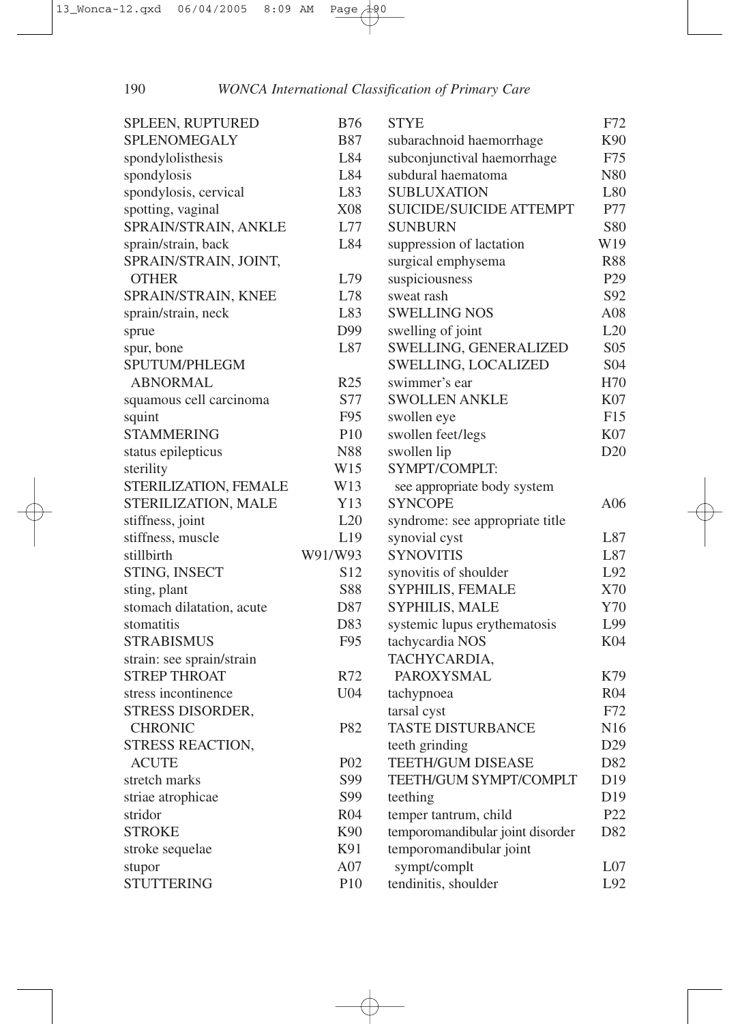| SPLEEN, RUPTURED          | <b>B76</b>      | <b>STYE</b>                      | F72             |
|---------------------------|-----------------|----------------------------------|-----------------|
| SPLENOMEGALY              | B87             | subarachnoid haemorrhage         | K90             |
| spondylolisthesis         | L84             | subconjunctival haemorrhage      | F75             |
| spondylosis               | L84             | subdural haematoma               | N80             |
| spondylosis, cervical     | L83             | <b>SUBLUXATION</b>               | L80             |
| spotting, vaginal         | <b>X08</b>      | <b>SUICIDE/SUICIDE ATTEMPT</b>   | P77             |
| SPRAIN/STRAIN, ANKLE      | L77             | <b>SUNBURN</b>                   | <b>S80</b>      |
| sprain/strain, back       | L84             | suppression of lactation         | W19             |
| SPRAIN/STRAIN, JOINT,     |                 | surgical emphysema               | <b>R88</b>      |
| <b>OTHER</b>              | L79             | suspiciousness                   | P <sub>29</sub> |
| SPRAIN/STRAIN, KNEE       | L78             | sweat rash                       | S92             |
| sprain/strain, neck       | L83             | <b>SWELLING NOS</b>              | A08             |
| sprue                     | D99             | swelling of joint                | L20             |
| spur, bone                | L87             | SWELLING, GENERALIZED            | S <sub>05</sub> |
| SPUTUM/PHLEGM             |                 | SWELLING, LOCALIZED              | S <sub>04</sub> |
| <b>ABNORMAL</b>           | R <sub>25</sub> | swimmer's ear                    | H70             |
| squamous cell carcinoma   | S77             | <b>SWOLLEN ANKLE</b>             | K07             |
| squint                    | F95             | swollen eye                      | F15             |
| <b>STAMMERING</b>         | P10             | swollen feet/legs                | <b>K07</b>      |
| status epilepticus        | N88             | swollen lip                      | D20             |
| sterility                 | W <sub>15</sub> | SYMPT/COMPLT:                    |                 |
| STERILIZATION, FEMALE     | W13             | see appropriate body system      |                 |
| STERILIZATION, MALE       | Y13             | <b>SYNCOPE</b>                   | A06             |
| stiffness, joint          | L20             | syndrome: see appropriate title  |                 |
| stiffness, muscle         | L19             | synovial cyst                    | L87             |
| stillbirth                | W91/W93         | <b>SYNOVITIS</b>                 | L87             |
| STING, INSECT             | S12             | synovitis of shoulder            | L92             |
| sting, plant              | <b>S88</b>      | SYPHILIS, FEMALE                 | X70             |
| stomach dilatation, acute | D87             | SYPHILIS, MALE                   | Y70             |
| stomatitis                | D83             | systemic lupus erythematosis     | L99             |
| <b>STRABISMUS</b>         | F95             | tachycardia NOS                  | K04             |
| strain: see sprain/strain |                 | TACHYCARDIA,                     |                 |
| <b>STREP THROAT</b>       | R72             | <b>PAROXYSMAL</b>                | K79             |
| stress incontinence       | U <sub>04</sub> | tachypnoea                       | R <sub>04</sub> |
| STRESS DISORDER,          |                 | tarsal cyst                      | F72             |
| <b>CHRONIC</b>            | P82             | <b>TASTE DISTURBANCE</b>         | N <sub>16</sub> |
| <b>STRESS REACTION,</b>   |                 | teeth grinding                   | D <sub>29</sub> |
| ACUTE                     | P <sub>02</sub> | TEETH/GUM DISEASE                | D82             |
| stretch marks             | S99             | TEETH/GUM SYMPT/COMPLT           | D <sub>19</sub> |
| striae atrophicae         | S99             | teething                         | D <sub>19</sub> |
| stridor                   | R <sub>04</sub> | temper tantrum, child            | P <sub>22</sub> |
| <b>STROKE</b>             | K90             | temporomandibular joint disorder | D82             |
| stroke sequelae           | K91             | temporomandibular joint          |                 |
| stupor                    | A07             | sympt/complt                     | L07             |
| <b>STUTTERING</b>         | P10             | tendinitis, shoulder             | L92             |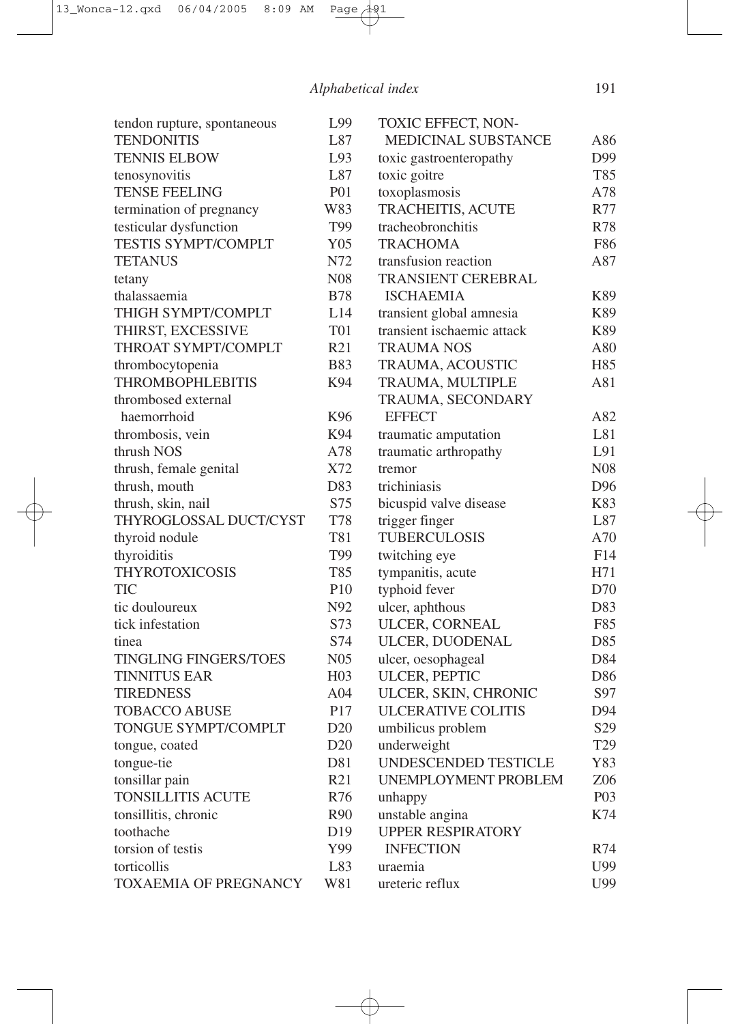| tendon rupture, spontaneous  | L99              | TOXIC EFFECT, NON-         |                  |
|------------------------------|------------------|----------------------------|------------------|
| <b>TENDONITIS</b>            | L87              | MEDICINAL SUBSTANCE        | A86              |
| <b>TENNIS ELBOW</b>          | L93              | toxic gastroenteropathy    | D99              |
| tenosynovitis                | L87              | toxic goitre               | T85              |
| <b>TENSE FEELING</b>         | <b>P01</b>       | toxoplasmosis              | A78              |
| termination of pregnancy     | W83              | TRACHEITIS, ACUTE          | <b>R77</b>       |
| testicular dysfunction       | T99              | tracheobronchitis          | R78              |
| <b>TESTIS SYMPT/COMPLT</b>   | Y <sub>05</sub>  | <b>TRACHOMA</b>            | F86              |
| <b>TETANUS</b>               | N72              | transfusion reaction       | A87              |
| tetany                       | N <sub>0</sub> 8 | <b>TRANSIENT CEREBRAL</b>  |                  |
| thalassaemia                 | <b>B78</b>       | <b>ISCHAEMIA</b>           | K89              |
| THIGH SYMPT/COMPLT           | L14              | transient global amnesia   | K89              |
| THIRST, EXCESSIVE            | <b>T01</b>       | transient ischaemic attack | K89              |
| THROAT SYMPT/COMPLT          | R <sub>21</sub>  | <b>TRAUMA NOS</b>          | A80              |
| thrombocytopenia             | <b>B83</b>       | TRAUMA, ACOUSTIC           | H85              |
| <b>THROMBOPHLEBITIS</b>      | K94              | TRAUMA, MULTIPLE           | A81              |
| thrombosed external          |                  | TRAUMA, SECONDARY          |                  |
| haemorrhoid                  | K96              | <b>EFFECT</b>              | A82              |
| thrombosis, vein             | K94              | traumatic amputation       | L81              |
| thrush NOS                   | A78              | traumatic arthropathy      | L91              |
| thrush, female genital       | X72              | tremor                     | N <sub>0</sub> 8 |
| thrush, mouth                | D83              | trichiniasis               | D96              |
| thrush, skin, nail           | S75              | bicuspid valve disease     | K83              |
| THYROGLOSSAL DUCT/CYST       | <b>T78</b>       | trigger finger             | L87              |
| thyroid nodule               | T81              | <b>TUBERCULOSIS</b>        | A70              |
| thyroiditis                  | T99              | twitching eye              | F <sub>14</sub>  |
| <b>THYROTOXICOSIS</b>        | T85              | tympanitis, acute          | H71              |
| <b>TIC</b>                   | P <sub>10</sub>  | typhoid fever              | D70              |
| tic douloureux               | N92              | ulcer, aphthous            | D83              |
| tick infestation             | S73              | ULCER, CORNEAL             | F85              |
| tinea                        | S74              | ULCER, DUODENAL            | D <sub>85</sub>  |
| <b>TINGLING FINGERS/TOES</b> | N <sub>05</sub>  | ulcer, oesophageal         | D84              |
| <b>TINNITUS EAR</b>          | H <sub>03</sub>  | ULCER, PEPTIC              | D86              |
| <b>TIREDNESS</b>             | A <sub>04</sub>  | ULCER, SKIN, CHRONIC       | S97              |
| <b>TOBACCO ABUSE</b>         | P <sub>17</sub>  | <b>ULCERATIVE COLITIS</b>  | D94              |
| <b>TONGUE SYMPT/COMPLT</b>   | D20              | umbilicus problem          | S <sub>29</sub>  |
| tongue, coated               | D20              | underweight                | T29              |
| tongue-tie                   | D81              | UNDESCENDED TESTICLE       | Y83              |
| tonsillar pain               | R21              | UNEMPLOYMENT PROBLEM       | Z06              |
| <b>TONSILLITIS ACUTE</b>     | R76              | unhappy                    | P <sub>0</sub> 3 |
| tonsillitis, chronic         | R90              | unstable angina            | K74              |
| toothache                    | D19              | <b>UPPER RESPIRATORY</b>   |                  |
| torsion of testis            | Y99              | <b>INFECTION</b>           | R74              |
| torticollis                  | L83              | uraemia                    | U99              |
| TOXAEMIA OF PREGNANCY        | W81              | ureteric reflux            | U99              |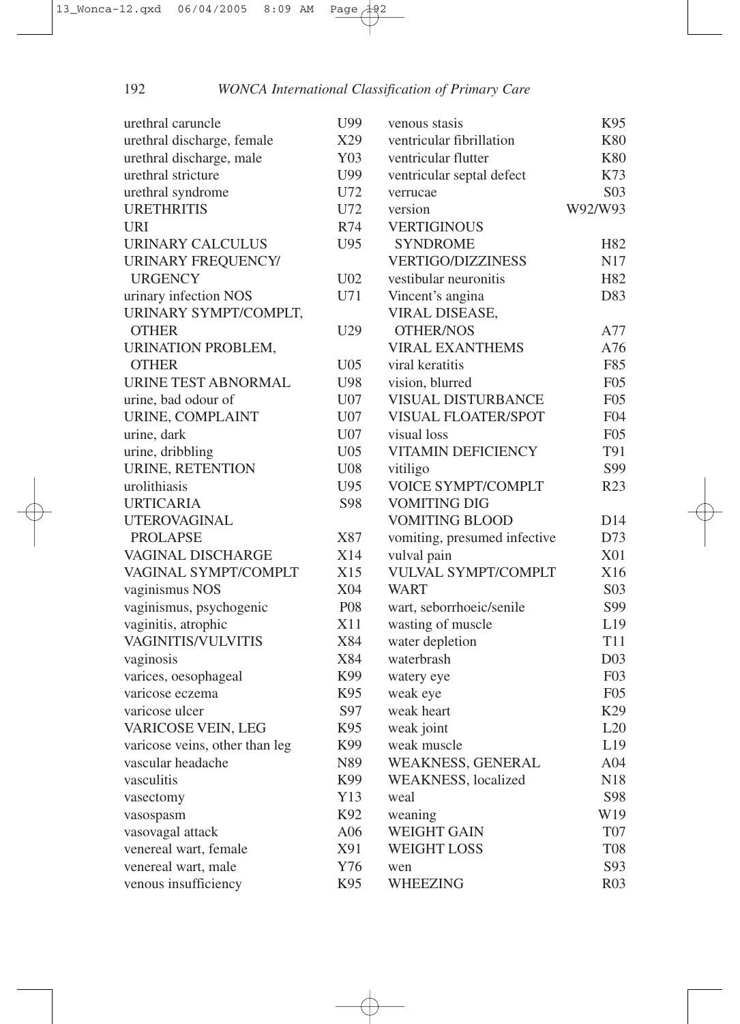| urethral caruncle              | U99             | venous stasis                | K95             |
|--------------------------------|-----------------|------------------------------|-----------------|
| urethral discharge, female     | X29             | ventricular fibrillation     | <b>K80</b>      |
| urethral discharge, male       | Y03             | ventricular flutter          | <b>K80</b>      |
| urethral stricture             | U99             | ventricular septal defect    | K73             |
| urethral syndrome              | U72             | verrucae                     | S03             |
| <b>URETHRITIS</b>              | U72             | version                      | W92/W93         |
| <b>URI</b>                     | R74             | <b>VERTIGINOUS</b>           |                 |
| <b>URINARY CALCULUS</b>        | U95             | <b>SYNDROME</b>              | H82             |
| <b>URINARY FREQUENCY/</b>      |                 | <b>VERTIGO/DIZZINESS</b>     | N17             |
| <b>URGENCY</b>                 | U <sub>02</sub> | vestibular neuronitis        | H82             |
| urinary infection NOS          | U71             | Vincent's angina             | D83             |
| URINARY SYMPT/COMPLT,          |                 | VIRAL DISEASE,               |                 |
| <b>OTHER</b>                   | U29             | <b>OTHER/NOS</b>             | A77             |
| URINATION PROBLEM,             |                 | <b>VIRAL EXANTHEMS</b>       | A76             |
| <b>OTHER</b>                   | U <sub>05</sub> | viral keratitis              | F85             |
| URINE TEST ABNORMAL            | U98             | vision, blurred              | F05             |
| urine, bad odour of            | U07             | VISUAL DISTURBANCE           | F05             |
| URINE, COMPLAINT               | U <sub>07</sub> | <b>VISUAL FLOATER/SPOT</b>   | F04             |
| urine, dark                    | U07             | visual loss                  | F05             |
| urine, dribbling               | U <sub>05</sub> | VITAMIN DEFICIENCY           | T91             |
| URINE, RETENTION               | U08             | vitiligo                     | S99             |
| urolithiasis                   | U95             | VOICE SYMPT/COMPLT           | R <sub>23</sub> |
| <b>URTICARIA</b>               | S98             | <b>VOMITING DIG</b>          |                 |
| <b>UTEROVAGINAL</b>            |                 | <b>VOMITING BLOOD</b>        | D14             |
| <b>PROLAPSE</b>                | X87             | vomiting, presumed infective | D73             |
| VAGINAL DISCHARGE              | X14             | vulval pain                  | X <sub>01</sub> |
| VAGINAL SYMPT/COMPLT           | X15             | <b>VULVAL SYMPT/COMPLT</b>   | X16             |
| vaginismus NOS                 | X04             | <b>WART</b>                  | S03             |
| vaginismus, psychogenic        | <b>P08</b>      | wart, seborrhoeic/senile     | S99             |
| vaginitis, atrophic            | X11             | wasting of muscle            | L19             |
| VAGINITIS/VULVITIS             | X84             | water depletion              | <b>T11</b>      |
| vaginosis                      | X84             | waterbrash                   | D <sub>03</sub> |
| varices, oesophageal           | K99             | watery eye                   | F03             |
| varicose eczema                | K95             | weak eye                     | F05             |
| varicose ulcer                 | S97             | weak heart                   | K29             |
| VARICOSE VEIN, LEG             | K95             | weak joint                   | L20             |
| varicose veins, other than leg | K99             | weak muscle                  | L19             |
| vascular headache              | N89             | WEAKNESS, GENERAL            | A04             |
| vasculitis                     | K99             | WEAKNESS, localized          | N18             |
| vasectomy                      | Y13             | weal                         | S98             |
| vasospasm                      | K92             | weaning                      | W19             |
| vasovagal attack               | A06             | <b>WEIGHT GAIN</b>           | <b>T07</b>      |
| venereal wart, female          | X91             | <b>WEIGHT LOSS</b>           | <b>T08</b>      |
| venereal wart, male            | Y76             | wen                          | S93             |
| venous insufficiency           | K95             | WHEEZING                     | R03             |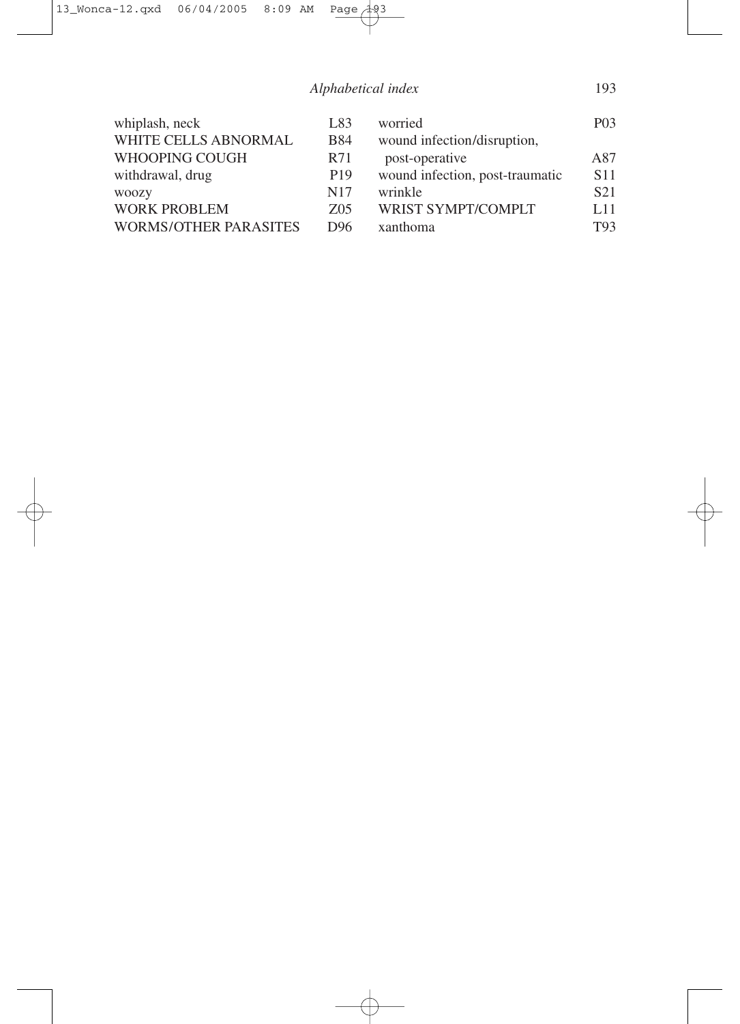| L83             | worried                         | P <sub>0</sub> 3 |
|-----------------|---------------------------------|------------------|
| <b>B84</b>      | wound infection/disruption,     |                  |
| R71             | post-operative                  | A87              |
| P <sub>19</sub> | wound infection, post-traumatic | S <sub>11</sub>  |
| N <sub>17</sub> | wrinkle                         | S <sub>21</sub>  |
| Z05             | WRIST SYMPT/COMPLT              | L11              |
| D96             | xanthoma                        | T93              |
|                 |                                 |                  |